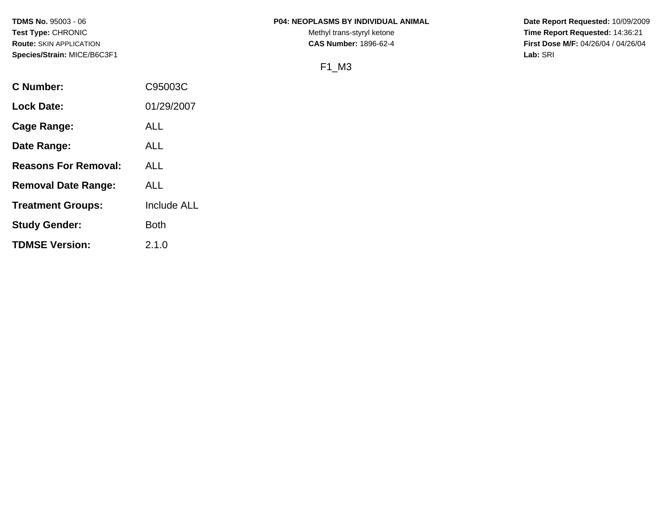### **TDMS No.** 95003 - 06 **P04: NEOPLASMS BY INDIVIDUAL ANIMAL** Date Report Requested: 10/09/2009

Test Type: CHRONIC **Test Type:** CHRONIC **Test Type:** CHRONIC **Time Report Requested:** 14:36:21 **Route:** SKIN APPLICATION **CAS Number:** 1896-62-4 **First Dose M/F:** 04/26/04 / 04/26/04

# F1\_M3

| C Number:                   | C95003C     |
|-----------------------------|-------------|
| <b>Lock Date:</b>           | 01/29/2007  |
| Cage Range:                 | ALL         |
| Date Range:                 | ALL         |
| <b>Reasons For Removal:</b> | ALL         |
| <b>Removal Date Range:</b>  | ALL         |
| <b>Treatment Groups:</b>    | Include ALL |
| <b>Study Gender:</b>        | <b>Both</b> |
| <b>TDMSE Version:</b>       | 2.1.0       |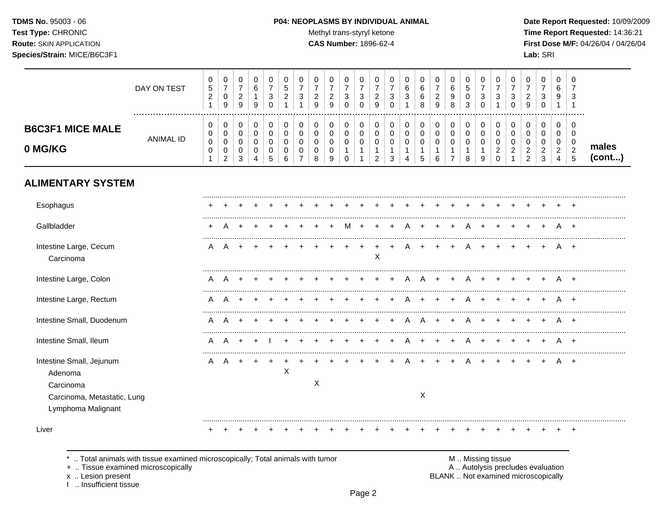TDMS No. 95003 - 06 Test Type: CHRONIC **Route: SKIN APPLICATION** Species/Strain: MICE/B6C3F1

#### P04: NEOPLASMS BY INDIVIDUAL ANIMAL

Methyl trans-styryl ketone

CAS Number: 1896-62-4

Date Report Requested: 10/09/2009 Time Report Requested: 14:36:21 First Dose M/F: 04/26/04 / 04/26/04 Lab: SRI

|                                                                                 | DAY ON TEST      | 0<br>$\mathbf 5$<br>$\boldsymbol{2}$ | 0<br>$\overline{7}$<br>$\mathbf 0$<br>9                        | 0<br>$\overline{7}$<br>$\overline{2}$<br>9                | 0<br>$\,6$<br>$\mathbf{1}$<br>9                 | 0<br>$\overline{7}$<br>$\sqrt{3}$<br>$\Omega$   | $\mathbf 0$<br>$\sqrt{5}$<br>$\sqrt{2}$                    | 0<br>$\overline{7}$<br>$\sqrt{3}$                      | 0<br>$\overline{7}$<br>$\boldsymbol{2}$<br>9                  | 0<br>$\overline{7}$<br>$\overline{2}$<br>9 | 0<br>$\overline{7}$<br>$\ensuremath{\mathsf{3}}$<br>$\Omega$ | 0<br>$\overline{7}$<br>$\mathsf 3$<br>$\Omega$       | 0<br>$\overline{7}$<br>$\boldsymbol{2}$<br>9     | 0<br>$\overline{7}$<br>$\sqrt{3}$<br>$\mathbf 0$     | 0<br>6<br>$\mathbf{3}$                                 | 0<br>$\,6\,$<br>$\,6\,$<br>8                                   | 0<br>$\overline{7}$<br>$\overline{2}$<br>9 | 0<br>$\,6\,$<br>$\boldsymbol{9}$<br>8        | $\mathbf 0$<br>$\,$ 5 $\,$<br>$\mathbf 0$<br>3       | 0<br>$\overline{7}$<br>$\ensuremath{\mathsf{3}}$<br>$\mathbf 0$ | 0<br>$\overline{7}$<br>3                                      | 0<br>$\overline{7}$<br>$\sqrt{3}$<br>$\Omega$                                          | 0<br>$\overline{7}$<br>$\overline{2}$<br>9             | 0<br>$\overline{7}$<br>$\mathbf{3}$<br>$\mathbf 0$               | 0<br>6<br>9                                                         | 0<br>3<br>-1                                                               |                 |
|---------------------------------------------------------------------------------|------------------|--------------------------------------|----------------------------------------------------------------|-----------------------------------------------------------|-------------------------------------------------|-------------------------------------------------|------------------------------------------------------------|--------------------------------------------------------|---------------------------------------------------------------|--------------------------------------------|--------------------------------------------------------------|------------------------------------------------------|--------------------------------------------------|------------------------------------------------------|--------------------------------------------------------|----------------------------------------------------------------|--------------------------------------------|----------------------------------------------|------------------------------------------------------|-----------------------------------------------------------------|---------------------------------------------------------------|----------------------------------------------------------------------------------------|--------------------------------------------------------|------------------------------------------------------------------|---------------------------------------------------------------------|----------------------------------------------------------------------------|-----------------|
| <b>B6C3F1 MICE MALE</b><br>0 MG/KG                                              | <b>ANIMAL ID</b> | 0<br>0<br>$\pmb{0}$<br>$\pmb{0}$     | 0<br>$\mathbf 0$<br>$\mathbf 0$<br>$\pmb{0}$<br>$\overline{c}$ | $\pmb{0}$<br>$\mathbf 0$<br>$\mathbf 0$<br>$\pmb{0}$<br>3 | $\pmb{0}$<br>$\pmb{0}$<br>$\mathbf 0$<br>0<br>4 | 0<br>$\pmb{0}$<br>$\pmb{0}$<br>$\mathbf 0$<br>5 | $\mathbf 0$<br>$\mathbf 0$<br>$\Omega$<br>$\mathbf 0$<br>6 | 0<br>$\mathbf 0$<br>$\mathbf 0$<br>0<br>$\overline{7}$ | $\mathbf 0$<br>$\mathbf 0$<br>$\mathbf 0$<br>$\mathbf 0$<br>8 | 0<br>0<br>$\mathbf 0$<br>$\mathbf 0$<br>9  | 0<br>0<br>0<br>1<br>$\mathbf 0$                              | 0<br>$\mathbf 0$<br>$\mathbf 0$<br>1<br>$\mathbf{1}$ | 0<br>$\pmb{0}$<br>$\pmb{0}$<br>$\mathbf{1}$<br>2 | 0<br>$\mathbf 0$<br>$\mathbf 0$<br>$\mathbf{1}$<br>3 | 0<br>0<br>0<br>$\mathbf{1}$<br>$\overline{\mathbf{4}}$ | $\mathbf 0$<br>$\mathbf 0$<br>$\mathbf 0$<br>$\mathbf{1}$<br>5 | $\mathbf 0$<br>0<br>$\mathsf 0$<br>1<br>6  | 0<br>0<br>$\mathbf 0$<br>1<br>$\overline{7}$ | 0<br>$\mathbf 0$<br>$\mathbf 0$<br>$\mathbf{1}$<br>8 | 0<br>$\mathbf 0$<br>$\mathbf 0$<br>1<br>9                       | 0<br>$\mathbf 0$<br>$\mathbf 0$<br>$\overline{c}$<br>$\Omega$ | $\mathbf 0$<br>$\mathbf 0$<br>$\mathbf 0$<br>$\overline{c}$<br>$\overline{\mathbf{1}}$ | 0<br>$\mathbf 0$<br>$\mathbf 0$<br>$\overline{2}$<br>2 | $\mathbf 0$<br>$\mathbf 0$<br>$\mathbf 0$<br>$\overline{a}$<br>3 | 0<br>$\mathbf 0$<br>$\mathbf 0$<br>$\overline{c}$<br>$\overline{4}$ | $\Omega$<br>$\mathbf 0$<br>$\mathbf 0$<br>$\overline{c}$<br>$\overline{5}$ | males<br>(cont) |
| <b>ALIMENTARY SYSTEM</b>                                                        |                  |                                      |                                                                |                                                           |                                                 |                                                 |                                                            |                                                        |                                                               |                                            |                                                              |                                                      |                                                  |                                                      |                                                        |                                                                |                                            |                                              |                                                      |                                                                 |                                                               |                                                                                        |                                                        |                                                                  |                                                                     |                                                                            |                 |
| Esophagus                                                                       |                  |                                      |                                                                |                                                           |                                                 |                                                 |                                                            |                                                        |                                                               |                                            |                                                              |                                                      |                                                  |                                                      |                                                        |                                                                |                                            |                                              |                                                      |                                                                 |                                                               |                                                                                        |                                                        |                                                                  |                                                                     |                                                                            |                 |
| Gallbladder                                                                     |                  | $\ddot{}$                            | Α                                                              |                                                           |                                                 |                                                 |                                                            |                                                        |                                                               |                                            | м                                                            |                                                      |                                                  |                                                      |                                                        |                                                                |                                            |                                              | A                                                    |                                                                 |                                                               |                                                                                        |                                                        |                                                                  |                                                                     | $+$                                                                        |                 |
| Intestine Large, Cecum<br>Carcinoma                                             |                  | A                                    | A                                                              |                                                           |                                                 |                                                 |                                                            |                                                        |                                                               |                                            |                                                              |                                                      | $\mathsf X$                                      |                                                      |                                                        |                                                                |                                            |                                              |                                                      |                                                                 |                                                               |                                                                                        |                                                        |                                                                  | A                                                                   | $+$                                                                        |                 |
| Intestine Large, Colon                                                          |                  | A                                    | A                                                              |                                                           |                                                 |                                                 |                                                            |                                                        |                                                               |                                            |                                                              |                                                      |                                                  |                                                      |                                                        |                                                                |                                            |                                              |                                                      |                                                                 |                                                               |                                                                                        |                                                        |                                                                  |                                                                     | $+$                                                                        |                 |
| Intestine Large, Rectum                                                         |                  | A                                    | A                                                              |                                                           |                                                 |                                                 |                                                            |                                                        |                                                               |                                            |                                                              |                                                      |                                                  |                                                      |                                                        |                                                                |                                            |                                              |                                                      |                                                                 |                                                               |                                                                                        |                                                        |                                                                  |                                                                     | $^+$                                                                       |                 |
| Intestine Small, Duodenum                                                       |                  | A                                    | A                                                              |                                                           |                                                 |                                                 |                                                            |                                                        |                                                               |                                            |                                                              |                                                      |                                                  |                                                      |                                                        |                                                                |                                            |                                              |                                                      |                                                                 |                                                               |                                                                                        |                                                        |                                                                  |                                                                     |                                                                            |                 |
| Intestine Small, Ileum                                                          |                  | A                                    | А                                                              |                                                           |                                                 |                                                 |                                                            |                                                        |                                                               |                                            |                                                              |                                                      |                                                  |                                                      |                                                        |                                                                |                                            |                                              |                                                      |                                                                 |                                                               |                                                                                        |                                                        |                                                                  |                                                                     |                                                                            |                 |
| Intestine Small, Jejunum<br>Adenoma<br>Carcinoma<br>Carcinoma, Metastatic, Lung |                  | A                                    | A                                                              | $\ddot{}$                                                 |                                                 |                                                 | X                                                          |                                                        | X                                                             |                                            |                                                              |                                                      |                                                  |                                                      |                                                        | $\times$                                                       |                                            |                                              |                                                      |                                                                 |                                                               |                                                                                        |                                                        |                                                                  |                                                                     |                                                                            |                 |
| Lymphoma Malignant<br>Liver                                                     |                  |                                      |                                                                |                                                           |                                                 |                                                 |                                                            |                                                        |                                                               |                                            |                                                              |                                                      |                                                  |                                                      |                                                        |                                                                |                                            |                                              |                                                      |                                                                 |                                                               |                                                                                        |                                                        |                                                                  |                                                                     | $\div$                                                                     |                 |

.. Total animals with tissue examined microscopically; Total animals with tumor  $\star$ 

+ .. Tissue examined microscopically

x .. Lesion present<br>I .. Insufficient tissue

M .. Missing tissue<br>A .. Autolysis precludes evaluation BLANK .. Not examined microscopically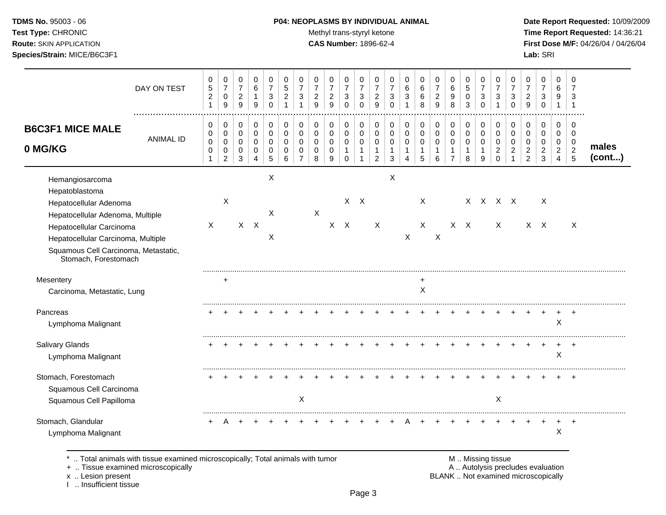### **TDMS No.** 95003 - 06 **P04: NEOPLASMS BY INDIVIDUAL ANIMAL** Date Report Requested: 10/09/2009

Test Type: CHRONIC **Test Type:** CHRONIC **Test Type:** CHRONIC **Time Report Requested:** 14:36:21 **Route:** SKIN APPLICATION **CAS Number:** 1896-62-4 **First Dose M/F:** 04/26/04 / 04/26/04

|                                                                                                                                                                                                                                   | DAY ON TEST      | 0<br>$\sqrt{5}$<br>$\overline{c}$<br>$\mathbf 1$ | 0<br>$\boldsymbol{7}$<br>$\mathbf 0$<br>9            | 0<br>$\overline{7}$<br>$\overline{c}$<br>9                  | 0<br>6<br>1<br>9                        | 0<br>$\overline{7}$<br>$\sqrt{3}$<br>$\mathbf 0$ | $\mathbf 0$<br>$\sqrt{5}$<br>$\overline{c}$<br>1 | 0<br>$\overline{7}$<br>3<br>1                       | 0<br>$\overline{7}$<br>$\sqrt{2}$<br>9           | 0<br>$\overline{7}$<br>$\overline{c}$<br>9 | 0<br>$\overline{7}$<br>3<br>$\Omega$              | 0<br>$\overline{7}$<br>$\sqrt{3}$<br>$\Omega$      | 0<br>$\overline{7}$<br>$\overline{c}$<br>9           | 0<br>$\overline{7}$<br>3<br>$\mathbf 0$ | 0<br>6<br>3<br>1                | 0<br>$6\phantom{1}6$<br>6<br>8                                 | 0<br>$\overline{7}$<br>$\boldsymbol{2}$<br>9   | 0<br>$\,6\,$<br>9<br>8                                         | 0<br>$\sqrt{5}$<br>$\mathbf 0$<br>3       | 0<br>$\overline{7}$<br>$\sqrt{3}$<br>$\mathbf 0$ | 0<br>$\overline{7}$<br>3<br>$\mathbf{1}$                    | 0<br>$\overline{7}$<br>3<br>$\mathbf 0$        | 0<br>$\overline{7}$<br>$\overline{c}$<br>9                    | 0<br>$\overline{7}$<br>3<br>0                                  | 0<br>6<br>9<br>$\overline{1}$                                   | 0<br>$\overline{7}$<br>3<br>$\overline{1}$                          |                 |
|-----------------------------------------------------------------------------------------------------------------------------------------------------------------------------------------------------------------------------------|------------------|--------------------------------------------------|------------------------------------------------------|-------------------------------------------------------------|-----------------------------------------|--------------------------------------------------|--------------------------------------------------|-----------------------------------------------------|--------------------------------------------------|--------------------------------------------|---------------------------------------------------|----------------------------------------------------|------------------------------------------------------|-----------------------------------------|---------------------------------|----------------------------------------------------------------|------------------------------------------------|----------------------------------------------------------------|-------------------------------------------|--------------------------------------------------|-------------------------------------------------------------|------------------------------------------------|---------------------------------------------------------------|----------------------------------------------------------------|-----------------------------------------------------------------|---------------------------------------------------------------------|-----------------|
| <b>B6C3F1 MICE MALE</b><br>0 MG/KG                                                                                                                                                                                                | <b>ANIMAL ID</b> | 0<br>$\pmb{0}$<br>$\pmb{0}$<br>0<br>1            | 0<br>$\mathbf 0$<br>$\pmb{0}$<br>0<br>$\overline{c}$ | $\mathbf 0$<br>$\mathsf{O}\xspace$<br>$\mathbf 0$<br>0<br>3 | 0<br>$\pmb{0}$<br>$\mathbf 0$<br>0<br>4 | $\mathbf 0$<br>$\pmb{0}$<br>$\Omega$<br>0<br>5   | 0<br>$\mathbf 0$<br>$\Omega$<br>0<br>6           | 0<br>$\mathbf 0$<br>$\Omega$<br>0<br>$\overline{7}$ | $\mathbf 0$<br>$\mathbf 0$<br>$\Omega$<br>0<br>8 | 0<br>$\mathbf 0$<br>$\Omega$<br>0<br>9     | 0<br>$\pmb{0}$<br>$\mathbf 0$<br>1<br>$\mathbf 0$ | 0<br>$\pmb{0}$<br>$\mathbf 0$<br>1<br>$\mathbf{1}$ | 0<br>$\pmb{0}$<br>$\mathbf 0$<br>1<br>$\overline{2}$ | 0<br>$\mathbf 0$<br>$\Omega$<br>1<br>3  | 0<br>0<br>$\mathbf 0$<br>1<br>4 | $\mathbf 0$<br>$\mathbf 0$<br>$\mathbf 0$<br>$\mathbf{1}$<br>5 | $\pmb{0}$<br>$\mathsf 0$<br>$\Omega$<br>1<br>6 | 0<br>$\pmb{0}$<br>$\mathbf 0$<br>$\mathbf 1$<br>$\overline{7}$ | 0<br>$\mathbf 0$<br>$\mathbf 0$<br>1<br>8 | 0<br>$\pmb{0}$<br>$\mathbf 0$<br>1<br>9          | 0<br>$\pmb{0}$<br>$\Omega$<br>$\overline{c}$<br>$\mathbf 0$ | 0<br>$\mathbf 0$<br>$\Omega$<br>$\overline{2}$ | 0<br>$\Omega$<br>$\Omega$<br>$\overline{c}$<br>$\overline{2}$ | 0<br>$\mathbf 0$<br>$\Omega$<br>$\overline{c}$<br>$\mathbf{3}$ | $\mathbf 0$<br>0<br>$\mathbf 0$<br>$\sqrt{2}$<br>$\overline{4}$ | 0<br>$\mathbf 0$<br>$\mathbf 0$<br>$\overline{c}$<br>$\overline{5}$ | males<br>(cont) |
| Hemangiosarcoma<br>Hepatoblastoma<br>Hepatocellular Adenoma<br>Hepatocellular Adenoma, Multiple<br>Hepatocellular Carcinoma<br>Hepatocellular Carcinoma, Multiple<br>Squamous Cell Carcinoma, Metastatic,<br>Stomach, Forestomach |                  | $\mathsf{X}$                                     | X                                                    |                                                             | $X$ $X$                                 | X<br>X<br>Χ                                      |                                                  |                                                     | $\mathsf X$                                      |                                            | $X$ $X$                                           | $X \times X$                                       | X                                                    | X                                       | X                               | $\mathsf{X}$<br>$\mathsf X$                                    | X                                              |                                                                | $X$ $X$                                   |                                                  | X X X X<br>$\sf X$                                          |                                                |                                                               | X<br>$X$ $X$                                                   |                                                                 | X                                                                   |                 |
| Mesentery<br>Carcinoma, Metastatic, Lung                                                                                                                                                                                          |                  |                                                  | $\ddot{}$                                            |                                                             |                                         |                                                  |                                                  |                                                     |                                                  |                                            |                                                   |                                                    |                                                      |                                         |                                 | +<br>X                                                         |                                                |                                                                |                                           |                                                  |                                                             |                                                |                                                               |                                                                |                                                                 |                                                                     |                 |
| Pancreas<br>Lymphoma Malignant                                                                                                                                                                                                    |                  |                                                  |                                                      |                                                             |                                         |                                                  |                                                  |                                                     |                                                  |                                            |                                                   |                                                    |                                                      |                                         |                                 |                                                                |                                                |                                                                |                                           |                                                  |                                                             |                                                |                                                               |                                                                | X                                                               |                                                                     |                 |
| Salivary Glands<br>Lymphoma Malignant                                                                                                                                                                                             |                  |                                                  |                                                      |                                                             |                                         |                                                  |                                                  |                                                     |                                                  |                                            |                                                   |                                                    |                                                      |                                         |                                 |                                                                |                                                |                                                                |                                           |                                                  |                                                             |                                                |                                                               |                                                                | +<br>$\mathsf X$                                                | $\pm$                                                               |                 |
| Stomach, Forestomach<br>Squamous Cell Carcinoma<br>Squamous Cell Papilloma                                                                                                                                                        |                  |                                                  |                                                      |                                                             |                                         |                                                  |                                                  | X                                                   |                                                  |                                            |                                                   |                                                    |                                                      |                                         |                                 |                                                                |                                                |                                                                |                                           |                                                  | X                                                           |                                                |                                                               |                                                                |                                                                 |                                                                     |                 |
| Stomach, Glandular<br>Lymphoma Malignant                                                                                                                                                                                          |                  | $\ddot{}$                                        | Α                                                    | $\overline{ }$                                              |                                         |                                                  |                                                  |                                                     |                                                  |                                            |                                                   |                                                    |                                                      |                                         |                                 |                                                                |                                                |                                                                |                                           |                                                  |                                                             |                                                |                                                               |                                                                | $\ddot{}$<br>X                                                  | $\ddot{}$                                                           |                 |

\* .. Total animals with tissue examined microscopically; Total animals with tumor M .. Missing tissue M .. Missing tissue<br>A .. Tissue examined microscopically by the matric of the matric of the M .. Missing tissue examined

+ .. Tissue examined microscopically

x .. Lesion present<br>I .. Insufficient tissue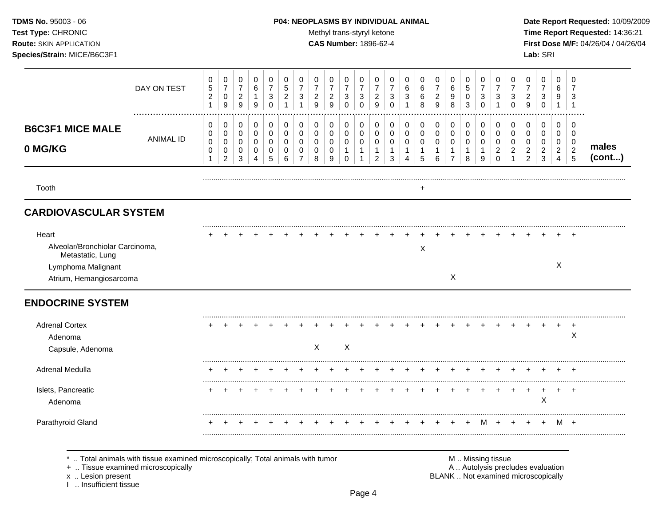I .. Insufficient tissue

### **TDMS No.** 95003 - 06 **P04: NEOPLASMS BY INDIVIDUAL ANIMAL** Date Report Requested: 10/09/2009

Test Type: CHRONIC **Test Type:** CHRONIC **Test Type:** CHRONIC **Time Report Requested:** 14:36:21 **Route:** SKIN APPLICATION **CAS Number:** 1896-62-4 **First Dose M/F:** 04/26/04 / 04/26/04

| <b>B6C3F1 MICE MALE</b><br>0 MG/KG<br>Tooth<br><b>CARDIOVASCULAR SYSTEM</b>                                   | <b>ANIMAL ID</b> | 0<br>0<br>0<br>0<br>1 | 0<br>$\mathbf 0$<br>$\mathbf 0$<br>0 | 0<br>$\mathbf 0$<br>$\mathbf 0$ | $\mathbf 0$<br>$\mathbf 0$ | 0                        | 0                          | 0                                     |                                 |                                 |                                          |                                                                |                                                               |                                            |                                                    |                                                   |                                            |                                                                               |                                        |                                            |                                                      |                                         |                                                           |                                                                 |                                                        |                                    |                 |
|---------------------------------------------------------------------------------------------------------------|------------------|-----------------------|--------------------------------------|---------------------------------|----------------------------|--------------------------|----------------------------|---------------------------------------|---------------------------------|---------------------------------|------------------------------------------|----------------------------------------------------------------|---------------------------------------------------------------|--------------------------------------------|----------------------------------------------------|---------------------------------------------------|--------------------------------------------|-------------------------------------------------------------------------------|----------------------------------------|--------------------------------------------|------------------------------------------------------|-----------------------------------------|-----------------------------------------------------------|-----------------------------------------------------------------|--------------------------------------------------------|------------------------------------|-----------------|
|                                                                                                               |                  |                       | $\overline{c}$                       | 0<br>3                          | $\mathbf 0$<br>0<br>4      | $\pmb{0}$<br>0<br>0<br>5 | $\mathbf 0$<br>0<br>0<br>6 | $\pmb{0}$<br>0<br>0<br>$\overline{7}$ | 0<br>$\mathbf 0$<br>0<br>0<br>8 | 0<br>$\mathbf 0$<br>0<br>0<br>9 | 0<br>$\pmb{0}$<br>0<br>$\mathbf{1}$<br>0 | 0<br>$\mathbf 0$<br>$\mathbf 0$<br>$\mathbf{1}$<br>$\mathbf 1$ | 0<br>$\pmb{0}$<br>$\pmb{0}$<br>$\mathbf{1}$<br>$\overline{c}$ | 0<br>0<br>$\mathbf 0$<br>$\mathbf{1}$<br>3 | 0<br>$\mathbf 0$<br>$\pmb{0}$<br>$\mathbf{1}$<br>4 | 0<br>$\mathbf 0$<br>$\pmb{0}$<br>$\mathbf 1$<br>5 | 0<br>$\mathbf 0$<br>$\mathbf 0$<br>-1<br>6 | $\mathbf 0$<br>$\mathbf 0$<br>$\mathbf 0$<br>$\overline{1}$<br>$\overline{7}$ | 0<br>$\,0\,$<br>0<br>$\mathbf{1}$<br>8 | 0<br>$\mathbf 0$<br>0<br>$\mathbf{1}$<br>9 | 0<br>$\pmb{0}$<br>0<br>$\overline{2}$<br>$\mathbf 0$ | 0<br>$\mathbf 0$<br>0<br>$\overline{2}$ | 0<br>$\mathbf 0$<br>0<br>$\overline{c}$<br>$\overline{c}$ | 0<br>$\pmb{0}$<br>$\mathbf 0$<br>$\overline{a}$<br>$\mathbf{3}$ | $\mathbf 0$<br>$\mathbf 0$<br>0<br>$\overline{2}$<br>4 | 0<br>0<br>0<br>$\overline{c}$<br>5 | males<br>(cont) |
|                                                                                                               |                  |                       |                                      |                                 |                            |                          |                            |                                       |                                 |                                 |                                          |                                                                |                                                               |                                            |                                                    | $\ddot{}$                                         |                                            |                                                                               |                                        |                                            |                                                      |                                         |                                                           |                                                                 |                                                        |                                    |                 |
|                                                                                                               |                  |                       |                                      |                                 |                            |                          |                            |                                       |                                 |                                 |                                          |                                                                |                                                               |                                            |                                                    |                                                   |                                            |                                                                               |                                        |                                            |                                                      |                                         |                                                           |                                                                 |                                                        |                                    |                 |
| Heart<br>Alveolar/Bronchiolar Carcinoma,<br>Metastatic, Lung<br>Lymphoma Malignant<br>Atrium, Hemangiosarcoma |                  |                       |                                      |                                 |                            |                          |                            |                                       |                                 |                                 |                                          |                                                                |                                                               |                                            |                                                    | X                                                 |                                            | X                                                                             |                                        |                                            |                                                      |                                         |                                                           |                                                                 | $\times$                                               | $\div$                             |                 |
| <b>ENDOCRINE SYSTEM</b>                                                                                       |                  |                       |                                      |                                 |                            |                          |                            |                                       |                                 |                                 |                                          |                                                                |                                                               |                                            |                                                    |                                                   |                                            |                                                                               |                                        |                                            |                                                      |                                         |                                                           |                                                                 |                                                        |                                    |                 |
| <b>Adrenal Cortex</b><br>Adenoma<br>Capsule, Adenoma                                                          |                  |                       |                                      |                                 |                            |                          |                            |                                       | X                               |                                 | X                                        |                                                                |                                                               |                                            |                                                    |                                                   |                                            |                                                                               |                                        |                                            |                                                      |                                         |                                                           |                                                                 |                                                        | +<br>X                             |                 |
| Adrenal Medulla                                                                                               |                  |                       |                                      |                                 |                            |                          |                            |                                       |                                 |                                 |                                          |                                                                |                                                               |                                            |                                                    |                                                   |                                            |                                                                               |                                        |                                            |                                                      |                                         |                                                           |                                                                 |                                                        |                                    |                 |
| Islets, Pancreatic<br>Adenoma                                                                                 |                  |                       |                                      |                                 |                            |                          |                            |                                       |                                 |                                 |                                          |                                                                |                                                               |                                            |                                                    |                                                   |                                            |                                                                               |                                        |                                            |                                                      |                                         |                                                           | $\ddot{}$<br>$\pmb{\times}$                                     |                                                        | ÷                                  |                 |
| Parathyroid Gland                                                                                             |                  |                       |                                      |                                 |                            |                          |                            |                                       |                                 |                                 |                                          |                                                                |                                                               |                                            |                                                    |                                                   |                                            |                                                                               |                                        | м                                          |                                                      |                                         |                                                           |                                                                 | M                                                      | $+$                                |                 |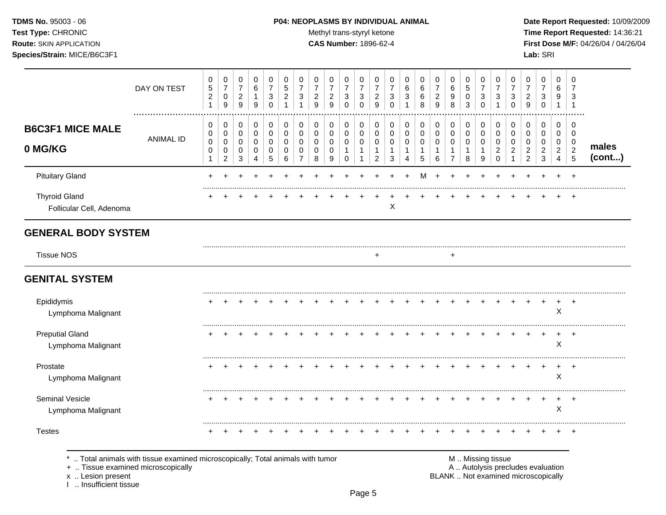### **TDMS No.** 95003 - 06 **P04: NEOPLASMS BY INDIVIDUAL ANIMAL** Date Report Requested: 10/09/2009

Test Type: CHRONIC **Test Type:** CHRONIC **Test Type:** CHRONIC **Time Report Requested:** 14:36:21 **Route:** SKIN APPLICATION **CAS Number:** 1896-62-4 **First Dose M/F:** 04/26/04 / 04/26/04

|                                                  | DAY ON TEST                                                                                                        | 0<br>$\,$ 5 $\,$<br>$\overline{2}$<br>$\mathbf{1}$ | 0<br>$\overline{7}$<br>$\mathbf 0$<br>$\boldsymbol{9}$ | 0<br>$\overline{7}$<br>$\overline{c}$<br>$9\,$ | 0<br>6<br>$\mathbf{1}$<br>9 | 0<br>$\overline{7}$<br>$\sqrt{3}$<br>$\mathbf 0$ | 0<br>5<br>$\overline{c}$<br>$\mathbf{1}$ | 0<br>$\overline{7}$<br>3                            | 0<br>$\overline{7}$<br>$\overline{c}$<br>9       | 0<br>$\overline{7}$<br>$\overline{c}$<br>9 | 0<br>$\overline{7}$<br>3<br>$\mathbf 0$           | 0<br>$\overline{7}$<br>3<br>0               | 0<br>$\overline{7}$<br>$\overline{2}$<br>9                        | 0<br>$\overline{7}$<br>3<br>$\mathbf 0$ | 0<br>6<br>3                                | 0<br>6<br>6<br>8                                          | 0<br>$\overline{7}$<br>$\overline{c}$<br>9     | 0<br>$\,6\,$<br>$9\,$<br>8                              | 0<br>5<br>0<br>3                           | 0<br>$\overline{7}$<br>$\sqrt{3}$<br>$\mathbf 0$ | 0<br>$\overline{7}$<br>3<br>$\mathbf{1}$            | 0<br>$\overline{7}$<br>3<br>$\mathbf 0$              | 0<br>$\overline{7}$<br>$\overline{2}$<br>9                               | 0<br>$\overline{7}$<br>3<br>$\mathbf 0$                       | 0<br>6<br>9<br>$\mathbf{1}$                                 | 0<br>$\overline{7}$<br>3<br>$\overline{1}$                          |                 |
|--------------------------------------------------|--------------------------------------------------------------------------------------------------------------------|----------------------------------------------------|--------------------------------------------------------|------------------------------------------------|-----------------------------|--------------------------------------------------|------------------------------------------|-----------------------------------------------------|--------------------------------------------------|--------------------------------------------|---------------------------------------------------|---------------------------------------------|-------------------------------------------------------------------|-----------------------------------------|--------------------------------------------|-----------------------------------------------------------|------------------------------------------------|---------------------------------------------------------|--------------------------------------------|--------------------------------------------------|-----------------------------------------------------|------------------------------------------------------|--------------------------------------------------------------------------|---------------------------------------------------------------|-------------------------------------------------------------|---------------------------------------------------------------------|-----------------|
| <b>B6C3F1 MICE MALE</b><br>0 MG/KG               | <b>ANIMAL ID</b>                                                                                                   | 0<br>0<br>0<br>0<br>$\mathbf{1}$                   | 0<br>$\mathbf 0$<br>0<br>$\mathbf 0$<br>$\overline{c}$ | 0<br>$\mathbf 0$<br>0<br>$\mathbf 0$<br>3      | 0<br>0<br>0<br>0<br>4       | $\mathbf 0$<br>$\mathbf 0$<br>0<br>0<br>5        | 0<br>$\mathbf 0$<br>$\Omega$<br>0<br>6   | 0<br>$\mathbf 0$<br>$\Omega$<br>0<br>$\overline{7}$ | 0<br>$\mathbf 0$<br>$\Omega$<br>$\mathbf 0$<br>8 | 0<br>$\pmb{0}$<br>0<br>0<br>9              | 0<br>$\mathbf 0$<br>0<br>$\mathbf{1}$<br>$\Omega$ | 0<br>0<br>0<br>$\mathbf{1}$<br>$\mathbf{1}$ | $\mathbf 0$<br>$\mathbf 0$<br>0<br>$\mathbf{1}$<br>$\overline{2}$ | 0<br>0<br>0<br>$\mathbf{1}$<br>3        | 0<br>$\mathbf 0$<br>0<br>$\mathbf{1}$<br>4 | $\pmb{0}$<br>$\mathbf 0$<br>$\Omega$<br>$\mathbf{1}$<br>5 | 0<br>0<br>0<br>$\mathbf{1}$<br>$6\phantom{1}6$ | 0<br>$\mathbf 0$<br>0<br>$\mathbf{1}$<br>$\overline{7}$ | 0<br>$\mathbf 0$<br>0<br>$\mathbf{1}$<br>8 | 0<br>$\mathbf 0$<br>0<br>$\mathbf{1}$<br>9       | 0<br>$\mathbf 0$<br>$\Omega$<br>$\overline{c}$<br>0 | 0<br>0<br>$\Omega$<br>$\overline{c}$<br>$\mathbf{1}$ | 0<br>$\mathbf 0$<br>$\Omega$<br>$\overline{c}$<br>$\overline{2}$         | $\mathbf 0$<br>$\mathbf 0$<br>$\Omega$<br>$\overline{c}$<br>3 | $\mathbf 0$<br>0<br>0<br>$\boldsymbol{2}$<br>$\overline{4}$ | $\mathbf 0$<br>$\overline{0}$<br>$\mathbf 0$<br>$\overline{c}$<br>5 | males<br>(cont) |
| <b>Pituitary Gland</b>                           |                                                                                                                    | $\ddot{}$                                          |                                                        |                                                |                             |                                                  |                                          |                                                     |                                                  |                                            |                                                   |                                             |                                                                   |                                         |                                            | м                                                         |                                                |                                                         |                                            |                                                  |                                                     |                                                      |                                                                          |                                                               |                                                             | $\overline{+}$                                                      |                 |
| <b>Thyroid Gland</b><br>Follicular Cell, Adenoma |                                                                                                                    |                                                    |                                                        |                                                |                             |                                                  |                                          |                                                     |                                                  |                                            |                                                   |                                             |                                                                   | X                                       |                                            |                                                           |                                                |                                                         |                                            |                                                  |                                                     |                                                      |                                                                          |                                                               |                                                             |                                                                     |                 |
| <b>GENERAL BODY SYSTEM</b>                       |                                                                                                                    |                                                    |                                                        |                                                |                             |                                                  |                                          |                                                     |                                                  |                                            |                                                   |                                             |                                                                   |                                         |                                            |                                                           |                                                |                                                         |                                            |                                                  |                                                     |                                                      |                                                                          |                                                               |                                                             |                                                                     |                 |
| <b>Tissue NOS</b>                                |                                                                                                                    |                                                    |                                                        |                                                |                             |                                                  |                                          |                                                     |                                                  |                                            |                                                   |                                             | ÷                                                                 |                                         |                                            |                                                           |                                                | +                                                       |                                            |                                                  |                                                     |                                                      |                                                                          |                                                               |                                                             |                                                                     |                 |
| <b>GENITAL SYSTEM</b>                            |                                                                                                                    |                                                    |                                                        |                                                |                             |                                                  |                                          |                                                     |                                                  |                                            |                                                   |                                             |                                                                   |                                         |                                            |                                                           |                                                |                                                         |                                            |                                                  |                                                     |                                                      |                                                                          |                                                               |                                                             |                                                                     |                 |
| Epididymis<br>Lymphoma Malignant                 |                                                                                                                    |                                                    |                                                        |                                                |                             |                                                  |                                          |                                                     |                                                  |                                            |                                                   |                                             |                                                                   |                                         |                                            |                                                           |                                                |                                                         |                                            |                                                  |                                                     |                                                      |                                                                          |                                                               | $\ddot{}$<br>X                                              | $\ddot{}$                                                           |                 |
| <b>Preputial Gland</b><br>Lymphoma Malignant     |                                                                                                                    |                                                    |                                                        |                                                |                             |                                                  |                                          |                                                     |                                                  |                                            |                                                   |                                             |                                                                   |                                         |                                            |                                                           |                                                |                                                         |                                            |                                                  |                                                     |                                                      |                                                                          |                                                               | +<br>X                                                      | $\overline{ }$                                                      |                 |
| Prostate<br>Lymphoma Malignant                   |                                                                                                                    |                                                    |                                                        |                                                |                             |                                                  |                                          |                                                     |                                                  |                                            |                                                   |                                             |                                                                   |                                         |                                            |                                                           |                                                |                                                         |                                            |                                                  |                                                     |                                                      |                                                                          | $\div$                                                        | $\ddot{}$<br>X                                              | $+$                                                                 |                 |
| Seminal Vesicle<br>Lymphoma Malignant            |                                                                                                                    |                                                    |                                                        |                                                |                             |                                                  |                                          |                                                     |                                                  |                                            |                                                   |                                             |                                                                   |                                         |                                            |                                                           |                                                |                                                         |                                            |                                                  |                                                     |                                                      |                                                                          | $\ddot{}$                                                     | +<br>X                                                      | $\overline{1}$                                                      |                 |
| <b>Testes</b>                                    |                                                                                                                    |                                                    |                                                        |                                                |                             |                                                  |                                          |                                                     |                                                  |                                            |                                                   |                                             |                                                                   |                                         |                                            |                                                           |                                                |                                                         |                                            |                                                  |                                                     |                                                      |                                                                          |                                                               |                                                             |                                                                     |                 |
| x  Lesion present<br>Insufficient tissue         | Total animals with tissue examined microscopically; Total animals with tumor<br>+  Tissue examined microscopically |                                                    |                                                        |                                                |                             |                                                  |                                          |                                                     |                                                  |                                            |                                                   |                                             |                                                                   |                                         |                                            |                                                           |                                                |                                                         | M  Missing tissue                          |                                                  |                                                     |                                                      | A  Autolysis precludes evaluation<br>BLANK  Not examined microscopically |                                                               |                                                             |                                                                     |                 |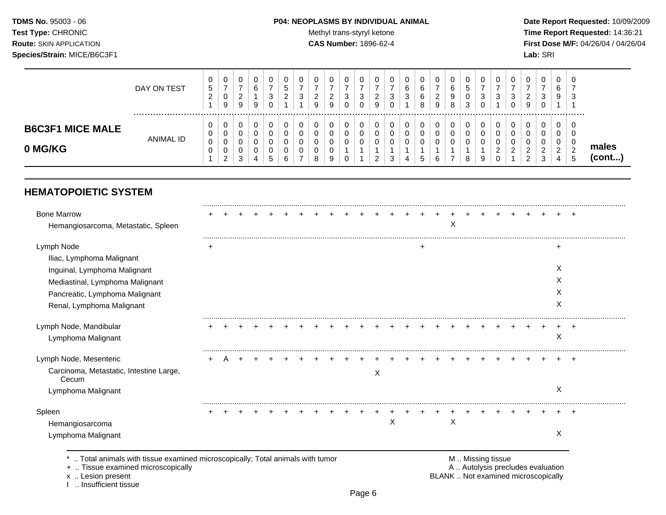### **TDMS No.** 95003 - 06 **P04: NEOPLASMS BY INDIVIDUAL ANIMAL** Date Report Requested: 10/09/2009

Test Type: CHRONIC **Test Type:** CHRONIC **Test Type:** CHRONIC **Time Report Requested:** 14:36:21 **Route:** SKIN APPLICATION **CAS Number:** 1896-62-4 **First Dose M/F:** 04/26/04 / 04/26/04

|                                    | DAY ON TEST | v<br>5<br>$\sim$<br>∼ | 0<br>-<br>0<br>9      | 0<br>ົ<br>_<br>9           | U<br>6<br>9      | υ<br>-<br>3 | ◡<br>ົ<br><u>.</u> | U<br>3 | g | 0<br>ີ<br><u>.</u><br>9 | U<br>3 | U<br>3<br>U | v<br>c<br>_<br>a | 0<br>3<br>0      | 0<br>6<br>ີ<br>◡      | υ<br>⌒<br>6<br>8 | U<br>-<br><u>_</u><br>9 | 0<br>6<br>9<br>8 | 0<br>5<br>0<br>3 | 3 | 0<br>3           | - 0<br>વ<br>J | 0<br>ົ<br><u>.</u><br>9          | υ<br>ີ<br>J<br>υ | 0<br>6<br>9                       | 0<br>-<br>ີ<br>◡                          |                 |
|------------------------------------|-------------|-----------------------|-----------------------|----------------------------|------------------|-------------|--------------------|--------|---|-------------------------|--------|-------------|------------------|------------------|-----------------------|------------------|-------------------------|------------------|------------------|---|------------------|---------------|----------------------------------|------------------|-----------------------------------|-------------------------------------------|-----------------|
| <b>B6C3F1 MICE MALE</b><br>0 MG/KG | ANIMAL ID   | v<br>v<br>$\sim$<br>υ | 0<br>0<br>0<br>0<br>2 | 0<br>0<br>0<br>0<br>ີ<br>ັ | υ<br>u<br>u<br>4 | v<br>.5     | ⌒<br>6             |        |   | 0<br>0<br>0<br>0<br>9   |        | 0<br>u<br>U | _                | 0<br>0<br>0<br>3 | 0<br>0<br>⌒<br>U<br>4 | υ<br>u<br>G      | U<br>◡                  | 0<br>-           | 8                | g | 0<br>0<br>ົ<br>0 | _             | J<br>$\epsilon$<br>ົ<br><u>_</u> | $\sim$<br>ັ      | 0<br>0<br>0<br>ົ<br><u>_</u><br>4 | 0<br>0<br>0<br>$\Omega$<br><u>_</u><br>.5 | males<br>(cont) |

## **HEMATOPOIETIC SYSTEM**

| <b>Bone Marrow</b>                               |           |  |  |  |  |  |   |   |   |   |  |  |  |   |       |
|--------------------------------------------------|-----------|--|--|--|--|--|---|---|---|---|--|--|--|---|-------|
| Hemangiosarcoma, Metastatic, Spleen              |           |  |  |  |  |  |   |   |   | X |  |  |  |   |       |
| Lymph Node                                       | $\ddot{}$ |  |  |  |  |  |   |   | ┿ |   |  |  |  | ٠ |       |
| Iliac, Lymphoma Malignant                        |           |  |  |  |  |  |   |   |   |   |  |  |  |   |       |
| Inguinal, Lymphoma Malignant                     |           |  |  |  |  |  |   |   |   |   |  |  |  | X |       |
| Mediastinal, Lymphoma Malignant                  |           |  |  |  |  |  |   |   |   |   |  |  |  | X |       |
| Pancreatic, Lymphoma Malignant                   |           |  |  |  |  |  |   |   |   |   |  |  |  | Х |       |
| Renal, Lymphoma Malignant                        |           |  |  |  |  |  |   |   |   |   |  |  |  | X |       |
| Lymph Node, Mandibular                           |           |  |  |  |  |  |   |   |   |   |  |  |  |   |       |
| Lymphoma Malignant                               |           |  |  |  |  |  |   |   |   |   |  |  |  | X |       |
| Lymph Node, Mesenteric                           |           |  |  |  |  |  |   |   |   |   |  |  |  |   | $\pm$ |
| Carcinoma, Metastatic, Intestine Large,<br>Cecum |           |  |  |  |  |  | X |   |   |   |  |  |  |   |       |
| Lymphoma Malignant                               |           |  |  |  |  |  |   |   |   |   |  |  |  | X |       |
| Spleen                                           |           |  |  |  |  |  |   |   |   |   |  |  |  |   |       |
| Hemangiosarcoma                                  |           |  |  |  |  |  |   | X |   | X |  |  |  |   |       |
| Lymphoma Malignant                               |           |  |  |  |  |  |   |   |   |   |  |  |  | X |       |

x .. Lesion present<br>I .. Insufficient tissue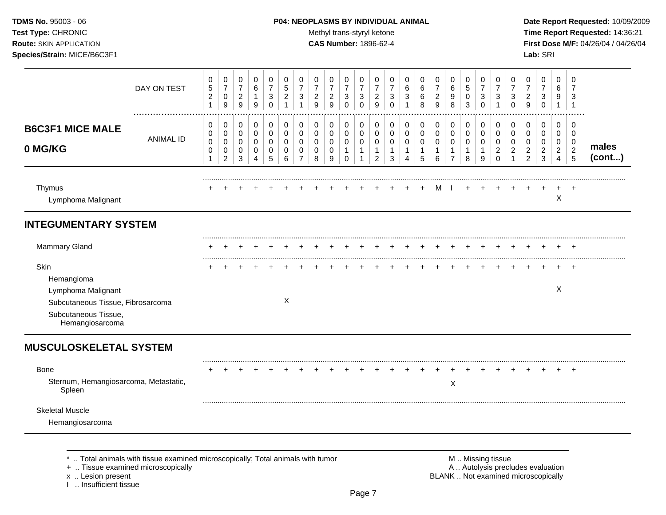### **TDMS No.** 95003 - 06 **P04: NEOPLASMS BY INDIVIDUAL ANIMAL** Date Report Requested: 10/09/2009

Test Type: CHRONIC **Test Type:** CHRONIC **Test Type:** CHRONIC **Time Report Requested:** 14:36:21 **Route:** SKIN APPLICATION **CAS Number:** 1896-62-4 **First Dose M/F:** 04/26/04 / 04/26/04

|                                                                                                                                                                   | DAY ON TEST      | 0<br>$\sqrt{5}$<br>$\sqrt{2}$<br>$\mathbf{1}$                  | 0<br>$\overline{7}$<br>0<br>9                | $\pmb{0}$<br>$\boldsymbol{7}$<br>$\boldsymbol{2}$<br>$\boldsymbol{9}$  | $\mathbf 0$<br>$\,6\,$<br>$\mathbf{1}$<br>$9\,$     | $\pmb{0}$<br>$\overline{7}$<br>$\sqrt{3}$<br>$\pmb{0}$ | $\pmb{0}$<br>$\,$ 5 $\,$<br>$\sqrt{2}$<br>$\mathbf{1}$ | 0<br>$\overline{7}$<br>3<br>$\mathbf{1}$     | 0<br>$\overline{7}$<br>$\sqrt{2}$<br>$\boldsymbol{9}$ | 0<br>$\overline{7}$<br>$\overline{2}$<br>9 | 0<br>$\boldsymbol{7}$<br>$\mathbf{3}$<br>$\mathbf 0$ | 0<br>$\overline{7}$<br>$\ensuremath{\mathsf{3}}$<br>$\mathbf 0$ | 0<br>$\overline{7}$<br>$\overline{c}$<br>9                        | $\pmb{0}$<br>$\overline{7}$<br>3<br>0       | $\mathbf 0$<br>$\,6\,$<br>3<br>$\mathbf 1$           | $\pmb{0}$<br>6<br>$\,6$<br>8               | 0<br>$\overline{7}$<br>$\boldsymbol{2}$<br>$\boldsymbol{9}$ | $\mathbf 0$<br>$\,6\,$<br>9<br>$\,8\,$                            | $\pmb{0}$<br>5<br>$\pmb{0}$<br>$\mathbf{3}$ | $\mathbf 0$<br>$\overline{7}$<br>3<br>$\mathbf 0$    | 0<br>$\overline{7}$<br>3<br>$\mathbf{1}$                         | 0<br>$\overline{7}$<br>$\sqrt{3}$<br>$\mathbf 0$ | 0<br>$\overline{7}$<br>$\overline{2}$<br>9                               | 0<br>$\overline{7}$<br>$\mathbf{3}$<br>$\mathbf 0$ | $\Omega$<br>6<br>9<br>$\mathbf{1}$                                  | $\mathbf 0$<br>$\overline{7}$<br>3<br>$\overline{1}$ |                 |
|-------------------------------------------------------------------------------------------------------------------------------------------------------------------|------------------|----------------------------------------------------------------|----------------------------------------------|------------------------------------------------------------------------|-----------------------------------------------------|--------------------------------------------------------|--------------------------------------------------------|----------------------------------------------|-------------------------------------------------------|--------------------------------------------|------------------------------------------------------|-----------------------------------------------------------------|-------------------------------------------------------------------|---------------------------------------------|------------------------------------------------------|--------------------------------------------|-------------------------------------------------------------|-------------------------------------------------------------------|---------------------------------------------|------------------------------------------------------|------------------------------------------------------------------|--------------------------------------------------|--------------------------------------------------------------------------|----------------------------------------------------|---------------------------------------------------------------------|------------------------------------------------------|-----------------|
| <b>B6C3F1 MICE MALE</b><br>0 MG/KG                                                                                                                                | <b>ANIMAL ID</b> | 0<br>$\mathbf 0$<br>$\mathbf 0$<br>$\mathbf 0$<br>$\mathbf{1}$ | 0<br>$\mathbf 0$<br>0<br>0<br>$\overline{2}$ | $\mathbf 0$<br>$\mathbf 0$<br>$\mathbf 0$<br>$\pmb{0}$<br>$\mathbf{3}$ | 0<br>$\mathbf 0$<br>$\mathbf 0$<br>$\mathbf 0$<br>4 | 0<br>$\mathbf 0$<br>$\mathbf 0$<br>$\mathbf 0$<br>5    | 0<br>$\mathbf 0$<br>$\mathbf 0$<br>0<br>6              | 0<br>$\mathbf 0$<br>0<br>0<br>$\overline{7}$ | 0<br>$\mathbf 0$<br>$\Omega$<br>0<br>8                | 0<br>0<br>$\mathbf 0$<br>$\mathbf 0$<br>9  | 0<br>0<br>0<br>$\mathbf{1}$<br>0                     | 0<br>$\mathbf 0$<br>$\mathbf 0$<br>$\mathbf{1}$<br>$\mathbf{1}$ | 0<br>$\mathbf 0$<br>$\mathbf 0$<br>$\mathbf{1}$<br>$\overline{2}$ | 0<br>0<br>0<br>$\mathbf{1}$<br>$\mathbf{3}$ | 0<br>$\mathbf 0$<br>$\mathbf 0$<br>$\mathbf{1}$<br>4 | 0<br>$\mathsf 0$<br>0<br>$\mathbf{1}$<br>5 | 0<br>$\mathbf 0$<br>$\mathbf 0$<br>$\mathbf{1}$<br>6        | 0<br>$\mathbf 0$<br>$\mathbf 0$<br>$\mathbf{1}$<br>$\overline{7}$ | 0<br>$\mathbf 0$<br>0<br>$\mathbf{1}$<br>8  | 0<br>$\mathbf 0$<br>$\mathbf 0$<br>$\mathbf{1}$<br>9 | 0<br>$\mathbf 0$<br>$\mathbf 0$<br>$\overline{2}$<br>$\mathbf 0$ | 0<br>$\Omega$<br>$\Omega$<br>$\overline{2}$      | 0<br>$\overline{0}$<br>$\mathbf 0$<br>$\overline{2}$<br>$\overline{2}$   | 0<br>0<br>0<br>$\overline{2}$<br>3                 | 0<br>$\mathbf 0$<br>$\mathbf 0$<br>$\overline{2}$<br>$\overline{4}$ | 0<br>$\Omega$<br>$\mathbf 0$<br>$\overline{2}$<br>5  | males<br>(cont) |
| Thymus<br>Lymphoma Malignant                                                                                                                                      |                  |                                                                |                                              |                                                                        |                                                     |                                                        |                                                        |                                              |                                                       |                                            |                                                      |                                                                 |                                                                   |                                             |                                                      |                                            | м                                                           |                                                                   |                                             |                                                      |                                                                  |                                                  |                                                                          |                                                    | X                                                                   |                                                      |                 |
| <b>INTEGUMENTARY SYSTEM</b>                                                                                                                                       |                  |                                                                |                                              |                                                                        |                                                     |                                                        |                                                        |                                              |                                                       |                                            |                                                      |                                                                 |                                                                   |                                             |                                                      |                                            |                                                             |                                                                   |                                             |                                                      |                                                                  |                                                  |                                                                          |                                                    |                                                                     |                                                      |                 |
| <b>Mammary Gland</b>                                                                                                                                              |                  |                                                                |                                              |                                                                        |                                                     |                                                        |                                                        |                                              |                                                       |                                            |                                                      |                                                                 |                                                                   |                                             |                                                      |                                            |                                                             |                                                                   |                                             |                                                      |                                                                  |                                                  |                                                                          |                                                    |                                                                     |                                                      |                 |
| <b>Skin</b><br>Hemangioma<br>Lymphoma Malignant<br>Subcutaneous Tissue, Fibrosarcoma<br>Subcutaneous Tissue,<br>Hemangiosarcoma                                   |                  |                                                                |                                              |                                                                        |                                                     |                                                        | X                                                      |                                              |                                                       |                                            |                                                      |                                                                 |                                                                   |                                             |                                                      |                                            |                                                             |                                                                   |                                             |                                                      |                                                                  |                                                  |                                                                          |                                                    | X                                                                   |                                                      |                 |
| <b>MUSCULOSKELETAL SYSTEM</b>                                                                                                                                     |                  |                                                                |                                              |                                                                        |                                                     |                                                        |                                                        |                                              |                                                       |                                            |                                                      |                                                                 |                                                                   |                                             |                                                      |                                            |                                                             |                                                                   |                                             |                                                      |                                                                  |                                                  |                                                                          |                                                    |                                                                     |                                                      |                 |
| <b>Bone</b><br>Sternum, Hemangiosarcoma, Metastatic,<br>Spleen                                                                                                    |                  |                                                                |                                              |                                                                        |                                                     |                                                        |                                                        |                                              |                                                       |                                            |                                                      |                                                                 |                                                                   |                                             |                                                      |                                            |                                                             | X                                                                 |                                             |                                                      |                                                                  |                                                  |                                                                          |                                                    |                                                                     |                                                      |                 |
| <b>Skeletal Muscle</b><br>Hemangiosarcoma                                                                                                                         |                  |                                                                |                                              |                                                                        |                                                     |                                                        |                                                        |                                              |                                                       |                                            |                                                      |                                                                 |                                                                   |                                             |                                                      |                                            |                                                             |                                                                   |                                             |                                                      |                                                                  |                                                  |                                                                          |                                                    |                                                                     |                                                      |                 |
| Total animals with tissue examined microscopically; Total animals with tumor<br>+  Tissue examined microscopically<br>x  Lesion present<br>1  Insufficient tissue |                  |                                                                |                                              |                                                                        |                                                     |                                                        |                                                        |                                              |                                                       |                                            |                                                      |                                                                 |                                                                   |                                             |                                                      |                                            |                                                             |                                                                   |                                             | M  Missing tissue                                    |                                                                  |                                                  | A  Autolysis precludes evaluation<br>BLANK  Not examined microscopically |                                                    |                                                                     |                                                      |                 |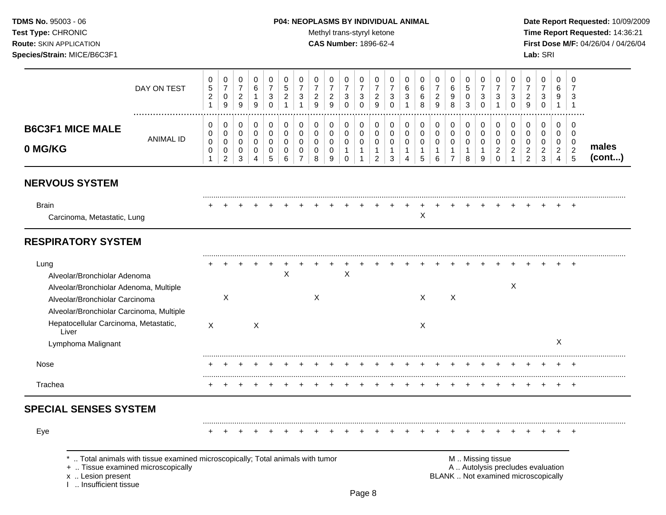### **TDMS No.** 95003 - 06 **P04: NEOPLASMS BY INDIVIDUAL ANIMAL** Date Report Requested: 10/09/2009

Test Type: CHRONIC **Test Type:** CHRONIC **Test Type:** CHRONIC **Time Report Requested:** 14:36:21 **Route:** SKIN APPLICATION **CAS Number:** 1896-62-4 **First Dose M/F:** 04/26/04 / 04/26/04

|                                                                                                                                                              | DAY ON TEST                                                                                                        | 0<br>$\,$ 5 $\,$<br>$\sqrt{2}$<br>$\mathbf{1}$ | 0<br>$\overline{7}$<br>$\pmb{0}$<br>9                            | 0<br>$\boldsymbol{7}$<br>$\sqrt{2}$<br>$\boldsymbol{9}$              | 0<br>6<br>$\mathbf{1}$<br>$\boldsymbol{9}$ | 0<br>$\overline{7}$<br>3<br>$\mathbf 0$         | 0<br>5<br>$\overline{2}$<br>1             | 0<br>$\overline{7}$<br>3<br>$\mathbf{1}$               | 0<br>$\overline{7}$<br>$\overline{2}$<br>9          | 0<br>$\overline{7}$<br>$\overline{a}$<br>9 | 0<br>$\overline{7}$<br>3<br>$\mathbf 0$            | 0<br>$\overline{7}$<br>$\mathbf{3}$<br>$\mathbf 0$              | 0<br>$\overline{7}$<br>$\overline{2}$<br>9                        | 0<br>$\overline{7}$<br>$\mathbf{3}$<br>$\mathbf 0$   | 0<br>6<br>3<br>1                          | 0<br>6<br>$\,6\,$<br>8 | 0<br>$\overline{7}$<br>$\overline{c}$<br>$\overline{9}$      | 0<br>6<br>9<br>8                                        | 0<br>$\overline{5}$<br>$\pmb{0}$<br>$\mathbf{3}$   | 0<br>$\overline{7}$<br>$\mathbf{3}$<br>$\mathbf 0$ | 0<br>$\overline{7}$<br>3<br>1                               | 0<br>$\overline{7}$<br>$\mathbf{3}$<br>$\mathbf 0$ | 0<br>$\overline{7}$<br>$\overline{2}$<br>9                          | 0<br>$\overline{7}$<br>$\mathbf{3}$<br>$\pmb{0}$                         | 0<br>6<br>9<br>$\mathbf{1}$                                                   | 0<br>7<br>3<br>$\mathbf{1}$                               |                 |
|--------------------------------------------------------------------------------------------------------------------------------------------------------------|--------------------------------------------------------------------------------------------------------------------|------------------------------------------------|------------------------------------------------------------------|----------------------------------------------------------------------|--------------------------------------------|-------------------------------------------------|-------------------------------------------|--------------------------------------------------------|-----------------------------------------------------|--------------------------------------------|----------------------------------------------------|-----------------------------------------------------------------|-------------------------------------------------------------------|------------------------------------------------------|-------------------------------------------|------------------------|--------------------------------------------------------------|---------------------------------------------------------|----------------------------------------------------|----------------------------------------------------|-------------------------------------------------------------|----------------------------------------------------|---------------------------------------------------------------------|--------------------------------------------------------------------------|-------------------------------------------------------------------------------|-----------------------------------------------------------|-----------------|
| <b>B6C3F1 MICE MALE</b><br>0 MG/KG                                                                                                                           | <b>ANIMAL ID</b>                                                                                                   | 0<br>$\mathbf 0$<br>$\mathbf 0$<br>0<br>1      | $\pmb{0}$<br>$\pmb{0}$<br>$\pmb{0}$<br>$\,0\,$<br>$\overline{c}$ | $\mathbf 0$<br>$\mathbf 0$<br>$\mathbf 0$<br>$\pmb{0}$<br>$\sqrt{3}$ | $\pmb{0}$<br>0<br>$\mathbf 0$<br>0<br>4    | $\pmb{0}$<br>$\pmb{0}$<br>$\mathbf 0$<br>0<br>5 | 0<br>$\mathbf 0$<br>$\mathbf 0$<br>0<br>6 | 0<br>$\mathbf 0$<br>$\mathbf 0$<br>0<br>$\overline{7}$ | $\mathbf 0$<br>$\mathbf 0$<br>$\mathbf 0$<br>0<br>8 | 0<br>0<br>0<br>0<br>9                      | $\pmb{0}$<br>0<br>0<br>$\mathbf{1}$<br>$\mathbf 0$ | 0<br>$\mathbf 0$<br>$\mathbf 0$<br>$\mathbf{1}$<br>$\mathbf{1}$ | 0<br>$\mathbf 0$<br>$\mathbf 0$<br>$\mathbf{1}$<br>$\overline{2}$ | 0<br>$\mathbf 0$<br>$\mathbf 0$<br>$\mathbf{1}$<br>3 | 0<br>$\mathbf 0$<br>$\mathbf 0$<br>1<br>4 | 0<br>0<br>0<br>1<br>5  | $\pmb{0}$<br>$\mathbf 0$<br>$\mathbf 0$<br>$\mathbf{1}$<br>6 | 0<br>$\mathbf 0$<br>0<br>$\mathbf{1}$<br>$\overline{7}$ | 0<br>$\pmb{0}$<br>$\mathbf 0$<br>$\mathbf{1}$<br>8 | 0<br>$\mathbf 0$<br>$\mathbf 0$<br>1<br>9          | $\pmb{0}$<br>$\mathbf 0$<br>0<br>$\overline{c}$<br>$\Omega$ | 0<br>$\mathbf 0$<br>$\mathbf 0$<br>$\overline{c}$  | 0<br>$\mathbf 0$<br>$\mathbf 0$<br>$\overline{a}$<br>$\overline{c}$ | $\pmb{0}$<br>0<br>0<br>$\overline{c}$<br>3                               | $\mathbf 0$<br>$\mathbf 0$<br>$\mathbf 0$<br>$\overline{2}$<br>$\overline{4}$ | 0<br>$\mathbf 0$<br>$\overline{0}$<br>$\overline{2}$<br>5 | males<br>(cont) |
| <b>NERVOUS SYSTEM</b>                                                                                                                                        |                                                                                                                    |                                                |                                                                  |                                                                      |                                            |                                                 |                                           |                                                        |                                                     |                                            |                                                    |                                                                 |                                                                   |                                                      |                                           |                        |                                                              |                                                         |                                                    |                                                    |                                                             |                                                    |                                                                     |                                                                          |                                                                               |                                                           |                 |
| <b>Brain</b><br>Carcinoma, Metastatic, Lung                                                                                                                  |                                                                                                                    |                                                |                                                                  |                                                                      |                                            |                                                 |                                           |                                                        |                                                     |                                            |                                                    |                                                                 |                                                                   |                                                      |                                           | X                      |                                                              |                                                         |                                                    |                                                    |                                                             |                                                    |                                                                     |                                                                          |                                                                               |                                                           |                 |
| <b>RESPIRATORY SYSTEM</b>                                                                                                                                    |                                                                                                                    |                                                |                                                                  |                                                                      |                                            |                                                 |                                           |                                                        |                                                     |                                            |                                                    |                                                                 |                                                                   |                                                      |                                           |                        |                                                              |                                                         |                                                    |                                                    |                                                             |                                                    |                                                                     |                                                                          |                                                                               |                                                           |                 |
| Lung<br>Alveolar/Bronchiolar Adenoma<br>Alveolar/Bronchiolar Adenoma, Multiple<br>Alveolar/Bronchiolar Carcinoma<br>Alveolar/Bronchiolar Carcinoma, Multiple |                                                                                                                    |                                                | X                                                                |                                                                      |                                            |                                                 | $\sf X$                                   |                                                        | X                                                   |                                            | $\mathsf X$                                        |                                                                 |                                                                   |                                                      |                                           | $\times$               |                                                              | X                                                       |                                                    |                                                    |                                                             | X                                                  |                                                                     |                                                                          |                                                                               |                                                           |                 |
| Hepatocellular Carcinoma, Metastatic,<br>Liver<br>Lymphoma Malignant                                                                                         |                                                                                                                    | $\mathsf{X}$                                   |                                                                  |                                                                      | X                                          |                                                 |                                           |                                                        |                                                     |                                            |                                                    |                                                                 |                                                                   |                                                      |                                           | $\times$               |                                                              |                                                         |                                                    |                                                    |                                                             |                                                    |                                                                     |                                                                          | X                                                                             |                                                           |                 |
| Nose                                                                                                                                                         |                                                                                                                    |                                                |                                                                  |                                                                      |                                            |                                                 |                                           |                                                        |                                                     |                                            |                                                    |                                                                 |                                                                   |                                                      |                                           |                        |                                                              |                                                         |                                                    |                                                    |                                                             |                                                    |                                                                     |                                                                          |                                                                               |                                                           |                 |
| Trachea                                                                                                                                                      |                                                                                                                    |                                                |                                                                  |                                                                      |                                            |                                                 |                                           |                                                        |                                                     |                                            |                                                    |                                                                 |                                                                   |                                                      |                                           |                        |                                                              |                                                         |                                                    |                                                    |                                                             |                                                    |                                                                     |                                                                          |                                                                               | ÷                                                         |                 |
| <b>SPECIAL SENSES SYSTEM</b>                                                                                                                                 |                                                                                                                    |                                                |                                                                  |                                                                      |                                            |                                                 |                                           |                                                        |                                                     |                                            |                                                    |                                                                 |                                                                   |                                                      |                                           |                        |                                                              |                                                         |                                                    |                                                    |                                                             |                                                    |                                                                     |                                                                          |                                                                               |                                                           |                 |
| Eye                                                                                                                                                          |                                                                                                                    |                                                |                                                                  |                                                                      |                                            |                                                 |                                           |                                                        |                                                     |                                            |                                                    |                                                                 |                                                                   |                                                      |                                           |                        |                                                              |                                                         |                                                    |                                                    |                                                             |                                                    |                                                                     |                                                                          |                                                                               |                                                           |                 |
| x  Lesion present<br>I  Insufficient tissue                                                                                                                  | Total animals with tissue examined microscopically; Total animals with tumor<br>+  Tissue examined microscopically |                                                |                                                                  |                                                                      |                                            |                                                 |                                           |                                                        |                                                     |                                            |                                                    |                                                                 |                                                                   |                                                      |                                           |                        |                                                              |                                                         |                                                    |                                                    | M  Missing tissue                                           |                                                    |                                                                     | A  Autolysis precludes evaluation<br>BLANK  Not examined microscopically |                                                                               |                                                           |                 |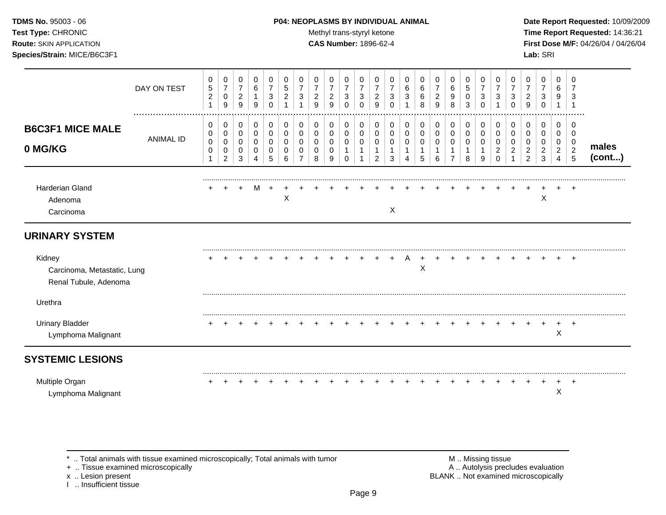### **TDMS No.** 95003 - 06 **P04: NEOPLASMS BY INDIVIDUAL ANIMAL** Date Report Requested: 10/09/2009

**Test Type:** CHRONIC **Trans-styryl ketone** Methyl trans-styryl ketone **Time Report Requested:** 14:36:21 **Route:** SKIN APPLICATION **CAS Number:** 1896-62-4 **First Dose M/F:** 04/26/04 / 04/26/04 **Species/Strain:** MICE/B6C3F1 **Lab:** SRI

|                                                                | DAY ON TEST          | 0<br>$\sqrt{5}$<br>$\boldsymbol{2}$<br>$\mathbf{1}$ | 0<br>$\overline{7}$<br>$\mathbf 0$<br>9 | 0<br>$\boldsymbol{7}$<br>$\sqrt{2}$<br>9          | 0<br>$\,6\,$<br>$\mathbf{1}$<br>9                    | 0<br>$\overline{7}$<br>$\ensuremath{\mathsf{3}}$<br>$\Omega$ | 0<br>$\sqrt{5}$<br>$\overline{c}$      | 0<br>$\overline{7}$<br>3   | 0<br>$\overline{7}$<br>$\overline{2}$<br>9 | 0<br>$\overline{7}$<br>$\sqrt{2}$<br>9 | 0<br>$\overline{7}$<br>$\mathbf{3}$<br>$\Omega$     | 0<br>$\overline{7}$<br>$\mathbf{3}$<br>$\Omega$ | 0<br>$\overline{7}$<br>$\overline{c}$<br>9 | 0<br>$\overline{7}$<br>3<br>$\Omega$ | 0<br>6<br>3 | 0<br>6<br>6<br>8         | 0<br>$\overline{7}$<br>$\sqrt{2}$<br>9  | 0<br>6<br>$\boldsymbol{9}$<br>8                       | 0<br>$\sqrt{5}$<br>0<br>3       | 0<br>$\overline{7}$<br>3<br>$\Omega$ | 0<br>$\overline{7}$<br>3     | 0<br>$\overline{7}$<br>3<br>$\Omega$ | 0<br>$\overline{7}$<br>$\overline{c}$<br>9               | 0<br>$\overline{7}$<br>3<br>$\mathbf{0}$     | 0<br>6<br>9<br>1                             | 0<br>3                                                |                 |
|----------------------------------------------------------------|----------------------|-----------------------------------------------------|-----------------------------------------|---------------------------------------------------|------------------------------------------------------|--------------------------------------------------------------|----------------------------------------|----------------------------|--------------------------------------------|----------------------------------------|-----------------------------------------------------|-------------------------------------------------|--------------------------------------------|--------------------------------------|-------------|--------------------------|-----------------------------------------|-------------------------------------------------------|---------------------------------|--------------------------------------|------------------------------|--------------------------------------|----------------------------------------------------------|----------------------------------------------|----------------------------------------------|-------------------------------------------------------|-----------------|
| <b>B6C3F1 MICE MALE</b><br>0 MG/KG                             | <br><b>ANIMAL ID</b> | 0<br>0<br>$\pmb{0}$<br>$\mathbf 0$<br>1             | 0<br>$\mathbf 0$<br>0<br>0<br>2         | 0<br>$\mathsf{O}\xspace$<br>$\mathbf 0$<br>0<br>3 | 0<br>$\mathsf{O}\xspace$<br>0<br>0<br>$\overline{4}$ | 0<br>$\pmb{0}$<br>0<br>0<br>5                                | 0<br>$\mathbf 0$<br>$\Omega$<br>0<br>6 | 0<br>$\mathbf 0$<br>0<br>0 | 0<br>0<br>0<br>0<br>8                      | 0<br>0<br>0<br>0<br>9                  | 0<br>$\mathbf 0$<br>0<br>$\mathbf 1$<br>$\mathbf 0$ | 0<br>$\mathbf 0$<br>0<br>1<br>1                 | 0<br>0<br>0<br>$\overline{2}$              | 0<br>0<br>0<br>3                     | 0<br>0<br>0 | 0<br>$\pmb{0}$<br>0<br>5 | 0<br>$\mathsf{O}\xspace$<br>0<br>1<br>6 | 0<br>$\pmb{0}$<br>0<br>$\mathbf{1}$<br>$\overline{7}$ | 0<br>$\mathbf 0$<br>0<br>1<br>8 | 0<br>$\mathbf 0$<br>$\Omega$<br>9    | 0<br>0<br>0<br>2<br>$\Omega$ | 0<br>$\mathbf 0$<br>0<br>2           | 0<br>0<br>0<br>$\overline{\mathbf{c}}$<br>$\overline{2}$ | 0<br>$\mathbf 0$<br>0<br>$\overline{2}$<br>3 | 0<br>$\mathbf 0$<br>0<br>$\overline{a}$<br>4 | 0<br>$\mathbf 0$<br>0<br>$\sqrt{2}$<br>$\overline{5}$ | males<br>(cont) |
| Harderian Gland<br>Adenoma<br>Carcinoma                        |                      |                                                     |                                         |                                                   | M                                                    |                                                              | $\boldsymbol{\mathsf{X}}$              |                            |                                            |                                        |                                                     |                                                 |                                            | X                                    |             |                          |                                         |                                                       |                                 |                                      |                              |                                      |                                                          | $\times$                                     |                                              | $\ddot{}$                                             |                 |
| <b>URINARY SYSTEM</b>                                          |                      |                                                     |                                         |                                                   |                                                      |                                                              |                                        |                            |                                            |                                        |                                                     |                                                 |                                            |                                      |             |                          |                                         |                                                       |                                 |                                      |                              |                                      |                                                          |                                              |                                              |                                                       |                 |
| Kidney<br>Carcinoma, Metastatic, Lung<br>Renal Tubule, Adenoma |                      |                                                     |                                         |                                                   |                                                      |                                                              |                                        |                            |                                            |                                        |                                                     |                                                 |                                            |                                      |             | X                        |                                         |                                                       |                                 |                                      |                              |                                      |                                                          |                                              |                                              | $\overline{ }$                                        |                 |
| Urethra                                                        |                      |                                                     |                                         |                                                   |                                                      |                                                              |                                        |                            |                                            |                                        |                                                     |                                                 |                                            |                                      |             |                          |                                         |                                                       |                                 |                                      |                              |                                      |                                                          |                                              |                                              |                                                       |                 |
| <b>Urinary Bladder</b><br>Lymphoma Malignant                   |                      |                                                     |                                         |                                                   |                                                      |                                                              |                                        |                            |                                            |                                        |                                                     |                                                 |                                            |                                      |             |                          |                                         |                                                       |                                 |                                      |                              |                                      |                                                          | ÷                                            | $\boldsymbol{\mathsf{X}}$                    | $^{+}$                                                |                 |
| <b>SYSTEMIC LESIONS</b>                                        |                      |                                                     |                                         |                                                   |                                                      |                                                              |                                        |                            |                                            |                                        |                                                     |                                                 |                                            |                                      |             |                          |                                         |                                                       |                                 |                                      |                              |                                      |                                                          |                                              |                                              |                                                       |                 |
| Multiple Organ<br>Lymphoma Malignant                           |                      |                                                     |                                         |                                                   |                                                      |                                                              |                                        |                            |                                            |                                        |                                                     |                                                 |                                            |                                      |             |                          |                                         |                                                       |                                 |                                      |                              |                                      |                                                          |                                              | X                                            |                                                       |                 |

+ .. Tissue examined microscopically

x .. Lesion present<br>I .. Insufficient tissue

\* .. Total animals with tissue examined microscopically; Total animals with tumor M .. Missing tissue M .. Missing tissue<br>
+ .. Tissue examined microscopically BLANK .. Not examined microscopically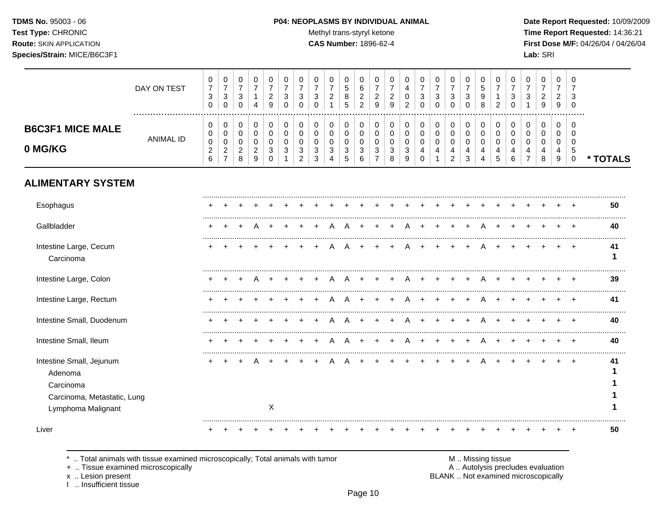TDMS No. 95003 - 06 Test Type: CHRONIC **Route: SKIN APPLICATION** Species/Strain: MICE/B6C3F1

#### P04: NEOPLASMS BY INDIVIDUAL ANIMAL

Methyl trans-styryl ketone

CAS Number: 1896-62-4

Date Report Requested: 10/09/2009 Time Report Requested: 14:36:21 First Dose M/F: 04/26/04 / 04/26/04 Lab: SRI

|                                                                                                       | DAY ON TEST      | 0<br>$\boldsymbol{7}$<br>$\sqrt{3}$<br>$\mathbf 0$ | 0<br>$\boldsymbol{7}$<br>$\ensuremath{\mathsf{3}}$<br>$\mathbf 0$ | $\mathbf 0$<br>$\overline{7}$<br>$\mathsf 3$<br>$\Omega$ | 0<br>$\overline{7}$<br>$\mathbf{1}$<br>4                              | 0<br>$\overline{7}$<br>$\boldsymbol{2}$<br>9  | 0<br>$\overline{7}$<br>$\sqrt{3}$<br>$\Omega$ | 0<br>$\overline{7}$<br>$\sqrt{3}$<br>$\Omega$               | 0<br>$\overline{7}$<br>$\sqrt{3}$<br>$\Omega$                     | 0<br>$\overline{7}$<br>$\sqrt{2}$                                          | 0<br>$\sqrt{5}$<br>8<br>5                                         | 0<br>6<br>$\overline{2}$<br>$\overline{2}$                        | 0<br>$\overline{7}$<br>$\overline{c}$<br>9                 | 0<br>$\boldsymbol{2}$<br>9                           | 0<br>4<br>$\mathbf 0$<br>$\overline{2}$       | $\mathbf 0$<br>$\overline{7}$<br>$\sqrt{3}$<br>$\Omega$ | 0<br>$\overline{7}$<br>$\mathsf 3$<br>$\Omega$ | 0<br>$\overline{7}$<br>$\mathsf 3$<br>0                            | 0<br>$\overline{7}$<br>$\mathfrak{S}$<br>$\Omega$              | 0<br>$\overline{5}$<br>$\boldsymbol{9}$<br>8 | 0<br>$\overline{7}$<br>$\mathbf{1}$<br>$\overline{2}$ | 0<br>$\overline{7}$<br>$\ensuremath{\mathsf{3}}$<br>$\Omega$ | $\Omega$<br>$\overline{7}$<br>$\mathbf{3}$              | 0<br>$\overline{7}$<br>$\overline{c}$<br>9    | 0<br>$\overline{7}$<br>$\overline{2}$<br>9 | $\Omega$<br>7<br>3<br>$\Omega$                       |          |
|-------------------------------------------------------------------------------------------------------|------------------|----------------------------------------------------|-------------------------------------------------------------------|----------------------------------------------------------|-----------------------------------------------------------------------|-----------------------------------------------|-----------------------------------------------|-------------------------------------------------------------|-------------------------------------------------------------------|----------------------------------------------------------------------------|-------------------------------------------------------------------|-------------------------------------------------------------------|------------------------------------------------------------|------------------------------------------------------|-----------------------------------------------|---------------------------------------------------------|------------------------------------------------|--------------------------------------------------------------------|----------------------------------------------------------------|----------------------------------------------|-------------------------------------------------------|--------------------------------------------------------------|---------------------------------------------------------|-----------------------------------------------|--------------------------------------------|------------------------------------------------------|----------|
| <b>B6C3F1 MICE MALE</b><br>0 MG/KG                                                                    | <b>ANIMAL ID</b> | 0<br>0<br>$\pmb{0}$<br>$\boldsymbol{2}$<br>6       | 0<br>0<br>0<br>$\overline{c}$<br>$\overline{7}$                   | 0<br>$\mathbf 0$<br>$\mathbf 0$<br>$\overline{2}$<br>8   | 0<br>$\mathbf 0$<br>$\pmb{0}$<br>$\boldsymbol{2}$<br>$\boldsymbol{9}$ | 0<br>$\mathbf 0$<br>$\Omega$<br>3<br>$\Omega$ | 0<br>$\mathbf 0$<br>$\Omega$<br>$\mathbf{3}$  | 0<br>$\Omega$<br>$\Omega$<br>$\mathbf{3}$<br>$\overline{2}$ | 0<br>$\mathbf 0$<br>$\mathbf 0$<br>$\ensuremath{\mathsf{3}}$<br>3 | $\mathbf 0$<br>$\mathbf 0$<br>$\mathbf 0$<br>$\mathsf 3$<br>$\overline{4}$ | 0<br>$\mathbf 0$<br>$\mathbf 0$<br>$\mathsf 3$<br>$5\phantom{.0}$ | 0<br>$\mathbf 0$<br>$\mathbf 0$<br>$\ensuremath{\mathsf{3}}$<br>6 | $\Omega$<br>$\Omega$<br>$\mathbf 0$<br>3<br>$\overline{7}$ | 0<br>$\mathbf 0$<br>$\mathbf 0$<br>$\mathbf{3}$<br>8 | $\Omega$<br>$\Omega$<br>$\mathbf 0$<br>3<br>9 | 0<br>$\mathbf 0$<br>$\mathbf 0$<br>4<br>$\Omega$        | 0<br>0<br>$\mathsf 0$<br>$\overline{4}$        | 0<br>$\mathbf 0$<br>0<br>$\overline{\mathbf{4}}$<br>$\overline{2}$ | 0<br>0<br>$\pmb{0}$<br>$\overline{\mathbf{4}}$<br>$\mathbf{3}$ | 0<br>$\pmb{0}$<br>$\pmb{0}$<br>4<br>4        | 0<br>$\mathbf 0$<br>$\mathbf 0$<br>4<br>5             | 0<br>$\Omega$<br>$\Omega$<br>4<br>6                          | $\Omega$<br>$\Omega$<br>$\Omega$<br>4<br>$\overline{7}$ | $\Omega$<br>$\Omega$<br>$\mathbf 0$<br>4<br>8 | 0<br>$\mathbf 0$<br>0<br>4<br>9            | $\Omega$<br>$\Omega$<br>$\Omega$<br>5<br>$\mathbf 0$ | * TOTALS |
| <b>ALIMENTARY SYSTEM</b>                                                                              |                  |                                                    |                                                                   |                                                          |                                                                       |                                               |                                               |                                                             |                                                                   |                                                                            |                                                                   |                                                                   |                                                            |                                                      |                                               |                                                         |                                                |                                                                    |                                                                |                                              |                                                       |                                                              |                                                         |                                               |                                            |                                                      |          |
| Esophagus                                                                                             |                  |                                                    |                                                                   |                                                          |                                                                       |                                               |                                               |                                                             |                                                                   |                                                                            |                                                                   |                                                                   |                                                            |                                                      |                                               |                                                         |                                                |                                                                    |                                                                |                                              |                                                       |                                                              |                                                         |                                               |                                            |                                                      | 50       |
| Gallbladder                                                                                           |                  | $\ddot{}$                                          |                                                                   | $\overline{ }$                                           | A                                                                     |                                               |                                               |                                                             |                                                                   | A                                                                          | A                                                                 |                                                                   |                                                            |                                                      | A                                             |                                                         | $\ddot{}$                                      | $\ddot{}$                                                          | $\overline{+}$                                                 | A                                            |                                                       |                                                              |                                                         |                                               |                                            | $+$                                                  | 40       |
| Intestine Large, Cecum<br>Carcinoma                                                                   |                  |                                                    |                                                                   |                                                          |                                                                       |                                               |                                               |                                                             |                                                                   |                                                                            |                                                                   |                                                                   |                                                            |                                                      |                                               |                                                         |                                                |                                                                    |                                                                |                                              |                                                       |                                                              |                                                         |                                               |                                            |                                                      | 41<br>1  |
| Intestine Large, Colon                                                                                |                  |                                                    |                                                                   |                                                          |                                                                       |                                               |                                               |                                                             |                                                                   |                                                                            |                                                                   |                                                                   |                                                            |                                                      |                                               |                                                         |                                                |                                                                    |                                                                |                                              |                                                       |                                                              |                                                         |                                               |                                            |                                                      | 39       |
| Intestine Large, Rectum                                                                               |                  |                                                    |                                                                   |                                                          |                                                                       |                                               |                                               |                                                             |                                                                   |                                                                            |                                                                   |                                                                   |                                                            |                                                      |                                               |                                                         |                                                |                                                                    |                                                                |                                              |                                                       |                                                              |                                                         |                                               |                                            | $\overline{ }$                                       | 41       |
| Intestine Small, Duodenum                                                                             |                  |                                                    |                                                                   |                                                          |                                                                       |                                               |                                               |                                                             |                                                                   |                                                                            |                                                                   |                                                                   |                                                            |                                                      |                                               |                                                         |                                                |                                                                    |                                                                |                                              |                                                       |                                                              |                                                         |                                               |                                            |                                                      | 40       |
| Intestine Small, Ileum                                                                                |                  |                                                    |                                                                   |                                                          |                                                                       |                                               |                                               |                                                             |                                                                   |                                                                            |                                                                   |                                                                   |                                                            |                                                      |                                               |                                                         |                                                |                                                                    |                                                                |                                              |                                                       |                                                              |                                                         |                                               |                                            |                                                      | 40       |
| Intestine Small, Jejunum<br>Adenoma<br>Carcinoma<br>Carcinoma, Metastatic, Lung<br>Lymphoma Malignant |                  |                                                    |                                                                   |                                                          |                                                                       | X                                             |                                               |                                                             |                                                                   |                                                                            |                                                                   |                                                                   |                                                            |                                                      |                                               |                                                         |                                                |                                                                    |                                                                |                                              |                                                       |                                                              |                                                         |                                               |                                            |                                                      | 41       |
| Liver                                                                                                 |                  |                                                    |                                                                   |                                                          |                                                                       |                                               |                                               |                                                             |                                                                   |                                                                            |                                                                   |                                                                   |                                                            |                                                      |                                               |                                                         |                                                |                                                                    |                                                                |                                              |                                                       |                                                              |                                                         |                                               |                                            |                                                      | 50       |

.. Total animals with tissue examined microscopically; Total animals with tumor  $\star$ 

+ .. Tissue examined microscopically

x .. Lesion present<br>I .. Insufficient tissue

M .. Missing tissue<br>A .. Autolysis precludes evaluation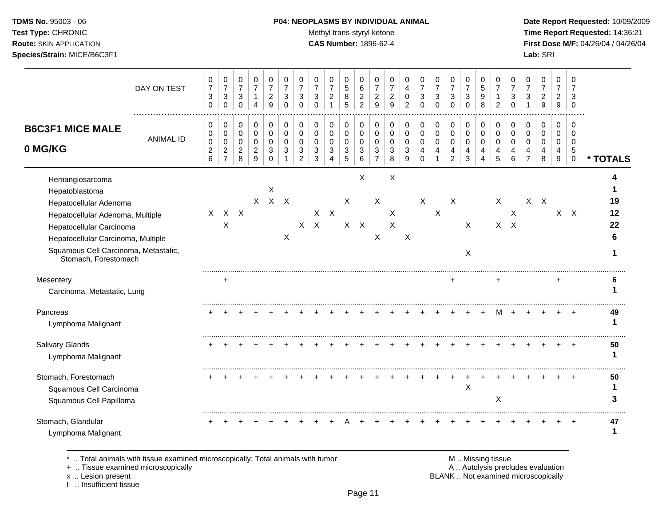### **TDMS No.** 95003 - 06 **P04: NEOPLASMS BY INDIVIDUAL ANIMAL** Date Report Requested: 10/09/2009

Test Type: CHRONIC **Test Type:** CHRONIC **Test Type:** CHRONIC **Time Report Requested:** 14:36:21 **Route:** SKIN APPLICATION **CAS Number:** 1896-62-4 **First Dose M/F:** 04/26/04 / 04/26/04

|                                                                                                                                                                                                                                   | DAY ON TEST      | 0<br>$\overline{7}$<br>$\sqrt{3}$<br>$\mathbf 0$          | 0<br>$\boldsymbol{7}$<br>$\mathbf{3}$<br>$\mathbf 0$          | 0<br>$\boldsymbol{7}$<br>$\mathbf{3}$<br>$\mathbf 0$ | 0<br>$\boldsymbol{7}$<br>$\mathbf{1}$<br>$\overline{4}$ | 0<br>$\overline{7}$<br>$\overline{c}$<br>9     | 0<br>$\overline{7}$<br>3<br>$\Omega$ | 0<br>$\overline{7}$<br>3<br>$\Omega$                | 0<br>$\overline{7}$<br>3<br>$\Omega$ | 0<br>$\overline{7}$<br>$\overline{c}$                             | 0<br>$\,$ 5 $\,$<br>$\,8\,$<br>5                           | 0<br>$\,6\,$<br>$\boldsymbol{2}$<br>$\overline{2}$ | 0<br>$\overline{7}$<br>$\overline{c}$<br>9           | 0<br>$\overline{7}$<br>$\overline{c}$<br>9 | 0<br>4<br>0<br>2                          | 0<br>$\overline{7}$<br>3<br>$\Omega$             | 0<br>$\overline{7}$<br>3<br>$\Omega$              | 0<br>$\boldsymbol{7}$<br>3<br>$\Omega$                            | 0<br>$\overline{7}$<br>$\sqrt{3}$<br>$\mathbf 0$ | 0<br>$\sqrt{5}$<br>9<br>8               | 0<br>7<br>1<br>$\overline{c}$          | 0<br>$\overline{7}$<br>3<br>$\Omega$   | 0<br>$\overline{7}$<br>3       | 0<br>$\overline{7}$<br>$\overline{c}$<br>9 | 0<br>$\overline{7}$<br>$\overline{c}$<br>9   | ∩<br>7<br>3<br>$\Omega$                            |                |
|-----------------------------------------------------------------------------------------------------------------------------------------------------------------------------------------------------------------------------------|------------------|-----------------------------------------------------------|---------------------------------------------------------------|------------------------------------------------------|---------------------------------------------------------|------------------------------------------------|--------------------------------------|-----------------------------------------------------|--------------------------------------|-------------------------------------------------------------------|------------------------------------------------------------|----------------------------------------------------|------------------------------------------------------|--------------------------------------------|-------------------------------------------|--------------------------------------------------|---------------------------------------------------|-------------------------------------------------------------------|--------------------------------------------------|-----------------------------------------|----------------------------------------|----------------------------------------|--------------------------------|--------------------------------------------|----------------------------------------------|----------------------------------------------------|----------------|
| <b>B6C3F1 MICE MALE</b><br>0 MG/KG                                                                                                                                                                                                | <b>ANIMAL ID</b> | 0<br>0<br>$\pmb{0}$<br>$\boldsymbol{2}$<br>$6\phantom{a}$ | 0<br>$\mathbf 0$<br>$\pmb{0}$<br>$\sqrt{2}$<br>$\overline{7}$ | 0<br>$\mathbf 0$<br>0<br>$\overline{2}$<br>8         | 0<br>$\pmb{0}$<br>$\mathbf 0$<br>$\overline{2}$<br>9    | 0<br>$\pmb{0}$<br>$\mathbf 0$<br>3<br>$\Omega$ | 0<br>$\mathbf 0$<br>$\Omega$<br>3    | 0<br>$\mathbf 0$<br>$\Omega$<br>3<br>$\overline{2}$ | 0<br>$\Omega$<br>$\Omega$<br>3<br>3  | 0<br>$\mathbf 0$<br>$\mathbf 0$<br>$\mathbf{3}$<br>$\overline{4}$ | 0<br>$\mathsf{O}\xspace$<br>$\mathbf 0$<br>3<br>$\sqrt{5}$ | 0<br>$\mathbf 0$<br>$\mathbf 0$<br>3<br>6          | 0<br>$\pmb{0}$<br>$\mathbf 0$<br>3<br>$\overline{7}$ | 0<br>$\mathbf 0$<br>$\Omega$<br>3<br>8     | 0<br>$\mathbf 0$<br>$\mathbf 0$<br>3<br>9 | 0<br>$\mathbf 0$<br>$\mathbf 0$<br>4<br>$\Omega$ | 0<br>$\mathsf 0$<br>$\mathbf 0$<br>$\overline{4}$ | 0<br>$\pmb{0}$<br>$\mathbf 0$<br>$\overline{4}$<br>$\overline{2}$ | 0<br>$\mathbf 0$<br>$\mathbf 0$<br>4<br>3        | 0<br>$\pmb{0}$<br>$\mathbf 0$<br>4<br>4 | 0<br>$\mathbf 0$<br>$\Omega$<br>4<br>5 | 0<br>$\mathbf 0$<br>$\Omega$<br>4<br>6 | 0<br>$\Omega$<br>$\Omega$<br>4 | 0<br>$\mathbf 0$<br>$\Omega$<br>4<br>8     | 0<br>$\mathbf 0$<br>0<br>4<br>$\overline{9}$ | $\Omega$<br>$\Omega$<br>$\Omega$<br>5<br>$\pmb{0}$ | * TOTALS       |
| Hemangiosarcoma<br>Hepatoblastoma<br>Hepatocellular Adenoma<br>Hepatocellular Adenoma, Multiple<br>Hepatocellular Carcinoma<br>Hepatocellular Carcinoma, Multiple<br>Squamous Cell Carcinoma, Metastatic,<br>Stomach, Forestomach |                  | $\mathsf{X}$                                              | X                                                             | $X$ $X$                                              |                                                         | X<br>$X$ $X$ $X$                               | $\times$                             |                                                     | $X$ $X$                              | $X$ $X$                                                           | $\times$                                                   | X<br>$X$ $X$                                       | X<br>X                                               | X<br>X<br>X                                | X                                         | X                                                | $\boldsymbol{\mathsf{X}}$                         | X                                                                 | X<br>X                                           |                                         | $\boldsymbol{\mathsf{X}}$              | X<br>$X$ $X$                           |                                | $X$ $X$                                    |                                              | $X$ $X$                                            | 19<br>12<br>22 |
| Mesentery<br>Carcinoma, Metastatic, Lung                                                                                                                                                                                          |                  |                                                           | $\ddot{}$                                                     |                                                      |                                                         |                                                |                                      |                                                     |                                      |                                                                   |                                                            |                                                    |                                                      |                                            |                                           |                                                  |                                                   |                                                                   |                                                  |                                         | ÷                                      |                                        |                                |                                            | +                                            |                                                    |                |
| Pancreas<br>Lymphoma Malignant                                                                                                                                                                                                    |                  |                                                           |                                                               |                                                      |                                                         |                                                |                                      |                                                     |                                      |                                                                   |                                                            |                                                    |                                                      |                                            |                                           |                                                  |                                                   |                                                                   |                                                  |                                         | м                                      |                                        |                                |                                            |                                              |                                                    | 49             |
| Salivary Glands<br>Lymphoma Malignant                                                                                                                                                                                             |                  |                                                           |                                                               |                                                      |                                                         |                                                |                                      |                                                     |                                      |                                                                   |                                                            |                                                    |                                                      |                                            |                                           |                                                  |                                                   |                                                                   |                                                  |                                         |                                        |                                        |                                |                                            |                                              |                                                    | 50<br>1        |
| Stomach, Forestomach<br>Squamous Cell Carcinoma<br>Squamous Cell Papilloma                                                                                                                                                        |                  |                                                           |                                                               |                                                      |                                                         |                                                |                                      |                                                     |                                      |                                                                   |                                                            |                                                    |                                                      |                                            |                                           |                                                  |                                                   |                                                                   | X                                                |                                         | $\pmb{\times}$                         |                                        |                                |                                            |                                              |                                                    | 50             |
| Stomach, Glandular<br>Lymphoma Malignant                                                                                                                                                                                          |                  |                                                           |                                                               |                                                      |                                                         |                                                |                                      |                                                     |                                      |                                                                   |                                                            |                                                    |                                                      |                                            |                                           |                                                  |                                                   |                                                                   |                                                  |                                         |                                        |                                        |                                |                                            |                                              |                                                    | 47             |

\* .. Total animals with tissue examined microscopically; Total animals with tumor M .. Missing tissue M .. Missing tissue<br>
+ .. Tissue examined microscopically

+ .. Tissue examined microscopically

x .. Lesion present<br>I .. Insufficient tissue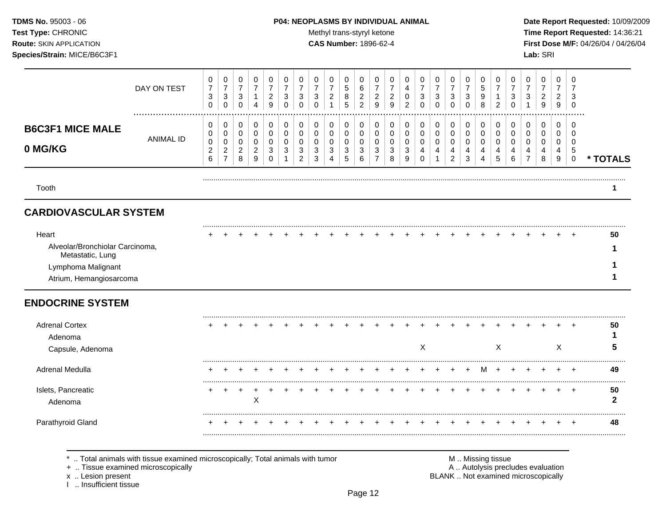#### **TDMS No.** 95003 - 06 **P04: NEOPLASMS BY INDIVIDUAL ANIMAL Date Report Requested:** 10/09/2009

**Test Type:** CHRONIC **The Report Requested:** 14:36:21 **Route:** SKIN APPLICATION **CAS Number:** 1896-62-4 **First Dose M/F:** 04/26/04 / 04/26/04

|                                                    | DAY ON TEST      | 0<br>$\overline{7}$<br>3<br>0      | 0<br>$\overline{7}$<br>3<br>0 | 0<br>$\overline{7}$<br>3<br>0 | 0<br>$\overline{7}$<br>1<br>4      | 0<br>$\overline{7}$<br>$\overline{c}$<br>9 | 0<br>$\overline{7}$<br>$\ensuremath{\mathsf{3}}$<br>0 | 0<br>3<br>0           | 0<br>3<br>0      | 0<br>$\overline{7}$<br>$\overline{c}$ | 0<br>5<br>8<br>5      | 0<br>6<br>$\overline{c}$<br>$\overline{2}$ | 0<br>$\overline{7}$<br>$\overline{c}$<br>9 | 0<br>$\overline{7}$<br>2<br>9 | 0<br>4<br>0<br>$\overline{c}$ | 0<br>7<br>3<br>0          | 0<br>$\overline{7}$<br>3<br>$\mathbf 0$ | 0<br>$\overline{7}$<br>$\sqrt{3}$<br>0 | 0<br>$\overline{7}$<br>$\sqrt{3}$<br>0 | 0<br>5<br>9<br>8      | $\Omega$<br>2           | 0<br>3<br>∩ | 0<br>$\overline{7}$<br>3 | 0<br>$\overline{7}$<br>$\overline{c}$<br>$\boldsymbol{9}$ | $\Omega$<br>$\overline{7}$<br>$\overline{c}$<br>9 | 0<br>3<br>0                     |          |
|----------------------------------------------------|------------------|------------------------------------|-------------------------------|-------------------------------|------------------------------------|--------------------------------------------|-------------------------------------------------------|-----------------------|------------------|---------------------------------------|-----------------------|--------------------------------------------|--------------------------------------------|-------------------------------|-------------------------------|---------------------------|-----------------------------------------|----------------------------------------|----------------------------------------|-----------------------|-------------------------|-------------|--------------------------|-----------------------------------------------------------|---------------------------------------------------|---------------------------------|----------|
| <b>B6C3F1 MICE MALE</b><br>0 MG/KG                 | <b>ANIMAL ID</b> | 0<br>0<br>0<br>$\overline{c}$<br>6 | 0<br>0<br>0<br>2<br>7         | 0<br>0<br>0<br>2<br>8         | 0<br>0<br>0<br>$\overline{2}$<br>9 | 0<br>0<br>0<br>$\mathbf{3}$<br>0           | 0<br>0<br>0<br>3                                      | 0<br>0<br>0<br>3<br>2 | 0<br>0<br>3<br>3 | 0<br>0<br>0<br>3                      | 0<br>0<br>0<br>3<br>5 | 0<br>0<br>0<br>3<br>6                      | 0<br>0<br>0<br>3<br>$\overline{7}$         | 0<br>0<br>0<br>3<br>8         | 0<br>0<br>0<br>3<br>9         | 0<br>0<br>0<br>4<br>0     | 0<br>0<br>0<br>4                        | 0<br>0<br>0<br>4<br>$\overline{2}$     | 0<br>0<br>0<br>4<br>3                  | 0<br>0<br>0<br>4<br>4 | 0<br>$\Omega$<br>0<br>5 | 0<br>0<br>6 | 0<br>0<br>0<br>4         | 0<br>0<br>0<br>4<br>8                                     | $\Omega$<br>$\Omega$<br>0<br>4<br>9               | ∩<br>n<br>0<br>5<br>$\mathbf 0$ | * TOTALS |
| Tooth                                              |                  |                                    |                               |                               |                                    |                                            |                                                       |                       |                  |                                       |                       |                                            |                                            |                               |                               |                           |                                         |                                        |                                        |                       |                         |             |                          |                                                           |                                                   |                                 |          |
| <b>CARDIOVASCULAR SYSTEM</b>                       |                  |                                    |                               |                               |                                    |                                            |                                                       |                       |                  |                                       |                       |                                            |                                            |                               |                               |                           |                                         |                                        |                                        |                       |                         |             |                          |                                                           |                                                   |                                 |          |
| Heart<br>Alveolar/Bronchiolar Carcinoma,           |                  |                                    |                               |                               |                                    |                                            |                                                       |                       |                  |                                       |                       |                                            |                                            |                               |                               |                           |                                         |                                        |                                        |                       |                         |             |                          |                                                           |                                                   | $+$                             | 50       |
| Metastatic, Lung<br>Lymphoma Malignant             |                  |                                    |                               |                               |                                    |                                            |                                                       |                       |                  |                                       |                       |                                            |                                            |                               |                               |                           |                                         |                                        |                                        |                       |                         |             |                          |                                                           |                                                   |                                 |          |
| Atrium, Hemangiosarcoma<br><b>ENDOCRINE SYSTEM</b> |                  |                                    |                               |                               |                                    |                                            |                                                       |                       |                  |                                       |                       |                                            |                                            |                               |                               |                           |                                         |                                        |                                        |                       |                         |             |                          |                                                           |                                                   |                                 |          |
| <b>Adrenal Cortex</b><br>Adenoma                   |                  |                                    |                               |                               |                                    |                                            |                                                       |                       |                  |                                       |                       |                                            |                                            |                               |                               | $\boldsymbol{\mathsf{X}}$ |                                         |                                        |                                        |                       | $\times$                |             |                          |                                                           | X                                                 | $\div$                          | 50<br>5  |
| Capsule, Adenoma<br>.                              |                  |                                    |                               |                               |                                    |                                            |                                                       |                       |                  |                                       |                       |                                            |                                            |                               |                               |                           |                                         |                                        |                                        |                       |                         |             |                          |                                                           |                                                   |                                 |          |

Adrenal Medulla + + + + + + + + + + + + + + + + + + M + + + + + + **49** ......................................................................................................................................................................................................... Islets, Pancreatic + + + + + + + + + + + + + + + + + + + + + + + + + **50** Adenoma X **2** ......................................................................................................................................................................................................... Parathyroid Gland + + + + + + + + + + + + + + + + + + + + + + + + + **48** .........................................................................................................................................................................................................

.. Total animals with tissue examined microscopically; Total animals with tumor **M** .. Missing tissue M .. Missing tissue<br>A .. Autolysis precludes evaluation .. And .. Autolysis precludes evaluation

+ .. Tissue examined microscopically

I .. Insufficient tissue

x .. Lesion present **BLANK** .. Not examined microscopically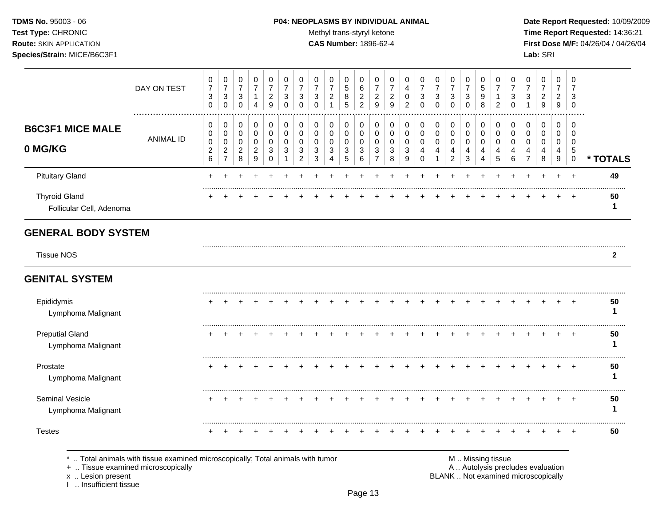### **TDMS No.** 95003 - 06 **P04: NEOPLASMS BY INDIVIDUAL ANIMAL** Date Report Requested: 10/09/2009

Test Type: CHRONIC **Test Type:** CHRONIC **Test Type:** CHRONIC **Time Report Requested:** 14:36:21 **Route:** SKIN APPLICATION **CAS Number:** 1896-62-4 **First Dose M/F:** 04/26/04 / 04/26/04

|                                                  | DAY ON TEST      | 0<br>$\overline{7}$<br>$\ensuremath{\mathsf{3}}$<br>$\mathbf 0$ | 0<br>$\overline{7}$<br>$\sqrt{3}$<br>$\mathbf 0$                        | 0<br>$\overline{7}$<br>$\mathbf{3}$<br>$\mathbf 0$     | 0<br>$\boldsymbol{7}$<br>$\mathbf{1}$<br>$\overline{4}$ | 0<br>$\overline{7}$<br>$\overline{2}$<br>9 | 0<br>$\overline{7}$<br>3<br>$\mathbf 0$ | 0<br>$\overline{7}$<br>3<br>0      | 0<br>$\overline{7}$<br>3<br>$\mathbf 0$ | 0<br>$\overline{7}$<br>$\overline{c}$<br>$\mathbf{1}$ | 0<br>$\sqrt{5}$<br>8<br>5      | 0<br>$\,6\,$<br>$\overline{a}$<br>$\overline{a}$ | 0<br>$\overline{7}$<br>$\overline{c}$<br>9       | 0<br>$\overline{7}$<br>$\overline{c}$<br>9 | 0<br>4<br>0<br>2              | 0<br>$\overline{7}$<br>3<br>$\Omega$      | 0<br>$\overline{7}$<br>3<br>$\mathbf 0$ | 0<br>$\overline{7}$<br>$\mathbf{3}$<br>$\mathbf 0$ | 0<br>$\overline{7}$<br>3<br>$\mathbf 0$ | 0<br>$\sqrt{5}$<br>$\boldsymbol{9}$<br>8        | 0<br>$\overline{7}$<br>-1<br>$\overline{2}$ | 0<br>$\overline{7}$<br>3<br>$\mathbf 0$   | 0<br>$\overline{7}$<br>3                               | 0<br>$\overline{7}$<br>$\overline{2}$<br>$\boldsymbol{9}$ | 0<br>$\overline{7}$<br>$\overline{2}$<br>9 | 0<br>$\overline{7}$<br>3<br>$\mathbf 0$  |              |
|--------------------------------------------------|------------------|-----------------------------------------------------------------|-------------------------------------------------------------------------|--------------------------------------------------------|---------------------------------------------------------|--------------------------------------------|-----------------------------------------|------------------------------------|-----------------------------------------|-------------------------------------------------------|--------------------------------|--------------------------------------------------|--------------------------------------------------|--------------------------------------------|-------------------------------|-------------------------------------------|-----------------------------------------|----------------------------------------------------|-----------------------------------------|-------------------------------------------------|---------------------------------------------|-------------------------------------------|--------------------------------------------------------|-----------------------------------------------------------|--------------------------------------------|------------------------------------------|--------------|
| <b>B6C3F1 MICE MALE</b><br>0 MG/KG               | <b>ANIMAL ID</b> | 0<br>0<br>$\mathbf 0$<br>$\boldsymbol{2}$<br>6                  | $\pmb{0}$<br>$\pmb{0}$<br>$\pmb{0}$<br>$\overline{c}$<br>$\overline{7}$ | $\pmb{0}$<br>$\mathbf 0$<br>0<br>$\sqrt{2}$<br>$\,8\,$ | 0<br>$\mathbf 0$<br>$\mathbf 0$<br>$\overline{c}$<br>9  | 0<br>$\mathbf 0$<br>0<br>$\sqrt{3}$<br>0   | 0<br>$\mathbf 0$<br>$\mathbf 0$<br>3    | 0<br>0<br>0<br>3<br>$\overline{c}$ | 0<br>0<br>$\mathbf 0$<br>3<br>3         | 0<br>0<br>0<br>3<br>4                                 | 0<br>0<br>0<br>$\sqrt{3}$<br>5 | 0<br>$\pmb{0}$<br>$\mathbf 0$<br>$\sqrt{3}$<br>6 | $\pmb{0}$<br>$\mathbf 0$<br>0<br>$\sqrt{3}$<br>7 | 0<br>0<br>0<br>3<br>8                      | 0<br>$\pmb{0}$<br>0<br>3<br>9 | 0<br>0<br>0<br>$\overline{4}$<br>$\Omega$ | 0<br>$\mathbf 0$<br>0<br>4              | 0<br>$\mathbf 0$<br>0<br>4<br>$\overline{c}$       | 0<br>$\pmb{0}$<br>0<br>4<br>3           | $\pmb{0}$<br>$\mathsf{O}\xspace$<br>0<br>4<br>4 | 0<br>$\mathbf 0$<br>$\mathbf 0$<br>4<br>5   | 0<br>$\mathbf 0$<br>$\mathbf 0$<br>4<br>6 | 0<br>$\mathbf 0$<br>$\mathbf 0$<br>4<br>$\overline{7}$ | 0<br>0<br>0<br>4<br>8                                     | 0<br>$\mathbf 0$<br>$\mathbf 0$<br>4<br>9  | $\mathbf 0$<br>0<br>0<br>$\sqrt{5}$<br>0 | * TOTALS     |
| <b>Pituitary Gland</b>                           |                  | ÷                                                               |                                                                         |                                                        |                                                         |                                            |                                         |                                    |                                         |                                                       |                                |                                                  |                                                  |                                            |                               |                                           |                                         |                                                    |                                         |                                                 |                                             |                                           |                                                        |                                                           | $\ddot{}$                                  | $\overline{+}$                           | 49           |
| <b>Thyroid Gland</b><br>Follicular Cell, Adenoma |                  |                                                                 |                                                                         |                                                        |                                                         |                                            |                                         |                                    |                                         |                                                       |                                |                                                  |                                                  |                                            |                               |                                           |                                         |                                                    |                                         |                                                 |                                             |                                           |                                                        |                                                           |                                            | $+$                                      | 50<br>1      |
| <b>GENERAL BODY SYSTEM</b>                       |                  |                                                                 |                                                                         |                                                        |                                                         |                                            |                                         |                                    |                                         |                                                       |                                |                                                  |                                                  |                                            |                               |                                           |                                         |                                                    |                                         |                                                 |                                             |                                           |                                                        |                                                           |                                            |                                          |              |
| <b>Tissue NOS</b>                                |                  |                                                                 |                                                                         |                                                        |                                                         |                                            |                                         |                                    |                                         |                                                       |                                |                                                  |                                                  |                                            |                               |                                           |                                         |                                                    |                                         |                                                 |                                             |                                           |                                                        |                                                           |                                            |                                          | $\mathbf{2}$ |
| <b>GENITAL SYSTEM</b>                            |                  |                                                                 |                                                                         |                                                        |                                                         |                                            |                                         |                                    |                                         |                                                       |                                |                                                  |                                                  |                                            |                               |                                           |                                         |                                                    |                                         |                                                 |                                             |                                           |                                                        |                                                           |                                            |                                          |              |
| Epididymis<br>Lymphoma Malignant                 |                  |                                                                 |                                                                         |                                                        |                                                         |                                            |                                         |                                    |                                         |                                                       |                                |                                                  |                                                  |                                            |                               |                                           |                                         |                                                    |                                         |                                                 |                                             |                                           |                                                        |                                                           |                                            |                                          | 50<br>-1     |
| <b>Preputial Gland</b><br>Lymphoma Malignant     |                  |                                                                 |                                                                         |                                                        |                                                         |                                            |                                         |                                    |                                         |                                                       |                                |                                                  |                                                  |                                            |                               |                                           |                                         |                                                    |                                         |                                                 |                                             |                                           |                                                        |                                                           |                                            | $\div$                                   | 50<br>1      |
| Prostate<br>Lymphoma Malignant                   |                  |                                                                 |                                                                         |                                                        |                                                         |                                            |                                         |                                    |                                         |                                                       |                                |                                                  |                                                  |                                            |                               |                                           |                                         |                                                    |                                         |                                                 |                                             |                                           |                                                        |                                                           | ٠                                          | $\overline{+}$                           | 50<br>-1     |
| Seminal Vesicle<br>Lymphoma Malignant            |                  |                                                                 |                                                                         |                                                        |                                                         |                                            |                                         |                                    |                                         |                                                       |                                |                                                  |                                                  |                                            |                               |                                           |                                         |                                                    |                                         |                                                 |                                             |                                           |                                                        |                                                           |                                            | $\div$                                   | 50<br>-1     |
| <b>Testes</b>                                    |                  |                                                                 |                                                                         |                                                        |                                                         |                                            |                                         |                                    |                                         |                                                       |                                |                                                  |                                                  |                                            |                               |                                           |                                         |                                                    |                                         |                                                 |                                             |                                           |                                                        |                                                           |                                            |                                          | 50           |

x .. Lesion present<br>I .. Insufficient tissue

+ .. Tissue examined microscopically and the state of the state of the state of the A .. Autolysis precludes evaluation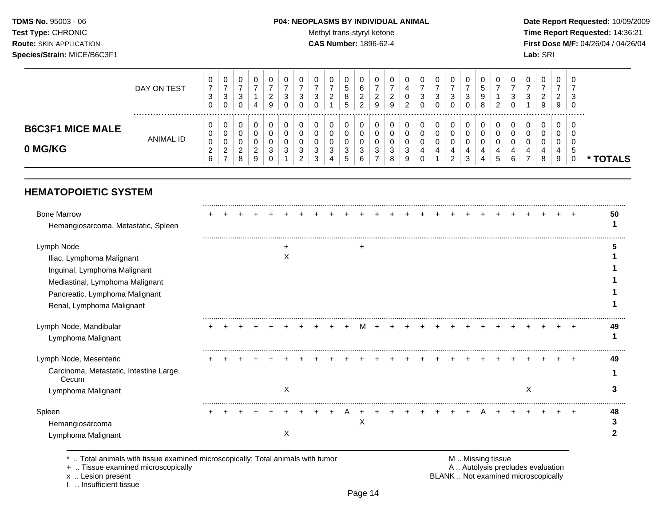### **TDMS No.** 95003 - 06 **P04: NEOPLASMS BY INDIVIDUAL ANIMAL** Date Report Requested: 10/09/2009

Test Type: CHRONIC **Test Type:** CHRONIC **Test Type:** CHRONIC **Time Report Requested:** 14:36:21 **Route:** SKIN APPLICATION **CAS Number:** 1896-62-4 **First Dose M/F:** 04/26/04 / 04/26/04

|                         | DAY ON TEST | U<br>⇁<br>ີ<br>ັບ  | 0<br>-<br>3      | U<br>3      |             | 0<br>ົ<br><u>_</u> | υ<br>ີ       | υ<br>3                  | υ<br>વ<br>J | 0<br>ົ<br>$\epsilon$ | 0<br>5<br>8       | 2      | U<br>ົ | <b>U</b><br>◠                | 0<br>4             | υ<br>3 | 0<br>3 | U<br>3      | 3 | U<br>٠b<br>9 | – O           | U<br>ີ<br>J | 0<br>વ<br>J | 0<br>ົ<br>∼ | 0<br>ົ<br>$\epsilon$ | – G<br>-3  |        |
|-------------------------|-------------|--------------------|------------------|-------------|-------------|--------------------|--------------|-------------------------|-------------|----------------------|-------------------|--------|--------|------------------------------|--------------------|--------|--------|-------------|---|--------------|---------------|-------------|-------------|-------------|----------------------|------------|--------|
|                         |             | U<br>v             | 0<br>0           | 0<br>U      |             | 9<br>0             |              | 0                       | 0           | 0                    | 5<br>$\mathbf{0}$ | 2      | 9<br>0 | 9                            | ົ<br><u>_</u><br>0 | 0<br>0 | 0<br>0 | 0<br>0      |   | 8<br>0       | ົ<br><u>_</u> |             | 0           | 9<br>0      | 9<br>0               | - O<br>- 6 |        |
| <b>B6C3F1 MICE MALE</b> | ANIMAL ID   | U<br>$\Omega$<br>υ | 0<br>0           | υ<br>υ      |             | 0                  |              | U                       | υ           | 0<br>0               | U<br>U            |        | O      |                              | ∩<br>J             | 0<br>υ | 0<br>0 | U<br>U      |   | 0            |               |             | 0<br>υ      | 0<br>0      | U<br>ν               |            |        |
| 0 MG/KG                 |             | 6                  | ົ<br>$\sim$<br>- | ົ<br>∼<br>8 | ົ<br>∠<br>9 | 3<br>0             | <sup>o</sup> | າ<br>ັ<br>ົ<br><u>.</u> | ີ<br>J<br>3 | 3<br>4               | 3<br><sub>5</sub> | 3<br>b | 3      | <sup>o</sup><br>$\circ$<br>o | વ<br>J<br>9        | 4<br>υ | 4      | 4<br>ົ<br>▵ | 3 | 4<br>4       | 4<br>э        | 6           | -           | 4<br>8      | 4<br>9               | - 3        | TOTALS |

## **HEMATOPOIETIC SYSTEM**

| <b>Bone Marrow</b><br>Hemangiosarcoma, Metastatic, Spleen       |  |  |   |  |   |   |  |  |  |  |  |   |  |           | 50 |
|-----------------------------------------------------------------|--|--|---|--|---|---|--|--|--|--|--|---|--|-----------|----|
| Lymph Node                                                      |  |  |   |  |   | + |  |  |  |  |  |   |  |           |    |
| Iliac, Lymphoma Malignant                                       |  |  | ∧ |  |   |   |  |  |  |  |  |   |  |           |    |
| Inguinal, Lymphoma Malignant<br>Mediastinal, Lymphoma Malignant |  |  |   |  |   |   |  |  |  |  |  |   |  |           |    |
| Pancreatic, Lymphoma Malignant                                  |  |  |   |  |   |   |  |  |  |  |  |   |  |           |    |
| Renal, Lymphoma Malignant                                       |  |  |   |  |   |   |  |  |  |  |  |   |  |           |    |
| Lymph Node, Mandibular<br>Lymphoma Malignant                    |  |  |   |  |   |   |  |  |  |  |  |   |  | $\ddot{}$ | 49 |
| Lymph Node, Mesenteric                                          |  |  |   |  |   |   |  |  |  |  |  |   |  |           | 49 |
| Carcinoma, Metastatic, Intestine Large,<br>Cecum                |  |  |   |  |   |   |  |  |  |  |  |   |  |           |    |
| Lymphoma Malignant                                              |  |  | X |  |   |   |  |  |  |  |  | X |  |           |    |
| Spleen                                                          |  |  |   |  | A |   |  |  |  |  |  |   |  | $\div$    | 48 |
| Hemangiosarcoma<br>Lymphoma Malignant                           |  |  | X |  |   | X |  |  |  |  |  |   |  |           |    |

\* .. Total animals with tissue examined microscopically; Total animals with tumor M .. Missing tissue M .. Missing tissue<br>A .. Tissue examined microscopically by the matric of the matric of the M .. Missing tissue examined

+ .. Tissue examined microscopically

I .. Insufficient tissue

x .. Lesion present **BLANK** .. Not examined microscopically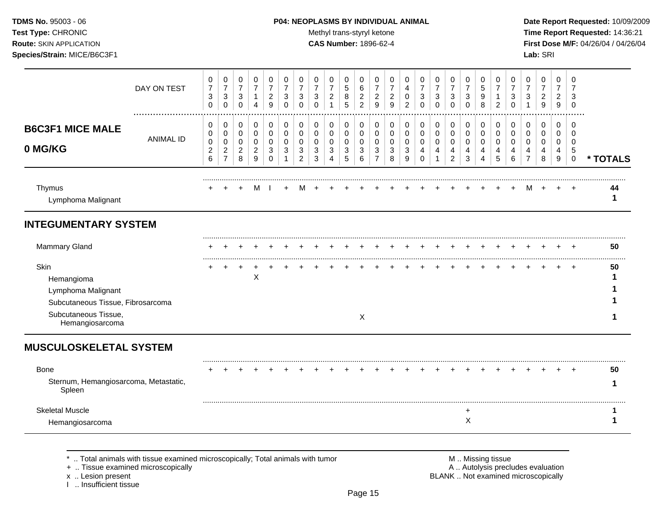### **TDMS No.** 95003 - 06 **P04: NEOPLASMS BY INDIVIDUAL ANIMAL** Date Report Requested: 10/09/2009

Test Type: CHRONIC **Test Type:** CHRONIC **Test Type:** CHRONIC **Time Report Requested:** 14:36:21 **Route:** SKIN APPLICATION **CAS Number:** 1896-62-4 **First Dose M/F:** 04/26/04 / 04/26/04 **Species/Strain:** MICE/B6C3F1 **Lab:** SRI

|                                                                                                                          | DAY ON TEST      | 0<br>$\boldsymbol{7}$<br>3<br>$\mathbf 0$ | 0<br>$\overline{7}$<br>$\mathbf{3}$<br>$\mathbf 0$ | 0<br>$\boldsymbol{7}$<br>$\mathbf{3}$<br>$\mathbf 0$ | 0<br>$\overline{7}$<br>$\mathbf{1}$<br>4   | 0<br>$\overline{7}$<br>$\sqrt{2}$<br>9 | 0<br>$\overline{7}$<br>3<br>$\Omega$ | 0<br>7<br>3<br>$\Omega$ | 0<br>$\overline{7}$<br>$\mathbf{3}$<br>$\Omega$ | 0<br>$\overline{7}$<br>$\overline{c}$<br>$\mathbf{1}$ | 0<br>5<br>$\bf 8$<br>5                        | 0<br>6<br>$\boldsymbol{2}$<br>$\overline{2}$ | 0<br>7<br>$\overline{2}$<br>9      | 0<br>7<br>$\overline{c}$<br>9 | 0<br>4<br>$\mathbf 0$<br>$\overline{2}$ | 0<br>$\overline{7}$<br>3<br>$\Omega$ | 0<br>$\overline{7}$<br>$\mathbf{3}$<br>$\Omega$ | 0<br>$\overline{7}$<br>3<br>$\Omega$ | 0<br>$\overline{7}$<br>3<br>$\Omega$ | 0<br>5<br>9<br>8      | 0<br>7<br>1<br>$\overline{2}$ | 0<br>3<br>$\Omega$           | 0<br>$\overline{7}$<br>3           | 0<br>$\overline{7}$<br>$\overline{a}$<br>9 | $\Omega$<br>7<br>$\overline{2}$<br>9 | 0<br>7<br>3<br>$\Omega$         |          |
|--------------------------------------------------------------------------------------------------------------------------|------------------|-------------------------------------------|----------------------------------------------------|------------------------------------------------------|--------------------------------------------|----------------------------------------|--------------------------------------|-------------------------|-------------------------------------------------|-------------------------------------------------------|-----------------------------------------------|----------------------------------------------|------------------------------------|-------------------------------|-----------------------------------------|--------------------------------------|-------------------------------------------------|--------------------------------------|--------------------------------------|-----------------------|-------------------------------|------------------------------|------------------------------------|--------------------------------------------|--------------------------------------|---------------------------------|----------|
| <b>B6C3F1 MICE MALE</b><br>0 MG/KG                                                                                       | <b>ANIMAL ID</b> | 0<br>0<br>0<br>$\boldsymbol{2}$<br>6      | 0<br>0<br>0<br>$\boldsymbol{2}$<br>$\overline{7}$  | 0<br>$\pmb{0}$<br>0<br>$\overline{c}$<br>8           | 0<br>$\pmb{0}$<br>0<br>$\overline{c}$<br>9 | 0<br>$\mathbf 0$<br>0<br>3<br>$\Omega$ | 0<br>0<br>$\Omega$<br>3              | 0<br>0<br>0<br>3<br>2   | 0<br>$\,0\,$<br>0<br>$\mathbf{3}$<br>3          | 0<br>0<br>0<br>$\mathbf{3}$<br>4                      | 0<br>0<br>0<br>$\ensuremath{\mathsf{3}}$<br>5 | 0<br>0<br>$\mathbf 0$<br>3<br>6              | 0<br>0<br>0<br>3<br>$\overline{7}$ | 0<br>0<br>0<br>3<br>8         | 0<br>0<br>0<br>3<br>9                   | 0<br>0<br>0<br>4<br>$\Omega$         | 0<br>0<br>0<br>4                                | 0<br>0<br>0<br>4<br>2                | 0<br>$\pmb{0}$<br>0<br>4<br>3        | 0<br>0<br>0<br>4<br>4 | 0<br>0<br>$\Omega$<br>4<br>5  | 0<br>0<br>$\Omega$<br>4<br>6 | 0<br>0<br>0<br>4<br>$\overline{7}$ | 0<br>0<br>0<br>4<br>8                      | 0<br>0<br>0<br>$\overline{4}$<br>9   | 0<br>0<br>0<br>5<br>$\mathbf 0$ | * TOTALS |
| Thymus<br>Lymphoma Malignant                                                                                             |                  |                                           |                                                    |                                                      | M                                          |                                        | $\div$                               |                         |                                                 |                                                       |                                               |                                              |                                    |                               |                                         |                                      |                                                 |                                      |                                      |                       |                               |                              | M                                  |                                            |                                      |                                 | 44<br>1  |
| <b>INTEGUMENTARY SYSTEM</b>                                                                                              |                  |                                           |                                                    |                                                      |                                            |                                        |                                      |                         |                                                 |                                                       |                                               |                                              |                                    |                               |                                         |                                      |                                                 |                                      |                                      |                       |                               |                              |                                    |                                            |                                      |                                 |          |
| <b>Mammary Gland</b>                                                                                                     |                  |                                           |                                                    |                                                      |                                            |                                        |                                      |                         |                                                 |                                                       |                                               |                                              |                                    |                               |                                         |                                      |                                                 |                                      |                                      |                       |                               |                              |                                    |                                            |                                      |                                 | 50       |
| Skin<br>Hemangioma<br>Lymphoma Malignant<br>Subcutaneous Tissue, Fibrosarcoma<br>Subcutaneous Tissue,<br>Hemangiosarcoma |                  |                                           |                                                    |                                                      | X                                          |                                        |                                      |                         |                                                 |                                                       |                                               | X                                            |                                    |                               |                                         |                                      |                                                 |                                      |                                      |                       |                               |                              |                                    |                                            |                                      | $\div$                          | 50<br>1  |
| <b>MUSCULOSKELETAL SYSTEM</b>                                                                                            |                  |                                           |                                                    |                                                      |                                            |                                        |                                      |                         |                                                 |                                                       |                                               |                                              |                                    |                               |                                         |                                      |                                                 |                                      |                                      |                       |                               |                              |                                    |                                            |                                      |                                 |          |
| <b>Bone</b><br>Sternum, Hemangiosarcoma, Metastatic,<br>Spleen                                                           |                  |                                           |                                                    |                                                      |                                            |                                        |                                      |                         |                                                 |                                                       |                                               |                                              |                                    |                               |                                         |                                      |                                                 |                                      |                                      |                       |                               |                              |                                    |                                            |                                      |                                 | 50<br>1  |
| <b>Skeletal Muscle</b>                                                                                                   |                  |                                           |                                                    |                                                      |                                            |                                        |                                      |                         |                                                 |                                                       |                                               |                                              |                                    |                               |                                         |                                      |                                                 |                                      | $\ddot{}$<br>Χ                       |                       |                               |                              |                                    |                                            |                                      |                                 | 1<br>1   |
| Hemangiosarcoma                                                                                                          |                  |                                           |                                                    |                                                      |                                            |                                        |                                      |                         |                                                 |                                                       |                                               |                                              |                                    |                               |                                         |                                      |                                                 |                                      |                                      |                       |                               |                              |                                    |                                            |                                      |                                 |          |

\* .. Total animals with tissue examined microscopically; Total animals with tumor <br>
+ .. Tissue examined microscopically<br>
+ .. Tissue examined microscopically

+ .. Tissue examined microscopically

x .. Lesion present<br>I .. Insufficient tissue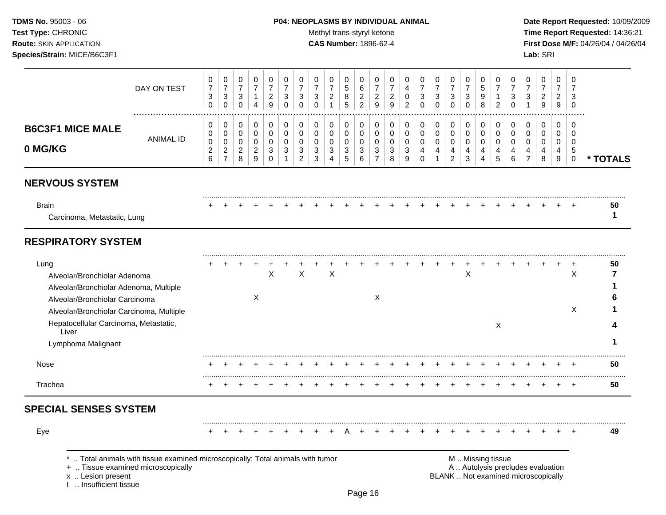### **TDMS No.** 95003 - 06 **P04: NEOPLASMS BY INDIVIDUAL ANIMAL** Date Report Requested: 10/09/2009

Test Type: CHRONIC **Test Type:** CHRONIC **Test Type:** CHRONIC **Time Report Requested:** 14:36:21 **Route:** SKIN APPLICATION **CAS Number:** 1896-62-4 **First Dose M/F:** 04/26/04 / 04/26/04

|                                                                                                                                                                                                                                      | DAY ON TEST                                                                                                        | 0<br>$\overline{7}$<br>3<br>0      | 0<br>$\overline{7}$<br>$\mathbf{3}$<br>$\mathbf 0$        | 0<br>$\overline{7}$<br>3<br>$\mathbf 0$ | 0<br>$\boldsymbol{7}$<br>$\mathbf{1}$<br>$\overline{4}$ | 0<br>$\overline{7}$<br>$\overline{a}$<br>9          | 0<br>$\overline{7}$<br>3<br>0                       | 0<br>$\overline{7}$<br>3<br>0             | 0<br>$\overline{7}$<br>3<br>0   | 0<br>$\overline{7}$<br>$\overline{2}$<br>-1            | 0<br>5<br>8<br>5      | 0<br>$\,6$<br>$\overline{c}$<br>$\overline{2}$ | 0<br>$\overline{7}$<br>$\overline{2}$<br>9 | 0<br>$\overline{7}$<br>$\overline{\mathbf{c}}$<br>9 | 0<br>$\overline{4}$<br>0<br>$\overline{c}$ | 0<br>$\overline{7}$<br>3<br>0                    | 0<br>$\overline{7}$<br>3<br>$\mathbf 0$ | 0<br>$\overline{7}$<br>3<br>$\mathbf 0$      | 0<br>$\overline{7}$<br>$\mathbf{3}$<br>0                | 0<br>5<br>9<br>8                                       | 0<br>$\overline{7}$<br>$\mathbf{1}$<br>$\overline{c}$ | 0<br>$\overline{7}$<br>3<br>$\mathbf 0$ | 0<br>$\overline{7}$<br>3<br>1                                            | 0<br>$\overline{7}$<br>$\overline{c}$<br>9 | 0<br>$\overline{7}$<br>$\overline{a}$<br>9 | $\Omega$<br>$\overline{7}$<br>3<br>$\mathbf 0$      |          |
|--------------------------------------------------------------------------------------------------------------------------------------------------------------------------------------------------------------------------------------|--------------------------------------------------------------------------------------------------------------------|------------------------------------|-----------------------------------------------------------|-----------------------------------------|---------------------------------------------------------|-----------------------------------------------------|-----------------------------------------------------|-------------------------------------------|---------------------------------|--------------------------------------------------------|-----------------------|------------------------------------------------|--------------------------------------------|-----------------------------------------------------|--------------------------------------------|--------------------------------------------------|-----------------------------------------|----------------------------------------------|---------------------------------------------------------|--------------------------------------------------------|-------------------------------------------------------|-----------------------------------------|--------------------------------------------------------------------------|--------------------------------------------|--------------------------------------------|-----------------------------------------------------|----------|
| <b>B6C3F1 MICE MALE</b><br>0 MG/KG                                                                                                                                                                                                   | <b>ANIMAL ID</b>                                                                                                   | 0<br>0<br>0<br>$\overline{c}$<br>6 | 0<br>0<br>$\mathbf 0$<br>$\overline{c}$<br>$\overline{7}$ | 0<br>0<br>0<br>$\overline{a}$<br>8      | 0<br>$\pmb{0}$<br>$\pmb{0}$<br>$\sqrt{2}$<br>9          | 0<br>$\mathbf 0$<br>$\mathbf 0$<br>3<br>$\mathbf 0$ | 0<br>$\pmb{0}$<br>0<br>$\mathbf{3}$<br>$\mathbf{1}$ | 0<br>$\mathbf 0$<br>$\mathbf 0$<br>3<br>2 | 0<br>0<br>$\mathbf 0$<br>3<br>3 | 0<br>$\mathbf 0$<br>$\mathbf 0$<br>3<br>$\overline{4}$ | 0<br>0<br>0<br>3<br>5 | 0<br>$\mathbf 0$<br>0<br>3<br>6                | 0<br>0<br>0<br>3<br>$\overline{7}$         | 0<br>0<br>0<br>3<br>8                               | 0<br>$\mathbf 0$<br>0<br>$\mathbf{3}$<br>9 | $\mathbf 0$<br>$\mathbf 0$<br>0<br>4<br>$\Omega$ | 0<br>$\mathbf 0$<br>$\mathbf 0$<br>4    | 0<br>0<br>$\mathbf 0$<br>4<br>$\overline{2}$ | 0<br>0<br>$\mathbf 0$<br>$\overline{4}$<br>$\mathbf{3}$ | 0<br>$\mathbf 0$<br>$\mathbf 0$<br>$\overline{4}$<br>4 | 0<br>$\mathbf 0$<br>$\mathbf 0$<br>4<br>5             | 0<br>$\mathbf 0$<br>0<br>4<br>6         | 0<br>$\mathbf 0$<br>$\mathbf 0$<br>4<br>$\overline{7}$                   | 0<br>$\mathbf 0$<br>0<br>4<br>8            | 0<br>0<br>0<br>4<br>9                      | 0<br>$\mathbf 0$<br>$\mathbf 0$<br>5<br>$\mathbf 0$ | * TOTALS |
| <b>NERVOUS SYSTEM</b>                                                                                                                                                                                                                |                                                                                                                    |                                    |                                                           |                                         |                                                         |                                                     |                                                     |                                           |                                 |                                                        |                       |                                                |                                            |                                                     |                                            |                                                  |                                         |                                              |                                                         |                                                        |                                                       |                                         |                                                                          |                                            |                                            |                                                     |          |
| <b>Brain</b><br>Carcinoma, Metastatic, Lung                                                                                                                                                                                          |                                                                                                                    |                                    |                                                           |                                         |                                                         |                                                     |                                                     |                                           |                                 |                                                        |                       |                                                |                                            |                                                     |                                            |                                                  |                                         |                                              |                                                         |                                                        |                                                       |                                         |                                                                          |                                            |                                            |                                                     | 50<br>1  |
| <b>RESPIRATORY SYSTEM</b>                                                                                                                                                                                                            |                                                                                                                    |                                    |                                                           |                                         |                                                         |                                                     |                                                     |                                           |                                 |                                                        |                       |                                                |                                            |                                                     |                                            |                                                  |                                         |                                              |                                                         |                                                        |                                                       |                                         |                                                                          |                                            |                                            |                                                     |          |
| Lung<br>Alveolar/Bronchiolar Adenoma<br>Alveolar/Bronchiolar Adenoma, Multiple<br>Alveolar/Bronchiolar Carcinoma<br>Alveolar/Bronchiolar Carcinoma, Multiple<br>Hepatocellular Carcinoma, Metastatic,<br>Liver<br>Lymphoma Malignant |                                                                                                                    |                                    |                                                           |                                         | Χ                                                       | $\times$                                            |                                                     | $\pmb{\times}$                            |                                 | $\times$                                               |                       |                                                | X                                          |                                                     |                                            |                                                  |                                         |                                              | X                                                       |                                                        | X                                                     |                                         |                                                                          |                                            |                                            | $\ddot{}$<br>X<br>X                                 | 50<br>7  |
| Nose                                                                                                                                                                                                                                 |                                                                                                                    |                                    |                                                           |                                         |                                                         |                                                     |                                                     |                                           |                                 |                                                        |                       |                                                |                                            |                                                     |                                            |                                                  |                                         |                                              |                                                         |                                                        |                                                       |                                         |                                                                          |                                            |                                            |                                                     | 50       |
| Trachea                                                                                                                                                                                                                              |                                                                                                                    |                                    |                                                           |                                         |                                                         |                                                     |                                                     |                                           |                                 |                                                        |                       |                                                |                                            |                                                     |                                            |                                                  |                                         |                                              |                                                         |                                                        |                                                       |                                         |                                                                          |                                            |                                            | $\pm$                                               | 50       |
| <b>SPECIAL SENSES SYSTEM</b>                                                                                                                                                                                                         |                                                                                                                    |                                    |                                                           |                                         |                                                         |                                                     |                                                     |                                           |                                 |                                                        |                       |                                                |                                            |                                                     |                                            |                                                  |                                         |                                              |                                                         |                                                        |                                                       |                                         |                                                                          |                                            |                                            |                                                     |          |
| Eye                                                                                                                                                                                                                                  |                                                                                                                    |                                    |                                                           |                                         |                                                         |                                                     |                                                     |                                           |                                 |                                                        |                       |                                                |                                            |                                                     |                                            |                                                  |                                         |                                              |                                                         |                                                        |                                                       |                                         |                                                                          |                                            |                                            |                                                     | 49       |
| x  Lesion present<br>1  Insufficient tissue                                                                                                                                                                                          | Total animals with tissue examined microscopically; Total animals with tumor<br>+  Tissue examined microscopically |                                    |                                                           |                                         |                                                         |                                                     |                                                     |                                           |                                 |                                                        |                       |                                                |                                            |                                                     |                                            |                                                  |                                         |                                              | M  Missing tissue                                       |                                                        |                                                       |                                         | A  Autolysis precludes evaluation<br>BLANK  Not examined microscopically |                                            |                                            |                                                     |          |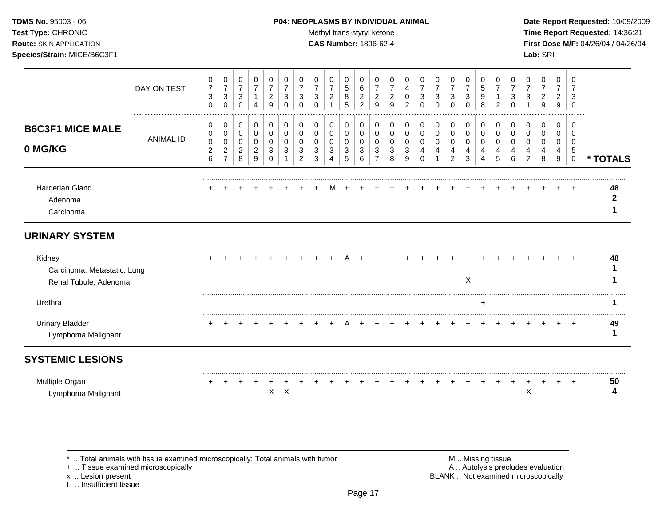### **TDMS No.** 95003 - 06 **P04: NEOPLASMS BY INDIVIDUAL ANIMAL** Date Report Requested: 10/09/2009

**Test Type:** CHRONIC **Trans-styryl ketone** Methyl trans-styryl ketone **Time Report Requested:** 14:36:21 **Route:** SKIN APPLICATION **CAS Number:** 1896-62-4 **First Dose M/F:** 04/26/04 / 04/26/04

|                                                                | DAY ON TEST      | 0<br>$\boldsymbol{7}$<br>3<br>$\Omega$ | 0<br>$\overline{7}$<br>$\mathbf{3}$<br>$\mathbf{0}$   | 0<br>$\overline{7}$<br>3<br>$\Omega$  | 0<br>$\overline{7}$<br>$\mathbf{1}$<br>$\overline{4}$               | 0<br>$\overline{7}$<br>$\boldsymbol{2}$<br>9 | 0<br>$\overline{7}$<br>3<br>$\Omega$ | 0<br>3<br>$\Omega$                | $\Omega$<br>$\overline{7}$<br>3<br>$\Omega$ | 0<br>$\overline{7}$<br>$\overline{c}$<br>$\overline{A}$ | 0<br>$\sqrt{5}$<br>8<br>5   | 0<br>6<br>$\overline{2}$<br>$\overline{2}$   | 0<br>$\overline{7}$<br>$\overline{c}$<br>9 | 0<br>$\overline{7}$<br>$\overline{c}$<br>9 | 0<br>4<br>0<br>2                     | 0<br>$\overline{7}$<br>3<br>$\Omega$ | 0<br>$\overline{7}$<br>3<br>$\Omega$ | 0<br>$\overline{7}$<br>$\sqrt{3}$<br>$\Omega$ | 0<br>$\overline{7}$<br>3<br>$\Omega$ | 0<br>$\sqrt{5}$<br>9<br>8          | $\mathbf 0$<br>$\overline{7}$<br>2   | 0<br>$\overline{7}$<br>3<br>$\Omega$ | 0<br>3                         | 0<br>$\overline{7}$<br>$\overline{2}$<br>9 | 0<br>$\overline{7}$<br>$\overline{2}$<br>9 | $\Omega$<br>3<br>$\Omega$                      |                    |
|----------------------------------------------------------------|------------------|----------------------------------------|-------------------------------------------------------|---------------------------------------|---------------------------------------------------------------------|----------------------------------------------|--------------------------------------|-----------------------------------|---------------------------------------------|---------------------------------------------------------|-----------------------------|----------------------------------------------|--------------------------------------------|--------------------------------------------|--------------------------------------|--------------------------------------|--------------------------------------|-----------------------------------------------|--------------------------------------|------------------------------------|--------------------------------------|--------------------------------------|--------------------------------|--------------------------------------------|--------------------------------------------|------------------------------------------------|--------------------|
| <b>B6C3F1 MICE MALE</b><br>0 MG/KG                             | <b>ANIMAL ID</b> | 0<br>0<br>0<br>$\overline{c}$          | $\,0\,$<br>$\pmb{0}$<br>$\mathbf 0$<br>$\overline{2}$ | 0<br>$\pmb{0}$<br>0<br>$\overline{c}$ | $\boldsymbol{0}$<br>$\pmb{0}$<br>$\boldsymbol{0}$<br>$\overline{c}$ | 0<br>$\pmb{0}$<br>0<br>3                     | 0<br>$\mathbf 0$<br>$\mathbf 0$<br>3 | 0<br>$\mathbf 0$<br>$\Omega$<br>3 | 0<br>0<br>$\Omega$<br>3                     | 0<br>$\pmb{0}$<br>$\mathbf 0$<br>3                      | 0<br>0<br>0<br>$\mathbf{3}$ | $\pmb{0}$<br>$\mathsf 0$<br>$\mathbf 0$<br>3 | 0<br>$\mathbf 0$<br>$\mathbf 0$<br>3       | 0<br>$\mathbf 0$<br>0<br>3                 | 0<br>$\mathbf 0$<br>$\mathbf 0$<br>3 | 0<br>$\mathbf 0$<br>$\mathbf 0$<br>4 | 0<br>$\pmb{0}$<br>$\mathbf 0$<br>4   | 0<br>$\pmb{0}$<br>0<br>4                      | 0<br>$\mathbf 0$<br>$\mathbf 0$<br>4 | 0<br>$\pmb{0}$<br>$\mathbf 0$<br>4 | 0<br>$\mathbf 0$<br>$\mathbf 0$<br>4 | 0<br>$\Omega$<br>$\Omega$<br>4       | 0<br>$\Omega$<br>$\Omega$<br>4 | 0<br>0<br>0<br>4                           | 0<br>0<br>0<br>4                           | $\Omega$<br>$\Omega$<br>$\Omega$<br>$\sqrt{5}$ |                    |
|                                                                |                  | 6                                      | $\overline{7}$                                        | 8                                     | $\boldsymbol{9}$                                                    | $\Omega$                                     |                                      | $\overline{2}$                    | 3                                           | 4                                                       | $\sqrt{5}$                  | 6                                            | 7                                          | 8                                          | 9                                    | ∩                                    |                                      | $\overline{c}$                                | 3                                    | 4                                  | 5                                    | 6                                    |                                | 8                                          | $\boldsymbol{9}$                           | $\pmb{0}$                                      | * TOTALS           |
| <b>Harderian Gland</b><br>Adenoma<br>Carcinoma                 |                  |                                        |                                                       |                                       |                                                                     |                                              |                                      |                                   |                                             |                                                         |                             |                                              |                                            |                                            |                                      |                                      |                                      |                                               |                                      |                                    |                                      |                                      |                                |                                            |                                            | $\div$                                         | 48<br>$\mathbf{2}$ |
| <b>URINARY SYSTEM</b>                                          |                  |                                        |                                                       |                                       |                                                                     |                                              |                                      |                                   |                                             |                                                         |                             |                                              |                                            |                                            |                                      |                                      |                                      |                                               |                                      |                                    |                                      |                                      |                                |                                            |                                            |                                                |                    |
| Kidney<br>Carcinoma, Metastatic, Lung<br>Renal Tubule, Adenoma |                  |                                        |                                                       |                                       |                                                                     |                                              |                                      |                                   |                                             |                                                         |                             |                                              |                                            |                                            |                                      |                                      |                                      |                                               | $\mathsf{X}$                         |                                    |                                      |                                      |                                |                                            |                                            |                                                | 48                 |
| Urethra                                                        |                  |                                        |                                                       |                                       |                                                                     |                                              |                                      |                                   |                                             |                                                         |                             |                                              |                                            |                                            |                                      |                                      |                                      |                                               |                                      |                                    |                                      |                                      |                                |                                            |                                            |                                                |                    |
| <b>Urinary Bladder</b><br>Lymphoma Malignant                   |                  |                                        |                                                       |                                       |                                                                     |                                              |                                      |                                   |                                             |                                                         |                             |                                              |                                            |                                            |                                      |                                      |                                      |                                               |                                      |                                    |                                      |                                      |                                |                                            |                                            | $^+$                                           | 49                 |
| <b>SYSTEMIC LESIONS</b>                                        |                  |                                        |                                                       |                                       |                                                                     |                                              |                                      |                                   |                                             |                                                         |                             |                                              |                                            |                                            |                                      |                                      |                                      |                                               |                                      |                                    |                                      |                                      |                                |                                            |                                            |                                                |                    |
| Multiple Organ<br>Lymphoma Malignant                           |                  |                                        |                                                       |                                       |                                                                     | $\mathsf{X}$                                 | $\mathsf{X}$                         |                                   |                                             |                                                         |                             |                                              |                                            |                                            |                                      |                                      |                                      |                                               |                                      |                                    |                                      |                                      | Χ                              |                                            |                                            | $\ddot{}$                                      | 50                 |
|                                                                |                  |                                        |                                                       |                                       |                                                                     |                                              |                                      |                                   |                                             |                                                         |                             |                                              |                                            |                                            |                                      |                                      |                                      |                                               |                                      |                                    |                                      |                                      |                                |                                            |                                            |                                                |                    |

+ .. Tissue examined microscopically

x .. Lesion present<br>I .. Insufficient tissue

\* .. Total animals with tissue examined microscopically; Total animals with tumor M .. Missing tissue M .. Missing tissue<br>
+ .. Tissue examined microscopically BLANK .. Not examined microscopically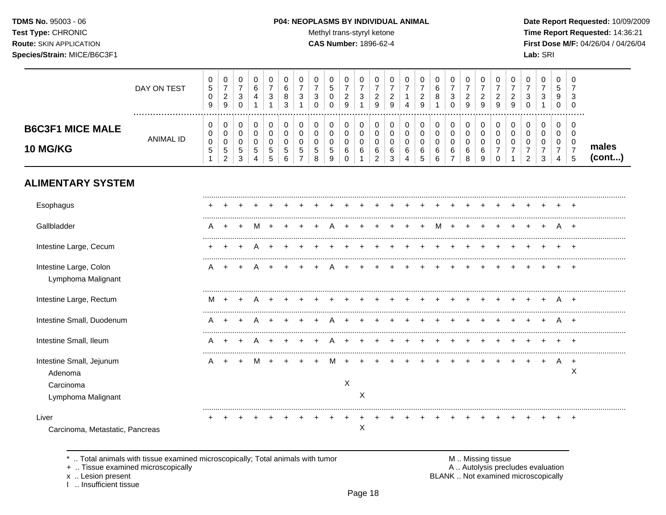TDMS No. 95003 - 06 Test Type: CHRONIC **Route: SKIN APPLICATION** Species/Strain: MICE/B6C3F1

#### P04: NEOPLASMS BY INDIVIDUAL ANIMAL

Methyl trans-styryl ketone

┰ ┱

┰

CAS Number: 1896-62-4

Date Report Requested: 10/09/2009 Time Report Requested: 14:36:21 First Dose M/F: 04/26/04 / 04/26/04 Lab: SRI

 $\overline{\phantom{a}}$ 

 $\overline{\phantom{a}}$ 

 $\top$  $\overline{\phantom{a}}$  $\overline{\phantom{a}}$  $\overline{\phantom{0}}$ 

|                                                                        | DAY ON TEST      | 0<br>5<br>0<br>9       | 0<br>$\boldsymbol{7}$<br>$\overline{2}$<br>$\boldsymbol{9}$    | 0<br>$\overline{7}$<br>3<br>$\mathbf 0$          | $\mathbf 0$<br>6<br>4<br>$\mathbf{1}$   | 0<br>$\overline{7}$<br>3<br>1          | 0<br>6<br>8<br>3                         | 0<br>$\overline{7}$<br>3                      | 0<br>$\overline{7}$<br>3<br>$\Omega$ | 0<br>$\sqrt{5}$<br>$\mathbf 0$<br>$\mathbf 0$ | 0<br>$\overline{7}$<br>$\overline{c}$<br>9 | 0<br>$\overline{7}$<br>3<br>$\mathbf{1}$ | 0<br>$\overline{7}$<br>$\overline{c}$<br>$\boldsymbol{9}$ | 0<br>$\overline{7}$<br>$\overline{c}$<br>9 | 0<br>$\overline{7}$<br>$\overline{4}$ | 0<br>$\overline{7}$<br>$\overline{\mathbf{c}}$<br>9 | 0<br>6<br>8                                            | 0<br>$\overline{7}$<br>$\mathbf{3}$<br>$\mathbf 0$   | 0<br>$\overline{7}$<br>$\overline{c}$<br>9    | 0<br>$\overline{7}$<br>$\overline{c}$<br>9 | 0<br>$\overline{7}$<br>$\overline{c}$<br>9          | 0<br>$\overline{7}$<br>$\overline{c}$<br>9 | 0<br>$\overline{7}$<br>3<br>$\mathbf 0$                   | $\pmb{0}$<br>$\boldsymbol{7}$<br>$\mathbf{3}$<br>1 | $\mathbf 0$<br>5<br>9<br>0                   | 0<br>7<br>3<br>$\mathbf 0$                   |                 |
|------------------------------------------------------------------------|------------------|------------------------|----------------------------------------------------------------|--------------------------------------------------|-----------------------------------------|----------------------------------------|------------------------------------------|-----------------------------------------------|--------------------------------------|-----------------------------------------------|--------------------------------------------|------------------------------------------|-----------------------------------------------------------|--------------------------------------------|---------------------------------------|-----------------------------------------------------|--------------------------------------------------------|------------------------------------------------------|-----------------------------------------------|--------------------------------------------|-----------------------------------------------------|--------------------------------------------|-----------------------------------------------------------|----------------------------------------------------|----------------------------------------------|----------------------------------------------|-----------------|
| <b>B6C3F1 MICE MALE</b><br><b>10 MG/KG</b>                             | <b>ANIMAL ID</b> | 0<br>0<br>$\,0\,$<br>5 | $\mathbf 0$<br>0<br>$\pmb{0}$<br>$\,$ 5 $\,$<br>$\overline{2}$ | 0<br>$\mathbf 0$<br>$\pmb{0}$<br>$\sqrt{5}$<br>3 | 0<br>$\mathbf 0$<br>$\pmb{0}$<br>5<br>4 | 0<br>$\Omega$<br>$\mathbf 0$<br>5<br>5 | 0<br>$\mathbf 0$<br>0<br>$\sqrt{5}$<br>6 | 0<br>$\mathbf{0}$<br>0<br>5<br>$\overline{7}$ | 0<br>$\mathbf 0$<br>0<br>5<br>8      | 0<br>0<br>$\mathbf 0$<br>$\sqrt{5}$<br>9      | 0<br>$\mathbf 0$<br>0<br>6<br>0            | 0<br>$\mathbf 0$<br>$\,0\,$<br>6<br>1    | 0<br>$\mathbf 0$<br>0<br>$\,6$<br>$\overline{2}$          | 0<br>$\mathbf 0$<br>0<br>6<br>3            | 0<br>$\mathbf 0$<br>0<br>6<br>4       | 0<br>$\mathbf 0$<br>0<br>$\,6\,$<br>5               | $\pmb{0}$<br>$\mathsf 0$<br>$\boldsymbol{0}$<br>6<br>6 | 0<br>$\mathbf 0$<br>$\pmb{0}$<br>6<br>$\overline{7}$ | 0<br>$\mathbf 0$<br>$\pmb{0}$<br>$\,6\,$<br>8 | 0<br>$\mathbf 0$<br>0<br>$\,6$<br>9        | 0<br>$\mathbf 0$<br>0<br>$\overline{7}$<br>$\Omega$ | 0<br>$\Omega$<br>0                         | 0<br>$\mathbf 0$<br>0<br>$\overline{7}$<br>$\overline{2}$ | 0<br>0<br>0<br>$\overline{7}$<br>3                 | 0<br>$\mathbf 0$<br>0<br>$\overline{7}$<br>4 | 0<br>$\mathbf 0$<br>0<br>$\overline{7}$<br>5 | males<br>(cont) |
| <b>ALIMENTARY SYSTEM</b>                                               |                  |                        |                                                                |                                                  |                                         |                                        |                                          |                                               |                                      |                                               |                                            |                                          |                                                           |                                            |                                       |                                                     |                                                        |                                                      |                                               |                                            |                                                     |                                            |                                                           |                                                    |                                              |                                              |                 |
| Esophagus                                                              |                  |                        |                                                                |                                                  |                                         |                                        |                                          |                                               |                                      |                                               |                                            |                                          |                                                           |                                            |                                       |                                                     |                                                        |                                                      |                                               |                                            |                                                     |                                            |                                                           |                                                    |                                              |                                              |                 |
| Gallbladder                                                            |                  | Α                      |                                                                |                                                  | м                                       |                                        |                                          |                                               |                                      |                                               |                                            |                                          |                                                           |                                            |                                       |                                                     | м                                                      |                                                      |                                               |                                            |                                                     |                                            |                                                           |                                                    |                                              |                                              |                 |
| Intestine Large, Cecum                                                 |                  |                        |                                                                |                                                  |                                         |                                        |                                          |                                               |                                      |                                               |                                            |                                          |                                                           |                                            |                                       |                                                     |                                                        |                                                      |                                               |                                            |                                                     |                                            |                                                           |                                                    |                                              |                                              |                 |
| Intestine Large, Colon<br>Lymphoma Malignant                           |                  | A                      | $\overline{ }$                                                 | $\pm$                                            | Α                                       |                                        |                                          |                                               |                                      |                                               |                                            |                                          |                                                           |                                            |                                       |                                                     |                                                        |                                                      |                                               |                                            |                                                     |                                            |                                                           |                                                    |                                              |                                              |                 |
| Intestine Large, Rectum                                                |                  | м                      | $\div$                                                         |                                                  |                                         |                                        |                                          |                                               |                                      |                                               |                                            |                                          |                                                           |                                            |                                       |                                                     |                                                        |                                                      |                                               |                                            |                                                     |                                            |                                                           |                                                    |                                              | $\overline{ }$                               |                 |
| Intestine Small, Duodenum                                              |                  | A                      |                                                                |                                                  |                                         |                                        |                                          |                                               |                                      |                                               |                                            |                                          |                                                           |                                            |                                       |                                                     |                                                        |                                                      |                                               |                                            |                                                     |                                            |                                                           |                                                    |                                              | $\overline{ }$                               |                 |
| Intestine Small, Ileum                                                 |                  | Α                      |                                                                |                                                  |                                         |                                        |                                          |                                               |                                      |                                               |                                            |                                          |                                                           |                                            |                                       |                                                     |                                                        |                                                      |                                               |                                            |                                                     |                                            |                                                           |                                                    |                                              |                                              |                 |
| Intestine Small, Jejunum<br>Adenoma<br>Carcinoma<br>Lymphoma Malignant |                  | A                      |                                                                |                                                  | м                                       |                                        |                                          |                                               |                                      | м                                             | $\times$                                   | X                                        |                                                           |                                            |                                       |                                                     |                                                        |                                                      |                                               |                                            |                                                     |                                            |                                                           |                                                    | A                                            | $\ddot{}$<br>Χ                               |                 |
| Liver<br>Carcinoma, Metastatic, Pancreas                               |                  |                        |                                                                |                                                  |                                         |                                        |                                          |                                               |                                      |                                               |                                            | X                                        |                                                           |                                            |                                       |                                                     |                                                        |                                                      |                                               |                                            |                                                     |                                            |                                                           |                                                    |                                              | $\ddot{}$                                    |                 |

.. Total animals with tissue examined microscopically; Total animals with tumor  $\star$ 

 $\top$  $\overline{\phantom{0}}$ 

+ .. Tissue examined microscopically

x .. Lesion present<br>I .. Insufficient tissue

M .. Missing tissue<br>A .. Autolysis precludes evaluation BLANK .. Not examined microscopically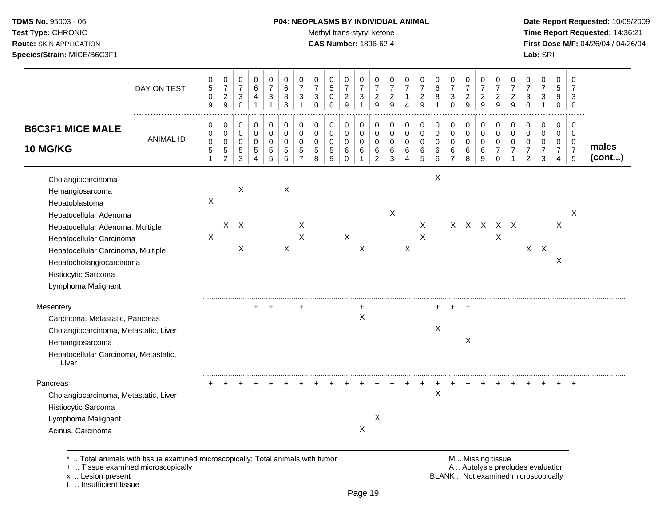### **TDMS No.** 95003 - 06 **P04: NEOPLASMS BY INDIVIDUAL ANIMAL** Date Report Requested: 10/09/2009

Test Type: CHRONIC **Test Type:** CHRONIC **Test Type:** CHRONIC **Time Report Requested:** 14:36:21 **Route:** SKIN APPLICATION **CAS Number:** 1896-62-4 **First Dose M/F:** 04/26/04 / 04/26/04

| DAY ON TEST                                                                                                                                                                                                                                                      | 0<br>$\,$ 5 $\,$<br>$\mathbf 0$<br>9                           | 0<br>$\boldsymbol{7}$<br>$\overline{a}$<br>9                 | 0<br>$\boldsymbol{7}$<br>$\ensuremath{\mathsf{3}}$<br>$\mathbf 0$ | 0<br>$\,6$<br>4<br>$\mathbf{1}$             | 0<br>$\overline{7}$<br>3<br>$\mathbf{1}$  | $\Omega$<br>$\,6$<br>8<br>3                                | 0<br>$\overline{7}$<br>3<br>$\mathbf{1}$               | 0<br>$\overline{7}$<br>3<br>$\mathbf 0$         | 0<br>5<br>$\mathbf 0$<br>$\mathbf 0$    | 0<br>$\boldsymbol{7}$<br>$\overline{2}$<br>9 | $\Omega$<br>$\overline{7}$<br>3<br>$\mathbf{1}$          | 0<br>$\overline{7}$<br>$\overline{c}$<br>9                 | 0<br>$\boldsymbol{7}$<br>$\overline{c}$<br>9 | 0<br>$\overline{7}$<br>$\mathbf{1}$<br>$\overline{4}$        | 0<br>$\overline{7}$<br>$\overline{a}$<br>9 | 0<br>$\,6$<br>8<br>$\overline{1}$               | 0<br>$\boldsymbol{7}$<br>3<br>$\mathbf 0$ | 0<br>$\overline{7}$<br>$\overline{c}$<br>9            | $\Omega$<br>$\overline{7}$<br>$\overline{2}$<br>9   | 0<br>$\overline{7}$<br>$\overline{2}$<br>9                       | 0<br>$\overline{7}$<br>$\overline{c}$<br>9           | 0<br>$\overline{7}$<br>$\sqrt{3}$<br>$\mathbf 0$          | 0<br>$\boldsymbol{7}$<br>$\ensuremath{\mathsf{3}}$<br>$\mathbf{1}$ | $\Omega$<br>$\sqrt{5}$<br>9<br>$\mathbf 0$             | $\Omega$<br>7<br>3<br>$\mathbf 0$                            |                 |
|------------------------------------------------------------------------------------------------------------------------------------------------------------------------------------------------------------------------------------------------------------------|----------------------------------------------------------------|--------------------------------------------------------------|-------------------------------------------------------------------|---------------------------------------------|-------------------------------------------|------------------------------------------------------------|--------------------------------------------------------|-------------------------------------------------|-----------------------------------------|----------------------------------------------|----------------------------------------------------------|------------------------------------------------------------|----------------------------------------------|--------------------------------------------------------------|--------------------------------------------|-------------------------------------------------|-------------------------------------------|-------------------------------------------------------|-----------------------------------------------------|------------------------------------------------------------------|------------------------------------------------------|-----------------------------------------------------------|--------------------------------------------------------------------|--------------------------------------------------------|--------------------------------------------------------------|-----------------|
| <b>B6C3F1 MICE MALE</b><br><b>ANIMAL ID</b><br><b>10 MG/KG</b>                                                                                                                                                                                                   | 0<br>$\mathbf 0$<br>$\mathbf 0$<br>$\mathbf 5$<br>$\mathbf{1}$ | 0<br>$\pmb{0}$<br>$\pmb{0}$<br>$\,$ 5 $\,$<br>$\overline{2}$ | 0<br>0<br>$\mathbf 0$<br>$\,$ 5 $\,$<br>$\mathfrak{Z}$            | 0<br>0<br>0<br>$\sqrt{5}$<br>$\overline{4}$ | 0<br>$\mathbf 0$<br>$\mathbf 0$<br>5<br>5 | $\pmb{0}$<br>$\mathbf 0$<br>$\mathbf 0$<br>$\sqrt{5}$<br>6 | 0<br>$\mathbf 0$<br>$\mathbf 0$<br>5<br>$\overline{7}$ | 0<br>$\pmb{0}$<br>$\pmb{0}$<br>$\,$ 5 $\,$<br>8 | 0<br>0<br>$\pmb{0}$<br>$\,$ 5 $\,$<br>9 | 0<br>0<br>0<br>6<br>$\mathbf 0$              | 0<br>$\mathbf 0$<br>$\mathbf 0$<br>$\,6$<br>$\mathbf{1}$ | 0<br>$\mathbf 0$<br>$\mathbf 0$<br>$\,6$<br>$\overline{c}$ | 0<br>0<br>0<br>6<br>$\mathbf{3}$             | 0<br>$\mathbf 0$<br>$\mathbf 0$<br>$\,6\,$<br>$\overline{4}$ | 0<br>$\pmb{0}$<br>$\pmb{0}$<br>6<br>5      | 0<br>$\mathbf 0$<br>$\mathsf 0$<br>6<br>$\,6\,$ | 0<br>0<br>0<br>6<br>$\overline{7}$        | 0<br>$\mathbf 0$<br>$\mathbf 0$<br>$\,6\,$<br>$\,8\,$ | $\mathbf 0$<br>$\mathbf 0$<br>$\mathbf 0$<br>6<br>9 | 0<br>$\mathbf 0$<br>$\mathbf 0$<br>$\overline{7}$<br>$\mathbf 0$ | 0<br>$\pmb{0}$<br>$\mathbf 0$<br>$\overline{7}$<br>1 | 0<br>0<br>$\pmb{0}$<br>$\boldsymbol{7}$<br>$\overline{c}$ | 0<br>0<br>$\mathbf 0$<br>$\boldsymbol{7}$<br>$\mathbf{3}$          | $\mathbf 0$<br>$\mathbf 0$<br>0<br>$\overline{7}$<br>4 | $\overline{0}$<br>$\overline{0}$<br>0<br>$\overline{7}$<br>5 | males<br>(cont) |
| Cholangiocarcinoma<br>Hemangiosarcoma<br>Hepatoblastoma<br>Hepatocellular Adenoma<br>Hepatocellular Adenoma, Multiple<br>Hepatocellular Carcinoma<br>Hepatocellular Carcinoma, Multiple<br>Hepatocholangiocarcinoma<br>Histiocytic Sarcoma<br>Lymphoma Malignant | X<br>X                                                         |                                                              | X<br>$X$ $X$<br>X                                                 |                                             |                                           | $\boldsymbol{\mathsf{X}}$<br>X                             | X<br>$\boldsymbol{\mathsf{X}}$                         |                                                 |                                         | $\mathsf X$                                  | X                                                        |                                                            | X                                            | X                                                            | X<br>$\pmb{\times}$                        | $\boldsymbol{\mathsf{X}}$                       |                                           |                                                       |                                                     | x x x x x<br>X                                                   |                                                      |                                                           | $X$ $X$                                                            | X<br>X                                                 | X                                                            |                 |
| Mesentery<br>Carcinoma, Metastatic, Pancreas<br>Cholangiocarcinoma, Metastatic, Liver<br>Hemangiosarcoma<br>Hepatocellular Carcinoma, Metastatic,<br>Liver                                                                                                       |                                                                |                                                              |                                                                   |                                             | $\overline{ }$                            |                                                            |                                                        |                                                 |                                         |                                              | +<br>$\boldsymbol{\mathsf{X}}$                           |                                                            |                                              |                                                              |                                            | +<br>Χ                                          |                                           | $\overline{ }$<br>X                                   |                                                     |                                                                  |                                                      |                                                           |                                                                    |                                                        |                                                              |                 |
| Pancreas<br>Cholangiocarcinoma, Metastatic, Liver<br>Histiocytic Sarcoma<br>Lymphoma Malignant<br>Acinus, Carcinoma                                                                                                                                              |                                                                |                                                              |                                                                   |                                             |                                           |                                                            |                                                        |                                                 |                                         |                                              | X                                                        | X                                                          |                                              |                                                              |                                            | X                                               |                                           |                                                       |                                                     |                                                                  |                                                      |                                                           |                                                                    |                                                        |                                                              |                 |

I .. Insufficient tissue

Page 19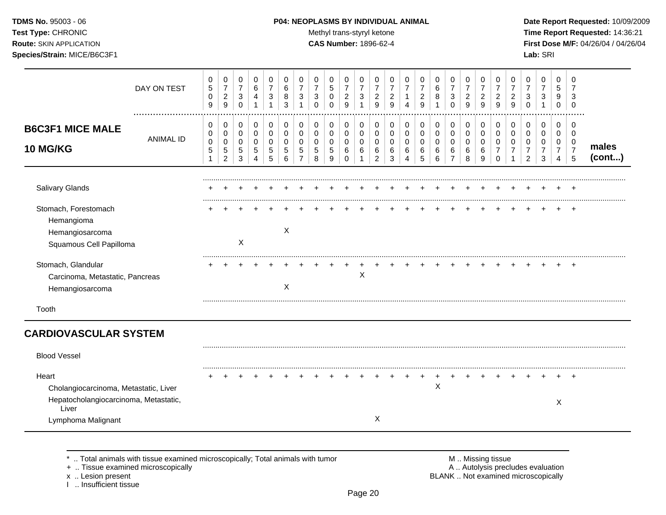### **TDMS No.** 95003 - 06 **P04: NEOPLASMS BY INDIVIDUAL ANIMAL** Date Report Requested: 10/09/2009

Test Type: CHRONIC **Test Type:** CHRONIC **Test Type:** CHRONIC **Time Report Requested:** 14:36:21 **Route:** SKIN APPLICATION **CAS Number:** 1896-62-4 **First Dose M/F:** 04/26/04 / 04/26/04

|                                                                                                                        | DAY ON TEST      | 0<br>$\sqrt{5}$<br>0<br>9           | 0<br>$\boldsymbol{7}$<br>$\overline{2}$<br>$\boldsymbol{9}$ | 0<br>$\overline{7}$<br>$\mathbf{3}$<br>$\mathbf 0$ | 0<br>$\,6\,$<br>4<br>1                  | 0<br>$\overline{7}$<br>3<br>1          | 0<br>6<br>8<br>3             | 0<br>$\overline{7}$<br>3 | 0<br>$\overline{7}$<br>3<br>$\Omega$ | 0<br>$5\phantom{.0}$<br>0<br>$\Omega$    | 0<br>$\overline{7}$<br>$\overline{a}$<br>9 | 0<br>$\overline{7}$<br>3<br>1 | 0<br>$\overline{7}$<br>$\overline{2}$<br>9 | 0<br>$\overline{7}$<br>$\overline{2}$<br>9 | 0<br>$\overline{7}$<br>4                | 0<br>$\overline{7}$<br>$\overline{c}$<br>9 | 0<br>6<br>8                   | 0<br>$\overline{7}$<br>3<br>$\Omega$                        | 0<br>$\overline{7}$<br>$\overline{c}$<br>9 | 0<br>$\overline{7}$<br>2<br>9          | 0<br>$\overline{7}$<br>2<br>9      | 0<br>$\overline{7}$<br>$\overline{c}$<br>9 | 0<br>$\overline{7}$<br>3<br>$\Omega$         | 0<br>$\overline{7}$<br>$\mathbf{3}$ | 0<br>5<br>9<br>0                             | 0<br>$\overline{7}$<br>3<br>0                |                 |
|------------------------------------------------------------------------------------------------------------------------|------------------|-------------------------------------|-------------------------------------------------------------|----------------------------------------------------|-----------------------------------------|----------------------------------------|------------------------------|--------------------------|--------------------------------------|------------------------------------------|--------------------------------------------|-------------------------------|--------------------------------------------|--------------------------------------------|-----------------------------------------|--------------------------------------------|-------------------------------|-------------------------------------------------------------|--------------------------------------------|----------------------------------------|------------------------------------|--------------------------------------------|----------------------------------------------|-------------------------------------|----------------------------------------------|----------------------------------------------|-----------------|
| <b>B6C3F1 MICE MALE</b><br><b>10 MG/KG</b>                                                                             | <b>ANIMAL ID</b> | 0<br>0<br>$\mathbf 0$<br>$\sqrt{5}$ | 0<br>$\pmb{0}$<br>0<br>$\sqrt{5}$<br>$\overline{c}$         | 0<br>$\mathbf 0$<br>$\mathbf 0$<br>5<br>3          | 0<br>$\pmb{0}$<br>$\mathbf 0$<br>5<br>4 | 0<br>$\mathbf 0$<br>$\Omega$<br>5<br>5 | 0<br>0<br>$\Omega$<br>5<br>6 | 0<br>0<br>$\Omega$<br>5  | 0<br>0<br>0<br>5<br>8                | 0<br>$\mathbf 0$<br>0<br>$\sqrt{5}$<br>9 | 0<br>$\mathbf 0$<br>$\mathbf 0$<br>6<br>0  | 0<br>$\pmb{0}$<br>0<br>6<br>1 | 0<br>0<br>$\Omega$<br>6<br>$\overline{c}$  | 0<br>0<br>$\Omega$<br>6<br>3               | 0<br>$\pmb{0}$<br>$\mathbf 0$<br>6<br>4 | 0<br>0<br>$\mathbf 0$<br>6<br>5            | 0<br>$\pmb{0}$<br>0<br>6<br>6 | 0<br>$\boldsymbol{0}$<br>$\mathbf 0$<br>6<br>$\overline{7}$ | 0<br>$\pmb{0}$<br>$\mathbf 0$<br>6<br>8    | 0<br>$\mathbf 0$<br>$\Omega$<br>6<br>9 | 0<br>0<br>0<br>$\overline{7}$<br>0 | 0<br>$\mathbf 0$<br>$\Omega$<br>7          | 0<br>0<br>$\mathbf 0$<br>$\overline{7}$<br>2 | 0<br>0<br>0<br>$\overline{7}$<br>3  | 0<br>$\mathbf 0$<br>0<br>$\overline{7}$<br>4 | 0<br>$\mathbf 0$<br>0<br>$\overline{7}$<br>5 | males<br>(cont) |
| Salivary Glands                                                                                                        |                  |                                     |                                                             |                                                    |                                         |                                        |                              |                          |                                      |                                          |                                            |                               |                                            |                                            |                                         |                                            |                               |                                                             |                                            |                                        |                                    |                                            |                                              |                                     |                                              |                                              |                 |
| Stomach, Forestomach<br>Hemangioma<br>Hemangiosarcoma<br>Squamous Cell Papilloma                                       |                  |                                     |                                                             | X                                                  |                                         |                                        | X                            |                          |                                      |                                          |                                            |                               |                                            |                                            |                                         |                                            |                               |                                                             |                                            |                                        |                                    |                                            |                                              |                                     |                                              |                                              |                 |
| Stomach, Glandular<br>Carcinoma, Metastatic, Pancreas<br>Hemangiosarcoma                                               |                  |                                     |                                                             |                                                    |                                         |                                        | X                            |                          |                                      |                                          |                                            | X                             |                                            |                                            |                                         |                                            |                               |                                                             |                                            |                                        |                                    |                                            |                                              |                                     |                                              |                                              |                 |
| Tooth                                                                                                                  |                  |                                     |                                                             |                                                    |                                         |                                        |                              |                          |                                      |                                          |                                            |                               |                                            |                                            |                                         |                                            |                               |                                                             |                                            |                                        |                                    |                                            |                                              |                                     |                                              |                                              |                 |
| <b>CARDIOVASCULAR SYSTEM</b>                                                                                           |                  |                                     |                                                             |                                                    |                                         |                                        |                              |                          |                                      |                                          |                                            |                               |                                            |                                            |                                         |                                            |                               |                                                             |                                            |                                        |                                    |                                            |                                              |                                     |                                              |                                              |                 |
| <b>Blood Vessel</b>                                                                                                    |                  |                                     |                                                             |                                                    |                                         |                                        |                              |                          |                                      |                                          |                                            |                               |                                            |                                            |                                         |                                            |                               |                                                             |                                            |                                        |                                    |                                            |                                              |                                     |                                              |                                              |                 |
| Heart<br>Cholangiocarcinoma, Metastatic, Liver<br>Hepatocholangiocarcinoma, Metastatic,<br>Liver<br>Lymphoma Malignant |                  |                                     |                                                             |                                                    |                                         |                                        |                              |                          |                                      |                                          |                                            |                               | X                                          |                                            |                                         |                                            | X                             |                                                             |                                            |                                        |                                    |                                            |                                              |                                     | X                                            |                                              |                 |

\* .. Total animals with tissue examined microscopically; Total animals with tumor **M** metally more than M .. Missing tissue<br>  $\blacksquare$  Tissue examined microscopically

+ .. Tissue examined microscopically

x .. Lesion present<br>I .. Insufficient tissue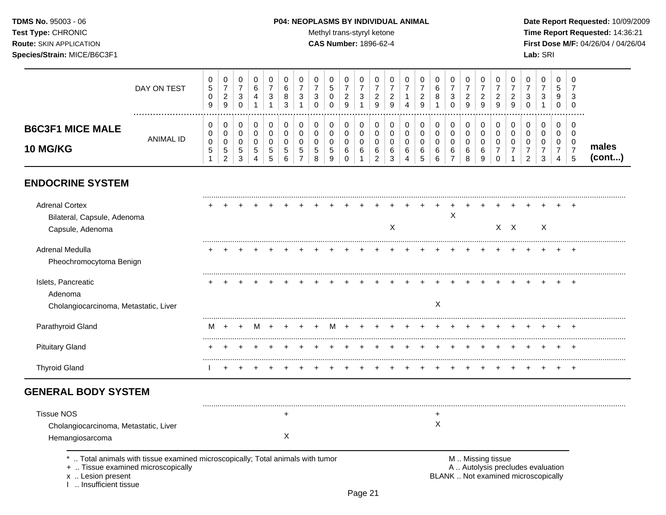### **TDMS No.** 95003 - 06 **P04: NEOPLASMS BY INDIVIDUAL ANIMAL** Date Report Requested: 10/09/2009

Test Type: CHRONIC **Test Type:** CHRONIC **Test Type:** CHRONIC **Time Report Requested:** 14:36:21 **Route:** SKIN APPLICATION **CAS Number:** 1896-62-4 **First Dose M/F:** 04/26/04 / 04/26/04

|                                                                          | DAY ON TEST      | 0<br>5<br>0<br>$\boldsymbol{9}$ | 0<br>$\overline{7}$<br>$\overline{c}$<br>9  | 0<br>7<br>3<br>$\Omega$ | 0<br>$\,6\,$<br>4                                            | 0<br>$\overline{7}$<br>3      | 0<br>6<br>8<br>3              | 0<br>$\overline{7}$<br>3<br>1  | 0<br>$\overline{7}$<br>3<br>ი | 0<br>5<br>0                  | 0<br>$\overline{7}$<br>$\overline{c}$<br>$\mathbf{Q}$ | 0<br>7<br>3      | 0<br>7<br>$\overline{c}$<br>9 | 0<br>$\overline{2}$<br>9 | 0<br>4                          | 0<br>$\overline{c}$<br>9 | 0<br>6<br>8           | 0<br>7<br>3<br>$\Omega$            | 0<br>$\overline{7}$<br>$\overline{2}$<br>9 | 0<br>$\overline{7}$<br>$\overline{2}$<br>9 | 0<br>$\overline{7}$<br>$\overline{2}$<br>9 | 0<br>2<br>9        | 0<br>3<br>0              | 0                         | 0<br>5<br>9<br>$\Omega$            | 0<br>7<br>3<br>$\Omega$            |                 |
|--------------------------------------------------------------------------|------------------|---------------------------------|---------------------------------------------|-------------------------|--------------------------------------------------------------|-------------------------------|-------------------------------|--------------------------------|-------------------------------|------------------------------|-------------------------------------------------------|------------------|-------------------------------|--------------------------|---------------------------------|--------------------------|-----------------------|------------------------------------|--------------------------------------------|--------------------------------------------|--------------------------------------------|--------------------|--------------------------|---------------------------|------------------------------------|------------------------------------|-----------------|
| <b>B6C3F1 MICE MALE</b><br>10 MG/KG                                      | <b>ANIMAL ID</b> | 0<br>0<br>0<br>5<br>1           | 0<br>0<br>0<br>$\sqrt{5}$<br>$\overline{2}$ | 0<br>0<br>0<br>5<br>3   | 0<br>$\pmb{0}$<br>0<br>$\sqrt{5}$<br>$\overline{\mathbf{4}}$ | 0<br>$\pmb{0}$<br>0<br>5<br>5 | 0<br>$\pmb{0}$<br>0<br>5<br>6 | 0<br>$\Omega$<br>$\Omega$<br>5 | 0<br>0<br>5<br>8              | 0<br>0<br>$\Omega$<br>5<br>9 | 0<br>0<br>0<br>6<br>$\Omega$                          | 0<br>0<br>0<br>6 | 0<br>0<br>0<br>6<br>2         | 0<br>0<br>0<br>6<br>3    | 0<br>$\mathbf 0$<br>0<br>6<br>4 | 0<br>0<br>0<br>6<br>5    | 0<br>0<br>0<br>6<br>6 | 0<br>0<br>0<br>6<br>$\overline{7}$ | 0<br>$\mathbf 0$<br>0<br>6<br>8            | 0<br>0<br>0<br>6<br>9                      | 0<br>0<br>$\mathbf 0$<br>7<br>$\Omega$     | 0<br>0<br>$\Omega$ | 0<br>0<br>$\overline{2}$ | 0<br>0<br>3               | 0<br>0<br>0<br>$\overline{7}$<br>4 | 0<br>0<br>0<br>$\overline{7}$<br>5 | males<br>(cont) |
| <b>ENDOCRINE SYSTEM</b>                                                  |                  |                                 |                                             |                         |                                                              |                               |                               |                                |                               |                              |                                                       |                  |                               |                          |                                 |                          |                       |                                    |                                            |                                            |                                            |                    |                          |                           |                                    |                                    |                 |
| <b>Adrenal Cortex</b><br>Bilateral, Capsule, Adenoma<br>Capsule, Adenoma |                  |                                 |                                             |                         |                                                              |                               |                               |                                |                               |                              |                                                       |                  |                               | X                        |                                 |                          |                       | X                                  |                                            |                                            |                                            | $X$ $X$            |                          | $\boldsymbol{\mathsf{X}}$ |                                    |                                    |                 |
| Adrenal Medulla<br>Pheochromocytoma Benign                               |                  |                                 |                                             |                         |                                                              |                               |                               |                                |                               |                              |                                                       |                  |                               |                          |                                 |                          |                       |                                    |                                            |                                            |                                            |                    |                          |                           |                                    | $\div$                             |                 |
| Islets, Pancreatic<br>Adenoma<br>Cholangiocarcinoma, Metastatic, Liver   |                  |                                 |                                             |                         |                                                              |                               |                               |                                |                               |                              |                                                       |                  |                               |                          |                                 |                          | $\mathsf X$           |                                    |                                            |                                            |                                            |                    |                          |                           |                                    |                                    |                 |
| Parathyroid Gland                                                        |                  | M                               |                                             |                         |                                                              |                               |                               |                                |                               |                              |                                                       |                  |                               |                          |                                 |                          |                       |                                    |                                            |                                            |                                            |                    |                          |                           |                                    |                                    |                 |
| <b>Pituitary Gland</b>                                                   |                  |                                 |                                             |                         |                                                              |                               |                               |                                |                               |                              |                                                       |                  |                               |                          |                                 |                          |                       |                                    |                                            |                                            |                                            |                    |                          |                           |                                    | $\pm$                              |                 |
| <b>Thyroid Gland</b>                                                     |                  |                                 |                                             |                         |                                                              |                               |                               |                                |                               |                              |                                                       |                  |                               |                          |                                 |                          |                       |                                    |                                            |                                            |                                            |                    |                          |                           |                                    |                                    |                 |
| <b>GENERAL BODY SYSTEM</b>                                               |                  |                                 |                                             |                         |                                                              |                               |                               |                                |                               |                              |                                                       |                  |                               |                          |                                 |                          |                       |                                    |                                            |                                            |                                            |                    |                          |                           |                                    |                                    |                 |

| <b>Tissue NOS</b>                     |  |  |
|---------------------------------------|--|--|
| Cholangiocarcinoma, Metastatic, Liver |  |  |
| Hemangiosarcoma                       |  |  |

\* .. Total animals with tissue examined microscopically; Total animals with tumor M .. Missing tissue M .. Missing tissue<br>
+ .. Tissue examined microscopically

+ .. Tissue examined microscopically

x .. Lesion present<br>I .. Insufficient tissue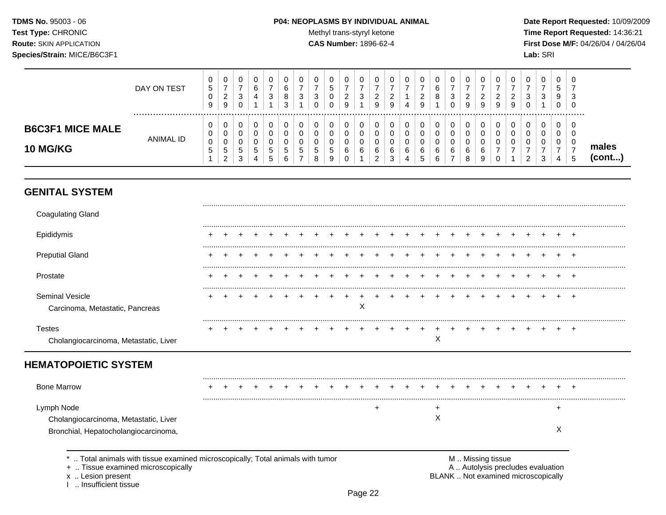### **TDMS No.** 95003 - 06 **P04: NEOPLASMS BY INDIVIDUAL ANIMAL** Date Report Requested: 10/09/2009

Test Type: CHRONIC **Test Type:** CHRONIC **Test Type:** CHRONIC **Time Report Requested:** 14:36:21 **Route:** SKIN APPLICATION **CAS Number:** 1896-62-4 **First Dose M/F:** 04/26/04 / 04/26/04

|                                            | DAY ON TEST<br> | υ<br>$\mathbf{p}$<br>9 | 0<br>-<br>ົ<br>∠<br>9                 | ت                 | v<br>6<br>4           | 3      | 0<br>$\sim$<br>6<br>8<br>3 | 0<br>ີ<br>◡                 | U<br>3                | U<br>∽<br>್ರ<br>U      | ົ<br><u>_</u><br>9 | U<br>3           | C | υ<br>◠<br>9 | v<br>4  | J<br>ີ<br><u>.</u><br>9 | U<br>v<br>8                          | 0<br>-<br>3<br>0      | U<br>ົ<br>$\epsilon$<br>9 | ຳ<br>∠<br>9 | <b>U</b><br>ົ<br>9 | a | U<br>າ<br>ت<br>J | $\sim$<br>J | $\mathbf{0}$<br><sub>5</sub><br>9<br>0 | 0<br>-<br>ົ<br>ັບ<br>0 |                 |
|--------------------------------------------|-----------------|------------------------|---------------------------------------|-------------------|-----------------------|--------|----------------------------|-----------------------------|-----------------------|------------------------|--------------------|------------------|---|-------------|---------|-------------------------|--------------------------------------|-----------------------|---------------------------|-------------|--------------------|---|------------------|-------------|----------------------------------------|------------------------|-----------------|
| <b>B6C3F1 MICE MALE</b><br><b>10 MG/KG</b> | ANIMAL ID       | U<br>υ<br>0<br>IJ      | 0<br>0<br>0<br>$\mathbf{p}$<br>ົ<br>∠ | ັ<br>5.<br>◠<br>د | 0<br>v<br>J<br>5<br>4 | G<br>১ | 0<br>0<br>0<br>ა<br>6      | 0<br>U<br>∩<br>U<br>C.<br>- | U<br>u<br>u<br>G<br>8 | υ<br>v<br>v<br>.5<br>9 | 6                  | 0<br>υ<br>υ<br>6 |   | 0<br>6<br>◡ | -6<br>4 | C<br>6<br>-<br>∽        | 0<br>U<br>U<br>$\sim$<br>6<br>$\sim$ | 0<br>0<br>0<br>6<br>- | U<br>U<br>U<br>6<br>8     | c<br>9      |                    |   | u<br>u<br>$\sim$ | J           | $\mathbf{0}$<br>0<br>0<br>4            | 0<br>0<br>0<br>G       | males<br>(cont) |

### **GENITAL SYSTEM**

| <b>Coagulating Gland</b>                               |  |  |  |  |  |   |   |  |   |  |  |  |  |  |
|--------------------------------------------------------|--|--|--|--|--|---|---|--|---|--|--|--|--|--|
| Epididymis                                             |  |  |  |  |  |   |   |  |   |  |  |  |  |  |
| <b>Preputial Gland</b>                                 |  |  |  |  |  |   |   |  |   |  |  |  |  |  |
| Prostate                                               |  |  |  |  |  |   |   |  |   |  |  |  |  |  |
| Seminal Vesicle<br>Carcinoma, Metastatic, Pancreas     |  |  |  |  |  | Χ |   |  |   |  |  |  |  |  |
| <b>Testes</b><br>Cholangiocarcinoma, Metastatic, Liver |  |  |  |  |  |   |   |  | X |  |  |  |  |  |
|                                                        |  |  |  |  |  |   |   |  |   |  |  |  |  |  |
| <b>HEMATOPOIETIC SYSTEM</b>                            |  |  |  |  |  |   |   |  |   |  |  |  |  |  |
| <b>Bone Marrow</b>                                     |  |  |  |  |  |   |   |  |   |  |  |  |  |  |
| Lymph Node                                             |  |  |  |  |  |   | ÷ |  | ÷ |  |  |  |  |  |

x .. Lesion present<br>I .. Insufficient tissue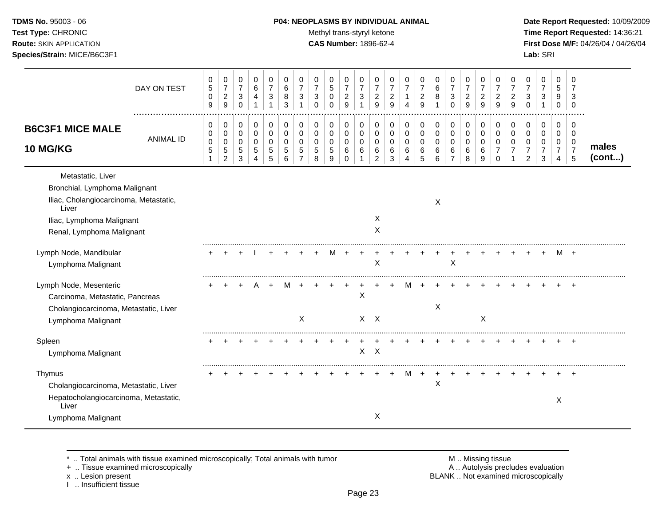### **TDMS No.** 95003 - 06 **P04: NEOPLASMS BY INDIVIDUAL ANIMAL** Date Report Requested: 10/09/2009

Test Type: CHRONIC **Test Type:** CHRONIC **Test Type:** CHRONIC **Time Report Requested:** 14:36:21 **Route:** SKIN APPLICATION **CAS Number:** 1896-62-4 **First Dose M/F:** 04/26/04 / 04/26/04

|                                                                                                                                                                 | DAY ON TEST      | 0<br>$\mathbf 5$<br>0<br>9      | 0<br>$\boldsymbol{7}$<br>$\overline{\mathbf{c}}$<br>$\mathsf g$ | 0<br>$\boldsymbol{7}$<br>3<br>$\pmb{0}$            | 0<br>$\,6$<br>4<br>1  | 0<br>$\overline{7}$<br>3<br>$\mathbf{1}$ | 0<br>6<br>8<br>3      | 0<br>$\overline{7}$<br>3<br>1 | 0<br>$\overline{7}$<br>3<br>$\Omega$    | 0<br>5<br>$\pmb{0}$<br>$\overline{0}$ | 0<br>$\boldsymbol{7}$<br>$\overline{c}$<br>9 | 0<br>$\boldsymbol{7}$<br>$\ensuremath{\mathsf{3}}$<br>1 | 0<br>$\overline{7}$<br>$\overline{c}$<br>9 | 0<br>$\overline{7}$<br>$\overline{c}$<br>9 | 0<br>$\overline{7}$<br>1<br>4 | 0<br>$\overline{7}$<br>$\overline{\mathbf{c}}$<br>9 | 0<br>$\,6\,$<br>8<br>1                | 0<br>$\overline{7}$<br>3<br>$\Omega$ | 0<br>$\overline{7}$<br>$\overline{c}$<br>9 | 0<br>$\overline{7}$<br>$\overline{c}$<br>9 | 0<br>$\overline{7}$<br>$\overline{c}$<br>9 | 0<br>$\overline{7}$<br>$\overline{c}$<br>9 | 0<br>$\overline{7}$<br>3<br>$\Omega$ | 0<br>$\overline{7}$<br>3<br>$\mathbf{1}$   | 0<br>5<br>9<br>0                                | 0<br>7<br>3<br>0                             |                 |
|-----------------------------------------------------------------------------------------------------------------------------------------------------------------|------------------|---------------------------------|-----------------------------------------------------------------|----------------------------------------------------|-----------------------|------------------------------------------|-----------------------|-------------------------------|-----------------------------------------|---------------------------------------|----------------------------------------------|---------------------------------------------------------|--------------------------------------------|--------------------------------------------|-------------------------------|-----------------------------------------------------|---------------------------------------|--------------------------------------|--------------------------------------------|--------------------------------------------|--------------------------------------------|--------------------------------------------|--------------------------------------|--------------------------------------------|-------------------------------------------------|----------------------------------------------|-----------------|
| <b>B6C3F1 MICE MALE</b><br><b>10 MG/KG</b>                                                                                                                      | <b>ANIMAL ID</b> | 0<br>0<br>$\,0\,$<br>$\sqrt{5}$ | 0<br>$\pmb{0}$<br>0<br>5<br>$\overline{c}$                      | 0<br>$\pmb{0}$<br>0<br>$\,$ 5 $\,$<br>$\mathbf{3}$ | 0<br>0<br>0<br>5<br>4 | 0<br>$\mathsf{O}\xspace$<br>0<br>5<br>5  | 0<br>0<br>0<br>5<br>6 | 0<br>0<br>$\Omega$<br>5<br>7  | 0<br>$\pmb{0}$<br>$\mathbf 0$<br>5<br>8 | 0<br>0<br>0<br>$\mathbf 5$<br>9       | 0<br>0<br>0<br>$\,6$<br>$\Omega$             | 0<br>$\mathbf 0$<br>0<br>6                              | 0<br>0<br>0<br>6<br>$\overline{2}$         | 0<br>$\pmb{0}$<br>0<br>6<br>3              | 0<br>$\pmb{0}$<br>0<br>6<br>4 | 0<br>0<br>0<br>6<br>5                               | $\pmb{0}$<br>$\pmb{0}$<br>0<br>6<br>6 | 0<br>0<br>0<br>6<br>$\overline{7}$   | 0<br>$\pmb{0}$<br>0<br>6<br>8              | 0<br>$\pmb{0}$<br>$\mathbf 0$<br>6<br>9    | 0<br>0<br>0<br>7<br>$\Omega$               | 0<br>$\mathbf 0$<br>$\Omega$               | 0<br>0<br>0<br>7<br>$\overline{2}$   | 0<br>$\pmb{0}$<br>0<br>$\overline{7}$<br>3 | 0<br>0<br>0<br>$\overline{7}$<br>$\overline{4}$ | 0<br>$\mathbf 0$<br>0<br>$\overline{7}$<br>5 | males<br>(cont) |
| Metastatic, Liver<br>Bronchial, Lymphoma Malignant<br>Iliac, Cholangiocarcinoma, Metastatic,<br>Liver<br>Iliac, Lymphoma Malignant<br>Renal, Lymphoma Malignant |                  |                                 |                                                                 |                                                    |                       |                                          |                       |                               |                                         |                                       |                                              |                                                         | Χ<br>X                                     |                                            |                               |                                                     | X                                     |                                      |                                            |                                            |                                            |                                            |                                      |                                            |                                                 |                                              |                 |
| Lymph Node, Mandibular<br>Lymphoma Malignant                                                                                                                    |                  |                                 |                                                                 |                                                    |                       |                                          |                       |                               |                                         | м                                     |                                              |                                                         | X                                          |                                            |                               |                                                     |                                       | X                                    |                                            |                                            |                                            |                                            |                                      |                                            | M                                               | $^{+}$                                       |                 |
| Lymph Node, Mesenteric<br>Carcinoma, Metastatic, Pancreas<br>Cholangiocarcinoma, Metastatic, Liver<br>Lymphoma Malignant                                        |                  |                                 |                                                                 |                                                    |                       |                                          |                       | X                             |                                         |                                       |                                              | X                                                       | $X$ $X$                                    |                                            |                               |                                                     | $\mathsf X$                           |                                      |                                            | X                                          |                                            |                                            |                                      |                                            |                                                 | $\div$                                       |                 |
| Spleen<br>Lymphoma Malignant                                                                                                                                    |                  |                                 |                                                                 |                                                    |                       |                                          |                       |                               |                                         |                                       |                                              | $\sf X$                                                 | $\mathsf{X}$                               |                                            |                               |                                                     |                                       |                                      |                                            |                                            |                                            |                                            |                                      |                                            |                                                 | $\pm$                                        |                 |
| Thymus<br>Cholangiocarcinoma, Metastatic, Liver<br>Hepatocholangiocarcinoma, Metastatic,<br>Liver<br>Lymphoma Malignant                                         |                  |                                 |                                                                 |                                                    |                       |                                          |                       |                               |                                         |                                       |                                              |                                                         | X                                          |                                            |                               |                                                     | X                                     |                                      |                                            |                                            |                                            |                                            |                                      |                                            | X                                               | $\ddot{}$                                    |                 |

\* .. Total animals with tissue examined microscopically; Total animals with tumor M .. Missing tissue M .. Missing tissue<br>
+ .. Tissue examined microscopically

+ .. Tissue examined microscopically

x .. Lesion present<br>I .. Insufficient tissue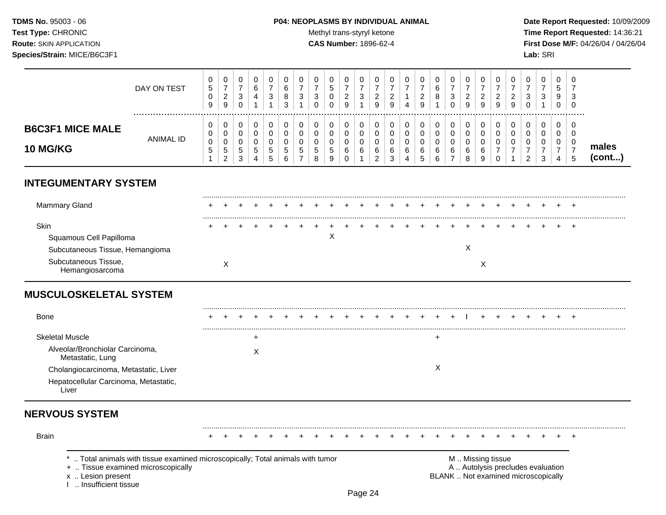### **TDMS No.** 95003 - 06 **P04: NEOPLASMS BY INDIVIDUAL ANIMAL** Date Report Requested: 10/09/2009

Test Type: CHRONIC **Test Type:** CHRONIC **Test Type:** CHRONIC **Time Report Requested:** 14:36:21 **Route:** SKIN APPLICATION **CAS Number:** 1896-62-4 **First Dose M/F:** 04/26/04 / 04/26/04

|                                            | DAY ON TEST      | 0<br><sub>5</sub><br>U<br>9 | 0<br>-<br>ົ<br>$\sim$<br>9          | U<br>ົ<br>J.     |   | 0<br>3                    | $\circ$<br>O<br>$\sim$ | 3 | υ<br>ີ<br>J | 0<br>đ<br>0<br>0      | U<br>∼<br>9           | <u>_</u><br>9 | ∼<br>9 | u<br>4           | -<br>9                   | 0<br>6<br>8           | U<br>ົ<br>◡<br>0      | 9 | <u>_</u><br>9 | ັບ<br>ົ<br><u>_</u><br>9 | ີ<br>$\cdot$ | 0<br>3           | 0<br>∽<br>◡<br>9<br>0            | ◡<br>◡ |                  |
|--------------------------------------------|------------------|-----------------------------|-------------------------------------|------------------|---|---------------------------|------------------------|---|-------------|-----------------------|-----------------------|---------------|--------|------------------|--------------------------|-----------------------|-----------------------|---|---------------|--------------------------|--------------|------------------|----------------------------------|--------|------------------|
| <b>B6C3F1 MICE MALE</b><br><b>10 MG/KG</b> | <b>ANIMAL ID</b> | U<br>U<br>0<br>G            | 0<br>0<br>0<br>5<br>C<br>$\epsilon$ | ν<br>ັ<br>5<br>3 | ಾ | <u>5</u><br>∽<br><b>N</b> | D.<br>b                | 5 | u<br>J<br>8 | 0<br>0<br>0<br>5<br>9 | U<br>U<br>U<br>6<br>U | 6             |        | U<br>u<br>6<br>4 | $\overline{\phantom{a}}$ | 0<br>0<br>0<br>6<br>6 | 0<br>U<br>U<br>6<br>- | 6 | 6<br>9        | υ<br>u                   |              | 0<br>0<br>0<br>3 | 0<br>0<br><sup>n</sup><br>U<br>4 |        | males<br>(cont…) |

## **INTEGUMENTARY SYSTEM**

| Mammary Gland                   |  |  |  | + + + + + + + + + + + + + + |             |         |  |  |  |  |  |  |  | $+$ $+$ |
|---------------------------------|--|--|--|-----------------------------|-------------|---------|--|--|--|--|--|--|--|---------|
| Skin                            |  |  |  |                             | $+$ $+$ $+$ | $+$ $-$ |  |  |  |  |  |  |  | $+$ $+$ |
| Squamous Cell Papilloma         |  |  |  |                             |             |         |  |  |  |  |  |  |  |         |
| Subcutaneous Tissue, Hemangioma |  |  |  |                             |             |         |  |  |  |  |  |  |  |         |
| Subcutaneous Tissue,            |  |  |  |                             |             |         |  |  |  |  |  |  |  |         |

## **MUSCULOSKELETAL SYSTEM**

| <b>Bone</b>                                         |  |  |  |  |  |  |  |  |  |  |  |  | $\div$ |  |
|-----------------------------------------------------|--|--|--|--|--|--|--|--|--|--|--|--|--------|--|
| Skeletal Muscle                                     |  |  |  |  |  |  |  |  |  |  |  |  |        |  |
| Alveolar/Bronchiolar Carcinoma,<br>Metastatic, Lung |  |  |  |  |  |  |  |  |  |  |  |  |        |  |
| Cholangiocarcinoma, Metastatic, Liver               |  |  |  |  |  |  |  |  |  |  |  |  |        |  |
| Hepatocellular Carcinoma, Metastatic,<br>∟ıver      |  |  |  |  |  |  |  |  |  |  |  |  |        |  |

## **NERVOUS SYSTEM**

| <b>Brain</b> |                                                                                                                       |  |  |  |  |  |  |  |  |  |                   |  |                                   |  |  |  |
|--------------|-----------------------------------------------------------------------------------------------------------------------|--|--|--|--|--|--|--|--|--|-------------------|--|-----------------------------------|--|--|--|
|              | *  Total animals with tissue examined microscopically; Total animals with tumor<br>+  Tissue examined microscopically |  |  |  |  |  |  |  |  |  | M  Missing tissue |  | A  Autolysis precludes evaluation |  |  |  |

BLANK .. Not examined microscopically

x .. Lesion present<br>I .. Insufficient tissue

Page 24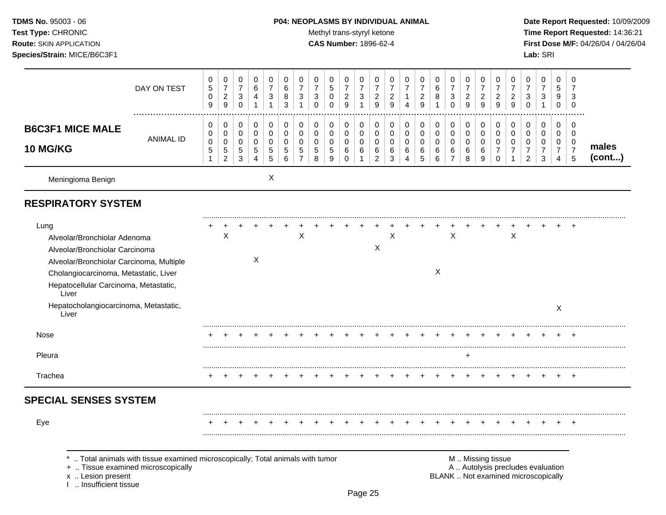### **TDMS No.** 95003 - 06 **P04: NEOPLASMS BY INDIVIDUAL ANIMAL** Date Report Requested: 10/09/2009

Test Type: CHRONIC **Test Type:** CHRONIC **Test Type:** CHRONIC **Time Report Requested:** 14:36:21 **Route:** SKIN APPLICATION **CAS Number:** 1896-62-4 **First Dose M/F:** 04/26/04 / 04/26/04

|                                                                                                                                                                                                               | DAY ON TEST                                                                                                        | 0<br>$\sqrt{5}$<br>$\pmb{0}$<br>$\boldsymbol{9}$      | 0<br>$\overline{7}$<br>$\overline{2}$<br>$\boldsymbol{9}$ | $\pmb{0}$<br>$\overline{7}$<br>$\mathbf{3}$<br>$\mathsf{O}\xspace$ | $\mathbf 0$<br>$\,6\,$<br>4<br>$\mathbf{1}$        | 0<br>$\overline{7}$<br>3<br>1   | 0<br>6<br>8<br>3                         | 0<br>$\overline{7}$<br>3<br>$\mathbf{1}$  | $\pmb{0}$<br>$\overline{7}$<br>3<br>$\pmb{0}$ | $\mathbf 0$<br>$\mathbf 5$<br>$\pmb{0}$<br>$\pmb{0}$ | 0<br>$\overline{7}$<br>$\overline{c}$<br>9 | 0<br>$\overline{7}$<br>3<br>1   | 0<br>$\overline{7}$<br>$\overline{a}$<br>9                | 0<br>$\overline{7}$<br>$\overline{2}$<br>$9\,$ | $\pmb{0}$<br>$\overline{7}$<br>$\mathbf 1$<br>4 | 0<br>$\overline{7}$<br>$\overline{c}$<br>9    | $\pmb{0}$<br>6<br>8<br>$\mathbf{1}$ | 0<br>$\overline{7}$<br>3<br>$\mathbf 0$                    | 0<br>$\overline{7}$<br>$\overline{2}$<br>9 | 0<br>$\overline{7}$<br>$\overline{a}$<br>9 | 0<br>$\overline{7}$<br>$\overline{c}$<br>9          | 0<br>$\overline{7}$<br>$\overline{c}$<br>$\boldsymbol{9}$ | $\mathbf 0$<br>$\overline{7}$<br>3<br>$\Omega$                   | $\mathbf 0$<br>$\overline{7}$<br>3<br>$\mathbf{1}$     | $\mathbf 0$<br>5<br>9<br>$\boldsymbol{0}$ | 0<br>$\overline{7}$<br>3<br>$\mathbf 0$                       |                 |
|---------------------------------------------------------------------------------------------------------------------------------------------------------------------------------------------------------------|--------------------------------------------------------------------------------------------------------------------|-------------------------------------------------------|-----------------------------------------------------------|--------------------------------------------------------------------|----------------------------------------------------|---------------------------------|------------------------------------------|-------------------------------------------|-----------------------------------------------|------------------------------------------------------|--------------------------------------------|---------------------------------|-----------------------------------------------------------|------------------------------------------------|-------------------------------------------------|-----------------------------------------------|-------------------------------------|------------------------------------------------------------|--------------------------------------------|--------------------------------------------|-----------------------------------------------------|-----------------------------------------------------------|------------------------------------------------------------------|--------------------------------------------------------|-------------------------------------------|---------------------------------------------------------------|-----------------|
| <b>B6C3F1 MICE MALE</b><br>10 MG/KG                                                                                                                                                                           | <b>ANIMAL ID</b>                                                                                                   | 0<br>0<br>$\pmb{0}$<br>$\overline{5}$<br>$\mathbf{1}$ | 0<br>0<br>$\mathbf 0$<br>5<br>$\overline{2}$              | 0<br>$\pmb{0}$<br>0<br>$\mathbf 5$<br>3                            | 0<br>$\mathbf 0$<br>$\mathbf 0$<br>$\sqrt{5}$<br>4 | 0<br>0<br>$\mathbf 0$<br>5<br>5 | 0<br>0<br>$\mathbf 0$<br>$\sqrt{5}$<br>6 | 0<br>0<br>$\Omega$<br>5<br>$\overline{7}$ | 0<br>0<br>$\mathbf 0$<br>$\sqrt{5}$<br>8      | 0<br>0<br>$\mathbf 0$<br>$\sqrt{5}$<br>9             | 0<br>0<br>$\mathbf 0$<br>6<br>0            | 0<br>0<br>$\mathbf 0$<br>6<br>1 | 0<br>$\Omega$<br>$\mathbf 0$<br>$\,6\,$<br>$\overline{c}$ | 0<br>0<br>0<br>6<br>3                          | 0<br>0<br>$\mathbf 0$<br>$\,6\,$<br>4           | 0<br>$\mathbf 0$<br>$\mathbf 0$<br>$\,6$<br>5 | 0<br>$\pmb{0}$<br>0<br>6<br>6       | 0<br>$\mathbf 0$<br>$\mathbf 0$<br>$\,6$<br>$\overline{7}$ | 0<br>0<br>$\mathbf 0$<br>6<br>8            | 0<br>0<br>$\mathbf 0$<br>6<br>9            | 0<br>0<br>$\Omega$<br>$\overline{7}$<br>$\mathbf 0$ | 0<br>0<br>$\mathbf 0$<br>$\overline{7}$<br>1              | 0<br>$\Omega$<br>$\mathbf 0$<br>$\overline{7}$<br>$\overline{2}$ | 0<br>$\mathbf 0$<br>$\mathbf 0$<br>$\overline{7}$<br>3 | 0<br>0<br>0<br>$\overline{7}$<br>4        | $\mathbf 0$<br>$\Omega$<br>$\mathbf 0$<br>$\overline{7}$<br>5 | males<br>(cont) |
| Meningioma Benign                                                                                                                                                                                             |                                                                                                                    |                                                       |                                                           |                                                                    |                                                    | X                               |                                          |                                           |                                               |                                                      |                                            |                                 |                                                           |                                                |                                                 |                                               |                                     |                                                            |                                            |                                            |                                                     |                                                           |                                                                  |                                                        |                                           |                                                               |                 |
| <b>RESPIRATORY SYSTEM</b>                                                                                                                                                                                     |                                                                                                                    |                                                       |                                                           |                                                                    |                                                    |                                 |                                          |                                           |                                               |                                                      |                                            |                                 |                                                           |                                                |                                                 |                                               |                                     |                                                            |                                            |                                            |                                                     |                                                           |                                                                  |                                                        |                                           |                                                               |                 |
| Lung<br>Alveolar/Bronchiolar Adenoma<br>Alveolar/Bronchiolar Carcinoma<br>Alveolar/Bronchiolar Carcinoma, Multiple<br>Cholangiocarcinoma, Metastatic, Liver<br>Hepatocellular Carcinoma, Metastatic,<br>Liver |                                                                                                                    |                                                       | X                                                         |                                                                    | X                                                  |                                 |                                          | х                                         |                                               |                                                      |                                            |                                 | X                                                         | X                                              |                                                 |                                               | X                                   | X                                                          |                                            |                                            |                                                     | X                                                         |                                                                  |                                                        |                                           |                                                               |                 |
| Hepatocholangiocarcinoma, Metastatic,<br>Liver                                                                                                                                                                |                                                                                                                    |                                                       |                                                           |                                                                    |                                                    |                                 |                                          |                                           |                                               |                                                      |                                            |                                 |                                                           |                                                |                                                 |                                               |                                     |                                                            |                                            |                                            |                                                     |                                                           |                                                                  |                                                        | X                                         |                                                               |                 |
| Nose                                                                                                                                                                                                          |                                                                                                                    |                                                       |                                                           |                                                                    |                                                    |                                 |                                          |                                           |                                               |                                                      |                                            |                                 |                                                           |                                                |                                                 |                                               |                                     |                                                            |                                            |                                            |                                                     |                                                           |                                                                  |                                                        |                                           |                                                               |                 |
| Pleura                                                                                                                                                                                                        |                                                                                                                    |                                                       |                                                           |                                                                    |                                                    |                                 |                                          |                                           |                                               |                                                      |                                            |                                 |                                                           |                                                |                                                 |                                               |                                     |                                                            | ÷.                                         |                                            |                                                     |                                                           |                                                                  |                                                        |                                           |                                                               |                 |
| Trachea                                                                                                                                                                                                       |                                                                                                                    |                                                       |                                                           |                                                                    |                                                    |                                 |                                          |                                           |                                               |                                                      |                                            |                                 |                                                           |                                                |                                                 |                                               |                                     |                                                            |                                            |                                            |                                                     |                                                           |                                                                  |                                                        |                                           |                                                               |                 |
| <b>SPECIAL SENSES SYSTEM</b>                                                                                                                                                                                  |                                                                                                                    |                                                       |                                                           |                                                                    |                                                    |                                 |                                          |                                           |                                               |                                                      |                                            |                                 |                                                           |                                                |                                                 |                                               |                                     |                                                            |                                            |                                            |                                                     |                                                           |                                                                  |                                                        |                                           |                                                               |                 |
| Eye                                                                                                                                                                                                           |                                                                                                                    |                                                       |                                                           |                                                                    |                                                    |                                 |                                          |                                           |                                               |                                                      |                                            |                                 |                                                           |                                                |                                                 |                                               |                                     |                                                            |                                            |                                            |                                                     |                                                           |                                                                  |                                                        |                                           |                                                               |                 |
| x  Lesion present<br>I  Insufficient tissue                                                                                                                                                                   | Total animals with tissue examined microscopically; Total animals with tumor<br>+  Tissue examined microscopically |                                                       |                                                           |                                                                    |                                                    |                                 |                                          |                                           |                                               |                                                      |                                            |                                 |                                                           |                                                |                                                 |                                               |                                     | BLANK  Not examined microscopically                        |                                            |                                            | M  Missing tissue                                   |                                                           | A  Autolysis precludes evaluation                                |                                                        |                                           |                                                               |                 |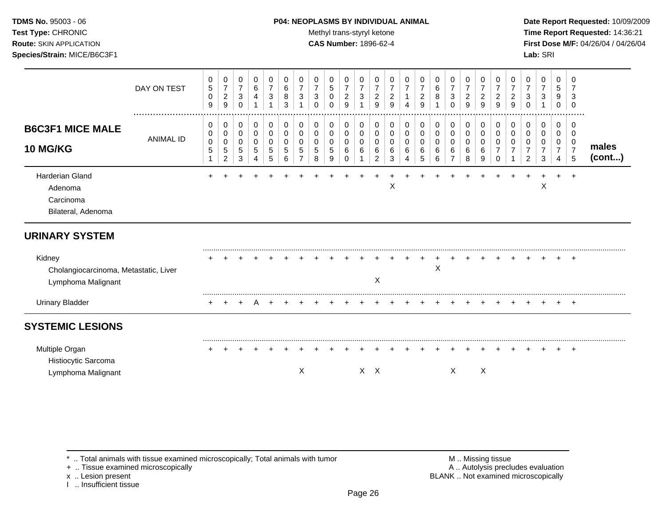### **TDMS No.** 95003 - 06 **P04: NEOPLASMS BY INDIVIDUAL ANIMAL** Date Report Requested: 10/09/2009

**Test Type:** CHRONIC **Trans-styryl ketone** Methyl trans-styryl ketone **Time Report Requested:** 14:36:21 **Route:** SKIN APPLICATION **CAS Number:** 1896-62-4 **First Dose M/F:** 04/26/04 / 04/26/04

|                                                                       | DAY ON TEST      | 0<br>5<br>$\mathbf 0$<br>9 | 0<br>$\overline{7}$<br>$\overline{c}$<br>$\boldsymbol{9}$ | 0<br>$\boldsymbol{7}$<br>$\mathbf{3}$<br>0 | 0<br>$\,6$<br>4                       | 0<br>$\overline{7}$<br>$\sqrt{3}$                 | 0<br>6<br>8<br>3                       | 0<br>$\overline{7}$<br>3 | 0<br>$\overline{7}$<br>3<br>$\Omega$ | 0<br>$\sqrt{5}$<br>0<br>$\Omega$        | 0<br>$\overline{7}$<br>$\overline{c}$<br>9         | 0<br>$\overline{7}$<br>3             | 0<br>$\overline{7}$<br>$\overline{c}$<br>9 | 0<br>7<br>$\overline{c}$<br>9 | 0<br>$\overline{7}$<br>4 | 0<br>$\overline{7}$<br>$\overline{c}$<br>9 | 0<br>$\,6$<br>$\bf8$              | 0<br>$\overline{7}$<br>3<br>$\Omega$         | 0<br>$\overline{7}$<br>$\overline{c}$<br>9 | 0<br>$\overline{7}$<br>$\overline{c}$<br>9 | 0<br>$\overline{7}$<br>2<br>9 | 0<br>$\overline{7}$<br>2<br>9 | 0<br>$\overline{7}$<br>3<br>$\Omega$ | 0<br>7<br>3      | 0<br>5<br>9<br>0                             | 0<br>7<br>3<br>$\Omega$            |                 |
|-----------------------------------------------------------------------|------------------|----------------------------|-----------------------------------------------------------|--------------------------------------------|---------------------------------------|---------------------------------------------------|----------------------------------------|--------------------------|--------------------------------------|-----------------------------------------|----------------------------------------------------|--------------------------------------|--------------------------------------------|-------------------------------|--------------------------|--------------------------------------------|-----------------------------------|----------------------------------------------|--------------------------------------------|--------------------------------------------|-------------------------------|-------------------------------|--------------------------------------|------------------|----------------------------------------------|------------------------------------|-----------------|
| <b>B6C3F1 MICE MALE</b><br><b>10 MG/KG</b>                            | <b>ANIMAL ID</b> | 0<br>0<br>0<br>5           | 0<br>$\pmb{0}$<br>0<br>5<br>$\overline{c}$                | 0<br>$\pmb{0}$<br>0<br>5<br>3              | 0<br>$\pmb{0}$<br>$\pmb{0}$<br>5<br>4 | $\mathbf 0$<br>$\pmb{0}$<br>$\mathbf 0$<br>5<br>5 | 0<br>$\mathbf 0$<br>$\Omega$<br>5<br>6 | 0<br>0<br>0<br>5         | 0<br>0<br>0<br>5<br>8                | 0<br>$\pmb{0}$<br>0<br>$\mathbf 5$<br>9 | 0<br>$\mathsf{O}\xspace$<br>0<br>$\,6$<br>$\Omega$ | 0<br>$\mathbf 0$<br>$\mathbf 0$<br>6 | 0<br>0<br>0<br>6<br>$\overline{c}$         | 0<br>0<br>0<br>6<br>3         | 0<br>0<br>0<br>6<br>4    | 0<br>0<br>0<br>6<br>5                      | 0<br>$\pmb{0}$<br>0<br>6<br>$\,6$ | 0<br>$\mathbf 0$<br>0<br>6<br>$\overline{7}$ | 0<br>$\mathbf 0$<br>$\mathbf 0$<br>6<br>8  | 0<br>$\mathbf 0$<br>0<br>6<br>9            | 0<br>0<br>0<br>0              | 0<br>0                        | 0<br>0<br>0<br>$\overline{2}$        | 0<br>0<br>0<br>3 | 0<br>$\mathbf 0$<br>0<br>$\overline{7}$<br>4 | 0<br>0<br>0<br>$\overline{7}$<br>5 | males<br>(cont) |
| Harderian Gland<br>Adenoma<br>Carcinoma<br>Bilateral, Adenoma         |                  |                            |                                                           |                                            |                                       |                                                   |                                        |                          |                                      |                                         |                                                    |                                      |                                            | X                             |                          |                                            |                                   |                                              |                                            |                                            |                               |                               |                                      | X                |                                              |                                    |                 |
| <b>URINARY SYSTEM</b>                                                 |                  |                            |                                                           |                                            |                                       |                                                   |                                        |                          |                                      |                                         |                                                    |                                      |                                            |                               |                          |                                            |                                   |                                              |                                            |                                            |                               |                               |                                      |                  |                                              |                                    |                 |
| Kidney<br>Cholangiocarcinoma, Metastatic, Liver<br>Lymphoma Malignant |                  |                            |                                                           |                                            |                                       |                                                   |                                        |                          |                                      |                                         |                                                    |                                      | Χ                                          |                               |                          |                                            | X                                 |                                              |                                            |                                            |                               |                               |                                      |                  |                                              | $\overline{ }$                     |                 |
| <b>Urinary Bladder</b>                                                |                  |                            |                                                           |                                            |                                       |                                                   |                                        |                          |                                      |                                         |                                                    |                                      |                                            |                               |                          |                                            |                                   |                                              |                                            |                                            |                               |                               |                                      |                  |                                              |                                    |                 |
| <b>SYSTEMIC LESIONS</b>                                               |                  |                            |                                                           |                                            |                                       |                                                   |                                        |                          |                                      |                                         |                                                    |                                      |                                            |                               |                          |                                            |                                   |                                              |                                            |                                            |                               |                               |                                      |                  |                                              |                                    |                 |
| Multiple Organ<br>Histiocytic Sarcoma<br>Lymphoma Malignant           |                  |                            |                                                           |                                            |                                       |                                                   |                                        | X                        |                                      |                                         |                                                    |                                      | $X$ $X$                                    |                               |                          |                                            |                                   | $\times$                                     |                                            | $\mathsf X$                                |                               |                               |                                      |                  |                                              | $\overline{ }$                     |                 |

\* .. Total animals with tissue examined microscopically; Total animals with tumor M .. Missing tissue M .. Missing tissue<br>
+ .. Tissue examined microscopically

+ .. Tissue examined microscopically

x .. Lesion present<br>I .. Insufficient tissue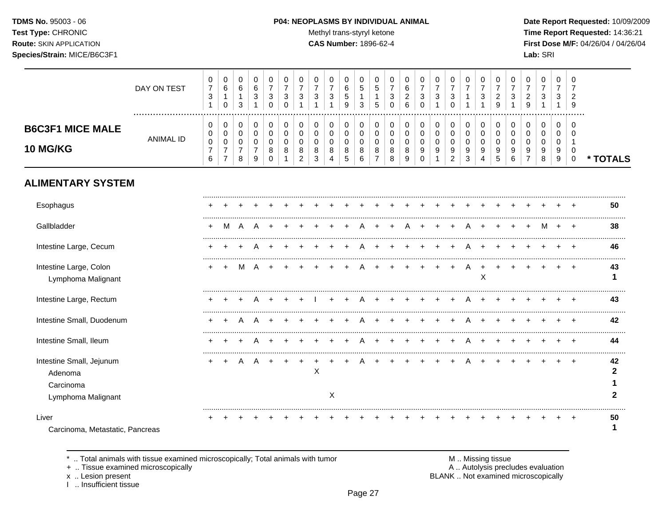TDMS No. 95003 - 06 Test Type: CHRONIC **Route: SKIN APPLICATION** Species/Strain: MICE/B6C3F1

#### P04: NEOPLASMS BY INDIVIDUAL ANIMAL

Methyl trans-styryl ketone

CAS Number: 1896-62-4

Date Report Requested: 10/09/2009 Time Report Requested: 14:36:21 First Dose M/F: 04/26/04 / 04/26/04 Lab: SRI

|                                                                        | DAY ON TEST      | 0<br>$\boldsymbol{7}$<br>$\sqrt{3}$<br>$\overline{1}$   | 0<br>6<br>$\mathbf{1}$<br>$\mathbf 0$                                       | $\mathbf 0$<br>$\,6$<br>1<br>3                         | 0<br>$\,6\,$<br>3                                   | 0<br>$\overline{7}$<br>3<br>$\Omega$          | 0<br>$\overline{7}$<br>3<br>$\Omega$ | 0<br>$\overline{7}$<br>3                                  | 0<br>$\overline{7}$<br>$\sqrt{3}$          | 0<br>$\boldsymbol{7}$<br>$\sqrt{3}$                        | 0<br>$\,6\,$<br>$\,$ 5 $\,$<br>9                   | 0<br>$\,$ 5 $\,$<br>1<br>3              | $\mathbf 0$<br>$\,$ 5 $\,$<br>$\overline{1}$<br>5              | 0<br>$\overline{7}$<br>3<br>$\Omega$      | $\mathbf 0$<br>$\,6\,$<br>$\overline{c}$<br>6 | 0<br>$\overline{7}$<br>3<br>$\Omega$    | 0<br>$\boldsymbol{7}$<br>$\mathbf{3}$                       | 0<br>$\overline{7}$<br>$\mathbf{3}$<br>$\Omega$                       | 0<br>$\overline{7}$<br>$\mathbf{1}$                                            | 0<br>$\overline{7}$<br>3               | $\mathbf 0$<br>$\overline{7}$<br>$\overline{c}$<br>9 | 0<br>$\overline{7}$<br>$\sqrt{3}$                    | 0<br>$\overline{7}$<br>$\overline{c}$<br>9          | 0<br>$\overline{7}$<br>$\sqrt{3}$              | 0<br>$\overline{7}$<br>3        | 0<br>2<br>9                     |                         |
|------------------------------------------------------------------------|------------------|---------------------------------------------------------|-----------------------------------------------------------------------------|--------------------------------------------------------|-----------------------------------------------------|-----------------------------------------------|--------------------------------------|-----------------------------------------------------------|--------------------------------------------|------------------------------------------------------------|----------------------------------------------------|-----------------------------------------|----------------------------------------------------------------|-------------------------------------------|-----------------------------------------------|-----------------------------------------|-------------------------------------------------------------|-----------------------------------------------------------------------|--------------------------------------------------------------------------------|----------------------------------------|------------------------------------------------------|------------------------------------------------------|-----------------------------------------------------|------------------------------------------------|---------------------------------|---------------------------------|-------------------------|
| <b>B6C3F1 MICE MALE</b><br><b>10 MG/KG</b>                             | <b>ANIMAL ID</b> | 0<br>0<br>$\pmb{0}$<br>$\overline{7}$<br>$6\phantom{1}$ | $\pmb{0}$<br>$\mathbf 0$<br>$\mathbf 0$<br>$\overline{7}$<br>$\overline{7}$ | 0<br>$\mathbf 0$<br>$\mathbf 0$<br>$\overline{7}$<br>8 | 0<br>$\mathbf 0$<br>$\Omega$<br>$\overline{7}$<br>9 | 0<br>$\mathbf 0$<br>$\Omega$<br>8<br>$\Omega$ | 0<br>$\mathbf 0$<br>$\Omega$<br>8    | 0<br>$\mathsf 0$<br>$\Omega$<br>$\bf 8$<br>$\overline{2}$ | 0<br>0<br>$\mathbf 0$<br>8<br>$\mathbf{3}$ | 0<br>$\mathsf{O}\xspace$<br>0<br>$\bf 8$<br>$\overline{4}$ | 0<br>$\mathbf 0$<br>$\mathbf 0$<br>8<br>$\sqrt{5}$ | 0<br>$\pmb{0}$<br>$\mathbf 0$<br>8<br>6 | $\pmb{0}$<br>$\mathbf 0$<br>$\mathbf 0$<br>8<br>$\overline{7}$ | 0<br>$\mathbf 0$<br>$\mathbf 0$<br>8<br>8 | 0<br>$\mathbf 0$<br>$\mathbf 0$<br>8<br>9     | 0<br>$\mathsf{O}$<br>0<br>9<br>$\Omega$ | 0<br>$\mathsf{O}\xspace$<br>$\mathbf 0$<br>$\boldsymbol{9}$ | 0<br>$\mathbf 0$<br>$\mathbf 0$<br>$\boldsymbol{9}$<br>$\overline{c}$ | 0<br>$\pmb{0}$<br>$\mathbf 0$<br>$\boldsymbol{9}$<br>$\ensuremath{\mathsf{3}}$ | 0<br>$\mathbf 0$<br>$\Omega$<br>9<br>4 | 0<br>$\pmb{0}$<br>$\Omega$<br>9<br>$\overline{5}$    | 0<br>$\mathbf 0$<br>$\Omega$<br>9<br>$6\phantom{1}6$ | 0<br>$\mathbf 0$<br>$\Omega$<br>9<br>$\overline{7}$ | 0<br>$\mathbf 0$<br>$\mathbf 0$<br>9<br>$\bf8$ | 0<br>0<br>$\mathbf 0$<br>9<br>9 | 0<br>$\Omega$<br>0<br>$\pmb{0}$ | * TOTALS                |
| <b>ALIMENTARY SYSTEM</b>                                               |                  |                                                         |                                                                             |                                                        |                                                     |                                               |                                      |                                                           |                                            |                                                            |                                                    |                                         |                                                                |                                           |                                               |                                         |                                                             |                                                                       |                                                                                |                                        |                                                      |                                                      |                                                     |                                                |                                 |                                 |                         |
| Esophagus                                                              |                  |                                                         |                                                                             |                                                        |                                                     |                                               |                                      |                                                           |                                            |                                                            |                                                    |                                         |                                                                |                                           |                                               |                                         |                                                             |                                                                       |                                                                                |                                        |                                                      |                                                      |                                                     |                                                |                                 |                                 | 50                      |
| Gallbladder                                                            |                  | $\ddot{}$                                               | M                                                                           | A                                                      | Α                                                   |                                               |                                      |                                                           |                                            |                                                            |                                                    |                                         |                                                                |                                           |                                               |                                         |                                                             |                                                                       | A                                                                              |                                        |                                                      |                                                      |                                                     | M                                              |                                 | $+$                             | 38                      |
| Intestine Large, Cecum                                                 |                  |                                                         |                                                                             |                                                        |                                                     |                                               |                                      |                                                           |                                            |                                                            |                                                    |                                         |                                                                |                                           |                                               |                                         |                                                             |                                                                       | A                                                                              |                                        |                                                      |                                                      |                                                     |                                                |                                 |                                 | 46                      |
| Intestine Large, Colon<br>Lymphoma Malignant                           |                  | $\ddot{}$                                               |                                                                             | м                                                      | Δ                                                   |                                               |                                      |                                                           |                                            |                                                            |                                                    |                                         |                                                                |                                           |                                               |                                         |                                                             |                                                                       |                                                                                | X                                      |                                                      |                                                      |                                                     |                                                |                                 |                                 | 43<br>1                 |
| Intestine Large, Rectum                                                |                  |                                                         |                                                                             |                                                        |                                                     |                                               |                                      |                                                           |                                            |                                                            |                                                    |                                         |                                                                |                                           |                                               |                                         |                                                             |                                                                       |                                                                                |                                        |                                                      |                                                      |                                                     |                                                |                                 |                                 | 43                      |
| Intestine Small, Duodenum                                              |                  | +                                                       |                                                                             |                                                        |                                                     |                                               |                                      |                                                           |                                            |                                                            |                                                    |                                         |                                                                |                                           |                                               |                                         |                                                             |                                                                       |                                                                                |                                        |                                                      |                                                      |                                                     |                                                |                                 |                                 | 42                      |
| Intestine Small, Ileum                                                 |                  |                                                         |                                                                             |                                                        |                                                     |                                               |                                      |                                                           |                                            |                                                            |                                                    |                                         |                                                                |                                           |                                               |                                         |                                                             |                                                                       |                                                                                |                                        |                                                      |                                                      |                                                     |                                                |                                 |                                 | 44                      |
| Intestine Small, Jejunum<br>Adenoma<br>Carcinoma<br>Lymphoma Malignant |                  |                                                         |                                                                             |                                                        |                                                     |                                               |                                      |                                                           | $\pmb{\times}$                             | X                                                          |                                                    |                                         |                                                                |                                           |                                               |                                         |                                                             |                                                                       |                                                                                |                                        |                                                      |                                                      |                                                     |                                                |                                 |                                 | 42<br>$\mathbf{2}$<br>2 |
| Liver<br>Carcinoma, Metastatic, Pancreas                               |                  |                                                         |                                                                             |                                                        |                                                     |                                               |                                      |                                                           |                                            |                                                            |                                                    |                                         |                                                                |                                           |                                               |                                         |                                                             |                                                                       |                                                                                |                                        |                                                      |                                                      |                                                     |                                                |                                 | $\div$                          | 50                      |

\* .. Total animals with tissue examined microscopically; Total animals with tumor

+ .. Tissue examined microscopically

x .. Lesion present<br>I .. Insufficient tissue

M .. Missing tissue<br>A .. Autolysis precludes evaluation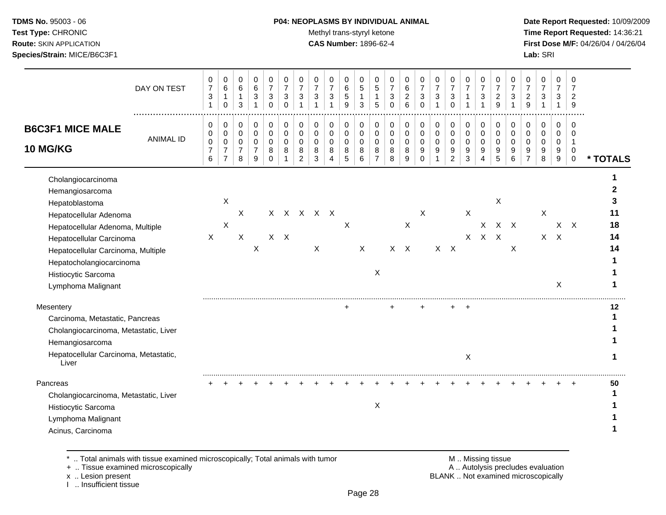#### **TDMS No.** 95003 - 06 **P04: NEOPLASMS BY INDIVIDUAL ANIMAL** Date Report Requested: 10/09/2009

Test Type: CHRONIC **Test Type:** CHRONIC **Test Type:** CHRONIC **Time Report Requested:** 14:36:21 **Route:** SKIN APPLICATION **CAS Number:** 1896-62-4 **First Dose M/F:** 04/26/04 / 04/26/04

| DAY ON TEST                                                                                                                                                                                                                                                      | 0<br>$\overline{7}$<br>$\ensuremath{\mathsf{3}}$<br>1 | 0<br>6<br>$\mathbf{1}$<br>$\mathbf 0$                     | 0<br>$\,6\,$<br>$\mathbf{1}$<br>3  | 0<br>$\,6\,$<br>$\sqrt{3}$<br>$\overline{1}$                   | 0<br>$\overline{7}$<br>$\mathbf{3}$<br>$\mathbf 0$ | 0<br>$\overline{7}$<br>$\sqrt{3}$<br>$\mathbf 0$ | 0<br>$\overline{7}$<br>3<br>1                        | 0<br>$\overline{7}$<br>$\sqrt{3}$<br>$\mathbf{1}$ | 0<br>$\overline{7}$<br>$\mathbf{3}$<br>1          | 0<br>$\,6$<br>5<br>9                    | 0<br>$\sqrt{5}$<br>$\mathbf{1}$<br>3 | 0<br>$\mathbf 5$<br>$\mathbf{1}$<br>5                | 0<br>$\overline{7}$<br>$\sqrt{3}$<br>$\mathbf 0$ | 0<br>$\,6$<br>$\sqrt{2}$<br>6        | 0<br>$\overline{7}$<br>$\sqrt{3}$<br>$\mathbf 0$              | 0<br>$\overline{7}$<br>$\mathbf{3}$     | 0<br>$\overline{7}$<br>3<br>$\mathbf 0$                   | 0<br>$\overline{7}$<br>$\mathbf 1$<br>1                     | 0<br>$\overline{7}$<br>$\sqrt{3}$<br>$\mathbf{1}$      | 0<br>$\boldsymbol{7}$<br>$\overline{c}$<br>9 | 0<br>$\overline{7}$<br>3                  | 0<br>$\overline{7}$<br>$\overline{c}$<br>9             | 0<br>$\overline{7}$<br>$\ensuremath{\mathsf{3}}$<br>1  | 0<br>$\overline{7}$<br>3<br>$\mathbf{1}$ | 0<br>$\overline{7}$<br>$\overline{2}$<br>9                  |                           |
|------------------------------------------------------------------------------------------------------------------------------------------------------------------------------------------------------------------------------------------------------------------|-------------------------------------------------------|-----------------------------------------------------------|------------------------------------|----------------------------------------------------------------|----------------------------------------------------|--------------------------------------------------|------------------------------------------------------|---------------------------------------------------|---------------------------------------------------|-----------------------------------------|--------------------------------------|------------------------------------------------------|--------------------------------------------------|--------------------------------------|---------------------------------------------------------------|-----------------------------------------|-----------------------------------------------------------|-------------------------------------------------------------|--------------------------------------------------------|----------------------------------------------|-------------------------------------------|--------------------------------------------------------|--------------------------------------------------------|------------------------------------------|-------------------------------------------------------------|---------------------------|
| <b>B6C3F1 MICE MALE</b><br><b>ANIMAL ID</b><br>10 MG/KG                                                                                                                                                                                                          | 0<br>$\pmb{0}$<br>0<br>$\boldsymbol{7}$<br>6          | 0<br>$\pmb{0}$<br>0<br>$\boldsymbol{7}$<br>$\overline{7}$ | 0<br>0<br>0<br>$\overline{7}$<br>8 | $\pmb{0}$<br>$\pmb{0}$<br>$\mathbf 0$<br>$\boldsymbol{7}$<br>9 | 0<br>$\pmb{0}$<br>0<br>$\bf8$<br>$\Omega$          | 0<br>$\pmb{0}$<br>0<br>$\bf 8$                   | 0<br>$\pmb{0}$<br>$\mathbf 0$<br>8<br>$\overline{c}$ | $\mathbf 0$<br>0<br>0<br>8<br>3                   | $\mathbf 0$<br>$\pmb{0}$<br>$\mathbf 0$<br>8<br>4 | 0<br>$\pmb{0}$<br>$\mathbf 0$<br>8<br>5 | 0<br>$\pmb{0}$<br>0<br>$\bf 8$<br>6  | 0<br>$\pmb{0}$<br>$\mathbf 0$<br>8<br>$\overline{7}$ | 0<br>$\pmb{0}$<br>0<br>8<br>8                    | 0<br>$\pmb{0}$<br>0<br>$\bf 8$<br>9  | 0<br>$\pmb{0}$<br>$\mathsf 0$<br>$\boldsymbol{9}$<br>$\Omega$ | 0<br>$\pmb{0}$<br>0<br>$\boldsymbol{9}$ | 0<br>$\pmb{0}$<br>0<br>$\boldsymbol{9}$<br>$\overline{c}$ | 0<br>$\pmb{0}$<br>$\boldsymbol{0}$<br>$\boldsymbol{9}$<br>3 | 0<br>$\pmb{0}$<br>$\mathbf 0$<br>$\boldsymbol{9}$<br>4 | 0<br>$\pmb{0}$<br>0<br>$\boldsymbol{9}$<br>5 | 0<br>$\mathbf 0$<br>$\mathbf 0$<br>9<br>6 | 0<br>$\mathbf 0$<br>$\mathbf 0$<br>9<br>$\overline{7}$ | 0<br>$\pmb{0}$<br>$\mathbf 0$<br>$\boldsymbol{9}$<br>8 | 0<br>0<br>0<br>$\boldsymbol{9}$<br>9     | $\Omega$<br>0<br>$\mathbf{1}$<br>$\mathbf 0$<br>$\mathbf 0$ | * TOTALS                  |
| Cholangiocarcinoma<br>Hemangiosarcoma<br>Hepatoblastoma<br>Hepatocellular Adenoma<br>Hepatocellular Adenoma, Multiple<br>Hepatocellular Carcinoma<br>Hepatocellular Carcinoma, Multiple<br>Hepatocholangiocarcinoma<br>Histiocytic Sarcoma<br>Lymphoma Malignant | $\boldsymbol{\mathsf{X}}$                             | $\boldsymbol{\mathsf{X}}$<br>$\boldsymbol{\mathsf{X}}$    | X<br>X                             | $\boldsymbol{\mathsf{X}}$                                      |                                                    | $X$ $X$                                          |                                                      | x x x x x<br>X                                    |                                                   | $\times$                                | X                                    | X                                                    |                                                  | $\boldsymbol{\mathsf{X}}$<br>$X$ $X$ | X                                                             | $X$ $X$                                 |                                                           | X<br>X                                                      | $\mathsf{X}$                                           | X<br>$X$ $X$<br>$X$ $X$                      | X                                         |                                                        | X                                                      | $X$ $X$<br>X                             | $X \times X$                                                | 2<br>11<br>18<br>14<br>14 |
| Mesentery<br>Carcinoma, Metastatic, Pancreas<br>Cholangiocarcinoma, Metastatic, Liver<br>Hemangiosarcoma<br>Hepatocellular Carcinoma, Metastatic,<br>Liver<br>Pancreas                                                                                           |                                                       |                                                           |                                    |                                                                |                                                    |                                                  |                                                      |                                                   |                                                   | $\ddot{}$                               |                                      |                                                      | ÷                                                |                                      |                                                               |                                         | $+$                                                       | $\ddot{}$<br>$\pmb{\times}$                                 |                                                        |                                              |                                           |                                                        |                                                        |                                          | $\ddot{}$                                                   | 12<br>50                  |
| Cholangiocarcinoma, Metastatic, Liver<br>Histiocytic Sarcoma<br>Lymphoma Malignant<br>Acinus, Carcinoma                                                                                                                                                          |                                                       |                                                           |                                    |                                                                |                                                    |                                                  |                                                      |                                                   |                                                   |                                         |                                      | Χ                                                    |                                                  |                                      |                                                               |                                         |                                                           |                                                             |                                                        |                                              |                                           |                                                        |                                                        |                                          |                                                             |                           |

\* .. Total animals with tissue examined microscopically; Total animals with tumor **M** metal metal M .. Missing tissue<br>  $\blacksquare$  . Tissue examined microscopically

+ .. Tissue examined microscopically

x .. Lesion present<br>I .. Insufficient tissue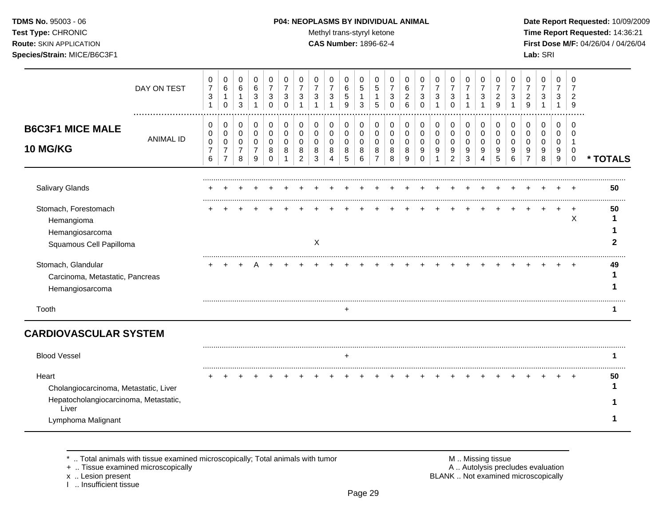### **TDMS No.** 95003 - 06 **P04: NEOPLASMS BY INDIVIDUAL ANIMAL** Date Report Requested: 10/09/2009

Test Type: CHRONIC **Test Type:** CHRONIC **Test Type:** CHRONIC **Time Report Requested:** 14:36:21 **Route:** SKIN APPLICATION **CAS Number:** 1896-62-4 **First Dose M/F:** 04/26/04 / 04/26/04

|                                                                                                                        | DAY ON TEST      | 0<br>$\overline{7}$<br>3<br>$\mathbf 1$ | 0<br>$\,6\,$<br>$\mathbf{1}$<br>$\mathbf 0$               | 0<br>6<br>$\mathbf{1}$<br>3                  | 0<br>$\,6\,$<br>3                            | 0<br>$\overline{7}$<br>3<br>$\Omega$    | 0<br>3<br>$\Omega$ | 0<br>$\overline{7}$<br>3      | 0<br>$\overline{7}$<br>3 | 0<br>$\overline{7}$<br>3<br>1 | 0<br>$\,6\,$<br>5<br>9                  | 0<br>$\overline{5}$<br>$\mathbf{1}$<br>3 | 0<br>$\sqrt{5}$<br>$\mathbf{1}$<br>5 | 0<br>$\overline{7}$<br>$\mathbf{3}$<br>$\Omega$ | 0<br>6<br>$\overline{c}$<br>6 | 0<br>3<br>$\Omega$           | 0<br>7<br>3      | 0<br>$\overline{7}$<br>3<br>$\Omega$         | 0<br>$\overline{7}$<br>1      | 0<br>$\overline{7}$<br>3 | 0<br>$\overline{7}$<br>$\overline{2}$<br>9 | 0<br>3      | 0<br>$\overline{7}$<br>$\overline{c}$<br>9 | 0<br>$\overline{7}$<br>3 | 0<br>3                          | 0<br>2<br>9                            |          |
|------------------------------------------------------------------------------------------------------------------------|------------------|-----------------------------------------|-----------------------------------------------------------|----------------------------------------------|----------------------------------------------|-----------------------------------------|--------------------|-------------------------------|--------------------------|-------------------------------|-----------------------------------------|------------------------------------------|--------------------------------------|-------------------------------------------------|-------------------------------|------------------------------|------------------|----------------------------------------------|-------------------------------|--------------------------|--------------------------------------------|-------------|--------------------------------------------|--------------------------|---------------------------------|----------------------------------------|----------|
| <b>B6C3F1 MICE MALE</b><br><b>10 MG/KG</b>                                                                             | <b>ANIMAL ID</b> | 0<br>0<br>0<br>$\overline{7}$<br>6      | 0<br>0<br>$\pmb{0}$<br>$\boldsymbol{7}$<br>$\overline{7}$ | 0<br>$\mathbf 0$<br>0<br>$\overline{7}$<br>8 | 0<br>$\mathbf 0$<br>0<br>$\overline{7}$<br>9 | 0<br>0<br>$\Omega$<br>8<br><sup>0</sup> | 0<br>0             | 0<br>0<br>0<br>$\overline{2}$ | 0<br>0<br>0<br>8<br>3    | 0<br>0<br>0<br>8<br>4         | 0<br>$\mathbf 0$<br>$\pmb{0}$<br>8<br>5 | 0<br>0<br>0<br>8<br>6                    | 0<br>0<br>0<br>8                     | 0<br>0<br>0<br>8<br>8                           | 0<br>0<br>0<br>9              | 0<br>0<br>0<br>9<br>$\Omega$ | 0<br>0<br>0<br>9 | 0<br>$\mathbf 0$<br>0<br>9<br>$\overline{2}$ | 0<br>$\pmb{0}$<br>0<br>9<br>3 | 0<br>0<br>0<br>9<br>4    | 0<br>0<br>0<br>9<br>5                      | 0<br>0<br>6 | $\mathbf 0$<br>0<br>0<br>9                 | 0<br>0<br>0<br>9<br>8    | 0<br>$\mathbf 0$<br>0<br>9<br>9 | 0<br>$\Omega$<br>1<br>0<br>$\mathbf 0$ | * TOTALS |
| <b>Salivary Glands</b>                                                                                                 |                  |                                         |                                                           |                                              |                                              |                                         |                    |                               |                          |                               |                                         |                                          |                                      |                                                 |                               |                              |                  |                                              |                               |                          |                                            |             |                                            |                          |                                 |                                        | 50       |
| Stomach, Forestomach<br>Hemangioma<br>Hemangiosarcoma<br>Squamous Cell Papilloma                                       |                  |                                         |                                                           |                                              |                                              |                                         |                    |                               | X                        |                               |                                         |                                          |                                      |                                                 |                               |                              |                  |                                              |                               |                          |                                            |             |                                            |                          |                                 | X                                      | 50       |
| Stomach, Glandular<br>Carcinoma, Metastatic, Pancreas<br>Hemangiosarcoma                                               |                  |                                         |                                                           |                                              |                                              |                                         |                    |                               |                          |                               |                                         |                                          |                                      |                                                 |                               |                              |                  |                                              |                               |                          |                                            |             |                                            |                          |                                 |                                        | 49       |
| Tooth                                                                                                                  |                  |                                         |                                                           |                                              |                                              |                                         |                    |                               |                          |                               | $\ddot{}$                               |                                          |                                      |                                                 |                               |                              |                  |                                              |                               |                          |                                            |             |                                            |                          |                                 |                                        |          |
| <b>CARDIOVASCULAR SYSTEM</b>                                                                                           |                  |                                         |                                                           |                                              |                                              |                                         |                    |                               |                          |                               |                                         |                                          |                                      |                                                 |                               |                              |                  |                                              |                               |                          |                                            |             |                                            |                          |                                 |                                        |          |
| <b>Blood Vessel</b>                                                                                                    |                  |                                         |                                                           |                                              |                                              |                                         |                    |                               |                          |                               | $\pm$                                   |                                          |                                      |                                                 |                               |                              |                  |                                              |                               |                          |                                            |             |                                            |                          |                                 |                                        |          |
| Heart<br>Cholangiocarcinoma, Metastatic, Liver<br>Hepatocholangiocarcinoma, Metastatic,<br>Liver<br>Lymphoma Malignant |                  |                                         |                                                           |                                              |                                              |                                         |                    |                               |                          |                               |                                         |                                          |                                      |                                                 |                               |                              |                  |                                              |                               |                          |                                            |             |                                            |                          |                                 |                                        | 50       |

+ .. Tissue examined microscopically

x .. Lesion present<br>I .. Insufficient tissue

\* .. Total animals with tissue examined microscopically; Total animals with tumor M .. Missing tissue M .. Missing tissue<br>A .. Tissue examined microscopically by the matric of the matric of the M .. Missing tissue examined BLANK .. Not examined microscopically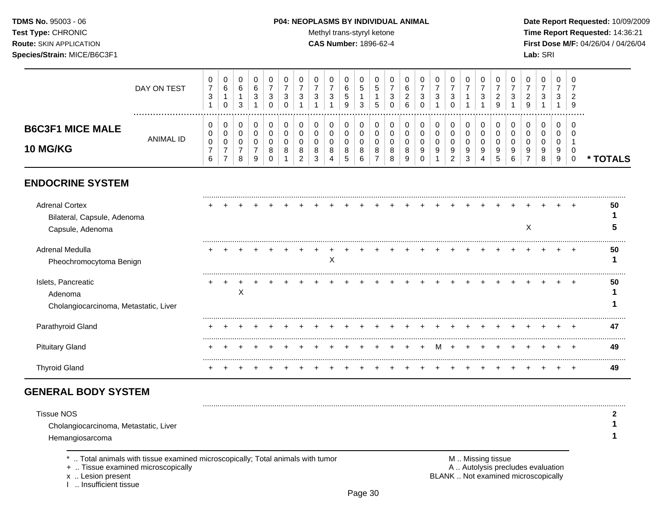#### **TDMS No.** 95003 - 06 **P04: NEOPLASMS BY INDIVIDUAL ANIMAL** Date Report Requested: 10/09/2009

Test Type: CHRONIC **Test Type:** CHRONIC **Test Type:** CHRONIC **Time Report Requested:** 14:36:21 **Route:** SKIN APPLICATION **CAS Number:** 1896-62-4 **First Dose M/F:** 04/26/04 / 04/26/04

|                                                                          | DAY ON TEST      | 0<br>$\overline{7}$<br>3           | 0<br>6<br>0           | 0<br>6<br>3                        | 0<br>$\,6\,$<br>3                            | 0<br>$\overline{7}$<br>3<br>0          | 0<br>$\overline{7}$<br>3<br>$\Omega$ | 0<br>$\overline{7}$<br>3 | 0<br>7<br>3 | 0<br>$\overline{7}$<br>3 | 0<br>6<br>5<br>9      | 0<br>$\sqrt{5}$<br>3  | 0<br>$\sqrt{5}$<br>5              | 0<br>7<br>3<br>$\Omega$      | 0<br>6<br>$\overline{2}$<br>6 | 0<br>$\overline{7}$<br>3 | 0<br>$\overline{7}$<br>3   | 0<br>$\overline{7}$<br>3<br>$\Omega$ | 0<br>$\overline{7}$   | 0<br>$\overline{7}$<br>3               | 0<br>$\overline{7}$<br>2<br>9 | 0<br>$\overline{7}$<br>3       | 0<br>$\overline{7}$<br>$\overline{2}$<br>g | 0<br>$\overline{7}$<br>3 | 0<br>$\overline{7}$<br>3 | 2<br>9                       |          |
|--------------------------------------------------------------------------|------------------|------------------------------------|-----------------------|------------------------------------|----------------------------------------------|----------------------------------------|--------------------------------------|--------------------------|-------------|--------------------------|-----------------------|-----------------------|-----------------------------------|------------------------------|-------------------------------|--------------------------|----------------------------|--------------------------------------|-----------------------|----------------------------------------|-------------------------------|--------------------------------|--------------------------------------------|--------------------------|--------------------------|------------------------------|----------|
| <b>B6C3F1 MICE MALE</b><br><b>10 MG/KG</b>                               | <b>ANIMAL ID</b> | 0<br>0<br>0<br>$\overline{7}$<br>6 | 0<br>0<br>0<br>7<br>7 | 0<br>0<br>0<br>$\overline{7}$<br>8 | 0<br>$\pmb{0}$<br>0<br>$\boldsymbol{7}$<br>9 | 0<br>$\mathbf 0$<br>0<br>8<br>$\Omega$ | 0<br>$\mathbf 0$<br>0<br>8           | 0<br>0<br>0<br>8<br>2    | 0<br>8      | 0<br>0<br>$\Omega$<br>8  | 0<br>0<br>0<br>8<br>5 | 0<br>0<br>0<br>8<br>6 | 0<br>$\mathbf 0$<br>$\Omega$<br>8 | 0<br>0<br>$\Omega$<br>8<br>8 | 0<br>0<br>0<br>8<br>9         | 0<br>0<br>9              | 0<br>$\mathbf 0$<br>0<br>9 | 0<br>$\mathbf 0$<br>0<br>9<br>2      | 0<br>0<br>0<br>9<br>3 | 0<br>$\mathbf 0$<br>$\Omega$<br>9<br>4 | 0<br>$\Omega$<br>0<br>9<br>5  | $\Omega$<br>$\Omega$<br>9<br>6 | 0<br>$\Omega$<br>0<br>9                    | 0<br>0<br>0<br>9<br>8    | 0<br>0<br>0<br>9<br>9    | $\Omega$<br>0<br>$\mathbf 0$ | * TOTALS |
| <b>ENDOCRINE SYSTEM</b>                                                  |                  |                                    |                       |                                    |                                              |                                        |                                      |                          |             |                          |                       |                       |                                   |                              |                               |                          |                            |                                      |                       |                                        |                               |                                |                                            |                          |                          |                              |          |
| <b>Adrenal Cortex</b><br>Bilateral, Capsule, Adenoma<br>Capsule, Adenoma |                  |                                    |                       |                                    |                                              |                                        |                                      |                          |             |                          |                       |                       |                                   |                              |                               |                          |                            |                                      |                       |                                        |                               |                                | Χ                                          |                          |                          |                              | 50       |
| Adrenal Medulla<br>Pheochromocytoma Benign                               |                  |                                    |                       |                                    |                                              |                                        |                                      |                          |             | Χ                        |                       |                       |                                   |                              |                               |                          |                            |                                      |                       |                                        |                               |                                |                                            |                          |                          |                              | 50       |
| Islets, Pancreatic<br>Adenoma<br>Cholangiocarcinoma, Metastatic, Liver   |                  |                                    |                       | X                                  |                                              |                                        |                                      |                          |             |                          |                       |                       |                                   |                              |                               |                          |                            |                                      |                       |                                        |                               |                                |                                            |                          |                          |                              | 50       |
| Parathyroid Gland                                                        |                  |                                    |                       |                                    |                                              |                                        |                                      |                          |             |                          |                       |                       |                                   |                              |                               |                          |                            |                                      |                       |                                        |                               |                                |                                            |                          |                          |                              | 47       |
| <b>Pituitary Gland</b>                                                   |                  |                                    |                       |                                    |                                              |                                        |                                      |                          |             |                          |                       |                       |                                   |                              |                               |                          | M                          | $+$                                  | $\pm$                 |                                        |                               |                                |                                            |                          |                          | $\pm$                        | 49       |
| <b>Thyroid Gland</b>                                                     |                  |                                    |                       |                                    |                                              |                                        |                                      |                          |             |                          |                       |                       |                                   |                              |                               |                          |                            |                                      |                       |                                        |                               |                                |                                            |                          |                          | $\ddot{}$                    | 49       |

# **GENERAL BODY SYSTEM**

| Tissue NOS                            |  |
|---------------------------------------|--|
| Cholangiocarcinoma, Metastatic, Liver |  |
| Hemangiosarcoma                       |  |
|                                       |  |

+ .. Tissue examined microscopically

x .. Lesion present<br>I .. Insufficient tissue

\* .. Total animals with tissue examined microscopically; Total animals with tumor M .. Missing tissue M .. Missing tissue<br>A .. Tissue examined microscopically by the matric of the matric of the M .. Missing tissue examined BLANK .. Not examined microscopically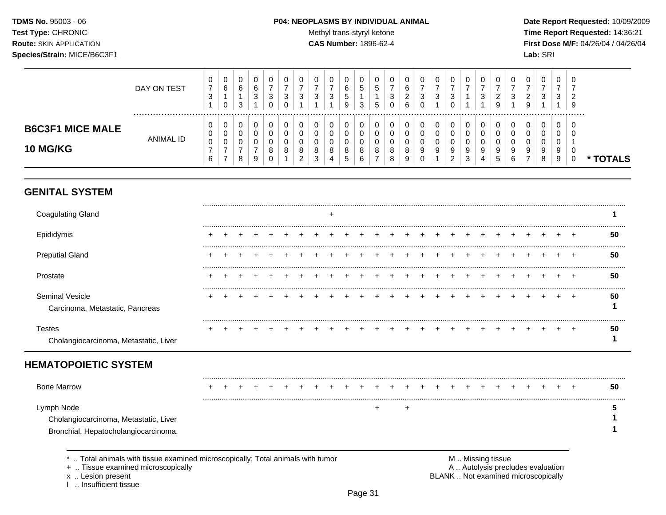TDMS No. 95003 - 06 Test Type: CHRONIC **Route: SKIN APPLICATION** Species/Strain: MICE/B6C3F1

#### P04: NEOPLASMS BY INDIVIDUAL ANIMAL

Methyl trans-styryl ketone

**CAS Number: 1896-62-4** 

Date Report Requested: 10/09/2009 Time Report Requested: 14:36:21 First Dose M/F: 04/26/04 / 04/26/04 Lab: SRI

|                                            | DAY ON TEST | U<br>$\overline{\phantom{0}}$<br>◠<br>ు | $\mathbf{0}$<br>6<br>0 | U<br>6<br>3 |   | U<br>3            | <b>U</b><br>ົ<br>ັ | v<br>વ<br>v      | v<br>3                     | $\mathbf{0}$<br>◠<br>3 | U<br>6<br>G<br>9            | 3 | υ<br>.5<br>b      | <b>U</b><br>◠<br>ັ | U<br>ີ<br><u>.</u><br>6 | U<br>-<br>3           | 0<br>3           | U<br>3                |        | U<br>3      | <b>U</b><br>◠<br>_<br>9 | U<br>ാ | U<br>ົ<br>9           | 0<br>3                | 0<br>3            | - ს<br>-9 |               |
|--------------------------------------------|-------------|-----------------------------------------|------------------------|-------------|---|-------------------|--------------------|------------------|----------------------------|------------------------|-----------------------------|---|-------------------|--------------------|-------------------------|-----------------------|------------------|-----------------------|--------|-------------|-------------------------|--------|-----------------------|-----------------------|-------------------|-----------|---------------|
| <b>B6C3F1 MICE MALE</b><br><b>10 MG/KG</b> | ANIMAL ID   | U<br>U<br>0<br>6                        | 0<br>0<br>0<br>-       | 8           | ၟ | υ<br>ິ<br>$\circ$ | -U<br>◡<br>8       | C<br>8<br>$\sim$ | 0<br>υ<br>U<br>8<br>ົ<br>ۍ | 0<br>0<br>8            | 0<br>0<br>8<br>$\mathbf{p}$ |   | U<br>u<br>$\circ$ | 0<br>8<br>8        | C<br>8<br>9             | U<br>ν<br>ν<br>9<br>v | 0<br>0<br>0<br>9 | 0<br>0<br>9<br>ົ<br>∼ | 9<br>3 | 0<br>9<br>4 | 9<br>G                  | 9<br>6 | 0<br>u<br>ν<br>9<br>- | 0<br>0<br>0<br>9<br>8 | 0<br>U<br>9<br>-9 | - 6       | <b>TOTALS</b> |

## **GENITAL SYSTEM**

| <b>Coagulating Gland</b>                                  |  |  |  |  |  |  |  |  |  |  |  |  |    |
|-----------------------------------------------------------|--|--|--|--|--|--|--|--|--|--|--|--|----|
| Epididymis                                                |  |  |  |  |  |  |  |  |  |  |  |  | 50 |
| <b>Preputial Gland</b>                                    |  |  |  |  |  |  |  |  |  |  |  |  | 50 |
| Prostate                                                  |  |  |  |  |  |  |  |  |  |  |  |  | 50 |
| <b>Seminal Vesicle</b><br>Carcinoma, Metastatic, Pancreas |  |  |  |  |  |  |  |  |  |  |  |  | 50 |
| <b>Testes</b><br>Cholangiocarcinoma, Metastatic, Liver    |  |  |  |  |  |  |  |  |  |  |  |  | 50 |

# **HEMATOPOIETIC SYSTEM**

| <b>Bone Marrow</b>                                                                          |  |  |  |  |  |  |  |  |  |  |  |  | 50 |
|---------------------------------------------------------------------------------------------|--|--|--|--|--|--|--|--|--|--|--|--|----|
| Lymph Node<br>Cholangiocarcinoma, Metastatic, Liver<br>Bronchial, Hepatocholangiocarcinoma, |  |  |  |  |  |  |  |  |  |  |  |  |    |

\* .. Total animals with tissue examined microscopically; Total animals with tumor

+ .. Tissue examined microscopically

x .. Lesion present

1 .. Insufficient tissue

M .. Missing tissue<br>A .. Autolysis precludes evaluation BLANK .. Not examined microscopically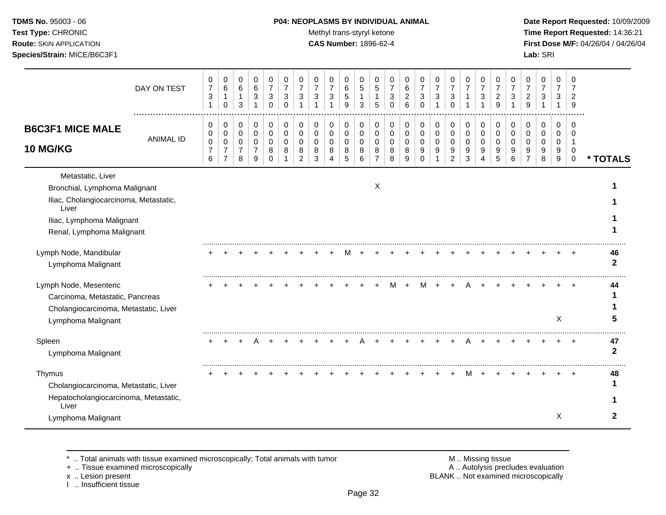### **TDMS No.** 95003 - 06 **P04: NEOPLASMS BY INDIVIDUAL ANIMAL** Date Report Requested: 10/09/2009

Test Type: CHRONIC **Test Type:** CHRONIC **Test Type:** CHRONIC **Time Report Requested:** 14:36:21 **Route:** SKIN APPLICATION **CAS Number:** 1896-62-4 **First Dose M/F:** 04/26/04 / 04/26/04

|                                                                                                                                                                 | DAY ON TEST      | 0<br>$\overline{7}$<br>3<br>-1     | 0<br>$\,6$<br>1<br>$\Omega$                               | 0<br>$\,6\,$<br>1<br>3                                   | $\pmb{0}$<br>$\,6\,$<br>$\mathbf 3$<br>$\mathbf{1}$          | $\pmb{0}$<br>$\overline{7}$<br>$\mathsf 3$<br>$\Omega$ | 0<br>$\overline{7}$<br>$\sqrt{3}$<br>$\Omega$ | 0<br>$\overline{7}$<br>3                            | 0<br>$\overline{7}$<br>3<br>$\overline{1}$ | 0<br>$\overline{7}$<br>3<br>$\blacktriangleleft$ | 0<br>$\,6$<br>$\overline{5}$<br>9         | 0<br>$\sqrt{5}$<br>-1<br>3      | 0<br>5<br>$\mathbf{1}$<br>5                            | 0<br>$\overline{7}$<br>$\sqrt{3}$<br>$\Omega$ | 0<br>$\,6$<br>$\boldsymbol{2}$<br>6 | 0<br>$\overline{7}$<br>3<br>$\Omega$ | 0<br>$\overline{7}$<br>$\mathbf{3}$ | 0<br>$\overline{7}$<br>3<br>$\Omega$                 | 0<br>$\overline{7}$                           | 0<br>$\overline{7}$<br>$\sqrt{3}$<br>1 | 0<br>$\overline{7}$<br>$\overline{a}$<br>9 | 0<br>$\overline{7}$<br>3               | 0<br>$\overline{7}$<br>$\overline{c}$<br>9 | 0<br>$\overline{7}$<br>3               | 0<br>$\overline{7}$<br>3<br>1        | 0<br>7<br>$\overline{2}$<br>9   |                    |
|-----------------------------------------------------------------------------------------------------------------------------------------------------------------|------------------|------------------------------------|-----------------------------------------------------------|----------------------------------------------------------|--------------------------------------------------------------|--------------------------------------------------------|-----------------------------------------------|-----------------------------------------------------|--------------------------------------------|--------------------------------------------------|-------------------------------------------|---------------------------------|--------------------------------------------------------|-----------------------------------------------|-------------------------------------|--------------------------------------|-------------------------------------|------------------------------------------------------|-----------------------------------------------|----------------------------------------|--------------------------------------------|----------------------------------------|--------------------------------------------|----------------------------------------|--------------------------------------|---------------------------------|--------------------|
| <b>B6C3F1 MICE MALE</b><br><b>10 MG/KG</b>                                                                                                                      | <b>ANIMAL ID</b> | 0<br>0<br>0<br>$\overline{7}$<br>6 | 0<br>0<br>$\mathbf 0$<br>$\overline{7}$<br>$\overline{7}$ | $\,0\,$<br>$\pmb{0}$<br>$\pmb{0}$<br>$\overline{7}$<br>8 | 0<br>$\mathsf{O}\xspace$<br>$\pmb{0}$<br>$\overline{7}$<br>9 | 0<br>$\mathsf{O}\xspace$<br>$\pmb{0}$<br>8<br>$\Omega$ | 0<br>$\pmb{0}$<br>$\mathbf 0$<br>8            | 0<br>$\mathbf 0$<br>$\Omega$<br>8<br>$\overline{2}$ | 0<br>$\mathbf 0$<br>$\Omega$<br>8<br>3     | 0<br>$\mathbf 0$<br>0<br>8                       | 0<br>$\mathsf 0$<br>$\mathbf 0$<br>8<br>5 | 0<br>0<br>$\mathbf 0$<br>8<br>6 | 0<br>$\mathbf 0$<br>$\mathbf 0$<br>8<br>$\overline{7}$ | 0<br>0<br>$\pmb{0}$<br>8<br>8                 | 0<br>0<br>$\mathbf 0$<br>8<br>9     | 0<br>0<br>0<br>9<br>$\Omega$         | 0<br>$\mathbf 0$<br>0<br>9          | 0<br>$\pmb{0}$<br>$\mathbf 0$<br>9<br>$\overline{c}$ | $\pmb{0}$<br>$\pmb{0}$<br>$\pmb{0}$<br>9<br>3 | 0<br>$\pmb{0}$<br>$\pmb{0}$<br>9<br>4  | 0<br>$\pmb{0}$<br>$\mathbf 0$<br>9<br>5    | 0<br>$\mathbf 0$<br>$\Omega$<br>9<br>6 | 0<br>0<br>0                                | 0<br>$\mathbf 0$<br>$\Omega$<br>9<br>8 | 0<br>0<br>0<br>9<br>$\boldsymbol{9}$ | 0<br>0<br>1<br>0<br>$\mathbf 0$ | * TOTALS           |
| Metastatic, Liver<br>Bronchial, Lymphoma Malignant<br>Iliac, Cholangiocarcinoma, Metastatic,<br>Liver<br>Iliac, Lymphoma Malignant<br>Renal, Lymphoma Malignant |                  |                                    |                                                           |                                                          |                                                              |                                                        |                                               |                                                     |                                            |                                                  |                                           |                                 | X                                                      |                                               |                                     |                                      |                                     |                                                      |                                               |                                        |                                            |                                        |                                            |                                        |                                      |                                 |                    |
| Lymph Node, Mandibular<br>Lymphoma Malignant                                                                                                                    |                  |                                    |                                                           |                                                          |                                                              |                                                        |                                               |                                                     |                                            |                                                  |                                           |                                 |                                                        |                                               |                                     |                                      |                                     |                                                      |                                               |                                        |                                            |                                        |                                            |                                        |                                      |                                 | 46<br>$\mathbf{2}$ |
| Lymph Node, Mesenteric<br>Carcinoma, Metastatic, Pancreas<br>Cholangiocarcinoma, Metastatic, Liver<br>Lymphoma Malignant                                        |                  |                                    |                                                           |                                                          |                                                              |                                                        |                                               |                                                     |                                            |                                                  |                                           |                                 |                                                        |                                               |                                     |                                      |                                     |                                                      |                                               |                                        |                                            |                                        |                                            |                                        | X                                    |                                 | 44                 |
| Spleen<br>Lymphoma Malignant                                                                                                                                    |                  |                                    |                                                           |                                                          |                                                              |                                                        |                                               |                                                     |                                            |                                                  |                                           |                                 |                                                        |                                               |                                     |                                      |                                     |                                                      |                                               |                                        |                                            |                                        |                                            |                                        |                                      |                                 | 47<br>$\mathbf{2}$ |
| Thymus<br>Cholangiocarcinoma, Metastatic, Liver<br>Hepatocholangiocarcinoma, Metastatic,<br>Liver                                                               |                  |                                    |                                                           |                                                          |                                                              |                                                        |                                               |                                                     |                                            |                                                  |                                           |                                 |                                                        |                                               |                                     |                                      |                                     |                                                      | M                                             |                                        |                                            |                                        |                                            |                                        |                                      |                                 | 48                 |
| Lymphoma Malignant                                                                                                                                              |                  |                                    |                                                           |                                                          |                                                              |                                                        |                                               |                                                     |                                            |                                                  |                                           |                                 |                                                        |                                               |                                     |                                      |                                     |                                                      |                                               |                                        |                                            |                                        |                                            |                                        | X                                    |                                 | 2                  |

+ .. Tissue examined microscopically

x .. Lesion present<br>I .. Insufficient tissue

\* .. Total animals with tissue examined microscopically; Total animals with tumor **M** metally more than M .. Missing tissue<br>  $\blacksquare$  Tissue examined microscopically BLANK .. Not examined microscopically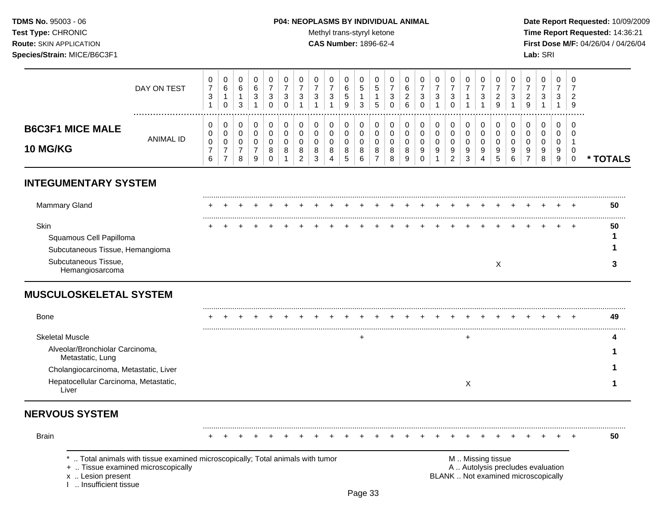### **TDMS No.** 95003 - 06 **P04: NEOPLASMS BY INDIVIDUAL ANIMAL** Date Report Requested: 10/09/2009

Test Type: CHRONIC **Test Type:** CHRONIC **Test Type:** CHRONIC **Time Report Requested:** 14:36:21 **Route:** SKIN APPLICATION **CAS Number:** 1896-62-4 **First Dose M/F:** 04/26/04 / 04/26/04

|                         | DAY ON TEST | U<br>$\rightarrow$<br>◠<br>ت | $\mathbf{0}$<br>6<br>0 | 6<br>3 |   | υ | ົ<br>ັ | ◠             | ◡<br>3                    | 0<br>J. | U<br>6<br>G<br>9 | ÷<br>3 | υ<br>C<br><sub>5</sub> | ັ      | <u>.</u><br>6 | ν<br>っ<br>J | U<br>3 | U<br>◠<br>◡   | U<br>- 3 | <u>_</u><br>9 |        | υ<br>9      | 0<br>3      | 0<br>3      | - ს<br>-9 |       |
|-------------------------|-------------|------------------------------|------------------------|--------|---|---|--------|---------------|---------------------------|---------|------------------|--------|------------------------|--------|---------------|-------------|--------|---------------|----------|---------------|--------|-------------|-------------|-------------|-----------|-------|
| <b>B6C3F1 MICE MALE</b> |             | v<br>U                       | 0<br>U                 |        |   |   | v      |               | υ<br>ν                    | 0<br>U  | 0                |        | υ                      |        |               | ν<br>U      | 0<br>0 |               | O        |               |        | υ<br>U      | 0<br>0      | 0           | - C       |       |
| <b>10 MG/KG</b>         | ANIMAL ID   | 0<br>$\sim$<br>6             | υ                      | ิช     | č | o | 8      | 8<br><u>.</u> | ν<br>8<br>$\sqrt{2}$<br>ა | υ<br>8  | 8<br>$5^{\circ}$ |        | $\circ$                | 8<br>8 | 8<br>У        | v<br>9      | υ<br>9 | 9<br><u>_</u> | 9<br>4   | 9<br>ັ        | 9<br>ี | ν<br>9<br>۰ | 0<br>9<br>8 | U<br>9<br>9 |           | FAI S |

## **INTEGUMENTARY SYSTEM**

| Mammary Gland                                              |  |  |  |  |  | + + + + + + + + + + + + + + |  |  |  |  |  |  | 50 |  |
|------------------------------------------------------------|--|--|--|--|--|-----------------------------|--|--|--|--|--|--|----|--|
| Skin                                                       |  |  |  |  |  |                             |  |  |  |  |  |  | 50 |  |
| Squamous Cell Papilloma<br>Subcutaneous Tissue, Hemangioma |  |  |  |  |  |                             |  |  |  |  |  |  |    |  |
| Subcutaneous Tissue,                                       |  |  |  |  |  |                             |  |  |  |  |  |  |    |  |

## **MUSCULOSKELETAL SYSTEM**

| <b>Bone</b>                                         |  |  |  |  |  |  |  |  |  |  |  |  |  | 49 |
|-----------------------------------------------------|--|--|--|--|--|--|--|--|--|--|--|--|--|----|
| <b>Skeletal Muscle</b>                              |  |  |  |  |  |  |  |  |  |  |  |  |  |    |
| Alveolar/Bronchiolar Carcinoma,<br>Metastatic, Lung |  |  |  |  |  |  |  |  |  |  |  |  |  |    |
| Cholangiocarcinoma, Metastatic, Liver               |  |  |  |  |  |  |  |  |  |  |  |  |  |    |
| Hepatocellular Carcinoma, Metastatic,<br>Live       |  |  |  |  |  |  |  |  |  |  |  |  |  |    |

## **NERVOUS SYSTEM**

| <b>Brain</b> |                                                                                                                                            |  |  |  |  |  |  |  |  |  |                   |  |                                                                         |  | 50 |  |
|--------------|--------------------------------------------------------------------------------------------------------------------------------------------|--|--|--|--|--|--|--|--|--|-------------------|--|-------------------------------------------------------------------------|--|----|--|
|              | *  Total animals with tissue examined microscopically; Total animals with tumor<br>+  Tissue examined microscopically<br>x  Lesion present |  |  |  |  |  |  |  |  |  | M  Missing tissue |  | A Autolysis precludes evaluation<br>BLANK  Not examined microscopically |  |    |  |

x .. Lesion present<br>I .. Insufficient tissue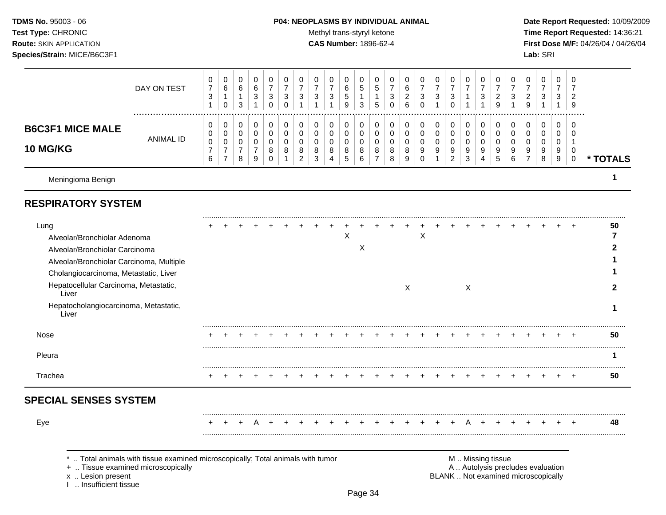#### **TDMS No.** 95003 - 06 **P04: NEOPLASMS BY INDIVIDUAL ANIMAL** Date Report Requested: 10/09/2009

Test Type: CHRONIC **Test Type:** CHRONIC **Test Type:** CHRONIC **Time Report Requested:** 14:36:21 **Route:** SKIN APPLICATION **CAS Number:** 1896-62-4 **First Dose M/F:** 04/26/04 / 04/26/04

|                                                                                                                                                                                                                                                                 | DAY ON TEST      | 0<br>$\overline{7}$<br>$\sqrt{3}$<br>$\mathbf{1}$ | 0<br>$\,6\,$<br>$\mathbf{1}$<br>$\mathbf 0$     | 0<br>6<br>$\mathbf{1}$<br>3        | 0<br>6<br>3<br>1                                       | 0<br>$\overline{7}$<br>3<br>$\Omega$          | 0<br>$\overline{7}$<br>3<br>$\Omega$ | 0<br>$\overline{7}$<br>3               | 0<br>7<br>3                            | 0<br>$\overline{7}$<br>$\ensuremath{\mathsf{3}}$ | 0<br>6<br>5<br>9              | 0<br>$\sqrt{5}$<br>$\mathbf{1}$<br>3 | 0<br>5<br>-1<br>5                         | 0<br>$\overline{7}$<br>3<br>$\Omega$ | 0<br>$\,6\,$<br>$\boldsymbol{2}$<br>6 | 0<br>$\overline{7}$<br>$\sqrt{3}$<br>$\Omega$ | 0<br>$\overline{7}$<br>3<br>$\overline{ }$ | 0<br>$\overline{7}$<br>3<br>$\Omega$                   | 0<br>7<br>1                  | 0<br>$\overline{7}$<br>3 | 0<br>7<br>$\overline{2}$<br>$\mathsf{Q}$ | 0<br>$\overline{7}$<br>3<br>1   | 0<br>$\overline{7}$<br>$\overline{c}$<br>9   | 0<br>$\overline{7}$<br>3<br>$\overline{1}$ | 0<br>$\overline{7}$<br>3<br>1   | $\Omega$<br>7<br>$\overline{2}$<br>9 |                   |
|-----------------------------------------------------------------------------------------------------------------------------------------------------------------------------------------------------------------------------------------------------------------|------------------|---------------------------------------------------|-------------------------------------------------|------------------------------------|--------------------------------------------------------|-----------------------------------------------|--------------------------------------|----------------------------------------|----------------------------------------|--------------------------------------------------|-------------------------------|--------------------------------------|-------------------------------------------|--------------------------------------|---------------------------------------|-----------------------------------------------|--------------------------------------------|--------------------------------------------------------|------------------------------|--------------------------|------------------------------------------|---------------------------------|----------------------------------------------|--------------------------------------------|---------------------------------|--------------------------------------|-------------------|
| <b>B6C3F1 MICE MALE</b><br><b>10 MG/KG</b>                                                                                                                                                                                                                      | <b>ANIMAL ID</b> | 0<br>0<br>0<br>7<br>6                             | 0<br>0<br>0<br>$\overline{7}$<br>$\overline{7}$ | 0<br>0<br>0<br>$\overline{7}$<br>8 | 0<br>$\mathbf 0$<br>$\mathbf 0$<br>$\overline{7}$<br>9 | 0<br>$\mathbf 0$<br>$\Omega$<br>8<br>$\Omega$ | 0<br>0<br>0<br>8                     | 0<br>$\mathbf 0$<br>$\Omega$<br>8<br>2 | 0<br>$\mathbf 0$<br>$\Omega$<br>8<br>3 | 0<br>0<br>$\mathbf 0$<br>8<br>$\overline{4}$     | 0<br>$\pmb{0}$<br>0<br>8<br>5 | 0<br>$\mathbf 0$<br>0<br>8<br>6      | 0<br>0<br>$\Omega$<br>8<br>$\overline{7}$ | 0<br>$\mathbf 0$<br>0<br>8<br>8      | 0<br>$\pmb{0}$<br>0<br>8<br>9         | 0<br>0<br>0<br>9<br>$\Omega$                  | 0<br>$\pmb{0}$<br>0<br>9<br>$\mathbf{1}$   | 0<br>$\mathbf 0$<br>$\mathbf 0$<br>9<br>$\overline{2}$ | 0<br>0<br>$\Omega$<br>9<br>3 | 0<br>0<br>0<br>9<br>4    | 0<br>0<br>$\Omega$<br>9<br>5             | 0<br>$\mathbf 0$<br>0<br>9<br>6 | 0<br>0<br>$\mathbf 0$<br>9<br>$\overline{7}$ | 0<br>$\mathbf 0$<br>$\mathbf 0$<br>9<br>8  | 0<br>0<br>$\mathbf 0$<br>9<br>9 | 0<br>$\Omega$<br>0<br>$\mathbf 0$    | * TOTALS          |
| Meningioma Benign                                                                                                                                                                                                                                               |                  |                                                   |                                                 |                                    |                                                        |                                               |                                      |                                        |                                        |                                                  |                               |                                      |                                           |                                      |                                       |                                               |                                            |                                                        |                              |                          |                                          |                                 |                                              |                                            |                                 |                                      | 1                 |
| <b>RESPIRATORY SYSTEM</b>                                                                                                                                                                                                                                       |                  |                                                   |                                                 |                                    |                                                        |                                               |                                      |                                        |                                        |                                                  |                               |                                      |                                           |                                      |                                       |                                               |                                            |                                                        |                              |                          |                                          |                                 |                                              |                                            |                                 |                                      |                   |
| Lung<br>Alveolar/Bronchiolar Adenoma<br>Alveolar/Bronchiolar Carcinoma<br>Alveolar/Bronchiolar Carcinoma, Multiple<br>Cholangiocarcinoma, Metastatic, Liver<br>Hepatocellular Carcinoma, Metastatic,<br>Liver<br>Hepatocholangiocarcinoma, Metastatic,<br>Liver |                  |                                                   |                                                 |                                    |                                                        |                                               |                                      |                                        |                                        |                                                  | X                             | X                                    |                                           |                                      | X                                     | X                                             |                                            |                                                        | X                            |                          |                                          |                                 |                                              |                                            |                                 |                                      | 50<br>7<br>2<br>1 |
| Nose                                                                                                                                                                                                                                                            |                  |                                                   |                                                 |                                    |                                                        |                                               |                                      |                                        |                                        |                                                  |                               |                                      |                                           |                                      |                                       |                                               |                                            |                                                        |                              |                          |                                          |                                 |                                              |                                            |                                 |                                      | 50                |
| Pleura                                                                                                                                                                                                                                                          |                  |                                                   |                                                 |                                    |                                                        |                                               |                                      |                                        |                                        |                                                  |                               |                                      |                                           |                                      |                                       |                                               |                                            |                                                        |                              |                          |                                          |                                 |                                              |                                            |                                 |                                      | 1                 |
|                                                                                                                                                                                                                                                                 |                  |                                                   |                                                 |                                    |                                                        |                                               |                                      |                                        |                                        |                                                  |                               |                                      |                                           |                                      |                                       |                                               |                                            |                                                        |                              |                          |                                          |                                 |                                              |                                            |                                 |                                      | 50                |

\* .. Total animals with tissue examined microscopically; Total animals with tumor **M** . M .. Missing tissue examined microscopically<br>
+ .. Tissue examined microscopically

+ .. Tissue examined microscopically

I .. Insufficient tissue

x .. Lesion present **BLANK** .. Not examined microscopically

.........................................................................................................................................................................................................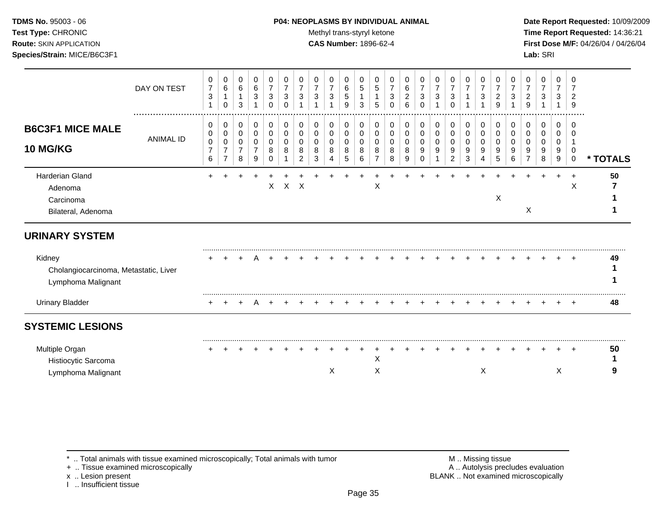### **TDMS No.** 95003 - 06 **P04: NEOPLASMS BY INDIVIDUAL ANIMAL** Date Report Requested: 10/09/2009

**Test Type:** CHRONIC **Trans-styryl ketone** Methyl trans-styryl ketone **Time Report Requested:** 14:36:21 **Route:** SKIN APPLICATION **CAS Number:** 1896-62-4 **First Dose M/F:** 04/26/04 / 04/26/04

|                                                                       | DAY ON TEST      | 0<br>$\overline{7}$<br>3<br>$\mathbf{1}$ | 0<br>6<br>$\mathbf 1$<br>$\mathbf 0$            | 0<br>6<br>1<br>3                   | 0<br>$\,6\,$<br>$\mathbf{3}$                 | 0<br>$\overline{7}$<br>$\mathbf{3}$<br>0 | 0<br>$\overline{7}$<br>$\sqrt{3}$<br>$\mathbf 0$ | 0<br>$\overline{7}$<br>3        | 0<br>$\overline{7}$<br>3     | 0<br>3                  | 0<br>6<br>5<br>9                | 0<br>5<br>$\mathbf 1$<br>3 | 0<br>$\sqrt{5}$<br>$\mathbf{1}$<br>5 | 0<br>$\overline{7}$<br>3<br>0 | 0<br>6<br>$\overline{c}$<br>6   | 0<br>$\overline{7}$<br>3<br>0 | 0<br>$\overline{7}$<br>3   | 0<br>$\overline{7}$<br>3<br>0      | 0<br>$\overline{7}$<br>1 | 0<br>$\overline{7}$<br>$\sqrt{3}$<br>1 | 0<br>$\overline{7}$<br>2<br>9 | 0<br>3                | 0<br>$\overline{7}$<br>2<br>9 | 0<br>$\overline{7}$<br>3 | 0<br>$\overline{7}$<br>3<br>$\mathbf{1}$ | 0<br>7<br>$\overline{2}$<br>9 |          |
|-----------------------------------------------------------------------|------------------|------------------------------------------|-------------------------------------------------|------------------------------------|----------------------------------------------|------------------------------------------|--------------------------------------------------|---------------------------------|------------------------------|-------------------------|---------------------------------|----------------------------|--------------------------------------|-------------------------------|---------------------------------|-------------------------------|----------------------------|------------------------------------|--------------------------|----------------------------------------|-------------------------------|-----------------------|-------------------------------|--------------------------|------------------------------------------|-------------------------------|----------|
| <b>B6C3F1 MICE MALE</b><br><b>10 MG/KG</b>                            | <b>ANIMAL ID</b> | 0<br>0<br>0<br>$\overline{7}$<br>6       | 0<br>0<br>0<br>$\overline{7}$<br>$\overline{7}$ | 0<br>0<br>0<br>$\overline{7}$<br>8 | 0<br>$\mathbf 0$<br>0<br>$\overline{7}$<br>9 | 0<br>0<br>0<br>8<br>$\Omega$             | 0<br>$\,0\,$<br>0<br>8                           | 0<br>0<br>$\mathbf 0$<br>8<br>2 | 0<br>0<br>$\Omega$<br>8<br>3 | 0<br>0<br>$\Omega$<br>8 | 0<br>0<br>$\mathbf 0$<br>8<br>5 | 0<br>0<br>0<br>8<br>6      | 0<br>0<br>$\mathbf 0$<br>8<br>7      | 0<br>0<br>0<br>8<br>8         | 0<br>$\mathbf 0$<br>0<br>8<br>9 | 0<br>0<br>0<br>9              | 0<br>0<br>$\mathbf 0$<br>9 | 0<br>0<br>0<br>9<br>$\overline{2}$ | 0<br>0<br>0<br>9<br>3    | 0<br>0<br>0<br>9<br>4                  | 0<br>0<br>$\Omega$<br>9<br>5  | 0<br>0<br>0<br>9<br>6 | 0<br>0<br>0<br>9              | 0<br>0<br>0<br>9<br>8    | 0<br>0<br>0<br>9<br>9                    | $\Omega$<br>0<br>$\mathbf 0$  | * TOTALS |
| Harderian Gland<br>Adenoma<br>Carcinoma<br>Bilateral, Adenoma         |                  |                                          |                                                 |                                    |                                              | X                                        | $\mathsf{X}$                                     | $\times$                        |                              |                         |                                 |                            | Χ                                    |                               |                                 |                               |                            |                                    |                          |                                        | X                             |                       | X                             |                          |                                          | Χ                             | 50       |
| <b>URINARY SYSTEM</b>                                                 |                  |                                          |                                                 |                                    |                                              |                                          |                                                  |                                 |                              |                         |                                 |                            |                                      |                               |                                 |                               |                            |                                    |                          |                                        |                               |                       |                               |                          |                                          |                               |          |
| Kidney<br>Cholangiocarcinoma, Metastatic, Liver<br>Lymphoma Malignant |                  |                                          |                                                 |                                    |                                              |                                          |                                                  |                                 |                              |                         |                                 |                            |                                      |                               |                                 |                               |                            |                                    |                          |                                        |                               |                       |                               |                          |                                          |                               | 49       |
| <b>Urinary Bladder</b>                                                |                  |                                          |                                                 |                                    |                                              |                                          |                                                  |                                 |                              |                         |                                 |                            |                                      |                               |                                 |                               |                            |                                    |                          |                                        |                               |                       |                               |                          |                                          |                               | 48       |
| <b>SYSTEMIC LESIONS</b>                                               |                  |                                          |                                                 |                                    |                                              |                                          |                                                  |                                 |                              |                         |                                 |                            |                                      |                               |                                 |                               |                            |                                    |                          |                                        |                               |                       |                               |                          |                                          |                               |          |
| Multiple Organ<br>Histiocytic Sarcoma<br>Lymphoma Malignant           |                  |                                          |                                                 |                                    |                                              |                                          |                                                  |                                 |                              | X                       |                                 |                            | $\pmb{\times}$<br>X                  |                               |                                 |                               |                            |                                    |                          | X                                      |                               |                       |                               |                          | X                                        |                               | 50       |

\* .. Total animals with tissue examined microscopically; Total animals with tumor **M** metally more than M .. Missing tissue<br>  $\blacksquare$  Tissue examined microscopically

+ .. Tissue examined microscopically

x .. Lesion present<br>I .. Insufficient tissue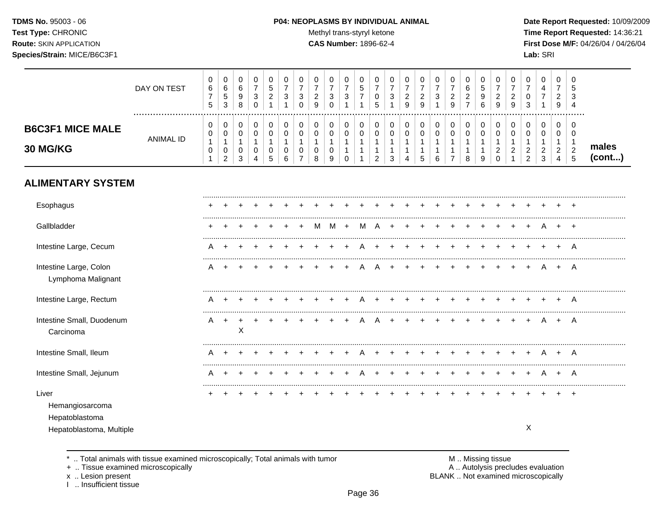TDMS No. 95003 - 06 Test Type: CHRONIC **Route: SKIN APPLICATION** Species/Strain: MICE/B6C3F1

#### P04: NEOPLASMS BY INDIVIDUAL ANIMAL

Methyl trans-styryl ketone

CAS Number: 1896-62-4

Date Report Requested: 10/09/2009 Time Report Requested: 14:36:21 First Dose M/F: 04/26/04 / 04/26/04 Lab: SRI

|                                                                        | DAY ON TEST      | $\mathsf 0$<br>$\,6\,$<br>$\overline{\mathbf{7}}$<br>$\overline{5}$ | $\pmb{0}$<br>$\,6\,$<br>$\,$ 5 $\,$<br>$\mathbf{3}$             | $\pmb{0}$<br>$\,6$<br>$\boldsymbol{9}$<br>8        | $\pmb{0}$<br>$\overline{7}$<br>$\mathbf{3}$<br>$\mathbf 0$ | 0<br>5<br>$\overline{c}$<br>1              | 0<br>$\overline{7}$<br>3                           | 0<br>$\overline{7}$<br>3<br>$\Omega$                   | $\,0\,$<br>$\overline{7}$<br>$\boldsymbol{2}$<br>9       | 0<br>$\overline{7}$<br>$\sqrt{3}$<br>$\Omega$ | 0<br>$\overline{7}$<br>$\ensuremath{\mathsf{3}}$<br>$\mathbf{1}$ | 0<br>$\sqrt{5}$<br>$\overline{7}$                                    | 0<br>$\overline{7}$<br>0<br>5                                      | 0<br>$\overline{7}$<br>3                   | 0<br>$\overline{7}$<br>$\overline{\mathbf{c}}$<br>9  | $\,0\,$<br>$\overline{7}$<br>$\overline{c}$<br>$\overline{9}$ | 0<br>$\overline{7}$<br>$\sqrt{3}$<br>1      | 0<br>$\overline{7}$<br>$\overline{\mathbf{c}}$<br>9      | 0<br>$6\phantom{1}6$<br>$\overline{c}$<br>$\overline{7}$ | 0<br>$\sqrt{5}$<br>9<br>6                            | 0<br>$\overline{7}$<br>$\overline{\mathbf{c}}$<br>9            | 0<br>$\overline{7}$<br>$\overline{\mathbf{c}}$<br>9 | 0<br>$\overline{7}$<br>0<br>3                             | 0<br>4<br>$\overline{7}$<br>1                  | $\mathbf 0$<br>$\overline{7}$<br>$\overline{c}$<br>9       | 0<br>5<br>3<br>$\overline{4}$                                    |                 |
|------------------------------------------------------------------------|------------------|---------------------------------------------------------------------|-----------------------------------------------------------------|----------------------------------------------------|------------------------------------------------------------|--------------------------------------------|----------------------------------------------------|--------------------------------------------------------|----------------------------------------------------------|-----------------------------------------------|------------------------------------------------------------------|----------------------------------------------------------------------|--------------------------------------------------------------------|--------------------------------------------|------------------------------------------------------|---------------------------------------------------------------|---------------------------------------------|----------------------------------------------------------|----------------------------------------------------------|------------------------------------------------------|----------------------------------------------------------------|-----------------------------------------------------|-----------------------------------------------------------|------------------------------------------------|------------------------------------------------------------|------------------------------------------------------------------|-----------------|
| <b>B6C3F1 MICE MALE</b><br>30 MG/KG                                    | <b>ANIMAL ID</b> | 0<br>0<br>$\mathbf{1}$<br>0<br>$\mathbf{1}$                         | $\pmb{0}$<br>$\mathbf 0$<br>$\mathbf{1}$<br>0<br>$\overline{2}$ | $\pmb{0}$<br>0<br>$\mathbf{1}$<br>$\mathbf 0$<br>3 | 0<br>$\mathbf 0$<br>$\mathbf{1}$<br>0<br>4                 | 0<br>$\mathbf 0$<br>$\mathbf{1}$<br>0<br>5 | $\pmb{0}$<br>$\mathbf 0$<br>$\mathbf{1}$<br>0<br>6 | 0<br>$\mathbf 0$<br>1<br>$\mathbf 0$<br>$\overline{7}$ | $\,0\,$<br>$\mathbf 0$<br>$\mathbf{1}$<br>$\pmb{0}$<br>8 | 0<br>0<br>$\mathbf{1}$<br>0<br>9              | 0<br>0<br>$\mathbf{1}$<br>$\mathbf{1}$<br>$\Omega$               | 0<br>$\mathbf 0$<br>$\overline{1}$<br>$\mathbf{1}$<br>$\overline{1}$ | 0<br>$\mathbf 0$<br>$\mathbf{1}$<br>$\mathbf{1}$<br>$\overline{2}$ | 0<br>$\mathbf 0$<br>$\mathbf{1}$<br>1<br>3 | 0<br>$\mathbf 0$<br>1<br>1<br>$\boldsymbol{\Lambda}$ | $\pmb{0}$<br>$\mathbf 0$<br>1<br>5                            | 0<br>0<br>$\mathbf{1}$<br>$\mathbf{1}$<br>6 | 0<br>0<br>$\mathbf{1}$<br>$\mathbf{1}$<br>$\overline{7}$ | 0<br>$\mathbf 0$<br>$\mathbf{1}$<br>$\mathbf{1}$<br>8    | 0<br>$\mathbf 0$<br>$\mathbf{1}$<br>$\mathbf 1$<br>9 | 0<br>$\mathbf 0$<br>$\mathbf{1}$<br>$\overline{c}$<br>$\Omega$ | 0<br>0<br>1<br>$\overline{c}$<br>$\mathbf{1}$       | 0<br>$\mathbf 0$<br>1<br>$\overline{c}$<br>$\overline{2}$ | 0<br>$\mathbf 0$<br>1<br>$\boldsymbol{2}$<br>3 | 0<br>0<br>$\mathbf{1}$<br>$\overline{c}$<br>$\overline{4}$ | $\mathbf 0$<br>$\Omega$<br>$\overline{1}$<br>$\overline{2}$<br>5 | males<br>(cont) |
| <b>ALIMENTARY SYSTEM</b>                                               |                  |                                                                     |                                                                 |                                                    |                                                            |                                            |                                                    |                                                        |                                                          |                                               |                                                                  |                                                                      |                                                                    |                                            |                                                      |                                                               |                                             |                                                          |                                                          |                                                      |                                                                |                                                     |                                                           |                                                |                                                            |                                                                  |                 |
| Esophagus                                                              |                  |                                                                     |                                                                 |                                                    |                                                            |                                            |                                                    |                                                        |                                                          |                                               |                                                                  |                                                                      |                                                                    |                                            |                                                      |                                                               |                                             |                                                          |                                                          |                                                      |                                                                |                                                     |                                                           |                                                |                                                            |                                                                  |                 |
| Gallbladder                                                            |                  |                                                                     |                                                                 |                                                    |                                                            |                                            |                                                    |                                                        | м                                                        | м                                             | $\ddot{}$                                                        | м                                                                    |                                                                    |                                            |                                                      |                                                               |                                             |                                                          |                                                          |                                                      |                                                                |                                                     |                                                           | A                                              |                                                            |                                                                  |                 |
| Intestine Large, Cecum                                                 |                  |                                                                     |                                                                 |                                                    |                                                            |                                            |                                                    |                                                        |                                                          |                                               |                                                                  |                                                                      |                                                                    |                                            |                                                      |                                                               |                                             |                                                          |                                                          |                                                      |                                                                |                                                     |                                                           |                                                |                                                            |                                                                  |                 |
| Intestine Large, Colon<br>Lymphoma Malignant                           |                  |                                                                     |                                                                 |                                                    |                                                            |                                            |                                                    |                                                        |                                                          |                                               |                                                                  |                                                                      |                                                                    |                                            |                                                      |                                                               |                                             |                                                          |                                                          |                                                      |                                                                |                                                     |                                                           |                                                | $\div$                                                     | A                                                                |                 |
| Intestine Large, Rectum                                                |                  |                                                                     |                                                                 |                                                    |                                                            |                                            |                                                    |                                                        |                                                          |                                               |                                                                  |                                                                      |                                                                    |                                            |                                                      |                                                               |                                             |                                                          |                                                          |                                                      |                                                                |                                                     |                                                           |                                                |                                                            |                                                                  |                 |
| Intestine Small, Duodenum<br>Carcinoma                                 |                  | A                                                                   | $\overline{+}$                                                  | $\ddot{}$<br>X                                     |                                                            |                                            |                                                    |                                                        |                                                          |                                               |                                                                  |                                                                      |                                                                    |                                            |                                                      |                                                               |                                             |                                                          |                                                          |                                                      |                                                                |                                                     |                                                           | A                                              | $+$                                                        | A                                                                |                 |
| Intestine Small, Ileum                                                 |                  | Α                                                                   |                                                                 |                                                    |                                                            |                                            |                                                    |                                                        |                                                          |                                               |                                                                  |                                                                      |                                                                    |                                            |                                                      |                                                               |                                             |                                                          |                                                          |                                                      |                                                                |                                                     |                                                           |                                                | +                                                          | A                                                                |                 |
| Intestine Small, Jejunum                                               |                  | A                                                                   |                                                                 |                                                    |                                                            |                                            |                                                    |                                                        |                                                          |                                               |                                                                  |                                                                      |                                                                    |                                            |                                                      |                                                               |                                             |                                                          |                                                          |                                                      |                                                                |                                                     |                                                           | A                                              | +                                                          | A                                                                |                 |
| Liver<br>Hemangiosarcoma<br>Hepatoblastoma<br>Hepatoblastoma, Multiple |                  |                                                                     |                                                                 |                                                    |                                                            |                                            |                                                    |                                                        |                                                          |                                               |                                                                  |                                                                      |                                                                    |                                            |                                                      |                                                               |                                             |                                                          |                                                          |                                                      |                                                                |                                                     | X                                                         |                                                |                                                            |                                                                  |                 |

.. Total animals with tissue examined microscopically; Total animals with tumor  $\star$ 

+ .. Tissue examined microscopically

x .. Lesion present<br>I .. Insufficient tissue

M .. Missing tissue<br>A .. Autolysis precludes evaluation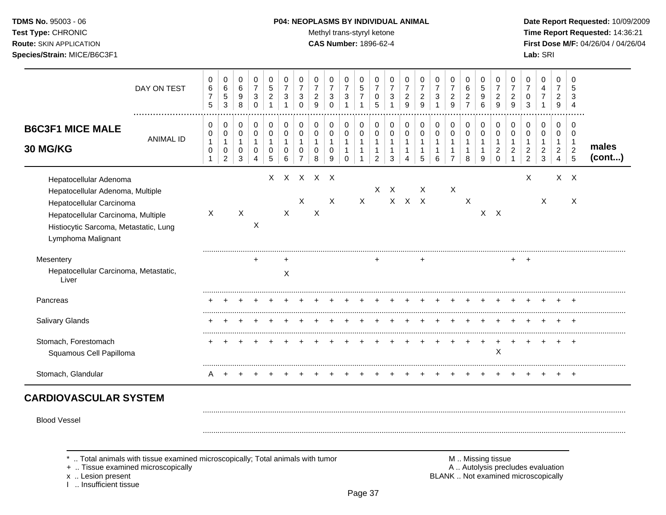#### **TDMS No.** 95003 - 06 **P04: NEOPLASMS BY INDIVIDUAL ANIMAL Date Report Requested:** 10/09/2009

Test Type: CHRONIC **Test Type:** CHRONIC **Test Type:** CHRONIC **Time Report Requested:** 14:36:21 **Route:** SKIN APPLICATION **CAS Number:** 1896-62-4 **First Dose M/F:** 04/26/04 / 04/26/04

|                                                                                                                                                                                             | DAY ON TEST      | 0<br>$\,6\,$<br>$\overline{7}$<br>5 | 0<br>6<br>$\sqrt{5}$<br>3          | 0<br>$\,6\,$<br>9<br>8                     | 0<br>$\overline{7}$<br>$\mathbf{3}$<br>$\mathbf 0$ | 0<br>$\sqrt{5}$<br>$\boldsymbol{2}$      | 0<br>$\overline{7}$<br>3<br>1 | 0<br>$\overline{7}$<br>3<br>0 | 0<br>$\overline{7}$<br>$\overline{2}$<br>9 | 0<br>7<br>3<br>$\Omega$ | 0<br>$\overline{7}$<br>$\mathbf{3}$ | 0<br>$\,$ 5 $\,$<br>$\overline{7}$<br>$\mathbf{1}$ | 0<br>$\overline{7}$<br>0<br>5            | 0<br>$\overline{7}$<br>3 | 0<br>$\overline{7}$<br>$\overline{2}$<br>9 | 0<br>$\overline{7}$<br>$\overline{2}$<br>9 | 0<br>$\overline{7}$<br>3 | 0<br>$\overline{7}$<br>$\overline{c}$<br>9 | 0<br>6<br>$\overline{2}$<br>$\overline{7}$ | 0<br>$\sqrt{5}$<br>9<br>6                | 0<br>$\overline{7}$<br>2<br>9             | 0<br>$\overline{7}$<br>$\overline{c}$<br>9 | 0<br>0<br>3                   | 0<br>4<br>$\overline{7}$      | 0<br>$\overline{7}$<br>$\overline{2}$<br>9 | 0<br>5<br>3<br>$\overline{4}$                       |                 |
|---------------------------------------------------------------------------------------------------------------------------------------------------------------------------------------------|------------------|-------------------------------------|------------------------------------|--------------------------------------------|----------------------------------------------------|------------------------------------------|-------------------------------|-------------------------------|--------------------------------------------|-------------------------|-------------------------------------|----------------------------------------------------|------------------------------------------|--------------------------|--------------------------------------------|--------------------------------------------|--------------------------|--------------------------------------------|--------------------------------------------|------------------------------------------|-------------------------------------------|--------------------------------------------|-------------------------------|-------------------------------|--------------------------------------------|-----------------------------------------------------|-----------------|
| <b>B6C3F1 MICE MALE</b><br>30 MG/KG                                                                                                                                                         | <b>ANIMAL ID</b> | $\Omega$<br>0<br>$\mathbf{1}$<br>0  | 0<br>0<br>1<br>0<br>$\overline{2}$ | 0<br>$\mathbf 0$<br>$\mathbf{1}$<br>0<br>3 | 0<br>$\mathbf 0$<br>$\mathbf{1}$<br>0<br>4         | 0<br>$\pmb{0}$<br>$\mathbf{1}$<br>0<br>5 | 0<br>$\Omega$<br>1<br>0<br>6  | 0<br>0<br>0<br>$\overline{7}$ | 0<br>$\mathbf 0$<br>1<br>0<br>8            | 0<br>0<br>0<br>9        | 0<br>0<br>$\Omega$                  | 0<br>0<br>1                                        | 0<br>$\pmb{0}$<br>$\mathbf{1}$<br>1<br>2 | 0<br>0<br>1<br>3         | 0<br>0                                     | 0<br>0<br>5                                | 0<br>0<br>6              | 0<br>0<br>$\overline{7}$                   | 0<br>$\pmb{0}$<br>1<br>1<br>8              | 0<br>$\pmb{0}$<br>$\mathbf{1}$<br>1<br>9 | 0<br>0<br>1<br>$\overline{c}$<br>$\Omega$ | 0<br>0<br>2                                | 0<br>0<br>2<br>$\overline{2}$ | 0<br>0<br>$\overline{c}$<br>3 | 0<br>0<br>$\overline{c}$<br>$\overline{4}$ | 0<br>$\Omega$<br>$\mathbf 1$<br>$\overline{c}$<br>5 | males<br>(cont) |
| Hepatocellular Adenoma<br>Hepatocellular Adenoma, Multiple<br>Hepatocellular Carcinoma<br>Hepatocellular Carcinoma, Multiple<br>Histiocytic Sarcoma, Metastatic, Lung<br>Lymphoma Malignant |                  | $\sf X$                             |                                    | X                                          | X                                                  |                                          | $\sf X$                       | X                             | X X X X X<br>$\boldsymbol{\mathsf{X}}$     | X                       |                                     | $\mathsf{X}$                                       | X                                        | $\times$                 | $X$ $X$ $X$                                | $\times$                                   |                          | $\sf X$                                    | X                                          |                                          | $X$ $X$                                   |                                            | X                             | Χ                             |                                            | $X$ $X$<br>X                                        |                 |
| Mesentery<br>Hepatocellular Carcinoma, Metastatic,<br>Liver                                                                                                                                 |                  |                                     |                                    |                                            |                                                    |                                          | $\ddot{}$<br>X                |                               |                                            |                         |                                     |                                                    |                                          |                          |                                            | $\ddot{}$                                  |                          |                                            |                                            |                                          |                                           | $+$                                        | $\overline{ }$                |                               |                                            |                                                     |                 |
| Pancreas                                                                                                                                                                                    |                  |                                     |                                    |                                            |                                                    |                                          |                               |                               |                                            |                         |                                     |                                                    |                                          |                          |                                            |                                            |                          |                                            |                                            |                                          |                                           |                                            |                               |                               |                                            |                                                     |                 |
| Salivary Glands                                                                                                                                                                             |                  |                                     |                                    |                                            |                                                    |                                          |                               |                               |                                            |                         |                                     |                                                    |                                          |                          |                                            |                                            |                          |                                            |                                            |                                          |                                           |                                            |                               |                               |                                            |                                                     |                 |
| Stomach, Forestomach<br>Squamous Cell Papilloma                                                                                                                                             |                  |                                     |                                    |                                            |                                                    |                                          |                               |                               |                                            |                         |                                     |                                                    |                                          |                          |                                            |                                            |                          |                                            |                                            |                                          | X                                         |                                            |                               |                               |                                            |                                                     |                 |
| Stomach, Glandular                                                                                                                                                                          |                  | A                                   |                                    |                                            |                                                    |                                          |                               |                               |                                            |                         |                                     |                                                    |                                          |                          |                                            |                                            |                          |                                            |                                            |                                          |                                           |                                            |                               |                               |                                            | $\div$                                              |                 |

Blood Vessel

+ .. Tissue examined microscopically

I .. Insufficient tissue

\* .. Total animals with tissue examined microscopically; Total animals with tumor **M** . Missing tissue M .. Missing tissue<br>  $\blacksquare$  . Tissue examined microscopically<br>  $\blacksquare$  . Autolysis precludes evaluation x .. Lesion present **BLANK** .. Not examined microscopically

.........................................................................................................................................................................................................

.........................................................................................................................................................................................................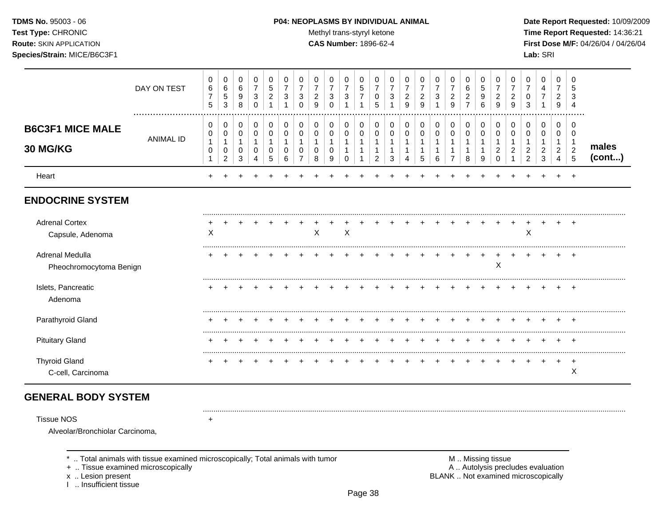TDMS No. 95003 - 06 Test Type: CHRONIC **Route: SKIN APPLICATION** Species/Strain: MICE/B6C3F1

#### P04: NEOPLASMS BY INDIVIDUAL ANIMAL

Methyl trans-styryl ketone

**CAS Number: 1896-62-4** 

Date Report Requested: 10/09/2009 Time Report Requested: 14:36:21 First Dose M/F: 04/26/04 / 04/26/04 Lab: SRI

|                                                      | DAY ON TEST      | 0<br>$\,6\,$<br>$\overline{7}$<br>5 | 0<br>$\,6\,$<br>$\,$ 5 $\,$<br>$\mathbf{3}$   | 0<br>6<br>9<br>8      | 0<br>$\overline{7}$<br>$\sqrt{3}$<br>$\mathbf 0$ | 0<br>5<br>$\overline{c}$ | 0<br>$\overline{7}$<br>3 | 0<br>$\overline{7}$<br>3<br>$\Omega$ | 0<br>$\overline{7}$<br>$\overline{a}$<br>9 | 0<br>$\overline{7}$<br>$\mathbf{3}$<br>$\Omega$ | 0<br>$\overline{7}$<br>$\sqrt{3}$<br>$\overline{1}$ | 0<br>$\,$ 5 $\,$<br>$\overline{7}$ | 0<br>$\overline{7}$<br>0<br>5 | 0<br>$\overline{7}$<br>3 | 0<br>$\overline{7}$<br>$\overline{c}$<br>9 | 0<br>$\overline{7}$<br>$\overline{c}$<br>9 | 0<br>$\overline{7}$<br>$\sqrt{3}$ | 0<br>$\boldsymbol{7}$<br>$\sqrt{2}$<br>9      | 0<br>6<br>$\overline{c}$<br>$\overline{7}$ | 0<br>$\sqrt{5}$<br>9<br>6 | 0<br>$\overline{7}$<br>$\overline{c}$<br>9 | 0<br>$\overline{2}$<br>9 | 0<br>$\overline{7}$<br>0<br>3    | 0<br>4<br>$\overline{7}$             | $\mathbf 0$<br>$\overline{7}$<br>$\boldsymbol{2}$<br>9 | 0<br>5<br>3<br>$\overline{4}$  |                 |
|------------------------------------------------------|------------------|-------------------------------------|-----------------------------------------------|-----------------------|--------------------------------------------------|--------------------------|--------------------------|--------------------------------------|--------------------------------------------|-------------------------------------------------|-----------------------------------------------------|------------------------------------|-------------------------------|--------------------------|--------------------------------------------|--------------------------------------------|-----------------------------------|-----------------------------------------------|--------------------------------------------|---------------------------|--------------------------------------------|--------------------------|----------------------------------|--------------------------------------|--------------------------------------------------------|--------------------------------|-----------------|
| <b>B6C3F1 MICE MALE</b>                              | <b>ANIMAL ID</b> | $\pmb{0}$<br>0                      | $\mathbf 0$<br>$\mathbf 0$                    | 0<br>0                | 0<br>0                                           | 0<br>0                   | 0<br>0                   | 0<br>0                               | 0<br>0                                     | 0<br>0                                          | 0<br>0                                              | 0<br>0                             | 0<br>0                        | 0<br>0                   | 0<br>0                                     | 0<br>0                                     | 0<br>0                            | 0<br>$\mathbf 0$                              | $\pmb{0}$<br>0                             | 0<br>0                    | 0<br>0                                     | 0<br>0                   | 0<br>0                           | 0<br>0                               | 0<br>0                                                 | 0<br>0                         |                 |
| 30 MG/KG                                             |                  | $\mathbf{1}$<br>$\pmb{0}$<br>1      | $\mathbf{1}$<br>$\mathbf 0$<br>$\overline{c}$ | 1<br>$\mathbf 0$<br>3 | -1<br>0<br>4                                     | 0<br>5                   | 0<br>6                   | 1<br>0                               | 0<br>8                                     | $\mathbf 0$<br>9                                | 1<br>$\mathbf{1}$<br>$\Omega$                       | 1                                  | 1<br>1<br>$\overline{2}$      | $\mathbf{1}$<br>3        | -1<br>$\mathbf{1}$<br>Δ                    | 1<br>5                                     | $\mathbf{1}$<br>6                 | $\mathbf 1$<br>$\mathbf{1}$<br>$\overline{7}$ | 1<br>$\mathbf 1$<br>8                      | 1<br>1<br>9               | -1<br>$\overline{2}$<br>$\Omega$           | $\overline{2}$           | $\overline{c}$<br>$\overline{2}$ | -1<br>$\overline{c}$<br>$\mathbf{3}$ | $\mathbf{1}$<br>$\overline{2}$<br>4                    | $\mathbf 1$<br>$\sqrt{2}$<br>5 | males<br>(cont) |
| Heart                                                |                  | $\div$                              |                                               |                       |                                                  |                          |                          |                                      |                                            |                                                 |                                                     |                                    |                               |                          |                                            |                                            |                                   |                                               |                                            |                           |                                            |                          |                                  |                                      |                                                        | $\ddot{}$                      |                 |
| <b>ENDOCRINE SYSTEM</b>                              |                  |                                     |                                               |                       |                                                  |                          |                          |                                      |                                            |                                                 |                                                     |                                    |                               |                          |                                            |                                            |                                   |                                               |                                            |                           |                                            |                          |                                  |                                      |                                                        |                                |                 |
| <b>Adrenal Cortex</b><br>Capsule, Adenoma            |                  | X                                   |                                               |                       |                                                  |                          |                          |                                      | X                                          |                                                 | $\boldsymbol{\mathsf{X}}$                           |                                    |                               |                          |                                            |                                            |                                   |                                               |                                            |                           |                                            |                          | X                                |                                      |                                                        | $\pm$                          |                 |
| Adrenal Medulla<br>Pheochromocytoma Benign           |                  |                                     |                                               |                       |                                                  |                          |                          |                                      |                                            |                                                 |                                                     |                                    |                               |                          |                                            |                                            |                                   |                                               |                                            |                           | X                                          |                          |                                  |                                      |                                                        | $\pm$                          |                 |
| Islets, Pancreatic<br>Adenoma                        |                  |                                     |                                               |                       |                                                  |                          |                          |                                      |                                            |                                                 |                                                     |                                    |                               |                          |                                            |                                            |                                   |                                               |                                            |                           |                                            |                          |                                  |                                      |                                                        |                                |                 |
| Parathyroid Gland                                    |                  |                                     |                                               |                       |                                                  |                          |                          |                                      |                                            |                                                 |                                                     |                                    |                               |                          |                                            |                                            |                                   |                                               |                                            |                           |                                            |                          |                                  |                                      |                                                        | $\pm$                          |                 |
| <b>Pituitary Gland</b>                               |                  |                                     |                                               |                       |                                                  |                          |                          |                                      |                                            |                                                 |                                                     |                                    |                               |                          |                                            |                                            |                                   |                                               |                                            |                           |                                            |                          |                                  |                                      |                                                        | $\pm$                          |                 |
| <b>Thyroid Gland</b><br>C-cell, Carcinoma            |                  |                                     |                                               |                       |                                                  |                          |                          |                                      |                                            |                                                 |                                                     |                                    |                               |                          |                                            |                                            |                                   |                                               |                                            |                           |                                            |                          |                                  |                                      | ÷                                                      | $\div$<br>X                    |                 |
| <b>GENERAL BODY SYSTEM</b>                           |                  |                                     |                                               |                       |                                                  |                          |                          |                                      |                                            |                                                 |                                                     |                                    |                               |                          |                                            |                                            |                                   |                                               |                                            |                           |                                            |                          |                                  |                                      |                                                        |                                |                 |
| <b>Tissue NOS</b><br>Alveolar/Bronchiolar Carcinoma, |                  | $\ddot{}$                           |                                               |                       |                                                  |                          |                          |                                      |                                            |                                                 |                                                     |                                    |                               |                          |                                            |                                            |                                   |                                               |                                            |                           |                                            |                          |                                  |                                      |                                                        |                                |                 |

\* .. Total animals with tissue examined microscopically; Total animals with tumor

+ .. Tissue examined microscopically

x .. Lesion present<br>I .. Insufficient tissue

M .. Missing tissue<br>A .. Autolysis precludes evaluation BLANK .. Not examined microscopically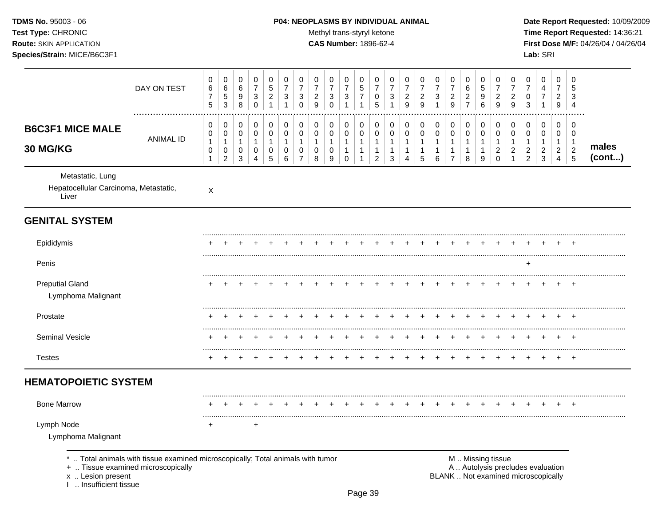## **TDMS No.** 95003 - 06 **P04: NEOPLASMS BY INDIVIDUAL ANIMAL** Date Report Requested: 10/09/2009

Test Type: CHRONIC **Test Type:** CHRONIC **Test Type:** CHRONIC **Time Report Requested:** 14:36:21 **Route:** SKIN APPLICATION **CAS Number:** 1896-62-4 **First Dose M/F:** 04/26/04 / 04/26/04

| DAY ON TEST                                                                                                                                                    | 0<br>6<br>$\overline{7}$<br>5                         | 0<br>$\,6\,$<br>$\mathbf 5$<br>3                                        | 0<br>$\,6\,$<br>9<br>8                   | 0<br>$\boldsymbol{7}$<br>$\ensuremath{\mathsf{3}}$<br>$\mathbf 0$ | 0<br>$\overline{5}$<br>$\overline{2}$<br>$\mathbf{1}$            | 0<br>$\overline{7}$<br>$\mathbf{3}$<br>$\mathbf{1}$ | 0<br>$\overline{7}$<br>3<br>$\mathbf 0$               | 0<br>$\overline{7}$<br>$\overline{c}$<br>9 | 0<br>$\overline{7}$<br>$\mathbf{3}$<br>$\Omega$                | 0<br>$\overline{7}$<br>$\sqrt{3}$<br>$\overline{1}$            | 0<br>5<br>$\overline{7}$<br>$\mathbf{1}$   | 0<br>$\overline{7}$<br>$\pmb{0}$<br>5                                        | 0<br>$\boldsymbol{7}$<br>$\sqrt{3}$<br>$\mathbf{1}$                      | 0<br>$\overline{7}$<br>$\overline{2}$<br>9                                 | 0<br>$\overline{7}$<br>$\overline{c}$<br>$\boldsymbol{9}$ | 0<br>$\overline{7}$<br>$\mathbf{3}$<br>1             | 0<br>$\overline{7}$<br>$\overline{a}$<br>$\overline{9}$  | 0<br>6<br>$\overline{a}$<br>$\overline{7}$                        | 0<br>5<br>9<br>6                                                | 0<br>$\overline{7}$<br>$\overline{2}$<br>9                                                    | 0<br>$\overline{7}$<br>$\overline{c}$<br>9                    | 0<br>$\overline{7}$<br>0<br>$\mathbf{3}$                           | 0<br>4<br>$\overline{7}$<br>$\mathbf{1}$                               | 0<br>$\overline{7}$<br>$\overline{2}$<br>9                        | 0<br>5<br>3<br>$\overline{4}$                                   |                 |
|----------------------------------------------------------------------------------------------------------------------------------------------------------------|-------------------------------------------------------|-------------------------------------------------------------------------|------------------------------------------|-------------------------------------------------------------------|------------------------------------------------------------------|-----------------------------------------------------|-------------------------------------------------------|--------------------------------------------|----------------------------------------------------------------|----------------------------------------------------------------|--------------------------------------------|------------------------------------------------------------------------------|--------------------------------------------------------------------------|----------------------------------------------------------------------------|-----------------------------------------------------------|------------------------------------------------------|----------------------------------------------------------|-------------------------------------------------------------------|-----------------------------------------------------------------|-----------------------------------------------------------------------------------------------|---------------------------------------------------------------|--------------------------------------------------------------------|------------------------------------------------------------------------|-------------------------------------------------------------------|-----------------------------------------------------------------|-----------------|
| <b>B6C3F1 MICE MALE</b><br><b>ANIMAL ID</b><br>30 MG/KG                                                                                                        | 0<br>0<br>$\mathbf{1}$<br>$\mathbf 0$<br>$\mathbf{1}$ | $\mathbf 0$<br>$\pmb{0}$<br>$\mathbf{1}$<br>$\pmb{0}$<br>$\overline{c}$ | 0<br>0<br>$\mathbf{1}$<br>$\pmb{0}$<br>3 | 0<br>$\mathbf 0$<br>$\mathbf{1}$<br>$\pmb{0}$<br>$\overline{4}$   | $\mathbf 0$<br>$\mathbf 0$<br>$\overline{1}$<br>$\mathbf 0$<br>5 | $\mathbf 0$<br>$\mathbf 0$<br>1<br>0<br>6           | $\pmb{0}$<br>0<br>$\mathbf{1}$<br>0<br>$\overline{7}$ | 0<br>0<br>$\mathbf{1}$<br>0<br>8           | $\mathbf 0$<br>$\mathbf 0$<br>$\mathbf{1}$<br>$\mathbf 0$<br>9 | $\mathbf 0$<br>$\mathbf 0$<br>$\mathbf{1}$<br>$\mathbf 1$<br>0 | 0<br>$\mathbf 0$<br>$\mathbf{1}$<br>1<br>1 | $\mathbf 0$<br>$\mathbf 0$<br>$\mathbf{1}$<br>$\mathbf{1}$<br>$\overline{c}$ | $\mathbf 0$<br>$\pmb{0}$<br>$\overline{1}$<br>$\mathbf{1}$<br>$\sqrt{3}$ | $\mathbf 0$<br>$\pmb{0}$<br>$\mathbf{1}$<br>$\mathbf{1}$<br>$\overline{4}$ | $\mathbf 0$<br>$\mathbf 0$<br>1<br>1<br>$\sqrt{5}$        | $\pmb{0}$<br>$\pmb{0}$<br>$\mathbf{1}$<br>1<br>$\,6$ | 0<br>0<br>$\mathbf{1}$<br>$\mathbf{1}$<br>$\overline{7}$ | $\mathbf 0$<br>$\mathbf 0$<br>$\overline{1}$<br>$\mathbf{1}$<br>8 | $\mathbf 0$<br>$\mathbf 0$<br>$\mathbf{1}$<br>$\mathbf{1}$<br>9 | $\mathbf 0$<br>$\mathbf 0$<br>$\mathbf{1}$<br>$\boldsymbol{2}$<br>$\mathbf 0$                 | $\pmb{0}$<br>$\pmb{0}$<br>$\mathbf{1}$<br>$\overline{2}$<br>1 | 0<br>$\pmb{0}$<br>$\mathbf{1}$<br>$\overline{c}$<br>$\overline{c}$ | 0<br>$\mathbf 0$<br>$\mathbf{1}$<br>$\boldsymbol{2}$<br>$\mathfrak{Z}$ | $\mathbf 0$<br>$\mathbf 0$<br>$\mathbf{1}$<br>$\overline{c}$<br>4 | $\mathbf 0$<br>$\mathbf 0$<br>$\overline{1}$<br>$\sqrt{2}$<br>5 | males<br>(cont) |
| Metastatic, Lung<br>Hepatocellular Carcinoma, Metastatic,<br>Liver                                                                                             | $\pmb{\times}$                                        |                                                                         |                                          |                                                                   |                                                                  |                                                     |                                                       |                                            |                                                                |                                                                |                                            |                                                                              |                                                                          |                                                                            |                                                           |                                                      |                                                          |                                                                   |                                                                 |                                                                                               |                                                               |                                                                    |                                                                        |                                                                   |                                                                 |                 |
| <b>GENITAL SYSTEM</b>                                                                                                                                          |                                                       |                                                                         |                                          |                                                                   |                                                                  |                                                     |                                                       |                                            |                                                                |                                                                |                                            |                                                                              |                                                                          |                                                                            |                                                           |                                                      |                                                          |                                                                   |                                                                 |                                                                                               |                                                               |                                                                    |                                                                        |                                                                   |                                                                 |                 |
| Epididymis                                                                                                                                                     |                                                       |                                                                         |                                          |                                                                   |                                                                  |                                                     |                                                       |                                            |                                                                |                                                                |                                            |                                                                              |                                                                          |                                                                            |                                                           |                                                      |                                                          |                                                                   |                                                                 |                                                                                               |                                                               |                                                                    |                                                                        |                                                                   |                                                                 |                 |
| Penis                                                                                                                                                          |                                                       |                                                                         |                                          |                                                                   |                                                                  |                                                     |                                                       |                                            |                                                                |                                                                |                                            |                                                                              |                                                                          |                                                                            |                                                           |                                                      |                                                          |                                                                   |                                                                 |                                                                                               |                                                               | $\ddot{}$                                                          |                                                                        |                                                                   |                                                                 |                 |
| <b>Preputial Gland</b><br>Lymphoma Malignant                                                                                                                   |                                                       |                                                                         |                                          |                                                                   |                                                                  |                                                     |                                                       |                                            |                                                                |                                                                |                                            |                                                                              |                                                                          |                                                                            |                                                           |                                                      |                                                          |                                                                   |                                                                 |                                                                                               |                                                               |                                                                    |                                                                        |                                                                   |                                                                 |                 |
| Prostate                                                                                                                                                       |                                                       |                                                                         |                                          |                                                                   |                                                                  |                                                     |                                                       |                                            |                                                                |                                                                |                                            |                                                                              |                                                                          |                                                                            |                                                           |                                                      |                                                          |                                                                   |                                                                 |                                                                                               |                                                               |                                                                    |                                                                        |                                                                   | <b>+</b>                                                        |                 |
| Seminal Vesicle                                                                                                                                                |                                                       |                                                                         |                                          |                                                                   |                                                                  |                                                     |                                                       |                                            |                                                                |                                                                |                                            |                                                                              |                                                                          |                                                                            |                                                           |                                                      |                                                          |                                                                   |                                                                 |                                                                                               |                                                               |                                                                    |                                                                        |                                                                   | ÷.                                                              |                 |
| <b>Testes</b>                                                                                                                                                  |                                                       |                                                                         |                                          |                                                                   |                                                                  |                                                     |                                                       |                                            |                                                                |                                                                |                                            |                                                                              |                                                                          |                                                                            |                                                           |                                                      |                                                          |                                                                   |                                                                 |                                                                                               |                                                               |                                                                    |                                                                        |                                                                   | $\overline{ }$                                                  |                 |
| <b>HEMATOPOIETIC SYSTEM</b>                                                                                                                                    |                                                       |                                                                         |                                          |                                                                   |                                                                  |                                                     |                                                       |                                            |                                                                |                                                                |                                            |                                                                              |                                                                          |                                                                            |                                                           |                                                      |                                                          |                                                                   |                                                                 |                                                                                               |                                                               |                                                                    |                                                                        |                                                                   |                                                                 |                 |
| <b>Bone Marrow</b>                                                                                                                                             |                                                       |                                                                         |                                          |                                                                   |                                                                  |                                                     |                                                       |                                            |                                                                |                                                                |                                            |                                                                              |                                                                          |                                                                            |                                                           |                                                      |                                                          |                                                                   |                                                                 |                                                                                               |                                                               |                                                                    |                                                                        |                                                                   |                                                                 |                 |
| Lymph Node<br>Lymphoma Malignant                                                                                                                               | +                                                     |                                                                         |                                          | $\ddot{}$                                                         |                                                                  |                                                     |                                                       |                                            |                                                                |                                                                |                                            |                                                                              |                                                                          |                                                                            |                                                           |                                                      |                                                          |                                                                   |                                                                 |                                                                                               |                                                               |                                                                    |                                                                        |                                                                   |                                                                 |                 |
| Total animals with tissue examined microscopically; Total animals with tumor<br>+  Tissue examined microscopically<br>x  Lesion present<br>Insufficient tissue |                                                       |                                                                         |                                          |                                                                   |                                                                  |                                                     |                                                       |                                            |                                                                |                                                                |                                            |                                                                              |                                                                          |                                                                            |                                                           |                                                      |                                                          |                                                                   |                                                                 | M  Missing tissue<br>A  Autolysis precludes evaluation<br>BLANK  Not examined microscopically |                                                               |                                                                    |                                                                        |                                                                   |                                                                 |                 |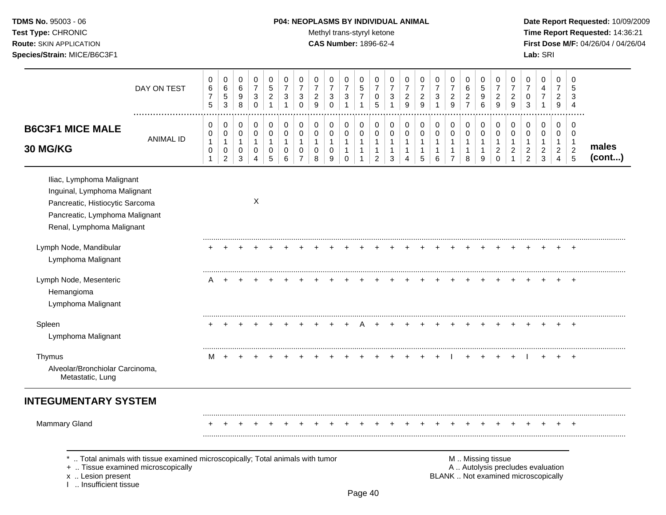## **TDMS No.** 95003 - 06 **P04: NEOPLASMS BY INDIVIDUAL ANIMAL** Date Report Requested: 10/09/2009

Test Type: CHRONIC **Test Type:** CHRONIC **Test Type:** CHRONIC **Time Report Requested:** 14:36:21 **Route:** SKIN APPLICATION **CAS Number:** 1896-62-4 **First Dose M/F:** 04/26/04 / 04/26/04

|                                                                                                                                                             | DAY ON TEST                                                                                                        | 0<br>$\,6$<br>$\boldsymbol{7}$<br>$\sqrt{5}$ | $\pmb{0}$<br>6<br>$\sqrt{5}$<br>3                     | 0<br>$\,6\,$<br>$\boldsymbol{9}$<br>8      | 0<br>$\overline{7}$<br>$\mathbf{3}$<br>0              | $\mathbf 0$<br>$\sqrt{5}$<br>$\overline{c}$<br>$\mathbf{1}$ | 0<br>$\overline{7}$<br>$\sqrt{3}$<br>$\mathbf{1}$ | 0<br>$\overline{7}$<br>$\mathbf{3}$<br>$\mathbf 0$              | 0<br>$\overline{7}$<br>$\overline{2}$<br>9              | 0<br>$\overline{7}$<br>3<br>$\mathbf 0$              | 0<br>$\overline{7}$<br>3<br>$\mathbf{1}$           | 0<br>$\,$ 5 $\,$<br>$\overline{7}$<br>$\mathbf{1}$               | 0<br>$\overline{7}$<br>0<br>5                                      | 0<br>$\overline{7}$<br>3<br>1                         | 0<br>$\overline{7}$<br>$\overline{c}$<br>9               | 0<br>$\overline{7}$<br>$\overline{2}$<br>9                      | 0<br>$\overline{7}$<br>3<br>1               | 0<br>$\boldsymbol{7}$<br>$\overline{a}$<br>9                       | $\mathbf 0$<br>6<br>$\overline{c}$<br>$\overline{7}$ | 0<br>5<br>9<br>6                                      | 0<br>$\overline{7}$<br>$\overline{2}$<br>9                     | 0<br>$\overline{7}$<br>$\overline{2}$<br>9                           | 0<br>$\overline{7}$<br>$\pmb{0}$<br>3                                    | 0<br>4<br>$\boldsymbol{7}$<br>$\mathbf{1}$                               | $\Omega$<br>$\overline{7}$<br>$\overline{2}$<br>9                    | 0<br>5<br>3<br>$\overline{4}$                               |                 |
|-------------------------------------------------------------------------------------------------------------------------------------------------------------|--------------------------------------------------------------------------------------------------------------------|----------------------------------------------|-------------------------------------------------------|--------------------------------------------|-------------------------------------------------------|-------------------------------------------------------------|---------------------------------------------------|-----------------------------------------------------------------|---------------------------------------------------------|------------------------------------------------------|----------------------------------------------------|------------------------------------------------------------------|--------------------------------------------------------------------|-------------------------------------------------------|----------------------------------------------------------|-----------------------------------------------------------------|---------------------------------------------|--------------------------------------------------------------------|------------------------------------------------------|-------------------------------------------------------|----------------------------------------------------------------|----------------------------------------------------------------------|--------------------------------------------------------------------------|--------------------------------------------------------------------------|----------------------------------------------------------------------|-------------------------------------------------------------|-----------------|
| <b>B6C3F1 MICE MALE</b><br>30 MG/KG                                                                                                                         | <b>ANIMAL ID</b>                                                                                                   | 0<br>0<br>$\mathbf{1}$<br>0<br>$\mathbf{1}$  | $\pmb{0}$<br>0<br>$\mathbf{1}$<br>0<br>$\overline{2}$ | 0<br>$\mathbf 0$<br>$\mathbf{1}$<br>0<br>3 | 0<br>$\pmb{0}$<br>$\mathbf{1}$<br>0<br>$\overline{4}$ | 0<br>$\mathbf 0$<br>$\mathbf{1}$<br>0<br>5                  | $\pmb{0}$<br>0<br>$\mathbf{1}$<br>0<br>6          | $\pmb{0}$<br>$\mathbf 0$<br>$\mathbf{1}$<br>0<br>$\overline{7}$ | $\pmb{0}$<br>$\pmb{0}$<br>$\mathbf{1}$<br>$\Omega$<br>8 | $\mathbf 0$<br>$\mathbf 0$<br>$\mathbf{1}$<br>0<br>9 | 0<br>0<br>$\mathbf{1}$<br>$\mathbf{1}$<br>$\Omega$ | 0<br>$\mathbf 0$<br>$\mathbf{1}$<br>$\mathbf{1}$<br>$\mathbf{1}$ | 0<br>$\mathbf 0$<br>$\mathbf{1}$<br>$\mathbf{1}$<br>$\overline{2}$ | 0<br>$\mathbf 0$<br>$\mathbf{1}$<br>$\mathbf{1}$<br>3 | 0<br>0<br>$\mathbf{1}$<br>$\mathbf{1}$<br>$\overline{4}$ | $\mathbf 0$<br>$\mathbf 0$<br>$\mathbf{1}$<br>$\mathbf{1}$<br>5 | 0<br>0<br>$\mathbf{1}$<br>$\mathbf{1}$<br>6 | 0<br>$\mathbf 0$<br>$\mathbf{1}$<br>$\mathbf{1}$<br>$\overline{7}$ | 0<br>$\pmb{0}$<br>$\mathbf{1}$<br>$\mathbf{1}$<br>8  | 0<br>$\mathbf 0$<br>$\mathbf{1}$<br>$\mathbf{1}$<br>9 | 0<br>$\mathbf 0$<br>$\mathbf{1}$<br>$\overline{c}$<br>$\Omega$ | 0<br>$\mathbf 0$<br>$\mathbf{1}$<br>$\overline{c}$<br>$\overline{1}$ | 0<br>0<br>$\mathbf{1}$<br>$\overline{c}$<br>$\overline{2}$               | $\mathbf 0$<br>$\mathbf 0$<br>$\mathbf{1}$<br>$\sqrt{2}$<br>$\mathbf{3}$ | $\mathbf 0$<br>0<br>$\mathbf{1}$<br>$\overline{a}$<br>$\overline{4}$ | 0<br>$\mathbf 0$<br>1<br>$\boldsymbol{2}$<br>$\overline{5}$ | males<br>(cont) |
| Iliac, Lymphoma Malignant<br>Inguinal, Lymphoma Malignant<br>Pancreatic, Histiocytic Sarcoma<br>Pancreatic, Lymphoma Malignant<br>Renal, Lymphoma Malignant |                                                                                                                    |                                              |                                                       |                                            | X                                                     |                                                             |                                                   |                                                                 |                                                         |                                                      |                                                    |                                                                  |                                                                    |                                                       |                                                          |                                                                 |                                             |                                                                    |                                                      |                                                       |                                                                |                                                                      |                                                                          |                                                                          |                                                                      |                                                             |                 |
| Lymph Node, Mandibular<br>Lymphoma Malignant                                                                                                                |                                                                                                                    |                                              |                                                       |                                            |                                                       |                                                             |                                                   |                                                                 |                                                         |                                                      |                                                    |                                                                  |                                                                    |                                                       |                                                          |                                                                 |                                             |                                                                    |                                                      |                                                       |                                                                |                                                                      |                                                                          |                                                                          |                                                                      |                                                             |                 |
| Lymph Node, Mesenteric<br>Hemangioma<br>Lymphoma Malignant                                                                                                  |                                                                                                                    | A                                            |                                                       |                                            |                                                       |                                                             |                                                   |                                                                 |                                                         |                                                      |                                                    |                                                                  |                                                                    |                                                       |                                                          |                                                                 |                                             |                                                                    |                                                      |                                                       |                                                                |                                                                      |                                                                          |                                                                          |                                                                      |                                                             |                 |
| Spleen<br>Lymphoma Malignant                                                                                                                                |                                                                                                                    |                                              |                                                       |                                            |                                                       |                                                             |                                                   |                                                                 |                                                         |                                                      |                                                    | А                                                                |                                                                    |                                                       |                                                          |                                                                 |                                             |                                                                    |                                                      |                                                       |                                                                |                                                                      |                                                                          |                                                                          |                                                                      | <b>+</b>                                                    |                 |
| Thymus<br>Alveolar/Bronchiolar Carcinoma,<br>Metastatic, Lung                                                                                               |                                                                                                                    | м                                            | $\div$                                                |                                            |                                                       |                                                             |                                                   |                                                                 |                                                         |                                                      |                                                    |                                                                  |                                                                    |                                                       |                                                          |                                                                 |                                             |                                                                    |                                                      | $\pm$                                                 |                                                                |                                                                      |                                                                          | $\ddot{}$                                                                |                                                                      | $^+$                                                        |                 |
| <b>INTEGUMENTARY SYSTEM</b>                                                                                                                                 |                                                                                                                    |                                              |                                                       |                                            |                                                       |                                                             |                                                   |                                                                 |                                                         |                                                      |                                                    |                                                                  |                                                                    |                                                       |                                                          |                                                                 |                                             |                                                                    |                                                      |                                                       |                                                                |                                                                      |                                                                          |                                                                          |                                                                      |                                                             |                 |
| <b>Mammary Gland</b>                                                                                                                                        |                                                                                                                    |                                              |                                                       |                                            |                                                       |                                                             |                                                   |                                                                 |                                                         |                                                      |                                                    |                                                                  |                                                                    |                                                       |                                                          |                                                                 |                                             |                                                                    |                                                      |                                                       |                                                                |                                                                      |                                                                          |                                                                          |                                                                      |                                                             |                 |
| x  Lesion present<br>I  Insufficient tissue                                                                                                                 | Total animals with tissue examined microscopically; Total animals with tumor<br>+  Tissue examined microscopically |                                              |                                                       |                                            |                                                       |                                                             |                                                   |                                                                 |                                                         |                                                      |                                                    |                                                                  |                                                                    |                                                       |                                                          |                                                                 |                                             |                                                                    |                                                      | M  Missing tissue                                     |                                                                |                                                                      | A  Autolysis precludes evaluation<br>BLANK  Not examined microscopically |                                                                          |                                                                      |                                                             |                 |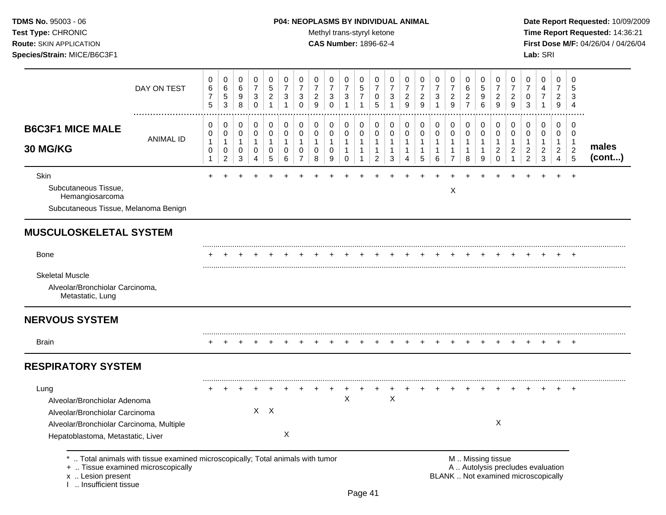## **TDMS No.** 95003 - 06 **P04: NEOPLASMS BY INDIVIDUAL ANIMAL** Date Report Requested: 10/09/2009

Test Type: CHRONIC **Test Type:** CHRONIC **Test Type:** CHRONIC **Time Report Requested:** 14:36:21 **Route:** SKIN APPLICATION **CAS Number:** 1896-62-4 **First Dose M/F:** 04/26/04 / 04/26/04

| 0<br>$\mathbf 0$<br>0<br>$\overline{7}$<br>$\overline{7}$<br>$\overline{7}$<br>$\sqrt{3}$<br>$\overline{2}$<br>$\ensuremath{\mathsf{3}}$<br>9<br>$\mathbf 0$<br>$\mathbf 0$<br>0<br>0<br>0<br>$\mathsf{O}\xspace$<br>$\mathbf 0$<br>0<br>$\mathbf{1}$<br>$\mathbf{1}$<br>$\mathbf{1}$<br>0<br>0<br>$\mathbf 0$<br>$\overline{7}$<br>8<br>9 | $\mathbf 0$<br>0<br>$\overline{7}$<br>5<br>3<br>$\overline{7}$<br>$\mathbf{1}$<br>1<br>0<br>$\mathbf 0$<br>0<br>$\mathbf 0$<br>$\mathbf{1}$<br>$\mathbf{1}$<br>$\mathbf{1}$<br>$\mathbf{1}$<br>$\mathbf 0$<br>$\mathbf{1}$ | $\mathbf 0$<br>0<br>$\overline{7}$<br>7<br>0<br>3<br>5<br>$\mathbf{1}$<br>0<br>0<br>0<br>0<br>$\mathbf{1}$<br>$\mathbf{1}$<br>$\mathbf{1}$<br>1<br>$\overline{2}$<br>3 | 0<br>$\overline{7}$<br>$\overline{c}$<br>9<br>0<br>$\mathbf 0$<br>$\mathbf{1}$<br>$\mathbf{1}$<br>4 | 0<br>$\overline{7}$<br>$\overline{c}$<br>9<br>$\overline{1}$<br>0<br>$\mathsf 0$<br>$\mathbf{1}$<br>1<br>5 | 0<br>0<br>$\overline{7}$<br>$\overline{7}$<br>$\overline{c}$<br>3<br>9<br>0<br>0<br>$\pmb{0}$<br>$\mathbf 0$<br>$\mathbf{1}$<br>$\mathbf{1}$<br>$\mathbf{1}$<br>$\mathbf{1}$<br>$\,6\,$<br>$\overline{7}$<br>Χ | 0<br>6<br>$\overline{\mathbf{c}}$<br>$\overline{7}$<br>0<br>0<br>$\mathbf{1}$<br>$\mathbf{1}$<br>8 | $\mathbf 0$<br>$\overline{5}$<br>9<br>6<br>0<br>$\mathbf 0$<br>$\overline{1}$<br>-1<br>9 | 0<br>$\overline{7}$<br>$\overline{2}$<br>9<br>0<br>$\pmb{0}$<br>1<br>$\overline{c}$<br>$\Omega$ | 0<br>$\overline{7}$<br>$\overline{c}$<br>9<br>0<br>$\pmb{0}$<br>$\mathbf{1}$<br>$\overline{c}$<br>$\overline{1}$ | 0<br>$\overline{7}$<br>0<br>3<br>0<br>0<br>$\mathbf{1}$<br>$\overline{c}$<br>$\overline{c}$ | $\mathbf 0$<br>4<br>$\overline{7}$<br>$\mathbf{1}$<br>$\mathbf 0$<br>0<br>$\mathbf{1}$<br>$\overline{c}$<br>3 | $\mathbf 0$<br>$\overline{7}$<br>$\overline{2}$<br>9<br>$\mathbf 0$<br>0<br>$\mathbf{1}$<br>$\overline{2}$<br>4 | $\Omega$<br>5<br>3<br>$\overline{4}$<br>$\mathbf 0$<br>$\mathbf 0$<br>$\mathbf{1}$<br>$\overline{c}$<br>5<br>$\ddot{}$ | males<br>(cont) |
|--------------------------------------------------------------------------------------------------------------------------------------------------------------------------------------------------------------------------------------------------------------------------------------------------------------------------------------------|----------------------------------------------------------------------------------------------------------------------------------------------------------------------------------------------------------------------------|------------------------------------------------------------------------------------------------------------------------------------------------------------------------|-----------------------------------------------------------------------------------------------------|------------------------------------------------------------------------------------------------------------|----------------------------------------------------------------------------------------------------------------------------------------------------------------------------------------------------------------|----------------------------------------------------------------------------------------------------|------------------------------------------------------------------------------------------|-------------------------------------------------------------------------------------------------|------------------------------------------------------------------------------------------------------------------|---------------------------------------------------------------------------------------------|---------------------------------------------------------------------------------------------------------------|-----------------------------------------------------------------------------------------------------------------|------------------------------------------------------------------------------------------------------------------------|-----------------|
|                                                                                                                                                                                                                                                                                                                                            |                                                                                                                                                                                                                            |                                                                                                                                                                        |                                                                                                     |                                                                                                            |                                                                                                                                                                                                                |                                                                                                    |                                                                                          |                                                                                                 |                                                                                                                  |                                                                                             |                                                                                                               |                                                                                                                 |                                                                                                                        |                 |
|                                                                                                                                                                                                                                                                                                                                            |                                                                                                                                                                                                                            |                                                                                                                                                                        |                                                                                                     |                                                                                                            |                                                                                                                                                                                                                |                                                                                                    |                                                                                          |                                                                                                 |                                                                                                                  |                                                                                             |                                                                                                               |                                                                                                                 |                                                                                                                        |                 |
|                                                                                                                                                                                                                                                                                                                                            |                                                                                                                                                                                                                            |                                                                                                                                                                        |                                                                                                     |                                                                                                            |                                                                                                                                                                                                                |                                                                                                    |                                                                                          |                                                                                                 |                                                                                                                  |                                                                                             |                                                                                                               |                                                                                                                 |                                                                                                                        |                 |
|                                                                                                                                                                                                                                                                                                                                            |                                                                                                                                                                                                                            |                                                                                                                                                                        |                                                                                                     |                                                                                                            |                                                                                                                                                                                                                |                                                                                                    |                                                                                          |                                                                                                 |                                                                                                                  |                                                                                             |                                                                                                               |                                                                                                                 |                                                                                                                        |                 |
|                                                                                                                                                                                                                                                                                                                                            |                                                                                                                                                                                                                            |                                                                                                                                                                        |                                                                                                     |                                                                                                            |                                                                                                                                                                                                                |                                                                                                    |                                                                                          |                                                                                                 |                                                                                                                  |                                                                                             |                                                                                                               |                                                                                                                 |                                                                                                                        |                 |
|                                                                                                                                                                                                                                                                                                                                            |                                                                                                                                                                                                                            |                                                                                                                                                                        |                                                                                                     |                                                                                                            |                                                                                                                                                                                                                |                                                                                                    |                                                                                          |                                                                                                 |                                                                                                                  |                                                                                             |                                                                                                               |                                                                                                                 |                                                                                                                        |                 |
|                                                                                                                                                                                                                                                                                                                                            |                                                                                                                                                                                                                            |                                                                                                                                                                        |                                                                                                     |                                                                                                            |                                                                                                                                                                                                                |                                                                                                    |                                                                                          |                                                                                                 |                                                                                                                  |                                                                                             |                                                                                                               |                                                                                                                 |                                                                                                                        |                 |
|                                                                                                                                                                                                                                                                                                                                            |                                                                                                                                                                                                                            |                                                                                                                                                                        |                                                                                                     |                                                                                                            |                                                                                                                                                                                                                |                                                                                                    |                                                                                          |                                                                                                 |                                                                                                                  |                                                                                             |                                                                                                               |                                                                                                                 |                                                                                                                        |                 |
|                                                                                                                                                                                                                                                                                                                                            |                                                                                                                                                                                                                            |                                                                                                                                                                        |                                                                                                     |                                                                                                            |                                                                                                                                                                                                                |                                                                                                    |                                                                                          |                                                                                                 |                                                                                                                  |                                                                                             |                                                                                                               |                                                                                                                 |                                                                                                                        |                 |
|                                                                                                                                                                                                                                                                                                                                            | $\mathsf X$                                                                                                                                                                                                                | $\boldsymbol{\mathsf{X}}$                                                                                                                                              |                                                                                                     |                                                                                                            |                                                                                                                                                                                                                |                                                                                                    |                                                                                          | X                                                                                               |                                                                                                                  |                                                                                             |                                                                                                               |                                                                                                                 |                                                                                                                        |                 |
|                                                                                                                                                                                                                                                                                                                                            |                                                                                                                                                                                                                            | *  Total animals with tissue examined microscopically; Total animals with tumor                                                                                        |                                                                                                     |                                                                                                            |                                                                                                                                                                                                                |                                                                                                    |                                                                                          |                                                                                                 |                                                                                                                  | M  Missing tissue                                                                           |                                                                                                               |                                                                                                                 | A  Autolysis precludes evaluation<br>BLANK  Not examined microscopically                                               |                 |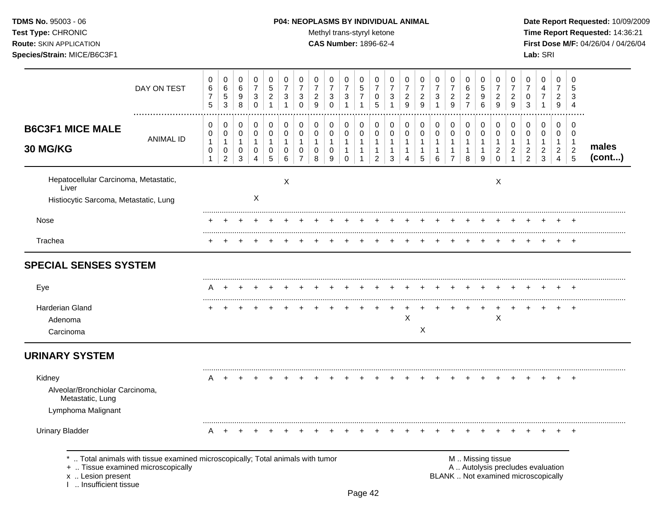TDMS No. 95003 - 06 Test Type: CHRONIC **Route: SKIN APPLICATION** Species/Strain: MICE/B6C3F1

#### P04: NEOPLASMS BY INDIVIDUAL ANIMAL

Methyl trans-styryl ketone

**CAS Number: 1896-62-4** 

Date Report Requested: 10/09/2009 Time Report Requested: 14:36:21 First Dose M/F: 04/26/04 / 04/26/04 Lab: SRI

|                                                                                         | DAY ON TEST                                                                                                        | 0<br>6<br>$\overline{\mathbf{7}}$<br>5      | 0<br>$\,6\,$<br>$\,$ 5 $\,$<br>$\mathbf{3}$                     | 0<br>6<br>9<br>8                 | 0<br>$\overline{7}$<br>$\ensuremath{\mathsf{3}}$<br>$\mathbf 0$ | $\mathbf 0$<br>5<br>$\overline{a}$<br>$\mathbf{1}$ | 0<br>$\overline{7}$<br>3<br>1                      | 0<br>$\overline{7}$<br>3<br>$\Omega$                                      | 0<br>$\overline{7}$<br>$\boldsymbol{2}$<br>9 | 0<br>$\overline{7}$<br>$\mathbf{3}$<br>$\mathbf 0$ | 0<br>$\overline{7}$<br>$\mathsf 3$<br>$\mathbf{1}$   | 0<br>$\,$ 5 $\,$<br>$\boldsymbol{7}$<br>1        | 0<br>$\overline{7}$<br>0<br>5                                    | 0<br>$\overline{7}$<br>3<br>$\mathbf{1}$                      | 0<br>$\overline{7}$<br>$\boldsymbol{2}$<br>9          | 0<br>$\overline{7}$<br>$\overline{\mathbf{c}}$<br>$\mathsf g$ | 0<br>$\overline{7}$<br>3<br>$\overline{1}$            | 0<br>$\boldsymbol{7}$<br>$\overline{c}$<br>9  | $\mathbf 0$<br>$\,6$<br>$\overline{a}$<br>$\overline{7}$ | 0<br>5<br>$\boldsymbol{9}$<br>6                     | 0<br>$\overline{7}$<br>$\overline{c}$<br>9                             | 0<br>$\overline{7}$<br>$\boldsymbol{2}$<br>9                         | 0<br>$\overline{7}$<br>0<br>3                                            | 0<br>4<br>$\boldsymbol{7}$<br>$\overline{1}$                      | $\mathbf 0$<br>7<br>$\overline{a}$<br>9                 | 0<br>5<br>3<br>$\overline{4}$                      |                 |
|-----------------------------------------------------------------------------------------|--------------------------------------------------------------------------------------------------------------------|---------------------------------------------|-----------------------------------------------------------------|----------------------------------|-----------------------------------------------------------------|----------------------------------------------------|----------------------------------------------------|---------------------------------------------------------------------------|----------------------------------------------|----------------------------------------------------|------------------------------------------------------|--------------------------------------------------|------------------------------------------------------------------|---------------------------------------------------------------|-------------------------------------------------------|---------------------------------------------------------------|-------------------------------------------------------|-----------------------------------------------|----------------------------------------------------------|-----------------------------------------------------|------------------------------------------------------------------------|----------------------------------------------------------------------|--------------------------------------------------------------------------|-------------------------------------------------------------------|---------------------------------------------------------|----------------------------------------------------|-----------------|
| <b>B6C3F1 MICE MALE</b><br>30 MG/KG                                                     | <b>ANIMAL ID</b>                                                                                                   | 0<br>0<br>$\mathbf{1}$<br>0<br>$\mathbf{1}$ | 0<br>$\mathbf 0$<br>$\mathbf{1}$<br>$\pmb{0}$<br>$\overline{2}$ | 0<br>0<br>$\mathbf{1}$<br>0<br>3 | 0<br>$\pmb{0}$<br>$\mathbf{1}$<br>$\mathbf 0$<br>4              | 0<br>0<br>$\mathbf{1}$<br>0<br>5                   | $\pmb{0}$<br>$\mathbf 0$<br>$\mathbf{1}$<br>0<br>6 | $\pmb{0}$<br>$\mathbf 0$<br>$\mathbf{1}$<br>$\mathbf 0$<br>$\overline{7}$ | 0<br>0<br>$\mathbf{1}$<br>0<br>8             | $\mathbf 0$<br>$\pmb{0}$<br>$\mathbf{1}$<br>0<br>9 | 0<br>0<br>$\overline{1}$<br>$\mathbf{1}$<br>$\Omega$ | 0<br>$\mathbf 0$<br>$\mathbf{1}$<br>$\mathbf{1}$ | 0<br>$\pmb{0}$<br>$\mathbf{1}$<br>$\mathbf{1}$<br>$\overline{2}$ | $\mathbf 0$<br>$\pmb{0}$<br>$\mathbf{1}$<br>$\mathbf{1}$<br>3 | 0<br>$\mathbf 0$<br>$\mathbf{1}$<br>$\mathbf{1}$<br>4 | 0<br>0<br>$\mathbf{1}$<br>$\mathbf{1}$<br>5                   | 0<br>$\mathbf 0$<br>$\mathbf{1}$<br>$\mathbf{1}$<br>6 | 0<br>0<br>1<br>$\mathbf{1}$<br>$\overline{7}$ | 0<br>$\pmb{0}$<br>$\mathbf{1}$<br>$\mathbf{1}$<br>8      | 0<br>$\pmb{0}$<br>$\mathbf{1}$<br>$\mathbf{1}$<br>9 | $\pmb{0}$<br>$\mathbf 0$<br>$\mathbf{1}$<br>$\overline{2}$<br>$\Omega$ | 0<br>$\mathbf 0$<br>$\mathbf{1}$<br>$\overline{2}$<br>$\overline{1}$ | 0<br>0<br>$\mathbf{1}$<br>$\overline{c}$<br>$\overline{2}$               | $\mathbf 0$<br>$\mathbf 0$<br>$\mathbf{1}$<br>$\overline{2}$<br>3 | $\mathbf 0$<br>0<br>$\mathbf{1}$<br>$\overline{2}$<br>4 | $\mathbf 0$<br>0<br>$\mathbf 1$<br>$\sqrt{2}$<br>5 | males<br>(cont) |
| Hepatocellular Carcinoma, Metastatic,<br>Liver<br>Histiocytic Sarcoma, Metastatic, Lung |                                                                                                                    |                                             |                                                                 |                                  | $\boldsymbol{\mathsf{X}}$                                       |                                                    | $\times$                                           |                                                                           |                                              |                                                    |                                                      |                                                  |                                                                  |                                                               |                                                       |                                                               |                                                       |                                               |                                                          |                                                     | $\times$                                                               |                                                                      |                                                                          |                                                                   |                                                         |                                                    |                 |
| Nose                                                                                    |                                                                                                                    |                                             |                                                                 |                                  |                                                                 |                                                    |                                                    |                                                                           |                                              |                                                    |                                                      |                                                  |                                                                  |                                                               |                                                       |                                                               |                                                       |                                               |                                                          |                                                     |                                                                        |                                                                      |                                                                          |                                                                   |                                                         |                                                    |                 |
| Trachea                                                                                 |                                                                                                                    |                                             |                                                                 |                                  |                                                                 |                                                    |                                                    |                                                                           |                                              |                                                    |                                                      |                                                  |                                                                  |                                                               |                                                       |                                                               |                                                       |                                               |                                                          |                                                     |                                                                        |                                                                      |                                                                          |                                                                   |                                                         |                                                    |                 |
| <b>SPECIAL SENSES SYSTEM</b>                                                            |                                                                                                                    |                                             |                                                                 |                                  |                                                                 |                                                    |                                                    |                                                                           |                                              |                                                    |                                                      |                                                  |                                                                  |                                                               |                                                       |                                                               |                                                       |                                               |                                                          |                                                     |                                                                        |                                                                      |                                                                          |                                                                   |                                                         |                                                    |                 |
| Eye                                                                                     |                                                                                                                    |                                             |                                                                 |                                  |                                                                 |                                                    |                                                    |                                                                           |                                              |                                                    |                                                      |                                                  |                                                                  |                                                               |                                                       |                                                               |                                                       |                                               |                                                          |                                                     |                                                                        |                                                                      |                                                                          |                                                                   |                                                         |                                                    |                 |
| <b>Harderian Gland</b><br>Adenoma<br>Carcinoma                                          |                                                                                                                    |                                             |                                                                 |                                  |                                                                 |                                                    |                                                    |                                                                           |                                              |                                                    |                                                      |                                                  |                                                                  |                                                               | X                                                     | X                                                             |                                                       |                                               |                                                          |                                                     | X                                                                      |                                                                      | <b>+</b>                                                                 |                                                                   |                                                         |                                                    |                 |
| <b>URINARY SYSTEM</b>                                                                   |                                                                                                                    |                                             |                                                                 |                                  |                                                                 |                                                    |                                                    |                                                                           |                                              |                                                    |                                                      |                                                  |                                                                  |                                                               |                                                       |                                                               |                                                       |                                               |                                                          |                                                     |                                                                        |                                                                      |                                                                          |                                                                   |                                                         |                                                    |                 |
| Kidney<br>Alveolar/Bronchiolar Carcinoma,<br>Metastatic, Lung<br>Lymphoma Malignant     |                                                                                                                    | A                                           | $\overline{ }$                                                  |                                  |                                                                 |                                                    |                                                    |                                                                           |                                              |                                                    |                                                      |                                                  |                                                                  |                                                               |                                                       |                                                               |                                                       |                                               |                                                          |                                                     |                                                                        |                                                                      |                                                                          |                                                                   |                                                         | $\overline{ }$                                     |                 |
| <b>Urinary Bladder</b>                                                                  |                                                                                                                    | A                                           |                                                                 |                                  |                                                                 |                                                    |                                                    |                                                                           |                                              |                                                    |                                                      |                                                  |                                                                  |                                                               |                                                       |                                                               |                                                       |                                               |                                                          |                                                     |                                                                        |                                                                      |                                                                          |                                                                   |                                                         |                                                    |                 |
| x  Lesion present<br>1  Insufficient tissue                                             | Total animals with tissue examined microscopically; Total animals with tumor<br>+  Tissue examined microscopically |                                             |                                                                 |                                  |                                                                 |                                                    |                                                    |                                                                           |                                              |                                                    |                                                      |                                                  |                                                                  |                                                               |                                                       |                                                               |                                                       |                                               |                                                          | M  Missing tissue                                   |                                                                        |                                                                      | A  Autolysis precludes evaluation<br>BLANK  Not examined microscopically |                                                                   |                                                         |                                                    |                 |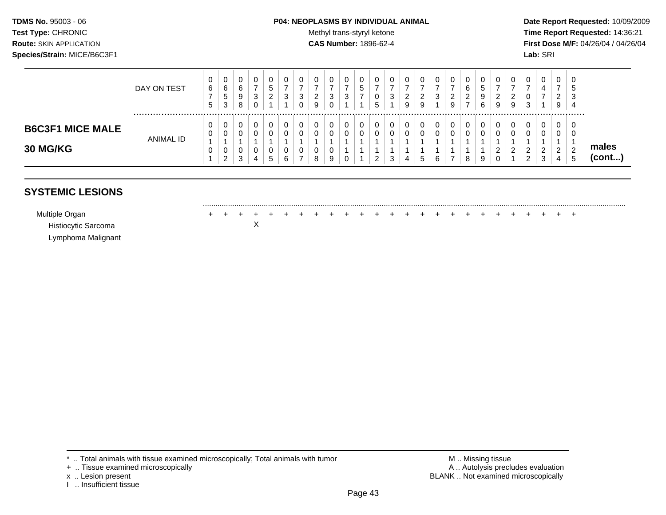#### **TDMS No.** 95003 - 06 **P04: NEOPLASMS BY INDIVIDUAL ANIMAL Date Report Requested:** 10/09/2009

Test Type: CHRONIC **Test Type:** CHRONIC **Test Type:** CHRONIC **Time Report Requested:** 14:36:21 **Route:** SKIN APPLICATION **CAS Number:** 1896-62-4 **First Dose M/F:** 04/26/04 / 04/26/04

|                                            | DAY ON TEST | U<br>6<br><sub>5</sub> | 0<br>6<br><sub>5</sub><br>3 | 0<br>6<br>9<br>8      | u<br>3 | ৾৾<br>റ<br><u>_</u> | u<br>ว<br>N<br>U | ν<br>c<br>-<br>9 | 0<br>3<br>0      | U<br>3      | U<br>υ<br>∽ | υ<br>ົ<br>ັ | u<br>_<br>9 | ν<br><u>_</u><br>9 | 3      | ◡<br>ົ<br>$\sim$<br>9 | ັບ<br>ົາ<br><u>_</u><br>⇁ | 0<br>b<br>9<br>6 | υ<br><u>_</u><br>9 | _<br>S | 0<br>0<br>3                              | ν<br>4                       | U<br><u>.</u><br>9 | 0<br>৩<br>J.<br>-4 |                 |
|--------------------------------------------|-------------|------------------------|-----------------------------|-----------------------|--------|---------------------|------------------|------------------|------------------|-------------|-------------|-------------|-------------|--------------------|--------|-----------------------|---------------------------|------------------|--------------------|--------|------------------------------------------|------------------------------|--------------------|--------------------|-----------------|
| <b>B6C3F1 MICE MALE</b><br><b>30 MG/KG</b> | ANIMAL ID   | ν<br>U<br>ν            | 0<br>0<br>0<br>ົ<br>$\sim$  | 0<br>0<br>υ<br>ົ<br>ັ | U<br>U | .5                  | U<br>U<br>u      | U<br>8           | 0<br>0<br>0<br>9 | U<br>v<br>◡ |             | $\sim$<br>ັ | u<br>u      | u<br>∽<br>$\sim$   | $\sim$ | v<br>v                | 8                         | 0<br>0<br>9      | U<br><u>.</u><br>ν |        | 0<br>0<br>◠<br><u>_</u><br>◠<br><u>_</u> | ◡<br><u>_</u><br>$\sim$<br>ັ | v<br><u>.</u><br>4 | υ<br><b>u</b>      | males<br>(cont) |

## **SYSTEMIC LESIONS**

Histiocytic Sarcoma X Lymphoma Malignant

......................................................................................................................................................................................................... Multiple Organ + + + + + + + + + + + + + + + + + + + + + + + + +

\* .. Total animals with tissue examined microscopically; Total animals with tumor <br>
+ .. Tissue examined microscopically<br>
+ .. Tissue examined microscopically

+ .. Tissue examined microscopically

I .. Insufficient tissue

x .. Lesion present **BLANK** .. Not examined microscopically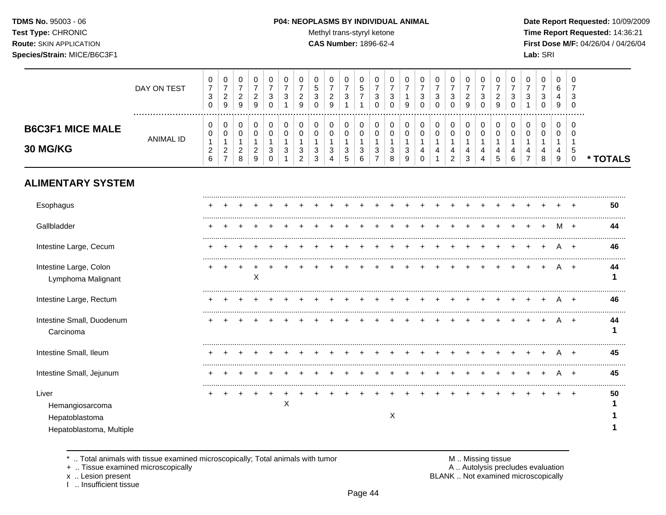## **TDMS No.** 95003 - 06 **P04: NEOPLASMS BY INDIVIDUAL ANIMAL** Date Report Requested: 10/09/2009

Test Type: CHRONIC **Test Type:** CHRONIC **Test Type:** CHRONIC **Time Report Requested:** 14:36:21 **Route:** SKIN APPLICATION **CAS Number:** 1896-62-4 **First Dose M/F:** 04/26/04 / 04/26/04

|                                                                        | DAY ON TEST      | 0<br>$\overline{7}$<br>$\sqrt{3}$<br>$\mathbf 0$           | 0<br>$\overline{7}$<br>$\overline{c}$<br>$\boldsymbol{9}$ | 0<br>$\overline{7}$<br>$\boldsymbol{2}$<br>$\boldsymbol{9}$ | 0<br>$\overline{7}$<br>$\boldsymbol{2}$<br>9          | 0<br>$\overline{7}$<br>$\ensuremath{\mathsf{3}}$<br>$\mathbf 0$ | 0<br>7<br>3<br>1                 | 0<br>7<br>$\overline{c}$<br>9    | 0<br>5<br>$\sqrt{3}$<br>$\Omega$           | 0<br>$\overline{7}$<br>$\overline{c}$<br>9 | 0<br>$\overline{7}$<br>$\mathbf{3}$ | 0<br>5<br>$\boldsymbol{7}$<br>1            | 0<br>$\overline{7}$<br>$\sqrt{3}$<br>$\mathbf 0$        | 0<br>$\overline{7}$<br>3<br>$\Omega$ | 0<br>7<br>$\mathbf{1}$<br>9      | 0<br>$\overline{7}$<br>3                | 0<br>$\overline{7}$<br>$\ensuremath{\mathsf{3}}$<br>$\Omega$ | 0<br>$\overline{7}$<br>$\sqrt{3}$<br>$\Omega$                     | 0<br>$\overline{7}$<br>$\overline{c}$<br>9 | 0<br>$\overline{7}$<br>$\ensuremath{\mathsf{3}}$<br>0 | 0<br>$\overline{7}$<br>$\overline{c}$<br>9 | 0<br>7<br>3<br>$\Omega$ | 0<br>$\overline{7}$<br>3                      | 0<br>$\overline{7}$<br>3<br>$\mathbf 0$ | 0<br>6<br>4<br>$\boldsymbol{9}$ | 0<br>3<br>$\Omega$                             |          |
|------------------------------------------------------------------------|------------------|------------------------------------------------------------|-----------------------------------------------------------|-------------------------------------------------------------|-------------------------------------------------------|-----------------------------------------------------------------|----------------------------------|----------------------------------|--------------------------------------------|--------------------------------------------|-------------------------------------|--------------------------------------------|---------------------------------------------------------|--------------------------------------|----------------------------------|-----------------------------------------|--------------------------------------------------------------|-------------------------------------------------------------------|--------------------------------------------|-------------------------------------------------------|--------------------------------------------|-------------------------|-----------------------------------------------|-----------------------------------------|---------------------------------|------------------------------------------------|----------|
| <b>B6C3F1 MICE MALE</b><br>30 MG/KG                                    | <b>ANIMAL ID</b> | 0<br>0<br>$\mathbf{1}$<br>$\overline{c}$<br>$6\phantom{a}$ | 0<br>0<br>1<br>$\overline{\mathbf{c}}$<br>$\overline{7}$  | $\mathbf 0$<br>0<br>$\mathbf{1}$<br>$\overline{c}$<br>8     | 0<br>$\pmb{0}$<br>$\mathbf{1}$<br>$\overline{c}$<br>9 | $\pmb{0}$<br>$\pmb{0}$<br>$\mathbf{1}$<br>3<br>$\mathbf 0$      | 0<br>0<br>$\mathbf{1}$<br>3<br>1 | 0<br>0<br>$\mathbf{1}$<br>3<br>2 | 0<br>$\mathbf 0$<br>$\mathbf{1}$<br>3<br>3 | 0<br>0<br>$\mathbf{1}$<br>3<br>4           | 0<br>0<br>$\mathbf 1$<br>3<br>5     | 0<br>$\mathbf 0$<br>$\mathbf{1}$<br>3<br>6 | 0<br>$\mathbf 0$<br>$\mathbf{1}$<br>3<br>$\overline{7}$ | 0<br>0<br>$\mathbf{1}$<br>3<br>8     | 0<br>0<br>$\mathbf{1}$<br>3<br>9 | 0<br>0<br>$\mathbf{1}$<br>4<br>$\Omega$ | 0<br>0<br>$\mathbf{1}$<br>4                                  | $\pmb{0}$<br>$\mathbf 0$<br>$\overline{1}$<br>4<br>$\overline{2}$ | 0<br>0<br>$\mathbf{1}$<br>4<br>3           | 0<br>0<br>$\mathbf{1}$<br>4<br>4                      | 0<br>0<br>$\mathbf{1}$<br>4<br>5           | 0<br>0<br>-1<br>4<br>6  | 0<br>0<br>$\mathbf{1}$<br>4<br>$\overline{7}$ | 0<br>0<br>1<br>4<br>8                   | 0<br>$\Omega$<br>1<br>4<br>9    | $\Omega$<br>$\Omega$<br>-1<br>5<br>$\mathbf 0$ | * TOTALS |
| <b>ALIMENTARY SYSTEM</b>                                               |                  |                                                            |                                                           |                                                             |                                                       |                                                                 |                                  |                                  |                                            |                                            |                                     |                                            |                                                         |                                      |                                  |                                         |                                                              |                                                                   |                                            |                                                       |                                            |                         |                                               |                                         |                                 |                                                |          |
| Esophagus                                                              |                  |                                                            |                                                           |                                                             |                                                       |                                                                 |                                  |                                  |                                            |                                            |                                     |                                            |                                                         |                                      |                                  |                                         |                                                              |                                                                   |                                            |                                                       |                                            |                         |                                               |                                         |                                 |                                                | 50       |
| Gallbladder                                                            |                  |                                                            |                                                           |                                                             |                                                       |                                                                 |                                  |                                  |                                            |                                            |                                     |                                            |                                                         |                                      |                                  |                                         |                                                              |                                                                   |                                            |                                                       |                                            |                         |                                               |                                         |                                 |                                                | 44       |
| Intestine Large, Cecum                                                 |                  |                                                            |                                                           |                                                             |                                                       |                                                                 |                                  |                                  |                                            |                                            |                                     |                                            |                                                         |                                      |                                  |                                         |                                                              |                                                                   |                                            |                                                       |                                            |                         |                                               |                                         |                                 | $\overline{ }$                                 | 46       |
| Intestine Large, Colon<br>Lymphoma Malignant                           |                  |                                                            |                                                           |                                                             | X                                                     |                                                                 |                                  |                                  |                                            |                                            |                                     |                                            |                                                         |                                      |                                  |                                         |                                                              |                                                                   |                                            |                                                       |                                            |                         |                                               |                                         | A                               | $+$                                            | 44       |
| Intestine Large, Rectum                                                |                  |                                                            |                                                           |                                                             |                                                       |                                                                 |                                  |                                  |                                            |                                            |                                     |                                            |                                                         |                                      |                                  |                                         |                                                              |                                                                   |                                            |                                                       |                                            |                         |                                               |                                         |                                 |                                                | 46       |
| Intestine Small, Duodenum<br>Carcinoma                                 |                  |                                                            |                                                           |                                                             |                                                       |                                                                 |                                  |                                  |                                            |                                            |                                     |                                            |                                                         |                                      |                                  |                                         |                                                              |                                                                   |                                            |                                                       |                                            |                         |                                               |                                         |                                 | $^+$                                           | 44       |
| Intestine Small, Ileum                                                 |                  |                                                            |                                                           |                                                             |                                                       |                                                                 |                                  |                                  |                                            |                                            |                                     |                                            |                                                         |                                      |                                  |                                         |                                                              |                                                                   |                                            |                                                       |                                            |                         |                                               |                                         |                                 |                                                | 45       |
| Intestine Small, Jejunum                                               |                  |                                                            |                                                           |                                                             |                                                       |                                                                 |                                  |                                  |                                            |                                            |                                     |                                            |                                                         |                                      |                                  |                                         |                                                              |                                                                   |                                            |                                                       |                                            |                         |                                               |                                         | Α                               | $\overline{+}$                                 | 45       |
| Liver<br>Hemangiosarcoma<br>Hepatoblastoma<br>Hepatoblastoma, Multiple |                  |                                                            |                                                           |                                                             |                                                       |                                                                 | Χ                                |                                  |                                            |                                            |                                     |                                            |                                                         | $\mathsf X$                          |                                  |                                         |                                                              |                                                                   |                                            |                                                       |                                            |                         |                                               |                                         |                                 |                                                | 50       |

\* .. Total animals with tissue examined microscopically; Total animals with tumor M .. Missing tissue M .. Missing tissue<br>A .. Tissue examined microscopically by the matric of the matric of the M .. Missing tissue examined

+ .. Tissue examined microscopically

x .. Lesion present<br>I .. Insufficient tissue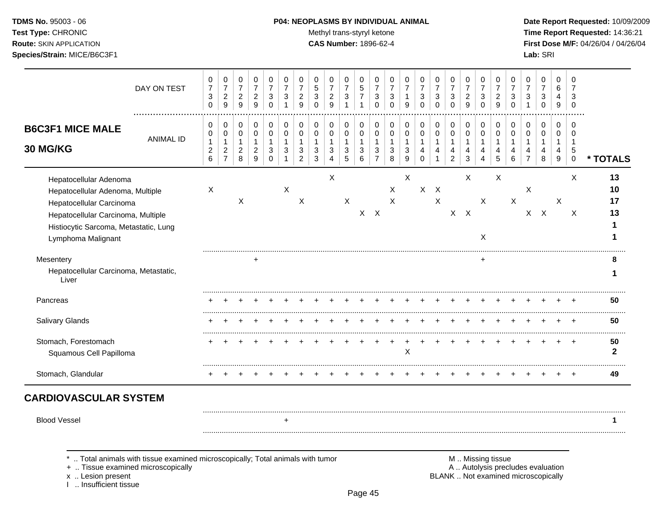## **TDMS No.** 95003 - 06 **P04: NEOPLASMS BY INDIVIDUAL ANIMAL** Date Report Requested: 10/09/2009

**Test Type:** CHRONIC **Trans-styryl ketone** Methyl trans-styryl ketone **Time Report Requested:** 14:36:21 **Route:** SKIN APPLICATION **CAS Number:** 1896-62-4 **First Dose M/F:** 04/26/04 / 04/26/04

|                                                                                                                                                                                             | DAY ON TEST      | 0<br>$\boldsymbol{7}$<br>3<br>$\mathbf 0$ | $\mathbf 0$<br>$\overline{7}$<br>$\sqrt{2}$<br>9    | 0<br>$\overline{7}$<br>$\overline{2}$<br>9              | 0<br>$\overline{7}$<br>$\sqrt{2}$<br>9                  | 0<br>$\overline{7}$<br>3<br>$\Omega$                | 0<br>$\overline{7}$<br>$\sqrt{3}$<br>$\mathbf{1}$ | 0<br>$\overline{7}$<br>$\sqrt{2}$<br>9    | 0<br>$\mathbf 5$<br>3<br>$\Omega$ | $\mathbf 0$<br>$\overline{7}$<br>$\overline{2}$<br>9 | 0<br>$\overline{7}$<br>$\sqrt{3}$ | 0<br>$\,$ 5 $\,$<br>$\overline{7}$<br>$\overline{1}$ | 0<br>$\overline{7}$<br>$\sqrt{3}$<br>$\Omega$          | 0<br>$\overline{7}$<br>$\sqrt{3}$<br>$\Omega$        | 0<br>$\overline{7}$<br>9         | 0<br>$\overline{7}$<br>3<br>$\Omega$ | 0<br>$\overline{7}$<br>$\sqrt{3}$<br>$\Omega$ | 0<br>$\overline{7}$<br>$\mathbf{3}$<br>$\Omega$       | 0<br>$\overline{7}$<br>$\overline{a}$<br>9 | $\mathbf 0$<br>$\overline{7}$<br>$\sqrt{3}$<br>$\Omega$                       | 0<br>$\overline{7}$<br>$\overline{c}$<br>9 | 0<br>$\overline{7}$<br>3<br>$\Omega$ | 0<br>$\overline{7}$<br>3      | 0<br>$\overline{7}$<br>$\sqrt{3}$<br>$\Omega$ | 0<br>$\,6\,$<br>4<br>9                                   | 0<br>7<br>3<br>$\Omega$    |                      |
|---------------------------------------------------------------------------------------------------------------------------------------------------------------------------------------------|------------------|-------------------------------------------|-----------------------------------------------------|---------------------------------------------------------|---------------------------------------------------------|-----------------------------------------------------|---------------------------------------------------|-------------------------------------------|-----------------------------------|------------------------------------------------------|-----------------------------------|------------------------------------------------------|--------------------------------------------------------|------------------------------------------------------|----------------------------------|--------------------------------------|-----------------------------------------------|-------------------------------------------------------|--------------------------------------------|-------------------------------------------------------------------------------|--------------------------------------------|--------------------------------------|-------------------------------|-----------------------------------------------|----------------------------------------------------------|----------------------------|----------------------|
| <b>B6C3F1 MICE MALE</b><br>30 MG/KG                                                                                                                                                         | <b>ANIMAL ID</b> | 0<br>0<br>$\mathbf{1}$<br>$\sqrt{2}$<br>6 | 0<br>$\pmb{0}$<br>1<br>$\sqrt{2}$<br>$\overline{7}$ | $\mathbf 0$<br>0<br>$\mathbf{1}$<br>$\overline{a}$<br>8 | 0<br>$\mathbf 0$<br>$\mathbf{1}$<br>$\overline{c}$<br>9 | 0<br>0<br>$\mathbf{1}$<br>$\sqrt{3}$<br>$\mathbf 0$ | 0<br>$\pmb{0}$<br>$\mathbf 1$<br>3<br>1           | 0<br>$\mathbf 0$<br>$\mathbf 1$<br>3<br>2 | 0<br>0<br>1<br>3<br>3             | $\mathbf 0$<br>0<br>3<br>4                           | 0<br>$\mathbf 0$<br>1<br>3<br>5   | 0<br>0<br>$\mathbf{1}$<br>3<br>6                     | 0<br>0<br>$\mathbf{1}$<br>$\sqrt{3}$<br>$\overline{7}$ | $\mathbf 0$<br>$\mathbf 0$<br>$\mathbf{1}$<br>3<br>8 | 0<br>$\mathbf 0$<br>-1<br>3<br>9 | 0<br>0<br>1<br>4<br>$\Omega$         | $\mathbf 0$<br>$\mathbf 0$<br>4               | 0<br>$\pmb{0}$<br>$\mathbf{1}$<br>4<br>$\overline{2}$ | 0<br>0<br>1<br>4<br>3                      | $\mathbf 0$<br>$\mathbf 0$<br>$\mathbf 1$<br>$\overline{4}$<br>$\overline{4}$ | 0<br>$\mathbf 0$<br>1<br>4<br>5            | 0<br>$\Omega$<br>6                   | 0<br>0<br>4<br>$\overline{7}$ | 0<br>$\pmb{0}$<br>1<br>$\overline{4}$<br>8    | 0<br>$\mathbf 0$<br>$\mathbf 1$<br>4<br>$\boldsymbol{9}$ | $\Omega$<br>5<br>$\pmb{0}$ | * TOTALS             |
| Hepatocellular Adenoma<br>Hepatocellular Adenoma, Multiple<br>Hepatocellular Carcinoma<br>Hepatocellular Carcinoma, Multiple<br>Histiocytic Sarcoma, Metastatic, Lung<br>Lymphoma Malignant |                  | X                                         |                                                     | X                                                       |                                                         |                                                     | X                                                 | $\boldsymbol{\mathsf{X}}$                 |                                   | X                                                    | $\boldsymbol{\mathsf{X}}$         | X                                                    | $\mathsf{X}$                                           | X<br>X                                               | X                                | X                                    | $\times$<br>$\mathsf{X}$                      | $\mathsf{X}$                                          | X<br>$\mathsf{X}$                          | $\mathsf{X}$<br>X                                                             | X                                          | $\mathsf{X}$                         | $\times$                      | $X$ $X$                                       | X                                                        | X<br>X                     | 13<br>10<br>17<br>13 |
| Mesentery<br>Hepatocellular Carcinoma, Metastatic,<br>Liver                                                                                                                                 |                  |                                           |                                                     |                                                         | ٠                                                       |                                                     |                                                   |                                           |                                   |                                                      |                                   |                                                      |                                                        |                                                      |                                  |                                      |                                               |                                                       |                                            | ٠                                                                             |                                            |                                      |                               |                                               |                                                          |                            |                      |
| Pancreas                                                                                                                                                                                    |                  |                                           |                                                     |                                                         |                                                         |                                                     |                                                   |                                           |                                   |                                                      |                                   |                                                      |                                                        |                                                      |                                  |                                      |                                               |                                                       |                                            |                                                                               |                                            |                                      |                               |                                               |                                                          |                            | 50                   |
| Salivary Glands                                                                                                                                                                             |                  |                                           |                                                     |                                                         |                                                         |                                                     |                                                   |                                           |                                   |                                                      |                                   |                                                      |                                                        |                                                      |                                  |                                      |                                               |                                                       |                                            |                                                                               |                                            |                                      |                               |                                               |                                                          |                            | 50                   |
| Stomach, Forestomach<br>Squamous Cell Papilloma                                                                                                                                             |                  |                                           |                                                     |                                                         |                                                         |                                                     |                                                   |                                           |                                   |                                                      |                                   |                                                      |                                                        |                                                      | X                                |                                      |                                               |                                                       |                                            |                                                                               |                                            |                                      |                               |                                               |                                                          | $\div$                     | 50<br>$\mathbf{2}$   |
| Stomach, Glandular                                                                                                                                                                          |                  |                                           |                                                     |                                                         |                                                         |                                                     |                                                   |                                           |                                   |                                                      |                                   |                                                      |                                                        |                                                      |                                  |                                      |                                               |                                                       |                                            |                                                                               |                                            |                                      |                               |                                               |                                                          |                            | 49                   |
| <b>CARDIOVASCULAR SYSTEM</b>                                                                                                                                                                |                  |                                           |                                                     |                                                         |                                                         |                                                     |                                                   |                                           |                                   |                                                      |                                   |                                                      |                                                        |                                                      |                                  |                                      |                                               |                                                       |                                            |                                                                               |                                            |                                      |                               |                                               |                                                          |                            |                      |
| <b>Blood Vessel</b>                                                                                                                                                                         |                  |                                           |                                                     |                                                         |                                                         |                                                     | $\div$                                            |                                           |                                   |                                                      |                                   |                                                      |                                                        |                                                      |                                  |                                      |                                               |                                                       |                                            |                                                                               |                                            |                                      |                               |                                               |                                                          |                            |                      |

+ .. Tissue examined microscopically

x .. Lesion present<br>I .. Insufficient tissue

\* .. Total animals with tissue examined microscopically; Total animals with tumor M .. Missing tissue M .. Missing tissue<br>
+ .. Tissue examined microscopically BLANK .. Not examined microscopically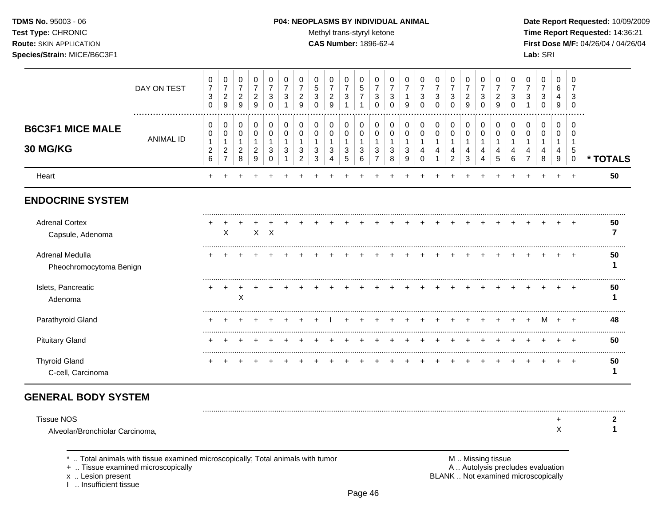## **TDMS No.** 95003 - 06 **P04: NEOPLASMS BY INDIVIDUAL ANIMAL** Date Report Requested: 10/09/2009

**Test Type:** CHRONIC **Trans-styryl ketone** Methyl trans-styryl ketone **Time Report Requested:** 14:36:21 **Route:** SKIN APPLICATION **CAS Number:** 1896-62-4 **First Dose M/F:** 04/26/04 / 04/26/04

|                                            | DAY ON TEST      | 0<br>$\overline{7}$<br>$\sqrt{3}$<br>$\mathbf 0$ | 0<br>$\overline{7}$<br>$\sqrt{2}$<br>9              | 0<br>$\overline{7}$<br>$\overline{c}$<br>$\overline{9}$ | 0<br>$\overline{7}$<br>$\overline{c}$<br>9    | 0<br>$\overline{7}$<br>3<br>0 | 0<br>$\overline{7}$<br>3 | 0<br>$\overline{7}$<br>$\overline{2}$<br>9 | 0<br>5<br>3<br>0 | 0<br>$\overline{7}$<br>$\overline{c}$<br>9 | 0<br>$\overline{7}$<br>$\sqrt{3}$ | 0<br>5<br>$\overline{7}$        | 0<br>$\overline{7}$<br>3<br>$\Omega$ | 0<br>$\overline{7}$<br>3<br>$\Omega$ | 0<br>$\overline{7}$<br>9 | 0<br>$\overline{7}$<br>3<br>0 | 0<br>$\overline{7}$<br>3<br>$\mathbf{0}$ | 0<br>$\overline{7}$<br>$\sqrt{3}$<br>$\Omega$ | 0<br>7<br>$\overline{c}$<br>9   | 0<br>$\overline{7}$<br>3<br>$\Omega$ | 0<br>$\overline{7}$<br>2<br>9 | 0<br>$\overline{7}$<br>3<br>0 | 0<br>$\overline{7}$<br>3 | 0<br>$\overline{7}$<br>3<br>$\mathbf{0}$ | 0<br>6<br>4<br>9                     | 0<br>$\Omega$                     |          |
|--------------------------------------------|------------------|--------------------------------------------------|-----------------------------------------------------|---------------------------------------------------------|-----------------------------------------------|-------------------------------|--------------------------|--------------------------------------------|------------------|--------------------------------------------|-----------------------------------|---------------------------------|--------------------------------------|--------------------------------------|--------------------------|-------------------------------|------------------------------------------|-----------------------------------------------|---------------------------------|--------------------------------------|-------------------------------|-------------------------------|--------------------------|------------------------------------------|--------------------------------------|-----------------------------------|----------|
| <b>B6C3F1 MICE MALE</b><br>30 MG/KG        | <b>ANIMAL ID</b> | 0<br>0<br>1<br>$\boldsymbol{2}$<br>6             | 0<br>0<br>$\overline{\mathbf{c}}$<br>$\overline{7}$ | 0<br>$\mathbf 0$<br>-1<br>$\overline{c}$<br>8           | 0<br>0<br>$\mathbf{1}$<br>$\overline{c}$<br>9 | 0<br>0<br>1<br>3<br>$\Omega$  | 0<br>0<br>3              | 0<br>0<br>3<br>$\overline{2}$              | 0<br>0<br>3<br>3 | 0<br>0<br>3                                | 0<br>$\mathbf 0$<br>-1<br>3<br>5  | 0<br>0<br>$\mathbf 1$<br>3<br>6 | 0<br>0<br>3                          | 0<br>0<br>3<br>8                     | 0<br>0<br>3<br>9         | 0<br>0<br>4<br>0              | 0<br>0<br>4                              | 0<br>$\mathbf 0$<br>-1<br>4<br>$\overline{2}$ | 0<br>0<br>$\mathbf 1$<br>4<br>3 | 0<br>0<br>4<br>4                     | 0<br>0<br>4<br>5              | 0<br>0<br>6                   | 0<br>0                   | 0<br>0<br>4<br>8                         | 0<br>$\mathbf 0$<br>-1<br>4<br>$9\,$ | $\Omega$<br>0<br>5<br>$\mathbf 0$ | * TOTALS |
| Heart                                      |                  |                                                  |                                                     |                                                         |                                               |                               |                          |                                            |                  |                                            |                                   |                                 |                                      |                                      |                          |                               |                                          |                                               |                                 |                                      |                               |                               |                          |                                          |                                      | $\overline{ }$                    | 50       |
| <b>ENDOCRINE SYSTEM</b>                    |                  |                                                  |                                                     |                                                         |                                               |                               |                          |                                            |                  |                                            |                                   |                                 |                                      |                                      |                          |                               |                                          |                                               |                                 |                                      |                               |                               |                          |                                          |                                      |                                   |          |
| <b>Adrenal Cortex</b><br>Capsule, Adenoma  |                  |                                                  | X                                                   |                                                         |                                               | $X$ $X$                       |                          |                                            |                  |                                            |                                   |                                 |                                      |                                      |                          |                               |                                          |                                               |                                 |                                      |                               |                               |                          |                                          |                                      |                                   | 50       |
| Adrenal Medulla<br>Pheochromocytoma Benign |                  |                                                  |                                                     |                                                         |                                               |                               |                          |                                            |                  |                                            |                                   |                                 |                                      |                                      |                          |                               |                                          |                                               |                                 |                                      |                               |                               |                          |                                          |                                      |                                   | 50       |
| Islets, Pancreatic<br>Adenoma              |                  |                                                  |                                                     | Χ                                                       |                                               |                               |                          |                                            |                  |                                            |                                   |                                 |                                      |                                      |                          |                               |                                          |                                               |                                 |                                      |                               |                               |                          |                                          |                                      |                                   | 50       |
| Parathyroid Gland                          |                  |                                                  |                                                     |                                                         |                                               |                               |                          |                                            |                  |                                            |                                   |                                 |                                      |                                      |                          |                               |                                          |                                               |                                 |                                      |                               |                               |                          | M                                        | $\overline{+}$                       | $\overline{ }$                    | 48       |
| <b>Pituitary Gland</b>                     |                  |                                                  |                                                     |                                                         |                                               |                               |                          |                                            |                  |                                            |                                   |                                 |                                      |                                      |                          |                               |                                          |                                               |                                 |                                      |                               |                               |                          |                                          |                                      |                                   | 50       |
| <b>Thyroid Gland</b><br>C-cell, Carcinoma  |                  |                                                  |                                                     |                                                         |                                               |                               |                          |                                            |                  |                                            |                                   |                                 |                                      |                                      |                          |                               |                                          |                                               |                                 |                                      |                               |                               |                          |                                          |                                      | $^+$                              | 50       |
| <b>GENERAL BODY SYSTEM</b>                 |                  |                                                  |                                                     |                                                         |                                               |                               |                          |                                            |                  |                                            |                                   |                                 |                                      |                                      |                          |                               |                                          |                                               |                                 |                                      |                               |                               |                          |                                          |                                      |                                   |          |

| Tissue NOS                      |  |
|---------------------------------|--|
| Alveolar/Bronchiolar Carcinoma, |  |

\* .. Total animals with tissue examined microscopically; Total animals with tumor **M** metally more than M .. Missing tissue<br>  $\blacksquare$  Tissue examined microscopically

+ .. Tissue examined microscopically

x .. Lesion present<br>I .. Insufficient tissue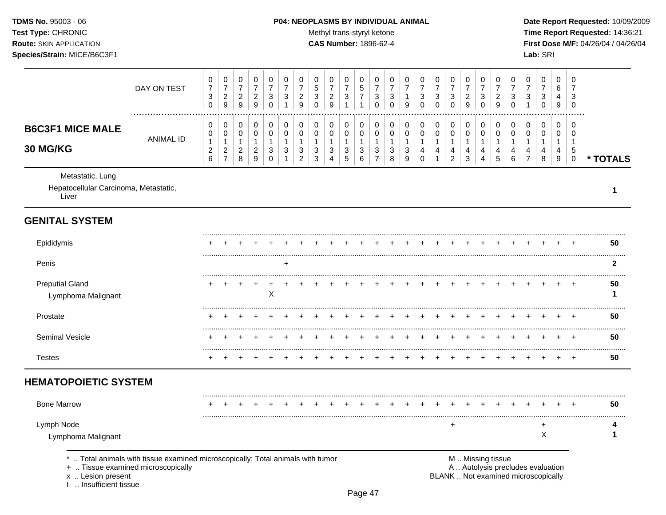## **TDMS No.** 95003 - 06 **P04: NEOPLASMS BY INDIVIDUAL ANIMAL** Date Report Requested: 10/09/2009

Test Type: CHRONIC **Test Type:** CHRONIC **Test Type:** CHRONIC **Time Report Requested:** 14:36:21 **Route:** SKIN APPLICATION **CAS Number:** 1896-62-4 **First Dose M/F:** 04/26/04 / 04/26/04

|                                                                    | DAY ON TEST      | 0<br>$\overline{7}$<br>$\sqrt{3}$<br>0           | 0<br>$\overline{7}$<br>$\boldsymbol{2}$<br>$\boldsymbol{9}$ | 0<br>$\boldsymbol{7}$<br>$\sqrt{2}$<br>$\boldsymbol{9}$ | 0<br>$\overline{7}$<br>$\overline{c}$<br>9 | 0<br>$\overline{7}$<br>3<br>0                        | 0<br>7<br>3           | 0<br>$\overline{7}$<br>$\overline{c}$<br>9    | 0<br>$\mathbf 5$<br>3<br>0       | 0<br>$\overline{7}$<br>$\boldsymbol{2}$<br>9 | 0<br>$\overline{7}$<br>$\sqrt{3}$ | 0<br>$\mathbf 5$<br>$\overline{7}$ | 0<br>$\overline{7}$<br>3<br>0      | 0<br>$\overline{7}$<br>3<br>0    | 0<br>$\overline{7}$<br>1<br>9    | 0<br>$\overline{7}$<br>3<br>0          | 0<br>$\overline{7}$<br>3<br>0 | 0<br>$\overline{7}$<br>$\ensuremath{\mathsf{3}}$<br>$\mathbf 0$ | 0<br>$\overline{7}$<br>$\overline{c}$<br>9 | 0<br>$\overline{7}$<br>3<br>0    | 0<br>$\overline{c}$<br>9         | 0<br>7<br>3           | 0<br>3      | 0<br>$\overline{7}$<br>3<br>0 | 0<br>6<br>4<br>9                 | 0<br>7<br>3<br>$\Omega$                        |          |
|--------------------------------------------------------------------|------------------|--------------------------------------------------|-------------------------------------------------------------|---------------------------------------------------------|--------------------------------------------|------------------------------------------------------|-----------------------|-----------------------------------------------|----------------------------------|----------------------------------------------|-----------------------------------|------------------------------------|------------------------------------|----------------------------------|----------------------------------|----------------------------------------|-------------------------------|-----------------------------------------------------------------|--------------------------------------------|----------------------------------|----------------------------------|-----------------------|-------------|-------------------------------|----------------------------------|------------------------------------------------|----------|
| <b>B6C3F1 MICE MALE</b><br>30 MG/KG                                | <b>ANIMAL ID</b> | 0<br>0<br>1<br>$\overline{c}$<br>$6\phantom{1}6$ | 0<br>0<br>1<br>$\overline{c}$<br>$\overline{7}$             | 0<br>0<br>$\mathbf 1$<br>$\overline{c}$<br>8            | 0<br>0<br>1<br>$\overline{c}$<br>9         | $\mathbf 0$<br>0<br>$\mathbf{1}$<br>3<br>$\mathbf 0$ | 0<br>0<br>1<br>3<br>1 | 0<br>0<br>$\mathbf{1}$<br>3<br>$\overline{c}$ | $\mathbf 0$<br>0<br>-1<br>3<br>3 | 0<br>0<br>1<br>3<br>4                        | 0<br>0<br>1<br>$\sqrt{3}$<br>5    | 0<br>0<br>$\mathbf{1}$<br>3<br>6   | 0<br>0<br>1<br>3<br>$\overline{7}$ | 0<br>0<br>$\mathbf{1}$<br>3<br>8 | 0<br>0<br>$\mathbf{1}$<br>3<br>9 | $\mathbf 0$<br>0<br>1<br>4<br>$\Omega$ | 0<br>0<br>1<br>4              | 0<br>0<br>$\mathbf{1}$<br>4<br>$\boldsymbol{2}$                 | 0<br>0<br>$\mathbf{1}$<br>4<br>3           | 0<br>0<br>$\mathbf{1}$<br>4<br>4 | $\mathbf 0$<br>0<br>-1<br>4<br>5 | 0<br>0<br>1<br>4<br>6 | 0<br>0<br>4 | 0<br>0<br>1<br>4<br>8         | 0<br>0<br>$\mathbf{1}$<br>4<br>9 | $\Omega$<br>$\Omega$<br>-1<br>5<br>$\mathbf 0$ | * TOTALS |
| Metastatic, Lung<br>Hepatocellular Carcinoma, Metastatic,<br>Liver |                  |                                                  |                                                             |                                                         |                                            |                                                      |                       |                                               |                                  |                                              |                                   |                                    |                                    |                                  |                                  |                                        |                               |                                                                 |                                            |                                  |                                  |                       |             |                               |                                  |                                                | -1       |
| <b>GENITAL SYSTEM</b>                                              |                  |                                                  |                                                             |                                                         |                                            |                                                      |                       |                                               |                                  |                                              |                                   |                                    |                                    |                                  |                                  |                                        |                               |                                                                 |                                            |                                  |                                  |                       |             |                               |                                  |                                                |          |
| Epididymis                                                         |                  |                                                  |                                                             |                                                         |                                            |                                                      |                       |                                               |                                  |                                              |                                   |                                    |                                    |                                  |                                  |                                        |                               |                                                                 |                                            |                                  |                                  |                       |             |                               |                                  |                                                | 50       |
| Penis                                                              |                  |                                                  |                                                             |                                                         |                                            |                                                      | $\ddot{}$             |                                               |                                  |                                              |                                   |                                    |                                    |                                  |                                  |                                        |                               |                                                                 |                                            |                                  |                                  |                       |             |                               |                                  |                                                | 2        |
| <b>Preputial Gland</b><br>Lymphoma Malignant                       |                  |                                                  |                                                             |                                                         |                                            | $\times$                                             |                       |                                               |                                  |                                              |                                   |                                    |                                    |                                  |                                  |                                        |                               |                                                                 |                                            |                                  |                                  |                       |             |                               |                                  |                                                | 50       |
| Prostate                                                           |                  |                                                  |                                                             |                                                         |                                            |                                                      |                       |                                               |                                  |                                              |                                   |                                    |                                    |                                  |                                  |                                        |                               |                                                                 |                                            |                                  |                                  |                       |             |                               |                                  |                                                | 50       |
| Seminal Vesicle                                                    |                  |                                                  |                                                             |                                                         |                                            |                                                      |                       |                                               |                                  |                                              |                                   |                                    |                                    |                                  |                                  |                                        |                               |                                                                 |                                            |                                  |                                  |                       |             |                               |                                  | $\overline{ }$                                 | 50       |
| <b>Testes</b>                                                      |                  |                                                  |                                                             |                                                         |                                            |                                                      |                       |                                               |                                  |                                              |                                   |                                    |                                    |                                  |                                  |                                        |                               |                                                                 |                                            |                                  |                                  |                       |             |                               |                                  | $\div$                                         | 50       |
| <b>HEMATOPOIETIC SYSTEM</b>                                        |                  |                                                  |                                                             |                                                         |                                            |                                                      |                       |                                               |                                  |                                              |                                   |                                    |                                    |                                  |                                  |                                        |                               |                                                                 |                                            |                                  |                                  |                       |             |                               |                                  |                                                |          |
| <b>Bone Marrow</b>                                                 |                  |                                                  |                                                             |                                                         |                                            |                                                      |                       |                                               |                                  |                                              |                                   |                                    |                                    |                                  |                                  |                                        |                               |                                                                 |                                            |                                  |                                  |                       |             |                               |                                  | $\overline{+}$                                 | 50       |
| Lymph Node<br>Lymphoma Malignant                                   |                  |                                                  |                                                             |                                                         |                                            |                                                      |                       |                                               |                                  |                                              |                                   |                                    |                                    |                                  |                                  |                                        |                               | +                                                               |                                            |                                  |                                  |                       |             | X                             |                                  |                                                | 4        |

\* .. Total animals with tissue examined microscopically; Total animals with tumor **M** metal metal M .. Missing tissue<br>  $\blacksquare$  . Tissue examined microscopically

+ .. Tissue examined microscopically

x .. Lesion present<br>I .. Insufficient tissue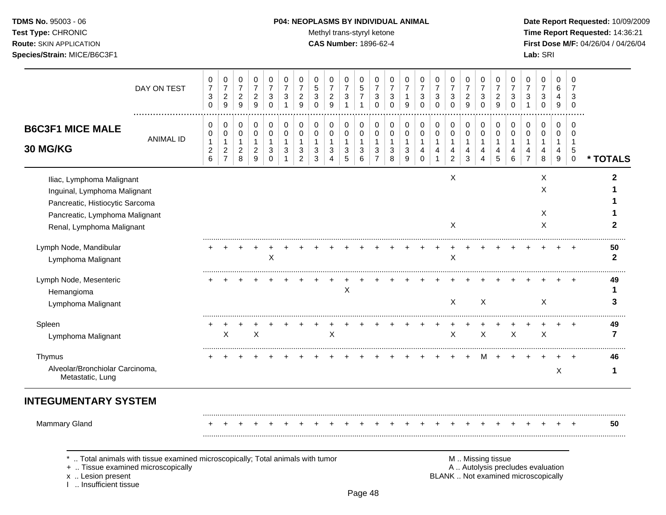## **TDMS No.** 95003 - 06 **P04: NEOPLASMS BY INDIVIDUAL ANIMAL** Date Report Requested: 10/09/2009

Test Type: CHRONIC **Test Type:** CHRONIC **Test Type:** CHRONIC **Time Report Requested:** 14:36:21 **Route:** SKIN APPLICATION **CAS Number:** 1896-62-4 **First Dose M/F:** 04/26/04 / 04/26/04

|                                                                                                                                                             | DAY ON TEST      | 0<br>$\overline{7}$<br>3<br>0      | 0<br>$\overline{7}$<br>$\overline{c}$<br>9                        | 0<br>$\overline{7}$<br>$\sqrt{2}$<br>9     | 0<br>$\overline{7}$<br>$\overline{2}$<br>9 | 0<br>$\overline{7}$<br>3<br>$\mathbf 0$              | 0<br>$\overline{7}$<br>3<br>$\mathbf{1}$ | 0<br>$\overline{7}$<br>$\sqrt{2}$<br>9                | 0<br>5<br>3<br>0                 | 0<br>$\overline{7}$<br>$\overline{c}$<br>9 | 0<br>$\overline{7}$<br>3<br>1 | 0<br>$\sqrt{5}$<br>$\overline{7}$<br>1   | 0<br>$\overline{7}$<br>3<br>$\Omega$                  | $\Omega$<br>$\overline{7}$<br>3<br>$\mathbf 0$ | 0<br>$\overline{7}$<br>1<br>9 | 0<br>$\overline{7}$<br>3<br>$\mathbf 0$   | 0<br>$\overline{7}$<br>3<br>$\Omega$ | 0<br>$\overline{7}$<br>3<br>$\mathbf 0$    | 0<br>$\overline{7}$<br>$\overline{c}$<br>9 | 0<br>$\overline{7}$<br>3<br>0 | 0<br>$\overline{7}$<br>$\overline{2}$<br>9            | 0<br>7<br>3<br>0           | 0<br>$\overline{7}$<br>3         | 0<br>$\overline{7}$<br>3<br>$\mathbf 0$ | $\Omega$<br>6<br>4<br>9          | $\Omega$<br>7<br>3<br>$\mathbf 0$                             |                    |
|-------------------------------------------------------------------------------------------------------------------------------------------------------------|------------------|------------------------------------|-------------------------------------------------------------------|--------------------------------------------|--------------------------------------------|------------------------------------------------------|------------------------------------------|-------------------------------------------------------|----------------------------------|--------------------------------------------|-------------------------------|------------------------------------------|-------------------------------------------------------|------------------------------------------------|-------------------------------|-------------------------------------------|--------------------------------------|--------------------------------------------|--------------------------------------------|-------------------------------|-------------------------------------------------------|----------------------------|----------------------------------|-----------------------------------------|----------------------------------|---------------------------------------------------------------|--------------------|
| <b>B6C3F1 MICE MALE</b><br>30 MG/KG                                                                                                                         | <b>ANIMAL ID</b> | 0<br>0<br>1<br>$\overline{c}$<br>6 | 0<br>$\pmb{0}$<br>$\mathbf 1$<br>$\overline{c}$<br>$\overline{7}$ | 0<br>$\pmb{0}$<br>1<br>$\overline{c}$<br>8 | 0<br>$\pmb{0}$<br>1<br>$\overline{2}$<br>9 | 0<br>$\mathsf 0$<br>$\mathbf{1}$<br>3<br>$\mathbf 0$ | 0<br>$\pmb{0}$<br>1<br>3<br>$\mathbf{1}$ | 0<br>$\pmb{0}$<br>$\mathbf{1}$<br>3<br>$\overline{c}$ | 0<br>$\mathbf 0$<br>-1<br>3<br>3 | 0<br>$\mathbf 0$<br>1<br>3                 | 0<br>$\pmb{0}$<br>1<br>3<br>5 | 0<br>$\pmb{0}$<br>$\mathbf{1}$<br>3<br>6 | 0<br>$\pmb{0}$<br>$\mathbf{1}$<br>3<br>$\overline{7}$ | 0<br>$\pmb{0}$<br>1<br>3<br>8                  | 0<br>$\pmb{0}$<br>1<br>3<br>9 | 0<br>0<br>$\mathbf 1$<br>4<br>$\mathbf 0$ | 0<br>$\mathbf 0$<br>-1<br>4<br>1     | 0<br>$\pmb{0}$<br>1<br>4<br>$\overline{c}$ | 0<br>$\pmb{0}$<br>$\mathbf{1}$<br>4<br>3   | 0<br>$\pmb{0}$<br>1<br>4<br>4 | 0<br>$\pmb{0}$<br>$\mathbf{1}$<br>4<br>$\overline{5}$ | 0<br>$\mathbf 0$<br>4<br>6 | 0<br>$\mathbf 0$<br>-1<br>4<br>7 | 0<br>$\mathbf 0$<br>1<br>4<br>8         | 0<br>$\mathbf 0$<br>-1<br>4<br>9 | $\Omega$<br>$\mathbf 0$<br>$\overline{1}$<br>5<br>$\mathbf 0$ | * TOTALS           |
| Iliac, Lymphoma Malignant<br>Inguinal, Lymphoma Malignant<br>Pancreatic, Histiocytic Sarcoma<br>Pancreatic, Lymphoma Malignant<br>Renal, Lymphoma Malignant |                  |                                    |                                                                   |                                            |                                            |                                                      |                                          |                                                       |                                  |                                            |                               |                                          |                                                       |                                                |                               |                                           |                                      | X<br>X                                     |                                            |                               |                                                       |                            |                                  | X<br>X<br>X<br>X                        |                                  |                                                               | 2<br>2             |
| Lymph Node, Mandibular<br>Lymphoma Malignant                                                                                                                |                  |                                    |                                                                   |                                            |                                            | X                                                    |                                          |                                                       |                                  |                                            |                               |                                          |                                                       |                                                |                               |                                           |                                      | X                                          |                                            |                               |                                                       |                            |                                  |                                         |                                  |                                                               | 50<br>$\mathbf{2}$ |
| Lymph Node, Mesenteric<br>Hemangioma<br>Lymphoma Malignant                                                                                                  |                  |                                    |                                                                   |                                            |                                            |                                                      |                                          |                                                       |                                  |                                            | X                             |                                          |                                                       |                                                |                               |                                           |                                      | X                                          |                                            | $\mathsf{X}$                  |                                                       |                            |                                  | X                                       |                                  |                                                               | 49<br>1<br>3       |
| Spleen<br>Lymphoma Malignant                                                                                                                                |                  |                                    | X                                                                 |                                            | X                                          |                                                      |                                          |                                                       |                                  | X                                          |                               |                                          |                                                       |                                                |                               |                                           |                                      | $\ddot{}$<br>X                             | $\ddot{}$                                  | $\mathsf{X}$                  |                                                       | $\boldsymbol{\mathsf{X}}$  |                                  | $\ddot{}$<br>X                          | $\ddot{}$                        | $+$                                                           | 49<br>7            |
| Thymus<br>Alveolar/Bronchiolar Carcinoma,<br>Metastatic, Lung                                                                                               |                  |                                    |                                                                   |                                            |                                            |                                                      |                                          |                                                       |                                  |                                            |                               |                                          |                                                       |                                                |                               |                                           |                                      |                                            |                                            | м                             | $\ddot{}$                                             |                            |                                  |                                         | X                                |                                                               | 46<br>1            |
| <b>INTEGUMENTARY SYSTEM</b>                                                                                                                                 |                  |                                    |                                                                   |                                            |                                            |                                                      |                                          |                                                       |                                  |                                            |                               |                                          |                                                       |                                                |                               |                                           |                                      |                                            |                                            |                               |                                                       |                            |                                  |                                         |                                  |                                                               |                    |
| <b>Mammary Gland</b>                                                                                                                                        |                  |                                    |                                                                   |                                            |                                            |                                                      |                                          |                                                       |                                  |                                            |                               |                                          |                                                       |                                                |                               |                                           |                                      |                                            |                                            |                               |                                                       |                            |                                  |                                         |                                  |                                                               | 50                 |

x .. Lesion present<br>I .. Insufficient tissue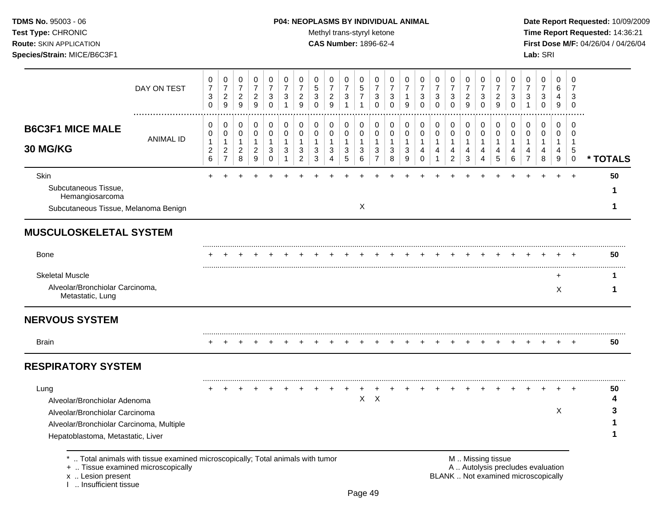## **TDMS No.** 95003 - 06 **P04: NEOPLASMS BY INDIVIDUAL ANIMAL** Date Report Requested: 10/09/2009

Test Type: CHRONIC **Test Type:** CHRONIC **Test Type:** CHRONIC **Time Report Requested:** 14:36:21 **Route:** SKIN APPLICATION **CAS Number:** 1896-62-4 **First Dose M/F:** 04/26/04 / 04/26/04

|                                                                                                                                                         | DAY ON TEST      | 0<br>$\overline{7}$<br>3<br>$\mathbf 0$       | 0<br>$\overline{7}$<br>$\overline{c}$<br>9                   | 0<br>$\overline{7}$<br>$\overline{2}$<br>$\boldsymbol{9}$ | 0<br>$\boldsymbol{7}$<br>$\overline{c}$<br>9            | 0<br>$\overline{7}$<br>3<br>$\mathbf 0$   | 0<br>$\overline{7}$<br>3<br>$\mathbf{1}$    | 0<br>$\overline{7}$<br>$\overline{a}$<br>9                                      | 0<br>5<br>3<br>$\Omega$          | 0<br>$\overline{7}$<br>$\overline{c}$<br>9 | 0<br>$\overline{7}$<br>$\mathbf{3}$<br>$\overline{1}$ | 0<br>$\sqrt{5}$<br>$\overline{7}$<br>$\mathbf{1}$ | 0<br>$\overline{7}$<br>3<br>$\mathbf 0$                          | 0<br>$\overline{7}$<br>3<br>$\Omega$ | 0<br>$\overline{7}$<br>1<br>9 | 0<br>$\overline{7}$<br>3<br>$\Omega$    | 0<br>$\overline{7}$<br>3<br>$\mathbf 0$    | 0<br>$\overline{7}$<br>3<br>$\Omega$                                | 0<br>$\overline{7}$<br>$\overline{c}$<br>$\boldsymbol{9}$ | 0<br>$\overline{7}$<br>3<br>$\mathbf 0$ | 0<br>$\overline{7}$<br>$\overline{2}$<br>$\boldsymbol{9}$ | 0<br>$\overline{7}$<br>3<br>$\mathbf 0$      | 0<br>$\overline{7}$<br>3<br>1      | 0<br>$\overline{7}$<br>3<br>$\pmb{0}$                  | $\Omega$<br>6<br>4<br>9                                          | $\mathbf 0$<br>7<br>3<br>$\mathbf 0$ |                   |
|---------------------------------------------------------------------------------------------------------------------------------------------------------|------------------|-----------------------------------------------|--------------------------------------------------------------|-----------------------------------------------------------|---------------------------------------------------------|-------------------------------------------|---------------------------------------------|---------------------------------------------------------------------------------|----------------------------------|--------------------------------------------|-------------------------------------------------------|---------------------------------------------------|------------------------------------------------------------------|--------------------------------------|-------------------------------|-----------------------------------------|--------------------------------------------|---------------------------------------------------------------------|-----------------------------------------------------------|-----------------------------------------|-----------------------------------------------------------|----------------------------------------------|------------------------------------|--------------------------------------------------------|------------------------------------------------------------------|--------------------------------------|-------------------|
| <b>B6C3F1 MICE MALE</b><br>30 MG/KG                                                                                                                     | <b>ANIMAL ID</b> | 0<br>0<br>$\mathbf{1}$<br>$\overline{c}$<br>6 | 0<br>0<br>$\mathbf{1}$<br>$\boldsymbol{2}$<br>$\overline{7}$ | 0<br>0<br>$\mathbf{1}$<br>$\overline{a}$<br>8             | 0<br>$\mathbf 0$<br>$\mathbf{1}$<br>$\overline{c}$<br>9 | 0<br>0<br>$\mathbf{1}$<br>$\sqrt{3}$<br>0 | 0<br>0<br>$\mathbf{1}$<br>3<br>$\mathbf{1}$ | 0<br>$\mathbf 0$<br>$\mathbf{1}$<br>$\ensuremath{\mathsf{3}}$<br>$\overline{c}$ | 0<br>0<br>1<br>$\mathbf{3}$<br>3 | 0<br>$\mathbf 0$<br>1<br>3<br>4            | 0<br>0<br>1<br>$\sqrt{3}$<br>5                        | 0<br>$\mathbf 0$<br>1<br>$\sqrt{3}$<br>6          | 0<br>$\mathbf 0$<br>$\mathbf{1}$<br>$\sqrt{3}$<br>$\overline{7}$ | 0<br>0<br>$\mathbf 1$<br>3<br>8      | 0<br>0<br>1<br>3<br>9         | 0<br>0<br>$\mathbf{1}$<br>4<br>$\Omega$ | 0<br>$\mathbf 0$<br>1<br>4<br>$\mathbf{1}$ | 0<br>0<br>$\mathbf{1}$<br>$\overline{\mathbf{4}}$<br>$\overline{c}$ | 0<br>$\mathbf 0$<br>1<br>$\overline{4}$<br>$\sqrt{3}$     | 0<br>0<br>1<br>4<br>4                   | 0<br>0<br>$\mathbf{1}$<br>4<br>5                          | 0<br>$\mathbf 0$<br>1<br>$\overline{4}$<br>6 | 0<br>0<br>1<br>4<br>$\overline{7}$ | 0<br>0<br>$\mathbf{1}$<br>$\overline{\mathbf{4}}$<br>8 | $\mathbf 0$<br>$\mathbf 0$<br>$\mathbf 1$<br>$\overline{4}$<br>9 | 0<br>0<br>-1<br>5<br>$\Omega$        | * TOTALS          |
| <b>Skin</b><br>Subcutaneous Tissue,<br>Hemangiosarcoma<br>Subcutaneous Tissue, Melanoma Benign                                                          |                  |                                               |                                                              |                                                           |                                                         |                                           |                                             |                                                                                 |                                  |                                            |                                                       | X                                                 |                                                                  |                                      |                               |                                         |                                            |                                                                     |                                                           |                                         |                                                           |                                              |                                    |                                                        |                                                                  | $\ddot{}$                            | 50<br>1<br>1      |
| <b>MUSCULOSKELETAL SYSTEM</b>                                                                                                                           |                  |                                               |                                                              |                                                           |                                                         |                                           |                                             |                                                                                 |                                  |                                            |                                                       |                                                   |                                                                  |                                      |                               |                                         |                                            |                                                                     |                                                           |                                         |                                                           |                                              |                                    |                                                        |                                                                  |                                      |                   |
| <b>Bone</b>                                                                                                                                             |                  |                                               |                                                              |                                                           |                                                         |                                           |                                             |                                                                                 |                                  |                                            |                                                       |                                                   |                                                                  |                                      |                               |                                         |                                            |                                                                     |                                                           |                                         |                                                           |                                              |                                    |                                                        |                                                                  |                                      | 50                |
| <b>Skeletal Muscle</b><br>Alveolar/Bronchiolar Carcinoma,<br>Metastatic, Lung                                                                           |                  |                                               |                                                              |                                                           |                                                         |                                           |                                             |                                                                                 |                                  |                                            |                                                       |                                                   |                                                                  |                                      |                               |                                         |                                            |                                                                     |                                                           |                                         |                                                           |                                              |                                    |                                                        | ÷<br>$\times$                                                    |                                      | 1<br>1            |
| <b>NERVOUS SYSTEM</b>                                                                                                                                   |                  |                                               |                                                              |                                                           |                                                         |                                           |                                             |                                                                                 |                                  |                                            |                                                       |                                                   |                                                                  |                                      |                               |                                         |                                            |                                                                     |                                                           |                                         |                                                           |                                              |                                    |                                                        |                                                                  |                                      |                   |
| Brain                                                                                                                                                   |                  |                                               |                                                              |                                                           |                                                         |                                           |                                             |                                                                                 |                                  |                                            |                                                       |                                                   |                                                                  |                                      |                               |                                         |                                            |                                                                     |                                                           |                                         |                                                           |                                              |                                    |                                                        |                                                                  |                                      | 50                |
| <b>RESPIRATORY SYSTEM</b>                                                                                                                               |                  |                                               |                                                              |                                                           |                                                         |                                           |                                             |                                                                                 |                                  |                                            |                                                       |                                                   |                                                                  |                                      |                               |                                         |                                            |                                                                     |                                                           |                                         |                                                           |                                              |                                    |                                                        |                                                                  |                                      |                   |
| Lung<br>Alveolar/Bronchiolar Adenoma<br>Alveolar/Bronchiolar Carcinoma<br>Alveolar/Bronchiolar Carcinoma, Multiple<br>Hepatoblastoma, Metastatic, Liver |                  |                                               |                                                              |                                                           |                                                         |                                           |                                             |                                                                                 |                                  |                                            |                                                       | X                                                 | $\mathsf{X}$                                                     |                                      |                               |                                         |                                            |                                                                     |                                                           |                                         |                                                           |                                              |                                    |                                                        | X                                                                |                                      | 50<br>4<br>3<br>1 |
| Total animals with tissue examined microscopically; Total animals with tumor<br>+  Tissue examined microscopically                                      |                  |                                               |                                                              |                                                           |                                                         |                                           |                                             |                                                                                 |                                  |                                            |                                                       |                                                   |                                                                  |                                      |                               |                                         |                                            |                                                                     |                                                           |                                         | M  Missing tissue                                         |                                              |                                    | A  Autolysis precludes evaluation                      |                                                                  |                                      |                   |

x .. Lesion present<br>I .. Insufficient tissue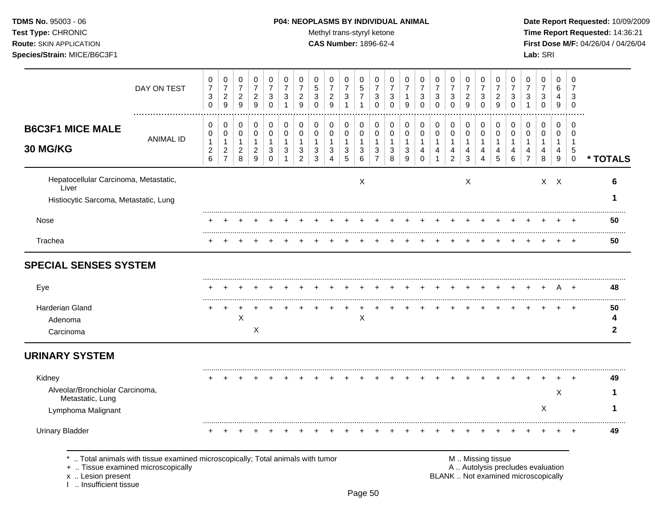TDMS No. 95003 - 06 Test Type: CHRONIC **Route: SKIN APPLICATION** Species/Strain: MICE/B6C3F1

#### P04: NEOPLASMS BY INDIVIDUAL ANIMAL

Methyl trans-styryl ketone

**CAS Number: 1896-62-4** 

Date Report Requested: 10/09/2009 Time Report Requested: 14:36:21 First Dose M/F: 04/26/04 / 04/26/04 Lab: SRI

|                                                                                              | DAY ON TEST                                                                  | 0<br>$\boldsymbol{7}$<br>3<br>0 | 0<br>$\boldsymbol{7}$<br>$\sqrt{2}$<br>$\overline{9}$ | 0<br>$\overline{7}$<br>$\overline{c}$<br>9 | $\pmb{0}$<br>$\overline{7}$<br>$\sqrt{2}$<br>$\boldsymbol{9}$ | 0<br>$\overline{7}$<br>3<br>$\mathbf 0$ | 0<br>$\overline{7}$<br>3<br>$\mathbf{1}$ | 0<br>$\overline{7}$<br>$\sqrt{2}$<br>9 | 0<br>$\sqrt{5}$<br>$\mathbf{3}$<br>$\Omega$ | 0<br>$\overline{7}$<br>$\sqrt{2}$<br>$\mathsf g$ | 0<br>$\overline{7}$<br>$\ensuremath{\mathsf{3}}$<br>$\mathbf{1}$ | 0<br>5<br>$\overline{7}$<br>$\mathbf{1}$ | 0<br>$\overline{7}$<br>3<br>$\Omega$ | 0<br>$\overline{7}$<br>3<br>$\Omega$ | 0<br>$\overline{7}$<br>9       | 0<br>$\overline{7}$<br>3<br>$\mathbf 0$ | 0<br>$\overline{7}$<br>$\ensuremath{\mathsf{3}}$<br>$\mathbf 0$ | 0<br>$\overline{7}$<br>3<br>$\Omega$ | 0<br>$\overline{7}$<br>$\overline{c}$<br>9 | 0<br>$\overline{7}$<br>$\ensuremath{\mathsf{3}}$<br>$\mathbf 0$ | 0<br>$\overline{7}$<br>$\boldsymbol{2}$<br>9 | 0<br>$\overline{7}$<br>3<br>$\mathbf 0$ | 0<br>$\overline{7}$<br>$\sqrt{3}$<br>$\overline{1}$                      | 0<br>$\overline{7}$<br>$\ensuremath{\mathsf{3}}$<br>$\mathbf 0$ | $\Omega$<br>6<br>4<br>9          | $\pmb{0}$<br>$\overline{7}$<br>3<br>$\mathbf 0$ |                   |
|----------------------------------------------------------------------------------------------|------------------------------------------------------------------------------|---------------------------------|-------------------------------------------------------|--------------------------------------------|---------------------------------------------------------------|-----------------------------------------|------------------------------------------|----------------------------------------|---------------------------------------------|--------------------------------------------------|------------------------------------------------------------------|------------------------------------------|--------------------------------------|--------------------------------------|--------------------------------|-----------------------------------------|-----------------------------------------------------------------|--------------------------------------|--------------------------------------------|-----------------------------------------------------------------|----------------------------------------------|-----------------------------------------|--------------------------------------------------------------------------|-----------------------------------------------------------------|----------------------------------|-------------------------------------------------|-------------------|
| <b>B6C3F1 MICE MALE</b><br>30 MG/KG                                                          | <b>ANIMAL ID</b>                                                             | 0<br>0<br>1                     | 0<br>$\mathbf 0$<br>$\mathbf{1}$                      | 0<br>$\pmb{0}$<br>$\mathbf{1}$             | 0<br>$\pmb{0}$<br>$\mathbf{1}$                                | 0<br>$\pmb{0}$<br>1                     | 0<br>0<br>1                              | 0<br>$\mathbf 0$<br>-1                 | 0<br>0<br>1                                 | 0<br>$\mathbf 0$<br>$\mathbf{1}$                 | 0<br>0<br>$\mathbf{1}$                                           | 0<br>$\pmb{0}$<br>1                      | 0<br>$\mathbf 0$<br>$\mathbf{1}$     | 0<br>0<br>$\mathbf{1}$               | 0<br>$\mathbf 0$               | 0<br>0<br>1                             | 0<br>$\pmb{0}$<br>$\mathbf{1}$                                  | 0<br>$\mathbf 0$<br>$\overline{1}$   | 0<br>$\pmb{0}$<br>$\mathbf{1}$             | 0<br>$\mathbf 0$<br>-1                                          | 0<br>$\pmb{0}$<br>1                          | 0<br>0<br>1                             | 0<br>$\mathbf 0$<br>-1                                                   | 0<br>$\mathbf 0$<br>$\mathbf{1}$                                | $\mathbf 0$<br>0<br>$\mathbf{1}$ | $\mathbf 0$<br>0<br>$\mathbf{1}$                |                   |
|                                                                                              |                                                                              | $\overline{\mathbf{c}}$<br>6    | $\overline{c}$<br>$\overline{7}$                      | $\boldsymbol{2}$<br>8                      | $\boldsymbol{2}$<br>$\boldsymbol{9}$                          | 3<br>0                                  | 3                                        | $\mathbf{3}$<br>$\overline{c}$         | 3<br>$\mathbf{3}$                           | $\mathbf{3}$<br>$\overline{4}$                   | $\mathbf{3}$<br>$\overline{5}$                                   | 3<br>6                                   | $\mathbf{3}$<br>$\overline{7}$       | 3<br>8                               | $\sqrt{3}$<br>$\boldsymbol{9}$ | 4<br>$\pmb{0}$                          | $\overline{4}$<br>$\mathbf{1}$                                  | $\overline{4}$<br>$\overline{c}$     | 4<br>$\mathbf{3}$                          | 4<br>$\overline{4}$                                             | 4<br>5                                       | 4<br>$\,6\,$                            | 4<br>$\overline{7}$                                                      | 4<br>8                                                          | 4<br>$9\,$                       | 5<br>$\pmb{0}$                                  | * TOTALS          |
| Hepatocellular Carcinoma, Metastatic,<br>Liver                                               |                                                                              |                                 |                                                       |                                            |                                                               |                                         |                                          |                                        |                                             |                                                  |                                                                  | X                                        |                                      |                                      |                                |                                         |                                                                 |                                      | X                                          |                                                                 |                                              |                                         |                                                                          |                                                                 | $X$ $X$                          |                                                 | 6                 |
| Histiocytic Sarcoma, Metastatic, Lung                                                        |                                                                              |                                 |                                                       |                                            |                                                               |                                         |                                          |                                        |                                             |                                                  |                                                                  |                                          |                                      |                                      |                                |                                         |                                                                 |                                      |                                            |                                                                 |                                              |                                         |                                                                          |                                                                 |                                  |                                                 | 1                 |
| Nose                                                                                         |                                                                              |                                 |                                                       |                                            |                                                               |                                         |                                          |                                        |                                             |                                                  |                                                                  |                                          |                                      |                                      |                                |                                         |                                                                 |                                      |                                            |                                                                 |                                              |                                         |                                                                          |                                                                 |                                  |                                                 | 50                |
| Trachea                                                                                      |                                                                              |                                 |                                                       |                                            |                                                               |                                         |                                          |                                        |                                             |                                                  |                                                                  |                                          |                                      |                                      |                                |                                         |                                                                 |                                      |                                            |                                                                 |                                              |                                         |                                                                          |                                                                 |                                  |                                                 | 50                |
| <b>SPECIAL SENSES SYSTEM</b>                                                                 |                                                                              |                                 |                                                       |                                            |                                                               |                                         |                                          |                                        |                                             |                                                  |                                                                  |                                          |                                      |                                      |                                |                                         |                                                                 |                                      |                                            |                                                                 |                                              |                                         |                                                                          |                                                                 |                                  |                                                 |                   |
| Eye                                                                                          |                                                                              |                                 |                                                       |                                            |                                                               |                                         |                                          |                                        |                                             |                                                  |                                                                  |                                          |                                      |                                      |                                |                                         |                                                                 |                                      |                                            |                                                                 |                                              |                                         |                                                                          |                                                                 |                                  |                                                 | 48                |
| Harderian Gland                                                                              |                                                                              |                                 | ÷                                                     |                                            |                                                               |                                         |                                          |                                        |                                             |                                                  |                                                                  | $\div$                                   |                                      |                                      |                                |                                         |                                                                 |                                      |                                            |                                                                 |                                              |                                         |                                                                          |                                                                 |                                  |                                                 | 50                |
| Adenoma<br>Carcinoma                                                                         |                                                                              |                                 |                                                       | X                                          | X                                                             |                                         |                                          |                                        |                                             |                                                  |                                                                  | X                                        |                                      |                                      |                                |                                         |                                                                 |                                      |                                            |                                                                 |                                              |                                         |                                                                          |                                                                 |                                  |                                                 | 4<br>$\mathbf{2}$ |
| <b>URINARY SYSTEM</b>                                                                        |                                                                              |                                 |                                                       |                                            |                                                               |                                         |                                          |                                        |                                             |                                                  |                                                                  |                                          |                                      |                                      |                                |                                         |                                                                 |                                      |                                            |                                                                 |                                              |                                         |                                                                          |                                                                 |                                  |                                                 |                   |
| Kidney                                                                                       |                                                                              |                                 |                                                       |                                            |                                                               |                                         |                                          |                                        |                                             |                                                  |                                                                  |                                          |                                      |                                      |                                |                                         |                                                                 |                                      |                                            |                                                                 |                                              |                                         |                                                                          |                                                                 |                                  |                                                 | 49                |
| Alveolar/Bronchiolar Carcinoma,<br>Metastatic, Lung                                          |                                                                              |                                 |                                                       |                                            |                                                               |                                         |                                          |                                        |                                             |                                                  |                                                                  |                                          |                                      |                                      |                                |                                         |                                                                 |                                      |                                            |                                                                 |                                              |                                         |                                                                          |                                                                 | $\boldsymbol{\mathsf{X}}$        |                                                 | 1                 |
| Lymphoma Malignant                                                                           |                                                                              |                                 |                                                       |                                            |                                                               |                                         |                                          |                                        |                                             |                                                  |                                                                  |                                          |                                      |                                      |                                |                                         |                                                                 |                                      |                                            |                                                                 |                                              |                                         |                                                                          | X                                                               |                                  |                                                 | 1                 |
| <b>Urinary Bladder</b>                                                                       |                                                                              | $\div$                          |                                                       |                                            |                                                               |                                         |                                          |                                        |                                             |                                                  |                                                                  |                                          |                                      |                                      |                                |                                         |                                                                 |                                      |                                            |                                                                 |                                              |                                         |                                                                          |                                                                 |                                  |                                                 | 49                |
| $\star$<br>+  Tissue examined microscopically<br>x  Lesion present<br>I  Insufficient tissue | Total animals with tissue examined microscopically; Total animals with tumor |                                 |                                                       |                                            |                                                               |                                         |                                          |                                        |                                             |                                                  |                                                                  |                                          |                                      |                                      |                                |                                         |                                                                 |                                      |                                            | M  Missing tissue                                               |                                              |                                         | A  Autolysis precludes evaluation<br>BLANK  Not examined microscopically |                                                                 |                                  |                                                 |                   |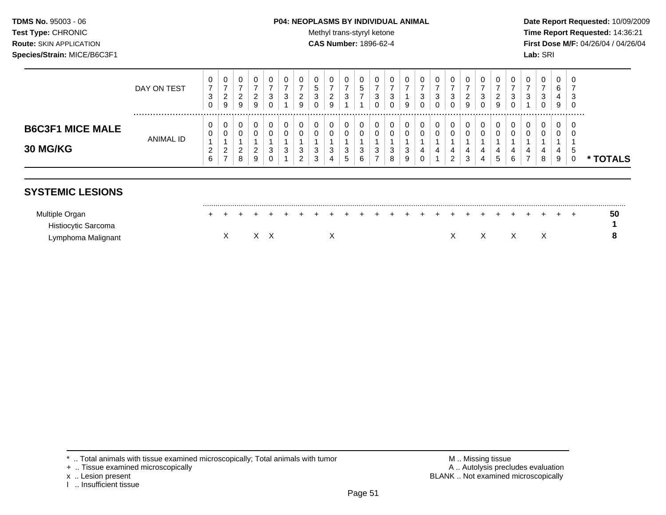## **TDMS No.** 95003 - 06 **P04: NEOPLASMS BY INDIVIDUAL ANIMAL** Date Report Requested: 10/09/2009

Test Type: CHRONIC **Test Type:** CHRONIC **Test Type:** CHRONIC **Time Report Requested:** 14:36:21 **Route:** SKIN APPLICATION **CAS Number:** 1896-62-4 **First Dose M/F:** 04/26/04 / 04/26/04

|                                            | DAY ON TEST | 0<br>ົ<br><u>.</u><br>9      | 0<br>ົ<br><u>_</u><br>9 | ົ<br>∼<br>9  | U<br>3<br>$\mathbf 0$ | ◠<br>J       | 0<br>ົ<br><u>_</u><br>9           | U<br>$\ddot{\phantom{1}}$<br>ັ<br>3<br>υ | $\mathbf{0}$<br>ົ<br>$\sim$<br>9 | ◠<br>ູບ                | ∽<br>w | υ<br>3      | 0<br>ົ<br>ັ<br>0      | <b>Q</b>    | U<br>3<br>0      | 2<br>ت | U<br>3<br>0           | U<br>ົ<br><u>_</u><br>9 | U.<br>3<br>0 | ◠<br><u>_</u><br>9 | З      | Ü<br>3                 | 0<br>ີ<br>ັ<br>0 | v<br>ь<br>9 | -0<br>-3<br>- 0  |               |
|--------------------------------------------|-------------|------------------------------|-------------------------|--------------|-----------------------|--------------|-----------------------------------|------------------------------------------|----------------------------------|------------------------|--------|-------------|-----------------------|-------------|------------------|--------|-----------------------|-------------------------|--------------|--------------------|--------|------------------------|------------------|-------------|------------------|---------------|
| <b>B6C3F1 MICE MALE</b><br><b>30 MG/KG</b> | ANIMAL ID   | 0<br>0<br>ົ<br><u>.</u><br>– | 0<br>0<br>ົ<br>_<br>8   | ົ<br>∼<br>-9 | 0<br>0<br>3<br>C      | <sup>o</sup> | 0<br>0<br>વ<br>J<br>ົ<br><u>.</u> | 0<br>0<br>3<br>3                         | 0<br>3                           | 0<br>3<br>$\mathbf{p}$ | З      | 0<br>0<br>3 | 0<br>0<br>ີ<br>ບ<br>8 | ◡<br>J<br>9 | 0<br>0<br>4<br>0 | v<br>4 | 0<br>0<br>4<br>ົ<br>∠ | U<br>ν<br>4<br>3        | 0            | 0<br>0<br>4<br>.5  | 4<br>6 | $\mathbf{0}$<br>0<br>4 | 0<br>0<br>4<br>8 | ັ<br>Y      | - 0<br>- 0<br>.5 | <b>TOTALS</b> |

## **SYSTEMIC LESIONS**

| Multiple C<br>Organ |  | $\leftarrow$ |  |  |  |  |  |  | + + + + + + + + + + + + + + + + + + |  |  |  | . . |  | 50 |
|---------------------|--|--------------|--|--|--|--|--|--|-------------------------------------|--|--|--|-----|--|----|
| Histiocytic Sarcoma |  |              |  |  |  |  |  |  |                                     |  |  |  |     |  |    |
| Lymphoma Malignant  |  |              |  |  |  |  |  |  |                                     |  |  |  |     |  |    |

- + .. Tissue examined microscopically
- 
- I .. Insufficient tissue

\* .. Total animals with tissue examined microscopically; Total animals with tumor M .. Missing tissue M .. Missing tissue<br>
A .. Autolysis precludes evaluation<br>
M .. Autolysis precludes evaluation x .. Lesion present **BLANK** .. Not examined microscopically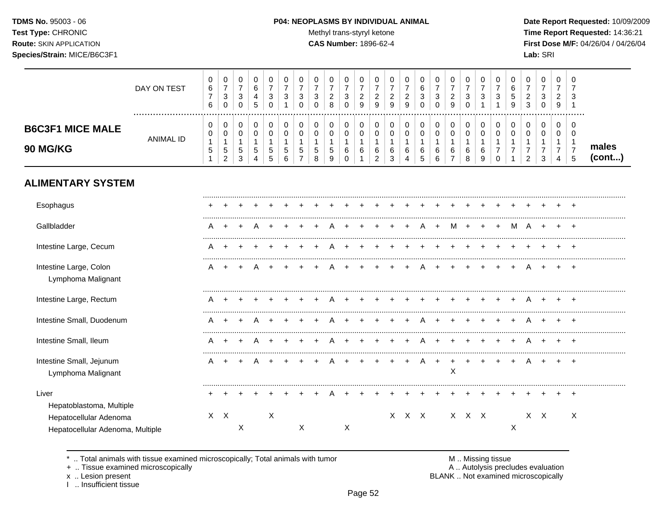TDMS No. 95003 - 06 Test Type: CHRONIC **Route: SKIN APPLICATION** Species/Strain: MICE/B6C3F1

#### P04: NEOPLASMS BY INDIVIDUAL ANIMAL

Methyl trans-styryl ketone

⊤  $\overline{\phantom{a}}$ 

⊤

CAS Number: 1896-62-4

Date Report Requested: 10/09/2009 Time Report Requested: 14:36:21 First Dose M/F: 04/26/04 / 04/26/04 Lab: SRI

 $\overline{\phantom{a}}$ 

|                                                                                        | DAY ON TEST      | $\,0\,$<br>$\,6\,$<br>$\boldsymbol{7}$<br>6 | 0<br>$\boldsymbol{7}$<br>3<br>$\mathbf 0$               | 0<br>$\overline{7}$<br>$\mathbf{3}$<br>$\mathbf 0$            | 0<br>6<br>4<br>5                | 0<br>$\overline{7}$<br>3<br>$\mathbf 0$           | 0<br>$\overline{7}$<br>3<br>1            | 0<br>$\overline{7}$<br>3<br>$\Omega$ | $\pmb{0}$<br>$\overline{7}$<br>3<br>$\mathbf 0$     | 0<br>$\overline{7}$<br>$\overline{c}$<br>8                        | 0<br>$\overline{7}$<br>$\sqrt{3}$<br>$\mathbf 0$     | 0<br>7<br>$\overline{2}$<br>9 | 0<br>$\overline{7}$<br>$\overline{a}$<br>$9\,$              | 0<br>$\overline{7}$<br>$\boldsymbol{2}$<br>9 | $\mathbf 0$<br>$\overline{7}$<br>$\overline{c}$<br>$\overline{9}$ | 0<br>$\,6\,$<br>3<br>$\Omega$                            | 0<br>$\boldsymbol{7}$<br>$\mathbf{3}$<br>$\Omega$ | 0<br>$\overline{7}$<br>$\overline{2}$<br>9                | 0<br>$\overline{7}$<br>3<br>$\Omega$     | 0<br>$\overline{7}$<br>3                                  | 0<br>$\overline{7}$<br>3                               | 0<br>6<br>$\,$ 5 $\,$<br>9       | 0<br>$\overline{7}$<br>$\overline{2}$<br>3                | $\,0\,$<br>$\boldsymbol{7}$<br>$\mathbf{3}$<br>$\pmb{0}$           | $\mathbf 0$<br>$\overline{7}$<br>$\overline{2}$<br>9              | $\Omega$<br>7<br>3<br>-1                                  |                 |
|----------------------------------------------------------------------------------------|------------------|---------------------------------------------|---------------------------------------------------------|---------------------------------------------------------------|---------------------------------|---------------------------------------------------|------------------------------------------|--------------------------------------|-----------------------------------------------------|-------------------------------------------------------------------|------------------------------------------------------|-------------------------------|-------------------------------------------------------------|----------------------------------------------|-------------------------------------------------------------------|----------------------------------------------------------|---------------------------------------------------|-----------------------------------------------------------|------------------------------------------|-----------------------------------------------------------|--------------------------------------------------------|----------------------------------|-----------------------------------------------------------|--------------------------------------------------------------------|-------------------------------------------------------------------|-----------------------------------------------------------|-----------------|
| <b>B6C3F1 MICE MALE</b><br>90 MG/KG                                                    | <b>ANIMAL ID</b> | 0<br>0<br>$\mathbf{1}$<br>$\sqrt{5}$        | 0<br>0<br>$\mathbf{1}$<br>$\,$ 5 $\,$<br>$\overline{c}$ | 0<br>$\mathbf 0$<br>$\mathbf{1}$<br>$\,$ 5 $\,$<br>$\sqrt{3}$ | 0<br>$\mathbf 0$<br>1<br>5<br>4 | 0<br>$\mathbf 0$<br>1<br>$\sqrt{5}$<br>$\sqrt{5}$ | 0<br>$\pmb{0}$<br>$\mathbf{1}$<br>5<br>6 | 0<br>0<br>1<br>5<br>$\overline{7}$   | 0<br>$\mathbf 0$<br>$\mathbf{1}$<br>$\sqrt{5}$<br>8 | 0<br>$\mathsf 0$<br>$\mathbf 1$<br>$\sqrt{5}$<br>$\boldsymbol{9}$ | 0<br>$\mathbf 0$<br>$\mathbf{1}$<br>6<br>$\mathbf 0$ | 0<br>$\mathbf 0$<br>1<br>6    | 0<br>$\mathbf 0$<br>$\mathbf{1}$<br>$\,6$<br>$\overline{2}$ | 0<br>$\pmb{0}$<br>1<br>6<br>$\mathbf{3}$     | $\,0\,$<br>$\pmb{0}$<br>$\mathbf 1$<br>6<br>$\overline{4}$        | 0<br>$\mathsf{O}$<br>$\mathbf{1}$<br>6<br>$\overline{5}$ | 0<br>$\pmb{0}$<br>$\mathbf{1}$<br>6<br>6          | 0<br>$\mathbf 0$<br>$\overline{1}$<br>6<br>$\overline{7}$ | 0<br>$\pmb{0}$<br>$\mathbf{1}$<br>6<br>8 | 0<br>$\mathbf 0$<br>$\mathbf{1}$<br>6<br>$\boldsymbol{9}$ | 0<br>$\mathbf 0$<br>1<br>$\overline{7}$<br>$\mathbf 0$ | 0<br>$\pmb{0}$<br>$\overline{7}$ | 0<br>$\mathsf 0$<br>1<br>$\overline{7}$<br>$\overline{2}$ | 0<br>$\pmb{0}$<br>$\mathbf{1}$<br>$\boldsymbol{7}$<br>$\mathbf{3}$ | $\mathbf 0$<br>$\mathbf 0$<br>$\mathbf{1}$<br>$\overline{7}$<br>4 | 0<br>$\overline{0}$<br>$\mathbf 1$<br>$\overline{7}$<br>5 | males<br>(cont) |
| <b>ALIMENTARY SYSTEM</b>                                                               |                  |                                             |                                                         |                                                               |                                 |                                                   |                                          |                                      |                                                     |                                                                   |                                                      |                               |                                                             |                                              |                                                                   |                                                          |                                                   |                                                           |                                          |                                                           |                                                        |                                  |                                                           |                                                                    |                                                                   |                                                           |                 |
| Esophagus                                                                              |                  |                                             |                                                         |                                                               |                                 |                                                   |                                          |                                      |                                                     |                                                                   |                                                      |                               |                                                             |                                              |                                                                   |                                                          |                                                   |                                                           |                                          |                                                           |                                                        |                                  |                                                           |                                                                    |                                                                   |                                                           |                 |
| Gallbladder                                                                            |                  | А                                           |                                                         |                                                               |                                 |                                                   |                                          |                                      |                                                     |                                                                   |                                                      |                               |                                                             |                                              |                                                                   |                                                          |                                                   | м                                                         |                                          |                                                           |                                                        | м                                | A                                                         |                                                                    |                                                                   |                                                           |                 |
| Intestine Large, Cecum                                                                 |                  |                                             |                                                         |                                                               |                                 |                                                   |                                          |                                      |                                                     |                                                                   |                                                      |                               |                                                             |                                              |                                                                   |                                                          |                                                   |                                                           |                                          |                                                           |                                                        |                                  |                                                           |                                                                    |                                                                   |                                                           |                 |
| Intestine Large, Colon<br>Lymphoma Malignant                                           |                  | A                                           |                                                         |                                                               |                                 |                                                   |                                          |                                      |                                                     |                                                                   |                                                      |                               |                                                             |                                              |                                                                   |                                                          |                                                   |                                                           |                                          |                                                           |                                                        |                                  |                                                           |                                                                    |                                                                   | $+$                                                       |                 |
| Intestine Large, Rectum                                                                |                  |                                             |                                                         |                                                               |                                 |                                                   |                                          |                                      |                                                     |                                                                   |                                                      |                               |                                                             |                                              |                                                                   |                                                          |                                                   |                                                           |                                          |                                                           |                                                        |                                  |                                                           |                                                                    |                                                                   |                                                           |                 |
| Intestine Small, Duodenum                                                              |                  | A                                           |                                                         |                                                               |                                 |                                                   |                                          |                                      |                                                     |                                                                   |                                                      |                               |                                                             |                                              |                                                                   |                                                          |                                                   |                                                           |                                          |                                                           |                                                        |                                  |                                                           |                                                                    |                                                                   | $\pm$                                                     |                 |
| Intestine Small, Ileum                                                                 |                  | A                                           |                                                         |                                                               |                                 |                                                   |                                          |                                      |                                                     |                                                                   |                                                      |                               |                                                             |                                              |                                                                   |                                                          |                                                   |                                                           |                                          |                                                           |                                                        |                                  |                                                           | $\pm$                                                              |                                                                   | $\pm$                                                     |                 |
| Intestine Small, Jejunum<br>Lymphoma Malignant                                         |                  | A                                           | $\div$                                                  |                                                               |                                 |                                                   |                                          |                                      |                                                     |                                                                   |                                                      |                               |                                                             |                                              |                                                                   |                                                          | $\ddot{}$                                         | $\ddot{}$<br>X                                            |                                          |                                                           |                                                        |                                  |                                                           |                                                                    |                                                                   | $\div$                                                    |                 |
| Liver                                                                                  |                  |                                             |                                                         |                                                               |                                 |                                                   |                                          |                                      |                                                     |                                                                   |                                                      |                               |                                                             |                                              |                                                                   |                                                          |                                                   |                                                           |                                          |                                                           |                                                        |                                  |                                                           |                                                                    |                                                                   | $\pm$                                                     |                 |
| Hepatoblastoma, Multiple<br>Hepatocellular Adenoma<br>Hepatocellular Adenoma, Multiple |                  |                                             | $X \times$                                              | X                                                             |                                 | X                                                 |                                          | X                                    |                                                     |                                                                   | Χ                                                    |                               |                                                             |                                              | X X X                                                             |                                                          |                                                   |                                                           | X X X                                    |                                                           |                                                        | X                                |                                                           | $X$ $X$                                                            |                                                                   | X                                                         |                 |

.. Total animals with tissue examined microscopically; Total animals with tumor  $\star$ 

 $\top$  $\overline{\phantom{a}}$ 

+ .. Tissue examined microscopically

x .. Lesion present<br>I .. Insufficient tissue

 $\overline{\phantom{a}}$ 

 $\top$  $\overline{\phantom{a}}$ □  $\overline{\phantom{a}}$ 

M .. Missing tissue<br>A .. Autolysis precludes evaluation BLANK .. Not examined microscopically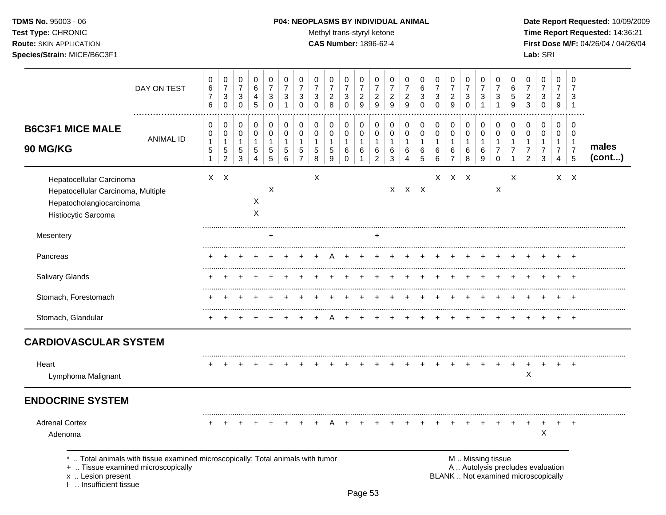## **TDMS No.** 95003 - 06 **P04: NEOPLASMS BY INDIVIDUAL ANIMAL** Date Report Requested: 10/09/2009

Test Type: CHRONIC **Test Type:** CHRONIC **Test Type:** CHRONIC **Time Report Requested:** 14:36:21 **Route:** SKIN APPLICATION **CAS Number:** 1896-62-4 **First Dose M/F:** 04/26/04 / 04/26/04

|                                                                                                                   | DAY ON TEST                                                                  | 0<br>6<br>$\overline{7}$<br>$\,6\,$ | 0<br>$\overline{7}$<br>$\ensuremath{\mathsf{3}}$<br>$\mathbf 0$ | 0<br>$\boldsymbol{7}$<br>$\mathbf{3}$<br>$\mathbf 0$ | 0<br>$\,6$<br>$\overline{4}$<br>$\overline{5}$                   | 0<br>$\overline{7}$<br>$\mathbf{3}$<br>$\mathbf 0$ | 0<br>$\overline{7}$<br>$\mathbf{3}$<br>-1  | 0<br>$\overline{7}$<br>3<br>$\mathbf 0$                 | 0<br>$\overline{7}$<br>3<br>$\mathbf 0$          | 0<br>$\overline{7}$<br>$\sqrt{2}$<br>8             | 0<br>$\boldsymbol{7}$<br>$\mathbf{3}$<br>$\mathbf 0$ | 0<br>$\overline{7}$<br>$\sqrt{2}$<br>$\overline{9}$       | 0<br>$\overline{7}$<br>$\sqrt{2}$<br>9     | 0<br>$\overline{7}$<br>$\overline{c}$<br>$\overline{9}$ | 0<br>$\overline{7}$<br>$\sqrt{2}$<br>9     | 0<br>$\,6\,$<br>$\sqrt{3}$<br>$\mathbf 0$      | 0<br>$\overline{7}$<br>$\mathbf{3}$<br>$\mathbf 0$ | 0<br>$\boldsymbol{7}$<br>$\overline{c}$<br>9                          | 0<br>$\overline{7}$<br>$\ensuremath{\mathsf{3}}$<br>$\mathbf 0$ | 0<br>$\overline{7}$<br>$\mathbf{3}$<br>1 | 0<br>$\overline{7}$<br>$\mathbf{3}$<br>1                          | 0<br>6<br>5<br>9                                        | 0<br>$\overline{7}$<br>$\boldsymbol{2}$<br>3                             | $\pmb{0}$<br>$\boldsymbol{7}$<br>$\mathbf{3}$<br>$\mathbf 0$ | 0<br>$\overline{7}$<br>$\overline{2}$<br>9                | 0<br>7<br>3<br>$\mathbf 1$                     |                 |
|-------------------------------------------------------------------------------------------------------------------|------------------------------------------------------------------------------|-------------------------------------|-----------------------------------------------------------------|------------------------------------------------------|------------------------------------------------------------------|----------------------------------------------------|--------------------------------------------|---------------------------------------------------------|--------------------------------------------------|----------------------------------------------------|------------------------------------------------------|-----------------------------------------------------------|--------------------------------------------|---------------------------------------------------------|--------------------------------------------|------------------------------------------------|----------------------------------------------------|-----------------------------------------------------------------------|-----------------------------------------------------------------|------------------------------------------|-------------------------------------------------------------------|---------------------------------------------------------|--------------------------------------------------------------------------|--------------------------------------------------------------|-----------------------------------------------------------|------------------------------------------------|-----------------|
| <b>B6C3F1 MICE MALE</b><br>90 MG/KG                                                                               | <b>ANIMAL ID</b>                                                             | 0<br>$\mathbf 0$<br>1<br>5<br>1     | 0<br>$\pmb{0}$<br>$\mathbf{1}$<br>$\mathbf 5$<br>$\overline{a}$ | 0<br>$\pmb{0}$<br>$\mathbf{1}$<br>$\,$ 5 $\,$<br>3   | 0<br>$\pmb{0}$<br>$\overline{1}$<br>$\sqrt{5}$<br>$\overline{4}$ | 0<br>$\pmb{0}$<br>$\mathbf{1}$<br>5<br>5           | 0<br>$\mathbf 0$<br>$\mathbf{1}$<br>5<br>6 | 0<br>$\mathbf 0$<br>$\mathbf{1}$<br>5<br>$\overline{7}$ | 0<br>$\pmb{0}$<br>$\mathbf 1$<br>$\sqrt{5}$<br>8 | 0<br>$\pmb{0}$<br>$\mathbf{1}$<br>$\mathbf 5$<br>9 | 0<br>0<br>$\mathbf{1}$<br>6<br>$\Omega$              | 0<br>$\mathbf 0$<br>$\overline{1}$<br>6<br>$\overline{1}$ | 0<br>$\pmb{0}$<br>1<br>6<br>$\overline{2}$ | 0<br>$\mathbf 0$<br>$\mathbf{1}$<br>6<br>3              | 0<br>$\mathbf 0$<br>$\mathbf{1}$<br>6<br>4 | $\,0\,$<br>$\pmb{0}$<br>$\mathbf{1}$<br>6<br>5 | 0<br>0<br>$\mathbf{1}$<br>6<br>6                   | 0<br>$\mathsf{O}\xspace$<br>$\mathbf{1}$<br>$\,6\,$<br>$\overline{7}$ | 0<br>$\pmb{0}$<br>$\overline{1}$<br>6<br>8                      | 0<br>$\pmb{0}$<br>$\mathbf{1}$<br>6<br>9 | 0<br>$\mathbf 0$<br>$\mathbf{1}$<br>$\overline{7}$<br>$\mathbf 0$ | 0<br>$\mathbf 0$<br>$\mathbf{1}$<br>$\overline{7}$<br>1 | 0<br>$\pmb{0}$<br>$\mathbf{1}$<br>$\overline{7}$<br>$\overline{2}$       | 0<br>$\pmb{0}$<br>$\mathbf{1}$<br>$\overline{7}$<br>3        | 0<br>$\mathbf 0$<br>$\mathbf{1}$<br>$\boldsymbol{7}$<br>4 | 0<br>0<br>$\mathbf 1$<br>$\boldsymbol{7}$<br>5 | males<br>(cont) |
| Hepatocellular Carcinoma<br>Hepatocellular Carcinoma, Multiple<br>Hepatocholangiocarcinoma<br>Histiocytic Sarcoma |                                                                              |                                     | $X$ $X$                                                         |                                                      | $\boldsymbol{\mathsf{X}}$<br>X                                   | X                                                  |                                            |                                                         | X                                                |                                                    |                                                      |                                                           |                                            |                                                         | $X$ $X$ $X$                                |                                                |                                                    | $X$ $X$ $X$                                                           |                                                                 |                                          | $\boldsymbol{\mathsf{X}}$                                         | X                                                       |                                                                          |                                                              |                                                           | $X$ $X$                                        |                 |
| Mesentery                                                                                                         |                                                                              |                                     |                                                                 |                                                      |                                                                  | +                                                  |                                            |                                                         |                                                  |                                                    |                                                      |                                                           | $\ddot{}$                                  |                                                         |                                            |                                                |                                                    |                                                                       |                                                                 |                                          |                                                                   |                                                         |                                                                          |                                                              |                                                           |                                                |                 |
| Pancreas                                                                                                          |                                                                              |                                     |                                                                 |                                                      |                                                                  |                                                    |                                            |                                                         |                                                  |                                                    |                                                      |                                                           |                                            |                                                         |                                            |                                                |                                                    |                                                                       |                                                                 |                                          |                                                                   |                                                         |                                                                          |                                                              |                                                           |                                                |                 |
| Salivary Glands                                                                                                   |                                                                              |                                     |                                                                 |                                                      |                                                                  |                                                    |                                            |                                                         |                                                  |                                                    |                                                      |                                                           |                                            |                                                         |                                            |                                                |                                                    |                                                                       |                                                                 |                                          |                                                                   |                                                         |                                                                          |                                                              |                                                           |                                                |                 |
| Stomach, Forestomach                                                                                              |                                                                              |                                     |                                                                 |                                                      |                                                                  |                                                    |                                            |                                                         |                                                  |                                                    |                                                      |                                                           |                                            |                                                         |                                            |                                                |                                                    |                                                                       |                                                                 |                                          |                                                                   |                                                         |                                                                          |                                                              |                                                           |                                                |                 |
| Stomach, Glandular                                                                                                |                                                                              |                                     |                                                                 |                                                      |                                                                  |                                                    |                                            |                                                         |                                                  |                                                    |                                                      |                                                           |                                            |                                                         |                                            |                                                |                                                    |                                                                       |                                                                 |                                          |                                                                   |                                                         |                                                                          |                                                              |                                                           |                                                |                 |
| <b>CARDIOVASCULAR SYSTEM</b>                                                                                      |                                                                              |                                     |                                                                 |                                                      |                                                                  |                                                    |                                            |                                                         |                                                  |                                                    |                                                      |                                                           |                                            |                                                         |                                            |                                                |                                                    |                                                                       |                                                                 |                                          |                                                                   |                                                         |                                                                          |                                                              |                                                           |                                                |                 |
| Heart<br>Lymphoma Malignant                                                                                       |                                                                              |                                     |                                                                 |                                                      |                                                                  |                                                    |                                            |                                                         |                                                  |                                                    |                                                      |                                                           |                                            |                                                         |                                            |                                                |                                                    |                                                                       |                                                                 |                                          |                                                                   |                                                         | $\ddot{}$<br>X                                                           | $\ddot{}$                                                    | $+$                                                       |                                                |                 |
| <b>ENDOCRINE SYSTEM</b>                                                                                           |                                                                              |                                     |                                                                 |                                                      |                                                                  |                                                    |                                            |                                                         |                                                  |                                                    |                                                      |                                                           |                                            |                                                         |                                            |                                                |                                                    |                                                                       |                                                                 |                                          |                                                                   |                                                         |                                                                          |                                                              |                                                           |                                                |                 |
| <b>Adrenal Cortex</b><br>Adenoma                                                                                  |                                                                              |                                     |                                                                 |                                                      |                                                                  |                                                    |                                            |                                                         |                                                  |                                                    |                                                      |                                                           |                                            |                                                         |                                            |                                                |                                                    |                                                                       |                                                                 |                                          |                                                                   |                                                         | $\div$                                                                   | $\ddot{}$<br>X                                               |                                                           | $\pm$                                          |                 |
| +  Tissue examined microscopically<br>x  Lesion present<br>1  Insufficient tissue                                 | Total animals with tissue examined microscopically; Total animals with tumor |                                     |                                                                 |                                                      |                                                                  |                                                    |                                            |                                                         |                                                  |                                                    |                                                      |                                                           |                                            |                                                         |                                            |                                                |                                                    |                                                                       |                                                                 |                                          | M  Missing tissue                                                 |                                                         | A  Autolysis precludes evaluation<br>BLANK  Not examined microscopically |                                                              |                                                           |                                                |                 |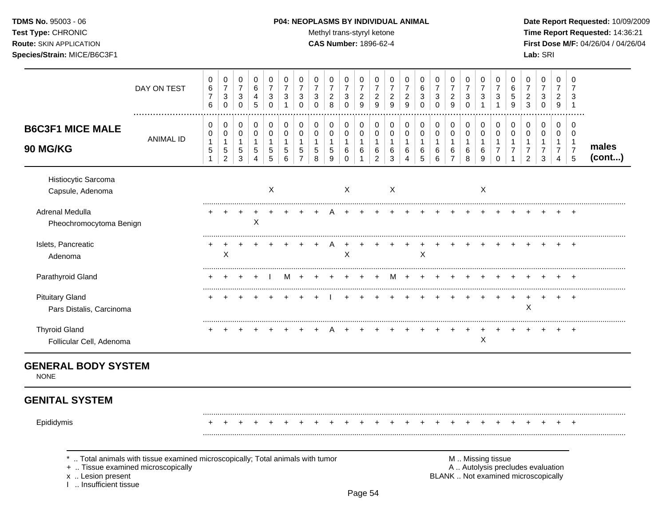TDMS No. 95003 - 06 Test Type: CHRONIC **Route: SKIN APPLICATION** Species/Strain: MICE/B6C3F1

#### P04: NEOPLASMS BY INDIVIDUAL ANIMAL

Methyl trans-styryl ketone

CAS Number: 1896-62-4

Date Report Requested: 10/09/2009 Time Report Requested: 14:36:21 First Dose M/F: 04/26/04 / 04/26/04 Lab: SRI

|                                                    | DAY ON TEST                                                                                                        | 0<br>6<br>$\overline{7}$<br>6    | 0<br>$\boldsymbol{7}$<br>$\sqrt{3}$<br>$\pmb{0}$       | 0<br>$\overline{7}$<br>3<br>$\mathbf 0$      | 0<br>6<br>4<br>5                                     | 0<br>$\overline{7}$<br>3<br>$\mathbf 0$                      | 0<br>$\overline{7}$<br>3<br>$\mathbf{1}$ | 0<br>$\overline{7}$<br>3<br>$\mathbf 0$ | 0<br>$\overline{7}$<br>3<br>$\mathbf 0$   | 0<br>$\overline{7}$<br>$\boldsymbol{2}$<br>$\,8\,$ | 0<br>$\boldsymbol{7}$<br>3<br>$\mathbf 0$                   | 0<br>$\boldsymbol{7}$<br>$\boldsymbol{2}$<br>$\boldsymbol{9}$   | 0<br>$\overline{7}$<br>$\overline{c}$<br>9                          | 0<br>$\overline{7}$<br>$\overline{c}$<br>$\boldsymbol{9}$ | 0<br>$\overline{7}$<br>$\overline{c}$<br>9           | 0<br>$\,6$<br>$\ensuremath{\mathsf{3}}$<br>$\mathbf 0$ | 0<br>$\overline{7}$<br>3<br>$\mathbf 0$ | 0<br>$\boldsymbol{7}$<br>$\sqrt{2}$<br>$\boldsymbol{9}$           | 0<br>$\overline{7}$<br>$\ensuremath{\mathsf{3}}$<br>$\mathbf 0$ | 0<br>$\overline{7}$<br>3<br>1                          | 0<br>$\overline{7}$<br>3<br>1                     | 0<br>6<br>5<br>9                   | 0<br>$\overline{7}$<br>$\overline{c}$<br>$\mathbf{3}$                    | 0<br>$\overline{7}$<br>3<br>$\mathsf 0$       | 0<br>$\overline{7}$<br>$\overline{c}$<br>9                                  | 0<br>7<br>3<br>$\overline{1}$                                  |                 |
|----------------------------------------------------|--------------------------------------------------------------------------------------------------------------------|----------------------------------|--------------------------------------------------------|----------------------------------------------|------------------------------------------------------|--------------------------------------------------------------|------------------------------------------|-----------------------------------------|-------------------------------------------|----------------------------------------------------|-------------------------------------------------------------|-----------------------------------------------------------------|---------------------------------------------------------------------|-----------------------------------------------------------|------------------------------------------------------|--------------------------------------------------------|-----------------------------------------|-------------------------------------------------------------------|-----------------------------------------------------------------|--------------------------------------------------------|---------------------------------------------------|------------------------------------|--------------------------------------------------------------------------|-----------------------------------------------|-----------------------------------------------------------------------------|----------------------------------------------------------------|-----------------|
| <b>B6C3F1 MICE MALE</b><br>90 MG/KG                | <b>ANIMAL ID</b>                                                                                                   | 0<br>0<br>1<br>5<br>$\mathbf{1}$ | 0<br>0<br>$\mathbf{1}$<br>$\sqrt{5}$<br>$\overline{2}$ | 0<br>$\mathbf 0$<br>$\overline{1}$<br>5<br>3 | $\mathbf 0$<br>$\mathbf 0$<br>$\mathbf{1}$<br>5<br>4 | $\mathbf 0$<br>$\mathbf 0$<br>$\mathbf 1$<br>$\sqrt{5}$<br>5 | 0<br>$\mathbf 0$<br>1<br>5<br>6          | 0<br>$\mathbf 0$<br>5<br>$\overline{7}$ | 0<br>$\mathbf 0$<br>1<br>$\mathbf 5$<br>8 | 0<br>0<br>$\mathbf{1}$<br>$\sqrt{5}$<br>9          | $\mathbf 0$<br>$\mathbf 0$<br>$\mathbf{1}$<br>6<br>$\Omega$ | $\mathbf 0$<br>$\mathbf 0$<br>$\mathbf{1}$<br>6<br>$\mathbf{1}$ | $\mathbf 0$<br>$\mathbf 0$<br>$\overline{1}$<br>6<br>$\overline{2}$ | 0<br>$\mathbf 0$<br>1<br>6<br>3                           | 0<br>$\mathbf 0$<br>1<br>6<br>$\boldsymbol{\Lambda}$ | 0<br>$\pmb{0}$<br>$\mathbf{1}$<br>6<br>5               | 0<br>0<br>$\mathbf{1}$<br>6<br>6        | $\mathbf 0$<br>$\mathbf 0$<br>$\mathbf{1}$<br>6<br>$\overline{7}$ | $\mathbf 0$<br>$\pmb{0}$<br>$\mathbf{1}$<br>6<br>8              | $\mathbf 0$<br>$\mathbf 0$<br>$\overline{1}$<br>6<br>9 | 0<br>$\mathbf 0$<br>$\mathbf{1}$<br>7<br>$\Omega$ | 0<br>$\mathbf 0$<br>$\overline{7}$ | 0<br>$\mathbf 0$<br>$\mathbf{1}$<br>$\overline{7}$<br>2                  | 0<br>0<br>$\mathbf{1}$<br>$\overline{7}$<br>3 | $\Omega$<br>$\mathbf 0$<br>$\mathbf{1}$<br>$\overline{7}$<br>$\overline{4}$ | $\Omega$<br>$\mathbf 0$<br>$\mathbf{1}$<br>$\overline{7}$<br>5 | males<br>(cont) |
| Histiocytic Sarcoma<br>Capsule, Adenoma            |                                                                                                                    |                                  |                                                        |                                              |                                                      | $\boldsymbol{\mathsf{X}}$                                    |                                          |                                         |                                           |                                                    | $\mathsf{X}$                                                |                                                                 |                                                                     | $\boldsymbol{\mathsf{X}}$                                 |                                                      |                                                        |                                         |                                                                   |                                                                 | X                                                      |                                                   |                                    |                                                                          |                                               |                                                                             |                                                                |                 |
| Adrenal Medulla<br>Pheochromocytoma Benign         |                                                                                                                    |                                  |                                                        |                                              | X                                                    |                                                              |                                          |                                         |                                           |                                                    |                                                             |                                                                 |                                                                     |                                                           |                                                      |                                                        |                                         |                                                                   |                                                                 |                                                        |                                                   |                                    |                                                                          |                                               |                                                                             |                                                                |                 |
| Islets, Pancreatic<br>Adenoma                      |                                                                                                                    | +                                | $\ddot{}$<br>X                                         | $\ddot{}$                                    | $\ddot{}$                                            |                                                              |                                          |                                         | +                                         | A                                                  | X                                                           | ÷                                                               |                                                                     |                                                           |                                                      | $\ddot{}$<br>X                                         | $\div$                                  |                                                                   | +                                                               |                                                        |                                                   |                                    | $\div$                                                                   | ÷                                             | $\div$                                                                      | $\pm$                                                          |                 |
| Parathyroid Gland                                  |                                                                                                                    |                                  |                                                        |                                              |                                                      |                                                              | м                                        |                                         |                                           |                                                    |                                                             |                                                                 |                                                                     |                                                           |                                                      |                                                        |                                         |                                                                   |                                                                 |                                                        |                                                   |                                    |                                                                          |                                               |                                                                             |                                                                |                 |
| <b>Pituitary Gland</b><br>Pars Distalis, Carcinoma |                                                                                                                    |                                  |                                                        |                                              |                                                      |                                                              |                                          |                                         |                                           |                                                    |                                                             |                                                                 |                                                                     |                                                           |                                                      |                                                        |                                         |                                                                   |                                                                 |                                                        |                                                   |                                    | X                                                                        |                                               |                                                                             |                                                                |                 |
| <b>Thyroid Gland</b><br>Follicular Cell, Adenoma   |                                                                                                                    |                                  |                                                        |                                              |                                                      |                                                              |                                          |                                         |                                           |                                                    |                                                             |                                                                 |                                                                     |                                                           |                                                      |                                                        |                                         |                                                                   |                                                                 | X                                                      |                                                   |                                    |                                                                          |                                               |                                                                             | <b>+</b>                                                       |                 |
| <b>GENERAL BODY SYSTEM</b><br><b>NONE</b>          |                                                                                                                    |                                  |                                                        |                                              |                                                      |                                                              |                                          |                                         |                                           |                                                    |                                                             |                                                                 |                                                                     |                                                           |                                                      |                                                        |                                         |                                                                   |                                                                 |                                                        |                                                   |                                    |                                                                          |                                               |                                                                             |                                                                |                 |
| <b>GENITAL SYSTEM</b>                              |                                                                                                                    |                                  |                                                        |                                              |                                                      |                                                              |                                          |                                         |                                           |                                                    |                                                             |                                                                 |                                                                     |                                                           |                                                      |                                                        |                                         |                                                                   |                                                                 |                                                        |                                                   |                                    |                                                                          |                                               |                                                                             |                                                                |                 |
| Epididymis                                         |                                                                                                                    |                                  |                                                        |                                              |                                                      |                                                              |                                          |                                         |                                           |                                                    |                                                             |                                                                 |                                                                     |                                                           |                                                      |                                                        |                                         |                                                                   |                                                                 |                                                        |                                                   |                                    |                                                                          |                                               |                                                                             |                                                                |                 |
| x  Lesion present<br>Insufficient tissue           | Total animals with tissue examined microscopically; Total animals with tumor<br>+  Tissue examined microscopically |                                  |                                                        |                                              |                                                      |                                                              |                                          |                                         |                                           |                                                    |                                                             |                                                                 |                                                                     |                                                           |                                                      |                                                        |                                         |                                                                   |                                                                 |                                                        | M  Missing tissue                                 |                                    | A  Autolysis precludes evaluation<br>BLANK  Not examined microscopically |                                               |                                                                             |                                                                |                 |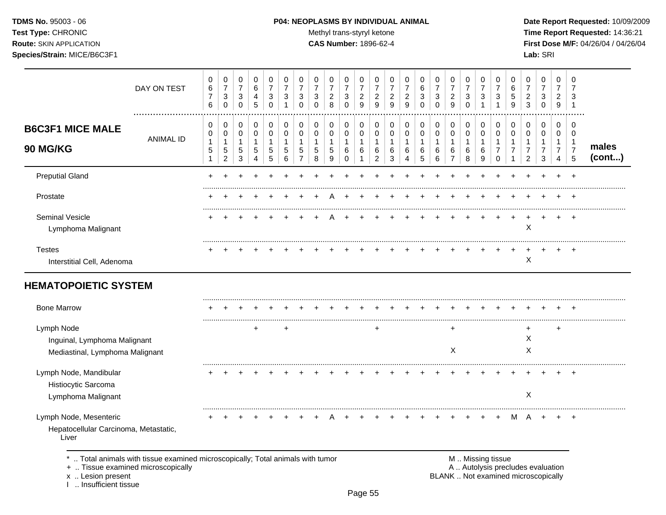## **TDMS No.** 95003 - 06 **P04: NEOPLASMS BY INDIVIDUAL ANIMAL** Date Report Requested: 10/09/2009

Test Type: CHRONIC **Test Type:** CHRONIC **Test Type:** CHRONIC **Time Report Requested:** 14:36:21 **Route:** SKIN APPLICATION **CAS Number:** 1896-62-4 **First Dose M/F:** 04/26/04 / 04/26/04

|                                                                                 | DAY ON TEST      | 0<br>$\,6\,$<br>$\overline{7}$<br>6                        | 0<br>$\overline{7}$<br>$\sqrt{3}$<br>$\mathbf 0$              | 0<br>$\boldsymbol{7}$<br>3<br>$\Omega$       | 0<br>$\,6$<br>4<br>5                                    | 0<br>$\overline{7}$<br>3<br>$\mathbf 0$ | 0<br>$\overline{7}$<br>3<br>$\overline{1}$ | 0<br>$\overline{7}$<br>3<br>$\Omega$                    | 0<br>$\overline{7}$<br>3<br>$\Omega$                | 0<br>$\overline{7}$<br>$\overline{2}$<br>8             | 0<br>$\overline{7}$<br>3<br>$\Omega$              | 0<br>$\overline{7}$<br>$\overline{2}$<br>9 | 0<br>$\overline{7}$<br>$\overline{c}$<br>9    | 0<br>$\overline{7}$<br>$\overline{\mathbf{c}}$<br>9 | 0<br>$\overline{7}$<br>$\overline{c}$<br>9 | 0<br>$\,6\,$<br>3<br>$\Omega$ | 0<br>$\overline{7}$<br>3<br>$\mathbf 0$        | 0<br>$\overline{7}$<br>$\overline{a}$<br>9            | 0<br>$\overline{7}$<br>$\ensuremath{\mathsf{3}}$<br>$\mathbf 0$ | 0<br>$\overline{7}$<br>3<br>$\mathbf{1}$ | 0<br>$\overline{7}$<br>3<br>$\overline{1}$   | 0<br>$\,6$<br>5<br>9                    | 0<br>$\overline{7}$<br>$\overline{a}$<br>3 | 0<br>$\boldsymbol{7}$<br>$\ensuremath{\mathsf{3}}$<br>$\mathsf 0$    | 0<br>$\overline{7}$<br>$\overline{a}$<br>9    | $\mathbf 0$<br>$\overline{7}$<br>3<br>$\mathbf 1$      |                 |
|---------------------------------------------------------------------------------|------------------|------------------------------------------------------------|---------------------------------------------------------------|----------------------------------------------|---------------------------------------------------------|-----------------------------------------|--------------------------------------------|---------------------------------------------------------|-----------------------------------------------------|--------------------------------------------------------|---------------------------------------------------|--------------------------------------------|-----------------------------------------------|-----------------------------------------------------|--------------------------------------------|-------------------------------|------------------------------------------------|-------------------------------------------------------|-----------------------------------------------------------------|------------------------------------------|----------------------------------------------|-----------------------------------------|--------------------------------------------|----------------------------------------------------------------------|-----------------------------------------------|--------------------------------------------------------|-----------------|
| <b>B6C3F1 MICE MALE</b><br><b>90 MG/KG</b>                                      | <b>ANIMAL ID</b> | 0<br>$\,0\,$<br>$\mathbf{1}$<br>$\sqrt{5}$<br>$\mathbf{1}$ | 0<br>$\mathbf 0$<br>$\mathbf{1}$<br>$\,$ 5 $\,$<br>$\sqrt{2}$ | 0<br>$\mathbf 0$<br>$\overline{1}$<br>5<br>3 | 0<br>$\mathbf 0$<br>$\mathbf{1}$<br>$\overline{5}$<br>4 | 0<br>$\mathbf 0$<br>1<br>5<br>5         | 0<br>$\pmb{0}$<br>$\mathbf 1$<br>5<br>6    | 0<br>$\mathbf 0$<br>$\mathbf{1}$<br>5<br>$\overline{7}$ | 0<br>$\mathbf 0$<br>$\mathbf{1}$<br>$\sqrt{5}$<br>8 | 0<br>$\mathbf 0$<br>$\overline{1}$<br>$\,$ 5 $\,$<br>9 | 0<br>$\mathbf 0$<br>$\mathbf{1}$<br>6<br>$\Omega$ | 0<br>$\pmb{0}$<br>$\mathbf{1}$<br>$\,6\,$  | 0<br>0<br>$\mathbf{1}$<br>6<br>$\overline{c}$ | 0<br>0<br>$\mathbf{1}$<br>6<br>3                    | 0<br>$\mathbf 0$<br>$\mathbf{1}$<br>6<br>4 | 0<br>0<br>1<br>6<br>5         | 0<br>$\pmb{0}$<br>$\mathbf{1}$<br>$\,6\,$<br>6 | 0<br>$\pmb{0}$<br>$\mathbf{1}$<br>6<br>$\overline{7}$ | 0<br>$\pmb{0}$<br>1<br>6<br>8                                   | 0<br>$\pmb{0}$<br>$\mathbf{1}$<br>6<br>9 | 0<br>$\mathbf 0$<br>1<br>$\overline{7}$<br>0 | 0<br>$\mathbf 0$<br>1<br>$\overline{7}$ | 0<br>0<br>1<br>$\overline{7}$<br>2         | $\pmb{0}$<br>$\boldsymbol{0}$<br>$\mathbf{1}$<br>$\overline{7}$<br>3 | 0<br>0<br>$\mathbf{1}$<br>$\overline{7}$<br>4 | 0<br>$\mathbf 0$<br>$\mathbf 1$<br>$\overline{7}$<br>5 | males<br>(cont) |
| <b>Preputial Gland</b>                                                          |                  | $\div$                                                     |                                                               |                                              |                                                         |                                         |                                            |                                                         |                                                     |                                                        |                                                   |                                            |                                               |                                                     |                                            |                               |                                                |                                                       |                                                                 |                                          |                                              |                                         |                                            |                                                                      |                                               | $\ddot{}$                                              |                 |
| Prostate                                                                        |                  |                                                            |                                                               |                                              |                                                         |                                         |                                            |                                                         |                                                     |                                                        |                                                   |                                            |                                               |                                                     |                                            |                               |                                                |                                                       |                                                                 |                                          |                                              |                                         |                                            |                                                                      |                                               | $\ddot{}$                                              |                 |
| <b>Seminal Vesicle</b><br>Lymphoma Malignant                                    |                  |                                                            |                                                               |                                              |                                                         |                                         |                                            |                                                         |                                                     |                                                        |                                                   |                                            |                                               |                                                     |                                            |                               |                                                |                                                       |                                                                 |                                          |                                              |                                         | X                                          |                                                                      |                                               | $\ddot{}$                                              |                 |
| <b>Testes</b><br>Interstitial Cell, Adenoma                                     |                  |                                                            |                                                               |                                              |                                                         |                                         |                                            |                                                         |                                                     |                                                        |                                                   |                                            |                                               |                                                     |                                            |                               |                                                |                                                       |                                                                 |                                          |                                              |                                         | X                                          |                                                                      |                                               | $\ddot{}$                                              |                 |
| <b>HEMATOPOIETIC SYSTEM</b>                                                     |                  |                                                            |                                                               |                                              |                                                         |                                         |                                            |                                                         |                                                     |                                                        |                                                   |                                            |                                               |                                                     |                                            |                               |                                                |                                                       |                                                                 |                                          |                                              |                                         |                                            |                                                                      |                                               |                                                        |                 |
| <b>Bone Marrow</b>                                                              |                  |                                                            |                                                               |                                              |                                                         |                                         |                                            |                                                         |                                                     |                                                        |                                                   |                                            |                                               |                                                     |                                            |                               |                                                |                                                       |                                                                 |                                          |                                              |                                         |                                            |                                                                      |                                               | $\ddot{}$                                              |                 |
| Lymph Node<br>Inguinal, Lymphoma Malignant<br>Mediastinal, Lymphoma Malignant   |                  |                                                            |                                                               |                                              |                                                         |                                         | +                                          |                                                         |                                                     |                                                        |                                                   |                                            | +                                             |                                                     |                                            |                               |                                                | X                                                     |                                                                 |                                          |                                              |                                         | +<br>X<br>X                                |                                                                      | $\ddot{}$                                     |                                                        |                 |
| Lymph Node, Mandibular<br>Histiocytic Sarcoma<br>Lymphoma Malignant             |                  |                                                            |                                                               |                                              |                                                         |                                         |                                            |                                                         |                                                     |                                                        |                                                   |                                            |                                               |                                                     |                                            |                               |                                                |                                                       |                                                                 |                                          |                                              |                                         | X                                          |                                                                      |                                               |                                                        |                 |
| Lymph Node, Mesenteric<br>Hepatocellular Carcinoma, Metastatic,<br>Liver        |                  |                                                            |                                                               |                                              |                                                         |                                         |                                            |                                                         |                                                     |                                                        |                                                   |                                            |                                               |                                                     |                                            |                               |                                                |                                                       |                                                                 |                                          |                                              |                                         |                                            |                                                                      |                                               | $\ddot{}$                                              |                 |
| *  Total animals with tissue examined microscopically; Total animals with tumor |                  |                                                            |                                                               |                                              |                                                         |                                         |                                            |                                                         |                                                     |                                                        |                                                   |                                            |                                               |                                                     |                                            |                               |                                                |                                                       |                                                                 |                                          | M  Missing tissue                            |                                         |                                            |                                                                      |                                               |                                                        |                 |

x .. Lesion present<br>I .. Insufficient tissue

+ .. Tissue examined microscopically and the state of the state of the state of the A .. Autolysis precludes evaluation BLANK .. Not examined microscopically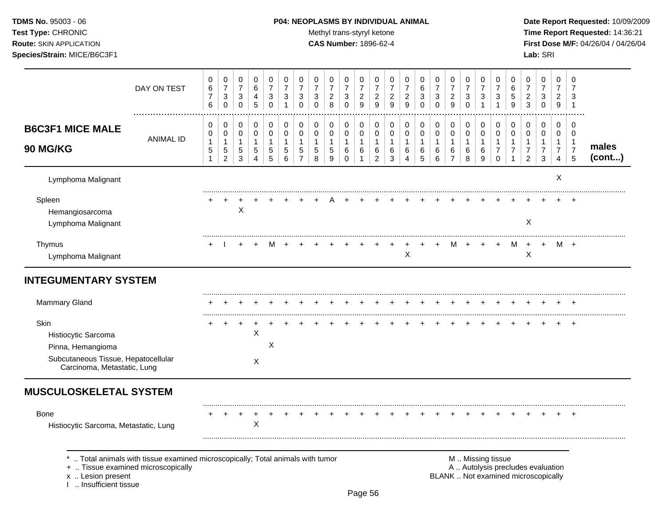## **TDMS No.** 95003 - 06 **P04: NEOPLASMS BY INDIVIDUAL ANIMAL** Date Report Requested: 10/09/2009

Test Type: CHRONIC **Test Type:** CHRONIC **Test Type:** CHRONIC **Time Report Requested:** 14:36:21 **Route:** SKIN APPLICATION **CAS Number:** 1896-62-4 **First Dose M/F:** 04/26/04 / 04/26/04

|                                                                                                                        | DAY ON TEST                                                                                                        | 0<br>$\,6\,$<br>$\overline{7}$<br>6  | 0<br>$\overline{7}$<br>3<br>$\mathbf 0$                          | 0<br>$\overline{7}$<br>3<br>0             | $\Omega$<br>6<br>$\overline{4}$<br>5                   | 0<br>$\overline{7}$<br>3<br>$\mathbf 0$  | 0<br>$\overline{7}$<br>3<br>1                        | 0<br>$\overline{7}$<br>3<br>$\Omega$                            | 0<br>$\overline{7}$<br>$\sqrt{3}$<br>$\Omega$        | $\mathbf 0$<br>$\overline{7}$<br>$\overline{2}$<br>8         | 0<br>$\overline{7}$<br>3<br>$\mathbf 0$                     | 0<br>$\overline{7}$<br>$\overline{c}$<br>9                    | 0<br>$\overline{7}$<br>$\sqrt{2}$<br>9                | 0<br>$\overline{7}$<br>$\overline{c}$<br>9           | $\mathbf 0$<br>$\overline{7}$<br>$\boldsymbol{2}$<br>9 | 0<br>$6\phantom{1}6$<br>3<br>$\mathbf 0$ | 0<br>$\overline{7}$<br>3<br>$\Omega$       | $\mathbf 0$<br>$\overline{7}$<br>$\overline{c}$<br>9                | 0<br>$\overline{7}$<br>3<br>$\Omega$     | 0<br>$\overline{7}$<br>3<br>1              | 0<br>$\overline{7}$<br>3                                                 | 0<br>$\,6$<br>$\overline{5}$<br>9                                    | 0<br>$\overline{7}$<br>$\overline{c}$<br>$\mathbf{3}$                  | $\mathbf 0$<br>$\overline{7}$<br>3<br>$\mathbf 0$                        | $\mathbf 0$<br>$\overline{7}$<br>$\overline{c}$<br>$\boldsymbol{9}$ | $\mathbf 0$<br>$\overline{7}$<br>3<br>$\mathbf{1}$                |                 |
|------------------------------------------------------------------------------------------------------------------------|--------------------------------------------------------------------------------------------------------------------|--------------------------------------|------------------------------------------------------------------|-------------------------------------------|--------------------------------------------------------|------------------------------------------|------------------------------------------------------|-----------------------------------------------------------------|------------------------------------------------------|--------------------------------------------------------------|-------------------------------------------------------------|---------------------------------------------------------------|-------------------------------------------------------|------------------------------------------------------|--------------------------------------------------------|------------------------------------------|--------------------------------------------|---------------------------------------------------------------------|------------------------------------------|--------------------------------------------|--------------------------------------------------------------------------|----------------------------------------------------------------------|------------------------------------------------------------------------|--------------------------------------------------------------------------|---------------------------------------------------------------------|-------------------------------------------------------------------|-----------------|
| <b>B6C3F1 MICE MALE</b><br>90 MG/KG                                                                                    | <b>ANIMAL ID</b>                                                                                                   | $\mathbf 0$<br>$\mathbf 0$<br>1<br>5 | 0<br>$\mathsf 0$<br>$\mathbf{1}$<br>$\sqrt{5}$<br>$\overline{2}$ | 0<br>0<br>$\mathbf{1}$<br>$\sqrt{5}$<br>3 | $\mathbf 0$<br>$\mathbf 0$<br>$\overline{1}$<br>5<br>4 | 0<br>$\pmb{0}$<br>$\mathbf{1}$<br>5<br>5 | $\mathbf 0$<br>$\mathbf 0$<br>$\mathbf{1}$<br>5<br>6 | $\pmb{0}$<br>$\mathbf 0$<br>$\mathbf{1}$<br>5<br>$\overline{7}$ | 0<br>$\mathbf 0$<br>$\mathbf{1}$<br>$\,$ 5 $\,$<br>8 | $\mathbf 0$<br>$\mathbf 0$<br>$\mathbf 1$<br>$\sqrt{5}$<br>9 | $\mathbf 0$<br>$\mathbf 0$<br>$\mathbf{1}$<br>6<br>$\Omega$ | $\mathbf 0$<br>$\pmb{0}$<br>$\mathbf{1}$<br>6<br>$\mathbf{1}$ | 0<br>$\pmb{0}$<br>$\mathbf{1}$<br>6<br>$\overline{2}$ | $\mathbf 0$<br>$\mathbf 0$<br>$\mathbf{1}$<br>6<br>3 | $\mathbf 0$<br>$\mathbf 0$<br>$\mathbf{1}$<br>6<br>4   | 0<br>$\mathbf 0$<br>1<br>6<br>5          | 0<br>$\mathsf 0$<br>$\mathbf{1}$<br>6<br>6 | $\mathbf 0$<br>$\mathbf 0$<br>$\overline{1}$<br>6<br>$\overline{7}$ | 0<br>$\pmb{0}$<br>$\mathbf{1}$<br>6<br>8 | 0<br>$\mathbf 0$<br>$\mathbf{1}$<br>6<br>9 | $\mathbf 0$<br>$\mathbf 0$<br>$\mathbf{1}$<br>$\overline{7}$<br>$\Omega$ | 0<br>$\mathbf 0$<br>$\mathbf{1}$<br>$\overline{7}$<br>$\overline{1}$ | 0<br>$\mathbf 0$<br>$\overline{1}$<br>$\overline{7}$<br>$\overline{2}$ | $\mathbf 0$<br>$\mathbf 0$<br>$\overline{1}$<br>$\overline{7}$<br>3      | $\mathbf 0$<br>$\mathbf 0$<br>1<br>$\overline{7}$<br>4              | $\mathbf 0$<br>$\mathbf 0$<br>$\mathbf{1}$<br>$\overline{7}$<br>5 | males<br>(cont) |
| Lymphoma Malignant                                                                                                     |                                                                                                                    |                                      |                                                                  |                                           |                                                        |                                          |                                                      |                                                                 |                                                      |                                                              |                                                             |                                                               |                                                       |                                                      |                                                        |                                          |                                            |                                                                     |                                          |                                            |                                                                          |                                                                      |                                                                        |                                                                          | X                                                                   |                                                                   |                 |
| Spleen<br>Hemangiosarcoma<br>Lymphoma Malignant                                                                        |                                                                                                                    |                                      |                                                                  | X                                         |                                                        |                                          |                                                      |                                                                 |                                                      |                                                              |                                                             |                                                               |                                                       |                                                      |                                                        |                                          |                                            |                                                                     |                                          |                                            |                                                                          |                                                                      | X                                                                      |                                                                          |                                                                     |                                                                   |                 |
| Thymus<br>Lymphoma Malignant                                                                                           |                                                                                                                    |                                      |                                                                  |                                           |                                                        | м                                        |                                                      |                                                                 |                                                      |                                                              |                                                             |                                                               |                                                       |                                                      | X                                                      | $\ddot{}$                                | $\ddot{}$                                  | м                                                                   | $\ddot{}$                                | $+$                                        | $\ddot{}$                                                                | M                                                                    | $+$<br>X                                                               | $+$                                                                      |                                                                     | M +                                                               |                 |
| <b>INTEGUMENTARY SYSTEM</b>                                                                                            |                                                                                                                    |                                      |                                                                  |                                           |                                                        |                                          |                                                      |                                                                 |                                                      |                                                              |                                                             |                                                               |                                                       |                                                      |                                                        |                                          |                                            |                                                                     |                                          |                                            |                                                                          |                                                                      |                                                                        |                                                                          |                                                                     |                                                                   |                 |
| Mammary Gland                                                                                                          |                                                                                                                    |                                      |                                                                  |                                           |                                                        |                                          |                                                      |                                                                 |                                                      |                                                              |                                                             |                                                               |                                                       |                                                      |                                                        |                                          |                                            |                                                                     |                                          |                                            |                                                                          |                                                                      |                                                                        |                                                                          |                                                                     |                                                                   |                 |
| Skin<br>Histiocytic Sarcoma<br>Pinna, Hemangioma<br>Subcutaneous Tissue, Hepatocellular<br>Carcinoma, Metastatic, Lung |                                                                                                                    |                                      |                                                                  | $\ddot{}$                                 | $\times$<br>$\sf X$                                    | X                                        |                                                      |                                                                 |                                                      |                                                              |                                                             |                                                               |                                                       |                                                      |                                                        |                                          |                                            |                                                                     |                                          |                                            |                                                                          |                                                                      |                                                                        |                                                                          |                                                                     |                                                                   |                 |
| <b>MUSCULOSKELETAL SYSTEM</b>                                                                                          |                                                                                                                    |                                      |                                                                  |                                           |                                                        |                                          |                                                      |                                                                 |                                                      |                                                              |                                                             |                                                               |                                                       |                                                      |                                                        |                                          |                                            |                                                                     |                                          |                                            |                                                                          |                                                                      |                                                                        |                                                                          |                                                                     |                                                                   |                 |
| <b>Bone</b><br>Histiocytic Sarcoma, Metastatic, Lung                                                                   |                                                                                                                    |                                      |                                                                  |                                           | $\times$                                               |                                          |                                                      |                                                                 |                                                      |                                                              |                                                             |                                                               |                                                       |                                                      |                                                        |                                          |                                            |                                                                     |                                          |                                            |                                                                          |                                                                      |                                                                        |                                                                          |                                                                     |                                                                   |                 |
| x  Lesion present<br>1  Insufficient tissue                                                                            | Total animals with tissue examined microscopically; Total animals with tumor<br>+  Tissue examined microscopically |                                      |                                                                  |                                           |                                                        |                                          |                                                      |                                                                 |                                                      |                                                              |                                                             | $\sim$ $\sim$                                                 |                                                       |                                                      |                                                        |                                          |                                            |                                                                     |                                          | M  Missing tissue                          |                                                                          |                                                                      |                                                                        | A  Autolysis precludes evaluation<br>BLANK  Not examined microscopically |                                                                     |                                                                   |                 |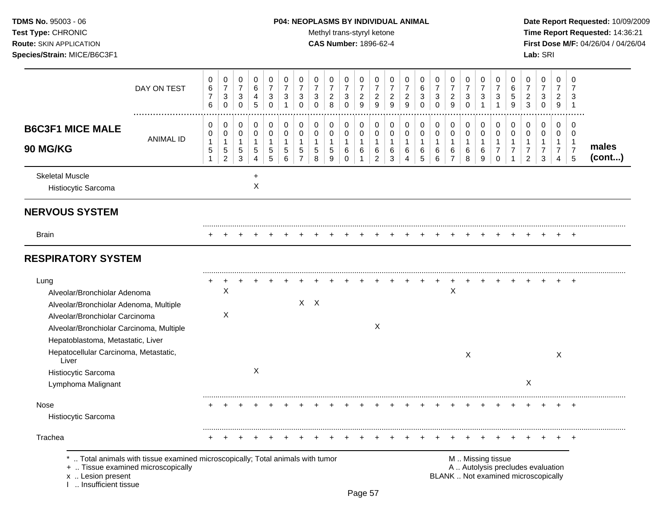## **TDMS No.** 95003 - 06 **P04: NEOPLASMS BY INDIVIDUAL ANIMAL** Date Report Requested: 10/09/2009

Test Type: CHRONIC **Test Type:** CHRONIC **Test Type:** CHRONIC **Time Report Requested:** 14:36:21 **Route:** SKIN APPLICATION **CAS Number:** 1896-62-4 **First Dose M/F:** 04/26/04 / 04/26/04

|                                                                                                                                                                                                   | DAY ON TEST                                                                  | 0<br>$\,6\,$<br>$\overline{7}$<br>6        | 0<br>$\overline{7}$<br>3<br>$\mathbf 0$       | $\pmb{0}$<br>$\overline{7}$<br>$\sqrt{3}$<br>$\pmb{0}$        | $\pmb{0}$<br>6<br>4<br>$\overline{5}$      | $\pmb{0}$<br>$\overline{7}$<br>3<br>$\mathbf 0$ | 0<br>$\overline{7}$<br>3<br>$\overline{1}$           | 0<br>$\overline{7}$<br>3<br>$\Omega$                    | $\,0\,$<br>$\overline{7}$<br>3<br>$\Omega$       | $\pmb{0}$<br>$\overline{7}$<br>$\overline{a}$<br>8 | $\,0\,$<br>$\overline{7}$<br>$\sqrt{3}$<br>$\mathbf 0$ | 0<br>$\overline{7}$<br>$\overline{c}$<br>9 | 0<br>7<br>$\overline{a}$<br>$\boldsymbol{9}$            | $\pmb{0}$<br>$\overline{7}$<br>$\overline{c}$<br>9 | 0<br>$\overline{7}$<br>$\overline{c}$<br>9 | 0<br>$\,6$<br>3<br>$\Omega$                  | $\pmb{0}$<br>$\overline{7}$<br>$\sqrt{3}$<br>$\mathbf 0$ | 0<br>$\overline{7}$<br>$\overline{c}$<br>9            | $\pmb{0}$<br>$\overline{7}$<br>3<br>$\mathbf 0$    | $\mathbf 0$<br>$\overline{7}$<br>3<br>$\mathbf{1}$ | 0<br>$\overline{7}$<br>3<br>$\mathbf 1$                                    | 0<br>6<br>5<br>9                   | 0<br>$\overline{7}$<br>$\overline{c}$<br>3                               | 0<br>$\overline{7}$<br>3<br>$\mathbf 0$       | $\mathbf 0$<br>$\overline{7}$<br>$\overline{2}$<br>$9\,$                       | 0<br>7<br>3<br>$\overline{1}$                                  |                 |
|---------------------------------------------------------------------------------------------------------------------------------------------------------------------------------------------------|------------------------------------------------------------------------------|--------------------------------------------|-----------------------------------------------|---------------------------------------------------------------|--------------------------------------------|-------------------------------------------------|------------------------------------------------------|---------------------------------------------------------|--------------------------------------------------|----------------------------------------------------|--------------------------------------------------------|--------------------------------------------|---------------------------------------------------------|----------------------------------------------------|--------------------------------------------|----------------------------------------------|----------------------------------------------------------|-------------------------------------------------------|----------------------------------------------------|----------------------------------------------------|----------------------------------------------------------------------------|------------------------------------|--------------------------------------------------------------------------|-----------------------------------------------|--------------------------------------------------------------------------------|----------------------------------------------------------------|-----------------|
| <b>B6C3F1 MICE MALE</b><br>90 MG/KG                                                                                                                                                               | <b>ANIMAL ID</b>                                                             | 0<br>$\mathbf 0$<br>$\mathbf{1}$<br>5<br>1 | 0<br>0<br>$\mathbf{1}$<br>5<br>$\overline{c}$ | 0<br>$\pmb{0}$<br>$\mathbf{1}$<br>$\mathbf 5$<br>$\mathbf{3}$ | 0<br>$\mathbf 0$<br>$\mathbf{1}$<br>5<br>4 | 0<br>$\pmb{0}$<br>$\mathbf{1}$<br>5<br>5        | $\mathbf 0$<br>$\mathbf 0$<br>$\mathbf{1}$<br>5<br>6 | 0<br>$\mathbf 0$<br>$\mathbf{1}$<br>5<br>$\overline{7}$ | $\pmb{0}$<br>$\pmb{0}$<br>$\mathbf{1}$<br>5<br>8 | 0<br>$\pmb{0}$<br>$\mathbf{1}$<br>5<br>9           | 0<br>$\pmb{0}$<br>$\mathbf{1}$<br>6<br>$\mathbf 0$     | 0<br>$\mathbf 0$<br>$\mathbf{1}$<br>6<br>1 | 0<br>$\mathbf 0$<br>$\mathbf{1}$<br>6<br>$\overline{c}$ | 0<br>0<br>$\mathbf{1}$<br>6<br>$\mathbf{3}$        | 0<br>$\mathbf 0$<br>$\mathbf{1}$<br>6<br>4 | 0<br>$\mathbf 0$<br>1<br>6<br>$\overline{5}$ | 0<br>$\pmb{0}$<br>$\mathbf{1}$<br>6<br>$\,6\,$           | 0<br>$\pmb{0}$<br>$\mathbf{1}$<br>6<br>$\overline{7}$ | $\mathbf 0$<br>$\pmb{0}$<br>$\mathbf{1}$<br>6<br>8 | $\mathbf 0$<br>$\pmb{0}$<br>$\mathbf{1}$<br>6<br>9 | $\pmb{0}$<br>$\mathbf 0$<br>$\mathbf{1}$<br>$\overline{7}$<br>$\mathbf{0}$ | 0<br>$\mathbf 0$<br>$\overline{7}$ | 0<br>$\mathbf 0$<br>$\mathbf{1}$<br>$\overline{7}$<br>$\overline{2}$     | 0<br>0<br>$\mathbf{1}$<br>$\overline{7}$<br>3 | $\mathbf 0$<br>$\mathbf 0$<br>$\mathbf{1}$<br>$\overline{7}$<br>$\overline{4}$ | $\mathbf 0$<br>$\Omega$<br>$\mathbf{1}$<br>$\overline{7}$<br>5 | males<br>(cont) |
| <b>Skeletal Muscle</b><br>Histiocytic Sarcoma                                                                                                                                                     |                                                                              |                                            |                                               |                                                               | +<br>X                                     |                                                 |                                                      |                                                         |                                                  |                                                    |                                                        |                                            |                                                         |                                                    |                                            |                                              |                                                          |                                                       |                                                    |                                                    |                                                                            |                                    |                                                                          |                                               |                                                                                |                                                                |                 |
| <b>NERVOUS SYSTEM</b>                                                                                                                                                                             |                                                                              |                                            |                                               |                                                               |                                            |                                                 |                                                      |                                                         |                                                  |                                                    |                                                        |                                            |                                                         |                                                    |                                            |                                              |                                                          |                                                       |                                                    |                                                    |                                                                            |                                    |                                                                          |                                               |                                                                                |                                                                |                 |
| <b>Brain</b>                                                                                                                                                                                      |                                                                              |                                            |                                               |                                                               |                                            |                                                 |                                                      |                                                         |                                                  |                                                    |                                                        |                                            |                                                         |                                                    |                                            |                                              |                                                          |                                                       |                                                    |                                                    |                                                                            |                                    |                                                                          |                                               |                                                                                |                                                                |                 |
| <b>RESPIRATORY SYSTEM</b>                                                                                                                                                                         |                                                                              |                                            |                                               |                                                               |                                            |                                                 |                                                      |                                                         |                                                  |                                                    |                                                        |                                            |                                                         |                                                    |                                            |                                              |                                                          |                                                       |                                                    |                                                    |                                                                            |                                    |                                                                          |                                               |                                                                                |                                                                |                 |
| Lung<br>Alveolar/Bronchiolar Adenoma<br>Alveolar/Bronchiolar Adenoma, Multiple<br>Alveolar/Bronchiolar Carcinoma<br>Alveolar/Bronchiolar Carcinoma, Multiple<br>Hepatoblastoma, Metastatic, Liver |                                                                              |                                            | Χ<br>X                                        |                                                               |                                            |                                                 |                                                      | $X$ $X$                                                 |                                                  |                                                    |                                                        |                                            | $\boldsymbol{\mathsf{X}}$                               |                                                    |                                            |                                              |                                                          | X                                                     |                                                    |                                                    |                                                                            |                                    |                                                                          |                                               |                                                                                | $\div$                                                         |                 |
| Hepatocellular Carcinoma, Metastatic,<br>Liver<br>Histiocytic Sarcoma<br>Lymphoma Malignant                                                                                                       |                                                                              |                                            |                                               |                                                               | $\boldsymbol{X}$                           |                                                 |                                                      |                                                         |                                                  |                                                    |                                                        |                                            |                                                         |                                                    |                                            |                                              |                                                          |                                                       | X                                                  |                                                    |                                                                            |                                    | X                                                                        |                                               | X                                                                              |                                                                |                 |
| Nose<br>Histiocytic Sarcoma                                                                                                                                                                       |                                                                              |                                            |                                               |                                                               |                                            |                                                 |                                                      |                                                         |                                                  |                                                    |                                                        |                                            |                                                         |                                                    |                                            |                                              |                                                          |                                                       |                                                    |                                                    |                                                                            |                                    |                                                                          |                                               |                                                                                | $\div$                                                         |                 |
| Trachea<br>+  Tissue examined microscopically<br>x  Lesion present<br>1  Insufficient tissue                                                                                                      | Total animals with tissue examined microscopically; Total animals with tumor |                                            |                                               |                                                               |                                            |                                                 |                                                      |                                                         |                                                  |                                                    |                                                        |                                            |                                                         |                                                    |                                            |                                              |                                                          |                                                       |                                                    |                                                    | M  Missing tissue                                                          |                                    | A  Autolysis precludes evaluation<br>BLANK  Not examined microscopically |                                               |                                                                                |                                                                |                 |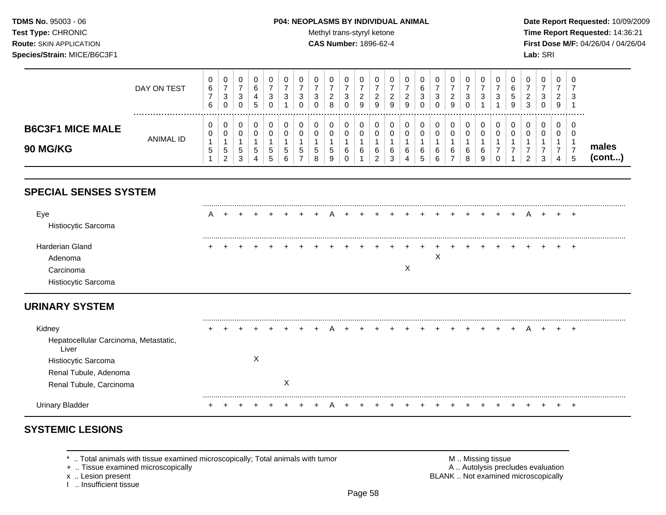### **TDMS No.** 95003 - 06 **P04: NEOPLASMS BY INDIVIDUAL ANIMAL** Date Report Requested: 10/09/2009

Test Type: CHRONIC **Test Type:** CHRONIC **Test Type:** CHRONIC **Time Report Requested:** 14:36:21 **Route:** SKIN APPLICATION **CAS Number:** 1896-62-4 **First Dose M/F:** 04/26/04 / 04/26/04

|                                            | DAY ON TEST | v<br>6<br>6 | 0<br>-<br>3<br>0             | 0<br>ີ<br>◡<br>0       | υ<br>⌒<br>6<br>5 | -3      | J | 0<br>3<br>0  | 3 | 0<br>◠<br><u>.</u><br>8 | U<br>ົ<br>ັ<br>v | υ<br>ົ<br><u>.</u><br>9 | U<br>9      | U.<br>ົ<br>9          | U<br>◠<br><u>.</u><br>9 | З | 0<br>3<br>0      | ົ<br>∼<br>9 | υ<br>3 | v<br>3 | 0<br>3      | 0<br>G<br>9 | U<br>∼<br>3 | 0<br>3       | U<br><b>اب</b>                |                 |
|--------------------------------------------|-------------|-------------|------------------------------|------------------------|------------------|---------|---|--------------|---|-------------------------|------------------|-------------------------|-------------|-----------------------|-------------------------|---|------------------|-------------|--------|--------|-------------|-------------|-------------|--------------|-------------------------------|-----------------|
| <b>B6C3F1 MICE MALE</b><br><b>90 MG/KG</b> | ANIMAL ID   | U<br>ີວ     | 0<br>0<br>5<br>റ<br><u>.</u> | 0<br>0<br>C.<br>◠<br>J | 5                | .5<br>c | G | <sub>5</sub> | Đ | 0<br><sub>5</sub><br>9  | v<br>6<br>υ      | u<br>6                  | υ<br>ν<br>6 | υ<br>$\sim$<br>6<br>د | 6<br>4                  |   | 0<br>0<br>6<br>6 | 6           | 6<br>8 | 6<br>9 | 0<br>0<br>0 | 0<br>U      | _           | 0<br>0<br>-3 | <b>U</b><br>◡<br><sub>5</sub> | males<br>(cont) |

# **SPECIAL SENSES SYSTEM**

| Eye<br>Histiocytic Sarcoma | A |  |  |  |             |  |  |   |   |  |  |  |  |     |
|----------------------------|---|--|--|--|-------------|--|--|---|---|--|--|--|--|-----|
| Harderian Gland            |   |  |  |  | + + + + + + |  |  |   |   |  |  |  |  | $+$ |
| Adenoma                    |   |  |  |  |             |  |  |   | ⌒ |  |  |  |  |     |
| Carcinoma                  |   |  |  |  |             |  |  | ν |   |  |  |  |  |     |
| Histiocytic Sarcoma        |   |  |  |  |             |  |  |   |   |  |  |  |  |     |

# **URINARY SYSTEM**

| Kidney                                         |  |   |   |  |  |  |  | + + + A + + + + + + + + + + + |  |  | $+$ | A | $+$ | $+$ |  |
|------------------------------------------------|--|---|---|--|--|--|--|-------------------------------|--|--|-----|---|-----|-----|--|
| Hepatocellular Carcinoma, Metastatic,<br>Liver |  |   |   |  |  |  |  |                               |  |  |     |   |     |     |  |
| <b>Histiocytic Sarcoma</b>                     |  | х |   |  |  |  |  |                               |  |  |     |   |     |     |  |
| Renal Tubule, Adenoma                          |  |   |   |  |  |  |  |                               |  |  |     |   |     |     |  |
| Renal Tubule, Carcinoma                        |  |   | X |  |  |  |  |                               |  |  |     |   |     |     |  |
|                                                |  |   |   |  |  |  |  |                               |  |  |     |   |     |     |  |
| Urinary Bladder                                |  |   |   |  |  |  |  | + + + + + + +                 |  |  |     |   |     |     |  |

# **SYSTEMIC LESIONS**

\* .. Total animals with tissue examined microscopically; Total animals with tumor <br>
+ .. Tissue examined microscopically<br>
+ .. Tissue examined microscopically

+ .. Tissue examined microscopically

I .. Insufficient tissue

x .. Lesion present **BLANK** .. Not examined microscopically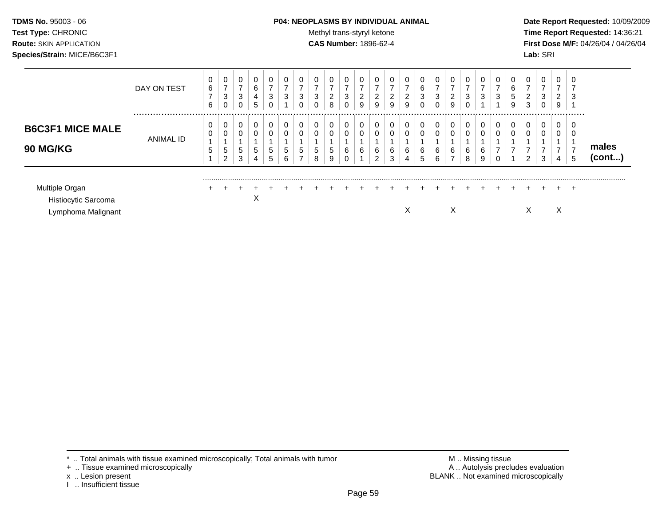## **TDMS No.** 95003 - 06 **P04: NEOPLASMS BY INDIVIDUAL ANIMAL** Date Report Requested: 10/09/2009

**Test Type:** CHRONIC **Trans-styryl ketone** Methyl trans-styryl ketone **Time Report Requested:** 14:36:21 **Route:** SKIN APPLICATION **CAS Number:** 1896-62-4 **First Dose M/F:** 04/26/04 / 04/26/04

|                                                             | DAY ON TEST | 0<br>6<br>$\overline{ }$<br>6 | 0<br>$\overline{ }$<br>3<br>0 | $\Omega$<br>$\overline{ }$<br>3<br>0 | 0<br>6<br>4<br>5 | 0<br>$\overline{\phantom{a}}$<br>3<br>U | 0<br>$\overline{ }$<br>3 | 0<br>$\rightarrow$<br>3<br>0  | 3<br>$\mathbf 0$      | 0<br>-<br>2<br>8 | 0<br>⇁<br>3<br>0           | 0<br>-<br>2<br>9 | 0<br>-<br>$\overline{2}$<br>9 | 0<br>2<br>9 | 0<br>$\overline{ }$<br>$\overline{2}$<br>9 | 0<br>6<br>3 | 0<br>$\rightarrow$<br>3<br>0 | 0<br>$\overline{ }$<br>$\overline{2}$<br>9 | ⇁<br>3                   | 0<br>$\overline{ }$<br>3   | $\overline{ }$<br>3 | 0<br>6<br>5<br>9 | 0<br>$\rightarrow$<br>C<br>∠<br>3 | 0<br>$\overline{ }$<br>3<br>0 | 0<br>$\overline{ }$<br>$\overline{2}$<br>9 | $\sim$<br>ు |                       |
|-------------------------------------------------------------|-------------|-------------------------------|-------------------------------|--------------------------------------|------------------|-----------------------------------------|--------------------------|-------------------------------|-----------------------|------------------|----------------------------|------------------|-------------------------------|-------------|--------------------------------------------|-------------|------------------------------|--------------------------------------------|--------------------------|----------------------------|---------------------|------------------|-----------------------------------|-------------------------------|--------------------------------------------|-------------|-----------------------|
| <b>B6C3F1 MICE MALE</b><br><b>90 MG/KG</b>                  | ANIMAL ID   | 0<br>0<br>5                   | 0<br>0<br>5<br>$\overline{2}$ | 0<br>5<br>3                          | 0<br>0<br>5<br>4 | 0<br>$\mathbf 0$<br>5<br>5              | 0<br>0<br>5<br>6         | 0<br>0<br>5<br>$\overline{ }$ | $\mathbf 0$<br>5<br>8 | 0<br>0<br>5<br>9 | 0<br>0<br>6<br>$\sim$<br>υ | 0<br>0<br>6      | 0<br>6<br>ົ                   | 0<br>6<br>3 | 0<br>0<br>6<br>4                           | 0<br>6<br>5 | 0<br>0<br>6<br>6             | 0<br>0<br>6<br>$\overline{ }$              | $\overline{0}$<br>6<br>8 | 0<br>$\mathbf 0$<br>6<br>9 |                     | 0<br>$\mathbf 0$ | U<br>U<br>2                       | 0<br>0<br>3                   | $\mathbf{0}$<br>0<br>4                     |             | males<br>$($ cont $)$ |
| Multiple Organ<br>Histiocytic Sarcoma<br>Lymphoma Malignant |             |                               |                               |                                      | ∧                |                                         |                          |                               |                       |                  |                            |                  |                               |             | X                                          |             |                              | X                                          |                          |                            |                     |                  | л                                 |                               | ÷<br>X                                     | $\div$      |                       |

- + .. Tissue examined microscopically
- 
- x .. Lesion present<br>I .. Insufficient tissue

\* .. Total animals with tissue examined microscopically; Total animals with tumor M .. Missing tissue M .. Missing tissue<br>
+ .. Tissue examined microscopically BLANK .. Not examined microscopically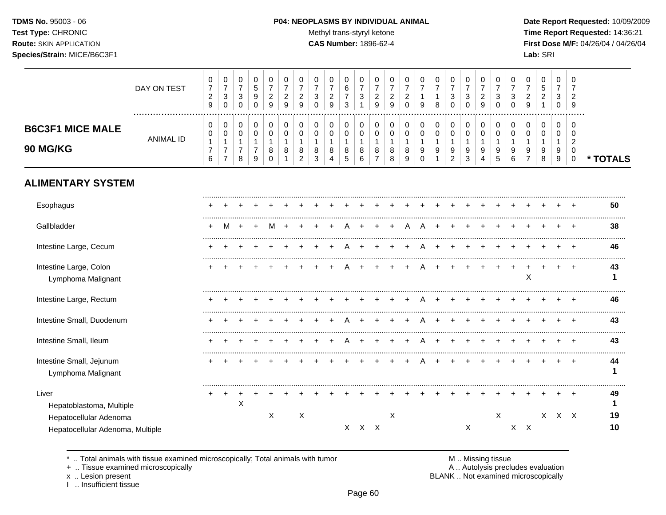## **TDMS No.** 95003 - 06 **P04: NEOPLASMS BY INDIVIDUAL ANIMAL** Date Report Requested: 10/09/2009

Test Type: CHRONIC **Test Type:** CHRONIC **Test Type:** CHRONIC **Time Report Requested:** 14:36:21 **Route:** SKIN APPLICATION **CAS Number:** 1896-62-4 **First Dose M/F:** 04/26/04 / 04/26/04

|                                                            | DAY ON TEST      | $\pmb{0}$<br>$\overline{7}$<br>$\overline{c}$<br>$\boldsymbol{9}$ | $\,0\,$<br>$\boldsymbol{7}$<br>$\mathbf{3}$<br>$\mathbf 0$           | 0<br>$\overline{7}$<br>$\sqrt{3}$<br>0                | 0<br>5<br>9<br>$\Omega$                                 | 0<br>$\overline{7}$<br>$\overline{c}$<br>9        | 0<br>$\overline{7}$<br>$\overline{c}$<br>9 | 0<br>$\overline{7}$<br>$\overline{c}$<br>9           | 0<br>$\overline{7}$<br>3<br>$\Omega$   | 0<br>$\overline{7}$<br>$\overline{c}$<br>9 | 0<br>6<br>$\overline{7}$<br>3              | 0<br>$\overline{7}$<br>$\sqrt{3}$<br>$\mathbf{1}$ | 0<br>$\overline{7}$<br>$\overline{c}$<br>9            | 0<br>$\overline{7}$<br>$\overline{c}$<br>$\mathsf g$ | 0<br>7<br>$\overline{c}$<br>$\Omega$    | 0<br>$\overline{7}$<br>$\mathbf{1}$<br>9       | 0<br>$\overline{7}$<br>1<br>8       | 0<br>$\overline{7}$<br>$\mathbf{3}$<br>$\Omega$ | 0<br>$\overline{7}$<br>3<br>$\Omega$            | 0<br>$\overline{7}$<br>$\overline{c}$<br>9 | 0<br>$\overline{7}$<br>3<br>0              | 0<br>$\overline{7}$<br>3<br>0              | 0<br>$\overline{7}$<br>$\overline{c}$<br>9              | 0<br>5<br>$\overline{c}$        | $\pmb{0}$<br>$\overline{7}$<br>3<br>$\mathbf 0$ | 0<br>$\overline{2}$<br>9                                           |          |
|------------------------------------------------------------|------------------|-------------------------------------------------------------------|----------------------------------------------------------------------|-------------------------------------------------------|---------------------------------------------------------|---------------------------------------------------|--------------------------------------------|------------------------------------------------------|----------------------------------------|--------------------------------------------|--------------------------------------------|---------------------------------------------------|-------------------------------------------------------|------------------------------------------------------|-----------------------------------------|------------------------------------------------|-------------------------------------|-------------------------------------------------|-------------------------------------------------|--------------------------------------------|--------------------------------------------|--------------------------------------------|---------------------------------------------------------|---------------------------------|-------------------------------------------------|--------------------------------------------------------------------|----------|
| <b>B6C3F1 MICE MALE</b><br><b>90 MG/KG</b>                 | <b>ANIMAL ID</b> | 0<br>$\mathbf 0$<br>$\mathbf{1}$<br>$\overline{7}$<br>6           | 0<br>$\pmb{0}$<br>$\mathbf{1}$<br>$\boldsymbol{7}$<br>$\overline{7}$ | 0<br>$\pmb{0}$<br>$\mathbf{1}$<br>$\overline{7}$<br>8 | 0<br>$\pmb{0}$<br>$\overline{1}$<br>$\overline{7}$<br>9 | 0<br>$\mathbf 0$<br>$\mathbf{1}$<br>8<br>$\Omega$ | 0<br>$\Omega$<br>-1<br>8                   | 0<br>$\Omega$<br>$\mathbf{1}$<br>8<br>$\overline{2}$ | $\mathbf 0$<br>$\Omega$<br>1<br>8<br>3 | 0<br>$\mathbf 0$<br>$\mathbf{1}$<br>8<br>4 | 0<br>$\mathbf 0$<br>$\mathbf{1}$<br>8<br>5 | 0<br>$\pmb{0}$<br>$\mathbf{1}$<br>8<br>6          | 0<br>$\pmb{0}$<br>$\mathbf{1}$<br>8<br>$\overline{7}$ | 0<br>$\mathbf 0$<br>$\mathbf{1}$<br>8<br>8           | 0<br>$\Omega$<br>$\mathbf{1}$<br>8<br>9 | 0<br>$\Omega$<br>$\mathbf{1}$<br>9<br>$\Omega$ | 0<br>$\pmb{0}$<br>$\mathbf{1}$<br>9 | 0<br>0<br>$\mathbf{1}$<br>9<br>$\overline{c}$   | 0<br>$\boldsymbol{0}$<br>$\mathbf{1}$<br>9<br>3 | 0<br>$\pmb{0}$<br>$\mathbf{1}$<br>9<br>4   | 0<br>$\mathbf 0$<br>$\mathbf{1}$<br>9<br>5 | 0<br>$\mathbf 0$<br>$\mathbf{1}$<br>9<br>6 | 0<br>$\mathbf 0$<br>$\mathbf{1}$<br>9<br>$\overline{7}$ | 0<br>$\mathbf 0$<br>1<br>9<br>8 | $\mathbf 0$<br>$\Omega$<br>-1<br>9<br>9         | $\Omega$<br>$\Omega$<br>$\overline{2}$<br>$\mathbf 0$<br>$\pmb{0}$ | * TOTALS |
| <b>ALIMENTARY SYSTEM</b>                                   |                  |                                                                   |                                                                      |                                                       |                                                         |                                                   |                                            |                                                      |                                        |                                            |                                            |                                                   |                                                       |                                                      |                                         |                                                |                                     |                                                 |                                                 |                                            |                                            |                                            |                                                         |                                 |                                                 |                                                                    |          |
| Esophagus                                                  |                  |                                                                   |                                                                      |                                                       |                                                         |                                                   |                                            |                                                      |                                        |                                            |                                            |                                                   |                                                       |                                                      |                                         |                                                |                                     |                                                 |                                                 |                                            |                                            |                                            |                                                         |                                 |                                                 |                                                                    | 50       |
| Gallbladder                                                |                  |                                                                   |                                                                      |                                                       |                                                         |                                                   |                                            |                                                      |                                        |                                            |                                            |                                                   |                                                       |                                                      |                                         |                                                |                                     |                                                 |                                                 |                                            |                                            |                                            |                                                         |                                 |                                                 |                                                                    | 38       |
| Intestine Large, Cecum                                     |                  |                                                                   |                                                                      |                                                       |                                                         |                                                   |                                            |                                                      |                                        |                                            |                                            |                                                   |                                                       |                                                      |                                         |                                                |                                     |                                                 |                                                 |                                            |                                            |                                            |                                                         |                                 |                                                 |                                                                    | 46       |
| Intestine Large, Colon<br>Lymphoma Malignant               |                  |                                                                   |                                                                      |                                                       |                                                         |                                                   |                                            |                                                      |                                        |                                            |                                            |                                                   |                                                       |                                                      |                                         |                                                |                                     |                                                 |                                                 |                                            |                                            |                                            | X                                                       | $\ddot{}$                       | $\ddot{}$                                       | $\overline{ }$                                                     | 43       |
| Intestine Large, Rectum                                    |                  |                                                                   |                                                                      |                                                       |                                                         |                                                   |                                            |                                                      |                                        |                                            |                                            |                                                   |                                                       |                                                      |                                         |                                                |                                     |                                                 |                                                 |                                            |                                            |                                            |                                                         |                                 |                                                 |                                                                    | 46       |
| Intestine Small, Duodenum                                  |                  |                                                                   |                                                                      |                                                       |                                                         |                                                   |                                            |                                                      |                                        |                                            |                                            |                                                   |                                                       |                                                      |                                         |                                                |                                     |                                                 |                                                 |                                            |                                            |                                            |                                                         |                                 |                                                 |                                                                    | 43       |
| Intestine Small, Ileum                                     |                  |                                                                   |                                                                      |                                                       |                                                         |                                                   |                                            |                                                      |                                        |                                            |                                            |                                                   |                                                       |                                                      |                                         |                                                |                                     |                                                 |                                                 |                                            |                                            |                                            |                                                         |                                 |                                                 |                                                                    | 43       |
| Intestine Small, Jejunum<br>Lymphoma Malignant             |                  |                                                                   |                                                                      |                                                       |                                                         |                                                   |                                            |                                                      |                                        |                                            |                                            |                                                   |                                                       |                                                      |                                         |                                                |                                     |                                                 |                                                 |                                            |                                            |                                            |                                                         |                                 |                                                 |                                                                    | 44<br>1  |
| Liver<br>Hepatoblastoma, Multiple                          |                  |                                                                   | $\ddot{}$                                                            | +<br>X                                                |                                                         |                                                   |                                            |                                                      |                                        |                                            |                                            |                                                   |                                                       |                                                      |                                         |                                                |                                     |                                                 |                                                 |                                            |                                            |                                            |                                                         |                                 |                                                 |                                                                    | 49       |
| Hepatocellular Adenoma<br>Hepatocellular Adenoma, Multiple |                  |                                                                   |                                                                      |                                                       |                                                         | X                                                 |                                            | X                                                    |                                        |                                            |                                            | X X X                                             |                                                       | X                                                    |                                         |                                                |                                     |                                                 | $\mathsf{X}$                                    |                                            | Χ                                          |                                            | $X$ $X$                                                 |                                 | $X$ $X$ $X$                                     |                                                                    | 19<br>10 |

\* .. Total animals with tissue examined microscopically; Total animals with tumor M .. Missing tissue M .. Missing tissue<br>A .. Autolysis precludes evaluation<br>A .. Autolysis precludes evaluation

+ .. Tissue examined microscopically

x .. Lesion present<br>I .. Insufficient tissue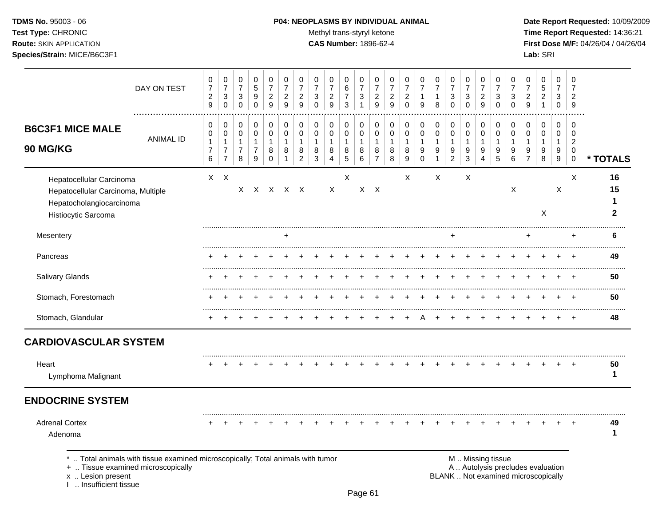## **TDMS No.** 95003 - 06 **P04: NEOPLASMS BY INDIVIDUAL ANIMAL** Date Report Requested: 10/09/2009

Test Type: CHRONIC **Test Type:** CHRONIC **Test Type:** CHRONIC **Time Report Requested:** 14:36:21 **Route:** SKIN APPLICATION **CAS Number:** 1896-62-4 **First Dose M/F:** 04/26/04 / 04/26/04

|                                                                                                                                                                   | DAY ON TEST      | 0<br>$\overline{7}$<br>$\overline{c}$<br>9    | $\mathbf 0$<br>$\overline{7}$<br>$\sqrt{3}$<br>$\pmb{0}$                   | $\pmb{0}$<br>$\overline{7}$<br>$\sqrt{3}$<br>$\pmb{0}$        | $\pmb{0}$<br>5<br>9<br>$\mathbf 0$                                          | $\pmb{0}$<br>$\overline{7}$<br>$\overline{2}$<br>9   | 0<br>$\overline{7}$<br>$\overline{\mathbf{c}}$<br>9 | 0<br>$\overline{7}$<br>$\overline{a}$<br>9    | 0<br>$\overline{7}$<br>3<br>$\Omega$ | $\pmb{0}$<br>$\overline{7}$<br>$\overline{c}$<br>9            | 0<br>$\,6$<br>$\overline{7}$<br>3                   | $\pmb{0}$<br>$\overline{7}$<br>$\sqrt{3}$<br>$\mathbf{1}$ | 0<br>$\overline{7}$<br>$\overline{c}$<br>9              | 0<br>$\overline{7}$<br>$\overline{c}$<br>9 | $\mathbf 0$<br>$\overline{7}$<br>$\overline{a}$<br>$\mathbf 0$ | 0<br>$\overline{7}$<br>1<br>9   | $\,0\,$<br>$\overline{7}$<br>$\mathbf 1$<br>8       | $\pmb{0}$<br>$\overline{7}$<br>$\sqrt{3}$<br>$\mathbf 0$ | $\,0\,$<br>$\overline{7}$<br>3<br>$\Omega$                                | 0<br>$\overline{7}$<br>$\overline{c}$<br>9 | 0<br>$\overline{7}$<br>3<br>$\mathbf 0$    | 0<br>$\overline{7}$<br>3<br>0    | 0<br>$\overline{7}$<br>$\overline{c}$<br>9                               | $\pmb{0}$<br>$\mathbf 5$<br>$\boldsymbol{2}$<br>$\mathbf 1$ | $\mathbf 0$<br>$\overline{7}$<br>3<br>$\mathbf 0$ | 0<br>7<br>$\overline{2}$<br>9                            |                          |
|-------------------------------------------------------------------------------------------------------------------------------------------------------------------|------------------|-----------------------------------------------|----------------------------------------------------------------------------|---------------------------------------------------------------|-----------------------------------------------------------------------------|------------------------------------------------------|-----------------------------------------------------|-----------------------------------------------|--------------------------------------|---------------------------------------------------------------|-----------------------------------------------------|-----------------------------------------------------------|---------------------------------------------------------|--------------------------------------------|----------------------------------------------------------------|---------------------------------|-----------------------------------------------------|----------------------------------------------------------|---------------------------------------------------------------------------|--------------------------------------------|--------------------------------------------|----------------------------------|--------------------------------------------------------------------------|-------------------------------------------------------------|---------------------------------------------------|----------------------------------------------------------|--------------------------|
| <b>B6C3F1 MICE MALE</b><br>90 MG/KG                                                                                                                               | <b>ANIMAL ID</b> | 0<br>0<br>$\mathbf{1}$<br>$\overline{7}$<br>6 | $\pmb{0}$<br>$\pmb{0}$<br>$\mathbf{1}$<br>$\overline{7}$<br>$\overline{7}$ | 0<br>$\mathbf 0$<br>$\mathbf{1}$<br>$\overline{7}$<br>$\,8\,$ | $\boldsymbol{0}$<br>$\boldsymbol{0}$<br>$\mathbf{1}$<br>$\overline{7}$<br>9 | 0<br>$\mathbf 0$<br>$\mathbf{1}$<br>8<br>$\mathbf 0$ | 0<br>0<br>$\mathbf{1}$<br>8                         | 0<br>0<br>$\mathbf{1}$<br>8<br>$\overline{c}$ | 0<br>$\mathbf 0$<br>1<br>8<br>3      | $\pmb{0}$<br>$\pmb{0}$<br>$\mathbf{1}$<br>8<br>$\overline{4}$ | 0<br>$\mathbf 0$<br>$\mathbf{1}$<br>8<br>$\sqrt{5}$ | 0<br>$\boldsymbol{0}$<br>$\mathbf{1}$<br>8<br>6           | 0<br>$\mathbf 0$<br>$\mathbf{1}$<br>8<br>$\overline{7}$ | 0<br>0<br>$\mathbf{1}$<br>8<br>8           | $\mathbf 0$<br>0<br>$\mathbf{1}$<br>8<br>$\boldsymbol{9}$      | 0<br>0<br>1<br>9<br>$\mathbf 0$ | 0<br>$\pmb{0}$<br>$\mathbf{1}$<br>9<br>$\mathbf{1}$ | 0<br>$\mathbf 0$<br>$\mathbf{1}$<br>9<br>$\overline{c}$  | $\boldsymbol{0}$<br>$\boldsymbol{0}$<br>$\mathbf{1}$<br>9<br>$\mathbf{3}$ | 0<br>$\mathbf 0$<br>$\mathbf{1}$<br>9<br>4 | 0<br>$\mathbf 0$<br>$\mathbf{1}$<br>9<br>5 | 0<br>0<br>$\mathbf{1}$<br>9<br>6 | 0<br>$\Omega$<br>1<br>9<br>$\overline{7}$                                | 0<br>$\mathbf 0$<br>$\mathbf{1}$<br>9<br>8                  | 0<br>$\mathbf 0$<br>$\mathbf{1}$<br>9<br>9        | $\Omega$<br>$\Omega$<br>$\overline{c}$<br>0<br>$\pmb{0}$ | * TOTALS                 |
| Hepatocellular Carcinoma<br>Hepatocellular Carcinoma, Multiple<br>Hepatocholangiocarcinoma<br>Histiocytic Sarcoma                                                 |                  |                                               | $X$ $X$                                                                    | X.                                                            |                                                                             | X X X X                                              |                                                     |                                               |                                      | X                                                             | X                                                   |                                                           | $X$ $X$                                                 |                                            | X                                                              |                                 | X                                                   |                                                          | Χ                                                                         |                                            |                                            | $\mathsf X$                      |                                                                          | X                                                           | X                                                 | X                                                        | 16<br>15<br>$\mathbf{2}$ |
| Mesentery                                                                                                                                                         |                  |                                               |                                                                            |                                                               |                                                                             |                                                      |                                                     |                                               |                                      |                                                               |                                                     |                                                           |                                                         |                                            |                                                                |                                 |                                                     |                                                          |                                                                           |                                            |                                            |                                  |                                                                          |                                                             |                                                   | $\ddot{}$                                                | 6                        |
| Pancreas                                                                                                                                                          |                  |                                               |                                                                            |                                                               |                                                                             |                                                      |                                                     |                                               |                                      |                                                               |                                                     |                                                           |                                                         |                                            |                                                                |                                 |                                                     |                                                          |                                                                           |                                            |                                            |                                  |                                                                          |                                                             |                                                   |                                                          | 49                       |
| Salivary Glands                                                                                                                                                   |                  |                                               |                                                                            |                                                               |                                                                             |                                                      |                                                     |                                               |                                      |                                                               |                                                     |                                                           |                                                         |                                            |                                                                |                                 |                                                     |                                                          |                                                                           |                                            |                                            |                                  |                                                                          |                                                             |                                                   |                                                          | 50                       |
| Stomach, Forestomach                                                                                                                                              |                  |                                               |                                                                            |                                                               |                                                                             |                                                      |                                                     |                                               |                                      |                                                               |                                                     |                                                           |                                                         |                                            |                                                                |                                 |                                                     |                                                          |                                                                           |                                            |                                            |                                  |                                                                          |                                                             |                                                   |                                                          | 50                       |
| Stomach, Glandular                                                                                                                                                |                  |                                               |                                                                            |                                                               |                                                                             |                                                      |                                                     |                                               |                                      |                                                               |                                                     |                                                           |                                                         |                                            |                                                                |                                 |                                                     |                                                          |                                                                           |                                            |                                            |                                  |                                                                          |                                                             |                                                   | $\pm$                                                    | 48                       |
| <b>CARDIOVASCULAR SYSTEM</b>                                                                                                                                      |                  |                                               |                                                                            |                                                               |                                                                             |                                                      |                                                     |                                               |                                      |                                                               |                                                     |                                                           |                                                         |                                            |                                                                |                                 |                                                     |                                                          |                                                                           |                                            |                                            |                                  |                                                                          |                                                             |                                                   |                                                          |                          |
| Heart<br>Lymphoma Malignant                                                                                                                                       |                  |                                               |                                                                            |                                                               |                                                                             |                                                      |                                                     |                                               |                                      |                                                               |                                                     |                                                           |                                                         |                                            |                                                                |                                 |                                                     |                                                          |                                                                           |                                            |                                            |                                  |                                                                          |                                                             |                                                   |                                                          | 50<br>1                  |
| <b>ENDOCRINE SYSTEM</b>                                                                                                                                           |                  |                                               |                                                                            |                                                               |                                                                             |                                                      |                                                     |                                               |                                      |                                                               |                                                     |                                                           |                                                         |                                            |                                                                |                                 |                                                     |                                                          |                                                                           |                                            |                                            |                                  |                                                                          |                                                             |                                                   |                                                          |                          |
| <b>Adrenal Cortex</b><br>Adenoma                                                                                                                                  |                  |                                               |                                                                            |                                                               |                                                                             |                                                      |                                                     |                                               |                                      |                                                               |                                                     |                                                           |                                                         |                                            |                                                                |                                 |                                                     |                                                          |                                                                           |                                            |                                            |                                  |                                                                          |                                                             |                                                   |                                                          | 49<br>1                  |
| *  Total animals with tissue examined microscopically; Total animals with tumor<br>+  Tissue examined microscopically<br>x  Lesion present<br>Insufficient tissue |                  |                                               |                                                                            |                                                               |                                                                             |                                                      |                                                     |                                               |                                      |                                                               |                                                     |                                                           |                                                         |                                            |                                                                |                                 |                                                     |                                                          | M  Missing tissue                                                         |                                            |                                            |                                  | A  Autolysis precludes evaluation<br>BLANK  Not examined microscopically |                                                             |                                                   |                                                          |                          |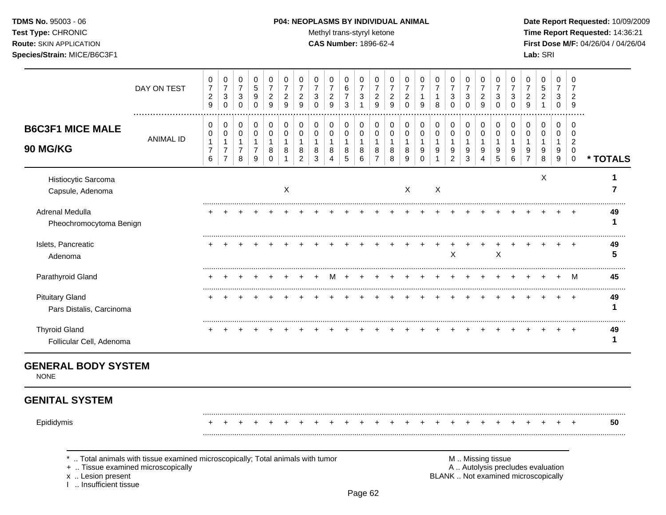#### **TDMS No.** 95003 - 06 **P04: NEOPLASMS BY INDIVIDUAL ANIMAL Date Report Requested:** 10/09/2009

**Test Type:** CHRONIC **The Report Requested:** 14:36:21 **Route:** SKIN APPLICATION **CAS Number:** 1896-62-4 **First Dose M/F:** 04/26/04 / 04/26/04

|                                                    | DAY ON TEST<br>  | 0<br>$\overline{7}$<br>$\overline{c}$<br>9 | 0<br>$\overline{7}$<br>3<br>$\mathbf 0$    | 0<br>$\overline{7}$<br>3<br>O | 0<br>$\,$ 5 $\,$<br>9<br>0 | 0<br>$\overline{7}$<br>2<br>9 | 0<br>$\overline{c}$<br>9 | 0<br>7<br>$\overline{\mathbf{c}}$<br>9 | 0<br>7<br>3<br>0 | 0<br>$\overline{7}$<br>$\overline{2}$<br>9 | 0<br>6<br>$\overline{7}$<br>3 | 0<br>$\overline{7}$<br>3 | 0<br>$\overline{7}$<br>$\overline{\mathbf{c}}$<br>9 | 0<br>$\overline{c}$<br>9 | 2<br>$\Omega$    | 0<br>9           | 0<br>7<br>8 | 0<br>$\overline{7}$<br>3<br>0 | 0<br>$\overline{7}$<br>3<br>0 | 0<br>$\overline{7}$<br>$\overline{\mathbf{c}}$<br>9 | 0<br>$\overline{7}$<br>3<br>0 | 3           | 0<br>7<br>2<br>9 | 0<br>5<br>2      | 0<br>$\overline{7}$<br>3<br>0 | 9                          |          |
|----------------------------------------------------|------------------|--------------------------------------------|--------------------------------------------|-------------------------------|----------------------------|-------------------------------|--------------------------|----------------------------------------|------------------|--------------------------------------------|-------------------------------|--------------------------|-----------------------------------------------------|--------------------------|------------------|------------------|-------------|-------------------------------|-------------------------------|-----------------------------------------------------|-------------------------------|-------------|------------------|------------------|-------------------------------|----------------------------|----------|
| <b>B6C3F1 MICE MALE</b><br><b>90 MG/KG</b>         | <b>ANIMAL ID</b> | 0<br>0<br>$\overline{7}$<br>6              | 0<br>0<br>$\overline{7}$<br>$\overline{7}$ | 0<br>0<br>7<br>8              | 0<br>0<br>9                | 0<br>0<br>8<br><sup>0</sup>   | 0<br>8                   | 0<br>0<br>8<br>$\overline{2}$          | 0<br>0<br>8<br>3 | 0<br>0<br>8<br>4                           | 0<br>0<br>8<br>5              | 0<br>0<br>8<br>6         | 0<br>0<br>8<br>7                                    | 0<br>0<br>8<br>8         | 0<br>9           | 0<br>0<br>9<br>0 | 0<br>0<br>9 | 0<br>0<br>9<br>2              | 0<br>0<br>1<br>9<br>3         | 0<br>0<br>1<br>9<br>4                               | 0<br>0<br>9<br>5              | 0<br>9<br>6 | 0<br>0<br>9      | 0<br>0<br>9<br>8 | 0<br>0<br>9<br>9              | .<br>O<br>0<br>$\mathbf 0$ | * TOTALS |
| Histiocytic Sarcoma<br>Capsule, Adenoma            |                  |                                            |                                            |                               |                            |                               | X                        |                                        |                  |                                            |                               |                          |                                                     |                          | $\boldsymbol{X}$ |                  | Χ           |                               |                               |                                                     |                               |             |                  | X                |                               |                            |          |
| Adrenal Medulla<br>Pheochromocytoma Benign         |                  |                                            |                                            |                               |                            |                               |                          |                                        |                  |                                            |                               |                          |                                                     |                          |                  |                  |             |                               |                               |                                                     |                               |             |                  |                  |                               |                            | 49       |
| Islets, Pancreatic<br>Adenoma                      |                  |                                            |                                            |                               |                            |                               |                          |                                        |                  |                                            |                               |                          |                                                     |                          |                  |                  |             | Χ                             |                               |                                                     | X                             |             |                  |                  |                               |                            | 49       |
| Parathyroid Gland                                  |                  |                                            |                                            |                               |                            |                               |                          |                                        |                  |                                            |                               |                          |                                                     |                          |                  |                  |             |                               |                               |                                                     |                               |             |                  |                  |                               | M                          | 45       |
| <b>Pituitary Gland</b><br>Pars Distalis, Carcinoma |                  |                                            |                                            |                               |                            |                               |                          |                                        |                  |                                            |                               |                          |                                                     |                          |                  |                  |             |                               |                               |                                                     |                               |             |                  |                  |                               |                            | 49       |
| <b>Thyroid Gland</b><br>Follicular Cell, Adenoma   |                  |                                            |                                            |                               |                            |                               |                          |                                        |                  |                                            |                               |                          |                                                     |                          |                  |                  |             |                               |                               |                                                     |                               |             |                  |                  |                               |                            | 49       |

## **GENERAL BODY SYSTEM**

NONE

# **GENITAL SYSTEM**

......................................................................................................................................................................................................... Epididymis + + + + + + + + + + + + + + + + + + + + + + + + + **50** .........................................................................................................................................................................................................

\* .. Total animals with tissue examined microscopically; Total animals with tumor **M** . Missing tissue M .. Missing tissue<br>  $\blacksquare$  . Tissue examined microscopically<br>  $\blacksquare$  . Autolysis precludes evaluation

+ .. Tissue examined microscopically

I .. Insufficient tissue

x .. Lesion present **BLANK** .. Not examined microscopically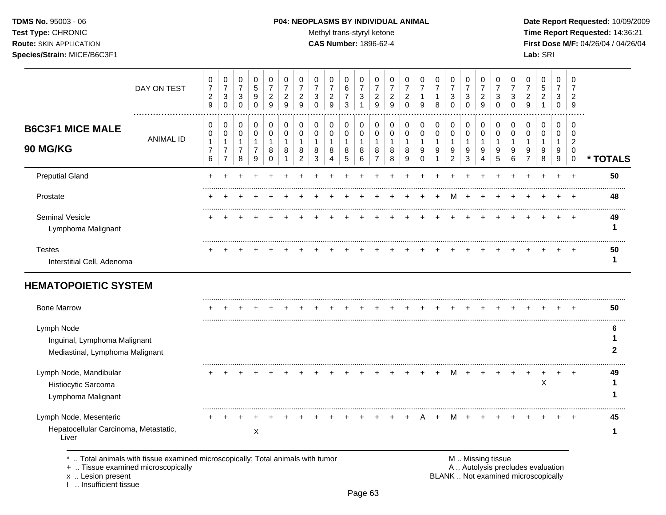### **TDMS No.** 95003 - 06 **P04: NEOPLASMS BY INDIVIDUAL ANIMAL** Date Report Requested: 10/09/2009

Test Type: CHRONIC **Test Type:** CHRONIC **Test Type:** CHRONIC **Time Report Requested:** 14:36:21 **Route:** SKIN APPLICATION **CAS Number:** 1896-62-4 **First Dose M/F:** 04/26/04 / 04/26/04

|                                                                               | DAY ON TEST      | 0<br>$\overline{7}$<br>$\boldsymbol{2}$<br>9                    | 0<br>$\overline{7}$<br>$\sqrt{3}$<br>$\Omega$   | 0<br>$\boldsymbol{7}$<br>3<br>$\mathbf 0$             | 0<br>5<br>9<br>$\Omega$                               | 0<br>$\overline{7}$<br>$\boldsymbol{2}$<br>9       | 0<br>$\overline{7}$<br>$\overline{c}$<br>9 | 0<br>$\overline{7}$<br>$\overline{c}$<br>9              | 0<br>$\overline{7}$<br>3<br>$\Omega$       | 0<br>$\overline{7}$<br>$\overline{2}$<br>9 | 0<br>6<br>7<br>3                | 0<br>$\overline{7}$<br>3<br>1            | 0<br>$\overline{7}$<br>$\overline{c}$<br>9            | 0<br>$\overline{7}$<br>$\overline{c}$<br>9 | 0<br>$\overline{7}$<br>$\overline{c}$<br>$\Omega$ | 0<br>$\overline{7}$<br>1<br>9          | 0<br>$\overline{7}$<br>1<br>8 | 0<br>$\overline{7}$<br>3<br>$\Omega$                 | 0<br>$\overline{7}$<br>3<br>$\Omega$   | 0<br>$\overline{7}$<br>$\overline{c}$<br>9 | 0<br>$\overline{7}$<br>3<br>$\Omega$ | 0<br>$\overline{7}$<br>3<br>$\Omega$ | 0<br>$\overline{7}$<br>$\overline{2}$<br>9          | 0<br>5<br>$\overline{c}$<br>1   | 0<br>$\overline{7}$<br>3<br>$\mathbf 0$        | 0<br>$\overline{7}$<br>2<br>9                                   |                  |
|-------------------------------------------------------------------------------|------------------|-----------------------------------------------------------------|-------------------------------------------------|-------------------------------------------------------|-------------------------------------------------------|----------------------------------------------------|--------------------------------------------|---------------------------------------------------------|--------------------------------------------|--------------------------------------------|---------------------------------|------------------------------------------|-------------------------------------------------------|--------------------------------------------|---------------------------------------------------|----------------------------------------|-------------------------------|------------------------------------------------------|----------------------------------------|--------------------------------------------|--------------------------------------|--------------------------------------|-----------------------------------------------------|---------------------------------|------------------------------------------------|-----------------------------------------------------------------|------------------|
| <b>B6C3F1 MICE MALE</b><br>90 MG/KG                                           | <b>ANIMAL ID</b> | 0<br>$\boldsymbol{0}$<br>1<br>$\overline{7}$<br>$6\phantom{1}6$ | 0<br>0<br>1<br>$\overline{7}$<br>$\overline{7}$ | 0<br>$\pmb{0}$<br>$\mathbf{1}$<br>$\overline{7}$<br>8 | 0<br>$\pmb{0}$<br>$\mathbf{1}$<br>$\overline{7}$<br>9 | 0<br>$\pmb{0}$<br>$\mathbf{1}$<br>8<br>$\mathbf 0$ | 0<br>$\mathbf 0$<br>1<br>8<br>1            | 0<br>$\mathbf 0$<br>$\mathbf{1}$<br>8<br>$\overline{c}$ | 0<br>$\mathbf 0$<br>$\mathbf{1}$<br>8<br>3 | 0<br>$\mathbf 0$<br>$\mathbf{1}$<br>8<br>4 | 0<br>$\mathbf 0$<br>1<br>8<br>5 | 0<br>$\pmb{0}$<br>$\mathbf{1}$<br>8<br>6 | 0<br>$\pmb{0}$<br>$\mathbf{1}$<br>8<br>$\overline{7}$ | 0<br>$\mathbf 0$<br>$\mathbf{1}$<br>8<br>8 | 0<br>$\mathbf 0$<br>$\mathbf{1}$<br>8<br>9        | 0<br>$\mathbf 0$<br>1<br>9<br>$\Omega$ | 0<br>$\mathbf 0$<br>1<br>9    | 0<br>$\pmb{0}$<br>$\mathbf 1$<br>9<br>$\overline{2}$ | 0<br>$\,0\,$<br>$\mathbf{1}$<br>9<br>3 | 0<br>$\pmb{0}$<br>1<br>9<br>4              | 0<br>$\mathbf 0$<br>1<br>9<br>5      | 0<br>$\mathbf 0$<br>-1<br>9<br>$\,6$ | 0<br>$\Omega$<br>$\mathbf 1$<br>9<br>$\overline{7}$ | 0<br>$\mathbf 0$<br>1<br>9<br>8 | 0<br>$\mathbf 0$<br>$\mathbf{1}$<br>9<br>$9\,$ | $\Omega$<br>$\Omega$<br>$\overline{2}$<br>$\Omega$<br>$\pmb{0}$ | * TOTALS         |
| <b>Preputial Gland</b>                                                        |                  |                                                                 |                                                 |                                                       |                                                       |                                                    |                                            |                                                         |                                            |                                            |                                 |                                          |                                                       |                                            |                                                   |                                        |                               |                                                      |                                        |                                            |                                      |                                      |                                                     |                                 |                                                | $\overline{1}$                                                  | 50               |
| Prostate                                                                      |                  |                                                                 |                                                 |                                                       |                                                       |                                                    |                                            |                                                         |                                            |                                            |                                 |                                          |                                                       |                                            |                                                   |                                        |                               |                                                      |                                        |                                            |                                      |                                      |                                                     |                                 |                                                |                                                                 | 48               |
| Seminal Vesicle<br>Lymphoma Malignant                                         |                  |                                                                 |                                                 |                                                       |                                                       |                                                    |                                            |                                                         |                                            |                                            |                                 |                                          |                                                       |                                            |                                                   |                                        |                               |                                                      |                                        |                                            |                                      |                                      |                                                     |                                 |                                                |                                                                 | 49<br>1          |
| <b>Testes</b><br>Interstitial Cell, Adenoma                                   |                  |                                                                 |                                                 |                                                       |                                                       |                                                    |                                            |                                                         |                                            |                                            |                                 |                                          |                                                       |                                            |                                                   |                                        |                               |                                                      |                                        |                                            |                                      |                                      |                                                     |                                 |                                                |                                                                 | 50<br>1          |
| <b>HEMATOPOIETIC SYSTEM</b>                                                   |                  |                                                                 |                                                 |                                                       |                                                       |                                                    |                                            |                                                         |                                            |                                            |                                 |                                          |                                                       |                                            |                                                   |                                        |                               |                                                      |                                        |                                            |                                      |                                      |                                                     |                                 |                                                |                                                                 |                  |
| <b>Bone Marrow</b>                                                            |                  |                                                                 |                                                 |                                                       |                                                       |                                                    |                                            |                                                         |                                            |                                            |                                 |                                          |                                                       |                                            |                                                   |                                        |                               |                                                      |                                        |                                            |                                      |                                      |                                                     |                                 |                                                |                                                                 | 50               |
| Lymph Node<br>Inguinal, Lymphoma Malignant<br>Mediastinal, Lymphoma Malignant |                  |                                                                 |                                                 |                                                       |                                                       |                                                    |                                            |                                                         |                                            |                                            |                                 |                                          |                                                       |                                            |                                                   |                                        |                               |                                                      |                                        |                                            |                                      |                                      |                                                     |                                 |                                                |                                                                 | 6<br>$\mathbf 2$ |
| Lymph Node, Mandibular<br>Histiocytic Sarcoma<br>Lymphoma Malignant           |                  |                                                                 |                                                 |                                                       |                                                       |                                                    |                                            |                                                         |                                            |                                            |                                 |                                          |                                                       |                                            |                                                   |                                        |                               | M                                                    |                                        |                                            |                                      | $\div$                               |                                                     | $\overline{ }$<br>X             | ÷                                              | $\pm$                                                           | 49               |
| Lymph Node, Mesenteric<br>Hepatocellular Carcinoma, Metastatic,<br>Liver      |                  |                                                                 |                                                 |                                                       | $\mathsf X$                                           |                                                    |                                            |                                                         |                                            |                                            |                                 |                                          |                                                       |                                            |                                                   |                                        |                               |                                                      |                                        |                                            |                                      |                                      |                                                     |                                 |                                                |                                                                 | 45<br>1          |

\* .. Total animals with tissue examined microscopically; Total animals with tumor **M** metal metal M .. Missing tissue<br>  $\blacksquare$  . Tissue examined microscopically

+ .. Tissue examined microscopically

x .. Lesion present<br>I .. Insufficient tissue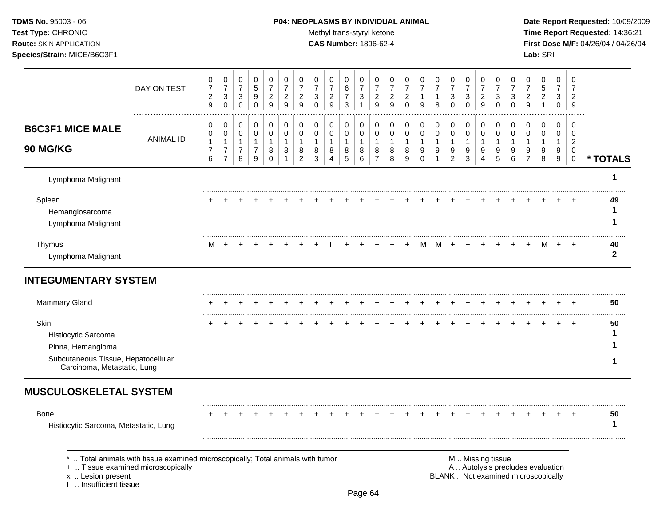I .. Insufficient tissue

## **TDMS No.** 95003 - 06 **P04: NEOPLASMS BY INDIVIDUAL ANIMAL** Date Report Requested: 10/09/2009

Test Type: CHRONIC **Test Type:** CHRONIC **Test Type:** CHRONIC **Time Report Requested:** 14:36:21 **Route:** SKIN APPLICATION **CAS Number:** 1896-62-4 **First Dose M/F:** 04/26/04 / 04/26/04

| DAY ON TEST                                                                                                                             | 0<br>$\overline{7}$<br>$\overline{c}$<br>9 | 0<br>$\overline{7}$<br>$\ensuremath{\mathsf{3}}$<br>$\mathbf 0$ | 0<br>$\boldsymbol{7}$<br>$\sqrt{3}$<br>$\mathbf 0$ | 0<br>$\sqrt{5}$<br>9<br>$\mathbf 0$ | 0<br>$\overline{7}$<br>$\overline{c}$<br>$\boldsymbol{9}$ | 0<br>$\overline{7}$<br>$\overline{c}$<br>9 | 0<br>$\overline{7}$<br>$\overline{c}$<br>9 | 0<br>$\overline{7}$<br>3<br>$\Omega$ | 0<br>$\overline{7}$<br>$\overline{c}$<br>9 | 0<br>6<br>$\overline{7}$<br>3 | 0<br>$\overline{7}$<br>$\mathbf{3}$<br>1 | 0<br>$\overline{7}$<br>$\overline{c}$<br>9 | 0<br>$\overline{7}$<br>$\overline{c}$<br>9 | 0<br>$\overline{7}$<br>$\overline{c}$<br>$\mathbf 0$ | 0<br>$\overline{7}$<br>1<br>9 | 0<br>$\boldsymbol{7}$<br>$\mathbf{1}$<br>8 | 0<br>$\overline{7}$<br>3<br>$\mathbf 0$ | 0<br>$\overline{7}$<br>3<br>0 | 0<br>$\overline{7}$<br>$\overline{2}$<br>9 | 0<br>$\overline{7}$<br>3<br>$\Omega$ | 0<br>$\overline{7}$<br>3<br>$\Omega$ | 0<br>$\overline{7}$<br>$\overline{c}$<br>9 | 0<br>5<br>$\overline{c}$<br>$\mathbf{1}$                                 | 0<br>$\overline{7}$<br>3<br>0              | 0<br>$\overline{7}$<br>$\overline{2}$<br>9      |                        |
|-----------------------------------------------------------------------------------------------------------------------------------------|--------------------------------------------|-----------------------------------------------------------------|----------------------------------------------------|-------------------------------------|-----------------------------------------------------------|--------------------------------------------|--------------------------------------------|--------------------------------------|--------------------------------------------|-------------------------------|------------------------------------------|--------------------------------------------|--------------------------------------------|------------------------------------------------------|-------------------------------|--------------------------------------------|-----------------------------------------|-------------------------------|--------------------------------------------|--------------------------------------|--------------------------------------|--------------------------------------------|--------------------------------------------------------------------------|--------------------------------------------|-------------------------------------------------|------------------------|
| <b>B6C3F1 MICE MALE</b><br><b>ANIMAL ID</b>                                                                                             | 0<br>$\mathbf 0$<br>$\mathbf{1}$           | 0<br>$\mathsf 0$<br>$\mathbf{1}$                                | 0<br>0<br>$\mathbf{1}$                             | 0<br>$\pmb{0}$<br>$\mathbf{1}$      | 0<br>$\pmb{0}$<br>$\mathbf{1}$                            | 0<br>$\mathbf 0$<br>$\mathbf{1}$           | 0<br>$\pmb{0}$<br>$\mathbf{1}$             | $\mathbf 0$<br>$\mathbf 0$           | 0<br>0<br>$\mathbf{1}$                     | 0<br>0<br>$\mathbf{1}$        | 0<br>$\mathbf 0$<br>$\overline{1}$       | 0<br>$\mathbf 0$<br>1                      | 0<br>0<br>$\mathbf{1}$                     | 0<br>$\mathbf 0$<br>$\mathbf{1}$                     | 0<br>$\pmb{0}$<br>1           | 0<br>0<br>$\mathbf{1}$                     | 0<br>$\mathbf 0$<br>$\mathbf{1}$        | 0<br>0<br>$\mathbf{1}$        | 0<br>$\mathbf 0$<br>$\mathbf{1}$           | 0<br>$\mathbf 0$<br>$\mathbf{1}$     | 0<br>$\mathbf 0$                     | 0<br>0<br>$\mathbf{1}$                     | 0<br>0<br>$\mathbf{1}$                                                   | $\mathbf 0$<br>$\mathbf 0$<br>$\mathbf{1}$ | $\mathbf 0$<br>$\overline{0}$<br>$\overline{2}$ |                        |
| <b>90 MG/KG</b>                                                                                                                         | $\overline{7}$<br>6                        | $\boldsymbol{7}$<br>$\overline{7}$                              | $\overline{7}$<br>8                                | $\boldsymbol{7}$<br>9               | $\bf8$<br>$\mathbf 0$                                     | 8<br>$\mathbf{1}$                          | 8<br>$\overline{c}$                        | 8<br>3                               | 8<br>4                                     | 8<br>$\overline{5}$           | 8<br>6                                   | 8<br>$\overline{7}$                        | 8<br>8                                     | 8<br>9                                               | 9<br>$\mathbf 0$              | 9<br>$\mathbf{1}$                          | 9<br>$\overline{c}$                     | 9<br>3                        | 9<br>4                                     | 9<br>5                               | 9<br>6                               | 9<br>$\overline{7}$                        | 9<br>8                                                                   | 9<br>9                                     | $\mathbf 0$<br>$\mathbf 0$                      | * TOTALS               |
| Lymphoma Malignant                                                                                                                      |                                            |                                                                 |                                                    |                                     |                                                           |                                            |                                            |                                      |                                            |                               |                                          |                                            |                                            |                                                      |                               |                                            |                                         |                               |                                            |                                      |                                      |                                            |                                                                          |                                            |                                                 | 1                      |
| Spleen<br>Hemangiosarcoma<br>Lymphoma Malignant                                                                                         |                                            |                                                                 |                                                    |                                     |                                                           |                                            |                                            |                                      |                                            |                               |                                          |                                            |                                            |                                                      |                               |                                            |                                         |                               |                                            |                                      |                                      |                                            |                                                                          |                                            |                                                 | 49<br>1<br>1           |
| Thymus<br>Lymphoma Malignant                                                                                                            | м                                          | $\overline{+}$                                                  |                                                    |                                     |                                                           |                                            |                                            |                                      |                                            |                               |                                          |                                            |                                            |                                                      | м                             | м                                          | $\ddot{}$                               |                               |                                            |                                      |                                      |                                            | м                                                                        | $\ddot{}$                                  | $\ddot{}$                                       | 40<br>$\boldsymbol{2}$ |
| <b>INTEGUMENTARY SYSTEM</b>                                                                                                             |                                            |                                                                 |                                                    |                                     |                                                           |                                            |                                            |                                      |                                            |                               |                                          |                                            |                                            |                                                      |                               |                                            |                                         |                               |                                            |                                      |                                      |                                            |                                                                          |                                            |                                                 |                        |
| <b>Mammary Gland</b>                                                                                                                    |                                            |                                                                 |                                                    |                                     |                                                           |                                            |                                            |                                      |                                            |                               |                                          |                                            |                                            |                                                      |                               |                                            |                                         |                               |                                            |                                      |                                      |                                            |                                                                          |                                            |                                                 | 50                     |
| Skin                                                                                                                                    |                                            |                                                                 |                                                    |                                     |                                                           |                                            |                                            |                                      |                                            |                               |                                          |                                            |                                            |                                                      |                               |                                            |                                         |                               |                                            |                                      |                                      |                                            |                                                                          |                                            | $\div$                                          | 50                     |
| Histiocytic Sarcoma                                                                                                                     |                                            |                                                                 |                                                    |                                     |                                                           |                                            |                                            |                                      |                                            |                               |                                          |                                            |                                            |                                                      |                               |                                            |                                         |                               |                                            |                                      |                                      |                                            |                                                                          |                                            |                                                 | 1                      |
| Pinna, Hemangioma                                                                                                                       |                                            |                                                                 |                                                    |                                     |                                                           |                                            |                                            |                                      |                                            |                               |                                          |                                            |                                            |                                                      |                               |                                            |                                         |                               |                                            |                                      |                                      |                                            |                                                                          |                                            |                                                 |                        |
| Subcutaneous Tissue, Hepatocellular<br>Carcinoma, Metastatic, Lung                                                                      |                                            |                                                                 |                                                    |                                     |                                                           |                                            |                                            |                                      |                                            |                               |                                          |                                            |                                            |                                                      |                               |                                            |                                         |                               |                                            |                                      |                                      |                                            |                                                                          |                                            |                                                 | 1                      |
| <b>MUSCULOSKELETAL SYSTEM</b>                                                                                                           |                                            |                                                                 |                                                    |                                     |                                                           |                                            |                                            |                                      |                                            |                               |                                          |                                            |                                            |                                                      |                               |                                            |                                         |                               |                                            |                                      |                                      |                                            |                                                                          |                                            |                                                 |                        |
| <b>Bone</b>                                                                                                                             |                                            |                                                                 |                                                    |                                     |                                                           |                                            |                                            |                                      |                                            |                               |                                          |                                            |                                            |                                                      |                               |                                            |                                         |                               |                                            |                                      |                                      |                                            |                                                                          |                                            |                                                 | 50<br>1                |
| Histiocytic Sarcoma, Metastatic, Lung                                                                                                   |                                            |                                                                 |                                                    |                                     |                                                           |                                            |                                            |                                      |                                            |                               |                                          |                                            |                                            |                                                      |                               |                                            |                                         |                               |                                            |                                      |                                      |                                            |                                                                          |                                            |                                                 |                        |
| Total animals with tissue examined microscopically; Total animals with tumor<br>+  Tissue examined microscopically<br>x  Lesion present |                                            |                                                                 |                                                    |                                     |                                                           |                                            |                                            |                                      |                                            |                               |                                          |                                            |                                            |                                                      |                               |                                            |                                         |                               | M  Missing tissue                          |                                      |                                      |                                            | A  Autolysis precludes evaluation<br>BLANK  Not examined microscopically |                                            |                                                 |                        |

Page 64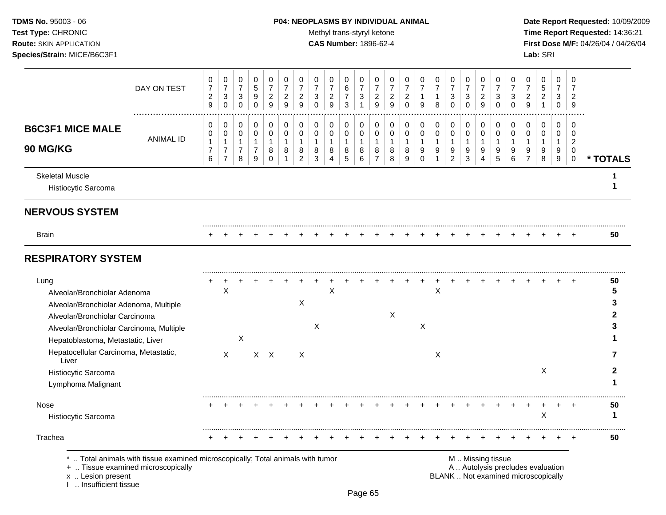## **TDMS No.** 95003 - 06 **P04: NEOPLASMS BY INDIVIDUAL ANIMAL** Date Report Requested: 10/09/2009

Test Type: CHRONIC **Test Type:** CHRONIC **Test Type:** CHRONIC **Time Report Requested:** 14:36:21 **Route:** SKIN APPLICATION **CAS Number:** 1896-62-4 **First Dose M/F:** 04/26/04 / 04/26/04

|                                                                                                                                                                                                                                            | DAY ON TEST                                                                                                        | 0<br>$\overline{7}$<br>$\overline{c}$<br>$\boldsymbol{9}$ | 0<br>$\overline{7}$<br>$\sqrt{3}$<br>$\mathbf 0$                   | 0<br>$\overline{7}$<br>$\mathbf{3}$<br>$\pmb{0}$      | 0<br>$\,$ 5 $\,$<br>9<br>$\pmb{0}$                    | 0<br>$\overline{7}$<br>$\overline{2}$<br>$\boldsymbol{9}$ | 0<br>$\overline{7}$<br>$\overline{2}$<br>9          | 0<br>$\overline{7}$<br>$\overline{2}$<br>9              | 0<br>$\overline{7}$<br>3<br>$\Omega$       | 0<br>$\overline{7}$<br>$\overline{2}$<br>9 | 0<br>$\,6$<br>$\overline{7}$<br>3 | 0<br>$\overline{7}$<br>$\mathbf{3}$<br>$\mathbf{1}$ | 0<br>$\overline{7}$<br>$\overline{2}$<br>9            | 0<br>$\overline{7}$<br>$\overline{2}$<br>9 | 0<br>7<br>$\overline{2}$<br>$\Omega$     | 0<br>$\overline{7}$<br>$\mathbf{1}$<br>9              | 0<br>$\overline{7}$<br>$\mathbf{1}$<br>8           | 0<br>$\overline{7}$<br>3<br>$\Omega$                  | 0<br>$\overline{7}$<br>3<br>$\pmb{0}$                                | 0<br>$\overline{7}$<br>$\overline{2}$<br>9              | 0<br>$\overline{7}$<br>3<br>$\Omega$     | 0<br>$\overline{7}$<br>$\mathbf{3}$<br>$\Omega$ | 0<br>$\overline{7}$<br>$\overline{2}$<br>9                               | 0<br>$\,$ 5 $\,$<br>$\overline{c}$<br>$\mathbf{1}$ | 0<br>$\overline{7}$<br>$\mathbf{3}$<br>0 | 0<br>$\overline{7}$<br>$\overline{2}$<br>9                 |                        |
|--------------------------------------------------------------------------------------------------------------------------------------------------------------------------------------------------------------------------------------------|--------------------------------------------------------------------------------------------------------------------|-----------------------------------------------------------|--------------------------------------------------------------------|-------------------------------------------------------|-------------------------------------------------------|-----------------------------------------------------------|-----------------------------------------------------|---------------------------------------------------------|--------------------------------------------|--------------------------------------------|-----------------------------------|-----------------------------------------------------|-------------------------------------------------------|--------------------------------------------|------------------------------------------|-------------------------------------------------------|----------------------------------------------------|-------------------------------------------------------|----------------------------------------------------------------------|---------------------------------------------------------|------------------------------------------|-------------------------------------------------|--------------------------------------------------------------------------|----------------------------------------------------|------------------------------------------|------------------------------------------------------------|------------------------|
| <b>B6C3F1 MICE MALE</b><br>90 MG/KG                                                                                                                                                                                                        | <b>ANIMAL ID</b>                                                                                                   | 0<br>0<br>$\mathbf{1}$<br>$\boldsymbol{7}$<br>6           | 0<br>$\pmb{0}$<br>$\mathbf{1}$<br>$\overline{7}$<br>$\overline{7}$ | 0<br>$\pmb{0}$<br>$\mathbf{1}$<br>$\overline{7}$<br>8 | 0<br>$\pmb{0}$<br>$\mathbf{1}$<br>$\overline{7}$<br>9 | 0<br>$\pmb{0}$<br>$\mathbf{1}$<br>8<br>$\mathbf 0$        | 0<br>$\pmb{0}$<br>$\mathbf{1}$<br>8<br>$\mathbf{1}$ | 0<br>$\pmb{0}$<br>$\overline{1}$<br>8<br>$\overline{c}$ | 0<br>$\mathbf 0$<br>$\mathbf{1}$<br>8<br>3 | 0<br>$\pmb{0}$<br>1<br>8<br>4              | 0<br>$\mathbf 0$<br>1<br>8<br>5   | 0<br>$\pmb{0}$<br>$\mathbf{1}$<br>8<br>$\,6\,$      | 0<br>$\pmb{0}$<br>$\mathbf{1}$<br>8<br>$\overline{7}$ | 0<br>$\pmb{0}$<br>$\mathbf{1}$<br>8<br>8   | 0<br>$\pmb{0}$<br>$\mathbf{1}$<br>8<br>9 | 0<br>$\mathbf 0$<br>$\mathbf{1}$<br>$9\,$<br>$\Omega$ | 0<br>$\pmb{0}$<br>$\mathbf{1}$<br>$\boldsymbol{9}$ | 0<br>$\pmb{0}$<br>$\mathbf{1}$<br>9<br>$\overline{c}$ | 0<br>$\pmb{0}$<br>$\mathbf{1}$<br>$\boldsymbol{9}$<br>$\mathfrak{Z}$ | 0<br>$\pmb{0}$<br>$\overline{1}$<br>9<br>$\overline{4}$ | 0<br>$\pmb{0}$<br>$\mathbf{1}$<br>9<br>5 | 0<br>$\pmb{0}$<br>$\mathbf{1}$<br>9<br>6        | 0<br>$\mathbf 0$<br>$\mathbf{1}$<br>9<br>$\overline{7}$                  | 0<br>$\pmb{0}$<br>$\mathbf{1}$<br>9<br>8           | 0<br>0<br>$\mathbf{1}$<br>9<br>$9\,$     | 0<br>$\mathbf 0$<br>$\sqrt{2}$<br>0<br>$\mathsf{O}\xspace$ | * TOTALS               |
| <b>Skeletal Muscle</b><br>Histiocytic Sarcoma                                                                                                                                                                                              |                                                                                                                    |                                                           |                                                                    |                                                       |                                                       |                                                           |                                                     |                                                         |                                            |                                            |                                   |                                                     |                                                       |                                            |                                          |                                                       |                                                    |                                                       |                                                                      |                                                         |                                          |                                                 |                                                                          |                                                    |                                          |                                                            |                        |
| <b>NERVOUS SYSTEM</b>                                                                                                                                                                                                                      |                                                                                                                    |                                                           |                                                                    |                                                       |                                                       |                                                           |                                                     |                                                         |                                            |                                            |                                   |                                                     |                                                       |                                            |                                          |                                                       |                                                    |                                                       |                                                                      |                                                         |                                          |                                                 |                                                                          |                                                    |                                          |                                                            |                        |
| <b>Brain</b>                                                                                                                                                                                                                               |                                                                                                                    |                                                           |                                                                    |                                                       |                                                       |                                                           |                                                     |                                                         |                                            |                                            |                                   |                                                     |                                                       |                                            |                                          |                                                       |                                                    |                                                       |                                                                      |                                                         |                                          |                                                 |                                                                          |                                                    |                                          |                                                            | 50                     |
| <b>RESPIRATORY SYSTEM</b>                                                                                                                                                                                                                  |                                                                                                                    |                                                           |                                                                    |                                                       |                                                       |                                                           |                                                     |                                                         |                                            |                                            |                                   |                                                     |                                                       |                                            |                                          |                                                       |                                                    |                                                       |                                                                      |                                                         |                                          |                                                 |                                                                          |                                                    |                                          |                                                            |                        |
| Lung<br>Alveolar/Bronchiolar Adenoma<br>Alveolar/Bronchiolar Adenoma, Multiple<br>Alveolar/Bronchiolar Carcinoma<br>Alveolar/Bronchiolar Carcinoma, Multiple<br>Hepatoblastoma, Metastatic, Liver<br>Hepatocellular Carcinoma, Metastatic, |                                                                                                                    |                                                           | X<br>$\mathsf{X}$                                                  | X                                                     |                                                       | $X$ $X$                                                   |                                                     | $\boldsymbol{\mathsf{X}}$<br>$\times$                   | X                                          | X                                          |                                   |                                                     |                                                       | X                                          |                                          | $\boldsymbol{\mathsf{X}}$                             | $\sf X$<br>X                                       |                                                       |                                                                      |                                                         |                                          |                                                 |                                                                          |                                                    |                                          |                                                            | 50<br>5<br>3<br>2<br>З |
| Liver<br>Histiocytic Sarcoma<br>Lymphoma Malignant                                                                                                                                                                                         |                                                                                                                    |                                                           |                                                                    |                                                       |                                                       |                                                           |                                                     |                                                         |                                            |                                            |                                   |                                                     |                                                       |                                            |                                          |                                                       |                                                    |                                                       |                                                                      |                                                         |                                          |                                                 |                                                                          | $\boldsymbol{\mathsf{X}}$                          |                                          |                                                            | 2                      |
| Nose<br>Histiocytic Sarcoma                                                                                                                                                                                                                |                                                                                                                    |                                                           |                                                                    |                                                       |                                                       |                                                           |                                                     |                                                         |                                            |                                            |                                   |                                                     |                                                       |                                            |                                          |                                                       |                                                    |                                                       |                                                                      |                                                         |                                          |                                                 |                                                                          | $\mathsf X$                                        |                                          | $\ddot{}$                                                  | 50<br>1                |
| Trachea<br>x  Lesion present<br>Insufficient tissue                                                                                                                                                                                        | Total animals with tissue examined microscopically; Total animals with tumor<br>+  Tissue examined microscopically |                                                           |                                                                    |                                                       |                                                       |                                                           |                                                     |                                                         |                                            |                                            |                                   |                                                     |                                                       |                                            |                                          |                                                       |                                                    |                                                       | M  Missing tissue                                                    |                                                         |                                          |                                                 | A  Autolysis precludes evaluation<br>BLANK  Not examined microscopically |                                                    |                                          |                                                            | 50                     |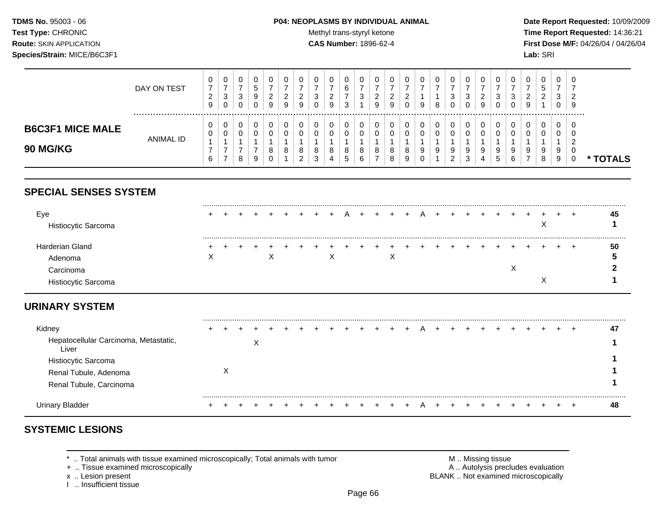### **TDMS No.** 95003 - 06 **P04: NEOPLASMS BY INDIVIDUAL ANIMAL** Date Report Requested: 10/09/2009

Test Type: CHRONIC **Test Type:** CHRONIC **Test Type:** CHRONIC **Time Report Requested:** 14:36:21 **Route:** SKIN APPLICATION **CAS Number:** 1896-62-4 **First Dose M/F:** 04/26/04 / 04/26/04

|                                            | DAY ON TEST | 9 | $\overline{0}$<br>3<br>0 | 0<br>◠<br>ັ<br>0 | v<br>C<br>9<br>0 | ◡<br>-<br>9 | a | ν<br><u>_</u><br>9      | c<br>$\sim$ | 0<br>ີ<br><u>.</u><br>9     | 0<br>6<br>3      | ◡            | υ<br>9 | U<br><u>.</u><br>0 | 9      | 0<br>8      | U<br>3<br>0                  |        | 0<br>◠<br>9       |          | U<br>0      | U<br>9 | 0<br>đ<br>ົ<br><u>.</u> | U<br>3<br>U      | −ს<br>- 9 |      |
|--------------------------------------------|-------------|---|--------------------------|------------------|------------------|-------------|---|-------------------------|-------------|-----------------------------|------------------|--------------|--------|--------------------|--------|-------------|------------------------------|--------|-------------------|----------|-------------|--------|-------------------------|------------------|-----------|------|
| <b>B6C3F1 MICE MALE</b><br><b>90 MG/KG</b> | ANIMAL ID   |   | $\mathbf{0}$<br>0<br>-   | 0<br>0<br>8      | u<br>u<br>9      |             | 8 | 0<br>8<br>⌒<br><u>_</u> | 8<br>3      | 0<br>$\mathbf{0}$<br>8<br>4 | 0<br>0<br>8<br>G | $\circ$<br>ь | 8      | υ<br>0<br>8<br>9   | U<br>9 | 0<br>0<br>9 | 0<br>U<br>9<br>ົ<br><u>_</u> | 9<br>3 | -0<br>0<br>9<br>4 | $\Omega$ | 0<br>9<br>6 | 0<br>◡ | 0<br>0<br>9<br>8        | U<br>U<br>9<br>9 | - ს       | TALS |

# **SPECIAL SENSES SYSTEM**

| Eye<br>Histiocytic Sarcoma       | $\leftarrow$      |  |   |  |  |  |  |  |  |  |  | ⋏ |  | 45 |
|----------------------------------|-------------------|--|---|--|--|--|--|--|--|--|--|---|--|----|
| Harderian Gland<br>Adenoma       | $\checkmark$<br>⌒ |  | X |  |  |  |  |  |  |  |  |   |  | 50 |
| Carcinoma<br>Histiocytic Sarcoma |                   |  |   |  |  |  |  |  |  |  |  |   |  |    |

# **URINARY SYSTEM**

| Kidney                                         |  |           |  |  |  |  |  | $+ A$ |  |  |  |  | $\div$ | 47 |
|------------------------------------------------|--|-----------|--|--|--|--|--|-------|--|--|--|--|--------|----|
| Hepatocellular Carcinoma, Metastatic,<br>Liver |  | $\lambda$ |  |  |  |  |  |       |  |  |  |  |        |    |
| Histiocytic Sarcoma                            |  |           |  |  |  |  |  |       |  |  |  |  |        |    |
| Renal Tubule, Adenoma                          |  |           |  |  |  |  |  |       |  |  |  |  |        |    |
| Renal Tubule, Carcinoma                        |  |           |  |  |  |  |  |       |  |  |  |  |        |    |
| Urinary                                        |  |           |  |  |  |  |  |       |  |  |  |  | $\div$ | 48 |

# **SYSTEMIC LESIONS**

\* .. Total animals with tissue examined microscopically; Total animals with tumor <br>
+ .. Tissue examined microscopically<br>
+ .. Tissue examined microscopically

+ .. Tissue examined microscopically

I .. Insufficient tissue

x .. Lesion present **BLANK** .. Not examined microscopically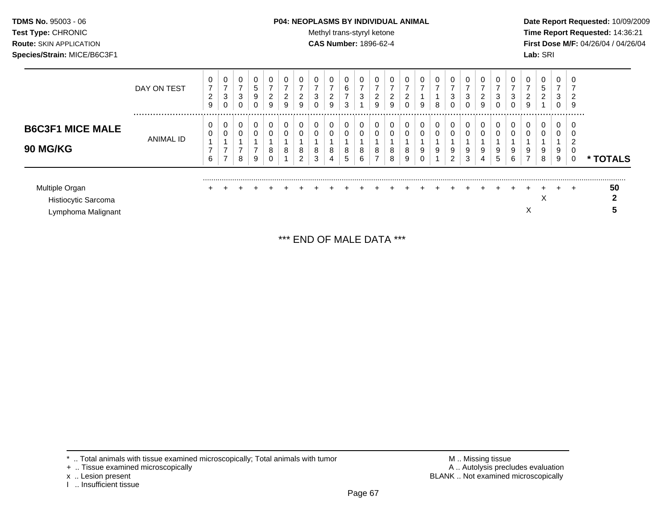### **TDMS No.** 95003 - 06 **P04: NEOPLASMS BY INDIVIDUAL ANIMAL** Date Report Requested: 10/09/2009

**Test Type:** CHRONIC **Trans-styryl ketone** Methyl trans-styryl ketone **Time Report Requested:** 14:36:21 **Route:** SKIN APPLICATION **CAS Number:** 1896-62-4 **First Dose M/F:** 04/26/04 / 04/26/04

|                                                             | DAY ON TEST      | 0<br>$\overline{7}$<br>2<br>9 | 0<br>$\overline{ }$<br>3<br>$\mathbf 0$    | 0<br>$\overline{ }$<br>3      | 0<br>$5\phantom{.0}$<br>9<br>0 | 0<br>$\overline{ }$<br>$\overline{\mathbf{c}}$<br>9 | 0<br>-<br>2<br>9 | 0<br>⇁<br>2<br>9              | 3      | 0<br>⇁<br>2<br>9 | 0<br>6<br>$\overline{ }$<br>3 | 0<br>$\overline{ }$<br>3 | 0<br>⇁<br>2<br>9         | ົ<br>$\epsilon$<br>9 | 0<br>⇁<br>2<br>0 | 0<br>$\overline{\phantom{a}}$<br>9 | 0<br>$\overline{ }$<br>8 | 0<br>$\overline{ }$<br>3<br>0 | 0<br>3 | 0<br>2<br>9      | 0<br>⇁<br>3<br>0 | 0<br>3<br>$\overline{0}$ | 0<br>⇁<br>$\overline{2}$<br>9 | 0<br>5<br>$\overline{2}$ | 0<br>3<br>0      | 0<br>2<br>9             |          |
|-------------------------------------------------------------|------------------|-------------------------------|--------------------------------------------|-------------------------------|--------------------------------|-----------------------------------------------------|------------------|-------------------------------|--------|------------------|-------------------------------|--------------------------|--------------------------|----------------------|------------------|------------------------------------|--------------------------|-------------------------------|--------|------------------|------------------|--------------------------|-------------------------------|--------------------------|------------------|-------------------------|----------|
| <b>B6C3F1 MICE MALE</b><br><b>90 MG/KG</b>                  | <b>ANIMAL ID</b> | υ<br>0<br>⇁<br>6              | 0<br>0<br>$\overline{ }$<br>$\overline{ }$ | 0<br>0<br>$\overline{ }$<br>8 | 0<br>0<br>$\overline{ }$<br>9  | 0<br>0<br>8<br>U                                    | 0<br>0<br>8      | 0<br>0<br>8<br>$\overline{2}$ | 8<br>3 | 0<br>0<br>8<br>4 | 0<br>0<br>8<br>5              | 0<br>0<br>8<br>6         | 0<br>8<br>$\overline{ }$ | 8<br>8               | 0<br>0<br>8<br>9 | 0<br>$\mathbf 0$<br>9<br>0         | 0<br>0<br>9              | 0<br>0<br>9<br>$\overline{2}$ | 9<br>3 | 0<br>0<br>9<br>4 | 0<br>0<br>9<br>5 | 0<br>0<br>9<br>6         | 0<br>9<br>$\overline{ }$      | 0<br>0<br>9<br>8         | 0<br>0<br>9<br>9 | -0<br>0<br>ົ<br>-U<br>0 | * TOTALS |
| Multiple Organ<br>Histiocytic Sarcoma<br>Lymphoma Malignant |                  | ÷                             |                                            |                               | $+$                            | ÷.                                                  |                  | $\pm$                         | $+$    | $+$              | $\ddot{}$                     | $+$                      |                          |                      |                  |                                    |                          |                               |        |                  |                  |                          | X                             | ⌒                        |                  | $\div$                  | 50<br>≏  |

\*\*\* END OF MALE DATA \*\*\*

- + .. Tissue examined microscopically
- 
- x .. Lesion present<br>I .. Insufficient tissue

\* .. Total animals with tissue examined microscopically; Total animals with tumor M .. Missing tissue M .. Missing tissue<br>
+ .. Tissue examined microscopically BLANK .. Not examined microscopically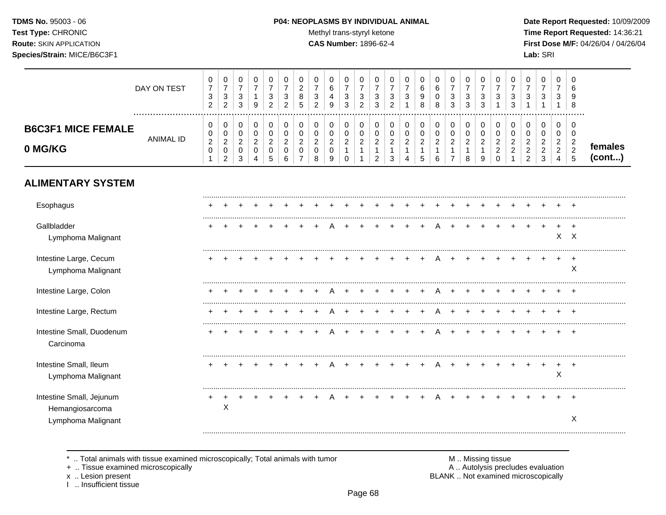## **TDMS No.** 95003 - 06 **P04: NEOPLASMS BY INDIVIDUAL ANIMAL** Date Report Requested: 10/09/2009

Test Type: CHRONIC **Test Type:** CHRONIC **Test Type:** CHRONIC **Time Report Requested:** 14:36:21 **Route:** SKIN APPLICATION **CAS Number:** 1896-62-4 **First Dose M/F:** 04/26/04 / 04/26/04

|                                              | DAY ON TEST      | 0<br>$\boldsymbol{7}$<br>$\sqrt{3}$<br>$\overline{2}$    | 0<br>$\overline{\mathbf{7}}$<br>3<br>$\overline{c}$ | 0<br>$\overline{7}$<br>3<br>3                        | 0<br>$\overline{7}$<br>$\mathbf{1}$<br>9               | 0<br>$\boldsymbol{7}$<br>3<br>$\overline{c}$                 | 0<br>$\overline{7}$<br>$\sqrt{3}$<br>$\overline{c}$    | 0<br>$\overline{c}$<br>$\,8\,$<br>5              | 0<br>$\overline{7}$<br>$\mathbf{3}$<br>$\overline{2}$ | 0<br>6<br>$\overline{4}$<br>9      | 0<br>$\overline{7}$<br>3<br>3                       | 0<br>$\overline{7}$<br>3<br>$\overline{c}$ | 0<br>$\boldsymbol{7}$<br>3<br>3                         | 0<br>$\overline{7}$<br>3<br>$\overline{2}$   | 0<br>$\overline{7}$<br>3<br>1                         | 0<br>6<br>9<br>8                                        | 0<br>6<br>0<br>8                              | 0<br>$\overline{7}$<br>3<br>3                  | 0<br>$\overline{7}$<br>3<br>3      | 0<br>$\boldsymbol{7}$<br>3<br>3                         | 0<br>$\overline{7}$<br>3                                     | 0<br>$\overline{7}$<br>3<br>3                           | 0<br>$\overline{7}$<br>3<br>1                                | 0<br>$\overline{7}$<br>3<br>-1                  | 0<br>$\overline{7}$<br>3                                                     | $\Omega$<br>6<br>9<br>8                                                |                   |
|----------------------------------------------|------------------|----------------------------------------------------------|-----------------------------------------------------|------------------------------------------------------|--------------------------------------------------------|--------------------------------------------------------------|--------------------------------------------------------|--------------------------------------------------|-------------------------------------------------------|------------------------------------|-----------------------------------------------------|--------------------------------------------|---------------------------------------------------------|----------------------------------------------|-------------------------------------------------------|---------------------------------------------------------|-----------------------------------------------|------------------------------------------------|------------------------------------|---------------------------------------------------------|--------------------------------------------------------------|---------------------------------------------------------|--------------------------------------------------------------|-------------------------------------------------|------------------------------------------------------------------------------|------------------------------------------------------------------------|-------------------|
| <b>B6C3F1 MICE FEMALE</b><br>0 MG/KG         | <b>ANIMAL ID</b> | 0<br>0<br>$\boldsymbol{2}$<br>$\mathbf 0$<br>$\mathbf 1$ | 0<br>0<br>$\overline{c}$<br>$\pmb{0}$<br>2          | 0<br>$\mathbf 0$<br>$\overline{2}$<br>$\pmb{0}$<br>3 | 0<br>$\mathbf 0$<br>$\overline{c}$<br>$\mathbf 0$<br>4 | 0<br>$\mathsf{O}\xspace$<br>$\overline{c}$<br>$\pmb{0}$<br>5 | 0<br>$\mathbf 0$<br>$\overline{c}$<br>$\mathbf 0$<br>6 | 0<br>$\mathsf{O}\xspace$<br>$\sqrt{2}$<br>0<br>7 | 0<br>$\mathbf 0$<br>$\sqrt{2}$<br>0<br>8              | 0<br>0<br>$\overline{c}$<br>0<br>9 | 0<br>$\mathbf 0$<br>$\overline{2}$<br>1<br>$\Omega$ | 0<br>$\mathbf 0$<br>$\boldsymbol{2}$<br>1  | 0<br>$\mathbf 0$<br>$\overline{c}$<br>$\mathbf{1}$<br>2 | 0<br>$\mathbf 0$<br>$\overline{c}$<br>1<br>3 | 0<br>$\pmb{0}$<br>$\overline{c}$<br>$\mathbf{1}$<br>4 | 0<br>$\mathbf 0$<br>$\overline{c}$<br>$\mathbf{1}$<br>5 | 0<br>0<br>$\overline{c}$<br>$\mathbf{1}$<br>6 | 0<br>$\mathbf 0$<br>$\sqrt{2}$<br>$\mathbf{1}$ | 0<br>0<br>$\overline{c}$<br>1<br>8 | 0<br>$\pmb{0}$<br>$\boldsymbol{2}$<br>$\mathbf{1}$<br>9 | 0<br>$\mathbf 0$<br>$\sqrt{2}$<br>$\overline{c}$<br>$\Omega$ | 0<br>$\pmb{0}$<br>$\overline{c}$<br>$\overline{c}$<br>1 | 0<br>0<br>$\overline{2}$<br>$\overline{a}$<br>$\overline{2}$ | 0<br>0<br>$\overline{c}$<br>$\overline{2}$<br>3 | $\mathbf 0$<br>$\mathbf 0$<br>$\sqrt{2}$<br>$\overline{c}$<br>$\overline{4}$ | 0<br>$\mathbf 0$<br>$\overline{c}$<br>$\overline{2}$<br>$5\phantom{1}$ | females<br>(cont) |
| <b>ALIMENTARY SYSTEM</b>                     |                  |                                                          |                                                     |                                                      |                                                        |                                                              |                                                        |                                                  |                                                       |                                    |                                                     |                                            |                                                         |                                              |                                                       |                                                         |                                               |                                                |                                    |                                                         |                                                              |                                                         |                                                              |                                                 |                                                                              |                                                                        |                   |
| Esophagus                                    |                  |                                                          |                                                     |                                                      |                                                        |                                                              |                                                        |                                                  |                                                       |                                    |                                                     |                                            |                                                         |                                              |                                                       |                                                         |                                               |                                                |                                    |                                                         |                                                              |                                                         |                                                              |                                                 |                                                                              |                                                                        |                   |
| Gallbladder<br>Lymphoma Malignant            |                  |                                                          |                                                     |                                                      |                                                        |                                                              |                                                        |                                                  |                                                       |                                    |                                                     |                                            |                                                         |                                              |                                                       |                                                         |                                               |                                                |                                    |                                                         |                                                              |                                                         |                                                              |                                                 |                                                                              | $\overline{+}$<br>$X$ $X$                                              |                   |
| Intestine Large, Cecum<br>Lymphoma Malignant |                  |                                                          |                                                     |                                                      |                                                        |                                                              |                                                        |                                                  |                                                       |                                    |                                                     |                                            |                                                         |                                              |                                                       |                                                         |                                               |                                                |                                    |                                                         |                                                              |                                                         |                                                              |                                                 |                                                                              | $\overline{1}$<br>X                                                    |                   |
| Intestine Large, Colon                       |                  |                                                          |                                                     |                                                      |                                                        |                                                              |                                                        |                                                  |                                                       |                                    |                                                     |                                            |                                                         |                                              |                                                       |                                                         |                                               |                                                |                                    |                                                         |                                                              |                                                         |                                                              |                                                 |                                                                              |                                                                        |                   |
| Intestine Large, Rectum                      |                  |                                                          |                                                     |                                                      |                                                        |                                                              |                                                        |                                                  |                                                       |                                    |                                                     |                                            |                                                         |                                              |                                                       |                                                         |                                               |                                                |                                    |                                                         |                                                              |                                                         |                                                              |                                                 |                                                                              | $^+$                                                                   |                   |
| Intestine Small, Duodenum<br>Carcinoma       |                  |                                                          |                                                     |                                                      |                                                        |                                                              |                                                        |                                                  |                                                       |                                    |                                                     |                                            |                                                         |                                              |                                                       |                                                         |                                               |                                                |                                    |                                                         |                                                              |                                                         |                                                              |                                                 |                                                                              | $\overline{1}$                                                         |                   |
| Intestine Small, Ileum<br>Lymphoma Malignant |                  |                                                          |                                                     |                                                      |                                                        |                                                              |                                                        |                                                  |                                                       |                                    |                                                     |                                            |                                                         |                                              |                                                       |                                                         |                                               |                                                |                                    |                                                         |                                                              |                                                         |                                                              |                                                 | $\ddot{}$<br>X                                                               | $\overline{+}$                                                         |                   |
| Intestine Small, Jejunum<br>Hemangiosarcoma  |                  |                                                          | X                                                   |                                                      |                                                        |                                                              |                                                        |                                                  |                                                       |                                    |                                                     |                                            |                                                         |                                              |                                                       |                                                         |                                               |                                                |                                    |                                                         |                                                              |                                                         |                                                              |                                                 |                                                                              | $\overline{+}$                                                         |                   |
| Lymphoma Malignant                           |                  |                                                          |                                                     |                                                      |                                                        |                                                              |                                                        |                                                  |                                                       |                                    |                                                     |                                            |                                                         |                                              |                                                       |                                                         |                                               |                                                |                                    |                                                         |                                                              |                                                         |                                                              |                                                 |                                                                              | X                                                                      |                   |

\* .. Total animals with tissue examined microscopically; Total animals with tumor M .. Missing tissue M .. Missing tissue<br>
+ .. Tissue examined microscopically

+ .. Tissue examined microscopically

x .. Lesion present<br>I .. Insufficient tissue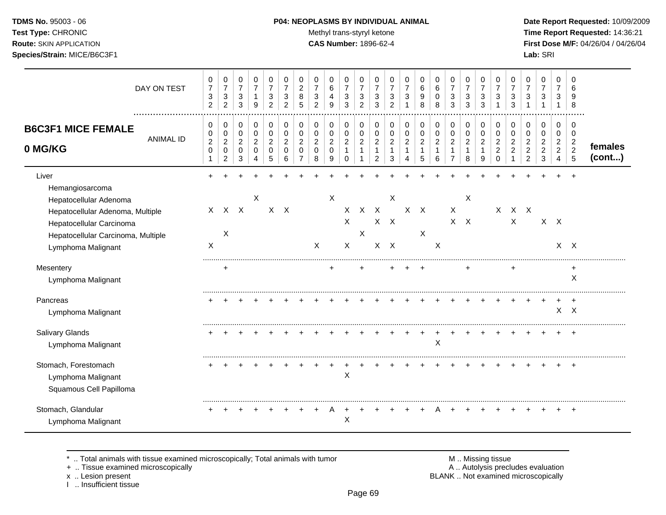## **TDMS No.** 95003 - 06 **P04: NEOPLASMS BY INDIVIDUAL ANIMAL** Date Report Requested: 10/09/2009

**Test Type:** CHRONIC **Trans-styryl ketone** Methyl trans-styryl ketone **Time Report Requested:** 14:36:21 **Route:** SKIN APPLICATION **CAS Number:** 1896-62-4 **First Dose M/F:** 04/26/04 / 04/26/04 **Species/Strain:** MICE/B6C3F1 **Lab:** SRI

|                                                                                                                                                          | DAY ON TEST      | 0<br>$\overline{7}$<br>$\sqrt{3}$<br>$\overline{2}$ | 0<br>$\boldsymbol{7}$<br>$\sqrt{3}$<br>$\overline{2}$ | 0<br>$\overline{7}$<br>3<br>3                        | 0<br>$\overline{7}$<br>$\mathbf{1}$<br>9               | 0<br>$\overline{7}$<br>3<br>2                        | 0<br>$\overline{7}$<br>3<br>2                       | 0<br>$\overline{c}$<br>8<br>5             | $\Omega$<br>$\overline{7}$<br>3<br>$\overline{2}$   | 0<br>6<br>4<br>9                               | 0<br>$\overline{7}$<br>3<br>3                        | 0<br>$\overline{7}$<br>3<br>2                 | 0<br>$\overline{7}$<br>3<br>3                         | 0<br>$\overline{7}$<br>3<br>$\overline{c}$              | 0<br>$\overline{7}$<br>3                      | 0<br>$\,6$<br>9<br>8                              | 0<br>6<br>0<br>8                   | 0<br>$\overline{7}$<br>3<br>3                                        | 0<br>$\overline{7}$<br>3<br>3                     | 0<br>$\overline{7}$<br>3<br>3                         | 0<br>$\overline{7}$<br>3                                         | 0<br>$\overline{7}$<br>3<br>3                                | 0<br>$\overline{7}$<br>3                                     | 0<br>$\overline{7}$<br>3                        | 0<br>$\overline{7}$<br>3                                     | $\Omega$<br>6<br>9<br>8                     |                   |
|----------------------------------------------------------------------------------------------------------------------------------------------------------|------------------|-----------------------------------------------------|-------------------------------------------------------|------------------------------------------------------|--------------------------------------------------------|------------------------------------------------------|-----------------------------------------------------|-------------------------------------------|-----------------------------------------------------|------------------------------------------------|------------------------------------------------------|-----------------------------------------------|-------------------------------------------------------|---------------------------------------------------------|-----------------------------------------------|---------------------------------------------------|------------------------------------|----------------------------------------------------------------------|---------------------------------------------------|-------------------------------------------------------|------------------------------------------------------------------|--------------------------------------------------------------|--------------------------------------------------------------|-------------------------------------------------|--------------------------------------------------------------|---------------------------------------------|-------------------|
| <b>B6C3F1 MICE FEMALE</b><br>0 MG/KG                                                                                                                     | <b>ANIMAL ID</b> | 0<br>0<br>$\boldsymbol{2}$<br>$\mathbf 0$           | 0<br>$\pmb{0}$<br>$\overline{2}$<br>$\mathbf 0$<br>2  | 0<br>$\pmb{0}$<br>$\overline{c}$<br>$\mathbf 0$<br>3 | 0<br>$\pmb{0}$<br>$\boldsymbol{2}$<br>$\mathbf 0$<br>4 | 0<br>$\pmb{0}$<br>$\overline{c}$<br>$\mathbf 0$<br>5 | 0<br>$\mathbf 0$<br>$\overline{2}$<br>$\Omega$<br>6 | 0<br>0<br>$\overline{c}$<br>$\Omega$<br>7 | 0<br>$\mathbf 0$<br>$\overline{2}$<br>$\Omega$<br>8 | 0<br>0<br>$\boldsymbol{2}$<br>$\mathbf 0$<br>9 | 0<br>$\pmb{0}$<br>$\overline{2}$<br>1<br>$\mathbf 0$ | 0<br>$\pmb{0}$<br>$\sqrt{2}$<br>1<br>1        | 0<br>$\,0\,$<br>$\boldsymbol{2}$<br>$\mathbf{1}$<br>2 | 0<br>$\pmb{0}$<br>$\boldsymbol{2}$<br>$\mathbf{1}$<br>3 | 0<br>0<br>$\overline{2}$<br>$\mathbf{1}$<br>4 | 0<br>$\pmb{0}$<br>$\sqrt{2}$<br>$\mathbf{1}$<br>5 | 0<br>0<br>$\overline{2}$<br>1<br>6 | 0<br>$\pmb{0}$<br>$\boldsymbol{2}$<br>$\mathbf{1}$<br>$\overline{7}$ | 0<br>$\pmb{0}$<br>$\sqrt{2}$<br>$\mathbf{1}$<br>8 | 0<br>$\pmb{0}$<br>$\overline{c}$<br>$\mathbf{1}$<br>9 | 0<br>$\mathbf 0$<br>$\overline{2}$<br>$\overline{2}$<br>$\Omega$ | 0<br>0<br>$\boldsymbol{2}$<br>$\overline{2}$<br>$\mathbf{1}$ | 0<br>0<br>$\overline{c}$<br>$\overline{c}$<br>$\overline{2}$ | 0<br>0<br>$\overline{2}$<br>$\overline{c}$<br>3 | 0<br>0<br>$\overline{c}$<br>$\overline{c}$<br>$\overline{4}$ | 0<br>0<br>$\overline{c}$<br>$\sqrt{2}$<br>5 | females<br>(cont) |
| Liver<br>Hemangiosarcoma<br>Hepatocellular Adenoma<br>Hepatocellular Adenoma, Multiple<br>Hepatocellular Carcinoma<br>Hepatocellular Carcinoma, Multiple |                  | $\mathsf{X}$                                        | X                                                     | $X$ $X$                                              | $\boldsymbol{\mathsf{X}}$                              |                                                      | $X$ $X$                                             |                                           | $\sf X$                                             | $\boldsymbol{\mathsf{X}}$                      | $X -$<br>$\times$<br>$\mathsf{X}$                    | $\boldsymbol{\mathsf{X}}$<br>$\boldsymbol{X}$ | $\mathsf{X}$                                          | X<br>$X$ $X$<br>$X$ $X$                                 | $\mathsf{X}$                                  | $\mathsf{X}$<br>X                                 |                                    | $\mathsf{X}$                                                         | X<br>$X$ $X$                                      |                                                       | $\boldsymbol{\mathsf{X}}$                                        | $\mathsf{X}$                                                 | $X$ $X$                                                      |                                                 | $X$ $X$                                                      | $X$ $X$                                     |                   |
| Lymphoma Malignant<br>Mesentery<br>Lymphoma Malignant                                                                                                    |                  | X                                                   | $\ddot{}$                                             |                                                      |                                                        |                                                      |                                                     |                                           |                                                     |                                                |                                                      |                                               |                                                       |                                                         |                                               |                                                   | X                                  |                                                                      |                                                   |                                                       |                                                                  |                                                              |                                                              |                                                 |                                                              | +<br>X                                      |                   |
| Pancreas<br>Lymphoma Malignant                                                                                                                           |                  |                                                     |                                                       |                                                      |                                                        |                                                      |                                                     |                                           |                                                     |                                                |                                                      |                                               |                                                       |                                                         |                                               |                                                   |                                    |                                                                      |                                                   |                                                       |                                                                  |                                                              |                                                              |                                                 | $\mathsf X$                                                  | $\ddot{}$<br>$\mathsf{X}$                   |                   |
| Salivary Glands<br>Lymphoma Malignant                                                                                                                    |                  |                                                     |                                                       |                                                      |                                                        |                                                      |                                                     |                                           |                                                     |                                                |                                                      |                                               |                                                       |                                                         |                                               |                                                   | X                                  |                                                                      |                                                   |                                                       |                                                                  |                                                              |                                                              |                                                 |                                                              | $\div$                                      |                   |
| Stomach, Forestomach<br>Lymphoma Malignant<br>Squamous Cell Papilloma                                                                                    |                  |                                                     |                                                       |                                                      |                                                        |                                                      |                                                     |                                           |                                                     |                                                | $\mathsf X$                                          |                                               |                                                       |                                                         |                                               |                                                   |                                    |                                                                      |                                                   |                                                       |                                                                  |                                                              |                                                              |                                                 |                                                              |                                             |                   |
| Stomach, Glandular<br>Lymphoma Malignant                                                                                                                 |                  |                                                     |                                                       |                                                      |                                                        |                                                      |                                                     |                                           |                                                     |                                                | $\boldsymbol{\mathsf{X}}$                            |                                               |                                                       |                                                         |                                               |                                                   |                                    |                                                                      |                                                   |                                                       |                                                                  |                                                              |                                                              |                                                 | +                                                            | $\ddot{}$                                   |                   |

\* .. Total animals with tissue examined microscopically; Total animals with tumor M .. Missing tissue M .. Missing tissue<br>
+ .. Tissue examined microscopically

+ .. Tissue examined microscopically

x .. Lesion present<br>I .. Insufficient tissue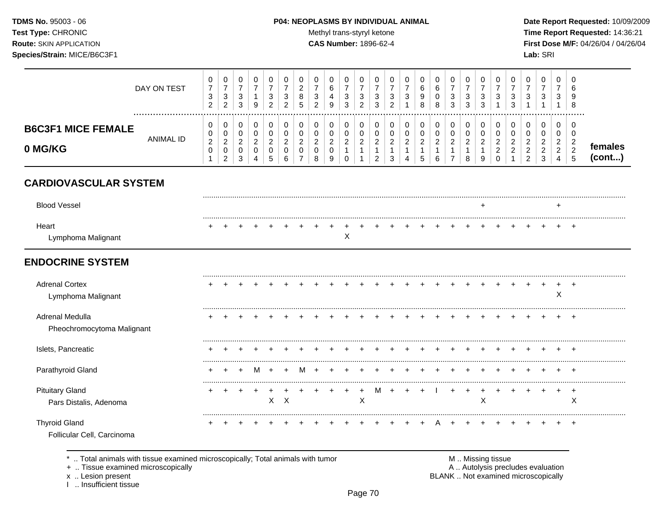TDMS No. 95003 - 06 Test Type: CHRONIC **Route: SKIN APPLICATION** Species/Strain: MICE/B6C3F1

#### P04: NEOPLASMS BY INDIVIDUAL ANIMAL

Methyl trans-styryl ketone

CAS Number: 1896-62-4

Date Report Requested: 10/09/2009 Time Report Requested: 14:36:21 First Dose M/F: 04/26/04 / 04/26/04 Lab: SRI

|                                                    | DAY ON TEST      | 0<br>$\overline{7}$<br>$\mathbf{3}$<br>$\overline{2}$ | 0<br>$\overline{7}$<br>3<br>$\overline{2}$                      | 0<br>$\boldsymbol{7}$<br>$\mathbf{3}$<br>$\mathbf{3}$          | 0<br>$\overline{7}$<br>$\mathbf{1}$<br>$9\,$                 | 0<br>$\overline{7}$<br>$\sqrt{3}$<br>$\overline{c}$              | 0<br>$\overline{7}$<br>3<br>$\overline{c}$           | 0<br>$\overline{2}$<br>8<br>5              | 0<br>$\overline{7}$<br>3<br>$\overline{2}$                     | 0<br>6<br>$\overline{4}$<br>9              | 0<br>$\overline{7}$<br>$\mathbf{3}$<br>3                | 0<br>$\overline{7}$<br>3<br>$\overline{c}$                                | 0<br>$\overline{7}$<br>3<br>3                                     | 0<br>$\overline{7}$<br>3<br>$\overline{2}$                       | 0<br>$\overline{7}$<br>3                                          | 0<br>6<br>9<br>8                                        | 0<br>6<br>$\mathbf 0$<br>8                            | 0<br>$\overline{7}$<br>3<br>$\sqrt{3}$                                       | 0<br>$\overline{7}$<br>3<br>3                                     | 0<br>$\overline{7}$<br>3<br>$\sqrt{3}$                            | 0<br>$\overline{7}$<br>3<br>1                              | $\Omega$<br>$\overline{7}$<br>3<br>3                 | 0<br>$\overline{7}$<br>3                                 | 0<br>$\overline{7}$<br>3<br>$\mathbf{1}$        | $\Omega$<br>$\overline{7}$<br>3<br>-1                             | $\Omega$<br>6<br>9<br>8                                   |                   |
|----------------------------------------------------|------------------|-------------------------------------------------------|-----------------------------------------------------------------|----------------------------------------------------------------|--------------------------------------------------------------|------------------------------------------------------------------|------------------------------------------------------|--------------------------------------------|----------------------------------------------------------------|--------------------------------------------|---------------------------------------------------------|---------------------------------------------------------------------------|-------------------------------------------------------------------|------------------------------------------------------------------|-------------------------------------------------------------------|---------------------------------------------------------|-------------------------------------------------------|------------------------------------------------------------------------------|-------------------------------------------------------------------|-------------------------------------------------------------------|------------------------------------------------------------|------------------------------------------------------|----------------------------------------------------------|-------------------------------------------------|-------------------------------------------------------------------|-----------------------------------------------------------|-------------------|
| <b>B6C3F1 MICE FEMALE</b><br>0 MG/KG               | <b>ANIMAL ID</b> | 0<br>0<br>$\sqrt{2}$<br>$\pmb{0}$<br>$\mathbf{1}$     | 0<br>$\pmb{0}$<br>$\overline{c}$<br>$\pmb{0}$<br>$\overline{2}$ | $\mathbf 0$<br>$\pmb{0}$<br>$\boldsymbol{2}$<br>$\pmb{0}$<br>3 | $\pmb{0}$<br>$\pmb{0}$<br>$\overline{c}$<br>$\mathbf 0$<br>4 | $\mathbf 0$<br>$\pmb{0}$<br>$\boldsymbol{2}$<br>$\mathbf 0$<br>5 | $\mathbf 0$<br>$\pmb{0}$<br>$\overline{2}$<br>0<br>6 | $\pmb{0}$<br>0<br>$\overline{c}$<br>0<br>7 | $\mathbf 0$<br>$\pmb{0}$<br>$\overline{c}$<br>$\mathbf 0$<br>8 | 0<br>$\pmb{0}$<br>$\overline{c}$<br>0<br>9 | 0<br>0<br>$\overline{a}$<br>$\mathbf{1}$<br>$\mathbf 0$ | $\mathbf 0$<br>$\pmb{0}$<br>$\overline{c}$<br>$\mathbf{1}$<br>$\mathbf 1$ | 0<br>$\pmb{0}$<br>$\overline{c}$<br>$\mathbf 1$<br>$\overline{2}$ | 0<br>$\pmb{0}$<br>$\overline{c}$<br>$\mathbf{1}$<br>$\mathbf{3}$ | $\mathbf 0$<br>$\mathbf 0$<br>$\overline{c}$<br>$\mathbf{1}$<br>Δ | 0<br>$\pmb{0}$<br>$\boldsymbol{2}$<br>$\mathbf{1}$<br>5 | 0<br>$\pmb{0}$<br>$\overline{c}$<br>$\mathbf{1}$<br>6 | $\mathbf 0$<br>$\pmb{0}$<br>$\overline{c}$<br>$\mathbf{1}$<br>$\overline{7}$ | $\pmb{0}$<br>$\mathbf 0$<br>$\boldsymbol{2}$<br>$\mathbf{1}$<br>8 | $\mathbf 0$<br>$\pmb{0}$<br>$\overline{2}$<br>$\overline{1}$<br>9 | $\pmb{0}$<br>0<br>$\overline{2}$<br>$\sqrt{2}$<br>$\Omega$ | $\mathbf 0$<br>0<br>$\overline{c}$<br>$\overline{c}$ | 0<br>0<br>$\overline{c}$<br>$\sqrt{2}$<br>$\overline{2}$ | 0<br>0<br>$\overline{2}$<br>$\overline{2}$<br>3 | $\mathbf 0$<br>$\pmb{0}$<br>$\overline{c}$<br>$\overline{2}$<br>4 | $\mathbf 0$<br>0<br>$\overline{2}$<br>$\overline{c}$<br>5 | females<br>(cont) |
| <b>CARDIOVASCULAR SYSTEM</b>                       |                  |                                                       |                                                                 |                                                                |                                                              |                                                                  |                                                      |                                            |                                                                |                                            |                                                         |                                                                           |                                                                   |                                                                  |                                                                   |                                                         |                                                       |                                                                              |                                                                   |                                                                   |                                                            |                                                      |                                                          |                                                 |                                                                   |                                                           |                   |
| <b>Blood Vessel</b>                                |                  |                                                       |                                                                 |                                                                |                                                              |                                                                  |                                                      |                                            |                                                                |                                            |                                                         |                                                                           |                                                                   |                                                                  |                                                                   |                                                         |                                                       |                                                                              |                                                                   | $\ddot{}$                                                         |                                                            |                                                      |                                                          |                                                 | $\ddot{}$                                                         |                                                           |                   |
| Heart<br>Lymphoma Malignant                        |                  |                                                       |                                                                 |                                                                |                                                              |                                                                  |                                                      |                                            |                                                                |                                            | X                                                       |                                                                           |                                                                   |                                                                  |                                                                   |                                                         |                                                       |                                                                              |                                                                   |                                                                   |                                                            |                                                      |                                                          |                                                 |                                                                   |                                                           |                   |
| <b>ENDOCRINE SYSTEM</b>                            |                  |                                                       |                                                                 |                                                                |                                                              |                                                                  |                                                      |                                            |                                                                |                                            |                                                         |                                                                           |                                                                   |                                                                  |                                                                   |                                                         |                                                       |                                                                              |                                                                   |                                                                   |                                                            |                                                      |                                                          |                                                 |                                                                   |                                                           |                   |
| <b>Adrenal Cortex</b><br>Lymphoma Malignant        |                  |                                                       |                                                                 |                                                                |                                                              |                                                                  |                                                      |                                            |                                                                |                                            |                                                         |                                                                           |                                                                   |                                                                  |                                                                   |                                                         |                                                       |                                                                              |                                                                   |                                                                   |                                                            |                                                      |                                                          |                                                 | X                                                                 |                                                           |                   |
| Adrenal Medulla<br>Pheochromocytoma Malignant      |                  |                                                       |                                                                 |                                                                |                                                              |                                                                  |                                                      |                                            |                                                                |                                            |                                                         |                                                                           |                                                                   |                                                                  |                                                                   |                                                         |                                                       |                                                                              |                                                                   |                                                                   |                                                            |                                                      |                                                          |                                                 |                                                                   |                                                           |                   |
| Islets, Pancreatic                                 |                  |                                                       |                                                                 |                                                                |                                                              |                                                                  |                                                      |                                            |                                                                |                                            |                                                         |                                                                           |                                                                   |                                                                  |                                                                   |                                                         |                                                       |                                                                              |                                                                   |                                                                   |                                                            |                                                      |                                                          |                                                 |                                                                   |                                                           |                   |
| Parathyroid Gland                                  |                  |                                                       |                                                                 |                                                                |                                                              |                                                                  |                                                      |                                            |                                                                |                                            |                                                         |                                                                           |                                                                   |                                                                  |                                                                   |                                                         |                                                       |                                                                              |                                                                   |                                                                   |                                                            |                                                      |                                                          |                                                 |                                                                   |                                                           |                   |
| <b>Pituitary Gland</b><br>Pars Distalis, Adenoma   |                  |                                                       | $\ddot{}$                                                       | $\ddot{}$                                                      | $\ddot{}$                                                    | $\ddot{}$<br>X                                                   | $\sf X$                                              |                                            |                                                                |                                            | $\ddot{}$                                               | +<br>$\boldsymbol{\mathsf{X}}$                                            | м                                                                 |                                                                  |                                                                   | $\ddot{}$                                               |                                                       |                                                                              | $\ddot{}$                                                         | X                                                                 |                                                            |                                                      |                                                          | $\ddot{}$                                       | $\ddot{}$                                                         | $\ddot{}$<br>X                                            |                   |
| <b>Thyroid Gland</b><br>Follicular Cell, Carcinoma |                  |                                                       |                                                                 |                                                                |                                                              |                                                                  |                                                      |                                            |                                                                |                                            |                                                         |                                                                           |                                                                   |                                                                  |                                                                   |                                                         |                                                       |                                                                              |                                                                   |                                                                   |                                                            |                                                      |                                                          |                                                 |                                                                   |                                                           |                   |

+ .. Tissue examined microscopically

x .. Lesion present<br>I .. Insufficient tissue

A .. Autolysis precludes evaluation BLANK .. Not examined microscopically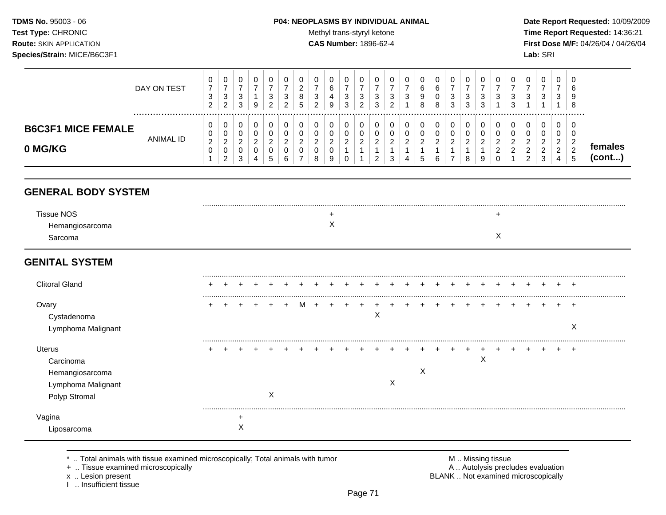TDMS No. 95003 - 06 Test Type: CHRONIC **Route: SKIN APPLICATION** Species/Strain: MICE/B6C3F1

#### P04: NEOPLASMS BY INDIVIDUAL ANIMAL

Methyl trans-styryl ketone

**CAS Number: 1896-62-4** 

Date Report Requested: 10/09/2009 Time Report Requested: 14:36:21 First Dose M/F: 04/26/04 / 04/26/04 Lab: SRI

|                                                                                      | DAY ON TEST      | 0<br>$\overline{7}$<br>$\sqrt{3}$<br>$\overline{2}$ | 0<br>$\overline{7}$<br>$\mathsf 3$<br>$\overline{c}$              | 0<br>$\boldsymbol{7}$<br>$\ensuremath{\mathsf{3}}$<br>3 | 0<br>$\overline{7}$<br>$\mathbf{1}$<br>9      | 0<br>7<br>$\mathbf{3}$<br>2                       | 0<br>7<br>3<br>2                                    | 0<br>2<br>8<br>5                                               | 0<br>$\overline{7}$<br>$\sqrt{3}$<br>$\overline{2}$    | 0<br>$\,6\,$<br>$\overline{4}$<br>9                  | 0<br>$\overline{7}$<br>$\sqrt{3}$<br>3                       | 0<br>$\overline{7}$<br>$\sqrt{3}$<br>2 | 0<br>7<br>3<br>3                                          | 0<br>7<br>3<br>$\overline{2}$        | 0<br>$\overline{7}$<br>$\mathbf{3}$               | 0<br>6<br>$\boldsymbol{9}$<br>8                       | 0<br>6<br>$\pmb{0}$<br>8              | 0<br>$\boldsymbol{7}$<br>$\sqrt{3}$<br>3                           | 0<br>$\overline{7}$<br>3<br>3                | 0<br>$\overline{7}$<br>$\mathbf{3}$<br>3 | 0<br>7<br>3                                            | 0<br>$\overline{7}$<br>3<br>3                      | 0<br>$\overline{7}$<br>3<br>1                   | 0<br>$\overline{7}$<br>$\ensuremath{\mathsf{3}}$<br>$\mathbf{1}$     | 0<br>$\overline{7}$<br>3<br>1                                          | $\Omega$<br>6<br>9<br>8                |                   |
|--------------------------------------------------------------------------------------|------------------|-----------------------------------------------------|-------------------------------------------------------------------|---------------------------------------------------------|-----------------------------------------------|---------------------------------------------------|-----------------------------------------------------|----------------------------------------------------------------|--------------------------------------------------------|------------------------------------------------------|--------------------------------------------------------------|----------------------------------------|-----------------------------------------------------------|--------------------------------------|---------------------------------------------------|-------------------------------------------------------|---------------------------------------|--------------------------------------------------------------------|----------------------------------------------|------------------------------------------|--------------------------------------------------------|----------------------------------------------------|-------------------------------------------------|----------------------------------------------------------------------|------------------------------------------------------------------------|----------------------------------------|-------------------|
| <b>B6C3F1 MICE FEMALE</b><br>0 MG/KG                                                 | <b>ANIMAL ID</b> | 0<br>0<br>$\sqrt{2}$<br>$\mathbf 0$                 | 0<br>$\pmb{0}$<br>$\overline{c}$<br>$\mathbf 0$<br>$\overline{c}$ | 0<br>$\pmb{0}$<br>$\overline{a}$<br>0<br>3              | 0<br>$\pmb{0}$<br>$\sqrt{2}$<br>$\Omega$<br>4 | 0<br>$\pmb{0}$<br>$\overline{2}$<br>$\Omega$<br>5 | 0<br>$\mathbf 0$<br>$\overline{2}$<br>$\Omega$<br>6 | 0<br>$\pmb{0}$<br>$\overline{2}$<br>$\Omega$<br>$\overline{7}$ | 0<br>$\pmb{0}$<br>$\boldsymbol{2}$<br>$\mathbf 0$<br>8 | 0<br>$\pmb{0}$<br>$\overline{c}$<br>$\mathbf 0$<br>9 | 0<br>$\pmb{0}$<br>$\overline{a}$<br>$\mathbf{1}$<br>$\Omega$ | 0<br>$\pmb{0}$<br>$\sqrt{2}$           | 0<br>$\mathbf 0$<br>$\overline{c}$<br>1<br>$\overline{2}$ | 0<br>0<br>$\boldsymbol{2}$<br>1<br>3 | 0<br>$\pmb{0}$<br>$\sqrt{2}$<br>$\mathbf{1}$<br>Δ | 0<br>$\pmb{0}$<br>$\overline{a}$<br>$\mathbf{1}$<br>5 | 0<br>$\pmb{0}$<br>$\overline{2}$<br>6 | 0<br>$\pmb{0}$<br>$\overline{2}$<br>$\mathbf{1}$<br>$\overline{7}$ | 0<br>$\pmb{0}$<br>$\boldsymbol{2}$<br>1<br>8 | 0<br>$\mathbf 0$<br>$\overline{2}$<br>9  | 0<br>0<br>$\overline{c}$<br>$\overline{c}$<br>$\Omega$ | 0<br>$\pmb{0}$<br>$\overline{c}$<br>$\overline{c}$ | 0<br>0<br>$\overline{2}$<br>$\overline{2}$<br>2 | 0<br>$\mathbf 0$<br>$\overline{2}$<br>$\overline{a}$<br>$\mathbf{3}$ | 0<br>$\mathbf 0$<br>$\overline{c}$<br>$\overline{2}$<br>$\overline{4}$ | 0<br>$\mathbf 0$<br>$\frac{2}{2}$<br>5 | females<br>(cont) |
| <b>GENERAL BODY SYSTEM</b>                                                           |                  |                                                     |                                                                   |                                                         |                                               |                                                   |                                                     |                                                                |                                                        |                                                      |                                                              |                                        |                                                           |                                      |                                                   |                                                       |                                       |                                                                    |                                              |                                          |                                                        |                                                    |                                                 |                                                                      |                                                                        |                                        |                   |
| <b>Tissue NOS</b><br>Hemangiosarcoma<br>Sarcoma                                      |                  |                                                     |                                                                   |                                                         |                                               |                                                   |                                                     |                                                                |                                                        | $\pm$<br>X                                           |                                                              |                                        |                                                           |                                      |                                                   |                                                       |                                       |                                                                    |                                              |                                          | $\div$<br>X                                            |                                                    |                                                 |                                                                      |                                                                        |                                        |                   |
| <b>GENITAL SYSTEM</b>                                                                |                  |                                                     |                                                                   |                                                         |                                               |                                                   |                                                     |                                                                |                                                        |                                                      |                                                              |                                        |                                                           |                                      |                                                   |                                                       |                                       |                                                                    |                                              |                                          |                                                        |                                                    |                                                 |                                                                      |                                                                        |                                        |                   |
| <b>Clitoral Gland</b>                                                                |                  |                                                     |                                                                   |                                                         |                                               |                                                   |                                                     |                                                                |                                                        |                                                      |                                                              |                                        |                                                           |                                      |                                                   |                                                       |                                       |                                                                    |                                              |                                          |                                                        |                                                    |                                                 |                                                                      |                                                                        |                                        |                   |
| Ovary<br>Cystadenoma<br>Lymphoma Malignant                                           |                  |                                                     |                                                                   |                                                         |                                               |                                                   |                                                     |                                                                |                                                        |                                                      |                                                              |                                        | X                                                         |                                      |                                                   |                                                       |                                       |                                                                    |                                              |                                          |                                                        |                                                    |                                                 |                                                                      |                                                                        | $\ddot{}$<br>X                         |                   |
| <b>Uterus</b><br>Carcinoma<br>Hemangiosarcoma<br>Lymphoma Malignant<br>Polyp Stromal |                  |                                                     |                                                                   |                                                         |                                               | $\mathsf{X}$                                      |                                                     |                                                                |                                                        |                                                      |                                                              |                                        |                                                           | X                                    |                                                   | X                                                     |                                       |                                                                    |                                              | Χ                                        |                                                        |                                                    |                                                 |                                                                      |                                                                        | $\div$                                 |                   |
| Vagina<br>Liposarcoma                                                                |                  |                                                     |                                                                   | $\ddot{}$<br>X                                          |                                               |                                                   |                                                     |                                                                |                                                        |                                                      |                                                              |                                        |                                                           |                                      |                                                   |                                                       |                                       |                                                                    |                                              |                                          |                                                        |                                                    |                                                 |                                                                      |                                                                        |                                        |                   |

\* .. Total animals with tissue examined microscopically; Total animals with tumor + .. Tissue examined microscopically

x .. Lesion present

1 .. Insufficient tissue

M .. Missing tissue<br>A .. Autolysis precludes evaluation BLANK .. Not examined microscopically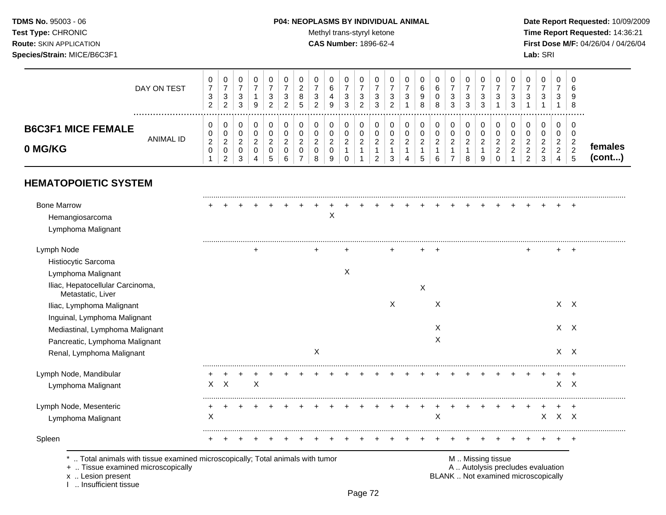## **TDMS No.** 95003 - 06 **P04: NEOPLASMS BY INDIVIDUAL ANIMAL** Date Report Requested: 10/09/2009

Test Type: CHRONIC **Test Type:** CHRONIC **Test Type:** CHRONIC **Time Report Requested:** 14:36:21 **Route:** SKIN APPLICATION **CAS Number:** 1896-62-4 **First Dose M/F:** 04/26/04 / 04/26/04

|                                       | DAY ON TEST | υ<br>$\overline{7}$<br>3<br>ົ<br>∠ | 0<br>$\overline{ }$<br>3<br>$\overline{2}$ | 0<br>◠<br>ۍ<br>3      | 0<br>9                | 0<br>-<br>3<br>າ           | 0<br>3<br>ົ | 0<br>⌒<br>∠<br>8<br>5 | 3<br>2        | 0<br>6<br>4<br>9                   | 0<br>$\overline{ }$<br>3<br>3 | 3<br>$\overline{2}$ | 0<br>3<br>3                       | 0<br>–<br>3<br>ົ<br>∼        | 0<br>3           | 0<br>$\sim$<br>O<br>9<br>8 | 0<br>6<br>8 | 0<br>3<br>3 | 0<br>3<br>3 | 0<br>3<br>3 | 0<br>⇁<br>3 | 3<br>3     | 0<br>3                       | 0<br>-<br>3                     | 0<br>3                | 0<br>b<br>c<br>8       |                         |
|---------------------------------------|-------------|------------------------------------|--------------------------------------------|-----------------------|-----------------------|----------------------------|-------------|-----------------------|---------------|------------------------------------|-------------------------------|---------------------|-----------------------------------|------------------------------|------------------|----------------------------|-------------|-------------|-------------|-------------|-------------|------------|------------------------------|---------------------------------|-----------------------|------------------------|-------------------------|
| <b>B6C3F1 MICE FEMALE</b><br>0 MG/KG  | ANIMAL ID   | U<br>0<br>2<br>0                   | 0<br>0<br>າ<br>∠<br>0<br>റ<br>∠            | 0<br>0<br>ົ<br>∠<br>3 | 0<br>0<br>2<br>0<br>4 | 0<br>U<br>ົ<br>∠<br>U<br>5 | ົ<br>∠<br>6 | 0<br>0<br>ົ<br>∠<br>0 | $\Omega$<br>o | 0<br>0<br>$\overline{2}$<br>0<br>9 | 0<br>0<br>2<br>0              | $\sqrt{2}$<br>∠     | 0<br>0<br>ົ<br>∼<br>ົ<br><u>_</u> | 0<br>0<br>ົ<br><u>_</u><br>3 | 0<br>◠<br>∠<br>4 | റ<br>∠<br>Đ                | ົ<br>∠<br>6 | 0<br>0<br>2 | 0<br>2<br>8 | 0<br>2<br>9 | 2<br>2<br>0 | $\sqrt{2}$ | ∼<br>$\sim$<br>ົ<br><u>_</u> | 0<br>0<br>ົ<br>∠<br>ົ<br>∠<br>3 | ◠<br>∠<br>ົ<br>∠<br>4 | C<br>r.<br>∠<br>ົ<br>5 | females<br>$($ cont $)$ |
| <b>HEMATOPOIETIC SYSTEM</b>           |             |                                    |                                            |                       |                       |                            |             |                       |               |                                    |                               |                     |                                   |                              |                  |                            |             |             |             |             |             |            |                              |                                 |                       |                        |                         |
| <b>Bone Marrow</b><br>Hemangiosarcoma |             |                                    |                                            |                       |                       |                            |             |                       |               | X                                  |                               |                     |                                   |                              | $+$              | $+$                        | $+$         | $+$         | $+$         | $+$         | $+$         | $+$        |                              | $\div$                          | $+$                   | $+$                    |                         |

| Total animals with tissue examined microscopically; Total animals with tumor |   |         |   |  |           |   |  |   |   |   |  | M  Missing tissue |  |              |            |       |  |
|------------------------------------------------------------------------------|---|---------|---|--|-----------|---|--|---|---|---|--|-------------------|--|--------------|------------|-------|--|
| Spleen                                                                       |   |         |   |  |           |   |  |   |   |   |  |                   |  |              |            |       |  |
| Lymphoma Malignant                                                           | X |         |   |  |           |   |  |   |   | X |  |                   |  | $\mathsf{X}$ | $X$ $X$    |       |  |
| Lymph Node, Mesenteric                                                       |   |         |   |  |           |   |  |   |   |   |  |                   |  |              |            | $\pm$ |  |
| Lymphoma Malignant                                                           |   | $X$ $X$ | X |  |           |   |  |   |   |   |  |                   |  |              | $X$ $X$    |       |  |
| Lymph Node, Mandibular                                                       |   |         |   |  |           |   |  |   |   |   |  |                   |  |              |            | +     |  |
| Renal, Lymphoma Malignant                                                    |   |         |   |  | X         |   |  |   |   |   |  |                   |  |              | $X$ $X$    |       |  |
| Pancreatic, Lymphoma Malignant                                               |   |         |   |  |           |   |  |   |   | X |  |                   |  |              |            |       |  |
| Mediastinal, Lymphoma Malignant                                              |   |         |   |  |           |   |  |   |   | Х |  |                   |  |              | $X \times$ |       |  |
| Inguinal, Lymphoma Malignant                                                 |   |         |   |  |           |   |  |   |   |   |  |                   |  |              |            |       |  |
| Iliac, Lymphoma Malignant                                                    |   |         |   |  |           |   |  | X |   | X |  |                   |  |              | $X \times$ |       |  |
| Iliac, Hepatocellular Carcinoma,<br>Metastatic, Liver                        |   |         |   |  |           |   |  |   | X |   |  |                   |  |              |            |       |  |
| Lymphoma Malignant                                                           |   |         |   |  |           | X |  |   |   |   |  |                   |  |              |            |       |  |
| Histiocytic Sarcoma                                                          |   |         |   |  |           |   |  |   |   |   |  |                   |  |              |            |       |  |
| Lymph Node                                                                   |   |         | ٠ |  | $\ddot{}$ |   |  |   |   |   |  |                   |  |              |            | $\pm$ |  |
| Lymphoma Malignant                                                           |   |         |   |  |           |   |  |   |   |   |  |                   |  |              |            |       |  |
|                                                                              |   |         |   |  |           |   |  |   |   |   |  |                   |  |              |            |       |  |

x .. Lesion present<br>I .. Insufficient tissue

Page 72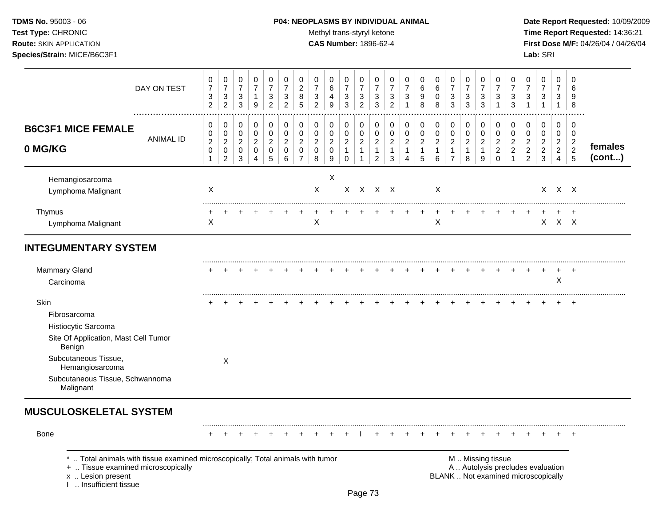### **TDMS No.** 95003 - 06 **P04: NEOPLASMS BY INDIVIDUAL ANIMAL** Date Report Requested: 10/09/2009

Test Type: CHRONIC **Test Type:** CHRONIC **Test Type:** CHRONIC **Time Report Requested:** 14:36:21 **Route:** SKIN APPLICATION **CAS Number:** 1896-62-4 **First Dose M/F:** 04/26/04 / 04/26/04

|                                                                                               | DAY ON TEST      | 0<br>$\overline{7}$<br>$\sqrt{3}$<br>$\overline{2}$  | 0<br>$\boldsymbol{7}$<br>$\sqrt{3}$<br>$\overline{2}$       | 0<br>$\overline{7}$<br>$\mathbf{3}$<br>3                        | 0<br>$\overline{7}$<br>$\mathbf{1}$<br>9                 | $\Omega$<br>$\overline{7}$<br>3<br>$\overline{2}$ | 0<br>$\overline{7}$<br>$\mathbf{3}$<br>$\overline{2}$ | 0<br>$\overline{2}$<br>8<br>5                             | 0<br>$\overline{7}$<br>$\sqrt{3}$<br>$\overline{2}$    | 0<br>6<br>$\overline{4}$<br>9                          | 0<br>$\overline{7}$<br>$\sqrt{3}$<br>3                      | 0<br>$\overline{7}$<br>$\sqrt{3}$<br>$\overline{2}$        | 0<br>$\overline{7}$<br>$\sqrt{3}$<br>3                           | 0<br>$\overline{7}$<br>$\ensuremath{\mathsf{3}}$<br>$\overline{2}$ | 0<br>$\overline{7}$<br>3            | 0<br>6<br>9<br>8                              | 0<br>6<br>0<br>8                                        | $\Omega$<br>$\overline{7}$<br>$\ensuremath{\mathsf{3}}$<br>3        | 0<br>$\overline{7}$<br>3<br>3                          | 0<br>$\overline{7}$<br>$\sqrt{3}$<br>3 | 0<br>$\overline{7}$<br>3<br>$\overline{1}$                   | 0<br>$\overline{7}$<br>3<br>3                          | 0<br>$\overline{7}$<br>$\sqrt{3}$<br>$\overline{1}$                  | 0<br>$\overline{7}$<br>3<br>$\mathbf{1}$                  | 0<br>$\overline{7}$<br>3<br>$\mathbf{1}$                    | $\Omega$<br>6<br>9<br>8                                                          |                   |
|-----------------------------------------------------------------------------------------------|------------------|------------------------------------------------------|-------------------------------------------------------------|-----------------------------------------------------------------|----------------------------------------------------------|---------------------------------------------------|-------------------------------------------------------|-----------------------------------------------------------|--------------------------------------------------------|--------------------------------------------------------|-------------------------------------------------------------|------------------------------------------------------------|------------------------------------------------------------------|--------------------------------------------------------------------|-------------------------------------|-----------------------------------------------|---------------------------------------------------------|---------------------------------------------------------------------|--------------------------------------------------------|----------------------------------------|--------------------------------------------------------------|--------------------------------------------------------|----------------------------------------------------------------------|-----------------------------------------------------------|-------------------------------------------------------------|----------------------------------------------------------------------------------|-------------------|
| <b>B6C3F1 MICE FEMALE</b><br>0 MG/KG                                                          | <b>ANIMAL ID</b> | 0<br>0<br>$\mathbf 2$<br>$\mathbf 0$<br>$\mathbf{1}$ | 0<br>$\pmb{0}$<br>$\sqrt{2}$<br>$\pmb{0}$<br>$\overline{c}$ | 0<br>$\pmb{0}$<br>$\overline{c}$<br>$\mathbf 0$<br>$\mathbf{3}$ | 0<br>$\mathbf 0$<br>$\boldsymbol{2}$<br>$\mathbf 0$<br>4 | 0<br>0<br>$\overline{c}$<br>$\mathbf 0$<br>5      | 0<br>0<br>$\sqrt{2}$<br>$\mathbf 0$<br>6              | $\pmb{0}$<br>$\mathbf 0$<br>$\overline{2}$<br>$\mathbf 0$ | 0<br>$\mathbf 0$<br>$\overline{2}$<br>$\mathbf 0$<br>8 | 0<br>$\mathbf 0$<br>$\overline{c}$<br>$\mathbf 0$<br>9 | 0<br>$\pmb{0}$<br>$\sqrt{2}$<br>$\mathbf{1}$<br>$\mathbf 0$ | 0<br>0<br>$\boldsymbol{2}$<br>$\mathbf{1}$<br>$\mathbf{1}$ | 0<br>$\mathbf 0$<br>$\sqrt{2}$<br>$\mathbf{1}$<br>$\overline{c}$ | 0<br>$\pmb{0}$<br>$\boldsymbol{2}$<br>$\overline{1}$<br>3          | 0<br>$\mathbf 0$<br>$\sqrt{2}$<br>1 | 0<br>0<br>$\overline{2}$<br>$\mathbf{1}$<br>5 | 0<br>$\mathbf 0$<br>$\overline{a}$<br>$\mathbf{1}$<br>6 | 0<br>$\mathbf 0$<br>$\overline{2}$<br>$\mathbf 1$<br>$\overline{7}$ | 0<br>$\mathbf 0$<br>$\overline{c}$<br>$\mathbf 1$<br>8 | 0<br>0<br>$\overline{c}$<br>-1<br>9    | 0<br>$\mathbf 0$<br>$\sqrt{2}$<br>$\overline{2}$<br>$\Omega$ | $\mathbf 0$<br>0<br>$\boldsymbol{2}$<br>$\overline{2}$ | 0<br>$\pmb{0}$<br>$\overline{c}$<br>$\overline{c}$<br>$\overline{c}$ | 0<br>$\mathbf 0$<br>$\overline{c}$<br>$\overline{2}$<br>3 | 0<br>$\mathbf 0$<br>$\boldsymbol{2}$<br>$\overline{2}$<br>4 | $\mathbf 0$<br>$\mathbf 0$<br>$\overline{c}$<br>$\overline{2}$<br>$\overline{5}$ | females<br>(cont) |
| Hemangiosarcoma<br>Lymphoma Malignant                                                         |                  | $\sf X$                                              |                                                             |                                                                 |                                                          |                                                   |                                                       |                                                           | $\mathsf{X}$                                           | X                                                      |                                                             |                                                            | X X X X                                                          |                                                                    |                                     |                                               | $\mathsf{X}$                                            |                                                                     |                                                        |                                        |                                                              |                                                        |                                                                      |                                                           | X X X                                                       |                                                                                  |                   |
| Thymus<br>Lymphoma Malignant                                                                  |                  | X                                                    |                                                             |                                                                 |                                                          |                                                   |                                                       |                                                           | Χ                                                      |                                                        |                                                             |                                                            |                                                                  |                                                                    |                                     |                                               | $\mathsf X$                                             |                                                                     |                                                        |                                        |                                                              |                                                        |                                                                      | $\mathsf X$                                               | $X$ $X$                                                     |                                                                                  |                   |
| <b>INTEGUMENTARY SYSTEM</b>                                                                   |                  |                                                      |                                                             |                                                                 |                                                          |                                                   |                                                       |                                                           |                                                        |                                                        |                                                             |                                                            |                                                                  |                                                                    |                                     |                                               |                                                         |                                                                     |                                                        |                                        |                                                              |                                                        |                                                                      |                                                           |                                                             |                                                                                  |                   |
| <b>Mammary Gland</b><br>Carcinoma                                                             |                  |                                                      |                                                             |                                                                 |                                                          |                                                   |                                                       |                                                           |                                                        |                                                        |                                                             |                                                            |                                                                  |                                                                    |                                     |                                               |                                                         |                                                                     |                                                        |                                        |                                                              |                                                        |                                                                      |                                                           | $\pm$<br>X                                                  | $\pm$                                                                            |                   |
| Skin<br>Fibrosarcoma<br>Histiocytic Sarcoma<br>Site Of Application, Mast Cell Tumor<br>Benign |                  |                                                      |                                                             |                                                                 |                                                          |                                                   |                                                       |                                                           |                                                        |                                                        |                                                             |                                                            |                                                                  |                                                                    |                                     |                                               |                                                         |                                                                     |                                                        |                                        |                                                              |                                                        |                                                                      |                                                           |                                                             | $\ddot{}$                                                                        |                   |
| Subcutaneous Tissue,<br>Hemangiosarcoma<br>Subcutaneous Tissue, Schwannoma<br>Malignant       |                  |                                                      | X                                                           |                                                                 |                                                          |                                                   |                                                       |                                                           |                                                        |                                                        |                                                             |                                                            |                                                                  |                                                                    |                                     |                                               |                                                         |                                                                     |                                                        |                                        |                                                              |                                                        |                                                                      |                                                           |                                                             |                                                                                  |                   |
| <b>MUSCULOSKELETAL SYSTEM</b>                                                                 |                  |                                                      |                                                             |                                                                 |                                                          |                                                   |                                                       |                                                           |                                                        |                                                        |                                                             |                                                            |                                                                  |                                                                    |                                     |                                               |                                                         |                                                                     |                                                        |                                        |                                                              |                                                        |                                                                      |                                                           |                                                             |                                                                                  |                   |
| <b>Bone</b>                                                                                   |                  |                                                      |                                                             |                                                                 |                                                          |                                                   |                                                       |                                                           |                                                        |                                                        |                                                             |                                                            |                                                                  |                                                                    |                                     |                                               |                                                         |                                                                     |                                                        |                                        |                                                              |                                                        |                                                                      |                                                           |                                                             |                                                                                  |                   |

\* .. Total animals with tissue examined microscopically; Total animals with tumor <br>
+ .. Tissue examined microscopically<br>
+ .. Tissue examined microscopically

- + .. Tissue examined microscopically
- x .. Lesion present<br>I .. Insufficient tissue
-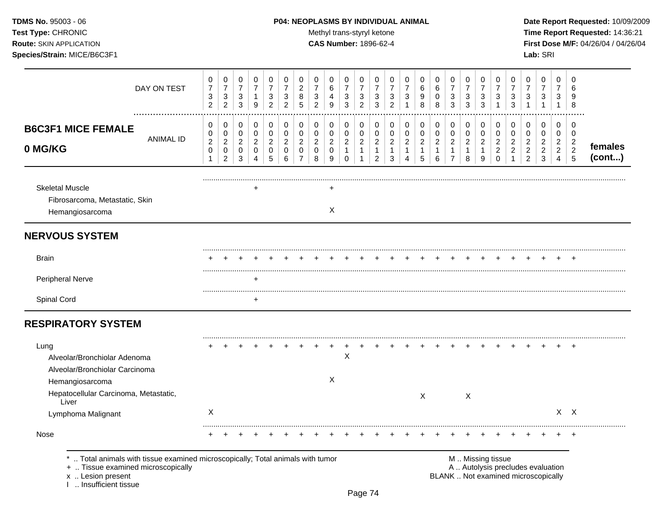# **TDMS No.** 95003 - 06 **P04: NEOPLASMS BY INDIVIDUAL ANIMAL** Date Report Requested: 10/09/2009

Test Type: CHRONIC **Test Type:** CHRONIC **Test Type:** CHRONIC **Time Report Requested:** 14:36:21 **Route:** SKIN APPLICATION **CAS Number:** 1896-62-4 **First Dose M/F:** 04/26/04 / 04/26/04

| DAY ON TEST                                                                                                                                                       | $\pmb{0}$<br>$\overline{7}$<br>$\ensuremath{\mathsf{3}}$<br>$\overline{2}$ | $\pmb{0}$<br>$\overline{7}$<br>$\mathbf{3}$<br>$\overline{2}$     | $\pmb{0}$<br>$\boldsymbol{7}$<br>$\mathbf{3}$<br>$\mathbf{3}$     | $\pmb{0}$<br>$\overline{7}$<br>$\mathbf{1}$<br>$\boldsymbol{9}$ | $\pmb{0}$<br>$\overline{7}$<br>3<br>$\overline{c}$     | $\mathbf 0$<br>$\overline{7}$<br>3<br>$\overline{2}$             | 0<br>$\overline{c}$<br>8<br>5                                    | $\mathbf 0$<br>$\overline{7}$<br>$\sqrt{3}$<br>2 | 0<br>6<br>4<br>9                                 | $\pmb{0}$<br>$\overline{7}$<br>$\sqrt{3}$<br>3          | $\mathbf 0$<br>$\overline{7}$<br>$\sqrt{3}$<br>$\overline{2}$      | 0<br>$\overline{7}$<br>3<br>3                                      | 0<br>7<br>3<br>$\overline{2}$                             | 0<br>7<br>3<br>$\mathbf 1$                                | 0<br>6<br>9<br>8                                  | 0<br>$\,6\,$<br>0<br>8                            | $\pmb{0}$<br>$\overline{7}$<br>3<br>3                              | $\mathbf 0$<br>$\overline{7}$<br>$\sqrt{3}$<br>3    | 0<br>$\overline{7}$<br>3<br>3                         | 0<br>7<br>3<br>-1                                                   | 0<br>$\overline{7}$<br>3<br>3                                    | $\mathbf 0$<br>$\overline{7}$<br>3                                         | 0<br>$\overline{7}$<br>3<br>$\mathbf 1$                          | $\mathbf 0$<br>$\overline{7}$<br>3<br>$\mathbf{1}$           | $\Omega$<br>6<br>9<br>8                                   |                   |
|-------------------------------------------------------------------------------------------------------------------------------------------------------------------|----------------------------------------------------------------------------|-------------------------------------------------------------------|-------------------------------------------------------------------|-----------------------------------------------------------------|--------------------------------------------------------|------------------------------------------------------------------|------------------------------------------------------------------|--------------------------------------------------|--------------------------------------------------|---------------------------------------------------------|--------------------------------------------------------------------|--------------------------------------------------------------------|-----------------------------------------------------------|-----------------------------------------------------------|---------------------------------------------------|---------------------------------------------------|--------------------------------------------------------------------|-----------------------------------------------------|-------------------------------------------------------|---------------------------------------------------------------------|------------------------------------------------------------------|----------------------------------------------------------------------------|------------------------------------------------------------------|--------------------------------------------------------------|-----------------------------------------------------------|-------------------|
| <b>B6C3F1 MICE FEMALE</b><br><b>ANIMAL ID</b><br>0 MG/KG                                                                                                          | 0<br>$\mathbf 0$<br>$\overline{c}$<br>$\mathbf 0$<br>$\mathbf{1}$          | 0<br>$\mathbf 0$<br>$\overline{c}$<br>$\pmb{0}$<br>$\overline{c}$ | 0<br>$\mathbf 0$<br>$\overline{c}$<br>$\mathbf 0$<br>$\mathbf{3}$ | 0<br>$\mathbf 0$<br>$\boldsymbol{2}$<br>$\mathbf 0$<br>4        | 0<br>$\pmb{0}$<br>$\boldsymbol{2}$<br>$\mathbf 0$<br>5 | $\mathbf 0$<br>$\mathbf 0$<br>$\overline{c}$<br>$\mathbf 0$<br>6 | 0<br>$\mathbf 0$<br>$\overline{c}$<br>$\Omega$<br>$\overline{7}$ | 0<br>$\mathbf 0$<br>$\sqrt{2}$<br>$\Omega$<br>8  | 0<br>$\pmb{0}$<br>$\sqrt{2}$<br>$\mathbf 0$<br>9 | 0<br>0<br>$\overline{c}$<br>$\mathbf{1}$<br>$\mathbf 0$ | 0<br>$\mathbf 0$<br>$\overline{c}$<br>$\mathbf{1}$<br>$\mathbf{1}$ | 0<br>$\pmb{0}$<br>$\overline{c}$<br>$\mathbf{1}$<br>$\overline{c}$ | 0<br>$\mathbf 0$<br>$\overline{2}$<br>$\overline{1}$<br>3 | 0<br>$\mathbf 0$<br>$\boldsymbol{2}$<br>$\mathbf{1}$<br>4 | 0<br>$\pmb{0}$<br>$\sqrt{2}$<br>$\mathbf{1}$<br>5 | 0<br>$\pmb{0}$<br>$\sqrt{2}$<br>$\mathbf{1}$<br>6 | 0<br>$\pmb{0}$<br>$\overline{a}$<br>$\mathbf{1}$<br>$\overline{7}$ | 0<br>$\mathbf 0$<br>$\sqrt{2}$<br>$\mathbf{1}$<br>8 | 0<br>$\pmb{0}$<br>$\overline{c}$<br>$\mathbf{1}$<br>9 | 0<br>$\mathbf 0$<br>$\overline{c}$<br>$\overline{c}$<br>$\mathbf 0$ | 0<br>$\mathbf 0$<br>$\sqrt{2}$<br>$\overline{c}$<br>$\mathbf{1}$ | 0<br>$\mathbf 0$<br>$\boldsymbol{2}$<br>$\boldsymbol{2}$<br>$\overline{c}$ | 0<br>$\mathbf 0$<br>$\overline{c}$<br>$\sqrt{2}$<br>$\mathbf{3}$ | 0<br>0<br>$\overline{2}$<br>$\overline{2}$<br>$\overline{4}$ | 0<br>$\mathbf 0$<br>$\overline{2}$<br>$\overline{c}$<br>5 | females<br>(cont) |
| <b>Skeletal Muscle</b><br>Fibrosarcoma, Metastatic, Skin<br>Hemangiosarcoma                                                                                       |                                                                            |                                                                   |                                                                   |                                                                 |                                                        |                                                                  |                                                                  |                                                  | ÷<br>X                                           |                                                         |                                                                    |                                                                    |                                                           |                                                           |                                                   |                                                   |                                                                    |                                                     |                                                       |                                                                     |                                                                  |                                                                            |                                                                  |                                                              |                                                           |                   |
| <b>NERVOUS SYSTEM</b>                                                                                                                                             |                                                                            |                                                                   |                                                                   |                                                                 |                                                        |                                                                  |                                                                  |                                                  |                                                  |                                                         |                                                                    |                                                                    |                                                           |                                                           |                                                   |                                                   |                                                                    |                                                     |                                                       |                                                                     |                                                                  |                                                                            |                                                                  |                                                              |                                                           |                   |
| <b>Brain</b>                                                                                                                                                      |                                                                            |                                                                   |                                                                   |                                                                 |                                                        |                                                                  |                                                                  |                                                  |                                                  |                                                         |                                                                    |                                                                    |                                                           |                                                           |                                                   |                                                   |                                                                    |                                                     |                                                       |                                                                     |                                                                  |                                                                            |                                                                  |                                                              |                                                           |                   |
| Peripheral Nerve                                                                                                                                                  |                                                                            |                                                                   |                                                                   |                                                                 |                                                        |                                                                  |                                                                  |                                                  |                                                  |                                                         |                                                                    |                                                                    |                                                           |                                                           |                                                   |                                                   |                                                                    |                                                     |                                                       |                                                                     |                                                                  |                                                                            |                                                                  |                                                              |                                                           |                   |
| Spinal Cord                                                                                                                                                       |                                                                            |                                                                   |                                                                   | $\ddot{}$                                                       |                                                        |                                                                  |                                                                  |                                                  |                                                  |                                                         |                                                                    |                                                                    |                                                           |                                                           |                                                   |                                                   |                                                                    |                                                     |                                                       |                                                                     |                                                                  |                                                                            |                                                                  |                                                              |                                                           |                   |
| <b>RESPIRATORY SYSTEM</b>                                                                                                                                         |                                                                            |                                                                   |                                                                   |                                                                 |                                                        |                                                                  |                                                                  |                                                  |                                                  |                                                         |                                                                    |                                                                    |                                                           |                                                           |                                                   |                                                   |                                                                    |                                                     |                                                       |                                                                     |                                                                  |                                                                            |                                                                  |                                                              |                                                           |                   |
| Lung<br>Alveolar/Bronchiolar Adenoma<br>Alveolar/Bronchiolar Carcinoma<br>Hemangiosarcoma                                                                         |                                                                            |                                                                   |                                                                   |                                                                 |                                                        |                                                                  |                                                                  |                                                  | X                                                | ٠<br>X                                                  |                                                                    |                                                                    |                                                           |                                                           |                                                   |                                                   |                                                                    |                                                     |                                                       |                                                                     |                                                                  |                                                                            |                                                                  |                                                              | $\ddot{}$                                                 |                   |
| Hepatocellular Carcinoma, Metastatic,<br>Liver                                                                                                                    |                                                                            |                                                                   |                                                                   |                                                                 |                                                        |                                                                  |                                                                  |                                                  |                                                  |                                                         |                                                                    |                                                                    |                                                           |                                                           | $\mathsf{X}$                                      |                                                   |                                                                    | $\mathsf{X}$                                        |                                                       |                                                                     |                                                                  |                                                                            |                                                                  |                                                              |                                                           |                   |
| Lymphoma Malignant                                                                                                                                                | X                                                                          |                                                                   |                                                                   |                                                                 |                                                        |                                                                  |                                                                  |                                                  |                                                  |                                                         |                                                                    |                                                                    |                                                           |                                                           |                                                   |                                                   |                                                                    |                                                     |                                                       |                                                                     |                                                                  |                                                                            |                                                                  |                                                              | $X \times$                                                |                   |
| Nose                                                                                                                                                              |                                                                            |                                                                   |                                                                   |                                                                 |                                                        |                                                                  |                                                                  |                                                  |                                                  |                                                         |                                                                    |                                                                    |                                                           |                                                           |                                                   |                                                   |                                                                    |                                                     |                                                       |                                                                     |                                                                  |                                                                            |                                                                  | $\ddot{}$                                                    | $^{+}$                                                    |                   |
| Total animals with tissue examined microscopically; Total animals with tumor<br>+  Tissue examined microscopically<br>x  Lesion present<br>1  Insufficient tissue |                                                                            |                                                                   |                                                                   |                                                                 |                                                        |                                                                  |                                                                  |                                                  |                                                  |                                                         |                                                                    |                                                                    |                                                           |                                                           |                                                   |                                                   |                                                                    |                                                     |                                                       | M  Missing tissue                                                   |                                                                  | A  Autolysis precludes evaluation<br>BLANK  Not examined microscopically   |                                                                  |                                                              |                                                           |                   |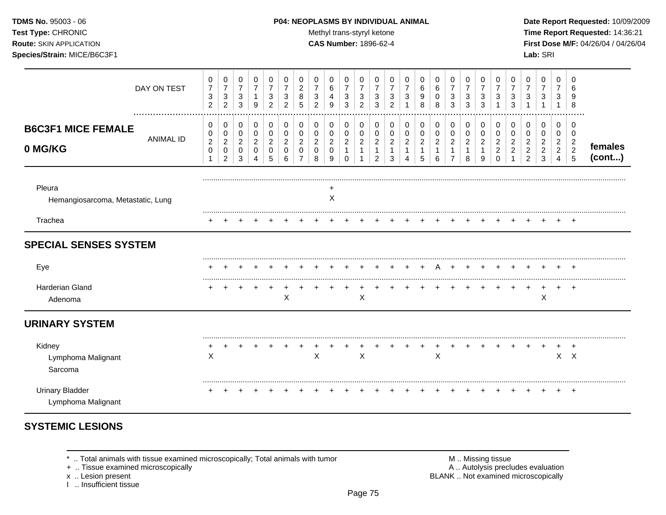### **TDMS No.** 95003 - 06 **P04: NEOPLASMS BY INDIVIDUAL ANIMAL** Date Report Requested: 10/09/2009

Test Type: CHRONIC **Test Type:** CHRONIC **Test Type:** CHRONIC **Time Report Requested:** 14:36:21 **Route:** SKIN APPLICATION **CAS Number:** 1896-62-4 **First Dose M/F:** 04/26/04 / 04/26/04 **Species/Strain:** MICE/B6C3F1 **Lab:** SRI

|                                              | DAY ON TEST<br>  | 0<br>$\overline{7}$<br>3<br>$\overline{2}$ | 0<br>$\overline{7}$<br>$\ensuremath{\mathsf{3}}$<br>$\overline{2}$ | 0<br>$\overline{7}$<br>$\sqrt{3}$<br>3       | 0<br>$\overline{7}$<br>$\mathbf{1}$<br>9   | 0<br>$\overline{7}$<br>3<br>$\overline{2}$ | 0<br>7<br>3<br>2                   | 0<br>$\overline{2}$<br>8<br>5 | 0<br>7<br>3<br>2                   | 0<br>6<br>4<br>9                   | 0<br>$\overline{7}$<br>$\sqrt{3}$<br>3 | 0<br>$\overline{7}$<br>$\sqrt{3}$<br>2        | 0<br>7<br>$\mathbf{3}$<br>3                                | 0<br>7<br>3<br>2                             | 0<br>7<br>3                        | 0<br>6<br>9<br>8                              | 0<br>6<br>0<br>8                             | 0<br>$\overline{7}$<br>$\sqrt{3}$<br>3                             | 0<br>$\overline{7}$<br>3<br>3                 | 0<br>$\overline{7}$<br>$\mathbf{3}$<br>3     | 0<br>7<br>3                                            | 0<br>3<br>3                   | 0<br>$\overline{7}$<br>3                                     | 0<br>$\overline{7}$<br>$\mathbf{3}$<br>1        | 0<br>7<br>$\sqrt{3}$<br>1                       | 0<br>6<br>9<br>8             |                   |
|----------------------------------------------|------------------|--------------------------------------------|--------------------------------------------------------------------|----------------------------------------------|--------------------------------------------|--------------------------------------------|------------------------------------|-------------------------------|------------------------------------|------------------------------------|----------------------------------------|-----------------------------------------------|------------------------------------------------------------|----------------------------------------------|------------------------------------|-----------------------------------------------|----------------------------------------------|--------------------------------------------------------------------|-----------------------------------------------|----------------------------------------------|--------------------------------------------------------|-------------------------------|--------------------------------------------------------------|-------------------------------------------------|-------------------------------------------------|------------------------------|-------------------|
| <b>B6C3F1 MICE FEMALE</b><br>0 MG/KG         | <b>ANIMAL ID</b> | 0<br>0<br>$\overline{c}$<br>0<br>1         | 0<br>0<br>$\overline{c}$<br>0<br>$\overline{2}$                    | 0<br>0<br>$\overline{2}$<br>$\mathbf 0$<br>3 | 0<br>$\pmb{0}$<br>$\overline{c}$<br>0<br>4 | 0<br>0<br>$\overline{2}$<br>$\Omega$<br>5  | 0<br>0<br>$\overline{2}$<br>0<br>6 | 0<br>0<br>$\overline{2}$<br>0 | 0<br>0<br>$\overline{2}$<br>0<br>8 | 0<br>0<br>$\overline{2}$<br>0<br>9 | 0<br>0<br>$\boldsymbol{2}$<br>1<br>0   | 0<br>0<br>$\overline{c}$<br>$\mathbf{1}$<br>1 | 0<br>0<br>$\overline{2}$<br>$\mathbf{1}$<br>$\overline{2}$ | 0<br>0<br>$\overline{2}$<br>$\mathbf 1$<br>3 | 0<br>0<br>$\overline{2}$<br>1<br>Δ | 0<br>0<br>$\overline{2}$<br>$\mathbf{1}$<br>5 | 0<br>$\boldsymbol{0}$<br>$\overline{c}$<br>6 | 0<br>$\pmb{0}$<br>$\overline{2}$<br>$\mathbf{1}$<br>$\overline{7}$ | 0<br>0<br>$\overline{c}$<br>$\mathbf{1}$<br>8 | 0<br>0<br>$\overline{2}$<br>$\mathbf 1$<br>9 | 0<br>0<br>$\overline{2}$<br>$\overline{2}$<br>$\Omega$ | 0<br>0<br>$\overline{2}$<br>2 | 0<br>0<br>$\overline{2}$<br>$\overline{2}$<br>$\overline{c}$ | 0<br>0<br>$\overline{2}$<br>$\overline{c}$<br>3 | 0<br>0<br>$\overline{2}$<br>$\overline{2}$<br>4 | 0<br>0<br>$\frac{2}{2}$<br>5 | females<br>(cont) |
| Pleura<br>Hemangiosarcoma, Metastatic, Lung  |                  |                                            |                                                                    |                                              |                                            |                                            |                                    |                               |                                    | X                                  |                                        |                                               |                                                            |                                              |                                    |                                               |                                              |                                                                    |                                               |                                              |                                                        |                               |                                                              |                                                 |                                                 |                              |                   |
| Trachea                                      |                  |                                            |                                                                    |                                              |                                            |                                            |                                    |                               |                                    |                                    |                                        |                                               |                                                            |                                              |                                    |                                               |                                              |                                                                    |                                               |                                              |                                                        |                               |                                                              |                                                 |                                                 | $\pm$                        |                   |
| <b>SPECIAL SENSES SYSTEM</b>                 |                  |                                            |                                                                    |                                              |                                            |                                            |                                    |                               |                                    |                                    |                                        |                                               |                                                            |                                              |                                    |                                               |                                              |                                                                    |                                               |                                              |                                                        |                               |                                                              |                                                 |                                                 |                              |                   |
| Eye                                          |                  |                                            |                                                                    |                                              |                                            |                                            |                                    |                               |                                    |                                    |                                        |                                               |                                                            |                                              |                                    |                                               |                                              |                                                                    |                                               |                                              |                                                        |                               |                                                              |                                                 |                                                 |                              |                   |
| <b>Harderian Gland</b><br>Adenoma            |                  |                                            |                                                                    |                                              |                                            |                                            | X                                  |                               |                                    |                                    |                                        | X                                             |                                                            |                                              |                                    |                                               |                                              |                                                                    |                                               |                                              |                                                        |                               | $\ddot{}$                                                    | +<br>Χ                                          | $\pm$                                           | $+$                          |                   |
| <b>URINARY SYSTEM</b>                        |                  |                                            |                                                                    |                                              |                                            |                                            |                                    |                               |                                    |                                    |                                        |                                               |                                                            |                                              |                                    |                                               |                                              |                                                                    |                                               |                                              |                                                        |                               |                                                              |                                                 |                                                 |                              |                   |
| Kidney<br>Lymphoma Malignant<br>Sarcoma      |                  | X                                          |                                                                    |                                              |                                            |                                            |                                    |                               | X                                  |                                    |                                        | X                                             |                                                            |                                              |                                    |                                               | X                                            |                                                                    |                                               |                                              |                                                        |                               |                                                              |                                                 |                                                 | $\div$<br>$X$ $X$            |                   |
| <b>Urinary Bladder</b><br>Lymphoma Malignant |                  |                                            |                                                                    |                                              |                                            |                                            |                                    |                               |                                    |                                    |                                        |                                               |                                                            |                                              |                                    |                                               |                                              |                                                                    |                                               |                                              |                                                        |                               |                                                              |                                                 |                                                 | $\pm$                        |                   |

# **SYSTEMIC LESIONS**

+ .. Tissue examined microscopically

I .. Insufficient tissue

\* .. Total animals with tissue examined microscopically; Total animals with tumor M .. Missing tissue M .. Missing tissue<br>
A .. Autolysis precludes evaluation<br>
M .. Autolysis precludes evaluation x .. Lesion present **BLANK** .. Not examined microscopically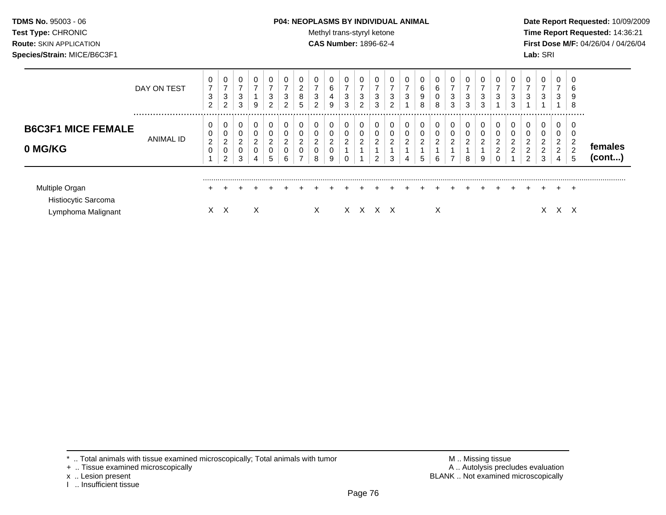# **TDMS No.** 95003 - 06 **P04: NEOPLASMS BY INDIVIDUAL ANIMAL** Date Report Requested: 10/09/2009

**Test Type:** CHRONIC **Trans-styryl ketone** Methyl trans-styryl ketone **Time Report Requested:** 14:36:21 **Route:** SKIN APPLICATION **CAS Number:** 1896-62-4 **First Dose M/F:** 04/26/04 / 04/26/04 **Species/Strain:** MICE/B6C3F1 **Lab:** SRI

|                                                             | DAY ON TEST | 0<br>$\overline{7}$<br>3<br>$\overline{2}$ | 0<br>$\overline{ }$<br>3<br>$\overline{2}$ | 3<br>3           | 0<br>⇁<br>9                                            | 3<br>ົ<br>∠                                         | $\overline{ }$<br>3<br>2           | 0<br>$\overline{2}$<br>8<br>5                            | 0<br>$\overline{ }$<br>3<br>$\overline{c}$ | 0<br>6<br>4<br>9                   | 0<br>3<br>3 | 0<br>3<br>2 | 0<br>$\overline{\phantom{0}}$<br>3<br>3 | -<br>3<br>$\overline{2}$      | $\overline{ }$<br>3                     | 0<br>6<br>9<br>8 | 0<br>6<br>0<br>8                        | 7<br>3<br>3                     | 0<br>3<br>3                   | 0<br>$\overline{ }$<br>3<br>3 | 3                                    | 3<br>3                           | ⇁<br>3                                                        | 0<br>⇁<br>3                        | 0<br>$\overline{7}$<br>3<br>-4 | 0<br>6<br>9<br>8                   |                         |
|-------------------------------------------------------------|-------------|--------------------------------------------|--------------------------------------------|------------------|--------------------------------------------------------|-----------------------------------------------------|------------------------------------|----------------------------------------------------------|--------------------------------------------|------------------------------------|-------------|-------------|-----------------------------------------|-------------------------------|-----------------------------------------|------------------|-----------------------------------------|---------------------------------|-------------------------------|-------------------------------|--------------------------------------|----------------------------------|---------------------------------------------------------------|------------------------------------|--------------------------------|------------------------------------|-------------------------|
| <b>B6C3F1 MICE FEMALE</b><br>0 MG/KG                        | ANIMAL ID   | 0<br>0<br>$\overline{2}$<br>0              | 0<br>0<br>2<br>0<br>2                      | 0<br>2<br>0<br>3 | $\mathbf 0$<br>0<br>$\overline{2}$<br>$\mathbf 0$<br>4 | $\mathbf 0$<br>$\mathbf 0$<br>2<br>$\mathbf 0$<br>5 | 0<br>0<br>$\overline{2}$<br>0<br>6 | 0<br>0<br>$\mathcal{D}$<br>0<br>$\overline{\phantom{0}}$ | 0<br>0<br>$\overline{c}$<br>0<br>8         | 0<br>0<br>$\overline{2}$<br>0<br>9 | 2           | 0<br>0<br>2 | 0<br>0<br>$\overline{2}$<br>2           | 0<br>0<br>$\overline{2}$<br>3 | 0<br>$\mathbf 0$<br>$\overline{2}$<br>4 | 0<br>0<br>2<br>5 | 0<br>$\mathbf 0$<br>$\overline{2}$<br>6 | $\Omega$<br>$\overline{2}$<br>⇁ | 0<br>0<br>$\overline{2}$<br>8 | 0<br>0<br>2<br>9              | 0<br>$\overline{2}$<br>2<br>$\Omega$ | $\overline{2}$<br>$\overline{2}$ | $\Omega$<br>$\Omega$<br>ົ<br>$\overline{2}$<br>$\overline{2}$ | 0<br>0<br>2<br>$\overline{2}$<br>3 | 0<br>2<br>$\overline{2}$<br>4  | 0<br>0<br>$\overline{2}$<br>າ<br>5 | temales<br>$($ cont $)$ |
| Multiple Organ<br>Histiocytic Sarcoma<br>Lymphoma Malignant |             | $\pm$                                      | $X \times$                                 |                  | X                                                      |                                                     |                                    | $+$                                                      | X.                                         |                                    |             |             | $X \times X \times X$                   | $+$                           | $+$                                     | $+$              | $+$<br>X                                |                                 |                               |                               | $+$                                  | $+$                              | $+$                                                           |                                    |                                | $\overline{ }$<br>x x              |                         |

- + .. Tissue examined microscopically
- 
- x .. Lesion present<br>I .. Insufficient tissue

\* .. Total animals with tissue examined microscopically; Total animals with tumor M .. Missing tissue M .. Missing tissue<br>
+ .. Tissue examined microscopically BLANK .. Not examined microscopically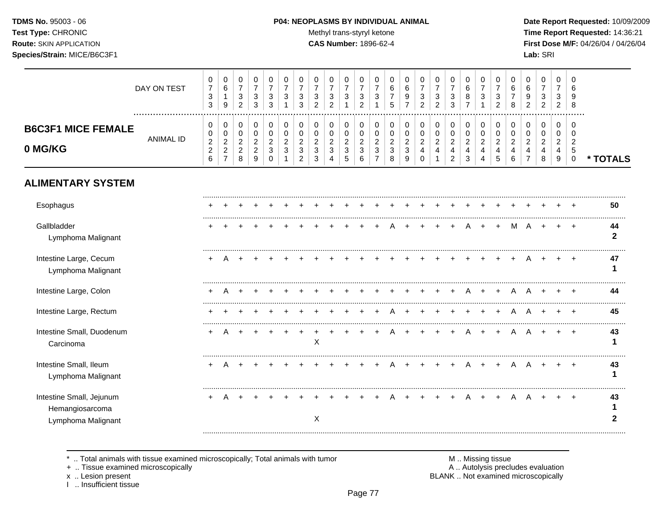# **TDMS No.** 95003 - 06 **P04: NEOPLASMS BY INDIVIDUAL ANIMAL** Date Report Requested: 10/09/2009

Test Type: CHRONIC **Test Type:** CHRONIC **Test Type:** CHRONIC **Time Report Requested:** 14:36:21 **Route:** SKIN APPLICATION **CAS Number:** 1896-62-4 **First Dose M/F:** 04/26/04 / 04/26/04

|                                                                   | DAY ON TEST      | 0<br>$\boldsymbol{7}$<br>$\ensuremath{\mathsf{3}}$<br>3      | 0<br>$\,6\,$<br>$\mathbf{1}$<br>9                                          | 0<br>$\boldsymbol{7}$<br>3<br>$\overline{2}$                | 0<br>$\overline{7}$<br>3<br>3                 | 0<br>$\overline{7}$<br>$\ensuremath{\mathsf{3}}$<br>3        | 0<br>$\overline{7}$<br>3          | 0<br>$\overline{7}$<br>$\mathbf{3}$<br>3                  | 0<br>$\overline{7}$<br>3<br>$\overline{2}$ | 0<br>$\overline{7}$<br>3<br>$\overline{2}$            | 0<br>$\overline{7}$<br>3                                             | 0<br>$\overline{7}$<br>3<br>$\overline{2}$  | 0<br>$\overline{7}$<br>3<br>1                                  | 0<br>6<br>$\overline{7}$<br>5                          | 0<br>6<br>9<br>$\overline{7}$                         | 0<br>$\overline{7}$<br>3<br>$\overline{2}$ | 0<br>$\overline{7}$<br>$\ensuremath{\mathsf{3}}$<br>$\overline{2}$ | 0<br>$\overline{7}$<br>3<br>3                           | 0<br>$\,6\,$<br>8<br>$\overline{7}$                              | 0<br>$\overline{7}$<br>3                                  | 0<br>$\overline{7}$<br>3<br>2                | 0<br>6<br>7<br>8                             | 0<br>6<br>9<br>$\overline{2}$                          | $\,0\,$<br>$\overline{7}$<br>3<br>$\overline{2}$ | 0<br>$\overline{7}$<br>3<br>$\overline{2}$   | 0<br>6<br>8                                                  |                    |
|-------------------------------------------------------------------|------------------|--------------------------------------------------------------|----------------------------------------------------------------------------|-------------------------------------------------------------|-----------------------------------------------|--------------------------------------------------------------|-----------------------------------|-----------------------------------------------------------|--------------------------------------------|-------------------------------------------------------|----------------------------------------------------------------------|---------------------------------------------|----------------------------------------------------------------|--------------------------------------------------------|-------------------------------------------------------|--------------------------------------------|--------------------------------------------------------------------|---------------------------------------------------------|------------------------------------------------------------------|-----------------------------------------------------------|----------------------------------------------|----------------------------------------------|--------------------------------------------------------|--------------------------------------------------|----------------------------------------------|--------------------------------------------------------------|--------------------|
| <b>B6C3F1 MICE FEMALE</b><br>0 MG/KG                              | <b>ANIMAL ID</b> | 0<br>0<br>$\overline{c}$<br>$\overline{c}$<br>$6\phantom{a}$ | 0<br>$\mathbf 0$<br>$\boldsymbol{2}$<br>$\boldsymbol{2}$<br>$\overline{7}$ | 0<br>$\mathbf 0$<br>$\overline{c}$<br>$\boldsymbol{2}$<br>8 | 0<br>0<br>$\overline{c}$<br>$\mathbf{2}$<br>9 | 0<br>$\pmb{0}$<br>$\boldsymbol{2}$<br>$\sqrt{3}$<br>$\Omega$ | 0<br>$\pmb{0}$<br>$\sqrt{2}$<br>3 | 0<br>$\mathbf 0$<br>$\overline{2}$<br>3<br>$\overline{2}$ | 0<br>$\Omega$<br>$\overline{2}$<br>3<br>3  | 0<br>$\mathbf 0$<br>$\overline{c}$<br>$\sqrt{3}$<br>4 | 0<br>$\mathbf 0$<br>$\overline{c}$<br>$\ensuremath{\mathsf{3}}$<br>5 | 0<br>0<br>$\overline{2}$<br>$\sqrt{3}$<br>6 | 0<br>$\mathbf 0$<br>$\sqrt{2}$<br>$\sqrt{3}$<br>$\overline{7}$ | 0<br>$\mathbf 0$<br>$\overline{2}$<br>$\mathbf 3$<br>8 | 0<br>$\mathbf 0$<br>$\overline{c}$<br>$\sqrt{3}$<br>9 | 0<br>0<br>$\overline{2}$<br>4<br>$\Omega$  | 0<br>$\mathbf 0$<br>$\overline{c}$<br>$\overline{4}$               | 0<br>$\pmb{0}$<br>$\overline{a}$<br>4<br>$\overline{2}$ | 0<br>$\pmb{0}$<br>$\overline{a}$<br>$\overline{\mathbf{4}}$<br>3 | 0<br>$\mathbf 0$<br>$\overline{2}$<br>$\overline{4}$<br>4 | 0<br>$\mathbf 0$<br>$\overline{2}$<br>4<br>5 | 0<br>$\mathbf 0$<br>$\overline{2}$<br>4<br>6 | 0<br>$\Omega$<br>$\overline{c}$<br>4<br>$\overline{7}$ | 0<br>$\mathbf 0$<br>$\overline{c}$<br>4<br>8     | 0<br>$\mathbf 0$<br>$\overline{2}$<br>4<br>9 | 0<br>$\Omega$<br>$\overline{2}$<br>$\sqrt{5}$<br>$\mathbf 0$ | * TOTALS           |
| <b>ALIMENTARY SYSTEM</b>                                          |                  |                                                              |                                                                            |                                                             |                                               |                                                              |                                   |                                                           |                                            |                                                       |                                                                      |                                             |                                                                |                                                        |                                                       |                                            |                                                                    |                                                         |                                                                  |                                                           |                                              |                                              |                                                        |                                                  |                                              |                                                              |                    |
| Esophagus                                                         |                  |                                                              |                                                                            |                                                             |                                               |                                                              |                                   |                                                           |                                            |                                                       |                                                                      |                                             |                                                                |                                                        |                                                       |                                            |                                                                    |                                                         |                                                                  |                                                           |                                              |                                              |                                                        |                                                  |                                              |                                                              | 50                 |
| Gallbladder<br>Lymphoma Malignant                                 |                  |                                                              |                                                                            |                                                             |                                               |                                                              |                                   |                                                           |                                            |                                                       |                                                                      |                                             |                                                                |                                                        |                                                       |                                            |                                                                    | $\div$                                                  | A                                                                | $+$                                                       | $\pm$                                        | M                                            | A                                                      | $+$                                              | $\ddot{}$                                    | $\overline{ }$                                               | 44<br>$\mathbf{2}$ |
| Intestine Large, Cecum<br>Lymphoma Malignant                      |                  |                                                              |                                                                            |                                                             |                                               |                                                              |                                   |                                                           |                                            |                                                       |                                                                      |                                             |                                                                |                                                        |                                                       |                                            |                                                                    |                                                         |                                                                  |                                                           |                                              |                                              |                                                        |                                                  |                                              | $\ddot{}$                                                    | 47<br>1            |
| Intestine Large, Colon                                            |                  |                                                              |                                                                            |                                                             |                                               |                                                              |                                   |                                                           |                                            |                                                       |                                                                      |                                             |                                                                |                                                        |                                                       |                                            |                                                                    |                                                         | A                                                                |                                                           | $\div$                                       | A                                            |                                                        |                                                  |                                              |                                                              | 44                 |
| Intestine Large, Rectum                                           |                  |                                                              |                                                                            |                                                             |                                               |                                                              |                                   |                                                           |                                            |                                                       |                                                                      |                                             |                                                                |                                                        |                                                       |                                            |                                                                    |                                                         |                                                                  |                                                           |                                              |                                              |                                                        |                                                  |                                              |                                                              | 45                 |
| Intestine Small, Duodenum<br>Carcinoma                            |                  |                                                              |                                                                            |                                                             |                                               |                                                              |                                   |                                                           | $\mathsf X$                                |                                                       |                                                                      |                                             |                                                                |                                                        |                                                       |                                            |                                                                    |                                                         | A                                                                |                                                           | $\ddot{}$                                    | A                                            |                                                        |                                                  |                                              |                                                              | 43<br>1            |
| Intestine Small, Ileum<br>Lymphoma Malignant                      |                  | $+$                                                          | A                                                                          | $\pm$                                                       |                                               |                                                              |                                   |                                                           |                                            |                                                       |                                                                      |                                             |                                                                |                                                        |                                                       |                                            | $\ddot{}$                                                          | $+$                                                     | A                                                                | $+$                                                       | $+$                                          | A                                            | $\mathsf{A}$                                           | $+$                                              | $+$                                          | $+$                                                          | 43                 |
| Intestine Small, Jejunum<br>Hemangiosarcoma<br>Lymphoma Malignant |                  | $\pm$                                                        |                                                                            |                                                             |                                               |                                                              |                                   |                                                           | X                                          |                                                       |                                                                      |                                             |                                                                |                                                        |                                                       |                                            |                                                                    |                                                         |                                                                  |                                                           | $\ddot{}$                                    | A                                            |                                                        |                                                  |                                              | $\overline{+}$                                               | 43<br>$\mathbf{2}$ |
|                                                                   |                  |                                                              |                                                                            |                                                             |                                               |                                                              |                                   |                                                           |                                            |                                                       |                                                                      |                                             |                                                                |                                                        |                                                       |                                            |                                                                    |                                                         |                                                                  |                                                           |                                              |                                              |                                                        |                                                  |                                              |                                                              |                    |

\* .. Total animals with tissue examined microscopically; Total animals with tumor **M** metally more than M .. Missing tissue<br>A .. Tissue examined microscopically

+ .. Tissue examined microscopically

x .. Lesion present<br>I .. Insufficient tissue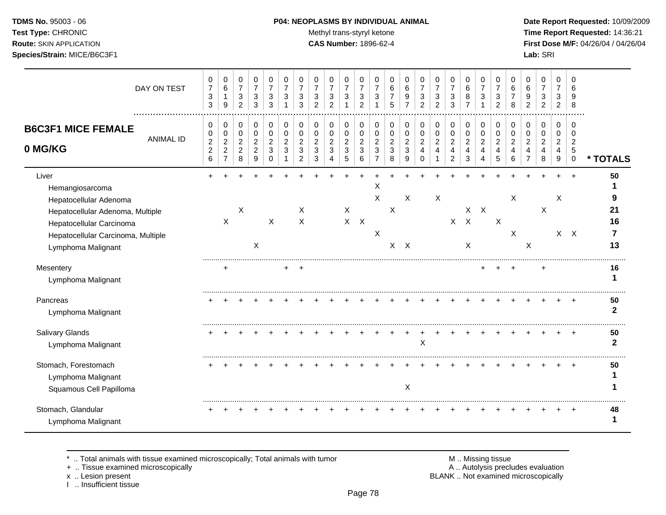# **TDMS No.** 95003 - 06 **P04: NEOPLASMS BY INDIVIDUAL ANIMAL** Date Report Requested: 10/09/2009

**Test Type:** CHRONIC **Trans-styryl ketone** Methyl trans-styryl ketone **Time Report Requested:** 14:36:21 **Route:** SKIN APPLICATION **CAS Number:** 1896-62-4 **First Dose M/F:** 04/26/04 / 04/26/04 **Species/Strain:** MICE/B6C3F1 **Lab:** SRI

| DAY ON TEST                                                                                                                                                                    | 0<br>$\overline{7}$<br>$\mathbf{3}$<br>3    | 0<br>$\,6\,$<br>$\mathbf{1}$<br>$\boldsymbol{9}$                   | 0<br>$\overline{7}$<br>$\sqrt{3}$<br>$\overline{2}$     | 0<br>$\overline{7}$<br>3<br>3                             | 0<br>$\overline{7}$<br>3<br>3                    | 0<br>$\overline{7}$<br>3             | 0<br>$\overline{7}$<br>3<br>3                                        | 0<br>$\overline{7}$<br>3<br>$\overline{2}$ | 0<br>$\overline{7}$<br>3<br>$\overline{2}$                 | 0<br>$\overline{7}$<br>3                                  | 0<br>$\overline{7}$<br>3<br>2                         | 0<br>$\overline{7}$<br>3<br>1                             | 0<br>6<br>$\overline{7}$<br>5                 | 0<br>$\,6\,$<br>9                             | 0<br>$\overline{7}$<br>3<br>$\overline{2}$ | $\pmb{0}$<br>$\overline{7}$<br>$\mathbf{3}$<br>$\overline{2}$ | 0<br>$\overline{7}$<br>3<br>3                                                 | 0<br>$\,6\,$<br>8<br>$\overline{7}$                       | 0<br>$\overline{7}$<br>3                     | 0<br>$\overline{7}$<br>3<br>2      | 0<br>6<br>8                        | 0<br>6<br>9<br>$\mathfrak{p}$           | 0<br>$\overline{7}$<br>3<br>$\overline{2}$ | 0<br>$\overline{7}$<br>3<br>2      | 0<br>6<br>9<br>8                                              |                      |
|--------------------------------------------------------------------------------------------------------------------------------------------------------------------------------|---------------------------------------------|--------------------------------------------------------------------|---------------------------------------------------------|-----------------------------------------------------------|--------------------------------------------------|--------------------------------------|----------------------------------------------------------------------|--------------------------------------------|------------------------------------------------------------|-----------------------------------------------------------|-------------------------------------------------------|-----------------------------------------------------------|-----------------------------------------------|-----------------------------------------------|--------------------------------------------|---------------------------------------------------------------|-------------------------------------------------------------------------------|-----------------------------------------------------------|----------------------------------------------|------------------------------------|------------------------------------|-----------------------------------------|--------------------------------------------|------------------------------------|---------------------------------------------------------------|----------------------|
| <b>B6C3F1 MICE FEMALE</b><br><b>ANIMAL ID</b><br>0 MG/KG                                                                                                                       | 0<br>0<br>$\sqrt{2}$<br>$\overline{a}$<br>6 | 0<br>$\pmb{0}$<br>$\boldsymbol{2}$<br>$\sqrt{2}$<br>$\overline{7}$ | 0<br>$\mathbf 0$<br>$\sqrt{2}$<br>$\boldsymbol{2}$<br>8 | 0<br>$\mathbf 0$<br>$\overline{c}$<br>$\overline{c}$<br>9 | 0<br>$\Omega$<br>$\overline{c}$<br>3<br>$\Omega$ | 0<br>$\Omega$<br>$\overline{2}$<br>3 | 0<br>$\mathbf 0$<br>$\overline{c}$<br>$\mathbf{3}$<br>$\overline{2}$ | 0<br>0<br>$\overline{c}$<br>3<br>3         | 0<br>0<br>$\boldsymbol{2}$<br>$\sqrt{3}$<br>$\overline{4}$ | 0<br>$\mathbf 0$<br>$\boldsymbol{2}$<br>$\mathbf{3}$<br>5 | 0<br>$\pmb{0}$<br>$\overline{c}$<br>$\mathbf{3}$<br>6 | 0<br>$\mathbf 0$<br>$\overline{c}$<br>3<br>$\overline{7}$ | 0<br>0<br>$\boldsymbol{2}$<br>$\sqrt{3}$<br>8 | 0<br>0<br>$\overline{c}$<br>$\mathbf{3}$<br>9 | 0<br>0<br>$\overline{2}$<br>4<br>$\Omega$  | 0<br>$\pmb{0}$<br>$\boldsymbol{2}$<br>$\overline{4}$          | 0<br>$\pmb{0}$<br>$\overline{c}$<br>$\overline{\mathbf{4}}$<br>$\overline{2}$ | 0<br>$\mathbf 0$<br>$\overline{2}$<br>$\overline{4}$<br>3 | 0<br>$\mathbf 0$<br>$\overline{c}$<br>4<br>4 | 0<br>0<br>$\overline{2}$<br>4<br>5 | 0<br>0<br>$\overline{2}$<br>4<br>6 | $\mathbf 0$<br>0<br>$\overline{2}$<br>4 | 0<br>0<br>$\overline{a}$<br>4<br>8         | 0<br>0<br>$\overline{2}$<br>4<br>9 | 0<br>$\mathbf 0$<br>$\overline{2}$<br>$\sqrt{5}$<br>$\pmb{0}$ | * TOTALS             |
| Liver<br>Hemangiosarcoma<br>Hepatocellular Adenoma<br>Hepatocellular Adenoma, Multiple<br>Hepatocellular Carcinoma<br>Hepatocellular Carcinoma, Multiple<br>Lymphoma Malignant |                                             | X                                                                  | X                                                       | X                                                         | X                                                |                                      | X<br>X                                                               |                                            |                                                            | $\boldsymbol{\mathsf{X}}$                                 | $X$ $X$                                               | Χ<br>X<br>$\times$                                        | $\boldsymbol{\mathsf{X}}$                     | X<br>$X$ $X$                                  |                                            | X                                                             |                                                                               | $X$ $X$<br>$\mathsf{X}$                                   | $X$ $X$                                      | $\boldsymbol{\mathsf{X}}$          | X<br>$\boldsymbol{\mathsf{X}}$     | $\boldsymbol{\mathsf{X}}$               | X                                          | X                                  | $X$ $X$                                                       | 50<br>21<br>16<br>13 |
| Mesentery<br>Lymphoma Malignant                                                                                                                                                |                                             |                                                                    |                                                         |                                                           |                                                  |                                      |                                                                      |                                            |                                                            |                                                           |                                                       |                                                           |                                               |                                               |                                            |                                                               |                                                                               |                                                           |                                              |                                    |                                    |                                         |                                            |                                    |                                                               | 16<br>1              |
| Pancreas<br>Lymphoma Malignant                                                                                                                                                 |                                             |                                                                    |                                                         |                                                           |                                                  |                                      |                                                                      |                                            |                                                            |                                                           |                                                       |                                                           |                                               |                                               |                                            |                                                               |                                                                               |                                                           |                                              |                                    |                                    |                                         |                                            |                                    |                                                               | 50<br>$\mathbf{2}$   |
| <b>Salivary Glands</b><br>Lymphoma Malignant                                                                                                                                   |                                             |                                                                    |                                                         |                                                           |                                                  |                                      |                                                                      |                                            |                                                            |                                                           |                                                       |                                                           |                                               |                                               | X                                          |                                                               |                                                                               |                                                           |                                              |                                    |                                    |                                         |                                            |                                    |                                                               | 50<br>$\mathbf{2}$   |
| Stomach, Forestomach<br>Lymphoma Malignant<br>Squamous Cell Papilloma                                                                                                          |                                             |                                                                    |                                                         |                                                           |                                                  |                                      |                                                                      |                                            |                                                            |                                                           |                                                       |                                                           |                                               | $\boldsymbol{\mathsf{X}}$                     |                                            |                                                               |                                                                               |                                                           |                                              |                                    |                                    |                                         |                                            |                                    |                                                               | 50<br>1              |
| Stomach, Glandular<br>Lymphoma Malignant                                                                                                                                       |                                             |                                                                    |                                                         |                                                           |                                                  |                                      |                                                                      |                                            |                                                            |                                                           |                                                       |                                                           |                                               |                                               |                                            |                                                               |                                                                               |                                                           |                                              |                                    |                                    |                                         |                                            |                                    |                                                               | 48<br>1              |

\* .. Total animals with tissue examined microscopically; Total animals with tumor M .. Missing tissue M .. Missing tissue<br>
+ .. Tissue examined microscopically

+ .. Tissue examined microscopically

x .. Lesion present<br>I .. Insufficient tissue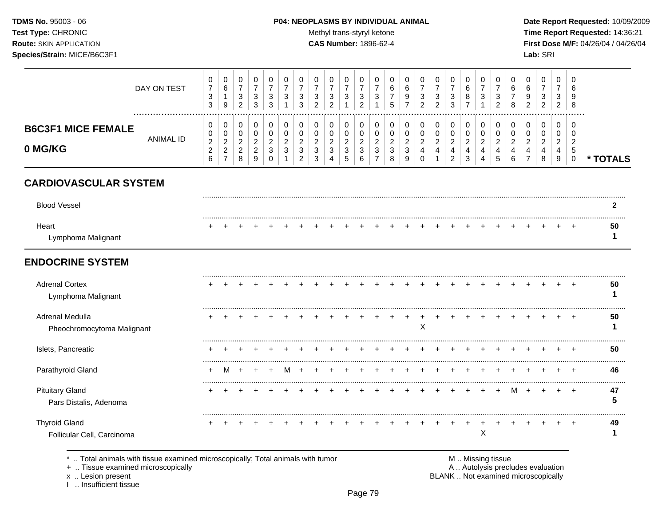### **TDMS No.** 95003 - 06 **P04: NEOPLASMS BY INDIVIDUAL ANIMAL** Date Report Requested: 10/09/2009

Test Type: CHRONIC **Test Type:** CHRONIC **Test Type:** CHRONIC **Time Report Requested:** 14:36:21 **Route:** SKIN APPLICATION **CAS Number:** 1896-62-4 **First Dose M/F:** 04/26/04 / 04/26/04

| <b>B6C3F1 MICE FEMALE</b><br>0 MG/KG | ANIMAL ID   | 0<br>0<br>$\overline{2}$<br>$\sim$<br>∠<br>6 | 0<br>0<br>C<br>▃<br>$\sim$<br>∼<br>$\overline{\phantom{a}}$ | 0<br>∩<br>U<br>ົ<br><u>_</u><br>ົ<br>▵<br>8 | $\sqrt{2}$<br>n<br>∸<br>ົ<br>_<br>9 | 0<br>0<br>ີ<br><u>_</u><br>3<br>0 | 0<br>0<br>ົ<br>∼<br>3 | ∼<br>◠<br>2 | 0<br>0<br>ົ<br><u>_</u><br>3<br>3 | $\sim$<br>4 | 0<br>U<br>ົ<br>$\sim$<br>3<br>5 | ◡<br>ີ<br>∼<br>$\sim$<br>చ<br>6 | 0<br>0<br>◠<br>_<br>3<br>- | 0<br>0<br>ົ<br><u>_</u><br>3<br>8 | ▃<br>$\sim$<br>చ<br>9 | 0<br>0<br>റ<br><u>_</u><br>$\overline{4}$<br>$\mathbf{0}$ | U<br><sup>o</sup><br><u>_</u><br>4 | 0<br>0<br>ົ<br><u>_</u><br>4<br>2 | υ<br>ົ<br>4<br>3 | 0<br>0<br>◠<br>▃<br>4 | 0<br>υ<br>ົ<br><u>_</u><br>4<br><sub>5</sub> | 6 | 0<br>0<br>4<br>- | υ<br>$\sim$<br>∼<br>4<br>8     | 0<br>U<br>ົ<br><u>_</u><br>4<br>9 | 0<br>0<br>ົ<br>5<br>U         | * TOTALS |
|--------------------------------------|-------------|----------------------------------------------|-------------------------------------------------------------|---------------------------------------------|-------------------------------------|-----------------------------------|-----------------------|-------------|-----------------------------------|-------------|---------------------------------|---------------------------------|----------------------------|-----------------------------------|-----------------------|-----------------------------------------------------------|------------------------------------|-----------------------------------|------------------|-----------------------|----------------------------------------------|---|------------------|--------------------------------|-----------------------------------|-------------------------------|----------|
|                                      | DAY ON TEST | 0<br>$\overline{ }$<br>3<br>3                | 0<br>6<br>9                                                 | U<br>3<br>2                                 | J.<br>3<br>3                        | 0<br>3<br>3                       | 0<br>3                | 3<br>3      | 0<br>-<br>3<br>ົ<br>∠             | ົ<br>$\sim$ | U<br>3                          | ◡<br>3<br>ົ<br>∼                | 0<br>3                     | 0<br>6<br>⇁<br>G                  | 6                     | 0<br>⇁<br>3<br>2                                          | v<br>3<br>ົ<br>$\epsilon$          | 0<br>3<br>3                       | U<br>⌒<br>O<br>8 | 0<br>3                | U<br>3<br>ົ<br>∼                             | Ω | 0<br>6<br>9<br>ົ | U<br>ົ<br>ت<br>ົ<br>$\epsilon$ | 0<br>3<br>ົ<br>$\epsilon$         | $\overline{0}$<br>b<br>9<br>8 |          |

# **CARDIOVASCULAR SYSTEM**

| Heart<br>Lymphoma Malignant |  |  |  |  |  |  |  |  |  |  |  |  | .<br>50 |
|-----------------------------|--|--|--|--|--|--|--|--|--|--|--|--|---------|

# **ENDOCRINE SYSTEM**

| <b>Adrenal Cortex</b><br>Lymphoma Malignant        |  |  |  |  |  |  |  |   |  |   |   |  |   | 50 |
|----------------------------------------------------|--|--|--|--|--|--|--|---|--|---|---|--|---|----|
| Adrenal Medulla<br>Pheochromocytoma Malignant      |  |  |  |  |  |  |  | ⌒ |  |   |   |  |   | 50 |
| Islets, Pancreatic                                 |  |  |  |  |  |  |  |   |  |   |   |  | ÷ | 50 |
| Parathyroid Gland                                  |  |  |  |  |  |  |  |   |  |   |   |  |   | 46 |
| <b>Pituitary Gland</b><br>Pars Distalis, Adenoma   |  |  |  |  |  |  |  |   |  |   | м |  |   |    |
| <b>Thyroid Gland</b><br>Follicular Cell, Carcinoma |  |  |  |  |  |  |  |   |  | ⌒ |   |  |   | 49 |

\* .. Total animals with tissue examined microscopically; Total animals with tumor M .. Missing tissue M .. Missing tissue<br>
A .. Autolysis precludes evaluation<br>
M .. Autolysis precludes evaluation

+ .. Tissue examined microscopically

I .. Insufficient tissue

x .. Lesion present **EXAME** . Not examined microscopically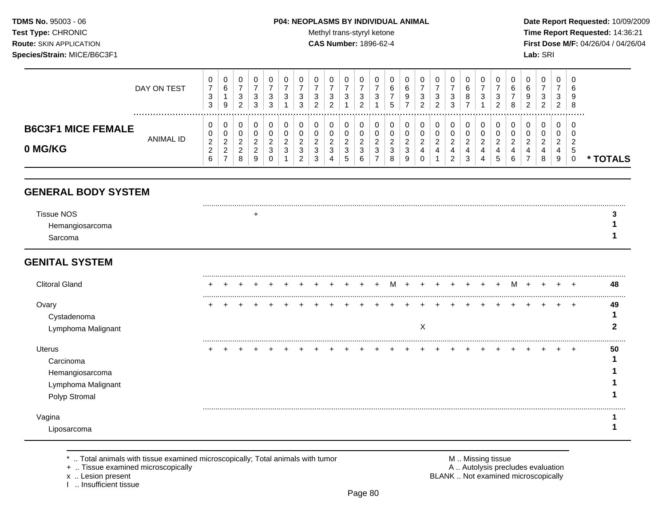### **TDMS No.** 95003 - 06 **P04: NEOPLASMS BY INDIVIDUAL ANIMAL** Date Report Requested: 10/09/2009

Test Type: CHRONIC **Test Type:** CHRONIC **Test Type:** CHRONIC **Time Report Requested:** 14:36:21 **Route:** SKIN APPLICATION **CAS Number:** 1896-62-4 **First Dose M/F:** 04/26/04 / 04/26/04

|                                      | DAY ON TEST | v<br>$\sim$<br>ت<br>ີ<br>ູບ                 | 0<br>6<br>9                                   | $\cup$<br>ົ<br>د<br>ົ<br>∠        | 3<br>3      | U<br>-3<br>3                 | 0<br>2<br>J<br>3                    | v<br>ີ<br>J<br>ົ            | 0<br>3<br>ົ                       | U<br>3                             | 3                | U<br>3      | b      | v<br>6<br>9<br>-             | υ<br>ົ<br>J<br>າ | 0<br>3<br>ົ<br><u>L</u> | U<br>3<br>3                              |             | O<br>3           | <sup>o</sup> | 0<br>6<br>8   | 0<br>⌒<br>6<br>9<br>າ | 0<br>3<br>ົ<br>$\epsilon$ | U<br>3<br>2                       | – G<br>-c<br>-8 |               |
|--------------------------------------|-------------|---------------------------------------------|-----------------------------------------------|-----------------------------------|-------------|------------------------------|-------------------------------------|-----------------------------|-----------------------------------|------------------------------------|------------------|-------------|--------|------------------------------|------------------|-------------------------|------------------------------------------|-------------|------------------|--------------|---------------|-----------------------|---------------------------|-----------------------------------|-----------------|---------------|
| <b>B6C3F1 MICE FEMALE</b><br>0 MG/KG | ANIMAL ID   | U<br>v<br>ົ<br><u>_</u><br>_<br>$\sim$<br>O | 0<br>0<br>ົ<br><u>_</u><br>ົ<br><u>_</u><br>- | υ<br>U<br>ົ<br><u>.</u><br>ົ<br>8 | ∠<br>_<br>y | 0<br>ົ<br><u>_</u><br>3<br>0 | 0<br><u>_</u><br>J<br>◠<br><u>_</u> | U.<br>ີ<br>J<br>$\sim$<br>◡ | 0<br>0<br>ົ<br><u>_</u><br>3<br>4 | U<br>U<br>ົ<br><u>_</u><br>3<br>C. | c<br>∼<br>చ<br>b | 0<br>ົ<br>3 | ◠<br>8 | 0<br>◠<br><u>_</u><br>J<br>9 | υ<br>ົ<br>υ      | 0<br>0<br>ົ<br>▵<br>4   | U<br>U<br>ົ<br>▵<br>4<br>ົ<br>$\epsilon$ | ົ<br>∠<br>చ | 0<br>ີ<br>4<br>4 | 4<br>C       | <u>_</u><br>6 | 0<br>υ<br>ົ           | 0<br>0<br>ົ<br>_<br>8     | U<br>ν<br>ົ<br><u>_</u><br>4<br>9 | - 0<br>ಂ        | <b>TOTALS</b> |

# **GENERAL BODY SYSTEM**

| <b>Tissue NOS</b> |  |
|-------------------|--|
| Hemangiose        |  |
| iarcoma           |  |

# **GENITAL SYSTEM**

| <b>Clitoral Gland</b>                                                         |  |  |  |  |  |  | м |   |  |  | м |  |    | 48 |
|-------------------------------------------------------------------------------|--|--|--|--|--|--|---|---|--|--|---|--|----|----|
| Ovary<br>Cystadenoma<br>Lymphoma Malignant                                    |  |  |  |  |  |  |   | ⋏ |  |  |   |  | ⊣  | 49 |
| Uterus<br>Carcinoma<br>Hemangiosarcoma<br>Lymphoma Malignant<br>Polyp Stromal |  |  |  |  |  |  |   |   |  |  |   |  | -4 | 50 |
| Vaqina<br>Liposarcoma                                                         |  |  |  |  |  |  |   |   |  |  |   |  |    |    |

\* .. Total animals with tissue examined microscopically; Total animals with tumor M .. Missing tissue M .. Missing tissue<br>A .. Tissue examined microscopically by the matric of the matric of the M .. Missing tissue examined

+ .. Tissue examined microscopically

I .. Insufficient tissue

x .. Lesion present **BLANK** .. Not examined microscopically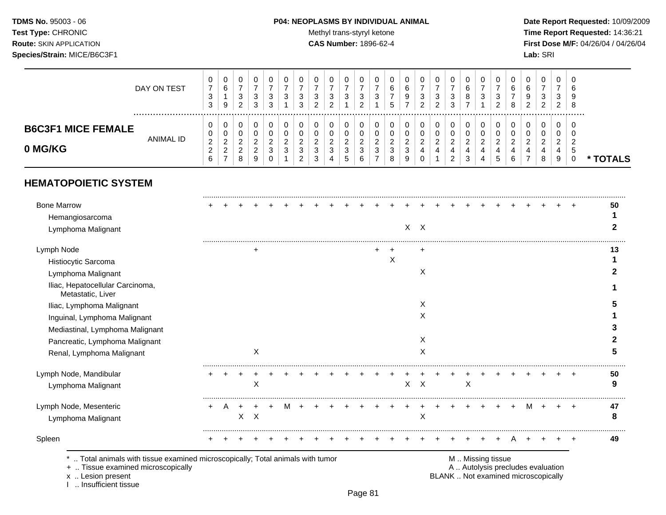# **TDMS No.** 95003 - 06 **P04: NEOPLASMS BY INDIVIDUAL ANIMAL** Date Report Requested: 10/09/2009

Test Type: CHRONIC **Test Type:** CHRONIC **Test Type:** CHRONIC **Time Report Requested:** 14:36:21 **Route:** SKIN APPLICATION **CAS Number:** 1896-62-4 **First Dose M/F:** 04/26/04 / 04/26/04

|                           | DAY ON TEST | v<br>⇁<br>$\sim$<br>ັ<br>$\sim$<br>చ | 0<br>6<br>9                         | υ<br>ັ<br>$\sim$<br><u>_</u> | دت<br>3 | 3<br>3 | ັ<br>J<br>າ<br>J | ີ<br>J                | 0<br>3<br>ົ<br>▃   | U<br>3              | د  | <b>U</b><br>3 | ╰<br>ี่ค<br>9 | ີ<br>J<br>າ | 0<br>3<br>ົ<br>$\epsilon$ | U<br>3<br>ົ<br>◡          |   | U<br>3 | $\sim$ | 8   | υ<br>⌒<br>9<br>ົ | 0<br>3<br>ົ<br>$\sim$ | U<br><b>ت</b><br>ົ<br>$\epsilon$ | – G<br>- 3<br>-8 |      |  |
|---------------------------|-------------|--------------------------------------|-------------------------------------|------------------------------|---------|--------|------------------|-----------------------|--------------------|---------------------|----|---------------|---------------|-------------|---------------------------|---------------------------|---|--------|--------|-----|------------------|-----------------------|----------------------------------|------------------|------|--|
| <b>B6C3F1 MICE FEMALE</b> | ANIMAL ID   | v<br>v                               | 0<br>0                              | υ<br>U                       |         |        | U                |                       | 0<br>0             | U<br>U              |    |               | v             | ν           | 0<br>0                    | υ                         |   | 0      |        |     | υ<br>U           | 0<br>0                | U<br>v                           | - ს              |      |  |
| 0 MG/KG                   |             | ົ<br><u>_</u><br>$\sim$              | റ<br><u>_</u><br>ົ<br><u>_</u><br>- | <u>_</u><br>8                | _<br>9  | 3<br>U | <u>.</u>         | $\sim$<br>J<br>⌒<br>J | ົ<br><u>_</u><br>3 | <u>_</u><br>3<br>.5 | J. | <b>اب</b>     | _<br>9        |             | ◠<br>▃                    | <u>_</u><br>4<br><u>_</u> | J | 4      | ັ      | ี่ค |                  | ົ<br><u>.</u><br>8    | $\sim$<br><u>_</u><br>4<br>9     | - 0              | TALS |  |

# **HEMATOPOIETIC SYSTEM**

|   |          |   |  |  |  | X |   | $X$ $X$<br>Χ<br>X<br>X    |  |   |  |   |  |                                                                                                   | 50<br>13<br>5<br>3 |
|---|----------|---|--|--|--|---|---|---------------------------|--|---|--|---|--|---------------------------------------------------------------------------------------------------|--------------------|
|   |          |   |  |  |  |   |   |                           |  |   |  |   |  |                                                                                                   |                    |
|   |          |   |  |  |  |   |   |                           |  |   |  |   |  |                                                                                                   |                    |
|   |          |   |  |  |  |   |   |                           |  |   |  |   |  |                                                                                                   |                    |
|   |          |   |  |  |  |   |   |                           |  |   |  |   |  |                                                                                                   |                    |
|   |          |   |  |  |  |   |   |                           |  |   |  |   |  |                                                                                                   |                    |
|   |          |   |  |  |  |   |   |                           |  |   |  |   |  |                                                                                                   |                    |
|   |          |   |  |  |  |   |   |                           |  |   |  |   |  |                                                                                                   |                    |
|   |          |   |  |  |  |   |   |                           |  |   |  |   |  |                                                                                                   |                    |
|   |          |   |  |  |  |   |   |                           |  |   |  |   |  |                                                                                                   |                    |
|   |          |   |  |  |  |   |   |                           |  |   |  |   |  |                                                                                                   |                    |
|   |          |   |  |  |  |   |   | X                         |  |   |  |   |  |                                                                                                   |                    |
|   | х        |   |  |  |  |   |   | X                         |  |   |  |   |  |                                                                                                   |                    |
|   |          |   |  |  |  |   |   |                           |  |   |  |   |  |                                                                                                   | 50                 |
|   | Χ        |   |  |  |  |   | X | $\boldsymbol{\mathsf{X}}$ |  | X |  |   |  |                                                                                                   | 9                  |
|   |          | M |  |  |  |   |   |                           |  |   |  | м |  | $\pm$                                                                                             | 47                 |
| X | $\times$ |   |  |  |  |   |   | X                         |  |   |  |   |  |                                                                                                   | 8                  |
|   |          |   |  |  |  |   |   |                           |  |   |  |   |  |                                                                                                   | 49                 |
|   |          |   |  |  |  |   |   |                           |  |   |  |   |  | Total animals with tissue examined microscopically; Total animals with tumor<br>M  Missing tissue |                    |

x .. Lesion present BLANK .. Not examined microscopically x .. Lesion present<br>I .. Insufficient tissue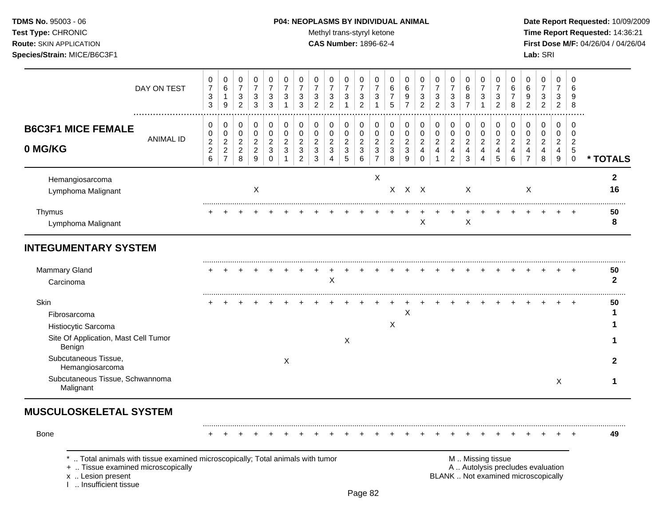# **TDMS No.** 95003 - 06 **P04: NEOPLASMS BY INDIVIDUAL ANIMAL** Date Report Requested: 10/09/2009

Test Type: CHRONIC **Test Type:** CHRONIC **Test Type:** CHRONIC **Time Report Requested:** 14:36:21 **Route:** SKIN APPLICATION **CAS Number:** 1896-62-4 **First Dose M/F:** 04/26/04 / 04/26/04 **Species/Strain:** MICE/B6C3F1 **Lab:** SRI

|                                                                                                                                                                   | DAY ON TEST      | 0<br>$\boldsymbol{7}$<br>$\ensuremath{\mathsf{3}}$<br>$\mathfrak{S}$ | 0<br>$\,6\,$<br>$\mathbf{1}$<br>$\boldsymbol{9}$                               | $\pmb{0}$<br>$\overline{7}$<br>$\sqrt{3}$<br>$\overline{2}$ | $\pmb{0}$<br>$\overline{7}$<br>$\ensuremath{\mathsf{3}}$<br>$\mathfrak{S}$ | $\mathbf 0$<br>$\overline{7}$<br>$\ensuremath{\mathsf{3}}$<br>$\sqrt{3}$ | 0<br>$\overline{7}$<br>3<br>$\mathbf{1}$                           | 0<br>$\overline{7}$<br>3<br>$\mathfrak{S}$                                                | $\mathbf 0$<br>$\overline{7}$<br>$\ensuremath{\mathsf{3}}$<br>$\overline{2}$ | 0<br>$\overline{7}$<br>$\ensuremath{\mathsf{3}}$<br>$\overline{2}$ | 0<br>$\overline{7}$<br>$\ensuremath{\mathsf{3}}$<br>$\mathbf{1}$         | 0<br>$\overline{7}$<br>$\ensuremath{\mathsf{3}}$<br>$\overline{2}$ | 0<br>$\overline{7}$<br>3<br>$\mathbf{1}$                       | $\mathbf 0$<br>6<br>$\overline{7}$<br>5                              | 0<br>6<br>9<br>$\overline{7}$                                          | 0<br>$\overline{7}$<br>$\ensuremath{\mathsf{3}}$<br>$\overline{c}$  | 0<br>$\overline{7}$<br>$\ensuremath{\mathsf{3}}$<br>$\overline{2}$ | 0<br>$\overline{7}$<br>$\ensuremath{\mathsf{3}}$<br>$\mathbf{3}$               | $\pmb{0}$<br>$\,6\,$<br>8<br>$\overline{7}$                       | 0<br>$\overline{7}$<br>3<br>$\mathbf{1}$                               | 0<br>$\overline{7}$<br>3<br>$\overline{2}$              | 0<br>6<br>$\overline{7}$<br>8                                                     | 0<br>$\,6$<br>9<br>$\overline{c}$                                               | 0<br>$\overline{7}$<br>$\ensuremath{\mathsf{3}}$<br>$\overline{2}$ | $\mathbf 0$<br>$\overline{7}$<br>3<br>$\overline{2}$                               | $\mathbf 0$<br>6<br>9<br>8                                  |                    |
|-------------------------------------------------------------------------------------------------------------------------------------------------------------------|------------------|----------------------------------------------------------------------|--------------------------------------------------------------------------------|-------------------------------------------------------------|----------------------------------------------------------------------------|--------------------------------------------------------------------------|--------------------------------------------------------------------|-------------------------------------------------------------------------------------------|------------------------------------------------------------------------------|--------------------------------------------------------------------|--------------------------------------------------------------------------|--------------------------------------------------------------------|----------------------------------------------------------------|----------------------------------------------------------------------|------------------------------------------------------------------------|---------------------------------------------------------------------|--------------------------------------------------------------------|--------------------------------------------------------------------------------|-------------------------------------------------------------------|------------------------------------------------------------------------|---------------------------------------------------------|-----------------------------------------------------------------------------------|---------------------------------------------------------------------------------|--------------------------------------------------------------------|------------------------------------------------------------------------------------|-------------------------------------------------------------|--------------------|
| <b>B6C3F1 MICE FEMALE</b><br>0 MG/KG                                                                                                                              | <b>ANIMAL ID</b> | 0<br>$\mathbf 0$<br>$\boldsymbol{2}$<br>$\boldsymbol{2}$<br>$\,6$    | $\,0\,$<br>$\pmb{0}$<br>$\boldsymbol{2}$<br>$\boldsymbol{2}$<br>$\overline{7}$ | 0<br>$\mathbf 0$<br>$\sqrt{2}$<br>$\sqrt{2}$<br>$\,8\,$     | $\pmb{0}$<br>$\pmb{0}$<br>$\overline{c}$<br>$\sqrt{2}$<br>$\mathsf g$      | 0<br>$\pmb{0}$<br>$\boldsymbol{2}$<br>$\sqrt{3}$<br>$\mathbf 0$          | 0<br>$\mathbf 0$<br>$\overline{c}$<br>$\mathbf{3}$<br>$\mathbf{1}$ | $\mathbf 0$<br>$\pmb{0}$<br>$\overline{c}$<br>$\ensuremath{\mathsf{3}}$<br>$\overline{2}$ | $\pmb{0}$<br>$\mathbf 0$<br>$\boldsymbol{2}$<br>$\sqrt{3}$<br>3              | 0<br>$\pmb{0}$<br>$\overline{c}$<br>$\ensuremath{\mathsf{3}}$<br>4 | 0<br>$\mathsf{O}\xspace$<br>$\sqrt{2}$<br>$\ensuremath{\mathsf{3}}$<br>5 | 0<br>0<br>$\overline{c}$<br>$\mathbf 3$<br>6                       | 0<br>$\pmb{0}$<br>$\mathbf 2$<br>$\mathsf 3$<br>$\overline{7}$ | 0<br>$\mathbf 0$<br>$\overline{c}$<br>$\ensuremath{\mathsf{3}}$<br>8 | 0<br>$\mathbf 0$<br>$\boldsymbol{2}$<br>$\ensuremath{\mathsf{3}}$<br>9 | 0<br>$\pmb{0}$<br>$\boldsymbol{2}$<br>$\overline{4}$<br>$\mathbf 0$ | 0<br>$\pmb{0}$<br>$\overline{2}$<br>$\overline{4}$<br>$\mathbf{1}$ | 0<br>$\mathsf{O}\xspace$<br>$\overline{2}$<br>$\overline{4}$<br>$\overline{2}$ | 0<br>$\mathbf 0$<br>$\mathbf 2$<br>$\overline{4}$<br>$\mathbf{3}$ | 0<br>$\mathbf 0$<br>$\overline{c}$<br>$\overline{4}$<br>$\overline{4}$ | 0<br>$\pmb{0}$<br>$\overline{c}$<br>$\overline{4}$<br>5 | $\mathbf 0$<br>$\mathbf 0$<br>$\overline{c}$<br>$\overline{4}$<br>$6\phantom{1}6$ | 0<br>$\mathsf 0$<br>$\overline{c}$<br>$\overline{\mathbf{4}}$<br>$\overline{7}$ | 0<br>$\mathbf 0$<br>$\overline{c}$<br>$\overline{\mathbf{4}}$<br>8 | $\mathbf 0$<br>$\mathbf 0$<br>$\overline{c}$<br>$\overline{4}$<br>$\boldsymbol{9}$ | $\mathbf 0$<br>$\pmb{0}$<br>2<br>$\mathbf 5$<br>$\mathbf 0$ | * TOTALS           |
| Hemangiosarcoma<br>Lymphoma Malignant                                                                                                                             |                  |                                                                      |                                                                                |                                                             | X                                                                          |                                                                          |                                                                    |                                                                                           |                                                                              |                                                                    |                                                                          |                                                                    | X                                                              |                                                                      | $X$ $X$ $X$                                                            |                                                                     |                                                                    |                                                                                | X                                                                 |                                                                        |                                                         |                                                                                   | X                                                                               |                                                                    |                                                                                    |                                                             | $\mathbf{2}$<br>16 |
| Thymus<br>Lymphoma Malignant                                                                                                                                      |                  |                                                                      |                                                                                |                                                             |                                                                            |                                                                          |                                                                    |                                                                                           |                                                                              |                                                                    |                                                                          |                                                                    |                                                                |                                                                      |                                                                        | X                                                                   |                                                                    |                                                                                | X                                                                 |                                                                        |                                                         |                                                                                   |                                                                                 |                                                                    |                                                                                    |                                                             | 50<br>8            |
| <b>INTEGUMENTARY SYSTEM</b>                                                                                                                                       |                  |                                                                      |                                                                                |                                                             |                                                                            |                                                                          |                                                                    |                                                                                           |                                                                              |                                                                    |                                                                          |                                                                    |                                                                |                                                                      |                                                                        |                                                                     |                                                                    |                                                                                |                                                                   |                                                                        |                                                         |                                                                                   |                                                                                 |                                                                    |                                                                                    |                                                             |                    |
| Mammary Gland<br>Carcinoma                                                                                                                                        |                  |                                                                      |                                                                                |                                                             |                                                                            |                                                                          |                                                                    |                                                                                           |                                                                              | $\mathsf X$                                                        |                                                                          |                                                                    |                                                                |                                                                      |                                                                        |                                                                     |                                                                    |                                                                                |                                                                   |                                                                        |                                                         |                                                                                   |                                                                                 |                                                                    |                                                                                    | $\ddot{}$                                                   | 50<br>$\mathbf{2}$ |
| Skin<br>Fibrosarcoma<br>Histiocytic Sarcoma                                                                                                                       |                  |                                                                      |                                                                                |                                                             |                                                                            |                                                                          |                                                                    |                                                                                           |                                                                              |                                                                    |                                                                          |                                                                    |                                                                | $\times$                                                             | X                                                                      |                                                                     |                                                                    |                                                                                |                                                                   |                                                                        |                                                         |                                                                                   |                                                                                 |                                                                    |                                                                                    |                                                             | 50<br>1            |
| Site Of Application, Mast Cell Tumor<br>Benign                                                                                                                    |                  |                                                                      |                                                                                |                                                             |                                                                            |                                                                          |                                                                    |                                                                                           |                                                                              |                                                                    | X                                                                        |                                                                    |                                                                |                                                                      |                                                                        |                                                                     |                                                                    |                                                                                |                                                                   |                                                                        |                                                         |                                                                                   |                                                                                 |                                                                    |                                                                                    |                                                             |                    |
| Subcutaneous Tissue,<br>Hemangiosarcoma                                                                                                                           |                  |                                                                      |                                                                                |                                                             |                                                                            |                                                                          | $\boldsymbol{X}$                                                   |                                                                                           |                                                                              |                                                                    |                                                                          |                                                                    |                                                                |                                                                      |                                                                        |                                                                     |                                                                    |                                                                                |                                                                   |                                                                        |                                                         |                                                                                   |                                                                                 |                                                                    |                                                                                    |                                                             | $\mathbf{2}$       |
| Subcutaneous Tissue, Schwannoma<br>Malignant                                                                                                                      |                  |                                                                      |                                                                                |                                                             |                                                                            |                                                                          |                                                                    |                                                                                           |                                                                              |                                                                    |                                                                          |                                                                    |                                                                |                                                                      |                                                                        |                                                                     |                                                                    |                                                                                |                                                                   |                                                                        |                                                         |                                                                                   |                                                                                 |                                                                    | X                                                                                  |                                                             | 1                  |
| <b>MUSCULOSKELETAL SYSTEM</b>                                                                                                                                     |                  |                                                                      |                                                                                |                                                             |                                                                            |                                                                          |                                                                    |                                                                                           |                                                                              |                                                                    |                                                                          |                                                                    |                                                                |                                                                      |                                                                        |                                                                     |                                                                    |                                                                                |                                                                   |                                                                        |                                                         |                                                                                   |                                                                                 |                                                                    |                                                                                    |                                                             |                    |
| Bone                                                                                                                                                              |                  |                                                                      |                                                                                |                                                             |                                                                            |                                                                          |                                                                    |                                                                                           |                                                                              |                                                                    |                                                                          |                                                                    |                                                                |                                                                      |                                                                        |                                                                     |                                                                    |                                                                                |                                                                   |                                                                        |                                                         |                                                                                   |                                                                                 |                                                                    |                                                                                    |                                                             | 49                 |
| Total animals with tissue examined microscopically; Total animals with tumor<br>+  Tissue examined microscopically<br>x  Lesion present<br>I  Insufficient tissue |                  |                                                                      |                                                                                |                                                             |                                                                            |                                                                          |                                                                    |                                                                                           |                                                                              |                                                                    |                                                                          |                                                                    |                                                                |                                                                      |                                                                        |                                                                     |                                                                    |                                                                                |                                                                   | M  Missing tissue                                                      |                                                         |                                                                                   | A  Autolysis precludes evaluation<br>BLANK  Not examined microscopically        |                                                                    |                                                                                    |                                                             |                    |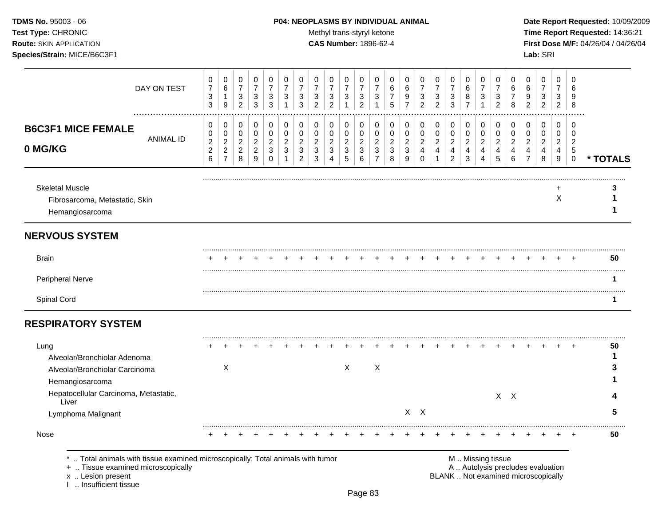# **TDMS No.** 95003 - 06 **P04: NEOPLASMS BY INDIVIDUAL ANIMAL** Date Report Requested: 10/09/2009

Test Type: CHRONIC **Test Type:** CHRONIC **Test Type:** CHRONIC **Time Report Requested:** 14:36:21 **Route:** SKIN APPLICATION **CAS Number:** 1896-62-4 **First Dose M/F:** 04/26/04 / 04/26/04

|                                                                                                                                                                | DAY ON TEST      | 0<br>$\overline{7}$<br>$\ensuremath{\mathsf{3}}$<br>$\mathbf{3}$ | 0<br>$\,6\,$<br>1<br>9                                                 | 0<br>$\overline{7}$<br>3<br>$\overline{2}$                      | 0<br>$\overline{7}$<br>3<br>$\mathbf{3}$                            | 0<br>$\overline{7}$<br>$\sqrt{3}$<br>3            | 0<br>$\overline{7}$<br>3<br>1                           | 0<br>$\overline{7}$<br>3<br>3                                | 0<br>$\overline{7}$<br>3<br>$\overline{2}$              | 0<br>$\overline{7}$<br>$\ensuremath{\mathsf{3}}$<br>$\overline{2}$       | 0<br>$\overline{7}$<br>$\sqrt{3}$<br>$\overline{\mathbf{1}}$ | 0<br>$\overline{7}$<br>3<br>$\overline{2}$      | 0<br>$\overline{7}$<br>3                                         | 0<br>6<br>$\overline{7}$<br>5                         | 0<br>6<br>9<br>$\overline{7}$                | 0<br>$\overline{7}$<br>$\mathbf{3}$<br>$\overline{2}$                         | 0<br>$\overline{7}$<br>3<br>$\overline{2}$ | 0<br>$\overline{7}$<br>$\sqrt{3}$<br>$\sqrt{3}$       | 0<br>6<br>8<br>$\overline{7}$              | 0<br>$\overline{7}$<br>3<br>1                | 0<br>$\overline{7}$<br>$\mathbf{3}$<br>$\overline{2}$         | 0<br>6<br>$\overline{7}$<br>8                           | 0<br>6<br>9<br>$\mathfrak{p}$                                            | 0<br>$\overline{7}$<br>3<br>$\overline{c}$ | 0<br>$\overline{7}$<br>3<br>$\overline{c}$        | $\Omega$<br>6<br>-9<br>8                             |          |
|----------------------------------------------------------------------------------------------------------------------------------------------------------------|------------------|------------------------------------------------------------------|------------------------------------------------------------------------|-----------------------------------------------------------------|---------------------------------------------------------------------|---------------------------------------------------|---------------------------------------------------------|--------------------------------------------------------------|---------------------------------------------------------|--------------------------------------------------------------------------|--------------------------------------------------------------|-------------------------------------------------|------------------------------------------------------------------|-------------------------------------------------------|----------------------------------------------|-------------------------------------------------------------------------------|--------------------------------------------|-------------------------------------------------------|--------------------------------------------|----------------------------------------------|---------------------------------------------------------------|---------------------------------------------------------|--------------------------------------------------------------------------|--------------------------------------------|---------------------------------------------------|------------------------------------------------------|----------|
| <b>B6C3F1 MICE FEMALE</b><br>0 MG/KG                                                                                                                           | <b>ANIMAL ID</b> | 0<br>0<br>$\mathbf 2$<br>$\mathbf 2$<br>6                        | 0<br>$\pmb{0}$<br>$\boldsymbol{2}$<br>$\overline{c}$<br>$\overline{7}$ | 0<br>$\mathbf 0$<br>$\overline{c}$<br>$\overline{c}$<br>$\,8\,$ | 0<br>$\pmb{0}$<br>$\mathbf 2$<br>$\overline{a}$<br>$\boldsymbol{9}$ | 0<br>$\mathbf 0$<br>$\sqrt{2}$<br>$\sqrt{3}$<br>0 | 0<br>$\mathbf 0$<br>$\overline{2}$<br>$\mathbf{3}$<br>1 | 0<br>0<br>$\boldsymbol{2}$<br>$\mathbf{3}$<br>$\overline{2}$ | 0<br>$\mathbf 0$<br>$\overline{2}$<br>$\mathbf{3}$<br>3 | $\pmb{0}$<br>$\pmb{0}$<br>$\overline{c}$<br>$\sqrt{3}$<br>$\overline{4}$ | 0<br>$\pmb{0}$<br>$\sqrt{2}$<br>$\sqrt{3}$<br>$\sqrt{5}$     | 0<br>0<br>$\boldsymbol{2}$<br>$\mathbf{3}$<br>6 | 0<br>$\pmb{0}$<br>$\overline{c}$<br>$\sqrt{3}$<br>$\overline{7}$ | 0<br>$\mathbf 0$<br>$\overline{c}$<br>$\sqrt{3}$<br>8 | 0<br>$\pmb{0}$<br>$\boldsymbol{2}$<br>3<br>9 | $\mathbf 0$<br>$\pmb{0}$<br>$\boldsymbol{2}$<br>$\overline{4}$<br>$\mathbf 0$ | 0<br>$\pmb{0}$<br>$\overline{c}$<br>4<br>1 | 0<br>$\mathbf 0$<br>$\sqrt{2}$<br>4<br>$\overline{2}$ | 0<br>$\pmb{0}$<br>$\overline{c}$<br>4<br>3 | 0<br>$\mathbf 0$<br>$\overline{c}$<br>4<br>4 | $\mathbf 0$<br>$\pmb{0}$<br>$\sqrt{2}$<br>$\overline{4}$<br>5 | 0<br>$\pmb{0}$<br>$\overline{2}$<br>$\overline{4}$<br>6 | 0<br>$\mathsf 0$<br>$\overline{c}$<br>$\overline{4}$<br>$\overline{7}$   | 0<br>0<br>$\overline{c}$<br>4<br>8         | 0<br>0<br>$\overline{c}$<br>4<br>$\boldsymbol{9}$ | $\Omega$<br>$\Omega$<br>2<br>$\sqrt{5}$<br>$\pmb{0}$ | * TOTALS |
| <b>Skeletal Muscle</b><br>Fibrosarcoma, Metastatic, Skin<br>Hemangiosarcoma                                                                                    |                  |                                                                  |                                                                        |                                                                 |                                                                     |                                                   |                                                         |                                                              |                                                         |                                                                          |                                                              |                                                 |                                                                  |                                                       |                                              |                                                                               |                                            |                                                       |                                            |                                              |                                                               |                                                         |                                                                          |                                            | X                                                 |                                                      | 1        |
| <b>NERVOUS SYSTEM</b>                                                                                                                                          |                  |                                                                  |                                                                        |                                                                 |                                                                     |                                                   |                                                         |                                                              |                                                         |                                                                          |                                                              |                                                 |                                                                  |                                                       |                                              |                                                                               |                                            |                                                       |                                            |                                              |                                                               |                                                         |                                                                          |                                            |                                                   |                                                      |          |
| <b>Brain</b>                                                                                                                                                   |                  |                                                                  |                                                                        |                                                                 |                                                                     |                                                   |                                                         |                                                              |                                                         |                                                                          |                                                              |                                                 |                                                                  |                                                       |                                              |                                                                               |                                            |                                                       |                                            |                                              |                                                               |                                                         |                                                                          |                                            |                                                   |                                                      | 50       |
| Peripheral Nerve                                                                                                                                               |                  |                                                                  |                                                                        |                                                                 |                                                                     |                                                   |                                                         |                                                              |                                                         |                                                                          |                                                              |                                                 |                                                                  |                                                       |                                              |                                                                               |                                            |                                                       |                                            |                                              |                                                               |                                                         |                                                                          |                                            |                                                   |                                                      | 1        |
| Spinal Cord                                                                                                                                                    |                  |                                                                  |                                                                        |                                                                 |                                                                     |                                                   |                                                         |                                                              |                                                         |                                                                          |                                                              |                                                 |                                                                  |                                                       |                                              |                                                                               |                                            |                                                       |                                            |                                              |                                                               |                                                         |                                                                          |                                            |                                                   |                                                      |          |
| <b>RESPIRATORY SYSTEM</b>                                                                                                                                      |                  |                                                                  |                                                                        |                                                                 |                                                                     |                                                   |                                                         |                                                              |                                                         |                                                                          |                                                              |                                                 |                                                                  |                                                       |                                              |                                                                               |                                            |                                                       |                                            |                                              |                                                               |                                                         |                                                                          |                                            |                                                   |                                                      |          |
| Lung<br>Alveolar/Bronchiolar Adenoma<br>Alveolar/Bronchiolar Carcinoma                                                                                         |                  |                                                                  | X                                                                      |                                                                 |                                                                     |                                                   |                                                         |                                                              |                                                         |                                                                          | $\mathsf{X}$                                                 |                                                 | X                                                                |                                                       |                                              |                                                                               |                                            |                                                       |                                            |                                              |                                                               |                                                         |                                                                          |                                            |                                                   | $\pm$                                                | 50       |
| Hemangiosarcoma<br>Hepatocellular Carcinoma, Metastatic,<br>Liver                                                                                              |                  |                                                                  |                                                                        |                                                                 |                                                                     |                                                   |                                                         |                                                              |                                                         |                                                                          |                                                              |                                                 |                                                                  |                                                       |                                              |                                                                               |                                            |                                                       |                                            |                                              |                                                               | $X$ $X$                                                 |                                                                          |                                            |                                                   |                                                      |          |
| Lymphoma Malignant                                                                                                                                             |                  |                                                                  |                                                                        |                                                                 |                                                                     |                                                   |                                                         |                                                              |                                                         |                                                                          |                                                              |                                                 |                                                                  |                                                       |                                              | $X$ $X$                                                                       |                                            |                                                       |                                            |                                              |                                                               |                                                         |                                                                          |                                            |                                                   |                                                      | 5        |
| Nose                                                                                                                                                           |                  |                                                                  |                                                                        |                                                                 |                                                                     |                                                   |                                                         |                                                              |                                                         |                                                                          |                                                              |                                                 |                                                                  |                                                       |                                              |                                                                               |                                            |                                                       |                                            |                                              |                                                               |                                                         |                                                                          |                                            |                                                   |                                                      | 50       |
| Total animals with tissue examined microscopically; Total animals with tumor<br>+  Tissue examined microscopically<br>x  Lesion present<br>Insufficient tissue |                  |                                                                  |                                                                        |                                                                 |                                                                     |                                                   |                                                         |                                                              |                                                         |                                                                          |                                                              |                                                 |                                                                  |                                                       |                                              |                                                                               |                                            |                                                       |                                            | M  Missing tissue                            |                                                               |                                                         | A  Autolysis precludes evaluation<br>BLANK  Not examined microscopically |                                            |                                                   |                                                      |          |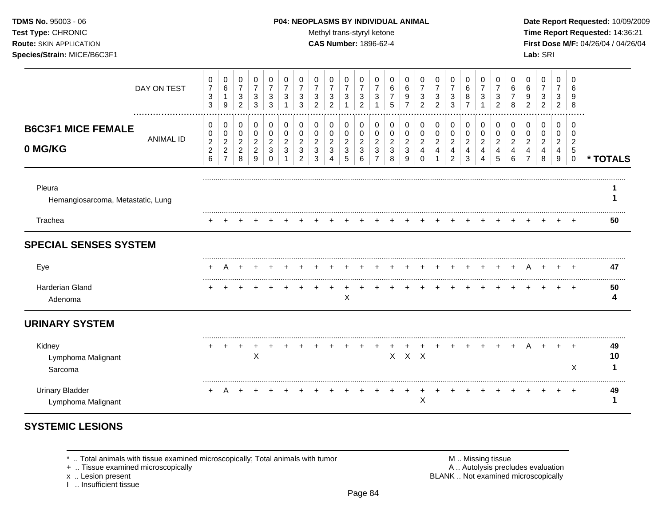### **TDMS No.** 95003 - 06 **P04: NEOPLASMS BY INDIVIDUAL ANIMAL** Date Report Requested: 10/09/2009

Test Type: CHRONIC **Test Type:** CHRONIC **Test Type:** CHRONIC **Time Report Requested:** 14:36:21 **Route:** SKIN APPLICATION **CAS Number:** 1896-62-4 **First Dose M/F:** 04/26/04 / 04/26/04 **Species/Strain:** MICE/B6C3F1 **Lab:** SRI

|                                              | DAY ON TEST      | 0<br>$\overline{7}$<br>$\sqrt{3}$<br>3              | 0<br>$\,6\,$<br>$\mathbf{1}$<br>9                            | 0<br>$\overline{7}$<br>$\mathbf{3}$<br>2          | 0<br>7<br>3<br>3                                | 0<br>7<br>3<br>3                          | 0<br>$\overline{7}$<br>3      | 0<br>$\overline{7}$<br>$\mathbf{3}$<br>3                | 0<br>$\overline{7}$<br>$\mathbf{3}$<br>2    | 0<br>$\overline{7}$<br>$\ensuremath{\mathsf{3}}$<br>2 | 0<br>$\overline{7}$<br>3           | 0<br>7<br>3<br>2                   | 0<br>3                                          | 0<br>6<br>5                        | 0<br>6<br>9<br>7                   | 0<br>$\overline{7}$<br>$\mathbf{3}$<br>2          | 0<br>$\overline{7}$<br>3<br>$\overline{2}$        | 0<br>7<br>3<br>3                       | 0<br>6<br>8                        | 0<br>7<br>3           | 0<br>7<br>3<br>$\overline{2}$  | 0<br>6<br>8                        | 0<br>6<br>9<br>$\overline{2}$                   | 0<br>$\overline{7}$<br>3<br>2      | 0<br>$\overline{7}$<br>3<br>2      | 0<br>6<br>9<br>8                                                    |               |
|----------------------------------------------|------------------|-----------------------------------------------------|--------------------------------------------------------------|---------------------------------------------------|-------------------------------------------------|-------------------------------------------|-------------------------------|---------------------------------------------------------|---------------------------------------------|-------------------------------------------------------|------------------------------------|------------------------------------|-------------------------------------------------|------------------------------------|------------------------------------|---------------------------------------------------|---------------------------------------------------|----------------------------------------|------------------------------------|-----------------------|--------------------------------|------------------------------------|-------------------------------------------------|------------------------------------|------------------------------------|---------------------------------------------------------------------|---------------|
| <b>B6C3F1 MICE FEMALE</b><br>0 MG/KG         | <b>ANIMAL ID</b> | 0<br>0<br>$\boldsymbol{2}$<br>$\boldsymbol{2}$<br>6 | 0<br>0<br>$\overline{a}$<br>$\overline{c}$<br>$\overline{7}$ | 0<br>0<br>$\overline{c}$<br>$\boldsymbol{2}$<br>8 | 0<br>0<br>$\overline{2}$<br>$\overline{c}$<br>9 | 0<br>0<br>$\overline{2}$<br>3<br>$\Omega$ | 0<br>0<br>$\overline{2}$<br>3 | 0<br>$\pmb{0}$<br>$\boldsymbol{2}$<br>$\mathbf{3}$<br>2 | 0<br>0<br>$\overline{2}$<br>$\sqrt{3}$<br>3 | 0<br>$\pmb{0}$<br>$\overline{c}$<br>$\mathbf{3}$<br>4 | 0<br>0<br>$\overline{c}$<br>3<br>5 | 0<br>0<br>$\overline{2}$<br>3<br>6 | 0<br>0<br>$\overline{c}$<br>3<br>$\overline{7}$ | 0<br>0<br>$\overline{2}$<br>3<br>8 | 0<br>0<br>$\overline{a}$<br>3<br>9 | 0<br>$\pmb{0}$<br>$\overline{c}$<br>4<br>$\Omega$ | 0<br>0<br>$\boldsymbol{2}$<br>$\overline{4}$<br>1 | 0<br>$\pmb{0}$<br>$\sqrt{2}$<br>4<br>2 | 0<br>0<br>$\overline{c}$<br>4<br>3 | 0<br>0<br>2<br>4<br>4 | 0<br>0<br>$\sqrt{2}$<br>4<br>5 | 0<br>0<br>$\overline{c}$<br>4<br>6 | 0<br>0<br>$\overline{2}$<br>4<br>$\overline{7}$ | 0<br>0<br>$\overline{a}$<br>4<br>8 | 0<br>0<br>$\overline{2}$<br>4<br>9 | $\mathbf 0$<br>0<br>$\overline{2}$<br>$\overline{5}$<br>$\mathbf 0$ | * TOTALS      |
| Pleura<br>Hemangiosarcoma, Metastatic, Lung  |                  |                                                     |                                                              |                                                   |                                                 |                                           |                               |                                                         |                                             |                                                       |                                    |                                    |                                                 |                                    |                                    |                                                   |                                                   |                                        |                                    |                       |                                |                                    |                                                 |                                    |                                    |                                                                     |               |
| Trachea                                      |                  |                                                     |                                                              |                                                   |                                                 |                                           |                               |                                                         |                                             |                                                       |                                    |                                    |                                                 |                                    |                                    |                                                   |                                                   |                                        |                                    |                       |                                |                                    |                                                 |                                    |                                    |                                                                     | 50            |
| <b>SPECIAL SENSES SYSTEM</b>                 |                  |                                                     |                                                              |                                                   |                                                 |                                           |                               |                                                         |                                             |                                                       |                                    |                                    |                                                 |                                    |                                    |                                                   |                                                   |                                        |                                    |                       |                                |                                    |                                                 |                                    |                                    |                                                                     |               |
| Eye                                          |                  | ٠                                                   | A                                                            |                                                   |                                                 |                                           |                               |                                                         |                                             |                                                       |                                    |                                    |                                                 |                                    |                                    |                                                   |                                                   |                                        |                                    |                       |                                |                                    |                                                 |                                    |                                    |                                                                     | 47            |
| Harderian Gland<br>Adenoma                   |                  |                                                     |                                                              |                                                   |                                                 |                                           |                               |                                                         |                                             |                                                       | X                                  |                                    |                                                 |                                    |                                    |                                                   |                                                   |                                        |                                    |                       |                                |                                    |                                                 |                                    |                                    |                                                                     | 50<br>4       |
| <b>URINARY SYSTEM</b>                        |                  |                                                     |                                                              |                                                   |                                                 |                                           |                               |                                                         |                                             |                                                       |                                    |                                    |                                                 |                                    |                                    |                                                   |                                                   |                                        |                                    |                       |                                |                                    |                                                 |                                    |                                    |                                                                     |               |
| Kidney<br>Lymphoma Malignant<br>Sarcoma      |                  |                                                     |                                                              |                                                   | $\times$                                        |                                           |                               |                                                         |                                             |                                                       |                                    |                                    |                                                 |                                    | $X$ $X$ $X$                        |                                                   |                                                   |                                        |                                    |                       |                                |                                    |                                                 |                                    |                                    | ÷<br>X                                                              | 49<br>10<br>1 |
| <b>Urinary Bladder</b><br>Lymphoma Malignant |                  | $+$                                                 | A                                                            | $+$                                               |                                                 |                                           |                               |                                                         |                                             |                                                       |                                    |                                    |                                                 |                                    |                                    | Χ                                                 |                                                   |                                        |                                    |                       |                                |                                    |                                                 |                                    |                                    | $\pm$                                                               | 49<br>1       |

# **SYSTEMIC LESIONS**

\* .. Total animals with tissue examined microscopically; Total animals with tumor M .. Missing tissue M .. Missing tissue<br>
A .. Autolysis precludes evaluation<br>
M .. Autolysis precludes evaluation

+ .. Tissue examined microscopically

x .. Lesion present<br>I .. Insufficient tissue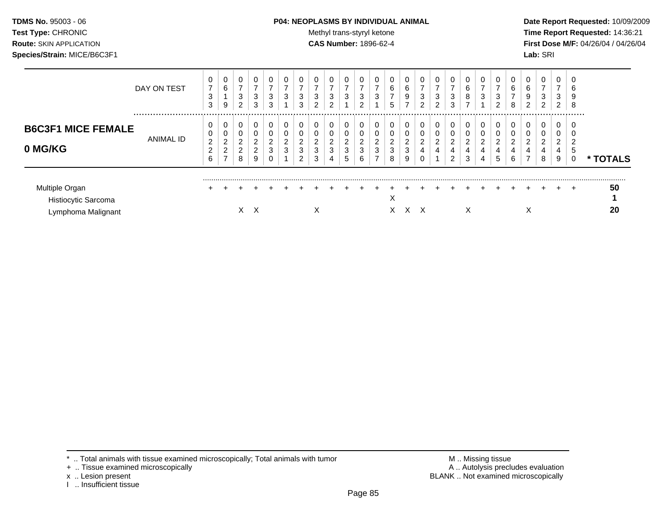**TDMS No.** 95003 - 06 **P04: NEOPLASMS BY INDIVIDUAL ANIMAL** Date Report Requested: 10/09/2009 **Test Type:** CHRONIC **Trans-styryl ketone** Methyl trans-styryl ketone **Time Report Requested:** 14:36:21 **Route:** SKIN APPLICATION **CAS Number:** 1896-62-4 **First Dose M/F:** 04/26/04 / 04/26/04

|                                                             | DAY ON TEST | υ<br>$\overline{7}$<br>3<br>3              | 0<br>6<br>9                                                 | 0<br>$\overline{\phantom{0}}$<br>3<br>2 | 0<br>3<br>3           | 0<br>⇁<br>3<br>3                             | 3           | 0<br>3<br>3           | -<br>3<br>າ                | 0<br>-<br>3<br>$\overline{2}$ | 0<br>$\overline{ }$<br>3           | 0<br>3<br>າ                       | 0<br>3           | 0<br>6<br>$\overline{ }$<br>5   | 0<br>$\overline{ }$<br>6<br>9<br>- | U<br>-<br>3<br>2 | 0<br>–<br>3<br>$\overline{2}$ | 0<br>3<br>3                        | 6<br>8<br>$\overline{ }$ | 0<br>3                | 0<br>-<br>3<br>C      | 6<br>8 | 0<br>6<br>9<br>$\overline{2}$      | -<br>3<br>C | 0<br>⇁<br>3<br>2      | 0<br>$\sqrt{2}$<br>O<br>9<br>8 |          |
|-------------------------------------------------------------|-------------|--------------------------------------------|-------------------------------------------------------------|-----------------------------------------|-----------------------|----------------------------------------------|-------------|-----------------------|----------------------------|-------------------------------|------------------------------------|-----------------------------------|------------------|---------------------------------|------------------------------------|------------------|-------------------------------|------------------------------------|--------------------------|-----------------------|-----------------------|--------|------------------------------------|-------------|-----------------------|--------------------------------|----------|
| <b>B6C3F1 MICE FEMALE</b><br>0 MG/KG                        | ANIMAL ID   | 0<br>$\overline{2}$<br>$\overline{2}$<br>6 | 0<br>0<br>$\overline{2}$<br>$\overline{c}$<br>$\rightarrow$ | 0<br>0<br>2<br>$\overline{2}$<br>8      | 0<br>0<br>2<br>2<br>9 | 0<br>0<br>$\overline{2}$<br>3<br>$\mathbf 0$ | $\sim$<br>3 | 0<br>0<br>ົ<br>3<br>2 | 0<br>0<br>$\sim$<br>3<br>3 | 0<br>$\overline{2}$<br>3<br>4 | 0<br>0<br>$\overline{2}$<br>3<br>5 | $\Omega$<br>$\sim$<br>∠<br>3<br>6 | 0<br>0<br>ົ<br>3 | 0<br>0<br>$\sim$<br>∠<br>3<br>8 | 0<br>0<br>$\overline{2}$<br>3<br>9 | 0<br>າ<br>4      | 0<br>0<br>2<br>4              | 0<br>0<br>2<br>4<br>$\overline{2}$ | $\Omega$<br>2<br>4<br>3  | 0<br>0<br>റ<br>4<br>4 | 0<br>0<br>ົ<br>4<br>5 | ົ<br>6 | 0<br>0<br>റ<br>4<br>$\overline{ }$ | ົ<br>4<br>8 | 0<br>0<br>2<br>4<br>9 | <br>0<br>0<br>১<br>0           | * TOTALS |
| Multiple Organ<br>Histiocytic Sarcoma<br>Lymphoma Malignant |             |                                            |                                                             |                                         | X                     |                                              |             |                       | л                          |                               |                                    |                                   |                  | $\checkmark$<br>⋏<br>X.         | x x                                |                  |                               |                                    | X                        |                       |                       |        | ∧                                  |             |                       | $\div$                         | 50<br>20 |

- + .. Tissue examined microscopically
- 
- x .. Lesion present<br>I .. Insufficient tissue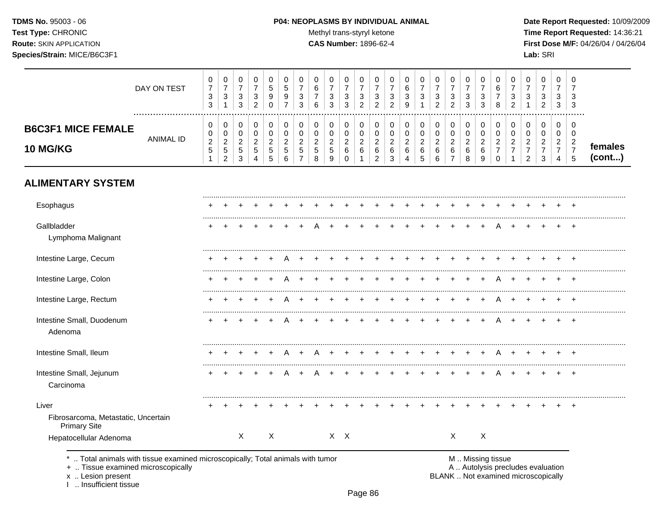# **TDMS No.** 95003 - 06 **P04: NEOPLASMS BY INDIVIDUAL ANIMAL** Date Report Requested: 10/09/2009

Test Type: CHRONIC **Test Type:** CHRONIC **Test Type:** CHRONIC **Time Report Requested:** 14:36:21 **Route:** SKIN APPLICATION **CAS Number:** 1896-62-4 **First Dose M/F:** 04/26/04 / 04/26/04

|                                                                     | DAY ON TEST      | $\mathbf 0$<br>$\boldsymbol{7}$<br>$\sqrt{3}$<br>3          | $\mathbf 0$<br>$\boldsymbol{7}$<br>$\ensuremath{\mathsf{3}}$<br>$\mathbf{1}$ | 0<br>$\boldsymbol{7}$<br>$\ensuremath{\mathsf{3}}$<br>$\mathbf{3}$ | 0<br>$\boldsymbol{7}$<br>$\ensuremath{\mathsf{3}}$<br>$\overline{c}$ | 0<br>$\sqrt{5}$<br>$\mathsf g$<br>$\mathbf 0$                | 0<br>$\,$ 5 $\,$<br>9<br>$\overline{7}$                        | 0<br>$\overline{7}$<br>3<br>3                                              | 0<br>$\,6\,$<br>$\overline{7}$<br>6                   | 0<br>$\overline{7}$<br>3<br>3                         | 0<br>$\boldsymbol{7}$<br>3<br>3                                     | 0<br>$\boldsymbol{7}$<br>$\ensuremath{\mathsf{3}}$<br>$\overline{2}$ | 0<br>$\boldsymbol{7}$<br>3<br>$\overline{c}$                     | 0<br>$\boldsymbol{7}$<br>$\sqrt{3}$<br>$\overline{2}$       | 0<br>$\,6\,$<br>$\ensuremath{\mathsf{3}}$<br>9                        | 0<br>$\overline{7}$<br>3                         | 0<br>$\overline{7}$<br>3<br>$\overline{c}$                | 0<br>$\boldsymbol{7}$<br>3<br>$\overline{2}$            | 0<br>$\boldsymbol{7}$<br>$\ensuremath{\mathsf{3}}$<br>3 | 0<br>$\boldsymbol{7}$<br>3<br>3                         | 0<br>$\,6\,$<br>$\boldsymbol{7}$<br>8                                       | 0<br>$\overline{7}$<br>3<br>$\overline{2}$                           | 0<br>$\overline{7}$<br>3                                               | 0<br>$\overline{7}$<br>3<br>$\overline{2}$                           | 0<br>$\overline{7}$<br>3<br>$\mathbf{3}$                       | 0<br>$\overline{7}$<br>3<br>3                                       |                   |
|---------------------------------------------------------------------|------------------|-------------------------------------------------------------|------------------------------------------------------------------------------|--------------------------------------------------------------------|----------------------------------------------------------------------|--------------------------------------------------------------|----------------------------------------------------------------|----------------------------------------------------------------------------|-------------------------------------------------------|-------------------------------------------------------|---------------------------------------------------------------------|----------------------------------------------------------------------|------------------------------------------------------------------|-------------------------------------------------------------|-----------------------------------------------------------------------|--------------------------------------------------|-----------------------------------------------------------|---------------------------------------------------------|---------------------------------------------------------|---------------------------------------------------------|-----------------------------------------------------------------------------|----------------------------------------------------------------------|------------------------------------------------------------------------|----------------------------------------------------------------------|----------------------------------------------------------------|---------------------------------------------------------------------|-------------------|
| <b>B6C3F1 MICE FEMALE</b><br>10 MG/KG                               | <b>ANIMAL ID</b> | 0<br>$\pmb{0}$<br>$\sqrt{2}$<br>$\,$ 5 $\,$<br>$\mathbf{1}$ | 0<br>0<br>$\overline{c}$<br>$\,$ 5 $\,$<br>$\overline{c}$                    | 0<br>$\mathbf 0$<br>$\sqrt{2}$<br>$\,$ 5 $\,$<br>$\mathfrak{S}$    | 0<br>$\mathbf 0$<br>$\overline{2}$<br>$\,$ 5 $\,$<br>4               | $\pmb{0}$<br>$\pmb{0}$<br>$\overline{c}$<br>$\mathbf 5$<br>5 | $\pmb{0}$<br>$\mathbf 0$<br>$\overline{c}$<br>$\,$ 5 $\,$<br>6 | $\pmb{0}$<br>$\mathbf 0$<br>$\overline{c}$<br>$\sqrt{5}$<br>$\overline{7}$ | 0<br>$\mathbf 0$<br>$\overline{c}$<br>$\sqrt{5}$<br>8 | 0<br>$\pmb{0}$<br>$\boldsymbol{2}$<br>$\sqrt{5}$<br>9 | 0<br>$\mathsf 0$<br>$\overline{\mathbf{c}}$<br>$\,6$<br>$\mathbf 0$ | 0<br>$\mathbf 0$<br>$\overline{2}$<br>$\,6$<br>$\mathbf{1}$          | 0<br>$\pmb{0}$<br>$\overline{\mathbf{c}}$<br>6<br>$\overline{c}$ | 0<br>$\mathbf 0$<br>$\overline{c}$<br>$\,6\,$<br>$\sqrt{3}$ | $\mathbf 0$<br>$\pmb{0}$<br>$\overline{c}$<br>$\,6$<br>$\overline{4}$ | 0<br>$\mathbf 0$<br>$\overline{c}$<br>$\,6$<br>5 | 0<br>$\pmb{0}$<br>$\sqrt{2}$<br>$\,6\,$<br>$6\phantom{1}$ | 0<br>$\pmb{0}$<br>$\overline{c}$<br>6<br>$\overline{7}$ | 0<br>$\pmb{0}$<br>$\overline{c}$<br>6<br>8              | 0<br>$\pmb{0}$<br>$\overline{\mathbf{c}}$<br>$\,6$<br>9 | $\pmb{0}$<br>$\mathbf 0$<br>$\overline{c}$<br>$\overline{7}$<br>$\mathbf 0$ | 0<br>$\mathbf 0$<br>$\overline{c}$<br>$\overline{7}$<br>$\mathbf{1}$ | 0<br>$\mathbf 0$<br>$\overline{c}$<br>$\overline{7}$<br>$\overline{2}$ | 0<br>$\mathbf 0$<br>$\overline{2}$<br>$\overline{7}$<br>$\mathbf{3}$ | 0<br>0<br>$\overline{2}$<br>$\boldsymbol{7}$<br>$\overline{4}$ | $\mathbf 0$<br>$\mathbf 0$<br>$\overline{c}$<br>$\overline{7}$<br>5 | females<br>(cont) |
| <b>ALIMENTARY SYSTEM</b>                                            |                  |                                                             |                                                                              |                                                                    |                                                                      |                                                              |                                                                |                                                                            |                                                       |                                                       |                                                                     |                                                                      |                                                                  |                                                             |                                                                       |                                                  |                                                           |                                                         |                                                         |                                                         |                                                                             |                                                                      |                                                                        |                                                                      |                                                                |                                                                     |                   |
| Esophagus                                                           |                  |                                                             |                                                                              |                                                                    |                                                                      |                                                              |                                                                |                                                                            |                                                       |                                                       |                                                                     |                                                                      |                                                                  |                                                             |                                                                       |                                                  |                                                           |                                                         |                                                         |                                                         |                                                                             |                                                                      |                                                                        |                                                                      |                                                                |                                                                     |                   |
| Gallbladder<br>Lymphoma Malignant                                   |                  |                                                             |                                                                              |                                                                    |                                                                      |                                                              |                                                                |                                                                            |                                                       |                                                       |                                                                     |                                                                      |                                                                  |                                                             |                                                                       |                                                  |                                                           |                                                         |                                                         |                                                         |                                                                             |                                                                      |                                                                        |                                                                      |                                                                |                                                                     |                   |
| Intestine Large, Cecum                                              |                  |                                                             |                                                                              |                                                                    |                                                                      |                                                              |                                                                |                                                                            |                                                       |                                                       |                                                                     |                                                                      |                                                                  |                                                             |                                                                       |                                                  |                                                           |                                                         |                                                         |                                                         |                                                                             |                                                                      |                                                                        |                                                                      |                                                                |                                                                     |                   |
| Intestine Large, Colon                                              |                  |                                                             |                                                                              |                                                                    |                                                                      |                                                              |                                                                |                                                                            |                                                       |                                                       |                                                                     |                                                                      |                                                                  |                                                             |                                                                       |                                                  |                                                           |                                                         |                                                         |                                                         | А                                                                           |                                                                      |                                                                        |                                                                      |                                                                |                                                                     |                   |
| Intestine Large, Rectum                                             |                  |                                                             |                                                                              |                                                                    |                                                                      |                                                              |                                                                |                                                                            |                                                       |                                                       |                                                                     |                                                                      |                                                                  |                                                             |                                                                       |                                                  |                                                           |                                                         |                                                         | $\ddot{}$                                               | A                                                                           |                                                                      |                                                                        |                                                                      |                                                                | $\pm$                                                               |                   |
| Intestine Small, Duodenum<br>Adenoma                                |                  |                                                             |                                                                              |                                                                    |                                                                      |                                                              |                                                                |                                                                            |                                                       |                                                       |                                                                     |                                                                      |                                                                  |                                                             |                                                                       |                                                  |                                                           |                                                         |                                                         | $\div$                                                  | A                                                                           |                                                                      |                                                                        | $\div$                                                               | $\pm$                                                          | $+$                                                                 |                   |
| Intestine Small, Ileum                                              |                  |                                                             |                                                                              |                                                                    |                                                                      |                                                              | Α                                                              |                                                                            |                                                       |                                                       |                                                                     |                                                                      |                                                                  |                                                             |                                                                       |                                                  |                                                           |                                                         |                                                         | $+$                                                     | A                                                                           | $\ddot{}$                                                            |                                                                        |                                                                      |                                                                |                                                                     |                   |
| Intestine Small, Jejunum<br>Carcinoma                               |                  |                                                             |                                                                              |                                                                    |                                                                      |                                                              |                                                                |                                                                            |                                                       |                                                       |                                                                     |                                                                      |                                                                  |                                                             |                                                                       |                                                  |                                                           |                                                         |                                                         |                                                         |                                                                             |                                                                      |                                                                        |                                                                      | $\ddot{}$                                                      | $^{+}$                                                              |                   |
| Liver<br>Fibrosarcoma, Metastatic, Uncertain<br><b>Primary Site</b> |                  |                                                             |                                                                              |                                                                    |                                                                      |                                                              |                                                                |                                                                            |                                                       |                                                       |                                                                     |                                                                      |                                                                  |                                                             |                                                                       |                                                  |                                                           |                                                         |                                                         |                                                         |                                                                             |                                                                      |                                                                        |                                                                      |                                                                |                                                                     |                   |
| Hepatocellular Adenoma                                              |                  |                                                             |                                                                              | Χ                                                                  |                                                                      | X                                                            |                                                                |                                                                            |                                                       |                                                       | $X$ $X$                                                             |                                                                      |                                                                  |                                                             |                                                                       |                                                  |                                                           | X                                                       |                                                         | X                                                       |                                                                             |                                                                      |                                                                        |                                                                      |                                                                |                                                                     |                   |

x .. Lesion present<br>I .. Insufficient tissue

+ .. Tissue examined microscopically  $\blacksquare$  A .. Autolysis precludes evaluation BLANK .. Not examined microscopically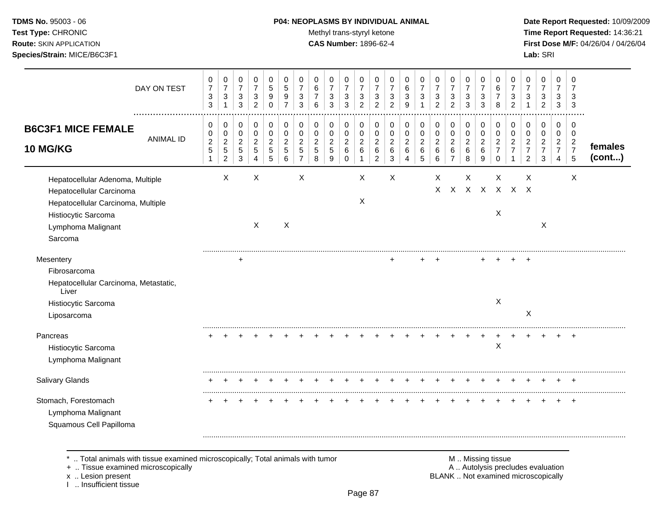# **TDMS No.** 95003 - 06 **P04: NEOPLASMS BY INDIVIDUAL ANIMAL** Date Report Requested: 10/09/2009

**Test Type:** CHRONIC **Trans-styryl ketone** Methyl trans-styryl ketone **Time Report Requested:** 14:36:21 **Route:** SKIN APPLICATION **CAS Number:** 1896-62-4 **First Dose M/F:** 04/26/04 / 04/26/04 **Species/Strain:** MICE/B6C3F1 **Lab:** SRI

| DAY ON TEST                                                                                                                                                | 0<br>$\boldsymbol{7}$<br>$\ensuremath{\mathsf{3}}$<br>$\mathfrak{S}$ | $\mathbf 0$<br>$\boldsymbol{7}$<br>$\mathbf{3}$<br>$\mathbf{1}$  | 0<br>$\boldsymbol{7}$<br>$\sqrt{3}$<br>$\mathbf{3}$                    | 0<br>$\overline{7}$<br>$\sqrt{3}$<br>$\overline{2}$            | 0<br>5<br>9<br>$\Omega$         | 0<br>5<br>9<br>$\overline{7}$                | 0<br>$\overline{7}$<br>3<br>3                             | 0<br>6<br>6                                  | 0<br>$\overline{7}$<br>3<br>3               | 0<br>$\overline{7}$<br>$\sqrt{3}$<br>3               | 0<br>$\overline{7}$<br>$\sqrt{3}$<br>$\overline{2}$ | 0<br>$\overline{7}$<br>$\ensuremath{\mathsf{3}}$<br>$\overline{2}$ | 0<br>$\overline{7}$<br>3<br>$\overline{2}$   | 0<br>6<br>3<br>9                   | 0<br>$\overline{7}$<br>3<br>-1               | 0<br>$\overline{7}$<br>3<br>$\overline{2}$   | 0<br>$\overline{7}$<br>$\mathbf{3}$<br>$\overline{2}$         | 0<br>$\boldsymbol{7}$<br>$\ensuremath{\mathsf{3}}$<br>3 | 0<br>$\overline{7}$<br>$\mathbf{3}$<br>3 | 0<br>6<br>7<br>8                                    | 0<br>$\overline{7}$<br>3<br>$\overline{2}$ | 0<br>$\overline{7}$<br>3<br>$\mathbf{1}$                            | 0<br>$\overline{7}$<br>3<br>$\overline{2}$                | 0<br>$\overline{7}$<br>3<br>3                                          | 0<br>$\overline{7}$<br>3<br>$\sqrt{3}$                       |                   |
|------------------------------------------------------------------------------------------------------------------------------------------------------------|----------------------------------------------------------------------|------------------------------------------------------------------|------------------------------------------------------------------------|----------------------------------------------------------------|---------------------------------|----------------------------------------------|-----------------------------------------------------------|----------------------------------------------|---------------------------------------------|------------------------------------------------------|-----------------------------------------------------|--------------------------------------------------------------------|----------------------------------------------|------------------------------------|----------------------------------------------|----------------------------------------------|---------------------------------------------------------------|---------------------------------------------------------|------------------------------------------|-----------------------------------------------------|--------------------------------------------|---------------------------------------------------------------------|-----------------------------------------------------------|------------------------------------------------------------------------|--------------------------------------------------------------|-------------------|
| <b>B6C3F1 MICE FEMALE</b><br><b>ANIMAL ID</b><br><b>10 MG/KG</b>                                                                                           | 0<br>$\pmb{0}$<br>$\frac{2}{5}$<br>$\mathbf{1}$                      | 0<br>$\pmb{0}$<br>$\mathbf{2}$<br>$\sqrt{5}$<br>$\boldsymbol{2}$ | 0<br>$\mathbf 0$<br>$\overline{2}$<br>$\overline{5}$<br>$\mathfrak{Z}$ | 0<br>$\mathbf 0$<br>$\sqrt{2}$<br>5<br>$\overline{\mathbf{4}}$ | 0<br>$\mathbf 0$<br>2<br>5<br>5 | 0<br>$\mathbf 0$<br>$\overline{2}$<br>5<br>6 | 0<br>$\mathbf 0$<br>$\overline{2}$<br>5<br>$\overline{7}$ | 0<br>$\mathbf 0$<br>$\overline{2}$<br>5<br>8 | 0<br>0<br>$\overline{c}$<br>$\sqrt{5}$<br>9 | 0<br>0<br>$\boldsymbol{2}$<br>$\,6\,$<br>$\mathbf 0$ | 0<br>$\mathbf 0$<br>$\sqrt{2}$<br>6<br>1            | 0<br>$\pmb{0}$<br>$\boldsymbol{2}$<br>6<br>$\overline{c}$          | 0<br>$\mathbf 0$<br>$\overline{2}$<br>6<br>3 | 0<br>0<br>$\overline{c}$<br>6<br>4 | 0<br>$\mathbf 0$<br>$\overline{c}$<br>6<br>5 | 0<br>$\mathsf 0$<br>$\overline{c}$<br>6<br>6 | 0<br>$\pmb{0}$<br>$\overline{2}$<br>$\,6\,$<br>$\overline{7}$ | 0<br>$\mathsf 0$<br>$\overline{2}$<br>6<br>8            | 0<br>$\mathbf 0$<br>$\sqrt{2}$<br>6<br>9 | 0<br>$\mathbf 0$<br>2<br>$\overline{7}$<br>$\Omega$ | 0<br>$\mathbf 0$<br>2                      | 0<br>$\Omega$<br>$\overline{2}$<br>$\overline{7}$<br>$\overline{2}$ | 0<br>$\mathbf 0$<br>$\overline{2}$<br>$\overline{7}$<br>3 | 0<br>$\mathbf 0$<br>$\overline{a}$<br>$\overline{7}$<br>$\overline{4}$ | 0<br>0<br>$\overline{2}$<br>$\overline{7}$<br>$\overline{5}$ | females<br>(cont) |
| Hepatocellular Adenoma, Multiple<br>Hepatocellular Carcinoma<br>Hepatocellular Carcinoma, Multiple<br>Histiocytic Sarcoma<br>Lymphoma Malignant<br>Sarcoma |                                                                      | X                                                                |                                                                        | X<br>X                                                         |                                 | $\times$                                     | X                                                         |                                              |                                             |                                                      | X<br>X                                              |                                                                    | X                                            |                                    |                                              | X<br>X                                       |                                                               | X                                                       |                                          | X<br>X X X X<br>X                                   |                                            | X<br>$X \times$                                                     | X                                                         |                                                                        | X                                                            |                   |
| Mesentery<br>Fibrosarcoma<br>Hepatocellular Carcinoma, Metastatic,<br>Liver<br>Histiocytic Sarcoma<br>Liposarcoma                                          |                                                                      |                                                                  | $\ddot{}$                                                              |                                                                |                                 |                                              |                                                           |                                              |                                             |                                                      |                                                     |                                                                    |                                              |                                    |                                              |                                              |                                                               |                                                         |                                          | X                                                   |                                            | X                                                                   |                                                           |                                                                        |                                                              |                   |
| Pancreas<br>Histiocytic Sarcoma<br>Lymphoma Malignant                                                                                                      |                                                                      |                                                                  |                                                                        |                                                                |                                 |                                              |                                                           |                                              |                                             |                                                      |                                                     |                                                                    |                                              |                                    |                                              |                                              |                                                               |                                                         |                                          | $\sf X$                                             |                                            |                                                                     |                                                           |                                                                        |                                                              |                   |
| <b>Salivary Glands</b>                                                                                                                                     |                                                                      |                                                                  |                                                                        |                                                                |                                 |                                              |                                                           |                                              |                                             |                                                      |                                                     |                                                                    |                                              |                                    |                                              |                                              |                                                               |                                                         |                                          |                                                     |                                            |                                                                     |                                                           |                                                                        | $\overline{+}$                                               |                   |
| Stomach, Forestomach<br>Lymphoma Malignant<br>Squamous Cell Papilloma                                                                                      |                                                                      |                                                                  |                                                                        |                                                                |                                 |                                              |                                                           |                                              |                                             |                                                      |                                                     |                                                                    |                                              |                                    |                                              |                                              |                                                               |                                                         |                                          |                                                     |                                            |                                                                     |                                                           |                                                                        |                                                              |                   |

\* .. Total animals with tissue examined microscopically; Total animals with tumor M .. Missing tissue M .. Missing tissue<br>
+ .. Tissue examined microscopically

+ .. Tissue examined microscopically

x .. Lesion present<br>I .. Insufficient tissue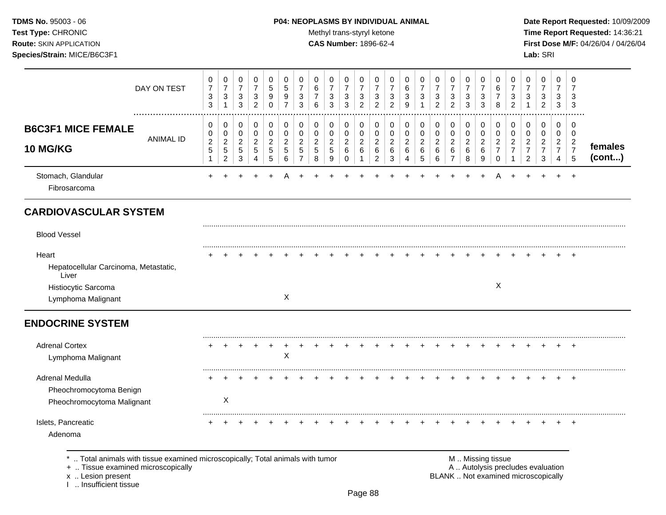### **TDMS No.** 95003 - 06 **P04: NEOPLASMS BY INDIVIDUAL ANIMAL** Date Report Requested: 10/09/2009

Test Type: CHRONIC **Test Type:** CHRONIC **Test Type:** CHRONIC **Time Report Requested:** 14:36:21 **Route:** SKIN APPLICATION **CAS Number:** 1896-62-4 **First Dose M/F:** 04/26/04 / 04/26/04

| DAY ON TEST                                                                                          | $\pmb{0}$<br>$\boldsymbol{7}$<br>$\ensuremath{\mathsf{3}}$<br>$\mathbf{3}$ | 0<br>$\boldsymbol{7}$<br>$\sqrt{3}$<br>$\mathbf{1}$                | 0<br>$\boldsymbol{7}$<br>$\ensuremath{\mathsf{3}}$<br>$\mathbf{3}$   | 0<br>$\overline{7}$<br>$\ensuremath{\mathsf{3}}$<br>$\overline{2}$ | 0<br>5<br>$\boldsymbol{9}$<br>0              | 0<br>5<br>9<br>$\overline{7}$              | 0<br>$\overline{7}$<br>$\ensuremath{\mathsf{3}}$<br>3             | 0<br>$\,6\,$<br>$\overline{7}$<br>6         | 0<br>$\overline{7}$<br>$\ensuremath{\mathsf{3}}$<br>3 | 0<br>$\overline{7}$<br>3<br>3                                  | 0<br>$\overline{7}$<br>$\ensuremath{\mathsf{3}}$<br>$\overline{c}$ | 0<br>$\overline{7}$<br>$\sqrt{3}$<br>$\overline{c}$       | 0<br>$\overline{7}$<br>3<br>$\overline{c}$ | 0<br>$\,6\,$<br>$\sqrt{3}$<br>9              | 0<br>$\overline{7}$<br>3           | 0<br>$\overline{7}$<br>$\ensuremath{\mathsf{3}}$<br>$\overline{c}$ | 0<br>$\overline{7}$<br>$\ensuremath{\mathsf{3}}$<br>$\overline{c}$ | 0<br>$\overline{7}$<br>3<br>3                | 0<br>$\overline{7}$<br>$\sqrt{3}$<br>3                     | 0<br>6<br>$\overline{7}$<br>8                   | 0<br>$\overline{7}$<br>3<br>$\overline{2}$           | 0<br>$\overline{7}$<br>3                                     | 0<br>$\overline{7}$<br>$\ensuremath{\mathsf{3}}$<br>$\overline{2}$ | 0<br>$\overline{7}$<br>$\sqrt{3}$<br>3                    | 0<br>7<br>3<br>3                                |                   |
|------------------------------------------------------------------------------------------------------|----------------------------------------------------------------------------|--------------------------------------------------------------------|----------------------------------------------------------------------|--------------------------------------------------------------------|----------------------------------------------|--------------------------------------------|-------------------------------------------------------------------|---------------------------------------------|-------------------------------------------------------|----------------------------------------------------------------|--------------------------------------------------------------------|-----------------------------------------------------------|--------------------------------------------|----------------------------------------------|------------------------------------|--------------------------------------------------------------------|--------------------------------------------------------------------|----------------------------------------------|------------------------------------------------------------|-------------------------------------------------|------------------------------------------------------|--------------------------------------------------------------|--------------------------------------------------------------------|-----------------------------------------------------------|-------------------------------------------------|-------------------|
| <b>B6C3F1 MICE FEMALE</b><br><b>ANIMAL ID</b><br><b>10 MG/KG</b>                                     | $\pmb{0}$<br>0<br>$\boldsymbol{2}$<br>5<br>1                               | 0<br>$\mathbf 0$<br>$\overline{2}$<br>$\sqrt{5}$<br>$\overline{c}$ | $\boldsymbol{0}$<br>$\mathbf 0$<br>$\overline{2}$<br>$\sqrt{5}$<br>3 | $\pmb{0}$<br>$\mathbf 0$<br>$\overline{2}$<br>$\sqrt{5}$<br>4      | 0<br>$\mathbf 0$<br>$\overline{2}$<br>5<br>5 | $\pmb{0}$<br>0<br>$\overline{2}$<br>5<br>6 | $\pmb{0}$<br>$\mathbf 0$<br>$\overline{c}$<br>5<br>$\overline{7}$ | 0<br>0<br>$\overline{2}$<br>$\sqrt{5}$<br>8 | 0<br>0<br>$\overline{2}$<br>$\,$ 5 $\,$<br>9          | 0<br>$\mathbf 0$<br>$\boldsymbol{2}$<br>$\,6\,$<br>$\mathbf 0$ | 0<br>$\mathbf 0$<br>$\boldsymbol{2}$<br>6                          | 0<br>$\mathbf 0$<br>$\overline{2}$<br>6<br>$\overline{a}$ | 0<br>0<br>$\overline{2}$<br>6<br>3         | 0<br>$\mathbf 0$<br>$\sqrt{2}$<br>$\,6$<br>4 | 0<br>0<br>$\overline{a}$<br>6<br>5 | 0<br>$\mathbf 0$<br>$\overline{2}$<br>$\,6\,$<br>6                 | 0<br>$\mathbf 0$<br>$\overline{2}$<br>6<br>7                       | 0<br>$\pmb{0}$<br>$\boldsymbol{2}$<br>6<br>8 | $\pmb{0}$<br>$\mathbf 0$<br>$\overline{2}$<br>$\,6\,$<br>9 | 0<br>0<br>$\overline{2}$<br>$\overline{7}$<br>0 | 0<br>$\mathbf 0$<br>$\overline{2}$<br>$\overline{7}$ | 0<br>0<br>$\overline{c}$<br>$\overline{7}$<br>$\overline{c}$ | 0<br>0<br>$\overline{2}$<br>$\overline{7}$<br>3                    | $\mathbf 0$<br>0<br>$\overline{2}$<br>$\overline{7}$<br>4 | 0<br>0<br>$\overline{2}$<br>$\overline{7}$<br>5 | females<br>(cont) |
| Stomach, Glandular<br>Fibrosarcoma                                                                   |                                                                            |                                                                    |                                                                      |                                                                    |                                              |                                            |                                                                   |                                             |                                                       |                                                                |                                                                    |                                                           |                                            |                                              |                                    |                                                                    |                                                                    |                                              |                                                            |                                                 |                                                      |                                                              |                                                                    |                                                           | $\div$                                          |                   |
| <b>CARDIOVASCULAR SYSTEM</b>                                                                         |                                                                            |                                                                    |                                                                      |                                                                    |                                              |                                            |                                                                   |                                             |                                                       |                                                                |                                                                    |                                                           |                                            |                                              |                                    |                                                                    |                                                                    |                                              |                                                            |                                                 |                                                      |                                                              |                                                                    |                                                           |                                                 |                   |
| <b>Blood Vessel</b>                                                                                  |                                                                            |                                                                    |                                                                      |                                                                    |                                              |                                            |                                                                   |                                             |                                                       |                                                                |                                                                    |                                                           |                                            |                                              |                                    |                                                                    |                                                                    |                                              |                                                            |                                                 |                                                      |                                                              |                                                                    |                                                           |                                                 |                   |
| Heart<br>Hepatocellular Carcinoma, Metastatic,<br>Liver<br>Histiocytic Sarcoma<br>Lymphoma Malignant |                                                                            |                                                                    |                                                                      |                                                                    |                                              | X                                          |                                                                   |                                             |                                                       |                                                                |                                                                    |                                                           |                                            |                                              |                                    |                                                                    |                                                                    |                                              |                                                            | $\times$                                        |                                                      |                                                              |                                                                    |                                                           | ٠                                               |                   |
| <b>ENDOCRINE SYSTEM</b>                                                                              |                                                                            |                                                                    |                                                                      |                                                                    |                                              |                                            |                                                                   |                                             |                                                       |                                                                |                                                                    |                                                           |                                            |                                              |                                    |                                                                    |                                                                    |                                              |                                                            |                                                 |                                                      |                                                              |                                                                    |                                                           |                                                 |                   |
| <b>Adrenal Cortex</b><br>Lymphoma Malignant                                                          |                                                                            |                                                                    |                                                                      |                                                                    |                                              | $\mathsf X$                                |                                                                   |                                             |                                                       |                                                                |                                                                    |                                                           |                                            |                                              |                                    |                                                                    |                                                                    |                                              |                                                            |                                                 |                                                      |                                                              |                                                                    |                                                           | $\ddot{}$                                       |                   |
| Adrenal Medulla<br>Pheochromocytoma Benign<br>Pheochromocytoma Malignant                             |                                                                            | X                                                                  |                                                                      |                                                                    |                                              |                                            |                                                                   |                                             |                                                       |                                                                |                                                                    |                                                           |                                            |                                              |                                    |                                                                    |                                                                    |                                              |                                                            |                                                 |                                                      |                                                              |                                                                    |                                                           | $\pm$                                           |                   |
| Islets, Pancreatic<br>Adenoma                                                                        |                                                                            |                                                                    |                                                                      |                                                                    |                                              |                                            |                                                                   |                                             |                                                       |                                                                |                                                                    |                                                           |                                            |                                              |                                    |                                                                    |                                                                    |                                              |                                                            |                                                 |                                                      |                                                              |                                                                    |                                                           | $\ddot{}$                                       |                   |

\* .. Total animals with tissue examined microscopically; Total animals with tumor **M** metal metal M .. Missing tissue<br>  $\blacksquare$  . Tissue examined microscopically

+ .. Tissue examined microscopically

x .. Lesion present<br>I .. Insufficient tissue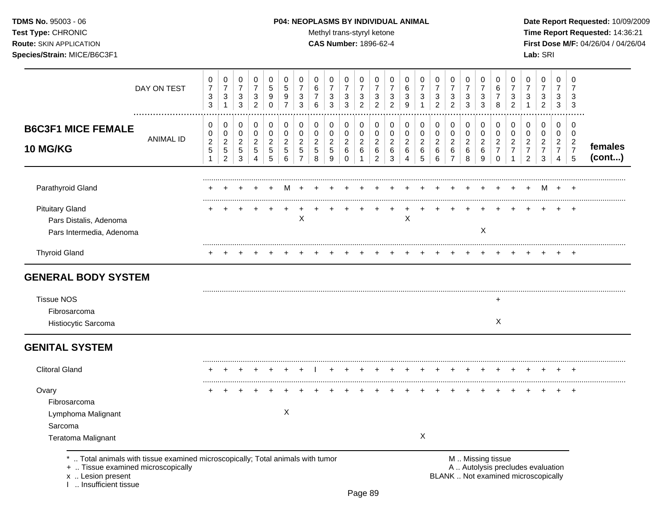# **TDMS No.** 95003 - 06 **P04: NEOPLASMS BY INDIVIDUAL ANIMAL** Date Report Requested: 10/09/2009

Test Type: CHRONIC **Test Type:** CHRONIC **Test Type:** CHRONIC **Time Report Requested:** 14:36:21 **Route:** SKIN APPLICATION **CAS Number:** 1896-62-4 **First Dose M/F:** 04/26/04 / 04/26/04

|                                                                                                                       | DAY ON TEST      | 0<br>$\overline{7}$<br>$\ensuremath{\mathsf{3}}$<br>$\mathbf{3}$ | 0<br>$\overline{7}$<br>$\ensuremath{\mathsf{3}}$<br>$\mathbf{1}$ | 0<br>$\overline{7}$<br>$\ensuremath{\mathsf{3}}$<br>$\mathbf{3}$ | 0<br>$\overline{7}$<br>$\sqrt{3}$<br>$\overline{2}$                | 0<br>$\sqrt{5}$<br>$\boldsymbol{9}$<br>$\pmb{0}$            | 0<br>$\sqrt{5}$<br>$\boldsymbol{9}$<br>$\overline{7}$ | 0<br>$\overline{7}$<br>$\ensuremath{\mathsf{3}}$<br>3    | 0<br>6<br>7<br>6                                      | 0<br>$\overline{7}$<br>$\ensuremath{\mathsf{3}}$<br>$\mathfrak{S}$   | 0<br>$\overline{7}$<br>$\ensuremath{\mathsf{3}}$<br>$\mathbf{3}$ | 0<br>$\overline{7}$<br>$\ensuremath{\mathsf{3}}$<br>$\overline{c}$ | 0<br>$\overline{7}$<br>$\ensuremath{\mathsf{3}}$<br>$\overline{c}$ | 0<br>$\overline{7}$<br>$\ensuremath{\mathsf{3}}$<br>$\overline{2}$ | 0<br>6<br>$\ensuremath{\mathsf{3}}$<br>9           | 0<br>$\overline{7}$<br>$\ensuremath{\mathsf{3}}$<br>$\mathbf{1}$ | 0<br>$\overline{7}$<br>$\sqrt{3}$<br>$\overline{2}$ | 0<br>$\overline{7}$<br>$\ensuremath{\mathsf{3}}$<br>$\overline{2}$ | 0<br>$\overline{7}$<br>$\ensuremath{\mathsf{3}}$<br>$\mathbf{3}$ | 0<br>$\overline{7}$<br>3<br>$\mathbf{3}$     | 0<br>6<br>$\overline{7}$<br>8                             | 0<br>$\overline{7}$<br>$\ensuremath{\mathsf{3}}$<br>$\overline{c}$ | 0<br>7<br>$\ensuremath{\mathsf{3}}$<br>1                     | 0<br>$\overline{7}$<br>$\ensuremath{\mathsf{3}}$<br>$\overline{2}$ | 0<br>$\overline{7}$<br>3<br>3                                          | 0<br>$\overline{7}$<br>3<br>3                   |                   |
|-----------------------------------------------------------------------------------------------------------------------|------------------|------------------------------------------------------------------|------------------------------------------------------------------|------------------------------------------------------------------|--------------------------------------------------------------------|-------------------------------------------------------------|-------------------------------------------------------|----------------------------------------------------------|-------------------------------------------------------|----------------------------------------------------------------------|------------------------------------------------------------------|--------------------------------------------------------------------|--------------------------------------------------------------------|--------------------------------------------------------------------|----------------------------------------------------|------------------------------------------------------------------|-----------------------------------------------------|--------------------------------------------------------------------|------------------------------------------------------------------|----------------------------------------------|-----------------------------------------------------------|--------------------------------------------------------------------|--------------------------------------------------------------|--------------------------------------------------------------------|------------------------------------------------------------------------|-------------------------------------------------|-------------------|
| <b>B6C3F1 MICE FEMALE</b><br>10 MG/KG                                                                                 | <b>ANIMAL ID</b> | 0<br>0<br>$\sqrt{2}$<br>5<br>$\mathbf{1}$                        | 0<br>0<br>$\overline{c}$<br>5<br>$\overline{c}$                  | 0<br>$\mathbf 0$<br>$\overline{c}$<br>$\sqrt{5}$<br>3            | 0<br>$\mathbf 0$<br>$\overline{2}$<br>$\sqrt{5}$<br>$\overline{4}$ | $\,0\,$<br>$\mathbf 0$<br>$\overline{c}$<br>$\sqrt{5}$<br>5 | 0<br>$\mathbf 0$<br>$\overline{c}$<br>$\sqrt{5}$<br>6 | 0<br>0<br>$\overline{c}$<br>$\sqrt{5}$<br>$\overline{7}$ | 0<br>$\mathbf 0$<br>$\overline{c}$<br>$\sqrt{5}$<br>8 | 0<br>$\mathbf 0$<br>$\overline{c}$<br>$\sqrt{5}$<br>$\boldsymbol{9}$ | 0<br>$\pmb{0}$<br>$\overline{2}$<br>$\,6\,$<br>$\pmb{0}$         | 0<br>$\mathbf 0$<br>$\overline{c}$<br>$\,6\,$<br>$\mathbf{1}$      | 0<br>0<br>$\overline{c}$<br>6<br>$\overline{c}$                    | 0<br>0<br>$\overline{c}$<br>$\,6\,$<br>3                           | 0<br>$\mathbf 0$<br>$\boldsymbol{2}$<br>$\,6$<br>4 | 0<br>$\pmb{0}$<br>$\overline{c}$<br>$\,6\,$<br>$\overline{5}$    | 0<br>0<br>$\sqrt{2}$<br>$\,6\,$<br>$\,6\,$          | 0<br>$\mathbf 0$<br>$\overline{c}$<br>6<br>$\overline{7}$          | 0<br>$\mathbf 0$<br>$\overline{c}$<br>6<br>8                     | 0<br>$\mathbf 0$<br>$\overline{c}$<br>6<br>9 | 0<br>0<br>$\overline{2}$<br>$\overline{7}$<br>$\mathbf 0$ | 0<br>$\mathbf 0$<br>$\overline{c}$<br>$\overline{7}$<br>-1         | 0<br>0<br>$\overline{c}$<br>$\overline{7}$<br>$\overline{2}$ | 0<br>$\mathbf 0$<br>$\overline{c}$<br>$\boldsymbol{7}$<br>3        | 0<br>$\mathbf 0$<br>$\overline{2}$<br>$\overline{7}$<br>$\overline{4}$ | 0<br>0<br>$\overline{a}$<br>$\overline{7}$<br>5 | females<br>(cont) |
| Parathyroid Gland                                                                                                     |                  |                                                                  |                                                                  |                                                                  |                                                                    |                                                             |                                                       |                                                          |                                                       |                                                                      |                                                                  |                                                                    |                                                                    |                                                                    |                                                    |                                                                  |                                                     |                                                                    |                                                                  |                                              |                                                           |                                                                    |                                                              | м                                                                  | $+$                                                                    | $^+$                                            |                   |
| <b>Pituitary Gland</b><br>Pars Distalis, Adenoma<br>Pars Intermedia, Adenoma                                          |                  |                                                                  |                                                                  |                                                                  |                                                                    |                                                             |                                                       | $\mathsf X$                                              |                                                       |                                                                      |                                                                  |                                                                    |                                                                    |                                                                    | $\mathsf X$                                        |                                                                  |                                                     |                                                                    |                                                                  | $\times$                                     |                                                           |                                                                    |                                                              |                                                                    |                                                                        | $\div$                                          |                   |
| <b>Thyroid Gland</b>                                                                                                  |                  |                                                                  |                                                                  |                                                                  |                                                                    |                                                             |                                                       |                                                          |                                                       |                                                                      |                                                                  |                                                                    |                                                                    |                                                                    |                                                    |                                                                  |                                                     |                                                                    |                                                                  |                                              |                                                           |                                                                    |                                                              |                                                                    |                                                                        | $\div$                                          |                   |
| <b>GENERAL BODY SYSTEM</b>                                                                                            |                  |                                                                  |                                                                  |                                                                  |                                                                    |                                                             |                                                       |                                                          |                                                       |                                                                      |                                                                  |                                                                    |                                                                    |                                                                    |                                                    |                                                                  |                                                     |                                                                    |                                                                  |                                              |                                                           |                                                                    |                                                              |                                                                    |                                                                        |                                                 |                   |
| <b>Tissue NOS</b><br>Fibrosarcoma                                                                                     |                  |                                                                  |                                                                  |                                                                  |                                                                    |                                                             |                                                       |                                                          |                                                       |                                                                      |                                                                  |                                                                    |                                                                    |                                                                    |                                                    |                                                                  |                                                     |                                                                    |                                                                  |                                              | $\pm$                                                     |                                                                    |                                                              |                                                                    |                                                                        |                                                 |                   |
| Histiocytic Sarcoma                                                                                                   |                  |                                                                  |                                                                  |                                                                  |                                                                    |                                                             |                                                       |                                                          |                                                       |                                                                      |                                                                  |                                                                    |                                                                    |                                                                    |                                                    |                                                                  |                                                     |                                                                    |                                                                  |                                              | X                                                         |                                                                    |                                                              |                                                                    |                                                                        |                                                 |                   |
| <b>GENITAL SYSTEM</b>                                                                                                 |                  |                                                                  |                                                                  |                                                                  |                                                                    |                                                             |                                                       |                                                          |                                                       |                                                                      |                                                                  |                                                                    |                                                                    |                                                                    |                                                    |                                                                  |                                                     |                                                                    |                                                                  |                                              |                                                           |                                                                    |                                                              |                                                                    |                                                                        |                                                 |                   |
| <b>Clitoral Gland</b>                                                                                                 |                  |                                                                  |                                                                  |                                                                  |                                                                    |                                                             |                                                       |                                                          |                                                       |                                                                      |                                                                  |                                                                    |                                                                    |                                                                    |                                                    |                                                                  |                                                     |                                                                    |                                                                  |                                              |                                                           |                                                                    |                                                              |                                                                    |                                                                        | $\div$                                          |                   |
| Ovary<br>Fibrosarcoma<br>Lymphoma Malignant<br>Sarcoma<br><b>Teratoma Malignant</b>                                   |                  |                                                                  |                                                                  |                                                                  |                                                                    |                                                             | X                                                     |                                                          |                                                       |                                                                      |                                                                  |                                                                    |                                                                    |                                                                    |                                                    | X                                                                |                                                     |                                                                    |                                                                  |                                              |                                                           |                                                                    |                                                              |                                                                    |                                                                        | $\div$                                          |                   |
| *  Total animals with tissue examined microscopically; Total animals with tumor<br>+  Tissue examined microscopically |                  |                                                                  |                                                                  |                                                                  |                                                                    |                                                             |                                                       |                                                          |                                                       |                                                                      |                                                                  |                                                                    |                                                                    |                                                                    |                                                    |                                                                  |                                                     |                                                                    |                                                                  | M  Missing tissue                            |                                                           | A  Autolysis precludes evaluation                                  |                                                              |                                                                    |                                                                        |                                                 |                   |

x .. Lesion present<br>I .. Insufficient tissue

Page 89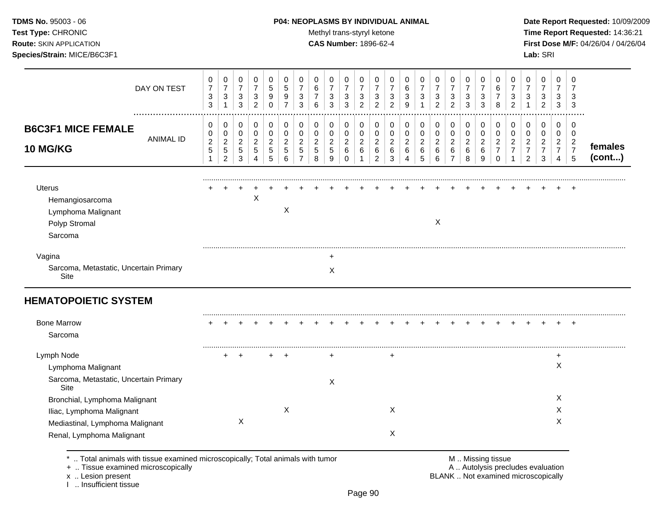# **TDMS No.** 95003 - 06 **P04: NEOPLASMS BY INDIVIDUAL ANIMAL** Date Report Requested: 10/09/2009

**Test Type:** CHRONIC **Trans-styryl ketone** Methyl trans-styryl ketone **Time Report Requested:** 14:36:21 **Route:** SKIN APPLICATION **CAS Number:** 1896-62-4 **First Dose M/F:** 04/26/04 / 04/26/04

| DAY ON TEST                                                                                                                | 0<br>$\overline{7}$<br>3<br>$\sqrt{3}$ | 0<br>$\overline{7}$<br>$\mathbf{3}$<br>$\mathbf 1$                | 0<br>$\overline{7}$<br>$\sqrt{3}$<br>$\mathbf{3}$   | 0<br>$\overline{7}$<br>$\sqrt{3}$<br>$\overline{c}$                | 0<br>5<br>9<br>$\mathbf 0$                   | 0<br>5<br>9<br>$\overline{7}$      | 0<br>$\overline{7}$<br>3<br>3                             | 0<br>6<br>6                                    | 0<br>$\overline{7}$<br>3<br>3                         | 0<br>$\overline{7}$<br>3<br>3            | 0<br>$\overline{7}$<br>3<br>$\overline{c}$ | 0<br>$\overline{7}$<br>3<br>$\overline{c}$      | 0<br>$\overline{7}$<br>$\mathbf{3}$<br>$\overline{2}$ | 0<br>6<br>3<br>9                         | 0<br>$\overline{7}$<br>$\mathbf{3}$        | 0<br>$\overline{7}$<br>$\mathbf{3}$<br>$\overline{2}$ | 0<br>$\overline{7}$<br>$\mathbf{3}$<br>$\overline{2}$   | 0<br>$\overline{7}$<br>3<br>3              | 0<br>$\overline{7}$<br>3<br>3                | 0<br>6<br>$\overline{7}$<br>$\,8\,$                    | 0<br>$\overline{7}$<br>3<br>$\overline{2}$           | 0<br>$\overline{7}$<br>3                                | 0<br>$\overline{7}$<br>3<br>$\overline{c}$            | $\mathbf 0$<br>$\overline{7}$<br>3<br>3                                | 0<br>$\overline{7}$<br>3<br>3                   |                   |
|----------------------------------------------------------------------------------------------------------------------------|----------------------------------------|-------------------------------------------------------------------|-----------------------------------------------------|--------------------------------------------------------------------|----------------------------------------------|------------------------------------|-----------------------------------------------------------|------------------------------------------------|-------------------------------------------------------|------------------------------------------|--------------------------------------------|-------------------------------------------------|-------------------------------------------------------|------------------------------------------|--------------------------------------------|-------------------------------------------------------|---------------------------------------------------------|--------------------------------------------|----------------------------------------------|--------------------------------------------------------|------------------------------------------------------|---------------------------------------------------------|-------------------------------------------------------|------------------------------------------------------------------------|-------------------------------------------------|-------------------|
| <b>B6C3F1 MICE FEMALE</b><br><b>ANIMAL ID</b><br>10 MG/KG                                                                  | 0<br>0<br>$\overline{c}$<br>5          | 0<br>$\pmb{0}$<br>$\overline{c}$<br>$\mathbf 5$<br>$\overline{c}$ | 0<br>$\pmb{0}$<br>$\overline{c}$<br>$\sqrt{5}$<br>3 | 0<br>$\mathsf 0$<br>$\overline{c}$<br>5<br>$\overline{\mathbf{4}}$ | 0<br>$\mathbf 0$<br>$\overline{c}$<br>5<br>5 | 0<br>0<br>$\overline{2}$<br>5<br>6 | 0<br>$\mathbf 0$<br>$\overline{c}$<br>5<br>$\overline{7}$ | 0<br>$\mathbf 0$<br>$\boldsymbol{2}$<br>5<br>8 | 0<br>$\mathsf 0$<br>$\overline{2}$<br>$\sqrt{5}$<br>9 | 0<br>0<br>$\overline{a}$<br>$\,6\,$<br>0 | 0<br>$\mathbf 0$<br>$\sqrt{2}$<br>6<br>-1  | 0<br>0<br>$\overline{c}$<br>6<br>$\overline{2}$ | 0<br>0<br>$\overline{c}$<br>6<br>3                    | 0<br>$\mathbf 0$<br>$\sqrt{2}$<br>6<br>4 | 0<br>$\pmb{0}$<br>$\overline{c}$<br>6<br>5 | 0<br>$\mathsf{O}\xspace$<br>$\overline{2}$<br>6<br>6  | 0<br>$\pmb{0}$<br>$\overline{a}$<br>6<br>$\overline{7}$ | 0<br>$\pmb{0}$<br>$\overline{c}$<br>6<br>8 | 0<br>$\mathbf 0$<br>$\overline{c}$<br>6<br>9 | 0<br>0<br>$\overline{c}$<br>$\overline{7}$<br>$\Omega$ | 0<br>$\mathbf 0$<br>$\overline{2}$<br>$\overline{7}$ | 0<br>$\pmb{0}$<br>$\overline{c}$<br>$\overline{7}$<br>2 | 0<br>$\mathbf 0$<br>$\sqrt{2}$<br>$\overline{7}$<br>3 | 0<br>$\mathbf 0$<br>$\overline{2}$<br>$\overline{7}$<br>$\overline{4}$ | 0<br>0<br>$\overline{c}$<br>$\overline{7}$<br>5 | females<br>(cont) |
| <b>Uterus</b><br>Hemangiosarcoma<br>Lymphoma Malignant<br>Polyp Stromal<br>Sarcoma                                         |                                        |                                                                   |                                                     | X                                                                  |                                              | $\sf X$                            |                                                           |                                                |                                                       |                                          |                                            |                                                 |                                                       |                                          |                                            | X                                                     |                                                         |                                            |                                              |                                                        |                                                      |                                                         |                                                       |                                                                        |                                                 |                   |
| Vagina<br>Sarcoma, Metastatic, Uncertain Primary<br>Site                                                                   |                                        |                                                                   |                                                     |                                                                    |                                              |                                    |                                                           |                                                | ٠<br>X                                                |                                          |                                            |                                                 |                                                       |                                          |                                            |                                                       |                                                         |                                            |                                              |                                                        |                                                      |                                                         |                                                       |                                                                        |                                                 |                   |
| <b>HEMATOPOIETIC SYSTEM</b>                                                                                                |                                        |                                                                   |                                                     |                                                                    |                                              |                                    |                                                           |                                                |                                                       |                                          |                                            |                                                 |                                                       |                                          |                                            |                                                       |                                                         |                                            |                                              |                                                        |                                                      |                                                         |                                                       |                                                                        |                                                 |                   |
| <b>Bone Marrow</b><br>Sarcoma                                                                                              |                                        |                                                                   |                                                     |                                                                    |                                              |                                    |                                                           |                                                |                                                       |                                          |                                            |                                                 |                                                       |                                          |                                            |                                                       |                                                         |                                            |                                              |                                                        |                                                      |                                                         |                                                       |                                                                        |                                                 |                   |
| Lymph Node<br>Lymphoma Malignant<br>Sarcoma, Metastatic, Uncertain Primary<br>Site                                         |                                        |                                                                   |                                                     |                                                                    |                                              |                                    |                                                           |                                                | X                                                     |                                          |                                            |                                                 | +                                                     |                                          |                                            |                                                       |                                                         |                                            |                                              |                                                        |                                                      |                                                         |                                                       | $\ddot{}$<br>X                                                         |                                                 |                   |
| Bronchial, Lymphoma Malignant<br>Iliac, Lymphoma Malignant<br>Mediastinal, Lymphoma Malignant<br>Renal, Lymphoma Malignant |                                        |                                                                   | Χ                                                   |                                                                    |                                              | X                                  |                                                           |                                                |                                                       |                                          |                                            |                                                 | X<br>X                                                |                                          |                                            |                                                       |                                                         |                                            |                                              |                                                        |                                                      |                                                         |                                                       | X<br>X<br>Χ                                                            |                                                 |                   |

\* .. Total animals with tissue examined microscopically; Total animals with tumor M .. Missing tissue M .. Missing tissue<br>
+ .. Tissue examined microscopically

+ .. Tissue examined microscopically

x .. Lesion present<br>I .. Insufficient tissue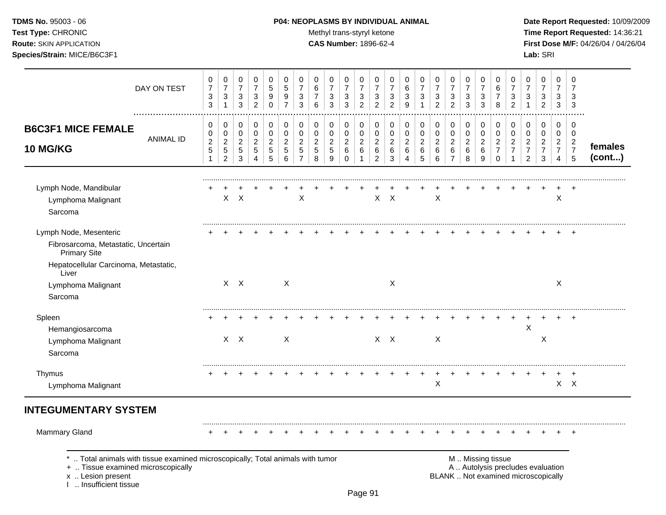**TDMS No.** 95003 - 06 **P04: NEOPLASMS BY INDIVIDUAL ANIMAL** Date Report Requested: 10/09/2009 Test Type: CHRONIC **Test Type:** CHRONIC **Test Type:** CHRONIC **Time Report Requested:** 14:36:21 **Route:** SKIN APPLICATION **CAS Number:** 1896-62-4 **First Dose M/F:** 04/26/04 / 04/26/04

| DAY ON TEST                                                                                                                                                       | 0<br>$\overline{7}$<br>3<br>$\sqrt{3}$      | $\pmb{0}$<br>$\overline{7}$<br>$\ensuremath{\mathsf{3}}$<br>$\mathbf{1}$ | 0<br>$\overline{7}$<br>$\mathbf{3}$<br>$\mathfrak{Z}$            | $\mathbf 0$<br>$\overline{7}$<br>$\sqrt{3}$<br>$\overline{2}$ | $\,0\,$<br>5<br>$\boldsymbol{9}$<br>$\pmb{0}$             | $\pmb{0}$<br>$\sqrt{5}$<br>9<br>$\overline{7}$           | 0<br>$\overline{7}$<br>3<br>3                                     | 0<br>6<br>$\overline{7}$<br>6               | 0<br>$\overline{7}$<br>$\ensuremath{\mathsf{3}}$<br>3 | 0<br>$\overline{7}$<br>$\sqrt{3}$<br>$\mathfrak{S}$  | $\mathbf 0$<br>$\overline{7}$<br>$\sqrt{3}$<br>$\overline{c}$ | 0<br>$\overline{7}$<br>3<br>$\overline{2}$                | 0<br>$\overline{7}$<br>$\sqrt{3}$<br>$\overline{c}$ | 0<br>6<br>$\mathbf{3}$<br>9                | 0<br>$\overline{7}$<br>3<br>$\mathbf{1}$ | 0<br>$\overline{7}$<br>$\sqrt{3}$<br>$\overline{2}$ | 0<br>$\overline{7}$<br>3<br>$\overline{2}$                      | 0<br>$\overline{7}$<br>$\sqrt{3}$<br>3                 | 0<br>$\overline{7}$<br>3<br>3                    | 0<br>6<br>$\overline{7}$<br>8                             | 0<br>$\overline{7}$<br>$\ensuremath{\mathsf{3}}$<br>$\overline{2}$ | 0<br>$\overline{7}$<br>3<br>$\mathbf{1}$                                 | $\pmb{0}$<br>$\overline{7}$<br>$\ensuremath{\mathsf{3}}$<br>$\overline{2}$ | $\mathbf 0$<br>$\overline{7}$<br>3<br>3                     | $\pmb{0}$<br>$\overline{7}$<br>3<br>$\mathbf{3}$ |                   |
|-------------------------------------------------------------------------------------------------------------------------------------------------------------------|---------------------------------------------|--------------------------------------------------------------------------|------------------------------------------------------------------|---------------------------------------------------------------|-----------------------------------------------------------|----------------------------------------------------------|-------------------------------------------------------------------|---------------------------------------------|-------------------------------------------------------|------------------------------------------------------|---------------------------------------------------------------|-----------------------------------------------------------|-----------------------------------------------------|--------------------------------------------|------------------------------------------|-----------------------------------------------------|-----------------------------------------------------------------|--------------------------------------------------------|--------------------------------------------------|-----------------------------------------------------------|--------------------------------------------------------------------|--------------------------------------------------------------------------|----------------------------------------------------------------------------|-------------------------------------------------------------|--------------------------------------------------|-------------------|
| <b>B6C3F1 MICE FEMALE</b><br>ANIMAL ID<br>10 MG/KG                                                                                                                | 0<br>0<br>$\overline{c}$<br>$\sqrt{5}$<br>1 | 0<br>$\pmb{0}$<br>$\overline{2}$<br>$\sqrt{5}$<br>$\overline{2}$         | 0<br>$\pmb{0}$<br>$\boldsymbol{2}$<br>$\sqrt{5}$<br>$\mathbf{3}$ | 0<br>$\pmb{0}$<br>$\overline{c}$<br>$5\phantom{.0}$<br>4      | $\,0\,$<br>$\pmb{0}$<br>$\overline{c}$<br>$\sqrt{5}$<br>5 | $\pmb{0}$<br>$\pmb{0}$<br>$\sqrt{2}$<br>$\,$ 5 $\,$<br>6 | 0<br>$\pmb{0}$<br>$\overline{c}$<br>$\,$ 5 $\,$<br>$\overline{7}$ | 0<br>0<br>$\overline{c}$<br>$\sqrt{5}$<br>8 | 0<br>$\pmb{0}$<br>$\boldsymbol{2}$<br>$\sqrt{5}$<br>9 | 0<br>$\pmb{0}$<br>$\overline{c}$<br>6<br>$\mathbf 0$ | 0<br>$\pmb{0}$<br>$\overline{c}$<br>$\,6\,$<br>1              | 0<br>$\pmb{0}$<br>$\boldsymbol{2}$<br>6<br>$\overline{2}$ | 0<br>0<br>$\overline{c}$<br>6<br>$\mathbf{3}$       | 0<br>$\pmb{0}$<br>$\overline{c}$<br>6<br>4 | 0<br>0<br>$\overline{c}$<br>$\,6$<br>5   | 0<br>$\pmb{0}$<br>$\sqrt{2}$<br>$\,6\,$<br>6        | 0<br>$\pmb{0}$<br>$\boldsymbol{2}$<br>$\,6\,$<br>$\overline{7}$ | 0<br>$\pmb{0}$<br>$\overline{c}$<br>$\,6\,$<br>$\,8\,$ | 0<br>$\pmb{0}$<br>$\overline{c}$<br>$\,6\,$<br>9 | 0<br>$\mathbf 0$<br>$\overline{2}$<br>$\overline{7}$<br>0 | 0<br>$\mathbf 0$<br>$\boldsymbol{2}$<br>$\overline{7}$             | 0<br>$\pmb{0}$<br>$\boldsymbol{2}$<br>$\overline{7}$<br>$\overline{2}$   | 0<br>$\mathbf 0$<br>$\overline{c}$<br>$\boldsymbol{7}$<br>$\mathbf{3}$     | $\mathbf 0$<br>0<br>$\boldsymbol{2}$<br>$\overline{7}$<br>4 | 0<br>0<br>$\overline{c}$<br>$\overline{7}$<br>5  | females<br>(cont) |
| Lymph Node, Mandibular<br>Lymphoma Malignant<br>Sarcoma                                                                                                           |                                             |                                                                          | $\times$<br>$X -$                                                |                                                               |                                                           |                                                          | X                                                                 |                                             |                                                       |                                                      |                                                               | X.                                                        | $\boldsymbol{\mathsf{X}}$                           |                                            |                                          | $\sf X$                                             |                                                                 |                                                        |                                                  |                                                           |                                                                    |                                                                          |                                                                            | X                                                           | $\div$                                           |                   |
| Lymph Node, Mesenteric<br>Fibrosarcoma, Metastatic, Uncertain<br><b>Primary Site</b><br>Hepatocellular Carcinoma, Metastatic,                                     |                                             |                                                                          |                                                                  |                                                               |                                                           |                                                          |                                                                   |                                             |                                                       |                                                      |                                                               |                                                           |                                                     |                                            |                                          |                                                     |                                                                 |                                                        |                                                  |                                                           |                                                                    |                                                                          |                                                                            |                                                             |                                                  |                   |
| Liver<br>Lymphoma Malignant<br>Sarcoma                                                                                                                            |                                             |                                                                          | $X$ $X$                                                          |                                                               |                                                           | X                                                        |                                                                   |                                             |                                                       |                                                      |                                                               |                                                           | $\boldsymbol{\mathsf{X}}$                           |                                            |                                          |                                                     |                                                                 |                                                        |                                                  |                                                           |                                                                    |                                                                          |                                                                            | Χ                                                           |                                                  |                   |
| Spleen<br>Hemangiosarcoma<br>Lymphoma Malignant<br>Sarcoma                                                                                                        |                                             |                                                                          | $X$ $X$                                                          |                                                               |                                                           | $\mathsf{X}$                                             |                                                                   |                                             |                                                       |                                                      |                                                               |                                                           | $X$ $X$                                             |                                            |                                          | X                                                   |                                                                 |                                                        |                                                  |                                                           |                                                                    | X                                                                        | X                                                                          |                                                             | $\div$                                           |                   |
| Thymus<br>Lymphoma Malignant                                                                                                                                      |                                             |                                                                          |                                                                  |                                                               |                                                           |                                                          |                                                                   |                                             |                                                       |                                                      |                                                               |                                                           |                                                     |                                            |                                          | X                                                   |                                                                 |                                                        |                                                  |                                                           |                                                                    |                                                                          |                                                                            |                                                             | $\ddot{}$<br>$X$ $X$                             |                   |
| <b>INTEGUMENTARY SYSTEM</b>                                                                                                                                       |                                             |                                                                          |                                                                  |                                                               |                                                           |                                                          |                                                                   |                                             |                                                       |                                                      |                                                               |                                                           |                                                     |                                            |                                          |                                                     |                                                                 |                                                        |                                                  |                                                           |                                                                    |                                                                          |                                                                            |                                                             |                                                  |                   |
| Mammary Gland                                                                                                                                                     |                                             |                                                                          |                                                                  |                                                               |                                                           |                                                          |                                                                   |                                             |                                                       |                                                      |                                                               |                                                           |                                                     |                                            |                                          |                                                     |                                                                 |                                                        |                                                  |                                                           |                                                                    |                                                                          |                                                                            |                                                             |                                                  |                   |
| Total animals with tissue examined microscopically; Total animals with tumor<br>+  Tissue examined microscopically<br>x  Lesion present<br>I  Insufficient tissue |                                             |                                                                          |                                                                  |                                                               |                                                           |                                                          |                                                                   |                                             |                                                       |                                                      |                                                               |                                                           |                                                     |                                            |                                          |                                                     |                                                                 |                                                        |                                                  | M  Missing tissue                                         |                                                                    | A  Autolysis precludes evaluation<br>BLANK  Not examined microscopically |                                                                            |                                                             |                                                  |                   |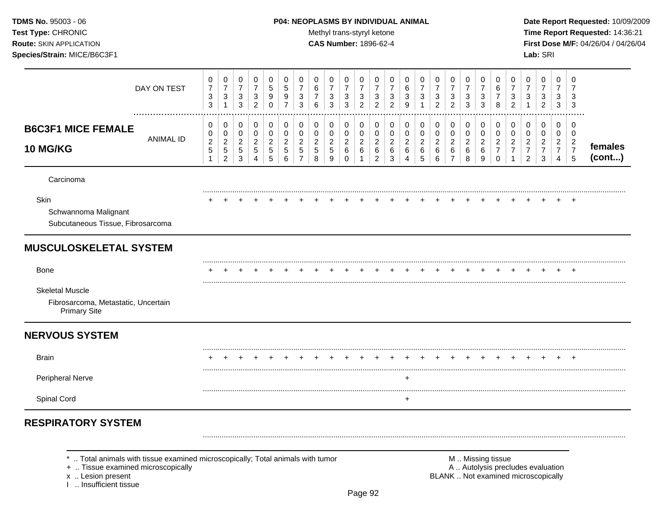### **TDMS No.** 95003 - 06 **P04: NEOPLASMS BY INDIVIDUAL ANIMAL** Date Report Requested: 10/09/2009

Test Type: CHRONIC **Test Type:** CHRONIC **Test Type:** CHRONIC **Time Report Requested:** 14:36:21 **Route:** SKIN APPLICATION **CAS Number:** 1896-62-4 **First Dose M/F:** 04/26/04 / 04/26/04

|                                                                                                                    | DAY ON TEST      | 0<br>$\overline{7}$<br>3<br>$\mathbf{3}$               | $\pmb{0}$<br>$\overline{7}$<br>$\ensuremath{\mathsf{3}}$                 | $\mathbf 0$<br>$\overline{7}$<br>$\mathbf{3}$<br>3 | 0<br>$\overline{7}$<br>3<br>$\overline{2}$ | $\mathbf 0$<br>5<br>9<br>$\mathbf 0$                  | 0<br>5<br>9<br>$\overline{7}$                        | 0<br>$\overline{7}$<br>3<br>3                                            | 0<br>6<br>$\overline{7}$<br>6                         | 0<br>$\overline{7}$<br>3<br>3               | $\mathbf 0$<br>$\overline{7}$<br>$\ensuremath{\mathsf{3}}$<br>3 | 0<br>$\overline{7}$<br>3<br>$\overline{2}$ | 0<br>7<br>3<br>$\overline{2}$                | 0<br>$\overline{7}$<br>3<br>$\overline{c}$ | 0<br>6<br>3<br>9                                      | 0<br>$\overline{7}$<br>3                 | 0<br>$\overline{7}$<br>$\mathbf{3}$<br>$\overline{a}$ | 0<br>$\overline{7}$<br>$\mathbf{3}$<br>$\overline{2}$ | 0<br>7<br>3<br>3                | 0<br>7<br>3<br>3                | 0<br>6<br>$\overline{7}$<br>8                                    | 0<br>$\overline{7}$<br>3<br>$\overline{c}$           | $\mathbf 0$<br>$\overline{7}$<br>3<br>$\mathbf{1}$             | $\mathbf 0$<br>$\overline{7}$<br>3<br>$\overline{c}$      | 0<br>7<br>3<br>3                                          | $\Omega$<br>$\overline{7}$<br>3<br>3                      |                   |
|--------------------------------------------------------------------------------------------------------------------|------------------|--------------------------------------------------------|--------------------------------------------------------------------------|----------------------------------------------------|--------------------------------------------|-------------------------------------------------------|------------------------------------------------------|--------------------------------------------------------------------------|-------------------------------------------------------|---------------------------------------------|-----------------------------------------------------------------|--------------------------------------------|----------------------------------------------|--------------------------------------------|-------------------------------------------------------|------------------------------------------|-------------------------------------------------------|-------------------------------------------------------|---------------------------------|---------------------------------|------------------------------------------------------------------|------------------------------------------------------|----------------------------------------------------------------|-----------------------------------------------------------|-----------------------------------------------------------|-----------------------------------------------------------|-------------------|
| <b>B6C3F1 MICE FEMALE</b><br>10 MG/KG                                                                              | <b>ANIMAL ID</b> | 0<br>0<br>$\overline{c}$<br>$\sqrt{5}$<br>$\mathbf{1}$ | 0<br>$\mathbf 0$<br>$\boldsymbol{2}$<br>$\overline{5}$<br>$\overline{2}$ | 0<br>0<br>$\overline{c}$<br>$\sqrt{5}$<br>3        | 0<br>$\pmb{0}$<br>$\overline{2}$<br>5<br>4 | 0<br>$\mathbf 0$<br>$\overline{c}$<br>$\sqrt{5}$<br>5 | $\pmb{0}$<br>$\mathbf 0$<br>$\overline{2}$<br>5<br>6 | $\,0\,$<br>$\mathbf 0$<br>$\overline{2}$<br>$\sqrt{5}$<br>$\overline{7}$ | 0<br>$\mathbf 0$<br>$\overline{2}$<br>$\sqrt{5}$<br>8 | 0<br>0<br>$\overline{2}$<br>$\sqrt{5}$<br>9 | 0<br>0<br>$\overline{2}$<br>6<br>$\mathbf 0$                    | 0<br>0<br>$\overline{2}$<br>$\,6\,$<br>1   | 0<br>$\mathbf 0$<br>2<br>6<br>$\overline{2}$ | 0<br>0<br>$\overline{2}$<br>6<br>3         | 0<br>0<br>$\overline{c}$<br>$\,6\,$<br>$\overline{4}$ | 0<br>0<br>$\overline{2}$<br>$\,6\,$<br>5 | 0<br>0<br>$\overline{2}$<br>6<br>6                    | 0<br>0<br>$\overline{c}$<br>$\,6\,$<br>$\overline{7}$ | 0<br>$\mathbf 0$<br>2<br>6<br>8 | 0<br>$\mathbf 0$<br>2<br>6<br>9 | 0<br>$\mathbf 0$<br>$\overline{2}$<br>$\overline{7}$<br>$\Omega$ | 0<br>$\mathbf 0$<br>$\overline{2}$<br>$\overline{7}$ | 0<br>0<br>$\overline{2}$<br>$\boldsymbol{7}$<br>$\overline{2}$ | 0<br>$\mathbf 0$<br>$\overline{2}$<br>$\overline{7}$<br>3 | 0<br>$\mathbf 0$<br>$\overline{2}$<br>$\overline{7}$<br>4 | 0<br>$\mathbf 0$<br>$\overline{2}$<br>$\overline{7}$<br>5 | females<br>(cont) |
| Carcinoma                                                                                                          |                  |                                                        |                                                                          |                                                    |                                            |                                                       |                                                      |                                                                          |                                                       |                                             |                                                                 |                                            |                                              |                                            |                                                       |                                          |                                                       |                                                       |                                 |                                 |                                                                  |                                                      |                                                                |                                                           |                                                           |                                                           |                   |
| Skin<br>Schwannoma Malignant<br>Subcutaneous Tissue, Fibrosarcoma                                                  |                  |                                                        |                                                                          |                                                    |                                            |                                                       |                                                      |                                                                          |                                                       |                                             |                                                                 |                                            |                                              |                                            |                                                       |                                          |                                                       |                                                       |                                 |                                 |                                                                  |                                                      |                                                                |                                                           |                                                           | ÷                                                         |                   |
| <b>MUSCULOSKELETAL SYSTEM</b>                                                                                      |                  |                                                        |                                                                          |                                                    |                                            |                                                       |                                                      |                                                                          |                                                       |                                             |                                                                 |                                            |                                              |                                            |                                                       |                                          |                                                       |                                                       |                                 |                                 |                                                                  |                                                      |                                                                |                                                           |                                                           |                                                           |                   |
| <b>Bone</b>                                                                                                        |                  |                                                        |                                                                          |                                                    |                                            |                                                       |                                                      |                                                                          |                                                       |                                             |                                                                 |                                            |                                              |                                            |                                                       |                                          |                                                       |                                                       |                                 |                                 |                                                                  |                                                      |                                                                |                                                           |                                                           |                                                           |                   |
| <b>Skeletal Muscle</b><br>Fibrosarcoma, Metastatic, Uncertain<br><b>Primary Site</b>                               |                  |                                                        |                                                                          |                                                    |                                            |                                                       |                                                      |                                                                          |                                                       |                                             |                                                                 |                                            |                                              |                                            |                                                       |                                          |                                                       |                                                       |                                 |                                 |                                                                  |                                                      |                                                                |                                                           |                                                           |                                                           |                   |
| <b>NERVOUS SYSTEM</b>                                                                                              |                  |                                                        |                                                                          |                                                    |                                            |                                                       |                                                      |                                                                          |                                                       |                                             |                                                                 |                                            |                                              |                                            |                                                       |                                          |                                                       |                                                       |                                 |                                 |                                                                  |                                                      |                                                                |                                                           |                                                           |                                                           |                   |
| <b>Brain</b>                                                                                                       |                  |                                                        |                                                                          |                                                    |                                            |                                                       |                                                      |                                                                          |                                                       |                                             |                                                                 |                                            |                                              |                                            |                                                       |                                          |                                                       |                                                       |                                 |                                 |                                                                  |                                                      |                                                                |                                                           |                                                           | $\div$                                                    |                   |
| <b>Peripheral Nerve</b>                                                                                            |                  |                                                        |                                                                          |                                                    |                                            |                                                       |                                                      |                                                                          |                                                       |                                             |                                                                 |                                            |                                              |                                            |                                                       |                                          |                                                       |                                                       |                                 |                                 |                                                                  |                                                      |                                                                |                                                           |                                                           |                                                           |                   |
| Spinal Cord                                                                                                        |                  |                                                        |                                                                          |                                                    |                                            |                                                       |                                                      |                                                                          |                                                       |                                             |                                                                 |                                            |                                              |                                            | $\ddot{}$                                             |                                          |                                                       |                                                       |                                 |                                 |                                                                  |                                                      |                                                                |                                                           |                                                           |                                                           |                   |
| <b>RESPIRATORY SYSTEM</b>                                                                                          |                  |                                                        |                                                                          |                                                    |                                            |                                                       |                                                      |                                                                          |                                                       |                                             |                                                                 |                                            |                                              |                                            |                                                       |                                          |                                                       |                                                       |                                 |                                 |                                                                  |                                                      |                                                                |                                                           |                                                           |                                                           |                   |
| Total animals with tissue examined microscopically; Total animals with tumor<br>+  Tissue examined microscopically |                  |                                                        |                                                                          |                                                    |                                            |                                                       |                                                      |                                                                          |                                                       |                                             |                                                                 |                                            |                                              |                                            |                                                       |                                          |                                                       |                                                       |                                 |                                 | M  Missing tissue                                                |                                                      |                                                                | A  Autolysis precludes evaluation                         |                                                           |                                                           |                   |

x .. Lesion present<br>I .. Insufficient tissue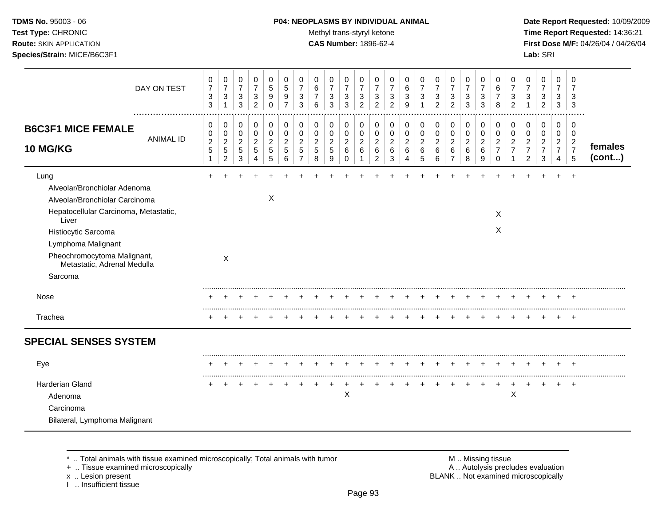# **TDMS No.** 95003 - 06 **P04: NEOPLASMS BY INDIVIDUAL ANIMAL** Date Report Requested: 10/09/2009

**Test Type:** CHRONIC **Trans-styryl ketone** Methyl trans-styryl ketone **Time Report Requested:** 14:36:21 **Route:** SKIN APPLICATION **CAS Number:** 1896-62-4 **First Dose M/F:** 04/26/04 / 04/26/04

|                                                                                                                                                                                                                                                | DAY ON TEST      | 0<br>$\overline{7}$<br>$\ensuremath{\mathsf{3}}$<br>3 | $\mathbf 0$<br>$\overline{7}$<br>$\ensuremath{\mathsf{3}}$<br>$\mathbf{1}$ | 0<br>$\overline{7}$<br>$\sqrt{3}$<br>3                | 0<br>$\overline{7}$<br>3<br>$\overline{c}$   | 0<br>$\overline{5}$<br>$\boldsymbol{9}$<br>$\Omega$     | 0<br>$\sqrt{5}$<br>9<br>$\overline{7}$       | 0<br>$\overline{7}$<br>3<br>3                           | 0<br>$\,6\,$<br>$\overline{7}$<br>6          | 0<br>$\overline{7}$<br>3<br>3                   | 0<br>$\overline{7}$<br>$\ensuremath{\mathsf{3}}$<br>3 | 0<br>$\overline{7}$<br>$\sqrt{3}$<br>2                          | 0<br>$\overline{7}$<br>3<br>$\overline{c}$            | 0<br>$\overline{7}$<br>3<br>2          | 0<br>$\,6\,$<br>$\sqrt{3}$<br>9                           | 0<br>$\overline{7}$<br>3                         | 0<br>$\overline{7}$<br>$\mathbf{3}$<br>$\overline{2}$ | 0<br>$\overline{7}$<br>$\ensuremath{\mathsf{3}}$<br>2     | 0<br>$\overline{7}$<br>3<br>3                    | 0<br>$\overline{7}$<br>$\sqrt{3}$<br>3 | 0<br>6<br>$\overline{7}$<br>8                                    | 0<br>$\overline{7}$<br>$\sqrt{3}$<br>$\overline{2}$               | 0<br>$\overline{7}$<br>$\mathbf{3}$                            | 0<br>$\overline{7}$<br>3<br>$\overline{2}$                           | 0<br>$\overline{7}$<br>3<br>3                   | 0<br>$\overline{7}$<br>3<br>3                                       |                   |
|------------------------------------------------------------------------------------------------------------------------------------------------------------------------------------------------------------------------------------------------|------------------|-------------------------------------------------------|----------------------------------------------------------------------------|-------------------------------------------------------|----------------------------------------------|---------------------------------------------------------|----------------------------------------------|---------------------------------------------------------|----------------------------------------------|-------------------------------------------------|-------------------------------------------------------|-----------------------------------------------------------------|-------------------------------------------------------|----------------------------------------|-----------------------------------------------------------|--------------------------------------------------|-------------------------------------------------------|-----------------------------------------------------------|--------------------------------------------------|----------------------------------------|------------------------------------------------------------------|-------------------------------------------------------------------|----------------------------------------------------------------|----------------------------------------------------------------------|-------------------------------------------------|---------------------------------------------------------------------|-------------------|
| <b>B6C3F1 MICE FEMALE</b><br><b>10 MG/KG</b>                                                                                                                                                                                                   | <b>ANIMAL ID</b> | 0<br>0<br>$\boldsymbol{2}$<br>5<br>$\mathbf{1}$       | 0<br>$\pmb{0}$<br>$\boldsymbol{2}$<br>$\sqrt{5}$<br>$\sqrt{2}$             | 0<br>$\mathbf 0$<br>$\overline{c}$<br>$\sqrt{5}$<br>3 | 0<br>$\mathbf 0$<br>$\overline{2}$<br>5<br>4 | 0<br>$\pmb{0}$<br>$\overline{c}$<br>$\overline{5}$<br>5 | 0<br>$\mathbf 0$<br>$\overline{2}$<br>5<br>6 | 0<br>$\pmb{0}$<br>$\overline{c}$<br>5<br>$\overline{7}$ | 0<br>$\mathbf 0$<br>$\overline{c}$<br>5<br>8 | 0<br>0<br>$\overline{c}$<br>$\overline{5}$<br>9 | 0<br>$\mathbf 0$<br>$\overline{c}$<br>$\,6\,$<br>0    | 0<br>$\mathbf 0$<br>$\boldsymbol{2}$<br>$\,6\,$<br>$\mathbf{1}$ | 0<br>0<br>$\overline{c}$<br>$\,6\,$<br>$\overline{a}$ | 0<br>0<br>$\overline{c}$<br>$\,6$<br>3 | 0<br>$\pmb{0}$<br>$\sqrt{2}$<br>$\,6\,$<br>$\overline{4}$ | 0<br>$\mathbf 0$<br>$\overline{2}$<br>$\,6$<br>5 | 0<br>$\mathsf 0$<br>$\sqrt{2}$<br>$\,6\,$<br>$\,6\,$  | 0<br>$\pmb{0}$<br>$\boldsymbol{2}$<br>6<br>$\overline{7}$ | 0<br>$\pmb{0}$<br>$\overline{c}$<br>$\,6\,$<br>8 | 0<br>0<br>$\overline{a}$<br>6<br>9     | 0<br>$\mathbf 0$<br>$\overline{c}$<br>$\overline{7}$<br>$\Omega$ | 0<br>$\pmb{0}$<br>$\overline{c}$<br>$\overline{7}$<br>$\mathbf 1$ | 0<br>$\mathbf 0$<br>$\sqrt{2}$<br>$\overline{7}$<br>$\sqrt{2}$ | 0<br>$\mathbf 0$<br>$\overline{a}$<br>$\overline{7}$<br>$\mathbf{3}$ | 0<br>0<br>$\overline{c}$<br>$\overline{7}$<br>4 | $\mathbf 0$<br>$\mathbf 0$<br>$\overline{c}$<br>$\overline{7}$<br>5 | females<br>(cont) |
| Lung<br>Alveolar/Bronchiolar Adenoma<br>Alveolar/Bronchiolar Carcinoma<br>Hepatocellular Carcinoma, Metastatic,<br>Liver<br>Histiocytic Sarcoma<br>Lymphoma Malignant<br>Pheochromocytoma Malignant,<br>Metastatic, Adrenal Medulla<br>Sarcoma |                  |                                                       | X                                                                          |                                                       |                                              | $\boldsymbol{\mathsf{X}}$                               |                                              |                                                         |                                              |                                                 |                                                       |                                                                 |                                                       |                                        |                                                           |                                                  |                                                       |                                                           |                                                  |                                        | X<br>X                                                           |                                                                   |                                                                |                                                                      |                                                 |                                                                     |                   |
| Nose                                                                                                                                                                                                                                           |                  |                                                       |                                                                            |                                                       |                                              |                                                         |                                              |                                                         |                                              |                                                 |                                                       |                                                                 |                                                       |                                        |                                                           |                                                  |                                                       |                                                           |                                                  |                                        |                                                                  |                                                                   |                                                                |                                                                      |                                                 |                                                                     |                   |
| Trachea                                                                                                                                                                                                                                        |                  |                                                       |                                                                            |                                                       |                                              |                                                         |                                              |                                                         |                                              |                                                 |                                                       |                                                                 |                                                       |                                        |                                                           |                                                  |                                                       |                                                           |                                                  |                                        |                                                                  |                                                                   |                                                                |                                                                      |                                                 | ÷                                                                   |                   |
| <b>SPECIAL SENSES SYSTEM</b>                                                                                                                                                                                                                   |                  |                                                       |                                                                            |                                                       |                                              |                                                         |                                              |                                                         |                                              |                                                 |                                                       |                                                                 |                                                       |                                        |                                                           |                                                  |                                                       |                                                           |                                                  |                                        |                                                                  |                                                                   |                                                                |                                                                      |                                                 |                                                                     |                   |
| Eye                                                                                                                                                                                                                                            |                  |                                                       | $\pm$                                                                      |                                                       |                                              |                                                         |                                              |                                                         |                                              |                                                 |                                                       |                                                                 |                                                       |                                        |                                                           | $\pm$                                            | $\pm$                                                 |                                                           | $\pm$                                            |                                        |                                                                  | $\div$                                                            | $\overline{+}$                                                 | $\pm$                                                                | $\pm$                                           | $\pm$                                                               |                   |
| <b>Harderian Gland</b><br>Adenoma<br>Carcinoma<br>Bilateral, Lymphoma Malignant                                                                                                                                                                |                  |                                                       |                                                                            |                                                       |                                              |                                                         |                                              |                                                         |                                              |                                                 | $\mathsf X$                                           |                                                                 |                                                       |                                        |                                                           |                                                  |                                                       |                                                           |                                                  |                                        |                                                                  | $\mathsf X$                                                       |                                                                |                                                                      |                                                 | $\ddot{}$                                                           |                   |

+ .. Tissue examined microscopically

x .. Lesion present<br>I .. Insufficient tissue

\* .. Total animals with tissue examined microscopically; Total animals with tumor M .. Missing tissue M .. Missing tissue<br>
+ .. Tissue examined microscopically BLANK .. Not examined microscopically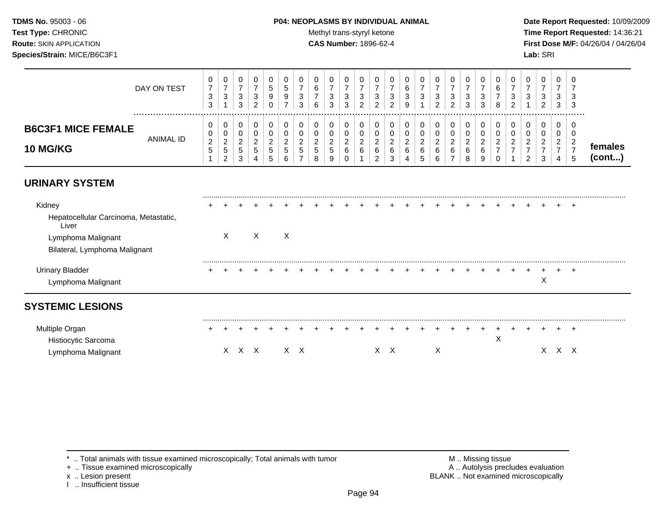# **TDMS No.** 95003 - 06 **P04: NEOPLASMS BY INDIVIDUAL ANIMAL** Date Report Requested: 10/09/2009

Test Type: CHRONIC **Test Type:** CHRONIC **Test Type:** CHRONIC **Time Report Requested:** 14:36:21 **Route:** SKIN APPLICATION **CAS Number:** 1896-62-4 **First Dose M/F:** 04/26/04 / 04/26/04

|                           | DAY ON TEST | v<br>⇁<br>ີ<br>ັ<br>$\sim$<br>ູບ | 0<br>3                              | υ<br>ົ<br>J             | ∠  | ು<br>-9<br>0 | 9 | ັ<br>u<br>3        | 6      | 0<br>3<br>3             | U<br>3<br>3         | ు<br>∠ | - U<br>3 | <u>_</u> | v<br>J<br>9 | υ<br>о<br>J | 0<br>3<br>C<br>$\epsilon$ | υ<br>3<br>ົ<br>$\epsilon$ | చ<br>ত | <b>U</b><br>3<br>3 | 8 | U<br>J<br>っ<br><u>_</u> | υ<br>ີ<br>J | 0<br>3<br>C.<br>$\epsilon$ | U<br>3<br>3        | - 6<br>- 3<br>-3 |                  |
|---------------------------|-------------|----------------------------------|-------------------------------------|-------------------------|----|--------------|---|--------------------|--------|-------------------------|---------------------|--------|----------|----------|-------------|-------------|---------------------------|---------------------------|--------|--------------------|---|-------------------------|-------------|----------------------------|--------------------|------------------|------------------|
| <b>B6C3F1 MICE FEMALE</b> |             | v                                | 0<br>0                              | U<br>U                  |    |              |   |                    |        | 0<br>0                  | U<br>υ              |        |          |          |             | ν           | 0<br>0                    | U                         |        |                    |   |                         | υ<br>U      | 0<br>0                     | U                  |                  |                  |
| <b>10 MG/KG</b>           | ANIMAL ID   | ົ<br><u>_</u><br>ັ               | ົ<br><u>_</u><br>ა<br>ົ<br><u>_</u> | <u>_</u><br>C<br>ົ<br>ت | ົວ | ಾ<br>٠b      | э | <u>_</u><br>∽<br>J | ັ<br>8 | ົ<br><u>L</u><br>5<br>9 | <u>_</u><br>6<br>ັບ |        | 6        | b        | _<br>6      | $\sim$      | ົ<br><u>.</u><br>6<br>6   | <u>_</u><br>6             |        | 6<br>9             |   | <u>_</u>                |             | ົ<br><u>_</u><br>ົ<br>ۍ    | $\sim$<br><u>_</u> |                  | temales<br>cont) |

# **URINARY SYSTEM**

| Kidney                                         |   |   |   |  |  |  |  |  |  |  |  |   | + |  |
|------------------------------------------------|---|---|---|--|--|--|--|--|--|--|--|---|---|--|
| Hepatocellular Carcinoma, Metastatic,<br>Liver |   |   |   |  |  |  |  |  |  |  |  |   |   |  |
| Lymphoma Malignant                             | ⌒ | X | X |  |  |  |  |  |  |  |  |   |   |  |
| Bilateral, Lymphoma Malignant                  |   |   |   |  |  |  |  |  |  |  |  |   |   |  |
| Urinary Bladder                                |   |   |   |  |  |  |  |  |  |  |  |   |   |  |
| Lymphoma Malignant                             |   |   |   |  |  |  |  |  |  |  |  | ∧ |   |  |
| <b>SYSTEMIC LESIONS</b>                        |   |   |   |  |  |  |  |  |  |  |  |   |   |  |
|                                                |   |   |   |  |  |  |  |  |  |  |  |   |   |  |

| Multiple Organ      |  |  |           |  |  |  |  |  |  |  |  |  |       |  |
|---------------------|--|--|-----------|--|--|--|--|--|--|--|--|--|-------|--|
| Histiocytic Sarcoma |  |  |           |  |  |  |  |  |  |  |  |  |       |  |
| Lymphoma Malignant  |  |  | x x x x x |  |  |  |  |  |  |  |  |  | Y Y Y |  |

+ .. Tissue examined microscopically

x .. Lesion present<br>I .. Insufficient tissue

\* .. Total animals with tissue examined microscopically; Total animals with tumor **M** metally metally and M .. Missing tissue exaluation + .. Tissue examined microscopically metally metally metally metally metally metally BLANK .. Not examined microscopically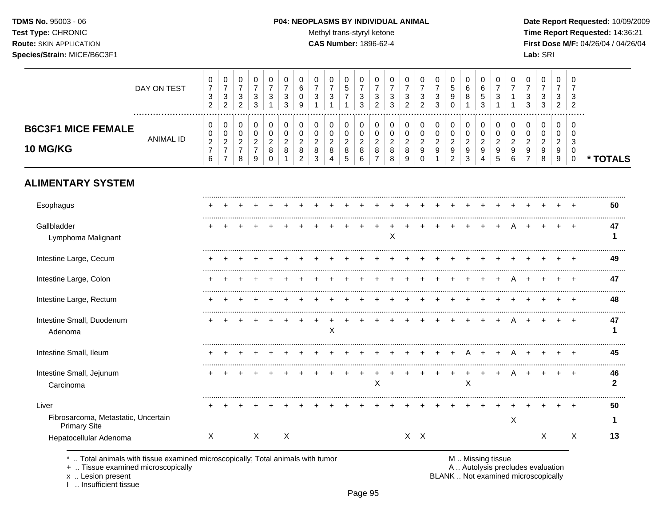#### **TDMS No.** 95003 - 06 **P04: NEOPLASMS BY INDIVIDUAL ANIMAL Date Report Requested:** 10/09/2009

Test Type: CHRONIC **Test Type:** CHRONIC **Test Type:** CHRONIC **Time Report Requested:** 14:36:21 **Route:** SKIN APPLICATION **CAS Number:** 1896-62-4 **First Dose M/F:** 04/26/04 / 04/26/04

|                                                                     | DAY ON TEST      | 0<br>$\overline{7}$<br>3<br>$\overline{2}$                     | 0<br>$\overline{7}$<br>$\sqrt{3}$<br>2                                      | 0<br>$\overline{7}$<br>$\sqrt{3}$<br>$\overline{2}$       | 0<br>$\overline{7}$<br>$\ensuremath{\mathsf{3}}$<br>3                  | 0<br>$\overline{7}$<br>3<br>1                            | 0<br>$\overline{7}$<br>3<br>3                | 0<br>$\,6\,$<br>0<br>9                          | 0<br>$\overline{7}$<br>3<br>$\overline{1}$ | 0<br>$\overline{7}$<br>3<br>$\overline{1}$                     | $\mathbf 0$<br>$\sqrt{5}$<br>$\overline{7}$<br>1 | 0<br>$\overline{7}$<br>3<br>3          | 0<br>$\overline{7}$<br>$\ensuremath{\mathsf{3}}$<br>$\overline{2}$ | 0<br>$\overline{7}$<br>3<br>3            | 0<br>$\overline{7}$<br>3<br>2      | 0<br>$\overline{7}$<br>3<br>2                   | 0<br>$\overline{7}$<br>$\sqrt{3}$<br>3                 | 0<br>$\sqrt{5}$<br>9<br>$\Omega$                                | 0<br>6<br>8<br>1                                                       | 0<br>$\,6$<br>$\sqrt{5}$<br>3                | 0<br>$\overline{7}$<br>3<br>1          | 0<br>$\overline{7}$<br>1           | 0<br>$\overline{7}$<br>3<br>3                             | 0<br>$\overline{7}$<br>3<br>3                           | 0<br>$\overline{7}$<br>3<br>$\overline{2}$   | 0<br>7<br>3<br>2                       |                    |
|---------------------------------------------------------------------|------------------|----------------------------------------------------------------|-----------------------------------------------------------------------------|-----------------------------------------------------------|------------------------------------------------------------------------|----------------------------------------------------------|----------------------------------------------|-------------------------------------------------|--------------------------------------------|----------------------------------------------------------------|--------------------------------------------------|----------------------------------------|--------------------------------------------------------------------|------------------------------------------|------------------------------------|-------------------------------------------------|--------------------------------------------------------|-----------------------------------------------------------------|------------------------------------------------------------------------|----------------------------------------------|----------------------------------------|------------------------------------|-----------------------------------------------------------|---------------------------------------------------------|----------------------------------------------|----------------------------------------|--------------------|
| <b>B6C3F1 MICE FEMALE</b><br>10 MG/KG                               | <b>ANIMAL ID</b> | 0<br>0<br>$\boldsymbol{2}$<br>$\overline{7}$<br>$6\phantom{a}$ | 0<br>$\boldsymbol{0}$<br>$\overline{c}$<br>$\overline{7}$<br>$\overline{7}$ | 0<br>$\pmb{0}$<br>$\boldsymbol{2}$<br>$\overline{7}$<br>8 | 0<br>$\pmb{0}$<br>$\overline{2}$<br>$\overline{7}$<br>$\boldsymbol{9}$ | 0<br>$\mathbf 0$<br>$\boldsymbol{2}$<br>8<br>$\mathbf 0$ | 0<br>$\mathbf 0$<br>$\overline{2}$<br>8<br>1 | 0<br>0<br>$\overline{c}$<br>8<br>$\overline{2}$ | 0<br>$\mathbf 0$<br>$\sqrt{2}$<br>8<br>3   | 0<br>$\boldsymbol{0}$<br>$\overline{2}$<br>8<br>$\overline{4}$ | 0<br>$\mathbf 0$<br>$\overline{2}$<br>8<br>5     | 0<br>$\pmb{0}$<br>$\sqrt{2}$<br>8<br>6 | 0<br>$\mathbf 0$<br>$\overline{2}$<br>$\,8\,$<br>$\overline{7}$    | 0<br>$\mathbf 0$<br>$\sqrt{2}$<br>8<br>8 | 0<br>0<br>$\overline{c}$<br>8<br>9 | 0<br>$\mathbf 0$<br>$\sqrt{2}$<br>9<br>$\Omega$ | 0<br>$\mathbf 0$<br>$\overline{2}$<br>$\boldsymbol{9}$ | $\pmb{0}$<br>$\pmb{0}$<br>$\sqrt{2}$<br>$9\,$<br>$\overline{2}$ | 0<br>$\pmb{0}$<br>$\boldsymbol{2}$<br>$\boldsymbol{9}$<br>$\mathbf{3}$ | 0<br>$\pmb{0}$<br>$\boldsymbol{2}$<br>9<br>4 | 0<br>$\pmb{0}$<br>$\sqrt{2}$<br>9<br>5 | 0<br>0<br>$\overline{2}$<br>9<br>6 | 0<br>$\mathbf 0$<br>$\overline{c}$<br>9<br>$\overline{7}$ | 0<br>0<br>$\overline{c}$<br>$\boldsymbol{9}$<br>$\,8\,$ | $\mathbf 0$<br>0<br>$\overline{2}$<br>9<br>9 | 0<br>$\Omega$<br>3<br>$\mathbf 0$<br>0 | * TOTALS           |
| <b>ALIMENTARY SYSTEM</b>                                            |                  |                                                                |                                                                             |                                                           |                                                                        |                                                          |                                              |                                                 |                                            |                                                                |                                                  |                                        |                                                                    |                                          |                                    |                                                 |                                                        |                                                                 |                                                                        |                                              |                                        |                                    |                                                           |                                                         |                                              |                                        |                    |
| Esophagus                                                           |                  |                                                                |                                                                             |                                                           |                                                                        |                                                          |                                              |                                                 |                                            |                                                                |                                                  |                                        |                                                                    |                                          |                                    |                                                 |                                                        |                                                                 |                                                                        |                                              |                                        |                                    |                                                           |                                                         |                                              |                                        | 50                 |
| Gallbladder<br>Lymphoma Malignant                                   |                  |                                                                |                                                                             |                                                           |                                                                        |                                                          |                                              |                                                 |                                            |                                                                |                                                  |                                        |                                                                    | X                                        |                                    |                                                 |                                                        |                                                                 |                                                                        |                                              |                                        |                                    |                                                           |                                                         |                                              |                                        | 47<br>1            |
| Intestine Large, Cecum                                              |                  |                                                                |                                                                             |                                                           |                                                                        |                                                          |                                              |                                                 |                                            |                                                                |                                                  |                                        |                                                                    |                                          |                                    |                                                 |                                                        |                                                                 |                                                                        |                                              |                                        |                                    |                                                           |                                                         |                                              |                                        | 49                 |
| Intestine Large, Colon                                              |                  |                                                                |                                                                             |                                                           |                                                                        |                                                          |                                              |                                                 |                                            |                                                                |                                                  |                                        |                                                                    |                                          |                                    |                                                 |                                                        |                                                                 |                                                                        |                                              |                                        |                                    |                                                           |                                                         |                                              |                                        | 47                 |
| Intestine Large, Rectum                                             |                  |                                                                |                                                                             |                                                           |                                                                        |                                                          |                                              |                                                 |                                            |                                                                |                                                  |                                        |                                                                    |                                          |                                    |                                                 |                                                        |                                                                 |                                                                        |                                              |                                        |                                    |                                                           |                                                         |                                              |                                        | 48                 |
| Intestine Small, Duodenum<br>Adenoma                                |                  |                                                                |                                                                             |                                                           |                                                                        |                                                          |                                              |                                                 |                                            | X                                                              |                                                  |                                        |                                                                    |                                          |                                    |                                                 |                                                        |                                                                 |                                                                        |                                              |                                        |                                    |                                                           |                                                         |                                              |                                        | 47<br>1            |
| Intestine Small, Ileum                                              |                  |                                                                |                                                                             |                                                           |                                                                        |                                                          |                                              |                                                 |                                            |                                                                |                                                  |                                        |                                                                    |                                          |                                    |                                                 |                                                        | $\ddot{}$                                                       | A                                                                      | $\ddot{}$                                    | $\ddot{}$                              | A                                  |                                                           |                                                         |                                              |                                        | 45                 |
| Intestine Small, Jejunum<br>Carcinoma                               |                  |                                                                |                                                                             |                                                           |                                                                        |                                                          |                                              |                                                 |                                            |                                                                |                                                  |                                        | $\mathsf X$                                                        |                                          |                                    |                                                 | $\ddot{}$                                              | $\ddot{}$                                                       | $\ddot{}$<br>Χ                                                         | $\pm$                                        | $\pm$                                  | A                                  |                                                           |                                                         |                                              | $\overline{ }$                         | 46<br>$\mathbf{2}$ |
| Liver<br>Fibrosarcoma, Metastatic, Uncertain<br><b>Primary Site</b> |                  |                                                                |                                                                             |                                                           |                                                                        |                                                          |                                              |                                                 |                                            |                                                                |                                                  |                                        |                                                                    |                                          |                                    |                                                 |                                                        |                                                                 |                                                                        |                                              |                                        | X                                  |                                                           |                                                         |                                              |                                        | 50                 |
| Hepatocellular Adenoma                                              |                  | X                                                              |                                                                             |                                                           | $\mathsf{X}$                                                           |                                                          | Χ                                            |                                                 |                                            |                                                                |                                                  |                                        |                                                                    |                                          |                                    | $X$ $X$                                         |                                                        |                                                                 |                                                                        |                                              |                                        |                                    |                                                           | Χ                                                       |                                              | Χ                                      | 13                 |

\* .. Total animals with tissue examined microscopically; Total animals with tumor <br>
+ .. Tissue examined microscopically<br>
+ .. Tissue examined microscopically

+ .. Tissue examined microscopically

x .. Lesion present<br>I .. Insufficient tissue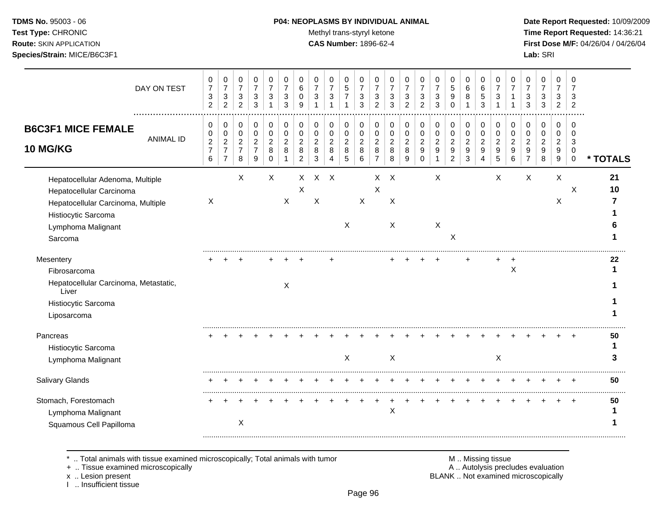# **TDMS No.** 95003 - 06 **P04: NEOPLASMS BY INDIVIDUAL ANIMAL** Date Report Requested: 10/09/2009

Test Type: CHRONIC **Test Type:** CHRONIC **Test Type:** CHRONIC **Time Report Requested:** 14:36:21 **Route:** SKIN APPLICATION **CAS Number:** 1896-62-4 **First Dose M/F:** 04/26/04 / 04/26/04

| DAY ON TEST                                                                                                                                                | 0<br>$\overline{\mathcal{I}}$<br>3<br>$\overline{2}$       | 0<br>$\boldsymbol{7}$<br>$\sqrt{3}$<br>$\overline{2}$                             | 0<br>$\boldsymbol{7}$<br>3<br>$\overline{2}$    | 0<br>$\overline{7}$<br>$\sqrt{3}$<br>3          | 0<br>$\overline{7}$<br>3     | 0<br>$\overline{7}$<br>3<br>3 | 0<br>6<br>$\Omega$<br>9 | 0<br>$\overline{7}$<br>3                 | 0<br>$\overline{7}$<br>3<br>1                     | 0<br>$\,$ 5 $\,$<br>$\overline{7}$          | 0<br>$\overline{7}$<br>3<br>3      | 0<br>7<br>3<br>$\overline{2}$                   | 0<br>3<br>3                        | 0<br>$\overline{7}$<br>3<br>$\overline{2}$ | 0<br>$\overline{7}$<br>$\ensuremath{\mathsf{3}}$<br>$\overline{2}$ | 0<br>$\overline{7}$<br>3<br>3                     | 0<br>$\sqrt{5}$<br>9<br>$\Omega$                                               | 0<br>$\,6$<br>8                                    | 0<br>$\,6\,$<br>5<br>3                     | 0<br>$\overline{7}$<br>3                   | 0<br>$\overline{7}$                | 0<br>3<br>3                          | 0<br>7<br>3<br>3                   | 0<br>$\overline{7}$<br>3<br>$\overline{2}$ | 0<br>7<br>3<br>$\overline{2}$             |          |
|------------------------------------------------------------------------------------------------------------------------------------------------------------|------------------------------------------------------------|-----------------------------------------------------------------------------------|-------------------------------------------------|-------------------------------------------------|------------------------------|-------------------------------|-------------------------|------------------------------------------|---------------------------------------------------|---------------------------------------------|------------------------------------|-------------------------------------------------|------------------------------------|--------------------------------------------|--------------------------------------------------------------------|---------------------------------------------------|--------------------------------------------------------------------------------|----------------------------------------------------|--------------------------------------------|--------------------------------------------|------------------------------------|--------------------------------------|------------------------------------|--------------------------------------------|-------------------------------------------|----------|
| <b>B6C3F1 MICE FEMALE</b><br><b>ANIMAL ID</b><br>10 MG/KG                                                                                                  | 0<br>0<br>$\boldsymbol{2}$<br>$\overline{\mathbf{7}}$<br>6 | $\pmb{0}$<br>$\pmb{0}$<br>$\sqrt{2}$<br>$\overline{\mathbf{7}}$<br>$\overline{7}$ | 0<br>0<br>$\overline{c}$<br>$\overline{7}$<br>8 | 0<br>0<br>$\overline{2}$<br>$\overline{7}$<br>9 | 0<br>0<br>2<br>8<br>$\Omega$ | $\pmb{0}$<br>0<br>2<br>8      | 0<br>0<br>2<br>8<br>2   | $\,0\,$<br>0<br>$\overline{2}$<br>8<br>3 | 0<br>0<br>$\boldsymbol{2}$<br>8<br>$\overline{4}$ | 0<br>0<br>$\overline{c}$<br>8<br>$\sqrt{5}$ | 0<br>0<br>$\overline{c}$<br>8<br>6 | 0<br>0<br>$\overline{2}$<br>8<br>$\overline{7}$ | 0<br>0<br>$\overline{2}$<br>8<br>8 | 0<br>0<br>$\overline{2}$<br>8<br>9         | 0<br>$\mathbf 0$<br>$\overline{c}$<br>9<br>$\mathbf 0$             | 0<br>0<br>$\overline{a}$<br>$\boldsymbol{9}$<br>1 | $\pmb{0}$<br>$\pmb{0}$<br>$\overline{c}$<br>$\boldsymbol{9}$<br>$\overline{2}$ | $\,0\,$<br>$\pmb{0}$<br>$\boldsymbol{2}$<br>9<br>3 | 0<br>$\pmb{0}$<br>$\overline{c}$<br>9<br>4 | $\pmb{0}$<br>0<br>$\overline{2}$<br>9<br>5 | 0<br>0<br>$\overline{2}$<br>9<br>6 | 0<br>$\Omega$<br>$\overline{2}$<br>9 | 0<br>0<br>$\overline{2}$<br>9<br>8 | 0<br>0<br>$\overline{c}$<br>9<br>$9\,$     | $\mathbf 0$<br>0<br>3<br>0<br>$\mathbf 0$ | * TOTALS |
| Hepatocellular Adenoma, Multiple<br>Hepatocellular Carcinoma<br>Hepatocellular Carcinoma, Multiple<br>Histiocytic Sarcoma<br>Lymphoma Malignant<br>Sarcoma | X                                                          |                                                                                   | X                                               |                                                 | X                            | X                             | X<br>X                  | $\mathsf{X}$<br>$\mathsf X$              | $\mathsf{X}$                                      | X                                           | $\boldsymbol{\mathsf{X}}$          | X<br>$\pmb{\times}$                             | $\times$<br>X<br>X                 |                                            |                                                                    | Χ<br>X                                            | $\sf X$                                                                        |                                                    |                                            | $\times$                                   |                                    | $\mathsf X$                          |                                    | X<br>X                                     | X                                         | 21<br>10 |
| Mesentery<br>Fibrosarcoma<br>Hepatocellular Carcinoma, Metastatic,<br>Liver<br>Histiocytic Sarcoma<br>Liposarcoma                                          |                                                            |                                                                                   |                                                 |                                                 |                              | Χ                             |                         |                                          |                                                   |                                             |                                    |                                                 |                                    |                                            |                                                                    |                                                   |                                                                                |                                                    |                                            |                                            | X                                  |                                      |                                    |                                            |                                           | 22       |
| Pancreas<br>Histiocytic Sarcoma<br>Lymphoma Malignant                                                                                                      |                                                            |                                                                                   |                                                 |                                                 |                              |                               |                         |                                          |                                                   | X                                           |                                    |                                                 | X                                  |                                            |                                                                    |                                                   |                                                                                |                                                    |                                            | X                                          |                                    |                                      |                                    |                                            |                                           | 50       |
| <b>Salivary Glands</b><br>Stomach, Forestomach<br>Lymphoma Malignant<br>Squamous Cell Papilloma                                                            |                                                            |                                                                                   | X                                               |                                                 |                              |                               |                         |                                          |                                                   |                                             |                                    |                                                 | $\pmb{\times}$                     |                                            |                                                                    |                                                   |                                                                                |                                                    |                                            |                                            |                                    |                                      |                                    |                                            |                                           | 50<br>50 |

\* .. Total animals with tissue examined microscopically; Total animals with tumor M .. Missing tissue M .. Missing tissue<br>A .. Tissue examined microscopically by the matric of the matric of the M .. Missing tissue examined

+ .. Tissue examined microscopically

x .. Lesion present<br>I .. Insufficient tissue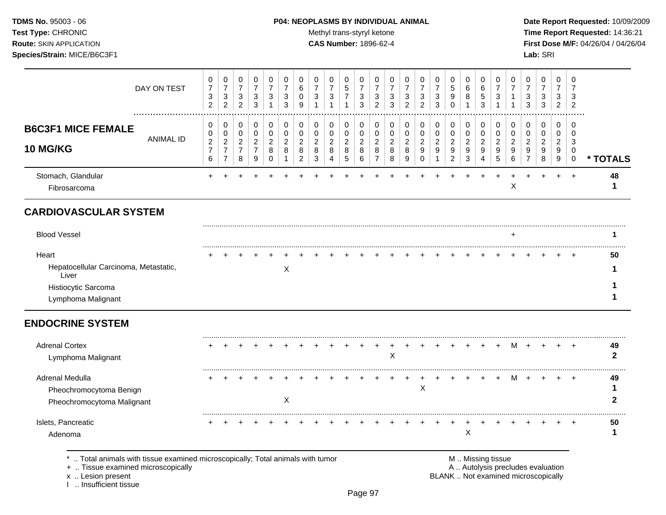# **TDMS No.** 95003 - 06 **P04: NEOPLASMS BY INDIVIDUAL ANIMAL** Date Report Requested: 10/09/2009

Test Type: CHRONIC **Test Type:** CHRONIC **Test Type:** CHRONIC **Time Report Requested:** 14:36:21 **Route:** SKIN APPLICATION **CAS Number:** 1896-62-4 **First Dose M/F:** 04/26/04 / 04/26/04 **Species/Strain:** MICE/B6C3F1 **Lab:** SRI

|                                                                                                      | DAY ON TEST      | 0<br>$\overline{7}$<br>$\sqrt{3}$<br>$\overline{2}$   | 0<br>$\boldsymbol{7}$<br>$\sqrt{3}$<br>$\overline{2}$        | 0<br>$\boldsymbol{7}$<br>$\ensuremath{\mathsf{3}}$<br>$\overline{2}$ | 0<br>$\overline{7}$<br>$\sqrt{3}$<br>3                    | 0<br>$\overline{7}$<br>3<br>1                     | 0<br>$\overline{7}$<br>$\sqrt{3}$<br>3  | 0<br>6<br>$\Omega$<br>9                      | $\Omega$<br>$\overline{7}$<br>3              | 0<br>$\overline{7}$<br>3                       | 0<br>$\,$ 5 $\,$<br>$\overline{7}$           | 0<br>$\overline{7}$<br>3<br>3                | 0<br>$\overline{7}$<br>$\sqrt{3}$<br>$\overline{2}$     | 0<br>$\overline{7}$<br>$\sqrt{3}$<br>3 | 0<br>$\overline{7}$<br>$\mathbf{3}$<br>2 | 0<br>$\overline{7}$<br>$\mathbf{3}$<br>2            | 0<br>$\overline{7}$<br>3<br>3 | 0<br>$\sqrt{5}$<br>9<br>$\Omega$                            | 0<br>$\,6\,$<br>8                        | 0<br>6<br>5<br>3                           | 0<br>$\overline{7}$<br>3                     | 0<br>$\overline{7}$                | $\Omega$<br>$\overline{7}$<br>3<br>3    | 0<br>$\overline{7}$<br>3<br>3                | 0<br>$\overline{7}$<br>3<br>$\overline{2}$        | 0<br>$\overline{7}$<br>3<br>$\overline{2}$    |                    |
|------------------------------------------------------------------------------------------------------|------------------|-------------------------------------------------------|--------------------------------------------------------------|----------------------------------------------------------------------|-----------------------------------------------------------|---------------------------------------------------|-----------------------------------------|----------------------------------------------|----------------------------------------------|------------------------------------------------|----------------------------------------------|----------------------------------------------|---------------------------------------------------------|----------------------------------------|------------------------------------------|-----------------------------------------------------|-------------------------------|-------------------------------------------------------------|------------------------------------------|--------------------------------------------|----------------------------------------------|------------------------------------|-----------------------------------------|----------------------------------------------|---------------------------------------------------|-----------------------------------------------|--------------------|
| <b>B6C3F1 MICE FEMALE</b><br><b>10 MG/KG</b>                                                         | <b>ANIMAL ID</b> | 0<br>0<br>$\boldsymbol{2}$<br>$\overline{7}$<br>$\,6$ | 0<br>0<br>$\overline{c}$<br>$\overline{7}$<br>$\overline{7}$ | 0<br>$\mathbf 0$<br>$\overline{c}$<br>$\overline{7}$<br>8            | 0<br>$\pmb{0}$<br>$\boldsymbol{2}$<br>$\overline{7}$<br>9 | 0<br>$\pmb{0}$<br>$\overline{c}$<br>8<br>$\Omega$ | 0<br>$\mathbf 0$<br>$\overline{2}$<br>8 | 0<br>$\mathbf 0$<br>$\overline{c}$<br>8<br>2 | 0<br>$\mathbf 0$<br>$\overline{2}$<br>8<br>3 | 0<br>$\mathbf 0$<br>$\boldsymbol{2}$<br>8<br>4 | 0<br>$\mathbf 0$<br>$\overline{c}$<br>8<br>5 | 0<br>$\mathbf 0$<br>$\overline{2}$<br>8<br>6 | 0<br>$\pmb{0}$<br>$\overline{c}$<br>8<br>$\overline{7}$ | 0<br>0<br>$\overline{2}$<br>8<br>8     | 0<br>0<br>$\overline{c}$<br>8<br>9       | 0<br>$\mathbf 0$<br>$\overline{2}$<br>9<br>$\Omega$ | 0<br>0<br>$\overline{2}$<br>9 | 0<br>$\pmb{0}$<br>$\boldsymbol{2}$<br>9<br>$\boldsymbol{2}$ | 0<br>$\mathbf 0$<br>$\sqrt{2}$<br>9<br>3 | 0<br>$\pmb{0}$<br>$\overline{c}$<br>9<br>4 | 0<br>$\mathbf 0$<br>$\overline{2}$<br>9<br>5 | 0<br>0<br>$\overline{c}$<br>9<br>6 | 0<br>$\mathbf 0$<br>$\overline{2}$<br>9 | 0<br>$\mathbf 0$<br>$\overline{2}$<br>9<br>8 | 0<br>0<br>$\overline{2}$<br>9<br>$\boldsymbol{9}$ | $\Omega$<br>$\Omega$<br>3<br>0<br>$\mathbf 0$ | * TOTALS           |
| Stomach, Glandular<br>Fibrosarcoma                                                                   |                  |                                                       |                                                              |                                                                      |                                                           |                                                   |                                         |                                              |                                              |                                                |                                              |                                              |                                                         |                                        |                                          |                                                     |                               |                                                             |                                          |                                            |                                              | X                                  |                                         |                                              |                                                   |                                               | 48                 |
| <b>CARDIOVASCULAR SYSTEM</b>                                                                         |                  |                                                       |                                                              |                                                                      |                                                           |                                                   |                                         |                                              |                                              |                                                |                                              |                                              |                                                         |                                        |                                          |                                                     |                               |                                                             |                                          |                                            |                                              |                                    |                                         |                                              |                                                   |                                               |                    |
| <b>Blood Vessel</b>                                                                                  |                  |                                                       |                                                              |                                                                      |                                                           |                                                   |                                         |                                              |                                              |                                                |                                              |                                              |                                                         |                                        |                                          |                                                     |                               |                                                             |                                          |                                            |                                              | $\ddot{}$                          |                                         |                                              |                                                   |                                               |                    |
| Heart<br>Hepatocellular Carcinoma, Metastatic,<br>Liver<br>Histiocytic Sarcoma<br>Lymphoma Malignant |                  |                                                       |                                                              |                                                                      |                                                           |                                                   | X                                       |                                              |                                              |                                                |                                              |                                              |                                                         |                                        |                                          |                                                     |                               |                                                             |                                          |                                            |                                              |                                    |                                         |                                              |                                                   |                                               | 50                 |
| <b>ENDOCRINE SYSTEM</b>                                                                              |                  |                                                       |                                                              |                                                                      |                                                           |                                                   |                                         |                                              |                                              |                                                |                                              |                                              |                                                         |                                        |                                          |                                                     |                               |                                                             |                                          |                                            |                                              |                                    |                                         |                                              |                                                   |                                               |                    |
| <b>Adrenal Cortex</b><br>Lymphoma Malignant                                                          |                  |                                                       |                                                              |                                                                      |                                                           |                                                   |                                         |                                              |                                              |                                                |                                              |                                              |                                                         | X                                      |                                          |                                                     |                               |                                                             |                                          |                                            |                                              |                                    |                                         |                                              |                                                   |                                               | 49<br>$\mathbf{2}$ |
| Adrenal Medulla<br>Pheochromocytoma Benign<br>Pheochromocytoma Malignant                             |                  |                                                       |                                                              |                                                                      |                                                           |                                                   | X                                       |                                              |                                              |                                                |                                              |                                              |                                                         |                                        |                                          | X                                                   |                               |                                                             |                                          |                                            |                                              |                                    |                                         |                                              |                                                   |                                               | 49<br>2            |
| Islets, Pancreatic<br>Adenoma                                                                        |                  |                                                       |                                                              |                                                                      |                                                           |                                                   |                                         |                                              |                                              |                                                |                                              |                                              |                                                         |                                        |                                          |                                                     |                               |                                                             | X                                        |                                            |                                              |                                    |                                         |                                              |                                                   |                                               | 50<br>1            |

\* .. Total animals with tissue examined microscopically; Total animals with tumor **M** metally metally and M .. Missing tissue exaluation + .. Tissue examined microscopically metally metally metally metally metally metally

+ .. Tissue examined microscopically

x .. Lesion present<br>I .. Insufficient tissue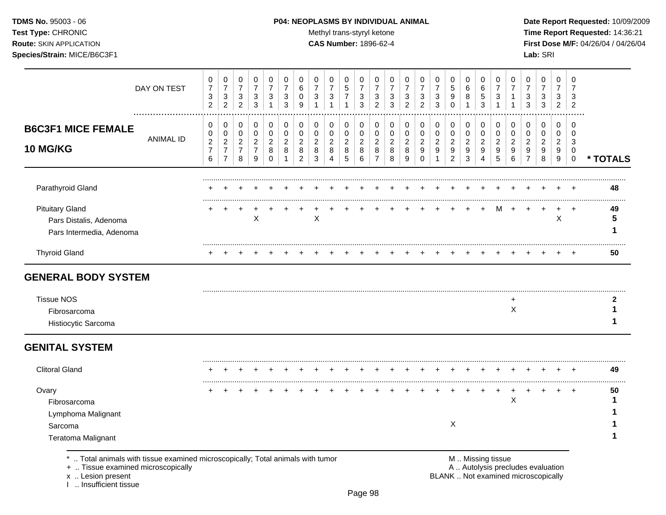### **TDMS No.** 95003 - 06 **P04: NEOPLASMS BY INDIVIDUAL ANIMAL** Date Report Requested: 10/09/2009

Test Type: CHRONIC **Test Type:** CHRONIC **Test Type:** CHRONIC **Time Report Requested:** 14:36:21 **Route:** SKIN APPLICATION **CAS Number:** 1896-62-4 **First Dose M/F:** 04/26/04 / 04/26/04

| DAY ON TEST                | 0<br>$\overline{7}$<br>3<br>2                     | 0<br>$\overline{7}$<br>3<br>$\overline{2}$                            | 0<br>$\overline{7}$<br>$\mathsf 3$<br>$\overline{2}$        | 0<br>$\overline{7}$<br>$\sqrt{3}$<br>3          | 0<br>$\overline{7}$<br>3<br>$\mathbf{1}$  | 0<br>7<br>3<br>3              | 0<br>6<br>0<br>9                           | 0<br>$\overline{7}$<br>3<br>$\overline{1}$ | 0<br>$\overline{7}$<br>3<br>$\mathbf{1}$                 | 0<br>$\sqrt{5}$<br>$\overline{7}$<br>1 | 0<br>$\overline{7}$<br>3<br>3      | 0<br>$\overline{7}$<br>$\sqrt{3}$<br>$\overline{2}$ | 0<br>7<br>3<br>3                   | 0<br>$\overline{7}$<br>3<br>$\overline{2}$ | 0<br>$\overline{7}$<br>3<br>$\overline{2}$ | 0<br>$\overline{7}$<br>3<br>3 | 0<br>5<br>9<br>$\Omega$            | 0<br>6<br>8<br>$\overline{1}$      | $\Omega$<br>6<br>$\sqrt{5}$<br>3             | 0<br>$\overline{7}$<br>3<br>$\mathbf{1}$ | 0<br>7<br>$\mathbf 1$              | 0<br>$\overline{7}$<br>3<br>3                   | 0<br>$\overline{7}$<br>3<br>3      | 0<br>$\overline{7}$<br>3<br>$\overline{2}$ | $\Omega$<br>7<br>3<br>2         |          |
|----------------------------|---------------------------------------------------|-----------------------------------------------------------------------|-------------------------------------------------------------|-------------------------------------------------|-------------------------------------------|-------------------------------|--------------------------------------------|--------------------------------------------|----------------------------------------------------------|----------------------------------------|------------------------------------|-----------------------------------------------------|------------------------------------|--------------------------------------------|--------------------------------------------|-------------------------------|------------------------------------|------------------------------------|----------------------------------------------|------------------------------------------|------------------------------------|-------------------------------------------------|------------------------------------|--------------------------------------------|---------------------------------|----------|
| <b>ANIMAL ID</b>           | 0<br>0<br>$\overline{c}$<br>$\boldsymbol{7}$<br>6 | 0<br>0<br>$\overline{\mathbf{c}}$<br>$\overline{7}$<br>$\overline{7}$ | $\mathbf 0$<br>0<br>$\overline{c}$<br>$\boldsymbol{7}$<br>8 | 0<br>0<br>$\overline{c}$<br>$\overline{7}$<br>9 | 0<br>0<br>$\overline{c}$<br>8<br>$\Omega$ | 0<br>0<br>$\overline{c}$<br>8 | 0<br>$\pmb{0}$<br>$\overline{c}$<br>8<br>2 | 0<br>0<br>$\overline{c}$<br>8<br>3         | 0<br>0<br>$\overline{c}$<br>8<br>$\overline{\mathbf{4}}$ | 0<br>0<br>$\overline{c}$<br>8<br>5     | 0<br>0<br>$\overline{c}$<br>8<br>6 | 0<br>0<br>$\overline{c}$<br>8<br>$\overline{7}$     | 0<br>0<br>$\overline{c}$<br>8<br>8 | 0<br>0<br>$\overline{c}$<br>8<br>9         | 0<br>0<br>$\overline{c}$<br>9<br>$\Omega$  | 0<br>0<br>$\overline{a}$<br>9 | 0<br>0<br>$\overline{c}$<br>9<br>2 | 0<br>0<br>$\overline{c}$<br>9<br>3 | 0<br>$\mathbf 0$<br>$\overline{a}$<br>9<br>4 | 0<br>0<br>$\overline{c}$<br>9<br>5       | 0<br>0<br>$\overline{2}$<br>9<br>6 | 0<br>0<br>$\overline{c}$<br>9<br>$\overline{7}$ | 0<br>0<br>$\overline{2}$<br>9<br>8 | 0<br>0<br>$\overline{c}$<br>9<br>9         | 0<br>0<br>3<br>0<br>$\mathbf 0$ | * TOTALS |
|                            |                                                   |                                                                       |                                                             |                                                 |                                           |                               |                                            |                                            |                                                          |                                        |                                    |                                                     |                                    |                                            |                                            |                               |                                    |                                    |                                              |                                          |                                    |                                                 |                                    |                                            |                                 | 48       |
|                            |                                                   |                                                                       |                                                             | X                                               |                                           |                               |                                            | X                                          |                                                          |                                        |                                    |                                                     |                                    |                                            |                                            |                               |                                    |                                    |                                              | м                                        |                                    |                                                 |                                    | $\sf X$                                    |                                 | 49<br>5  |
|                            |                                                   |                                                                       |                                                             |                                                 |                                           |                               |                                            |                                            |                                                          |                                        |                                    |                                                     |                                    |                                            |                                            |                               |                                    |                                    |                                              |                                          |                                    |                                                 |                                    |                                            |                                 | 50       |
| <b>GENERAL BODY SYSTEM</b> |                                                   |                                                                       |                                                             |                                                 |                                           |                               |                                            |                                            |                                                          |                                        |                                    |                                                     |                                    |                                            |                                            |                               |                                    |                                    |                                              |                                          |                                    |                                                 |                                    |                                            |                                 |          |
|                            |                                                   |                                                                       |                                                             |                                                 |                                           |                               |                                            |                                            |                                                          |                                        |                                    |                                                     |                                    |                                            |                                            |                               |                                    |                                    |                                              |                                          | $\ddot{}$<br>X                     |                                                 |                                    |                                            |                                 | 2        |
|                            |                                                   |                                                                       |                                                             |                                                 |                                           |                               |                                            |                                            |                                                          |                                        |                                    |                                                     |                                    |                                            |                                            |                               |                                    |                                    |                                              |                                          |                                    |                                                 |                                    |                                            |                                 |          |
|                            |                                                   |                                                                       |                                                             |                                                 |                                           |                               |                                            |                                            |                                                          |                                        |                                    |                                                     |                                    |                                            |                                            |                               |                                    |                                    |                                              |                                          |                                    |                                                 |                                    |                                            |                                 | 49       |
|                            |                                                   |                                                                       |                                                             |                                                 |                                           |                               |                                            |                                            |                                                          |                                        |                                    |                                                     |                                    |                                            |                                            |                               |                                    |                                    |                                              |                                          | X                                  |                                                 |                                    |                                            | $\ddot{}$                       | 50       |
|                            |                                                   | .                                                                     |                                                             |                                                 |                                           |                               |                                            |                                            |                                                          |                                        |                                    |                                                     |                                    |                                            |                                            |                               |                                    |                                    |                                              |                                          |                                    |                                                 |                                    |                                            |                                 |          |

.. Total animals with tissue examined microscopically; Total animals with tumor **Machinal and M .. Missing tissue**<br>A .. Autolysis precludes evaluation .. And Microscopically

+ .. Tissue examined microscopically<br>x .. Lesion present

I .. Insufficient tissue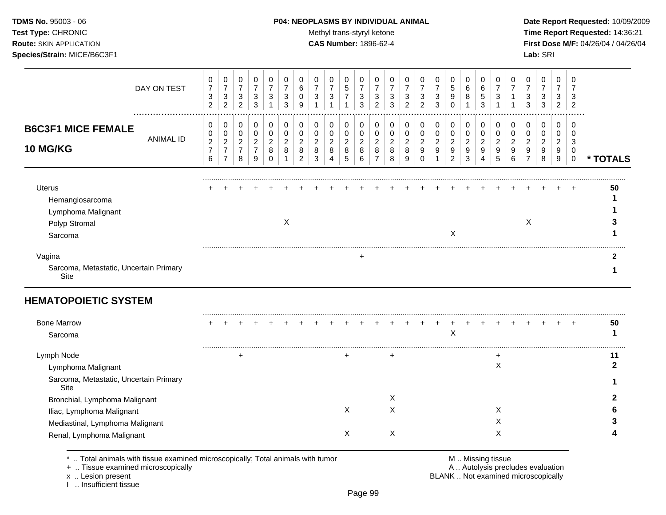**TDMS No.** 95003 - 06 **P04: NEOPLASMS BY INDIVIDUAL ANIMAL** Date Report Requested: 10/09/2009 Test Type: CHRONIC **Test Type:** CHRONIC **Test Type:** CHRONIC **Time Report Requested:** 14:36:21 **Route:** SKIN APPLICATION **CAS Number:** 1896-62-4 **First Dose M/F:** 04/26/04 / 04/26/04

|                                                                                    | DAY ON TEST   | 0<br>$\overline{7}$<br>3<br>2                   | 0<br>$\overline{ }$<br>3<br>$\overline{2}$                   | 0<br>$\overline{7}$<br>$\mathbf{3}$<br>$\overline{2}$ | 0<br>$\overline{7}$<br>3<br>3 | 0<br>3                             | 3<br>3      | 6<br>9              | 3                        | 0<br>$\overline{7}$<br>3                | 0<br>$\overline{5}$<br>$\overline{ }$    | 0<br>$\overline{7}$<br>3<br>3            | 0<br>$\overline{ }$<br>3<br>2 | 3<br>3           | 3<br>2                   | 3<br>2 | 0<br>$\overline{ }$<br>3<br>3           | 0<br>5<br>9<br>0                   | 0<br>6<br>8                        | 0<br>6<br>5<br>3 | 3           |        | 3<br>3 | 0<br>7<br>3<br>3 | 0<br>$\overline{ }$<br>3<br>2      |                      |          |
|------------------------------------------------------------------------------------|---------------|-------------------------------------------------|--------------------------------------------------------------|-------------------------------------------------------|-------------------------------|------------------------------------|-------------|---------------------|--------------------------|-----------------------------------------|------------------------------------------|------------------------------------------|-------------------------------|------------------|--------------------------|--------|-----------------------------------------|------------------------------------|------------------------------------|------------------|-------------|--------|--------|------------------|------------------------------------|----------------------|----------|
| <b>B6C3F1 MICE FEMALE</b><br><b>10 MG/KG</b>                                       | <br>ANIMAL ID | 0<br>0<br>$\overline{c}$<br>$\overline{7}$<br>6 | 0<br>0<br>$\overline{2}$<br>$\overline{z}$<br>$\overline{ }$ | 0<br>0<br>$\overline{c}$<br>$\overline{z}$<br>8       | 0<br>0<br>$\frac{2}{7}$<br>9  | 0<br>0<br>$\overline{2}$<br>8<br>0 | 0<br>2<br>8 | $\overline{c}$<br>8 | $\overline{c}$<br>8<br>3 | 0<br>0<br>$\overline{c}$<br>$\bf8$<br>4 | 0<br>0<br>$\overline{c}$<br>$\bf 8$<br>5 | 0<br>0<br>$\overline{c}$<br>$\bf 8$<br>6 | 0<br>0<br>$\overline{c}$<br>8 | 0<br>2<br>8<br>8 | $\overline{c}$<br>8<br>9 | 2<br>9 | 0<br>$\overline{c}$<br>$\boldsymbol{9}$ | 0<br>0<br>$\overline{c}$<br>9<br>2 | 0<br>0<br>$\overline{c}$<br>9<br>3 | 0<br>0<br>2<br>9 | 2<br>9<br>5 | 2<br>9 | 2<br>9 | 0<br>2<br>9<br>8 | 0<br>0<br>$\overline{c}$<br>9<br>9 | <br>3<br>$\mathbf 0$ | * TOTALS |
| <b>Uterus</b><br>Hemangiosarcoma<br>Lymphoma Malignant<br>Polyp Stromal<br>Sarcoma |               |                                                 |                                                              |                                                       |                               |                                    | Х           |                     |                          |                                         |                                          |                                          |                               |                  |                          |        |                                         | Χ                                  |                                    |                  |             |        | X      |                  |                                    | $\ddot{}$            | 50       |
| Vagina<br>Sarcoma, Metastatic, Uncertain Primary<br>Site                           |               |                                                 |                                                              |                                                       |                               |                                    |             |                     |                          |                                         |                                          |                                          |                               |                  |                          |        |                                         |                                    |                                    |                  |             |        |        |                  |                                    |                      |          |

# **HEMATOPOIETIC SYSTEM**

| <b>Bone Marrow</b>                             |  |  |  |  |   |  |   |  |  |  |  |  |  | 50 |
|------------------------------------------------|--|--|--|--|---|--|---|--|--|--|--|--|--|----|
| Sarcoma                                        |  |  |  |  |   |  |   |  |  |  |  |  |  |    |
|                                                |  |  |  |  |   |  |   |  |  |  |  |  |  |    |
| Lymph Node                                     |  |  |  |  |   |  |   |  |  |  |  |  |  |    |
| Lymphoma Malignant                             |  |  |  |  |   |  |   |  |  |  |  |  |  |    |
| Sarcoma, Metastatic, Uncertain Primary<br>Site |  |  |  |  |   |  |   |  |  |  |  |  |  |    |
| Bronchial, Lymphoma Malignant                  |  |  |  |  |   |  |   |  |  |  |  |  |  |    |
| Iliac, Lymphoma Malignant                      |  |  |  |  | ⋏ |  | ∧ |  |  |  |  |  |  |    |
| Mediastinal, Lymphoma Malignant                |  |  |  |  |   |  |   |  |  |  |  |  |  |    |
| Renal, Lymphoma Malignant                      |  |  |  |  | ⋏ |  | ⋏ |  |  |  |  |  |  |    |
|                                                |  |  |  |  |   |  |   |  |  |  |  |  |  |    |

\* .. Total animals with tissue examined microscopically; Total animals with tumor M .. Missing tissue M .. Missing tissue<br>A .. Tissue examined microscopically by the matric of the matric of the M .. Missing tissue examined

+ .. Tissue examined microscopically

x .. Lesion present<br>I .. Insufficient tissue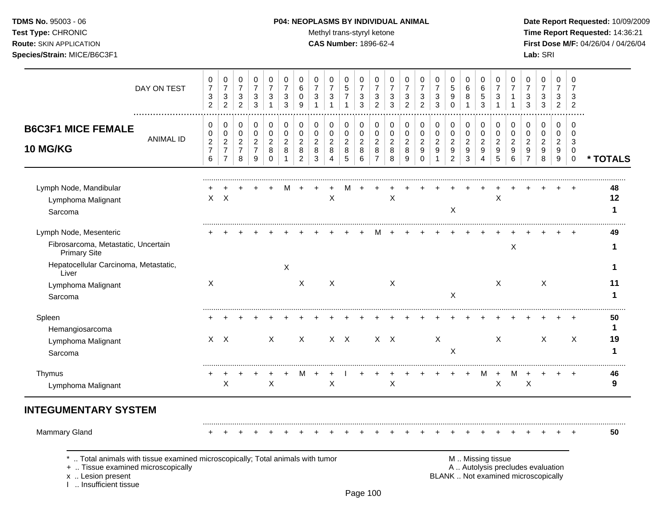# **TDMS No.** 95003 - 06 **P04: NEOPLASMS BY INDIVIDUAL ANIMAL** Date Report Requested: 10/09/2009

Test Type: CHRONIC **Test Type:** CHRONIC **Test Type:** CHRONIC **Time Report Requested:** 14:36:21 **Route:** SKIN APPLICATION **CAS Number:** 1896-62-4 **First Dose M/F:** 04/26/04 / 04/26/04

| DAY ON TEST                                                                                          | 0<br>$\boldsymbol{7}$<br>$\ensuremath{\mathsf{3}}$<br>$\overline{2}$ | 0<br>$\boldsymbol{7}$<br>$\mathbf{3}$<br>$\overline{2}$      | 0<br>$\boldsymbol{7}$<br>$\sqrt{3}$<br>$\overline{2}$     | 0<br>$\overline{7}$<br>$\sqrt{3}$<br>3          | 0<br>$\overline{7}$<br>3<br>$\mathbf{1}$             | 0<br>$\overline{7}$<br>$\mathbf{3}$<br>3               | 0<br>6<br>$\mathbf 0$<br>9                                | 0<br>$\overline{7}$<br>$\sqrt{3}$                     | 0<br>$\overline{7}$<br>$\ensuremath{\mathsf{3}}$<br>$\mathbf{1}$ | 0<br>5<br>$\overline{7}$<br>$\mathbf{1}$                        | $\Omega$<br>$\overline{7}$<br>3<br>3                | 0<br>$\overline{7}$<br>3<br>$\overline{c}$      | 0<br>$\overline{7}$<br>$\ensuremath{\mathsf{3}}$<br>3 | 0<br>$\overline{7}$<br>$\mathbf{3}$<br>$\overline{2}$ | 0<br>$\overline{7}$<br>3<br>$\overline{2}$           | 0<br>$\overline{7}$<br>$\mathbf{3}$<br>3      | 0<br>5<br>9<br>$\Omega$                                     | 0<br>$\,6$<br>8                                                        | 0<br>$\,6$<br>$\overline{5}$<br>3            | 0<br>$\overline{7}$<br>$\sqrt{3}$  | $\Omega$<br>$\overline{7}$<br>-1                        | 0<br>$\overline{7}$<br>3<br>3                             | 0<br>$\boldsymbol{7}$<br>3<br>3                                          | 0<br>$\overline{7}$<br>3<br>$\overline{2}$ | 0<br>$\overline{7}$<br>3<br>2                            |                         |
|------------------------------------------------------------------------------------------------------|----------------------------------------------------------------------|--------------------------------------------------------------|-----------------------------------------------------------|-------------------------------------------------|------------------------------------------------------|--------------------------------------------------------|-----------------------------------------------------------|-------------------------------------------------------|------------------------------------------------------------------|-----------------------------------------------------------------|-----------------------------------------------------|-------------------------------------------------|-------------------------------------------------------|-------------------------------------------------------|------------------------------------------------------|-----------------------------------------------|-------------------------------------------------------------|------------------------------------------------------------------------|----------------------------------------------|------------------------------------|---------------------------------------------------------|-----------------------------------------------------------|--------------------------------------------------------------------------|--------------------------------------------|----------------------------------------------------------|-------------------------|
| <b>B6C3F1 MICE FEMALE</b><br><b>ANIMAL ID</b><br>10 MG/KG                                            | 0<br>0<br>$\boldsymbol{2}$<br>$\overline{7}$<br>$\,6$                | 0<br>0<br>$\overline{c}$<br>$\overline{7}$<br>$\overline{7}$ | 0<br>$\mathbf 0$<br>$\overline{2}$<br>$\overline{7}$<br>8 | 0<br>0<br>$\overline{c}$<br>$\overline{7}$<br>9 | 0<br>$\pmb{0}$<br>$\overline{c}$<br>8<br>$\mathbf 0$ | 0<br>$\mathbf 0$<br>$\overline{2}$<br>8<br>$\mathbf 1$ | 0<br>$\mathbf 0$<br>$\overline{2}$<br>8<br>$\overline{2}$ | 0<br>$\mathbf 0$<br>$\overline{c}$<br>8<br>$\sqrt{3}$ | 0<br>0<br>$\overline{2}$<br>8<br>$\overline{4}$                  | 0<br>$\mathbf 0$<br>$\overline{2}$<br>$\bf 8$<br>$\overline{5}$ | $\Omega$<br>$\mathbf 0$<br>$\overline{c}$<br>8<br>6 | 0<br>0<br>$\overline{c}$<br>8<br>$\overline{7}$ | 0<br>$\pmb{0}$<br>$\boldsymbol{2}$<br>8<br>8          | 0<br>$\pmb{0}$<br>$\overline{c}$<br>8<br>9            | 0<br>$\mathbf 0$<br>$\overline{a}$<br>9<br>$\pmb{0}$ | 0<br>$\mathbf 0$<br>$\overline{2}$<br>9<br>-1 | 0<br>$\mathbf 0$<br>$\boldsymbol{2}$<br>9<br>$\overline{c}$ | 0<br>$\pmb{0}$<br>$\boldsymbol{2}$<br>$\boldsymbol{9}$<br>$\mathbf{3}$ | 0<br>$\mathbf 0$<br>$\overline{c}$<br>9<br>4 | 0<br>0<br>$\overline{2}$<br>9<br>5 | $\Omega$<br>$\mathbf 0$<br>$\overline{2}$<br>9<br>$\,6$ | 0<br>$\mathbf 0$<br>$\overline{2}$<br>9<br>$\overline{7}$ | 0<br>$\pmb{0}$<br>$\overline{c}$<br>9<br>8                               | $\Omega$<br>0<br>$\overline{c}$<br>9<br>9  | $\Omega$<br>$\mathbf 0$<br>3<br>$\mathbf 0$<br>$\pmb{0}$ | * TOTALS                |
| Lymph Node, Mandibular<br>Lymphoma Malignant<br>Sarcoma                                              | X                                                                    | $\mathsf{X}$                                                 |                                                           |                                                 |                                                      |                                                        |                                                           |                                                       | X                                                                | м                                                               |                                                     |                                                 | $\mathsf X$                                           |                                                       |                                                      |                                               | X                                                           |                                                                        |                                              | $\boldsymbol{\mathsf{X}}$          |                                                         |                                                           |                                                                          |                                            |                                                          | 48<br>12<br>$\mathbf 1$ |
| Lymph Node, Mesenteric<br>Fibrosarcoma, Metastatic, Uncertain<br><b>Primary Site</b>                 |                                                                      |                                                              |                                                           |                                                 |                                                      |                                                        |                                                           |                                                       |                                                                  |                                                                 |                                                     |                                                 |                                                       |                                                       |                                                      |                                               |                                                             |                                                                        |                                              |                                    | X                                                       |                                                           |                                                                          |                                            |                                                          | 49<br>1                 |
| Hepatocellular Carcinoma, Metastatic,<br>Liver<br>Lymphoma Malignant<br>Sarcoma                      | X                                                                    |                                                              |                                                           |                                                 |                                                      | $\boldsymbol{\mathsf{X}}$                              | X                                                         |                                                       | $\times$                                                         |                                                                 |                                                     |                                                 | X                                                     |                                                       |                                                      |                                               | X                                                           |                                                                        |                                              | $\times$                           |                                                         |                                                           | X                                                                        |                                            |                                                          | 1<br>11<br>$\mathbf 1$  |
| Spleen<br>Hemangiosarcoma<br>Lymphoma Malignant                                                      |                                                                      | $X \times$                                                   |                                                           |                                                 | X                                                    |                                                        | $\boldsymbol{\mathsf{X}}$                                 |                                                       |                                                                  | $X$ $X$                                                         |                                                     |                                                 | $X$ $X$                                               |                                                       |                                                      | X                                             |                                                             |                                                                        |                                              | X                                  |                                                         |                                                           | X                                                                        |                                            | X                                                        | 50<br>$\mathbf 1$<br>19 |
| Sarcoma<br>Thymus                                                                                    | +                                                                    | $\div$<br>X                                                  |                                                           |                                                 | X                                                    |                                                        | M                                                         |                                                       | $\ddot{}$<br>Χ                                                   |                                                                 |                                                     | $\ddot{}$                                       | $\ddot{}$<br>X                                        |                                                       | $\ddot{}$                                            | $+$                                           | X<br>$+$                                                    | $\ddot{}$                                                              | М                                            | $+$<br>X                           | M                                                       | $\ddot{}$<br>Χ                                            | $\ddot{}$                                                                | $\ddot{}$                                  | $\overline{+}$                                           | $\mathbf 1$<br>46<br>9  |
| Lymphoma Malignant<br><b>INTEGUMENTARY SYSTEM</b>                                                    |                                                                      |                                                              |                                                           |                                                 |                                                      |                                                        |                                                           |                                                       |                                                                  |                                                                 |                                                     |                                                 |                                                       |                                                       |                                                      |                                               |                                                             |                                                                        |                                              |                                    |                                                         |                                                           |                                                                          |                                            |                                                          |                         |
| <b>Mammary Gland</b><br>Total animals with tissue examined microscopically; Total animals with tumor |                                                                      |                                                              |                                                           |                                                 |                                                      |                                                        |                                                           |                                                       |                                                                  |                                                                 |                                                     |                                                 |                                                       |                                                       |                                                      |                                               |                                                             |                                                                        | M  Missing tissue                            |                                    |                                                         |                                                           |                                                                          |                                            | $\ddot{}$                                                | 50                      |
| +  Tissue examined microscopically<br>x  Lesion present                                              |                                                                      |                                                              |                                                           |                                                 |                                                      |                                                        |                                                           |                                                       |                                                                  |                                                                 |                                                     |                                                 |                                                       |                                                       |                                                      |                                               |                                                             |                                                                        |                                              |                                    |                                                         |                                                           | A  Autolysis precludes evaluation<br>BLANK  Not examined microscopically |                                            |                                                          |                         |

I .. Insufficient tissue

Page 100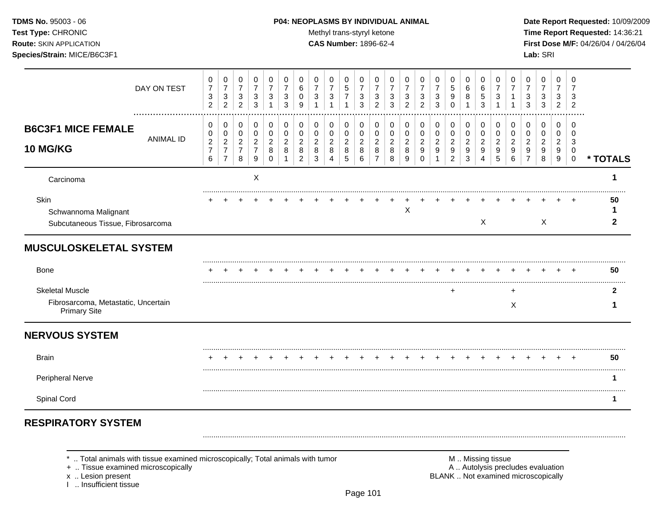Test Type: CHRONIC **Test Type:** CHRONIC **Test Type:** CHRONIC **Time Report Requested:** 14:36:21 **Route:** SKIN APPLICATION **CAS Number:** 1896-62-4 **First Dose M/F:** 04/26/04 / 04/26/04

|                                                            | DAY ON TEST | 0<br>$\overline{7}$                     | 0<br>$\overline{7}$                                | 0<br>$\overline{7}$                     | 0<br>$\overline{7}$                   | 0<br>$\overline{7}$             | 0<br>$\overline{7}$ | 0<br>6                   | 0<br>$\overline{7}$            | 0<br>$\overline{7}$      | 0<br>$\sqrt{5}$                | 0<br>$\overline{7}$            | 0<br>$\overline{7}$      | 0<br>7                   | 0<br>$\overline{7}$      | 0<br>$\overline{7}$                               | 0<br>$\overline{7}$                  | 0<br>$\sqrt{5}$                                      | 0<br>$\,6$                              | 0<br>$\,6$               | 0<br>$\overline{7}$      | 0         | 0<br>$\overline{7}$                   | 0<br>$\overline{7}$      | 0<br>$\overline{7}$      | 0<br>7                |          |
|------------------------------------------------------------|-------------|-----------------------------------------|----------------------------------------------------|-----------------------------------------|---------------------------------------|---------------------------------|---------------------|--------------------------|--------------------------------|--------------------------|--------------------------------|--------------------------------|--------------------------|--------------------------|--------------------------|---------------------------------------------------|--------------------------------------|------------------------------------------------------|-----------------------------------------|--------------------------|--------------------------|-----------|---------------------------------------|--------------------------|--------------------------|-----------------------|----------|
|                                                            |             | $\sqrt{3}$<br>$\overline{2}$            | $\mathbf{3}$<br>$\overline{2}$                     | $\sqrt{3}$<br>$\overline{2}$            | $\mathbf{3}$<br>3                     | 3<br>1                          | $\mathbf{3}$<br>3   | 0<br>9                   | 3                              | $\mathbf{3}$<br>1        | $\overline{7}$<br>$\mathbf{1}$ | $\ensuremath{\mathsf{3}}$<br>3 | 3<br>$\overline{2}$      | 3<br>3                   | 3<br>2                   | 3<br>$\overline{2}$                               | $\mathbf{3}$<br>3                    | 9<br>$\Omega$                                        | 8<br>1                                  | $\sqrt{5}$<br>3          | 3                        |           | 3<br>3                                | 3<br>3                   | 3<br>$\overline{2}$      | 3<br>$\overline{2}$   |          |
| <b>B6C3F1 MICE FEMALE</b>                                  |             | 0<br>0                                  | 0<br>$\,0\,$                                       | 0<br>0                                  | 0<br>$\,0\,$                          | 0<br>$\pmb{0}$                  | 0<br>0              | 0<br>0                   | 0<br>0                         | 0<br>0                   | 0<br>0                         | 0<br>0                         | 0<br>0                   | 0<br>0                   | 0<br>0                   | 0<br>$\pmb{0}$                                    | 0<br>0                               | 0<br>$\pmb{0}$                                       | 0<br>$\,0\,$                            | 0<br>0                   | 0<br>0                   | 0<br>0    | 0<br>0                                | 0<br>0                   | 0<br>0                   | 0<br>$\Omega$         |          |
| 10 MG/KG                                                   | ANIMAL ID   | $\boldsymbol{2}$<br>$\overline{7}$<br>6 | $\overline{c}$<br>$\overline{7}$<br>$\overline{7}$ | $\boldsymbol{2}$<br>$\overline{7}$<br>8 | $\overline{c}$<br>$\overline{7}$<br>9 | $\overline{c}$<br>8<br>$\Omega$ | $\overline{2}$<br>8 | 2<br>8<br>$\overline{2}$ | $\overline{c}$<br>$\,8\,$<br>3 | $\overline{c}$<br>8<br>4 | $\overline{c}$<br>$\bf 8$<br>5 | $\overline{2}$<br>8<br>6       | 2<br>8<br>$\overline{7}$ | $\overline{2}$<br>8<br>8 | $\overline{c}$<br>8<br>9 | $\overline{c}$<br>$\boldsymbol{9}$<br>$\mathbf 0$ | $\boldsymbol{2}$<br>9<br>$\mathbf 1$ | $\overline{c}$<br>$\boldsymbol{9}$<br>$\overline{2}$ | $\overline{c}$<br>$\boldsymbol{9}$<br>3 | $\overline{2}$<br>9<br>4 | $\overline{2}$<br>9<br>5 | 9<br>6    | $\overline{2}$<br>9<br>$\overline{7}$ | $\overline{a}$<br>9<br>8 | $\overline{2}$<br>9<br>9 | 3<br>0<br>$\mathbf 0$ | * TOTALS |
| Carcinoma                                                  |             |                                         |                                                    |                                         | $\times$                              |                                 |                     |                          |                                |                          |                                |                                |                          |                          |                          |                                                   |                                      |                                                      |                                         |                          |                          |           |                                       |                          |                          |                       | 1        |
| Skin<br>Schwannoma Malignant                               |             |                                         |                                                    |                                         |                                       |                                 |                     |                          |                                |                          |                                |                                |                          |                          | Х                        |                                                   |                                      |                                                      |                                         |                          |                          |           |                                       |                          |                          |                       | 50       |
| Subcutaneous Tissue, Fibrosarcoma                          |             |                                         |                                                    |                                         |                                       |                                 |                     |                          |                                |                          |                                |                                |                          |                          |                          |                                                   |                                      |                                                      |                                         | X                        |                          |           |                                       | X                        |                          |                       | 2        |
| <b>MUSCULOSKELETAL SYSTEM</b>                              |             |                                         |                                                    |                                         |                                       |                                 |                     |                          |                                |                          |                                |                                |                          |                          |                          |                                                   |                                      |                                                      |                                         |                          |                          |           |                                       |                          |                          |                       |          |
| <b>Bone</b>                                                |             |                                         |                                                    |                                         |                                       |                                 |                     |                          |                                |                          |                                |                                |                          |                          |                          |                                                   |                                      |                                                      |                                         |                          |                          |           |                                       |                          |                          |                       | 50       |
| <b>Skeletal Muscle</b>                                     |             |                                         |                                                    |                                         |                                       |                                 |                     |                          |                                |                          |                                |                                |                          |                          |                          |                                                   |                                      | ÷                                                    |                                         |                          |                          | $\ddot{}$ |                                       |                          |                          |                       | 2        |
| Fibrosarcoma, Metastatic, Uncertain<br><b>Primary Site</b> |             |                                         |                                                    |                                         |                                       |                                 |                     |                          |                                |                          |                                |                                |                          |                          |                          |                                                   |                                      |                                                      |                                         |                          |                          | Χ         |                                       |                          |                          |                       |          |
| <b>NERVOUS SYSTEM</b>                                      |             |                                         |                                                    |                                         |                                       |                                 |                     |                          |                                |                          |                                |                                |                          |                          |                          |                                                   |                                      |                                                      |                                         |                          |                          |           |                                       |                          |                          |                       |          |
| <b>Brain</b>                                               |             |                                         |                                                    |                                         |                                       |                                 |                     |                          |                                |                          |                                |                                |                          |                          |                          |                                                   |                                      |                                                      |                                         |                          |                          |           |                                       |                          |                          |                       | 50       |
| Peripheral Nerve                                           |             |                                         |                                                    |                                         |                                       |                                 |                     |                          |                                |                          |                                |                                |                          |                          |                          |                                                   |                                      |                                                      |                                         |                          |                          |           |                                       |                          |                          |                       | 1        |
| Spinal Cord                                                |             |                                         |                                                    |                                         |                                       |                                 |                     |                          |                                |                          |                                |                                |                          |                          |                          |                                                   |                                      |                                                      |                                         |                          |                          |           |                                       |                          |                          |                       | 1        |
| <b>RESPIRATORY SYSTEM</b>                                  |             |                                         |                                                    |                                         |                                       |                                 |                     |                          |                                |                          |                                |                                |                          |                          |                          |                                                   |                                      |                                                      |                                         |                          |                          |           |                                       |                          |                          |                       |          |

\* .. Total animals with tissue examined microscopically; Total animals with tumor **M** . M .. Missing tissue examined microscopically<br>
+ .. Tissue examined microscopically

+ .. Tissue examined microscopically

I .. Insufficient tissue

x .. Lesion present **BLANK** .. Not examined microscopically

.........................................................................................................................................................................................................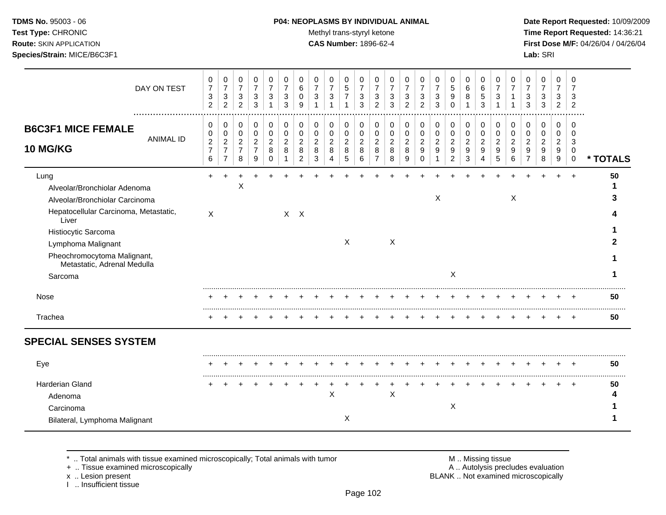**TDMS No.** 95003 - 06 **P04: NEOPLASMS BY INDIVIDUAL ANIMAL** Date Report Requested: 10/09/2009 **Test Type:** CHRONIC **Trans-styryl ketone** Methyl trans-styryl ketone **Time Report Requested:** 14:36:21 **Route:** SKIN APPLICATION **CAS Number:** 1896-62-4 **First Dose M/F:** 04/26/04 / 04/26/04

|                                                                                                                            | DAY ON TEST      | 0<br>$\boldsymbol{7}$<br>$\ensuremath{\mathsf{3}}$<br>$\overline{c}$ | 0<br>$\overline{7}$<br>$\ensuremath{\mathsf{3}}$<br>$\overline{2}$ | 0<br>$\overline{7}$<br>$\sqrt{3}$<br>$\overline{2}$       | 0<br>$\overline{7}$<br>$\ensuremath{\mathsf{3}}$<br>3       | 0<br>$\overline{7}$<br>3                             | 0<br>$\overline{7}$<br>3<br>3                | 0<br>$\,6$<br>0<br>9                            | 0<br>$\overline{7}$<br>$\mathbf{3}$                  | 0<br>$\overline{7}$<br>$\ensuremath{\mathsf{3}}$        | 0<br>$\,$ 5 $\,$<br>$\overline{7}$                  | 0<br>$\overline{7}$<br>3<br>3              | 0<br>$\overline{7}$<br>$\ensuremath{\mathsf{3}}$<br>$\overline{2}$ | 0<br>$\overline{7}$<br>$\sqrt{3}$<br>3     | 0<br>$\overline{7}$<br>3<br>$\overline{2}$ | 0<br>$\overline{7}$<br>3<br>2                          | 0<br>$\overline{7}$<br>$\ensuremath{\mathsf{3}}$<br>3 | 0<br>$\sqrt{5}$<br>9<br>$\Omega$                        | 0<br>$\,6\,$<br>8<br>1                     | 0<br>$\,6$<br>$\mathbf 5$<br>3             | 0<br>$\overline{7}$<br>3                     | 0<br>7                                       | 0<br>$\overline{7}$<br>3<br>3              | 0<br>$\overline{7}$<br>3<br>3      | 0<br>$\overline{7}$<br>$\mathbf{3}$<br>$\overline{2}$ | 0<br>7<br>3<br>$\overline{2}$                 |          |
|----------------------------------------------------------------------------------------------------------------------------|------------------|----------------------------------------------------------------------|--------------------------------------------------------------------|-----------------------------------------------------------|-------------------------------------------------------------|------------------------------------------------------|----------------------------------------------|-------------------------------------------------|------------------------------------------------------|---------------------------------------------------------|-----------------------------------------------------|--------------------------------------------|--------------------------------------------------------------------|--------------------------------------------|--------------------------------------------|--------------------------------------------------------|-------------------------------------------------------|---------------------------------------------------------|--------------------------------------------|--------------------------------------------|----------------------------------------------|----------------------------------------------|--------------------------------------------|------------------------------------|-------------------------------------------------------|-----------------------------------------------|----------|
| <b>B6C3F1 MICE FEMALE</b><br>10 MG/KG                                                                                      | <b>ANIMAL ID</b> | 0<br>$\,0\,$<br>$\overline{c}$<br>$\overline{7}$<br>6                | 0<br>0<br>$\sqrt{2}$<br>$\overline{7}$<br>$\overline{7}$           | 0<br>$\mathbf 0$<br>$\overline{c}$<br>$\overline{7}$<br>8 | 0<br>$\mathbf 0$<br>$\boldsymbol{2}$<br>$\overline{7}$<br>9 | 0<br>$\pmb{0}$<br>$\overline{c}$<br>8<br>$\mathbf 0$ | 0<br>$\mathbf 0$<br>$\overline{2}$<br>8<br>1 | 0<br>0<br>$\overline{c}$<br>8<br>$\overline{c}$ | $\mathbf 0$<br>$\pmb{0}$<br>$\overline{2}$<br>8<br>3 | 0<br>$\pmb{0}$<br>$\overline{c}$<br>8<br>$\overline{A}$ | 0<br>$\pmb{0}$<br>$\overline{c}$<br>8<br>$\sqrt{5}$ | 0<br>$\pmb{0}$<br>$\overline{c}$<br>8<br>6 | 0<br>$\mathbf 0$<br>$\overline{c}$<br>8<br>$\overline{7}$          | 0<br>$\pmb{0}$<br>$\overline{c}$<br>8<br>8 | 0<br>0<br>$\overline{c}$<br>8<br>9         | 0<br>$\mathbf 0$<br>$\overline{2}$<br>9<br>$\mathbf 0$ | 0<br>$\pmb{0}$<br>$\overline{2}$<br>9                 | 0<br>$\pmb{0}$<br>$\overline{c}$<br>9<br>$\overline{2}$ | 0<br>$\pmb{0}$<br>$\overline{c}$<br>9<br>3 | 0<br>$\pmb{0}$<br>$\overline{2}$<br>9<br>4 | 0<br>$\mathbf 0$<br>$\overline{2}$<br>9<br>5 | 0<br>$\mathbf 0$<br>$\overline{c}$<br>9<br>6 | 0<br>$\pmb{0}$<br>$\overline{2}$<br>9<br>7 | 0<br>0<br>$\overline{c}$<br>9<br>8 | 0<br>$\pmb{0}$<br>$\overline{c}$<br>9<br>9            | $\Omega$<br>$\Omega$<br>3<br>0<br>$\mathbf 0$ | * TOTALS |
| Lung<br>Alveolar/Bronchiolar Adenoma<br>Alveolar/Bronchiolar Carcinoma                                                     |                  |                                                                      |                                                                    | $\mathsf X$                                               |                                                             |                                                      |                                              |                                                 |                                                      |                                                         |                                                     |                                            |                                                                    |                                            |                                            |                                                        | $\mathsf X$                                           |                                                         |                                            |                                            |                                              | $\boldsymbol{\mathsf{X}}$                    |                                            |                                    |                                                       | $\ddot{}$                                     | 50       |
| Hepatocellular Carcinoma, Metastatic,<br>Liver<br>Histiocytic Sarcoma<br>Lymphoma Malignant<br>Pheochromocytoma Malignant, |                  | $\boldsymbol{\mathsf{X}}$                                            |                                                                    |                                                           |                                                             |                                                      |                                              | $X$ $X$                                         |                                                      |                                                         | X                                                   |                                            |                                                                    | X                                          |                                            |                                                        |                                                       |                                                         |                                            |                                            |                                              |                                              |                                            |                                    |                                                       |                                               |          |
| Metastatic, Adrenal Medulla<br>Sarcoma                                                                                     |                  |                                                                      |                                                                    |                                                           |                                                             |                                                      |                                              |                                                 |                                                      |                                                         |                                                     |                                            |                                                                    |                                            |                                            |                                                        |                                                       | X                                                       |                                            |                                            |                                              |                                              |                                            |                                    |                                                       |                                               |          |
| Nose<br>Trachea                                                                                                            |                  |                                                                      |                                                                    |                                                           |                                                             |                                                      |                                              |                                                 |                                                      |                                                         |                                                     |                                            |                                                                    |                                            |                                            |                                                        |                                                       |                                                         |                                            |                                            |                                              |                                              |                                            |                                    |                                                       |                                               | 50<br>50 |
| <b>SPECIAL SENSES SYSTEM</b>                                                                                               |                  |                                                                      |                                                                    |                                                           |                                                             |                                                      |                                              |                                                 |                                                      |                                                         |                                                     |                                            |                                                                    |                                            |                                            |                                                        |                                                       |                                                         |                                            |                                            |                                              |                                              |                                            |                                    |                                                       |                                               |          |
| Eye                                                                                                                        |                  |                                                                      |                                                                    |                                                           |                                                             |                                                      |                                              |                                                 |                                                      |                                                         |                                                     |                                            |                                                                    |                                            |                                            |                                                        |                                                       |                                                         |                                            |                                            |                                              |                                              |                                            |                                    |                                                       |                                               | 50       |
| <b>Harderian Gland</b><br>Adenoma<br>Carcinoma<br>Bilateral, Lymphoma Malignant                                            |                  |                                                                      |                                                                    |                                                           |                                                             |                                                      |                                              |                                                 |                                                      | X                                                       | X                                                   |                                            |                                                                    | Χ                                          |                                            |                                                        |                                                       | X                                                       |                                            |                                            |                                              |                                              |                                            |                                    |                                                       | $\overline{ }$                                | 50       |

\* .. Total animals with tissue examined microscopically; Total animals with tumor M .. Missing tissue M .. Missing tissue<br>
+ .. Tissue examined microscopically

+ .. Tissue examined microscopically

x .. Lesion present<br>I .. Insufficient tissue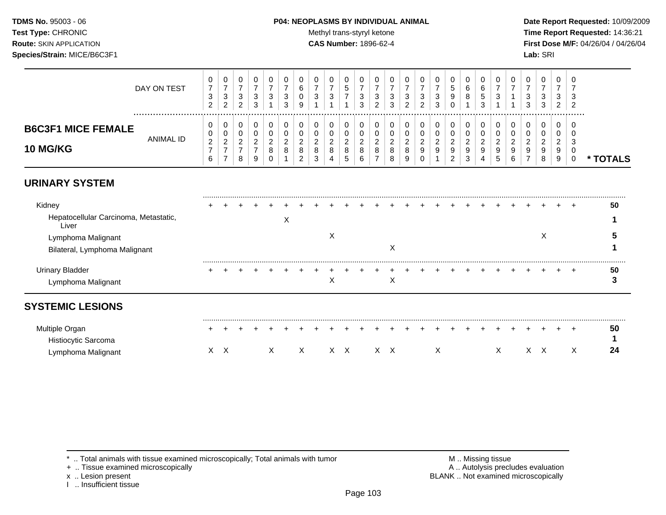### **TDMS No.** 95003 - 06 **P04: NEOPLASMS BY INDIVIDUAL ANIMAL** Date Report Requested: 10/09/2009

Test Type: CHRONIC **Test Type:** CHRONIC **Test Type:** CHRONIC **Time Report Requested:** 14:36:21 **Route:** SKIN APPLICATION **CAS Number:** 1896-62-4 **First Dose M/F:** 04/26/04 / 04/26/04

|                                              | DAY ON TEST | 0<br>3<br>ົ<br>∼                  | v<br><sup>o</sup><br>ັ<br>$\sim$<br><u>_</u> | ◡<br>ີ<br>J<br><u>_</u> | v<br>3<br>ີ        | ν<br>3             | J.<br>3       | O<br>3                            | v<br>◠<br>ັ                       | υ<br>đ                             | υ<br>З                  | دت | 3<br>◠             | đ | U<br>3<br>ົ                  | 0<br>ີ<br>ັ<br>◠<br>ັ        | v<br>đ<br>9                                     | я<br>ັບ            | U<br>3                   |   | U<br>3<br>3             | 0<br>ີ<br>ັ<br>ີ<br>◡             | υ<br>3<br>$\sim$           | J<br>-3<br><u>_</u> |               |
|----------------------------------------------|-------------|-----------------------------------|----------------------------------------------|-------------------------|--------------------|--------------------|---------------|-----------------------------------|-----------------------------------|------------------------------------|-------------------------|----|--------------------|---|------------------------------|------------------------------|-------------------------------------------------|--------------------|--------------------------|---|-------------------------|-----------------------------------|----------------------------|---------------------|---------------|
| <b>B6C3F1 MICE FEMALE</b><br><b>10 MG/KG</b> | ANIMAL ID   | 0<br>0<br>$\sim$<br><u>_</u><br>6 | v<br>◡<br>$\sim$<br><u>_</u>                 | L.<br><u>_</u><br>8     | v<br><u>_</u><br>9 | U<br><u>_</u><br>υ | <u>_</u><br>୪ | 0<br>c<br><u>_</u><br>8<br>c<br>ۍ | v<br>$\sim$<br><u>_</u><br>8<br>4 | U<br><u>_</u><br>8<br><sub>5</sub> | ν<br><u>_</u><br>8<br>υ |    | <u>_</u><br>8<br>8 |   | 0<br>0<br>ີ<br><u>_</u><br>9 | 0<br>0<br>◠<br><u>_</u><br>9 | u<br>u<br>ົ<br><u>L</u><br>9<br>າ<br>$\epsilon$ | <u>_</u><br>9<br>ు | υ<br><u>_</u><br>9<br>.5 | 6 | 0<br>0<br><u>_</u><br>9 | 0<br>0<br>ົ<br><u>_</u><br>9<br>8 | u<br>ν<br>$\sim$<br>9<br>9 | ు                   | <b>FOTALS</b> |

# **URINARY SYSTEM**

| Kidney                                         |  |  |                           |  |   |  |   |  |  |  |  |   |  | 50 |
|------------------------------------------------|--|--|---------------------------|--|---|--|---|--|--|--|--|---|--|----|
| Hepatocellular Carcinoma, Metastatic,<br>Liver |  |  | $\checkmark$<br>$\lambda$ |  |   |  |   |  |  |  |  |   |  |    |
| Lymphoma Malignant                             |  |  |                           |  | ∧ |  |   |  |  |  |  | ∧ |  |    |
| Bilateral, Lymphoma Malignant                  |  |  |                           |  |   |  | ∧ |  |  |  |  |   |  |    |
| <b>Urinary Bladder</b>                         |  |  |                           |  |   |  |   |  |  |  |  |   |  | 50 |
| Lymphoma Malignant                             |  |  |                           |  | ∧ |  | X |  |  |  |  |   |  |    |

| Multiple Organ      | . . |  |  | . |  |  |  |  |  |  |  |  |  | 50 |
|---------------------|-----|--|--|---|--|--|--|--|--|--|--|--|--|----|
| Histiocytic Sarcoma |     |  |  |   |  |  |  |  |  |  |  |  |  |    |
| Lymphoma Malignant  |     |  |  |   |  |  |  |  |  |  |  |  |  |    |

\* .. Total animals with tissue examined microscopically; Total animals with tumor M .. Missing tissue M .. Missing tissue<br>
A .. Autolysis precludes evaluation<br>
M .. Autolysis precludes evaluation

+ .. Tissue examined microscopically

I .. Insufficient tissue

x .. Lesion present **BLANK** .. Not examined microscopically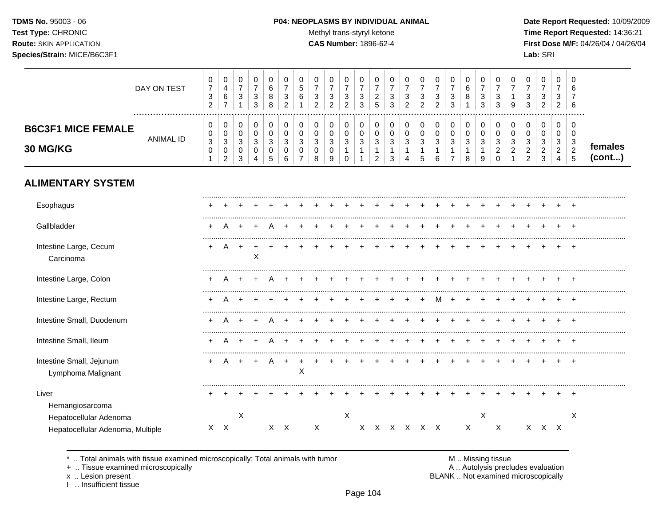# **TDMS No.** 95003 - 06 **P04: NEOPLASMS BY INDIVIDUAL ANIMAL** Date Report Requested: 10/09/2009

Test Type: CHRONIC **Test Type:** CHRONIC **Test Type:** CHRONIC **Time Report Requested:** 14:36:21 **Route:** SKIN APPLICATION **CAS Number:** 1896-62-4 **First Dose M/F:** 04/26/04 / 04/26/04

|                                                                               | DAY ON TEST      | 0<br>$\boldsymbol{7}$<br>$\sqrt{3}$<br>$\overline{c}$ | 0<br>$\overline{\mathbf{4}}$<br>$\,6$<br>$\overline{7}$                             | 0<br>$\overline{7}$<br>3<br>$\overline{1}$ | 0<br>$\overline{7}$<br>$\sqrt{3}$<br>3                          | 0<br>6<br>8<br>$\,8\,$                   | 0<br>$\overline{7}$<br>3<br>$\overline{c}$ | 0<br>5<br>6                                      | 0<br>$\overline{7}$<br>3<br>$\overline{2}$ | $\pmb{0}$<br>$\overline{7}$<br>3<br>$\overline{2}$ | $\pmb{0}$<br>$\overline{7}$<br>$\sqrt{3}$<br>$\overline{2}$    | 0<br>$\overline{7}$<br>3<br>3                                      | 0<br>$\overline{7}$<br>$\overline{c}$<br>5 | 0<br>$\overline{7}$<br>3<br>3              | 0<br>$\overline{7}$<br>$\ensuremath{\mathsf{3}}$<br>$\overline{c}$ | 0<br>$\overline{7}$<br>3<br>$\overline{2}$ | $\pmb{0}$<br>$\overline{7}$<br>$\ensuremath{\mathsf{3}}$<br>$\overline{2}$ | 0<br>$\overline{7}$<br>3<br>3                           | 0<br>$\,6$<br>8                                      | 0<br>$\overline{7}$<br>3<br>3                                      | 0<br>$\overline{7}$<br>3<br>3                               | 0<br>$\overline{7}$<br>1<br>9        | 0<br>$\overline{7}$<br>3<br>3                                     | $\,0\,$<br>$\overline{7}$<br>3<br>$\overline{2}$   | $\,0\,$<br>$\overline{7}$<br>3<br>$\overline{c}$          | 0<br>6<br>6                                                                  |                   |
|-------------------------------------------------------------------------------|------------------|-------------------------------------------------------|-------------------------------------------------------------------------------------|--------------------------------------------|-----------------------------------------------------------------|------------------------------------------|--------------------------------------------|--------------------------------------------------|--------------------------------------------|----------------------------------------------------|----------------------------------------------------------------|--------------------------------------------------------------------|--------------------------------------------|--------------------------------------------|--------------------------------------------------------------------|--------------------------------------------|----------------------------------------------------------------------------|---------------------------------------------------------|------------------------------------------------------|--------------------------------------------------------------------|-------------------------------------------------------------|--------------------------------------|-------------------------------------------------------------------|----------------------------------------------------|-----------------------------------------------------------|------------------------------------------------------------------------------|-------------------|
| <b>B6C3F1 MICE FEMALE</b><br>30 MG/KG                                         | <b>ANIMAL ID</b> | 0<br>$\mathbf 0$<br>$\sqrt{3}$<br>$\mathbf 0$<br>1    | 0<br>$\mathsf 0$<br>$\ensuremath{\mathsf{3}}$<br>$\boldsymbol{0}$<br>$\overline{c}$ | 0<br>$\mathbf 0$<br>$\mathbf{3}$<br>0<br>3 | 0<br>$\mathbf 0$<br>$\sqrt{3}$<br>$\mathbf 0$<br>$\overline{4}$ | 0<br>$\mathbf 0$<br>$\sqrt{3}$<br>0<br>5 | 0<br>$\Omega$<br>3<br>0<br>6               | 0<br>$\Omega$<br>3<br>$\Omega$<br>$\overline{7}$ | 0<br>$\Omega$<br>$\mathbf{3}$<br>0<br>8    | 0<br>0<br>$\sqrt{3}$<br>0<br>9                     | 0<br>$\mathbf 0$<br>$\mathbf{3}$<br>$\overline{1}$<br>$\Omega$ | 0<br>$\mathbf 0$<br>$\ensuremath{\mathsf{3}}$<br>$\mathbf{1}$<br>1 | 0<br>$\mathbf 0$<br>$\sqrt{3}$<br>1<br>2   | 0<br>$\mathbf 0$<br>$\mathbf{3}$<br>1<br>3 | 0<br>$\mathbf 0$<br>3<br>4                                         | 0<br>$\Omega$<br>3<br>1<br>5               | 0<br>$\mathbf 0$<br>$\sqrt{3}$<br>1<br>6                                   | 0<br>$\mathbf 0$<br>$\mathbf{3}$<br>1<br>$\overline{7}$ | 0<br>$\mathbf 0$<br>$\mathsf 3$<br>$\mathbf{1}$<br>8 | 0<br>$\mathbf 0$<br>$\ensuremath{\mathsf{3}}$<br>$\mathbf{1}$<br>9 | 0<br>$\Omega$<br>$\mathbf{3}$<br>$\overline{2}$<br>$\Omega$ | 0<br>$\Omega$<br>3<br>$\overline{2}$ | 0<br>$\Omega$<br>$\mathbf{3}$<br>$\overline{c}$<br>$\overline{2}$ | 0<br>$\Omega$<br>$\sqrt{3}$<br>$\overline{c}$<br>3 | 0<br>$\mathbf 0$<br>3<br>$\overline{2}$<br>$\overline{4}$ | 0<br>$\Omega$<br>$\ensuremath{\mathsf{3}}$<br>$\boldsymbol{2}$<br>$\sqrt{5}$ | females<br>(cont) |
| <b>ALIMENTARY SYSTEM</b>                                                      |                  |                                                       |                                                                                     |                                            |                                                                 |                                          |                                            |                                                  |                                            |                                                    |                                                                |                                                                    |                                            |                                            |                                                                    |                                            |                                                                            |                                                         |                                                      |                                                                    |                                                             |                                      |                                                                   |                                                    |                                                           |                                                                              |                   |
| Esophagus                                                                     |                  |                                                       |                                                                                     |                                            |                                                                 |                                          |                                            |                                                  |                                            |                                                    |                                                                |                                                                    |                                            |                                            |                                                                    |                                            |                                                                            |                                                         |                                                      |                                                                    |                                                             |                                      |                                                                   |                                                    |                                                           |                                                                              |                   |
| Gallbladder                                                                   |                  |                                                       |                                                                                     |                                            |                                                                 |                                          |                                            |                                                  |                                            |                                                    |                                                                |                                                                    |                                            |                                            |                                                                    |                                            |                                                                            |                                                         |                                                      |                                                                    |                                                             |                                      |                                                                   |                                                    |                                                           |                                                                              |                   |
| Intestine Large, Cecum<br>Carcinoma                                           |                  | +                                                     | A                                                                                   | $\overline{+}$                             | X                                                               |                                          |                                            |                                                  |                                            |                                                    |                                                                |                                                                    |                                            |                                            |                                                                    |                                            |                                                                            |                                                         |                                                      |                                                                    |                                                             |                                      |                                                                   |                                                    |                                                           |                                                                              |                   |
| Intestine Large, Colon                                                        |                  |                                                       |                                                                                     |                                            |                                                                 |                                          |                                            |                                                  |                                            |                                                    |                                                                |                                                                    |                                            |                                            |                                                                    |                                            |                                                                            |                                                         |                                                      |                                                                    |                                                             |                                      |                                                                   |                                                    |                                                           |                                                                              |                   |
| Intestine Large, Rectum                                                       |                  |                                                       |                                                                                     |                                            |                                                                 |                                          |                                            |                                                  |                                            |                                                    |                                                                |                                                                    |                                            |                                            |                                                                    |                                            | M                                                                          | $\div$                                                  |                                                      |                                                                    |                                                             |                                      |                                                                   |                                                    |                                                           |                                                                              |                   |
| Intestine Small, Duodenum                                                     |                  |                                                       |                                                                                     |                                            |                                                                 |                                          |                                            |                                                  |                                            |                                                    |                                                                |                                                                    |                                            |                                            |                                                                    |                                            |                                                                            |                                                         |                                                      |                                                                    |                                                             |                                      |                                                                   |                                                    |                                                           |                                                                              |                   |
| Intestine Small, Ileum                                                        |                  |                                                       |                                                                                     |                                            |                                                                 |                                          |                                            |                                                  |                                            |                                                    |                                                                |                                                                    |                                            |                                            |                                                                    |                                            |                                                                            |                                                         |                                                      |                                                                    |                                                             |                                      |                                                                   |                                                    |                                                           |                                                                              |                   |
| Intestine Small, Jejunum<br>Lymphoma Malignant                                |                  |                                                       | А                                                                                   | $\ddot{}$                                  |                                                                 | A                                        |                                            | X                                                |                                            |                                                    |                                                                |                                                                    |                                            |                                            |                                                                    |                                            |                                                                            |                                                         |                                                      |                                                                    |                                                             |                                      |                                                                   |                                                    |                                                           | $\ddot{}$                                                                    |                   |
| Liver                                                                         |                  |                                                       |                                                                                     |                                            |                                                                 |                                          |                                            |                                                  |                                            |                                                    |                                                                |                                                                    |                                            |                                            |                                                                    |                                            |                                                                            |                                                         |                                                      |                                                                    |                                                             |                                      |                                                                   |                                                    |                                                           |                                                                              |                   |
| Hemangiosarcoma<br>Hepatocellular Adenoma<br>Hepatocellular Adenoma, Multiple |                  |                                                       | $X$ $X$                                                                             | $\times$                                   |                                                                 |                                          | $X$ $X$                                    |                                                  | $\boldsymbol{X}$                           |                                                    | X                                                              |                                                                    |                                            |                                            |                                                                    | X X X X X X                                |                                                                            |                                                         | $\mathsf{X}$                                         | $\times$                                                           | $\boldsymbol{X}$                                            |                                      |                                                                   | X X X                                              |                                                           | X                                                                            |                   |

\* .. Total animals with tissue examined microscopically; Total animals with tumor M .. Missing tissue M .. Missing tissue<br>A .. Autolysis precludes evaluation<br>A .. Autolysis precludes evaluation

+ .. Tissue examined microscopically

x .. Lesion present<br>I .. Insufficient tissue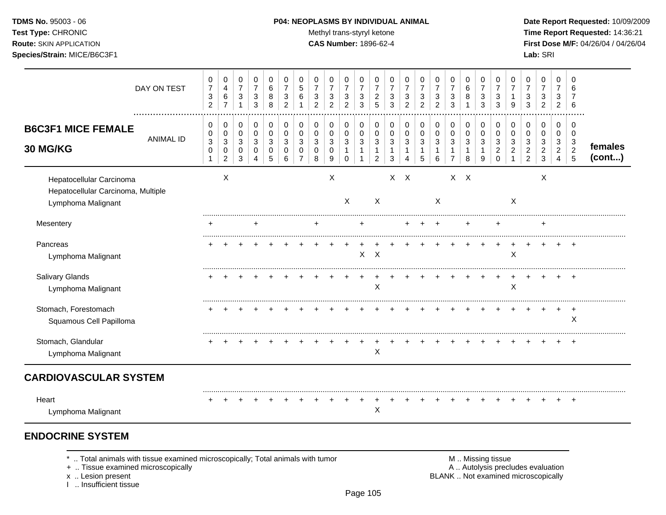#### **Route:** SKIN APPLICATION **CAS Number:** 1896-62-4 **First Dose M/F:** 04/26/04 / 04/26/04

**Species/Strain:** MICE/B6C3F1 **Lab:** SRI

Test Type: CHRONIC **Test Type:** CHRONIC **Test Type:** CHRONIC **Time Report Requested:** 14:36:21

|                                                                                      | DAY ON TEST      | 0<br>$\boldsymbol{7}$<br>3<br>$\overline{c}$ | 0<br>$\overline{4}$<br>$\,6\,$<br>$\overline{7}$            | 0<br>$\overline{7}$<br>3<br>-1  | 0<br>$\overline{7}$<br>$\sqrt{3}$<br>3 | $\mathbf 0$<br>6<br>8<br>8      | 0<br>$\overline{7}$<br>3<br>$\overline{2}$ | $\mathbf 0$<br>5<br>6    | 0<br>$\overline{7}$<br>3<br>$\overline{2}$ | 0<br>$\overline{7}$<br>3<br>$\overline{2}$ | 0<br>$\overline{7}$<br>3<br>$\overline{2}$        | 0<br>$\overline{7}$<br>$\sqrt{3}$<br>3   | 0<br>$\overline{7}$<br>$\overline{2}$<br>5              | 0<br>$\overline{7}$<br>3<br>3    | 0<br>$\overline{7}$<br>3<br>2       | 0<br>$\overline{7}$<br>3<br>$\overline{2}$ | 0<br>$\overline{7}$<br>$\ensuremath{\mathsf{3}}$<br>$\overline{2}$ | 0<br>$\overline{7}$<br>3<br>3                           | 0<br>$\,6\,$<br>8               | 0<br>$\overline{7}$<br>3<br>3    | 0<br>$\overline{7}$<br>3<br>3             | 0<br>$\overline{7}$<br>9   | 0<br>$\overline{7}$<br>3<br>3                   | 0<br>$\overline{7}$<br>$\mathbf{3}$<br>$\overline{2}$ | 0<br>$\overline{7}$<br>3<br>2                                        | 0<br>6<br>7<br>6               |                   |
|--------------------------------------------------------------------------------------|------------------|----------------------------------------------|-------------------------------------------------------------|---------------------------------|----------------------------------------|---------------------------------|--------------------------------------------|--------------------------|--------------------------------------------|--------------------------------------------|---------------------------------------------------|------------------------------------------|---------------------------------------------------------|----------------------------------|-------------------------------------|--------------------------------------------|--------------------------------------------------------------------|---------------------------------------------------------|---------------------------------|----------------------------------|-------------------------------------------|----------------------------|-------------------------------------------------|-------------------------------------------------------|----------------------------------------------------------------------|--------------------------------|-------------------|
| <b>B6C3F1 MICE FEMALE</b><br>30 MG/KG                                                | <b>ANIMAL ID</b> | 0<br>0<br>$\mathbf{3}$<br>0                  | 0<br>$\pmb{0}$<br>$\sqrt{3}$<br>$\pmb{0}$<br>$\overline{c}$ | 0<br>$\mathbf 0$<br>3<br>0<br>3 | 0<br>$\pmb{0}$<br>3<br>0<br>4          | 0<br>$\mathbf 0$<br>3<br>0<br>5 | 0<br>0<br>3<br>0<br>6                      | 0<br>$\pmb{0}$<br>3<br>0 | 0<br>$\pmb{0}$<br>3<br>0<br>8              | 0<br>$\mathbf 0$<br>3<br>0<br>9            | 0<br>$\mathbf 0$<br>3<br>$\mathbf{1}$<br>$\Omega$ | 0<br>$\pmb{0}$<br>3<br>1<br>$\mathbf{1}$ | 0<br>$\mathbf 0$<br>3<br>$\mathbf{1}$<br>$\overline{c}$ | 0<br>0<br>3<br>$\mathbf{1}$<br>3 | 0<br>$\pmb{0}$<br>$\mathbf{3}$<br>1 | 0<br>0<br>3<br>1<br>5                      | 0<br>$\pmb{0}$<br>$\mathbf{3}$<br>6                                | 0<br>$\mathbf 0$<br>$\mathbf{3}$<br>1<br>$\overline{7}$ | 0<br>$\mathbf 0$<br>3<br>1<br>8 | 0<br>$\mathbf 0$<br>3<br>-1<br>9 | 0<br>0<br>3<br>$\overline{c}$<br>$\Omega$ | 0<br>$\mathbf 0$<br>3<br>2 | 0<br>0<br>3<br>$\overline{c}$<br>$\overline{2}$ | 0<br>0<br>3<br>$\overline{c}$<br>3                    | 0<br>$\mathbf 0$<br>$\mathbf{3}$<br>$\overline{2}$<br>$\overline{4}$ | 0<br>0<br>3<br>$\sqrt{2}$<br>5 | females<br>(cont) |
| Hepatocellular Carcinoma<br>Hepatocellular Carcinoma, Multiple<br>Lymphoma Malignant |                  |                                              | X                                                           |                                 |                                        |                                 |                                            |                          |                                            | $\boldsymbol{\mathsf{X}}$                  | X                                                 |                                          | X                                                       | $\mathsf{X}$                     | $\mathsf{X}$                        |                                            | X                                                                  | $X \times$                                              |                                 |                                  |                                           | X                          |                                                 | X                                                     |                                                                      |                                |                   |
| Mesentery                                                                            |                  | ÷                                            |                                                             |                                 | +                                      |                                 |                                            |                          | $\pm$                                      |                                            |                                                   | ÷                                        |                                                         |                                  |                                     |                                            | ٠                                                                  |                                                         | +                               |                                  | ٠                                         |                            |                                                 | $\ddot{}$                                             |                                                                      |                                |                   |
| Pancreas<br>Lymphoma Malignant                                                       |                  | ÷                                            |                                                             |                                 |                                        |                                 |                                            |                          |                                            |                                            |                                                   | $\mathsf{X}$                             | $\mathsf{X}$                                            |                                  |                                     |                                            |                                                                    |                                                         |                                 |                                  |                                           | X                          |                                                 |                                                       |                                                                      | $\overline{+}$                 |                   |
| <b>Salivary Glands</b><br>Lymphoma Malignant                                         |                  |                                              |                                                             |                                 |                                        |                                 |                                            |                          |                                            |                                            |                                                   |                                          | Χ                                                       |                                  |                                     |                                            |                                                                    |                                                         |                                 |                                  |                                           | X                          |                                                 |                                                       |                                                                      | $\pm$                          |                   |
| Stomach, Forestomach<br>Squamous Cell Papilloma                                      |                  |                                              |                                                             |                                 |                                        |                                 |                                            |                          |                                            |                                            |                                                   |                                          |                                                         |                                  |                                     |                                            |                                                                    |                                                         |                                 |                                  |                                           |                            |                                                 |                                                       |                                                                      | $\ddot{}$<br>X                 |                   |
| Stomach, Glandular<br>Lymphoma Malignant                                             |                  |                                              |                                                             |                                 |                                        |                                 |                                            |                          |                                            |                                            |                                                   |                                          | X                                                       |                                  |                                     |                                            |                                                                    |                                                         |                                 |                                  |                                           |                            |                                                 |                                                       |                                                                      | $\div$                         |                   |
| <b>CARDIOVASCULAR SYSTEM</b>                                                         |                  |                                              |                                                             |                                 |                                        |                                 |                                            |                          |                                            |                                            |                                                   |                                          |                                                         |                                  |                                     |                                            |                                                                    |                                                         |                                 |                                  |                                           |                            |                                                 |                                                       |                                                                      |                                |                   |
| Heart<br>Lymphoma Malignant                                                          |                  |                                              |                                                             |                                 |                                        |                                 |                                            |                          |                                            |                                            |                                                   |                                          | X                                                       |                                  |                                     |                                            |                                                                    |                                                         |                                 |                                  |                                           |                            |                                                 |                                                       |                                                                      | $\overline{ }$                 |                   |

# **ENDOCRINE SYSTEM**

\* .. Total animals with tissue examined microscopically; Total animals with tumor <br>
+ .. Tissue examined microscopically<br>
+ .. Tissue examined microscopically

+ .. Tissue examined microscopically

x .. Lesion present<br>I .. Insufficient tissue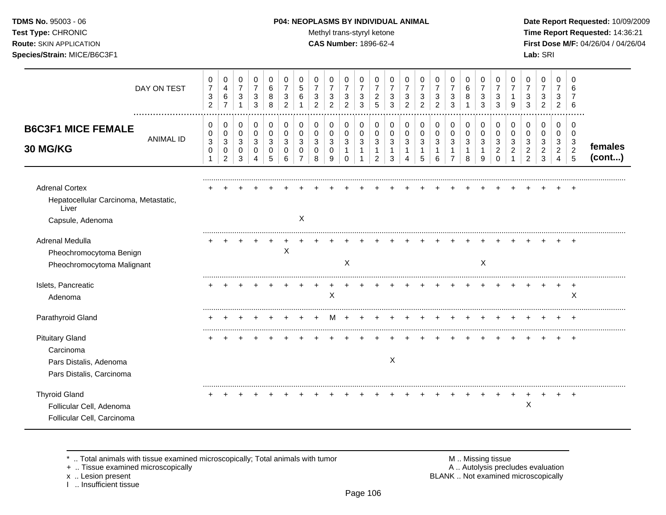**TDMS No.** 95003 - 06 **P04: NEOPLASMS BY INDIVIDUAL ANIMAL** Date Report Requested: 10/09/2009 **Test Type:** CHRONIC **Trans-styryl ketone** Methyl trans-styryl ketone **Time Report Requested:** 14:36:21 **Route:** SKIN APPLICATION **CAS Number:** 1896-62-4 **First Dose M/F:** 04/26/04 / 04/26/04

|                                                                                             | DAY ON TEST      | 0<br>$\overline{7}$<br>$\sqrt{3}$<br>$\overline{c}$ | 0<br>4<br>6<br>$\overline{7}$                                        | 0<br>$\overline{7}$<br>$\mathbf{3}$      | 0<br>$\overline{7}$<br>3<br>3              | 0<br>$\,6\,$<br>8<br>8         | 0<br>$\overline{7}$<br>3<br>2   | 0<br>5<br>6               | 0<br>$\overline{7}$<br>3<br>$\overline{2}$ | 0<br>$\overline{7}$<br>3<br>$\mathfrak{p}$ | 0<br>$\overline{7}$<br>$\mathbf{3}$<br>$\overline{2}$ | 0<br>$\overline{7}$<br>3<br>3         | 0<br>$\overline{7}$<br>$\overline{c}$<br>5 | 0<br>$\overline{7}$<br>3<br>3 | 0<br>$\overline{7}$<br>3<br>$\overline{c}$ | 0<br>$\overline{7}$<br>3<br>$\overline{2}$ | 0<br>$\overline{7}$<br>3<br>$\mathcal{P}$ | 0<br>$\overline{7}$<br>$\mathbf{3}$<br>3      | 0<br>$\,6\,$<br>8             | 0<br>$\overline{7}$<br>3<br>3               | 0<br>$\overline{7}$<br>3<br>3      | 0<br>$\overline{7}$<br>9 | 0<br>3<br>3                               | 0<br>$\overline{7}$<br>3<br>$\overline{c}$ | 0<br>$\overline{7}$<br>3<br>$\overline{c}$  | $\Omega$<br>6<br>6                 |                   |
|---------------------------------------------------------------------------------------------|------------------|-----------------------------------------------------|----------------------------------------------------------------------|------------------------------------------|--------------------------------------------|--------------------------------|---------------------------------|---------------------------|--------------------------------------------|--------------------------------------------|-------------------------------------------------------|---------------------------------------|--------------------------------------------|-------------------------------|--------------------------------------------|--------------------------------------------|-------------------------------------------|-----------------------------------------------|-------------------------------|---------------------------------------------|------------------------------------|--------------------------|-------------------------------------------|--------------------------------------------|---------------------------------------------|------------------------------------|-------------------|
| <b>B6C3F1 MICE FEMALE</b><br>30 MG/KG                                                       | <b>ANIMAL ID</b> | 0<br>0<br>$\sqrt{3}$<br>0<br>1                      | 0<br>0<br>$\ensuremath{\mathsf{3}}$<br>$\mathbf 0$<br>$\overline{c}$ | 0<br>$\mathbf 0$<br>$\sqrt{3}$<br>0<br>3 | 0<br>0<br>$\mathbf{3}$<br>$\mathbf 0$<br>4 | 0<br>0<br>$\sqrt{3}$<br>0<br>5 | 0<br>$\mathbf 0$<br>3<br>0<br>6 | 0<br>0<br>3<br>0          | 0<br>0<br>3<br>0<br>8                      | 0<br>0<br>$\mathbf{3}$<br>0<br>9           | 0<br>0<br>3<br>$\mathbf 1$<br>$\mathbf 0$             | 0<br>$\mathbf 0$<br>3<br>$\mathbf{1}$ | 0<br>0<br>3<br>1<br>$\overline{c}$         | 0<br>0<br>3<br>1<br>3         | 0<br>0<br>3<br>1<br>4                      | 0<br>0<br>$\mathbf{3}$<br>-1<br>5          | 0<br>0<br>$\mathbf{3}$<br>1<br>6          | 0<br>0<br>$\mathbf{3}$<br>1<br>$\overline{7}$ | 0<br>$\pmb{0}$<br>3<br>1<br>8 | 0<br>0<br>$\mathbf{3}$<br>$\mathbf{1}$<br>9 | 0<br>0<br>3<br>$\overline{2}$<br>0 | 0<br>0<br>3<br>2         | 0<br>$\Omega$<br>3<br>$\overline{2}$<br>2 | 0<br>0<br>3<br>$\overline{c}$<br>3         | 0<br>0<br>3<br>$\sqrt{2}$<br>$\overline{4}$ | 0<br>0<br>3<br>$\overline{c}$<br>5 | females<br>(cont) |
| <b>Adrenal Cortex</b><br>Hepatocellular Carcinoma, Metastatic,<br>Liver<br>Capsule, Adenoma |                  |                                                     |                                                                      |                                          |                                            |                                |                                 | $\boldsymbol{\mathsf{X}}$ |                                            |                                            |                                                       |                                       |                                            |                               |                                            |                                            |                                           |                                               |                               |                                             |                                    |                          |                                           |                                            |                                             |                                    |                   |
| Adrenal Medulla<br>Pheochromocytoma Benign<br>Pheochromocytoma Malignant                    |                  |                                                     |                                                                      |                                          |                                            |                                | X                               |                           |                                            |                                            | X                                                     |                                       |                                            |                               |                                            |                                            |                                           |                                               |                               | X                                           |                                    |                          |                                           |                                            |                                             |                                    |                   |
| Islets, Pancreatic<br>Adenoma                                                               |                  |                                                     |                                                                      |                                          |                                            |                                |                                 |                           |                                            | X                                          |                                                       |                                       |                                            |                               |                                            |                                            |                                           |                                               |                               |                                             |                                    |                          |                                           |                                            |                                             | X                                  |                   |
| Parathyroid Gland                                                                           |                  |                                                     |                                                                      |                                          |                                            |                                |                                 |                           |                                            |                                            |                                                       |                                       |                                            |                               |                                            |                                            |                                           |                                               |                               |                                             |                                    |                          |                                           |                                            |                                             | $\pm$                              |                   |
| <b>Pituitary Gland</b><br>Carcinoma<br>Pars Distalis, Adenoma<br>Pars Distalis, Carcinoma   |                  |                                                     |                                                                      |                                          |                                            |                                |                                 |                           |                                            |                                            |                                                       |                                       |                                            | X                             |                                            |                                            |                                           |                                               |                               |                                             |                                    |                          |                                           |                                            |                                             |                                    |                   |
| <b>Thyroid Gland</b><br>Follicular Cell, Adenoma<br>Follicular Cell, Carcinoma              |                  |                                                     |                                                                      |                                          |                                            |                                |                                 |                           |                                            |                                            |                                                       |                                       |                                            |                               |                                            |                                            |                                           |                                               |                               |                                             |                                    |                          | $\mathsf{X}$                              |                                            | $\pm$                                       | $+$                                |                   |

+ .. Tissue examined microscopically

x .. Lesion present<br>I .. Insufficient tissue

\* .. Total animals with tissue examined microscopically; Total animals with tumor M .. Missing tissue M .. Missing tissue<br>
+ .. Tissue examined microscopically BLANK .. Not examined microscopically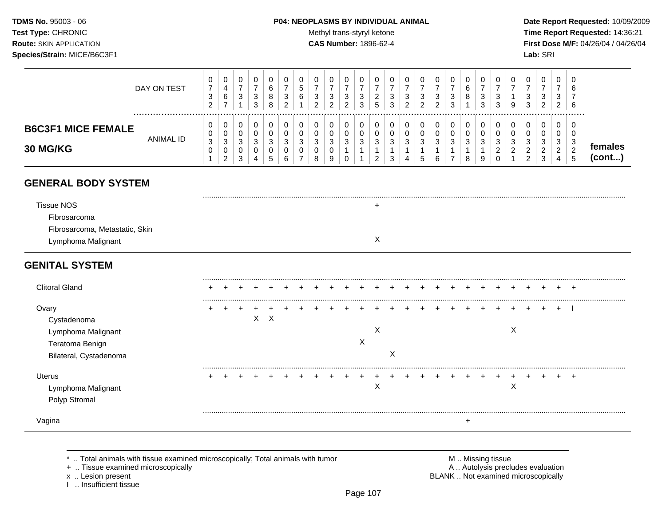### **TDMS No.** 95003 - 06 **P04: NEOPLASMS BY INDIVIDUAL ANIMAL** Date Report Requested: 10/09/2009

Test Type: CHRONIC **Test Type:** CHRONIC **Test Type:** CHRONIC **Time Report Requested:** 14:36:21 **Route:** SKIN APPLICATION **CAS Number:** 1896-62-4 **First Dose M/F:** 04/26/04 / 04/26/04

|                                                                                         | DAY ON TEST      | $\mathbf 0$<br>$\boldsymbol{7}$<br>$\ensuremath{\mathsf{3}}$<br>$\overline{2}$ | 0<br>$\overline{4}$<br>$\,6\,$<br>$\overline{7}$        | $\mathbf 0$<br>$\overline{7}$<br>$\mathbf{3}$<br>$\overline{1}$     | 0<br>$\overline{7}$<br>3<br>3         | 0<br>$\,6$<br>8<br>8  | 0<br>$\overline{7}$<br>$\mathbf{3}$<br>$\overline{c}$ | 0<br>5<br>6<br>$\mathbf 1$                      | $\mathbf 0$<br>$\overline{7}$<br>3<br>$\overline{2}$ | 0<br>$\overline{7}$<br>3<br>2           | 0<br>$\overline{7}$<br>3<br>2                        | 0<br>$\overline{7}$<br>3<br>3                         | 0<br>$\overline{7}$<br>$\overline{c}$<br>5         | 0<br>$\overline{7}$<br>3<br>3           | 0<br>$\overline{7}$<br>3<br>$\overline{2}$ | $\mathbf 0$<br>$\overline{7}$<br>3<br>$\overline{2}$ | 0<br>7<br>$\mathbf{3}$<br>2          | 0<br>$\boldsymbol{7}$<br>$\mathbf{3}$<br>3                              | 0<br>6<br>8<br>$\mathbf 1$      | 0<br>$\overline{7}$<br>3<br>3    | 0<br>$\overline{7}$<br>3<br>3                                          | 0<br>7<br>1<br>9                             | 0<br>3<br>3                                  | 0<br>$\overline{7}$<br>3<br>$\overline{2}$   | 0<br>$\overline{7}$<br>3<br>$\overline{2}$            | $\mathbf 0$<br>6<br>$\overline{7}$<br>6         |                   |
|-----------------------------------------------------------------------------------------|------------------|--------------------------------------------------------------------------------|---------------------------------------------------------|---------------------------------------------------------------------|---------------------------------------|-----------------------|-------------------------------------------------------|-------------------------------------------------|------------------------------------------------------|-----------------------------------------|------------------------------------------------------|-------------------------------------------------------|----------------------------------------------------|-----------------------------------------|--------------------------------------------|------------------------------------------------------|--------------------------------------|-------------------------------------------------------------------------|---------------------------------|----------------------------------|------------------------------------------------------------------------|----------------------------------------------|----------------------------------------------|----------------------------------------------|-------------------------------------------------------|-------------------------------------------------|-------------------|
| <b>B6C3F1 MICE FEMALE</b><br>30 MG/KG                                                   | <b>ANIMAL ID</b> | 0<br>0<br>$\ensuremath{\mathsf{3}}$<br>0<br>1                                  | 0<br>0<br>$\mathbf{3}$<br>$\mathsf 0$<br>$\overline{c}$ | $\pmb{0}$<br>$\mathbf 0$<br>$\mathbf{3}$<br>$\pmb{0}$<br>$\sqrt{3}$ | $\,0\,$<br>$\mathbf 0$<br>3<br>0<br>4 | 0<br>0<br>3<br>0<br>5 | 0<br>0<br>3<br>0<br>6                                 | $\,0\,$<br>0<br>3<br>$\Omega$<br>$\overline{7}$ | 0<br>$\mathbf 0$<br>3<br>0<br>8                      | $\pmb{0}$<br>0<br>3<br>$\mathbf 0$<br>9 | 0<br>0<br>$\mathbf{3}$<br>$\mathbf 1$<br>$\mathbf 0$ | 0<br>$\mathbf 0$<br>3<br>$\mathbf{1}$<br>$\mathbf{1}$ | $\,0\,$<br>$\mathbf 0$<br>3<br>1<br>$\overline{2}$ | $\pmb{0}$<br>$\mathbf 0$<br>3<br>1<br>3 | 0<br>0<br>3<br>$\mathbf{1}$<br>4           | 0<br>$\mathbf 0$<br>3<br>1<br>5                      | 0<br>$\boldsymbol{0}$<br>3<br>1<br>6 | $\pmb{0}$<br>$\mathsf{O}\xspace$<br>3<br>$\mathbf{1}$<br>$\overline{7}$ | 0<br>$\mathbf 0$<br>3<br>1<br>8 | 0<br>0<br>$\mathbf{3}$<br>1<br>9 | $\pmb{0}$<br>$\mathbf 0$<br>$\mathbf{3}$<br>$\overline{c}$<br>$\Omega$ | 0<br>$\mathbf 0$<br>3<br>$\overline{2}$<br>1 | 0<br>$\mathbf 0$<br>3<br>$\overline{c}$<br>2 | 0<br>$\mathbf 0$<br>3<br>$\overline{2}$<br>3 | $\,0\,$<br>0<br>3<br>$\overline{c}$<br>$\overline{4}$ | 0<br>$\mathbf 0$<br>$\sqrt{3}$<br>$\frac{2}{5}$ | females<br>(cont) |
| <b>GENERAL BODY SYSTEM</b>                                                              |                  |                                                                                |                                                         |                                                                     |                                       |                       |                                                       |                                                 |                                                      |                                         |                                                      |                                                       |                                                    |                                         |                                            |                                                      |                                      |                                                                         |                                 |                                  |                                                                        |                                              |                                              |                                              |                                                       |                                                 |                   |
| <b>Tissue NOS</b><br>Fibrosarcoma<br>Fibrosarcoma, Metastatic, Skin                     |                  |                                                                                |                                                         |                                                                     |                                       |                       |                                                       |                                                 |                                                      |                                         |                                                      |                                                       |                                                    |                                         |                                            |                                                      |                                      |                                                                         |                                 |                                  |                                                                        |                                              |                                              |                                              |                                                       |                                                 |                   |
| Lymphoma Malignant                                                                      |                  |                                                                                |                                                         |                                                                     |                                       |                       |                                                       |                                                 |                                                      |                                         |                                                      |                                                       | $\times$                                           |                                         |                                            |                                                      |                                      |                                                                         |                                 |                                  |                                                                        |                                              |                                              |                                              |                                                       |                                                 |                   |
| <b>GENITAL SYSTEM</b>                                                                   |                  |                                                                                |                                                         |                                                                     |                                       |                       |                                                       |                                                 |                                                      |                                         |                                                      |                                                       |                                                    |                                         |                                            |                                                      |                                      |                                                                         |                                 |                                  |                                                                        |                                              |                                              |                                              |                                                       |                                                 |                   |
| <b>Clitoral Gland</b>                                                                   |                  |                                                                                |                                                         |                                                                     |                                       |                       |                                                       |                                                 |                                                      |                                         |                                                      |                                                       |                                                    |                                         |                                            |                                                      |                                      |                                                                         |                                 |                                  |                                                                        |                                              |                                              |                                              |                                                       |                                                 |                   |
| Ovary<br>Cystadenoma<br>Lymphoma Malignant<br>Teratoma Benign<br>Bilateral, Cystadenoma |                  |                                                                                |                                                         | $\ddot{}$                                                           |                                       | $X$ $X$               |                                                       |                                                 |                                                      |                                         |                                                      | $\boldsymbol{\mathsf{X}}$                             | $\boldsymbol{\mathsf{X}}$                          | X                                       |                                            |                                                      |                                      |                                                                         |                                 |                                  |                                                                        | $\boldsymbol{\mathsf{X}}$                    |                                              |                                              | ÷                                                     |                                                 |                   |
| <b>Uterus</b><br>Lymphoma Malignant<br>Polyp Stromal                                    |                  |                                                                                |                                                         |                                                                     |                                       |                       |                                                       |                                                 |                                                      |                                         |                                                      |                                                       | $\mathsf X$                                        |                                         |                                            |                                                      |                                      |                                                                         |                                 |                                  |                                                                        | X                                            |                                              |                                              |                                                       |                                                 |                   |
|                                                                                         |                  |                                                                                |                                                         |                                                                     |                                       |                       |                                                       |                                                 |                                                      |                                         |                                                      |                                                       |                                                    |                                         |                                            |                                                      |                                      |                                                                         |                                 |                                  |                                                                        |                                              |                                              |                                              |                                                       |                                                 |                   |

\* .. Total animals with tissue examined microscopically; Total animals with tumor <br>
+ .. Tissue examined microscopically<br>
+ .. Tissue examined microscopically

+ .. Tissue examined microscopically

x .. Lesion present<br>I .. Insufficient tissue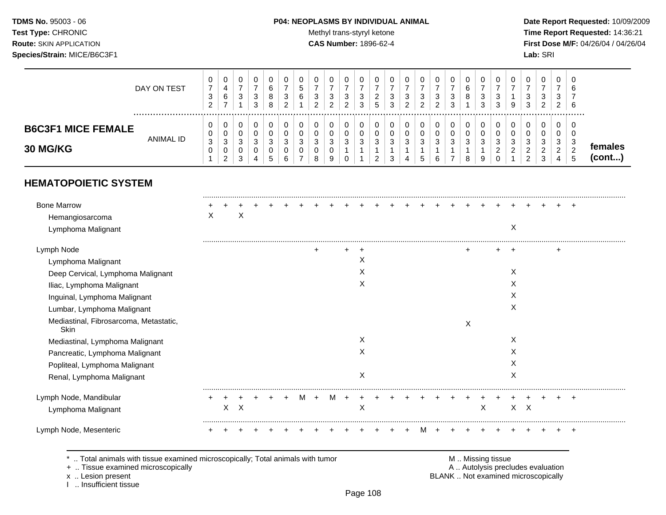### **TDMS No.** 95003 - 06 **P04: NEOPLASMS BY INDIVIDUAL ANIMAL** Date Report Requested: 10/09/2009

Test Type: CHRONIC **Test Type:** CHRONIC **Test Type:** CHRONIC **Time Report Requested:** 14:36:21 **Route:** SKIN APPLICATION **CAS Number:** 1896-62-4 **First Dose M/F:** 04/26/04 / 04/26/04

|                           | DAY ON TEST | U<br>-<br>ົ<br>◡<br>ົ | 0<br>6<br>-        | v<br>ت      | ٠J<br>3 | 6<br>8<br>8 | u<br>đ<br>6 | ີ<br>ັບ<br>ົ | 0<br>3<br>ົ<br><u>.</u> | 0<br>ີ<br>ັ<br>ົ<br><u>_</u> | v<br>N<br>3 | ∽<br>◡ | ა | ◠<br><u>_</u> |      | 0<br>З<br>ົ<br>$\sim$ | ົ<br>ັ<br>$\sim$<br>ັ | U<br>ีค<br>8 | υ<br>ີ<br>J<br>3 | 0<br>3<br>3 | υ<br>9   | J<br>3 | 0<br>3<br>ົ<br><u>_</u>     | <u>_</u> | ັບ<br>6<br>6 |                |  |
|---------------------------|-------------|-----------------------|--------------------|-------------|---------|-------------|-------------|--------------|-------------------------|------------------------------|-------------|--------|---|---------------|------|-----------------------|-----------------------|--------------|------------------|-------------|----------|--------|-----------------------------|----------|--------------|----------------|--|
| <b>B6C3F1 MICE FEMALE</b> | ANIMAL ID   | U<br>U<br>3           | 0<br>0<br>3        | v<br>v<br>ັ |         | З           | u<br>ت      | ີ<br>$\sim$  | 0<br>0<br>3             | 0<br>0<br>2<br>ັ             | v           |        |   | J             | - 11 | 3                     | <sup>o</sup><br>ັ     | J<br>ີ<br>J  | ν<br>-2<br>u     | 0<br>v<br>3 | U<br>ັ   | J      | 0<br>-3                     |          | υ<br>v<br>w  |                |  |
| <b>30 MG/KG</b>           |             | v                     | 0<br>ົ<br><u>_</u> | $\sim$<br>ັ |         | $\sim$      |             | o            | 0<br>9                  | v                            |             |        |   |               |      |                       |                       | ິດ           | 9                | ົ<br>_<br>ν | <u>_</u> | _      | <u>_</u><br>$\epsilon$<br>J | -        | c<br>_<br>.5 | males<br>(cont |  |

# **HEMATOPOIETIC SYSTEM**

| <b>Bone Marrow</b>                             |   |   |   |  |   |           |  |   |  |  |  |   |   |   |         |  |       |  |
|------------------------------------------------|---|---|---|--|---|-----------|--|---|--|--|--|---|---|---|---------|--|-------|--|
| Hemangiosarcoma                                | X |   | х |  |   |           |  |   |  |  |  |   |   |   |         |  |       |  |
| Lymphoma Malignant                             |   |   |   |  |   |           |  |   |  |  |  |   |   | Χ |         |  |       |  |
| Lymph Node                                     |   |   |   |  |   | $\ddot{}$ |  |   |  |  |  |   |   |   |         |  |       |  |
| Lymphoma Malignant                             |   |   |   |  |   |           |  | X |  |  |  |   |   |   |         |  |       |  |
| Deep Cervical, Lymphoma Malignant              |   |   |   |  |   |           |  | X |  |  |  |   |   | X |         |  |       |  |
| Iliac, Lymphoma Malignant                      |   |   |   |  |   |           |  | X |  |  |  |   |   | Х |         |  |       |  |
| Inguinal, Lymphoma Malignant                   |   |   |   |  |   |           |  |   |  |  |  |   |   | X |         |  |       |  |
| Lumbar, Lymphoma Malignant                     |   |   |   |  |   |           |  |   |  |  |  |   |   | X |         |  |       |  |
| Mediastinal, Fibrosarcoma, Metastatic,<br>Skin |   |   |   |  |   |           |  |   |  |  |  | X |   |   |         |  |       |  |
| Mediastinal, Lymphoma Malignant                |   |   |   |  |   |           |  | X |  |  |  |   |   | X |         |  |       |  |
| Pancreatic, Lymphoma Malignant                 |   |   |   |  |   |           |  | X |  |  |  |   |   | X |         |  |       |  |
| Popliteal, Lymphoma Malignant                  |   |   |   |  |   |           |  |   |  |  |  |   |   | Х |         |  |       |  |
| Renal, Lymphoma Malignant                      |   |   |   |  |   |           |  | X |  |  |  |   |   | X |         |  |       |  |
| Lymph Node, Mandibular                         |   |   |   |  | M |           |  |   |  |  |  |   |   |   |         |  | $\pm$ |  |
| Lymphoma Malignant                             |   | X | X |  |   |           |  | X |  |  |  |   | X |   | $X$ $X$ |  |       |  |
| Lymph Node, Mesenteric                         |   |   |   |  |   |           |  |   |  |  |  |   |   |   |         |  |       |  |
|                                                |   |   |   |  |   |           |  |   |  |  |  |   |   |   |         |  |       |  |

+ .. Tissue examined microscopically

x .. Lesion present<br>I .. Insufficient tissue

\* .. Total animals with tissue examined microscopically; Total animals with tumor **M** . M . Missing tissue examined microscopically<br>
+ .. Tissue examined microscopically BLANK .. Not examined microscopically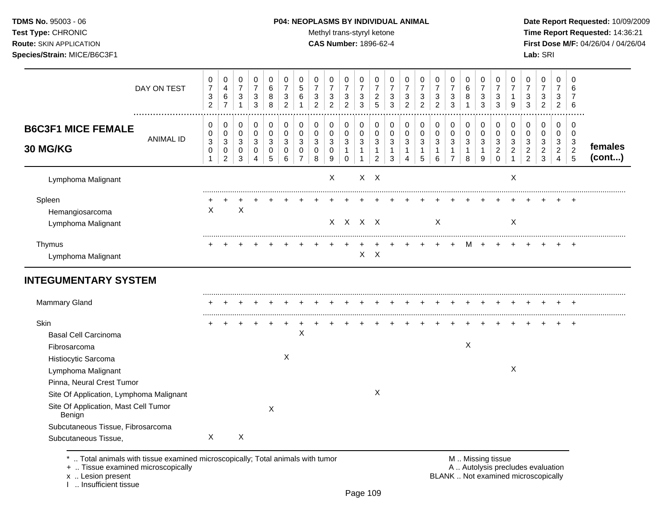#### **TDMS No.** 95003 - 06 **P04: NEOPLASMS BY INDIVIDUAL ANIMAL** Date Report Requested: 10/09/2009

Test Type: CHRONIC **Test Type:** CHRONIC **Test Type:** CHRONIC **Time Report Requested:** 14:36:21 **Route:** SKIN APPLICATION **CAS Number:** 1896-62-4 **First Dose M/F:** 04/26/04 / 04/26/04

| DAY ON TEST                                                                               | 0<br>$\overline{7}$<br>3<br>$\overline{c}$ | 0<br>$\overline{4}$<br>$\,6$<br>$\overline{7}$ | 0<br>$\overline{7}$<br>3<br>1            | 0<br>$\overline{7}$<br>3<br>3   | 0<br>6<br>8<br>8             | 0<br>$\overline{7}$<br>3<br>$\overline{c}$ | 0<br>5<br>6<br>1                                               | 0<br>$\overline{7}$<br>3<br>$\overline{2}$ | 0<br>$\overline{7}$<br>3<br>$\overline{c}$ | 0<br>$\overline{7}$<br>3<br>$\overline{c}$ | 0<br>$\overline{7}$<br>$\sqrt{3}$<br>3 | 0<br>$\overline{7}$<br>$\overline{2}$<br>5              | 0<br>$\overline{7}$<br>3<br>3    | 0<br>$\overline{7}$<br>3<br>$\overline{2}$ | 0<br>$\overline{7}$<br>3<br>$\overline{c}$ | 0<br>$\overline{7}$<br>3<br>$\overline{c}$              | 0<br>$\overline{7}$<br>3<br>3                          | 0<br>$\,6\,$<br>8                        | 0<br>$\overline{7}$<br>$\mathbf{3}$<br>3         | 0<br>$\overline{7}$<br>3<br>3                    | 0<br>7<br>9             | 0<br>$\overline{7}$<br>3<br>3                            | 0<br>$\overline{7}$<br>3<br>$\overline{a}$    | 0<br>$\overline{7}$<br>3<br>$\overline{c}$                                   | 0<br>6<br>7<br>6                                 |                   |
|-------------------------------------------------------------------------------------------|--------------------------------------------|------------------------------------------------|------------------------------------------|---------------------------------|------------------------------|--------------------------------------------|----------------------------------------------------------------|--------------------------------------------|--------------------------------------------|--------------------------------------------|----------------------------------------|---------------------------------------------------------|----------------------------------|--------------------------------------------|--------------------------------------------|---------------------------------------------------------|--------------------------------------------------------|------------------------------------------|--------------------------------------------------|--------------------------------------------------|-------------------------|----------------------------------------------------------|-----------------------------------------------|------------------------------------------------------------------------------|--------------------------------------------------|-------------------|
| <b>B6C3F1 MICE FEMALE</b><br><b>ANIMAL ID</b><br><b>30 MG/KG</b>                          | 0<br>0<br>3<br>0<br>1                      | 0<br>0<br>$\sqrt{3}$<br>0<br>$\overline{2}$    | 0<br>0<br>$\sqrt{3}$<br>$\mathbf 0$<br>3 | 0<br>$\mathbf 0$<br>3<br>0<br>4 | 0<br>$\Omega$<br>3<br>0<br>5 | 0<br>$\mathbf 0$<br>3<br>$\mathbf 0$<br>6  | $\mathbf 0$<br>$\Omega$<br>$\mathbf{3}$<br>0<br>$\overline{7}$ | $\mathbf 0$<br>0<br>3<br>$\mathbf 0$<br>8  | 0<br>0<br>$\sqrt{3}$<br>0<br>9             | 0<br>0<br>$\sqrt{3}$<br>1<br>$\Omega$      | 0<br>0<br>3<br>$\mathbf{1}$<br>1       | 0<br>$\mathbf 0$<br>$\mathbf{3}$<br>1<br>$\overline{2}$ | 0<br>0<br>$\mathbf{3}$<br>1<br>3 | 0<br>0<br>3<br>1<br>4                      | 0<br>0<br>3<br>1<br>5                      | 0<br>0<br>$\ensuremath{\mathsf{3}}$<br>$\mathbf 1$<br>6 | 0<br>0<br>$\sqrt{3}$<br>$\mathbf{1}$<br>$\overline{7}$ | 0<br>$\mathbf 0$<br>$\sqrt{3}$<br>1<br>8 | $\mathbf 0$<br>$\Omega$<br>3<br>$\mathbf 1$<br>9 | 0<br>$\Omega$<br>3<br>$\overline{2}$<br>$\Omega$ | 0<br>$\Omega$<br>3<br>2 | 0<br>0<br>3<br>$\overline{\mathbf{c}}$<br>$\overline{2}$ | 0<br>0<br>$\mathbf{3}$<br>$\overline{c}$<br>3 | $\mathbf 0$<br>$\mathbf 0$<br>$\sqrt{3}$<br>$\overline{2}$<br>$\overline{4}$ | $\Omega$<br>$\Omega$<br>3<br>$\overline{2}$<br>5 | females<br>(cont) |
| Lymphoma Malignant                                                                        |                                            |                                                |                                          |                                 |                              |                                            |                                                                |                                            | $\pmb{\times}$                             |                                            |                                        | $X$ $X$                                                 |                                  |                                            |                                            |                                                         |                                                        |                                          |                                                  |                                                  | X                       |                                                          |                                               |                                                                              |                                                  |                   |
| Spleen<br>Hemangiosarcoma<br>Lymphoma Malignant                                           | X                                          |                                                | X                                        |                                 |                              |                                            |                                                                |                                            |                                            | $X$ $X$ $X$ $X$                            |                                        |                                                         |                                  |                                            |                                            | X                                                       |                                                        |                                          |                                                  |                                                  | X                       |                                                          |                                               |                                                                              |                                                  |                   |
| Thymus<br>Lymphoma Malignant                                                              |                                            |                                                |                                          |                                 |                              |                                            |                                                                |                                            |                                            |                                            | X                                      | $\mathsf{X}$                                            |                                  |                                            |                                            |                                                         |                                                        | м                                        |                                                  |                                                  |                         |                                                          |                                               |                                                                              |                                                  |                   |
| <b>INTEGUMENTARY SYSTEM</b>                                                               |                                            |                                                |                                          |                                 |                              |                                            |                                                                |                                            |                                            |                                            |                                        |                                                         |                                  |                                            |                                            |                                                         |                                                        |                                          |                                                  |                                                  |                         |                                                          |                                               |                                                                              |                                                  |                   |
| Mammary Gland                                                                             |                                            |                                                |                                          |                                 |                              |                                            |                                                                |                                            |                                            |                                            |                                        |                                                         |                                  |                                            |                                            |                                                         |                                                        |                                          |                                                  |                                                  |                         |                                                          |                                               |                                                                              |                                                  |                   |
| Skin<br><b>Basal Cell Carcinoma</b><br>Fibrosarcoma<br>Histiocytic Sarcoma                |                                            |                                                |                                          |                                 |                              | X                                          | $\mathsf X$                                                    |                                            |                                            |                                            |                                        |                                                         |                                  |                                            |                                            |                                                         |                                                        | X                                        |                                                  |                                                  |                         |                                                          |                                               |                                                                              |                                                  |                   |
| Lymphoma Malignant<br>Pinna, Neural Crest Tumor                                           |                                            |                                                |                                          |                                 |                              |                                            |                                                                |                                            |                                            |                                            |                                        | $\boldsymbol{X}$                                        |                                  |                                            |                                            |                                                         |                                                        |                                          |                                                  |                                                  | X                       |                                                          |                                               |                                                                              |                                                  |                   |
| Site Of Application, Lymphoma Malignant<br>Site Of Application, Mast Cell Tumor<br>Benign |                                            |                                                |                                          |                                 | X                            |                                            |                                                                |                                            |                                            |                                            |                                        |                                                         |                                  |                                            |                                            |                                                         |                                                        |                                          |                                                  |                                                  |                         |                                                          |                                               |                                                                              |                                                  |                   |
| Subcutaneous Tissue, Fibrosarcoma<br>Subcutaneous Tissue,                                 | $\sf X$                                    |                                                | X                                        |                                 |                              |                                            |                                                                |                                            |                                            |                                            |                                        |                                                         |                                  |                                            |                                            |                                                         |                                                        |                                          |                                                  |                                                  |                         |                                                          |                                               |                                                                              |                                                  |                   |

\* .. Total animals with tissue examined microscopically; Total animals with tumor **M** . M . Missing tissue examined microscopically<br>
+ .. Tissue examined microscopically

+ .. Tissue examined microscopically

x .. Lesion present<br>I .. Insufficient tissue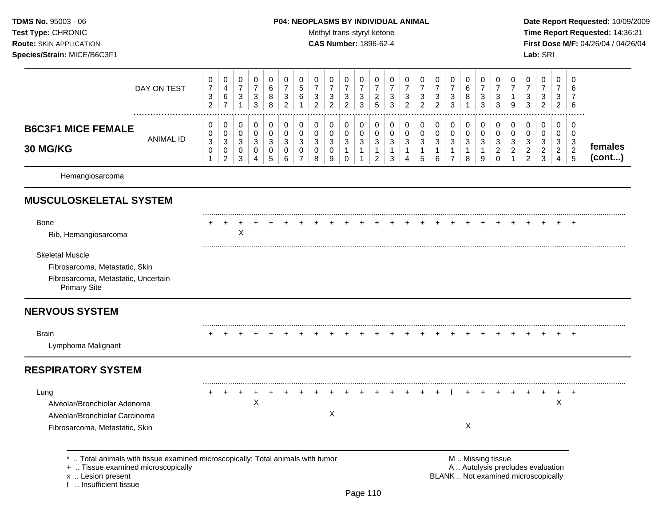# **TDMS No.** 95003 - 06 **P04: NEOPLASMS BY INDIVIDUAL ANIMAL** Date Report Requested: 10/09/2009

Test Type: CHRONIC **Test Type:** CHRONIC **Test Type:** CHRONIC **Time Report Requested:** 14:36:21 **Route:** SKIN APPLICATION **CAS Number:** 1896-62-4 **First Dose M/F:** 04/26/04 / 04/26/04

|                                                                                                                        | DAY ON TEST                                                                  | 0<br>$\boldsymbol{7}$<br>3<br>$\overline{2}$ | 0<br>4<br>$\,6\,$<br>$\overline{7}$                               | 0<br>$\overline{7}$<br>$\mathbf{3}$<br>$\mathbf{1}$ | $\pmb{0}$<br>$\boldsymbol{7}$<br>$\sqrt{3}$<br>3 | 0<br>6<br>8<br>8                        | 0<br>$\overline{7}$<br>3<br>$\overline{2}$ | 0<br>$\sqrt{5}$<br>$\,6\,$                   | 0<br>$\overline{7}$<br>3<br>$\overline{2}$ | 0<br>$\boldsymbol{7}$<br>$\ensuremath{\mathsf{3}}$<br>$\overline{2}$ | 0<br>$\overline{7}$<br>3<br>$\overline{2}$                      | 0<br>7<br>3<br>3                 | 0<br>$\overline{7}$<br>$\overline{c}$<br>5    | 0<br>$\overline{7}$<br>3<br>3              | 0<br>$\overline{7}$<br>3<br>$\overline{2}$ | 0<br>$\boldsymbol{7}$<br>$\sqrt{3}$<br>$\overline{2}$ | 0<br>$\overline{7}$<br>$\sqrt{3}$<br>$\overline{2}$ | 0<br>$\overline{7}$<br>3<br>3                           | 0<br>6<br>8                                | 0<br>$\overline{7}$<br>3<br>3              | 0<br>$\overline{7}$<br>$\sqrt{3}$<br>3                 | 0<br>$\boldsymbol{7}$<br>$\mathbf{1}$<br>9                         | 0<br>$\overline{7}$<br>3<br>3                            | $\mathbf 0$<br>$\overline{7}$<br>3<br>$\overline{c}$    | 0<br>$\overline{7}$<br>3<br>$\overline{2}$      | 0<br>6<br>7<br>6                                                  |                   |
|------------------------------------------------------------------------------------------------------------------------|------------------------------------------------------------------------------|----------------------------------------------|-------------------------------------------------------------------|-----------------------------------------------------|--------------------------------------------------|-----------------------------------------|--------------------------------------------|----------------------------------------------|--------------------------------------------|----------------------------------------------------------------------|-----------------------------------------------------------------|----------------------------------|-----------------------------------------------|--------------------------------------------|--------------------------------------------|-------------------------------------------------------|-----------------------------------------------------|---------------------------------------------------------|--------------------------------------------|--------------------------------------------|--------------------------------------------------------|--------------------------------------------------------------------|----------------------------------------------------------|---------------------------------------------------------|-------------------------------------------------|-------------------------------------------------------------------|-------------------|
| <b>B6C3F1 MICE FEMALE</b><br>30 MG/KG                                                                                  | <b>ANIMAL ID</b>                                                             | 0<br>0<br>3<br>0<br>$\mathbf{1}$             | 0<br>$\mathbf 0$<br>$\mathbf{3}$<br>$\mathbf 0$<br>$\overline{2}$ | 0<br>$\mathbf 0$<br>3<br>$\mathbf 0$<br>3           | 0<br>$\pmb{0}$<br>3<br>0<br>$\overline{4}$       | $\pmb{0}$<br>$\mathbf 0$<br>3<br>0<br>5 | 0<br>$\mathbf 0$<br>3<br>0<br>6            | 0<br>$\mathbf 0$<br>3<br>0<br>$\overline{7}$ | 0<br>0<br>3<br>$\mathbf 0$<br>8            | 0<br>$\mathbf 0$<br>$\ensuremath{\mathsf{3}}$<br>0<br>9              | 0<br>$\mathbf 0$<br>$\mathbf{3}$<br>$\mathbf{1}$<br>$\mathbf 0$ | 0<br>0<br>3<br>$\mathbf{1}$<br>1 | 0<br>0<br>3<br>$\mathbf{1}$<br>$\overline{2}$ | 0<br>$\mathbf 0$<br>3<br>$\mathbf{1}$<br>3 | 0<br>0<br>3<br>$\mathbf{1}$<br>4           | 0<br>0<br>$\mathbf{3}$<br>$\mathbf{1}$<br>5           | 0<br>$\mathbf 0$<br>3<br>$\mathbf{1}$<br>6          | 0<br>$\mathbf 0$<br>3<br>$\mathbf{1}$<br>$\overline{7}$ | 0<br>$\mathbf 0$<br>3<br>$\mathbf{1}$<br>8 | 0<br>$\mathbf 0$<br>3<br>$\mathbf{1}$<br>9 | 0<br>0<br>3<br>$\overline{a}$<br>$\mathbf 0$           | 0<br>$\mathbf 0$<br>$\sqrt{3}$<br>$\overline{2}$<br>$\overline{1}$ | 0<br>0<br>$\sqrt{3}$<br>$\overline{2}$<br>$\overline{2}$ | 0<br>$\mathbf 0$<br>3<br>$\overline{c}$<br>$\mathbf{3}$ | 0<br>0<br>3<br>$\overline{2}$<br>$\overline{4}$ | $\mathbf 0$<br>$\mathbf 0$<br>$\mathbf{3}$<br>$\overline{2}$<br>5 | females<br>(cont) |
| Hemangiosarcoma                                                                                                        |                                                                              |                                              |                                                                   |                                                     |                                                  |                                         |                                            |                                              |                                            |                                                                      |                                                                 |                                  |                                               |                                            |                                            |                                                       |                                                     |                                                         |                                            |                                            |                                                        |                                                                    |                                                          |                                                         |                                                 |                                                                   |                   |
| <b>MUSCULOSKELETAL SYSTEM</b>                                                                                          |                                                                              |                                              |                                                                   |                                                     |                                                  |                                         |                                            |                                              |                                            |                                                                      |                                                                 |                                  |                                               |                                            |                                            |                                                       |                                                     |                                                         |                                            |                                            |                                                        |                                                                    |                                                          |                                                         |                                                 |                                                                   |                   |
| <b>Bone</b><br>Rib, Hemangiosarcoma                                                                                    |                                                                              |                                              |                                                                   | X                                                   |                                                  |                                         |                                            |                                              |                                            |                                                                      |                                                                 |                                  |                                               |                                            |                                            |                                                       |                                                     |                                                         |                                            |                                            |                                                        |                                                                    |                                                          |                                                         |                                                 |                                                                   |                   |
| <b>Skeletal Muscle</b><br>Fibrosarcoma, Metastatic, Skin<br>Fibrosarcoma, Metastatic, Uncertain<br><b>Primary Site</b> |                                                                              |                                              |                                                                   |                                                     |                                                  |                                         |                                            |                                              |                                            |                                                                      |                                                                 |                                  |                                               |                                            |                                            |                                                       |                                                     |                                                         |                                            |                                            |                                                        |                                                                    |                                                          |                                                         |                                                 |                                                                   |                   |
| <b>NERVOUS SYSTEM</b>                                                                                                  |                                                                              |                                              |                                                                   |                                                     |                                                  |                                         |                                            |                                              |                                            |                                                                      |                                                                 |                                  |                                               |                                            |                                            |                                                       |                                                     |                                                         |                                            |                                            |                                                        |                                                                    |                                                          |                                                         |                                                 |                                                                   |                   |
| <b>Brain</b><br>Lymphoma Malignant                                                                                     |                                                                              |                                              |                                                                   |                                                     |                                                  |                                         |                                            |                                              |                                            |                                                                      |                                                                 |                                  |                                               |                                            |                                            |                                                       |                                                     |                                                         |                                            |                                            |                                                        |                                                                    |                                                          |                                                         |                                                 |                                                                   |                   |
| <b>RESPIRATORY SYSTEM</b>                                                                                              |                                                                              |                                              |                                                                   |                                                     |                                                  |                                         |                                            |                                              |                                            |                                                                      |                                                                 |                                  |                                               |                                            |                                            |                                                       |                                                     |                                                         |                                            |                                            |                                                        |                                                                    |                                                          |                                                         |                                                 |                                                                   |                   |
| Lung<br>Alveolar/Bronchiolar Adenoma<br>Alveolar/Bronchiolar Carcinoma<br>Fibrosarcoma, Metastatic, Skin               |                                                                              |                                              |                                                                   |                                                     | $\boldsymbol{\mathsf{X}}$                        |                                         |                                            |                                              |                                            | X                                                                    |                                                                 |                                  |                                               |                                            |                                            |                                                       |                                                     |                                                         | X                                          |                                            |                                                        |                                                                    |                                                          |                                                         | $\mathsf X$                                     |                                                                   |                   |
| +  Tissue examined microscopically                                                                                     | Total animals with tissue examined microscopically; Total animals with tumor |                                              |                                                                   |                                                     |                                                  |                                         |                                            |                                              |                                            |                                                                      |                                                                 |                                  |                                               |                                            |                                            |                                                       |                                                     |                                                         |                                            |                                            | M  Missing tissue<br>A  Autolysis precludes evaluation |                                                                    |                                                          |                                                         |                                                 |                                                                   |                   |

x .. Lesion present<br>I .. Insufficient tissue

x .. Lesion present BLANK .. Not examined microscopically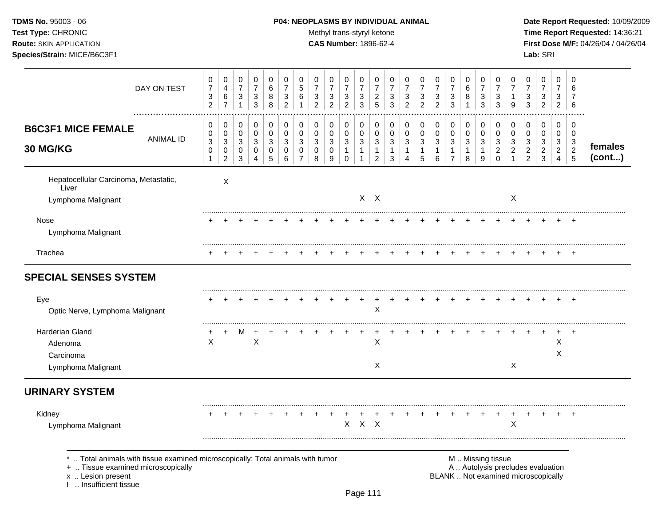# **TDMS No.** 95003 - 06 **P04: NEOPLASMS BY INDIVIDUAL ANIMAL** Date Report Requested: 10/09/2009

Test Type: CHRONIC **Test Type:** CHRONIC **Test Type:** CHRONIC **Time Report Requested:** 14:36:21 **Route:** SKIN APPLICATION **CAS Number:** 1896-62-4 **First Dose M/F:** 04/26/04 / 04/26/04

|                                                                                                                                                                      | DAY ON TEST      | 0<br>$\overline{7}$<br>$\ensuremath{\mathsf{3}}$<br>$\overline{2}$ | 0<br>$\overline{4}$<br>6<br>$\overline{7}$             | 0<br>$\boldsymbol{7}$<br>$\mathbf{3}$<br>$\mathbf{1}$ | 0<br>$\overline{7}$<br>3<br>$\mathbf{3}$ | 0<br>6<br>8<br>8              | 0<br>$\overline{7}$<br>3<br>$\overline{c}$ | 0<br>5<br>6                                  | 0<br>$\overline{7}$<br>3<br>$\overline{2}$ | 0<br>$\overline{7}$<br>$\ensuremath{\mathsf{3}}$<br>$\overline{c}$ | 0<br>$\overline{7}$<br>$\sqrt{3}$<br>$\overline{c}$ | 0<br>$\overline{7}$<br>3<br>3            | 0<br>7<br>$\overline{2}$<br>5                            | 0<br>$\overline{7}$<br>3<br>3 | 0<br>$\overline{7}$<br>$\ensuremath{\mathsf{3}}$<br>$\overline{2}$ | 0<br>$\overline{7}$<br>$\sqrt{3}$<br>$\overline{2}$ | 0<br>$\overline{7}$<br>$\sqrt{3}$<br>$\overline{2}$ | 0<br>$\overline{7}$<br>$\ensuremath{\mathsf{3}}$<br>3 | 0<br>6<br>8<br>$\mathbf{1}$     | 0<br>$\overline{7}$<br>$\mathbf{3}$<br>3 | 0<br>$\overline{7}$<br>3<br>3                       | 0<br>$\overline{7}$<br>$\mathbf{1}$<br>9      | 0<br>$\overline{7}$<br>$\sqrt{3}$<br>3                     | 0<br>$\overline{7}$<br>3<br>$\overline{2}$ | 0<br>7<br>3<br>$\overline{2}$                          | 0<br>6<br>$\overline{7}$<br>6                   |                   |
|----------------------------------------------------------------------------------------------------------------------------------------------------------------------|------------------|--------------------------------------------------------------------|--------------------------------------------------------|-------------------------------------------------------|------------------------------------------|-------------------------------|--------------------------------------------|----------------------------------------------|--------------------------------------------|--------------------------------------------------------------------|-----------------------------------------------------|------------------------------------------|----------------------------------------------------------|-------------------------------|--------------------------------------------------------------------|-----------------------------------------------------|-----------------------------------------------------|-------------------------------------------------------|---------------------------------|------------------------------------------|-----------------------------------------------------|-----------------------------------------------|------------------------------------------------------------|--------------------------------------------|--------------------------------------------------------|-------------------------------------------------|-------------------|
| <b>B6C3F1 MICE FEMALE</b><br>30 MG/KG                                                                                                                                | <b>ANIMAL ID</b> | 0<br>0<br>$\sqrt{3}$<br>$\mathbf 0$                                | 0<br>0<br>$\mathbf{3}$<br>0<br>$\overline{\mathbf{c}}$ | 0<br>0<br>$\mathbf{3}$<br>0<br>3                      | 0<br>$\mathbf 0$<br>3<br>0<br>4          | 0<br>$\pmb{0}$<br>3<br>0<br>5 | 0<br>0<br>3<br>0<br>6                      | 0<br>$\mathbf 0$<br>3<br>0<br>$\overline{7}$ | 0<br>0<br>3<br>0<br>8                      | 0<br>$\mathbf 0$<br>3<br>0<br>9                                    | 0<br>0<br>$\mathbf{3}$<br>$\mathbf{1}$<br>$\Omega$  | 0<br>$\pmb{0}$<br>3<br>$\mathbf{1}$<br>1 | 0<br>0<br>$\mathbf{3}$<br>$\mathbf{1}$<br>$\overline{2}$ | 0<br>0<br>3<br>1<br>3         | 0<br>0<br>$\sqrt{3}$<br>$\mathbf{1}$<br>$\overline{4}$             | 0<br>$\pmb{0}$<br>$\sqrt{3}$<br>$\mathbf{1}$<br>5   | 0<br>$\pmb{0}$<br>$\sqrt{3}$<br>$\mathbf{1}$<br>6   | 0<br>$\pmb{0}$<br>3<br>1<br>$\overline{7}$            | 0<br>$\mathbf 0$<br>3<br>1<br>8 | 0<br>0<br>3<br>$\mathbf 1$<br>9          | 0<br>$\mathbf 0$<br>3<br>$\overline{c}$<br>$\Omega$ | 0<br>0<br>3<br>$\overline{c}$<br>$\mathbf{1}$ | 0<br>0<br>$\mathbf{3}$<br>$\overline{2}$<br>$\overline{c}$ | 0<br>0<br>3<br>$\overline{2}$<br>3         | $\mathbf 0$<br>$\mathbf 0$<br>3<br>$\overline{2}$<br>4 | 0<br>0<br>3<br>$\overline{c}$<br>$\overline{5}$ | females<br>(cont) |
| Hepatocellular Carcinoma, Metastatic,<br>Liver<br>Lymphoma Malignant                                                                                                 |                  |                                                                    | X                                                      |                                                       |                                          |                               |                                            |                                              |                                            |                                                                    |                                                     |                                          | $X$ $X$                                                  |                               |                                                                    |                                                     |                                                     |                                                       |                                 |                                          |                                                     | X                                             |                                                            |                                            |                                                        |                                                 |                   |
| Nose<br>Lymphoma Malignant                                                                                                                                           |                  |                                                                    |                                                        |                                                       |                                          |                               |                                            |                                              |                                            |                                                                    |                                                     |                                          |                                                          |                               |                                                                    |                                                     |                                                     |                                                       |                                 |                                          |                                                     |                                               |                                                            |                                            |                                                        |                                                 |                   |
| Trachea                                                                                                                                                              |                  |                                                                    |                                                        |                                                       |                                          |                               |                                            |                                              |                                            |                                                                    |                                                     |                                          |                                                          |                               |                                                                    |                                                     |                                                     |                                                       |                                 |                                          |                                                     |                                               |                                                            |                                            |                                                        |                                                 |                   |
| <b>SPECIAL SENSES SYSTEM</b>                                                                                                                                         |                  |                                                                    |                                                        |                                                       |                                          |                               |                                            |                                              |                                            |                                                                    |                                                     |                                          |                                                          |                               |                                                                    |                                                     |                                                     |                                                       |                                 |                                          |                                                     |                                               |                                                            |                                            |                                                        |                                                 |                   |
| Eye<br>Optic Nerve, Lymphoma Malignant                                                                                                                               |                  |                                                                    |                                                        |                                                       |                                          |                               |                                            |                                              |                                            |                                                                    |                                                     | $\ddot{}$                                | $\pmb{\times}$                                           |                               |                                                                    |                                                     |                                                     |                                                       |                                 |                                          |                                                     |                                               |                                                            |                                            |                                                        |                                                 |                   |
| Harderian Gland<br>Adenoma<br>Carcinoma<br>Lymphoma Malignant                                                                                                        |                  | $\times$                                                           |                                                        | M                                                     | $\times$                                 |                               |                                            |                                              |                                            |                                                                    |                                                     |                                          | $\sf X$<br>X                                             |                               |                                                                    |                                                     |                                                     |                                                       |                                 |                                          |                                                     | X                                             |                                                            |                                            | X<br>Χ                                                 |                                                 |                   |
| <b>URINARY SYSTEM</b>                                                                                                                                                |                  |                                                                    |                                                        |                                                       |                                          |                               |                                            |                                              |                                            |                                                                    |                                                     |                                          |                                                          |                               |                                                                    |                                                     |                                                     |                                                       |                                 |                                          |                                                     |                                               |                                                            |                                            |                                                        |                                                 |                   |
| Kidney<br>Lymphoma Malignant                                                                                                                                         |                  |                                                                    |                                                        |                                                       |                                          |                               |                                            |                                              |                                            |                                                                    |                                                     | $X$ $X$ $X$                              |                                                          |                               |                                                                    |                                                     |                                                     |                                                       |                                 |                                          |                                                     | $\ddot{}$<br>X                                |                                                            |                                            | $\ddot{}$                                              | $\ddot{}$                                       |                   |
| *  Total animals with tissue examined microscopically; Total animals with tumor<br>+  Tissue examined microscopically<br>x  Lesion present<br>1  Insufficient tissue |                  |                                                                    |                                                        |                                                       |                                          |                               |                                            |                                              |                                            |                                                                    |                                                     |                                          |                                                          |                               |                                                                    |                                                     |                                                     | BLANK  Not examined microscopically                   |                                 |                                          | M  Missing tissue                                   | A  Autolysis precludes evaluation             |                                                            |                                            |                                                        |                                                 |                   |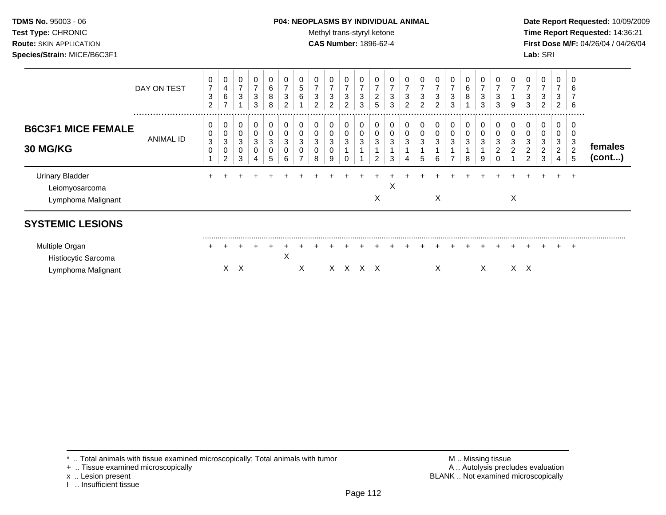# **TDMS No.** 95003 - 06 **P04: NEOPLASMS BY INDIVIDUAL ANIMAL** Date Report Requested: 10/09/2009

Test Type: CHRONIC **Test Type:** CHRONIC **Test Type:** CHRONIC **Time Report Requested:** 14:36:21 **Route:** SKIN APPLICATION **CAS Number:** 1896-62-4 **First Dose M/F:** 04/26/04 / 04/26/04

|                                                                | DAY ON TEST   | 0<br>$\overline{7}$<br>3<br>$\overline{2}$ | 0<br>4<br>6<br>$\overline{ }$ | 0<br>$\overline{7}$<br>3 | $\pmb{0}$<br>$\overline{7}$<br>3<br>3 | 0<br>6<br>8<br>8 | $\mathbf 0$<br>$\overline{ }$<br>3<br>$\overline{2}$ | $\mathbf 0$<br>5<br>6 | 0<br>⇁<br>3<br>2      | 0<br>$\overline{7}$<br>3<br>2 | 0<br>$\overline{7}$<br>3<br>2 | 0<br>$\overline{ }$<br>3<br>3 | 0<br>$\overline{ }$<br>$\overline{\mathbf{c}}$<br>5 | 0<br>$\overline{ }$<br>3<br>3 | 7<br>3<br>2 | 0<br>$\overline{ }$<br>$\ensuremath{\mathsf{3}}$<br>$\overline{2}$ | 0<br>$\overline{7}$<br>3<br>2 | 0<br>$\overline{7}$<br>3<br>3 | 0<br>6<br>8                         | 0<br>$\overline{ }$<br>3<br>3 | 0<br>⇁<br>3<br>3 | 0<br>9 | $\,0\,$<br>$\overline{ }$<br>3<br>3                      | 0<br>$\overline{7}$<br>3<br>2      | 0<br>$\overline{7}$<br>3<br>2      | 0<br>6<br>6                            |                   |
|----------------------------------------------------------------|---------------|--------------------------------------------|-------------------------------|--------------------------|---------------------------------------|------------------|------------------------------------------------------|-----------------------|-----------------------|-------------------------------|-------------------------------|-------------------------------|-----------------------------------------------------|-------------------------------|-------------|--------------------------------------------------------------------|-------------------------------|-------------------------------|-------------------------------------|-------------------------------|------------------|--------|----------------------------------------------------------|------------------------------------|------------------------------------|----------------------------------------|-------------------|
| <b>B6C3F1 MICE FEMALE</b><br>30 MG/KG                          | <br>ANIMAL ID | 0<br>0<br>$\mathbf{3}$<br>0                | 0<br>0<br>3<br>0<br>2         | 0<br>0<br>3<br>0<br>3    | 0<br>0<br>3<br>0<br>4                 | 0<br>0<br>3<br>5 | 0<br>0<br>3<br>0<br>6                                | 0                     | 0<br>0<br>3<br>0<br>8 | 0<br>0<br>3<br>0<br>9         | 0<br>0<br>3                   | 0<br>0<br>3                   | 0<br>0<br>3<br>2                                    | 0<br>0<br>3<br>3              | 0           | 0<br>0<br>3<br>5                                                   | 0<br>0<br>3<br>6              | 0<br>0<br>3<br>⇁              | 0<br>$\pmb{0}$<br>$\mathbf{3}$<br>8 | 0<br>0<br>3<br>9              | 0<br>3<br>0      | 0      | 0<br>0<br>3<br>$\overline{\mathbf{c}}$<br>$\overline{2}$ | 0<br>0<br>3<br>$\overline{c}$<br>3 | 0<br>0<br>3<br>$\overline{2}$<br>4 | <br>0<br>0<br>3<br>$\overline{c}$<br>5 | females<br>(cont) |
| <b>Urinary Bladder</b><br>Leiomyosarcoma<br>Lymphoma Malignant |               |                                            |                               |                          |                                       |                  |                                                      |                       |                       |                               |                               |                               | X                                                   | X                             |             |                                                                    | X                             |                               |                                     |                               |                  | X      |                                                          |                                    |                                    |                                        |                   |
| <b>SYSTEMIC LESIONS</b>                                        |               |                                            |                               |                          |                                       |                  |                                                      |                       |                       |                               |                               |                               |                                                     |                               |             |                                                                    |                               |                               |                                     |                               |                  |        |                                                          |                                    |                                    |                                        |                   |
| Multiple Organ<br>Histiocytic Sarcoma<br>Lymphoma Malignant    |               |                                            | X.                            | Χ                        |                                       |                  | X                                                    | X                     |                       |                               | X X X X                       |                               |                                                     |                               |             |                                                                    | х                             |                               |                                     | Χ                             |                  |        | $X \times$                                               |                                    | $\pm$                              | $\div$                                 |                   |

\* .. Total animals with tissue examined microscopically; Total animals with tumor <br>
+ .. Tissue examined microscopically<br>
+ .. Tissue examined microscopically

+ .. Tissue examined microscopically

I .. Insufficient tissue

x .. Lesion present **BLANK** .. Not examined microscopically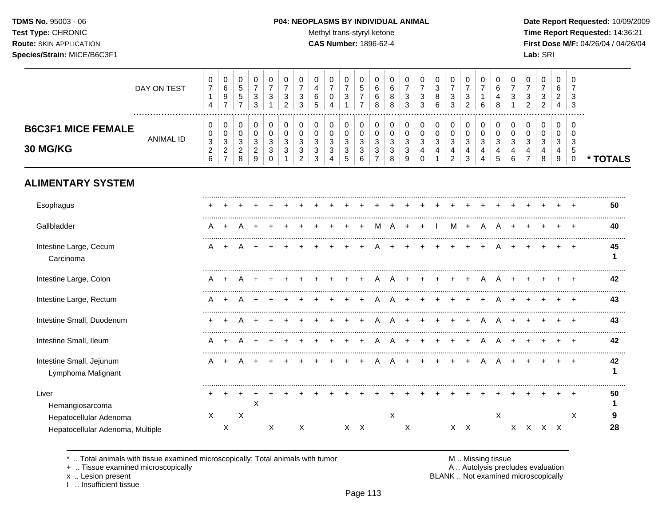# **TDMS No.** 95003 - 06 **P04: NEOPLASMS BY INDIVIDUAL ANIMAL** Date Report Requested: 10/09/2009

Test Type: CHRONIC **Test Type:** CHRONIC **Test Type:** CHRONIC **Time Report Requested:** 14:36:21 **Route:** SKIN APPLICATION **CAS Number:** 1896-62-4 **First Dose M/F:** 04/26/04 / 04/26/04

|                                                            | DAY ON TEST      | 0<br>$\overline{7}$<br>$\mathbf{1}$<br>$\overline{4}$                   | 0<br>6<br>9<br>$\overline{7}$                                      | 0<br>$\sqrt{5}$<br>$\sqrt{5}$<br>$\overline{7}$       | 0<br>$\overline{7}$<br>$\ensuremath{\mathsf{3}}$<br>$\sqrt{3}$       | 0<br>$\overline{7}$<br>3               | 0<br>$\overline{7}$<br>$\ensuremath{\mathsf{3}}$<br>$\overline{2}$ | 0<br>$\overline{7}$<br>3<br>3                        | $\pmb{0}$<br>$\overline{\mathbf{4}}$<br>6<br>5 | 0<br>$\overline{7}$<br>$\mathbf 0$<br>$\boldsymbol{\Lambda}$ | 0<br>$\overline{7}$<br>$\sqrt{3}$<br>$\mathbf{1}$        | 0<br>5<br>$\overline{7}$<br>$\overline{7}$ | $\Omega$<br>6<br>6<br>8                                           | 0<br>6<br>8<br>8                         | 0<br>$\overline{7}$<br>3<br>3             | 0<br>$\overline{7}$<br>3<br>3                                  | 0<br>$\mathfrak{S}$<br>$\bf 8$<br>6   | $\pmb{0}$<br>$\boldsymbol{7}$<br>$\ensuremath{\mathsf{3}}$<br>3                   | 0<br>$\overline{7}$<br>$\sqrt{3}$<br>$\overline{2}$  | 0<br>$\overline{7}$<br>$\mathbf{1}$<br>6       | 0<br>$\,6$<br>4<br>8                       | 0<br>$\overline{7}$<br>$\sqrt{3}$                       | 0<br>$\overline{7}$<br>3<br>$\overline{2}$         | 0<br>$\overline{7}$<br>$\ensuremath{\mathsf{3}}$<br>$\overline{2}$ | 0<br>6<br>$\overline{2}$<br>4 | 0<br>7<br>3<br>3                       |          |
|------------------------------------------------------------|------------------|-------------------------------------------------------------------------|--------------------------------------------------------------------|-------------------------------------------------------|----------------------------------------------------------------------|----------------------------------------|--------------------------------------------------------------------|------------------------------------------------------|------------------------------------------------|--------------------------------------------------------------|----------------------------------------------------------|--------------------------------------------|-------------------------------------------------------------------|------------------------------------------|-------------------------------------------|----------------------------------------------------------------|---------------------------------------|-----------------------------------------------------------------------------------|------------------------------------------------------|------------------------------------------------|--------------------------------------------|---------------------------------------------------------|----------------------------------------------------|--------------------------------------------------------------------|-------------------------------|----------------------------------------|----------|
| <b>B6C3F1 MICE FEMALE</b><br>30 MG/KG                      | <b>ANIMAL ID</b> | 0<br>0<br>$\ensuremath{\mathsf{3}}$<br>$\overline{c}$<br>$6\phantom{a}$ | 0<br>$\mathbf 0$<br>$\sqrt{3}$<br>$\overline{2}$<br>$\overline{7}$ | 0<br>$\mathbf 0$<br>$\sqrt{3}$<br>$\overline{c}$<br>8 | 0<br>$\mathbf 0$<br>$\ensuremath{\mathsf{3}}$<br>$\overline{2}$<br>9 | 0<br>$\Omega$<br>3<br>3<br>$\mathbf 0$ | $\pmb{0}$<br>$\Omega$<br>3<br>3                                    | 0<br>$\Omega$<br>$\mathbf{3}$<br>3<br>$\overline{2}$ | 0<br>$\Omega$<br>$\mathbf{3}$<br>3<br>3        | 0<br>$\mathbf 0$<br>3<br>3<br>$\overline{4}$                 | 0<br>0<br>$\ensuremath{\mathsf{3}}$<br>$\mathbf{3}$<br>5 | 0<br>$\mathbf 0$<br>$\sqrt{3}$<br>3<br>6   | 0<br>$\Omega$<br>$\ensuremath{\mathsf{3}}$<br>3<br>$\overline{7}$ | 0<br>$\mathbf 0$<br>$\sqrt{3}$<br>3<br>8 | 0<br>$\mathbf 0$<br>$\mathbf 3$<br>3<br>9 | 0<br>$\mathbf 0$<br>$\ensuremath{\mathsf{3}}$<br>4<br>$\Omega$ | 0<br>$\mathbf 0$<br>$\mathbf{3}$<br>4 | $\pmb{0}$<br>$\boldsymbol{0}$<br>$\ensuremath{\mathsf{3}}$<br>4<br>$\overline{2}$ | 0<br>$\mathbf 0$<br>$\mathsf 3$<br>4<br>$\mathbf{3}$ | $\,0\,$<br>$\mathbf 0$<br>$\sqrt{3}$<br>4<br>4 | 0<br>$\mathbf 0$<br>$\mathbf{3}$<br>4<br>5 | 0<br>$\mathbf 0$<br>$\ensuremath{\mathsf{3}}$<br>4<br>6 | 0<br>$\Omega$<br>$\sqrt{3}$<br>4<br>$\overline{7}$ | 0<br>$\mathbf 0$<br>$\mathbf{3}$<br>4<br>8                         | 0<br>$\Omega$<br>3<br>4<br>9  | 0<br>$\Omega$<br>3<br>5<br>$\mathbf 0$ | * TOTALS |
| <b>ALIMENTARY SYSTEM</b>                                   |                  |                                                                         |                                                                    |                                                       |                                                                      |                                        |                                                                    |                                                      |                                                |                                                              |                                                          |                                            |                                                                   |                                          |                                           |                                                                |                                       |                                                                                   |                                                      |                                                |                                            |                                                         |                                                    |                                                                    |                               |                                        |          |
| Esophagus                                                  |                  |                                                                         |                                                                    |                                                       |                                                                      |                                        |                                                                    |                                                      |                                                |                                                              |                                                          |                                            |                                                                   |                                          |                                           |                                                                |                                       |                                                                                   |                                                      |                                                |                                            |                                                         |                                                    |                                                                    |                               |                                        | 50       |
| Gallbladder                                                |                  | А                                                                       |                                                                    |                                                       |                                                                      |                                        |                                                                    |                                                      |                                                |                                                              |                                                          |                                            | м                                                                 | А                                        |                                           |                                                                |                                       | М                                                                                 | $+$                                                  | A                                              |                                            |                                                         |                                                    |                                                                    |                               |                                        | 40       |
| Intestine Large, Cecum<br>Carcinoma                        |                  | A                                                                       |                                                                    |                                                       |                                                                      |                                        |                                                                    |                                                      |                                                |                                                              |                                                          |                                            |                                                                   |                                          |                                           |                                                                |                                       |                                                                                   |                                                      |                                                |                                            |                                                         |                                                    |                                                                    |                               |                                        | 45<br>1  |
| Intestine Large, Colon                                     |                  | A                                                                       | $\ddot{}$                                                          | A                                                     |                                                                      |                                        |                                                                    |                                                      |                                                |                                                              |                                                          |                                            | A                                                                 | A                                        |                                           | $\pm$                                                          | $\div$                                | $\ddot{}$                                                                         | $\ddot{}$                                            | $\mathsf{A}$                                   | $\mathsf{A}$                               | $\ddot{}$                                               |                                                    |                                                                    |                               |                                        | 42       |
| Intestine Large, Rectum                                    |                  | A                                                                       |                                                                    |                                                       |                                                                      |                                        |                                                                    |                                                      |                                                |                                                              |                                                          |                                            |                                                                   |                                          |                                           |                                                                |                                       |                                                                                   |                                                      |                                                |                                            |                                                         |                                                    |                                                                    |                               |                                        | 43       |
| Intestine Small, Duodenum                                  |                  |                                                                         |                                                                    |                                                       |                                                                      |                                        |                                                                    |                                                      |                                                |                                                              |                                                          |                                            |                                                                   |                                          |                                           |                                                                |                                       |                                                                                   |                                                      | A                                              |                                            |                                                         |                                                    |                                                                    |                               |                                        | 43       |
| Intestine Small, Ileum                                     |                  | A                                                                       |                                                                    |                                                       |                                                                      |                                        |                                                                    |                                                      |                                                |                                                              |                                                          |                                            |                                                                   |                                          |                                           |                                                                |                                       |                                                                                   |                                                      |                                                | Α                                          |                                                         |                                                    |                                                                    |                               |                                        | 42       |
| Intestine Small, Jejunum<br>Lymphoma Malignant             |                  | A                                                                       |                                                                    |                                                       |                                                                      |                                        |                                                                    |                                                      |                                                |                                                              |                                                          |                                            |                                                                   |                                          |                                           |                                                                |                                       |                                                                                   |                                                      |                                                |                                            |                                                         |                                                    |                                                                    |                               |                                        | 42<br>1  |
| Liver<br>Hemangiosarcoma                                   |                  |                                                                         |                                                                    |                                                       | X                                                                    |                                        |                                                                    |                                                      |                                                |                                                              |                                                          |                                            |                                                                   |                                          |                                           |                                                                |                                       |                                                                                   |                                                      |                                                |                                            |                                                         |                                                    |                                                                    |                               |                                        | 50       |
| Hepatocellular Adenoma<br>Hepatocellular Adenoma, Multiple |                  | X                                                                       | X                                                                  | $\boldsymbol{\mathsf{X}}$                             |                                                                      | Χ                                      |                                                                    | X                                                    |                                                |                                                              |                                                          | $X$ $X$                                    |                                                                   | X                                        | X                                         |                                                                |                                       |                                                                                   | $X \times$                                           |                                                | $\times$                                   |                                                         | X X X X                                            |                                                                    |                               | X                                      | 9<br>28  |

\* .. Total animals with tissue examined microscopically; Total animals with tumor M .. Missing tissue M .. Missing tissue<br>A .. Autolysis precludes evaluation<br>A .. Autolysis precludes evaluation

+ .. Tissue examined microscopically

x .. Lesion present<br>I .. Insufficient tissue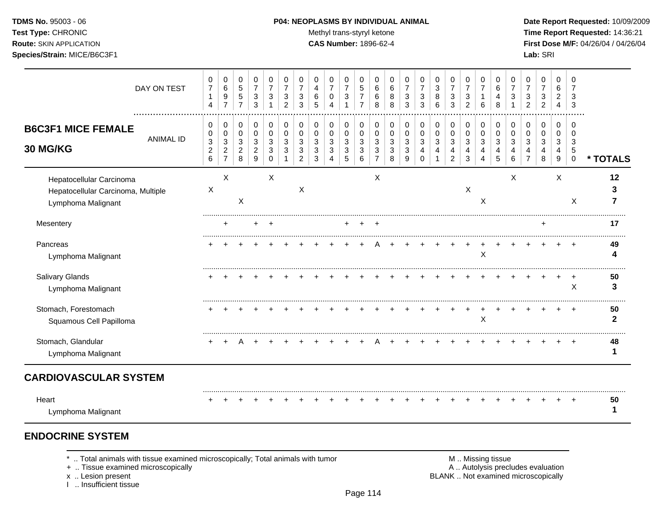#### **TDMS No.** 95003 - 06 **P04: NEOPLASMS BY INDIVIDUAL ANIMAL Date Report Requested:** 10/09/2009

Test Type: CHRONIC **Test Type:** CHRONIC **Test Type:** CHRONIC **Time Report Requested:** 14:36:21 **Route:** SKIN APPLICATION **CAS Number:** 1896-62-4 **First Dose M/F:** 04/26/04 / 04/26/04

| DAY ON TEST                                                                          | 0<br>$\boldsymbol{7}$<br>$\mathbf{1}$<br>$\overline{4}$    | 0<br>$\,6\,$<br>9<br>$\overline{7}$                  | 0<br>$\sqrt{5}$<br>$\,$ 5 $\,$<br>$\overline{7}$      | 0<br>$\overline{7}$<br>3<br>3                       | 0<br>$\overline{7}$<br>3     | 0<br>$\overline{7}$<br>3<br>$\mathcal{P}$ | 0<br>$\overline{7}$<br>3<br>3      | 0<br>4<br>6<br>5               | 0<br>$\overline{7}$<br>0<br>4                    | 0<br>$\boldsymbol{7}$<br>3<br>1          | 0<br>5<br>$\overline{7}$<br>$\overline{7}$ | 0<br>6<br>6<br>8                | 0<br>6<br>8<br>8      | 0<br>$\overline{7}$<br>3<br>3 | 0<br>$\overline{7}$<br>3<br>3                   | 0<br>$\ensuremath{\mathsf{3}}$<br>8<br>6 | 0<br>$\overline{7}$<br>$\sqrt{3}$<br>3                | 0<br>$\overline{7}$<br>3<br>2                  | 0<br>$\overline{7}$<br>6   | 0<br>6<br>4<br>8 | 0<br>$\overline{7}$<br>3     | 0<br>$\overline{7}$<br>3<br>$\mathfrak{p}$ | 0<br>$\overline{7}$<br>3<br>2 | $\mathbf 0$<br>6<br>2<br>4                | 0<br>$\overline{7}$<br>3<br>3                 |          |
|--------------------------------------------------------------------------------------|------------------------------------------------------------|------------------------------------------------------|-------------------------------------------------------|-----------------------------------------------------|------------------------------|-------------------------------------------|------------------------------------|--------------------------------|--------------------------------------------------|------------------------------------------|--------------------------------------------|---------------------------------|-----------------------|-------------------------------|-------------------------------------------------|------------------------------------------|-------------------------------------------------------|------------------------------------------------|----------------------------|------------------|------------------------------|--------------------------------------------|-------------------------------|-------------------------------------------|-----------------------------------------------|----------|
| <b>B6C3F1 MICE FEMALE</b><br><b>ANIMAL ID</b><br>30 MG/KG                            | 0<br>0<br>$\mathbf{3}$<br>$\overline{c}$<br>$6\phantom{1}$ | 0<br>0<br>$\sqrt{3}$<br>$\sqrt{2}$<br>$\overline{7}$ | 0<br>$\mathbf 0$<br>$\sqrt{3}$<br>$\overline{c}$<br>8 | 0<br>$\pmb{0}$<br>3<br>$\overline{\mathbf{c}}$<br>9 | 0<br>$\Omega$<br>3<br>3<br>0 | 0<br>0<br>3                               | 0<br>0<br>3<br>3<br>$\overline{2}$ | 0<br>0<br>$\sqrt{3}$<br>3<br>3 | $\pmb{0}$<br>$\pmb{0}$<br>$\mathbf{3}$<br>3<br>4 | 0<br>$\pmb{0}$<br>$\mathbf{3}$<br>3<br>5 | 0<br>0<br>3<br>3<br>6                      | 0<br>$\mathbf 0$<br>3<br>3<br>7 | 0<br>0<br>3<br>3<br>8 | 0<br>0<br>3<br>3<br>9         | 0<br>$\pmb{0}$<br>$\mathbf{3}$<br>4<br>$\Omega$ | 0<br>$\pmb{0}$<br>$\mathbf{3}$<br>4      | 0<br>$\pmb{0}$<br>$\mathbf{3}$<br>4<br>$\overline{c}$ | $\,0\,$<br>$\pmb{0}$<br>$\mathbf{3}$<br>4<br>3 | 0<br>$\mathbf 0$<br>3<br>4 | 0<br>0<br>3<br>5 | 0<br>$\Omega$<br>3<br>4<br>6 | 0<br>$\Omega$<br>3<br>$\overline{7}$       | 0<br>0<br>3<br>4<br>8         | $\mathbf 0$<br>$\mathbf 0$<br>3<br>4<br>9 | $\Omega$<br>$\Omega$<br>3<br>5<br>$\mathbf 0$ | * TOTALS |
| Hepatocellular Carcinoma<br>Hepatocellular Carcinoma, Multiple<br>Lymphoma Malignant | X                                                          | X                                                    | X                                                     |                                                     | X                            |                                           | X                                  |                                |                                                  |                                          |                                            | X                               |                       |                               |                                                 |                                          |                                                       | $\boldsymbol{\mathsf{X}}$                      | X                          |                  | X                            |                                            |                               | X                                         | X                                             | 12<br>з  |
| Mesentery                                                                            |                                                            |                                                      |                                                       |                                                     |                              |                                           |                                    |                                |                                                  |                                          |                                            |                                 |                       |                               |                                                 |                                          |                                                       |                                                |                            |                  |                              |                                            |                               |                                           |                                               | 17       |
| Pancreas<br>Lymphoma Malignant                                                       |                                                            |                                                      |                                                       |                                                     |                              |                                           |                                    |                                |                                                  |                                          |                                            |                                 |                       |                               |                                                 |                                          |                                                       |                                                | Χ                          |                  |                              |                                            |                               |                                           |                                               | 49       |
| Salivary Glands<br>Lymphoma Malignant                                                |                                                            |                                                      |                                                       |                                                     |                              |                                           |                                    |                                |                                                  |                                          |                                            |                                 |                       |                               |                                                 |                                          |                                                       |                                                |                            |                  |                              |                                            |                               |                                           | X                                             | 50<br>3  |
| Stomach, Forestomach<br>Squamous Cell Papilloma                                      |                                                            |                                                      |                                                       |                                                     |                              |                                           |                                    |                                |                                                  |                                          |                                            |                                 |                       |                               |                                                 |                                          |                                                       |                                                | X                          |                  |                              |                                            |                               |                                           |                                               | 50<br>2  |
| Stomach, Glandular<br>Lymphoma Malignant                                             |                                                            |                                                      |                                                       |                                                     |                              |                                           |                                    |                                |                                                  |                                          |                                            |                                 |                       |                               |                                                 |                                          |                                                       |                                                |                            |                  |                              |                                            |                               |                                           |                                               | 48       |
| <b>CARDIOVASCULAR SYSTEM</b>                                                         |                                                            |                                                      |                                                       |                                                     |                              |                                           |                                    |                                |                                                  |                                          |                                            |                                 |                       |                               |                                                 |                                          |                                                       |                                                |                            |                  |                              |                                            |                               |                                           |                                               |          |
| Heart<br>Lymphoma Malignant                                                          |                                                            |                                                      |                                                       |                                                     |                              |                                           |                                    |                                |                                                  |                                          |                                            |                                 |                       |                               |                                                 |                                          |                                                       |                                                |                            |                  |                              |                                            |                               |                                           |                                               | 50       |

# **ENDOCRINE SYSTEM**

\* .. Total animals with tissue examined microscopically; Total animals with tumor <br>
+ .. Tissue examined microscopically<br>
+ .. Tissue examined microscopically

+ .. Tissue examined microscopically

x .. Lesion present<br>I .. Insufficient tissue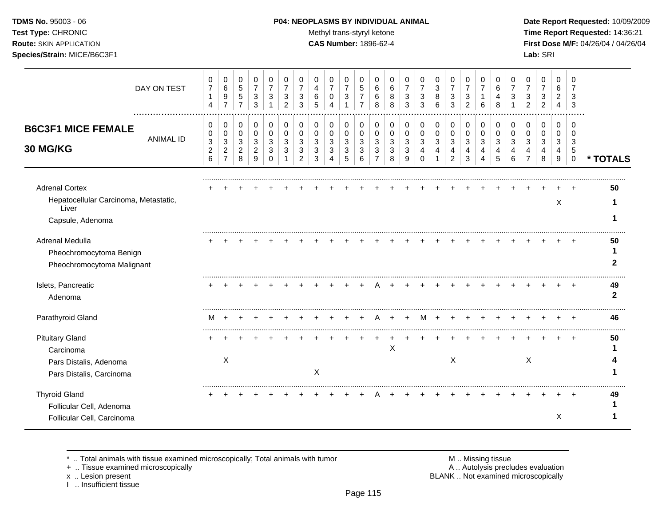**TDMS No.** 95003 - 06 **P04: NEOPLASMS BY INDIVIDUAL ANIMAL** Date Report Requested: 10/09/2009 **Test Type:** CHRONIC **Trans-styryl ketone** Methyl trans-styryl ketone **Time Report Requested:** 14:36:21 **Route:** SKIN APPLICATION **CAS Number:** 1896-62-4 **First Dose M/F:** 04/26/04 / 04/26/04

|                                                                                           | DAY ON TEST      | 0<br>7<br>1<br>$\overline{4}$ | 0<br>6<br>$\boldsymbol{9}$<br>$\overline{7}$ | 0<br>$\sqrt{5}$<br>$\sqrt{5}$<br>$\overline{7}$ | 0<br>$\boldsymbol{7}$<br>3<br>3  | 0<br>$\overline{7}$<br>3         | 0<br>$\overline{7}$<br>3<br>$\overline{c}$ | 0<br>$\overline{7}$<br>3<br>3 | 0<br>4<br>6<br>5      | 0<br>$\overline{7}$<br>0 | 0<br>$\overline{7}$<br>3         | 0<br>5<br>$\overline{7}$<br>$\overline{7}$ | 0<br>6<br>6<br>8      | 0<br>6<br>8<br>8 | 0<br>$\overline{7}$<br>3<br>3 | 0<br>$\overline{7}$<br>3<br>3 | 0<br>$\mathbf{3}$<br>8<br>6 | 0<br>$\overline{7}$<br>3<br>3 | 0<br>$\overline{7}$<br>3<br>2  | 0<br>$\overline{7}$<br>6 | 0<br>6<br>4<br>8 | 0<br>7<br>3 | 0<br>$\overline{7}$<br>3<br>$\overline{2}$ | 0<br>$\overline{7}$<br>3<br>$\overline{2}$ | 0<br>6<br>$\overline{2}$<br>4 | 0<br>3                    |                    |
|-------------------------------------------------------------------------------------------|------------------|-------------------------------|----------------------------------------------|-------------------------------------------------|----------------------------------|----------------------------------|--------------------------------------------|-------------------------------|-----------------------|--------------------------|----------------------------------|--------------------------------------------|-----------------------|------------------|-------------------------------|-------------------------------|-----------------------------|-------------------------------|--------------------------------|--------------------------|------------------|-------------|--------------------------------------------|--------------------------------------------|-------------------------------|---------------------------|--------------------|
| <b>B6C3F1 MICE FEMALE</b>                                                                 | <b>ANIMAL ID</b> | 0<br>0<br>$\sqrt{3}$          | 0<br>0<br>$\mathbf{3}$                       | 0<br>0<br>$\mathbf{3}$                          | 0<br>$\mathbf 0$<br>$\mathbf{3}$ | 0<br>$\mathbf 0$<br>$\mathbf{3}$ | 0<br>$\mathbf 0$<br>3                      | 0<br>0<br>3                   | 0<br>$\mathbf 0$<br>3 | 0<br>$\mathbf 0$<br>3    | 0<br>$\mathbf 0$<br>$\mathbf{3}$ | 0<br>$\mathbf 0$<br>3                      | 0<br>$\mathbf 0$<br>3 | 0<br>0<br>3      | 0<br>0<br>3                   | 0<br>$\mathbf 0$<br>3         | 0<br>0<br>$\mathbf{3}$      | 0<br>0<br>$\mathbf{3}$        | 0<br>$\mathbf 0$<br>$\sqrt{3}$ | 0<br>$\mathbf 0$<br>3    | 0<br>0<br>3      | 0<br>0<br>3 | 0<br>0<br>3                                | 0<br>0<br>3                                | 0<br>0<br>3                   | $\Omega$<br>$\Omega$<br>3 |                    |
| <b>30 MG/KG</b>                                                                           |                  | $\boldsymbol{2}$<br>6         | $\overline{2}$<br>$\overline{7}$             | $\overline{2}$<br>8                             | $\boldsymbol{2}$<br>9            | $\mathbf{3}$<br>$\Omega$         | 3                                          | 3<br>$\overline{2}$           | 3<br>3                | 3<br>Δ                   | 3<br>5                           | $\sqrt{3}$<br>6                            | 3<br>$\overline{7}$   | 3<br>8           | 3<br>9                        | $\overline{4}$<br>$\Omega$    | $\overline{4}$              | 4<br>$\overline{2}$           | 4<br>3                         | 4<br>4                   | 4<br>5           | 4<br>6      | 4<br>$\overline{7}$                        | 4<br>8                                     | 4<br>9                        | 5<br>$\mathbf 0$          | * TOTALS           |
| <b>Adrenal Cortex</b>                                                                     |                  |                               |                                              |                                                 |                                  |                                  |                                            |                               |                       |                          |                                  |                                            |                       |                  |                               |                               |                             |                               |                                |                          |                  |             |                                            |                                            |                               |                           | 50                 |
| Hepatocellular Carcinoma, Metastatic,<br>Liver                                            |                  |                               |                                              |                                                 |                                  |                                  |                                            |                               |                       |                          |                                  |                                            |                       |                  |                               |                               |                             |                               |                                |                          |                  |             |                                            |                                            | X                             |                           |                    |
| Capsule, Adenoma                                                                          |                  |                               |                                              |                                                 |                                  |                                  |                                            |                               |                       |                          |                                  |                                            |                       |                  |                               |                               |                             |                               |                                |                          |                  |             |                                            |                                            |                               |                           |                    |
| Adrenal Medulla<br>Pheochromocytoma Benign<br>Pheochromocytoma Malignant                  |                  |                               |                                              |                                                 |                                  |                                  |                                            |                               |                       |                          |                                  |                                            |                       |                  |                               |                               |                             |                               |                                |                          |                  |             |                                            |                                            |                               |                           | 50                 |
| Islets, Pancreatic<br>Adenoma                                                             |                  |                               |                                              |                                                 |                                  |                                  |                                            |                               |                       |                          |                                  |                                            |                       |                  |                               |                               |                             |                               |                                |                          |                  |             |                                            |                                            |                               |                           | 49<br>$\mathbf{2}$ |
| Parathyroid Gland                                                                         |                  | M                             |                                              |                                                 |                                  |                                  |                                            |                               |                       |                          |                                  |                                            |                       |                  |                               |                               |                             |                               |                                |                          |                  |             |                                            |                                            |                               |                           | 46                 |
| <b>Pituitary Gland</b><br>Carcinoma<br>Pars Distalis, Adenoma<br>Pars Distalis, Carcinoma |                  |                               | X                                            |                                                 |                                  |                                  |                                            |                               | X                     |                          |                                  |                                            |                       | X                |                               |                               |                             | $\boldsymbol{\mathsf{X}}$     |                                |                          |                  |             | $\boldsymbol{\mathsf{X}}$                  |                                            |                               |                           | 50                 |
| <b>Thyroid Gland</b><br>Follicular Cell, Adenoma<br>Follicular Cell, Carcinoma            |                  |                               |                                              |                                                 |                                  |                                  |                                            |                               |                       |                          |                                  |                                            |                       |                  |                               |                               |                             |                               |                                |                          |                  |             |                                            |                                            | X                             |                           | 49                 |

\* .. Total animals with tissue examined microscopically; Total animals with tumor **M** metally more than M .. Missing tissue<br>  $\blacksquare$  Tissue examined microscopically

+ .. Tissue examined microscopically

x .. Lesion present<br>I .. Insufficient tissue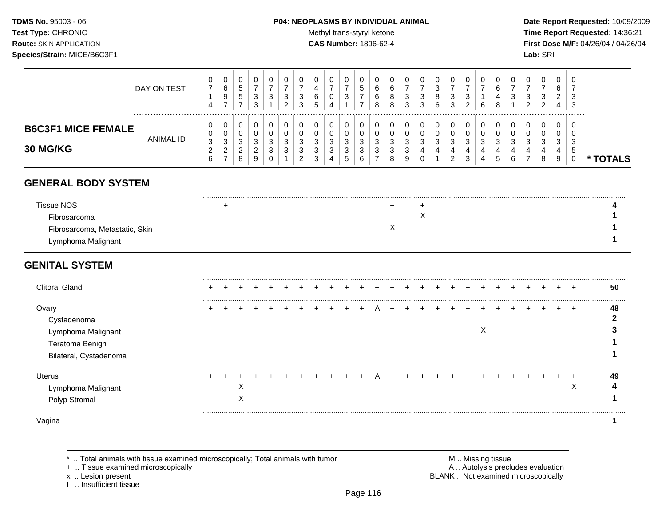#### **TDMS No.** 95003 - 06 **P04: NEOPLASMS BY INDIVIDUAL ANIMAL** Date Report Requested: 10/09/2009

**Test Type:** CHRONIC **Trans-styryl ketone** Methyl trans-styryl ketone **Time Report Requested:** 14:36:21 **Route:** SKIN APPLICATION **CAS Number:** 1896-62-4 **First Dose M/F:** 04/26/04 / 04/26/04

|                                                                                           | DAY ON TEST      | 0<br>$\boldsymbol{7}$<br>$\mathbf 1$<br>$\overline{4}$ | 0<br>$\,6$<br>9<br>$\overline{7}$                                 | 0<br>$\sqrt{5}$<br>$\sqrt{5}$<br>$\overline{7}$            | 0<br>$\overline{7}$<br>3<br>3                  | 0<br>$\overline{7}$<br>3               | 0<br>$\overline{7}$<br>3<br>$\overline{c}$ | 0<br>$\overline{7}$<br>3<br>3   | 0<br>4<br>6<br>5             | 0<br>$\overline{7}$<br>0        | 0<br>$\overline{7}$<br>$\mathbf{3}$                   | 0<br>$\sqrt{5}$<br>$\overline{7}$<br>$\overline{7}$ | 0<br>6<br>6<br>8                             | 0<br>6<br>8<br>8                | 0<br>$\overline{7}$<br>3<br>3 | 0<br>$\overline{7}$<br>3<br>3  | 0<br>3<br>8<br>$6\phantom{1}6$ | 0<br>$\boldsymbol{7}$<br>$\sqrt{3}$<br>3                | 0<br>$\overline{7}$<br>3<br>2   | 0<br>$\overline{7}$<br>6        | 0<br>6<br>4<br>8                | 0<br>$\overline{7}$<br>3 | 0<br>$\overline{7}$<br>3<br>$\overline{2}$ | 0<br>$\overline{7}$<br>3<br>$\overline{2}$ | 0<br>$\,6\,$<br>$\sqrt{2}$<br>4                | $\Omega$<br>$\overline{7}$<br>3               |          |
|-------------------------------------------------------------------------------------------|------------------|--------------------------------------------------------|-------------------------------------------------------------------|------------------------------------------------------------|------------------------------------------------|----------------------------------------|--------------------------------------------|---------------------------------|------------------------------|---------------------------------|-------------------------------------------------------|-----------------------------------------------------|----------------------------------------------|---------------------------------|-------------------------------|--------------------------------|--------------------------------|---------------------------------------------------------|---------------------------------|---------------------------------|---------------------------------|--------------------------|--------------------------------------------|--------------------------------------------|------------------------------------------------|-----------------------------------------------|----------|
| <b>B6C3F1 MICE FEMALE</b><br>30 MG/KG                                                     | <b>ANIMAL ID</b> | 0<br>0<br>$\mathbf{3}$<br>$\boldsymbol{2}$<br>6        | 0<br>0<br>$\sqrt{3}$<br>$\overline{\mathbf{c}}$<br>$\overline{7}$ | 0<br>$\mathbf 0$<br>$\sqrt{3}$<br>$\overline{c}$<br>$\bf8$ | 0<br>$\mathbf 0$<br>3<br>$\boldsymbol{2}$<br>9 | 0<br>$\mathbf 0$<br>3<br>3<br>$\Omega$ | 0<br>$\mathbf 0$<br>3<br>3                 | 0<br>$\mathbf 0$<br>3<br>3<br>2 | 0<br>$\Omega$<br>3<br>3<br>3 | 0<br>$\mathbf 0$<br>3<br>3<br>4 | 0<br>$\mathbf 0$<br>$\mathbf{3}$<br>$\mathbf{3}$<br>5 | 0<br>0<br>3<br>3<br>6                               | 0<br>$\mathbf 0$<br>3<br>3<br>$\overline{7}$ | 0<br>$\mathbf 0$<br>3<br>3<br>8 | 0<br>0<br>3<br>3<br>9         | 0<br>$\Omega$<br>3<br>$\Omega$ | 0<br>0<br>$\mathbf{3}$<br>4    | 0<br>$\mathbf 0$<br>$\mathbf{3}$<br>4<br>$\overline{c}$ | 0<br>$\mathbf 0$<br>3<br>4<br>3 | 0<br>$\mathbf 0$<br>3<br>4<br>4 | 0<br>$\mathbf 0$<br>3<br>4<br>5 | 0<br>$\Omega$<br>3<br>6  | 0<br>$\Omega$<br>3<br>7                    | 0<br>$\Omega$<br>3<br>4<br>8               | 0<br>$\mathbf 0$<br>$\mathbf{3}$<br>4<br>$9\,$ | $\Omega$<br>$\Omega$<br>3<br>5<br>$\mathbf 0$ | * TOTALS |
| <b>GENERAL BODY SYSTEM</b>                                                                |                  |                                                        |                                                                   |                                                            |                                                |                                        |                                            |                                 |                              |                                 |                                                       |                                                     |                                              |                                 |                               |                                |                                |                                                         |                                 |                                 |                                 |                          |                                            |                                            |                                                |                                               |          |
| <b>Tissue NOS</b><br>Fibrosarcoma<br>Fibrosarcoma, Metastatic, Skin<br>Lymphoma Malignant |                  |                                                        | +                                                                 |                                                            |                                                |                                        |                                            |                                 |                              |                                 |                                                       |                                                     |                                              | ٠<br>X                          |                               | $\boldsymbol{\mathsf{X}}$      |                                |                                                         |                                 |                                 |                                 |                          |                                            |                                            |                                                |                                               |          |
| <b>GENITAL SYSTEM</b>                                                                     |                  |                                                        |                                                                   |                                                            |                                                |                                        |                                            |                                 |                              |                                 |                                                       |                                                     |                                              |                                 |                               |                                |                                |                                                         |                                 |                                 |                                 |                          |                                            |                                            |                                                |                                               |          |
| <b>Clitoral Gland</b>                                                                     |                  |                                                        |                                                                   |                                                            |                                                |                                        |                                            |                                 |                              |                                 |                                                       |                                                     |                                              |                                 |                               |                                |                                |                                                         |                                 |                                 |                                 |                          |                                            |                                            |                                                |                                               | 50       |
| Ovary<br>Cystadenoma<br>Lymphoma Malignant<br>Teratoma Benign<br>Bilateral, Cystadenoma   |                  |                                                        |                                                                   |                                                            |                                                |                                        |                                            |                                 |                              |                                 |                                                       |                                                     |                                              |                                 |                               |                                |                                |                                                         |                                 | X                               |                                 |                          |                                            |                                            |                                                | $\pm$                                         | 48<br>2  |
| Uterus<br>Lymphoma Malignant<br>Polyp Stromal                                             |                  |                                                        | $\overline{ }$                                                    | $\ddot{}$<br>X<br>X                                        |                                                |                                        |                                            |                                 |                              |                                 |                                                       |                                                     |                                              |                                 |                               |                                |                                |                                                         |                                 |                                 |                                 |                          |                                            |                                            | $\ddot{}$                                      | $\ddot{}$<br>$\mathsf X$                      | 49       |
| Vagina                                                                                    |                  |                                                        |                                                                   |                                                            |                                                |                                        |                                            |                                 |                              |                                 |                                                       |                                                     |                                              |                                 |                               |                                |                                |                                                         |                                 |                                 |                                 |                          |                                            |                                            |                                                |                                               |          |

\* .. Total animals with tissue examined microscopically; Total animals with tumor **M** metally more than M .. Missing tissue<br>  $\blacksquare$  Tissue examined microscopically

+ .. Tissue examined microscopically

x .. Lesion present<br>I .. Insufficient tissue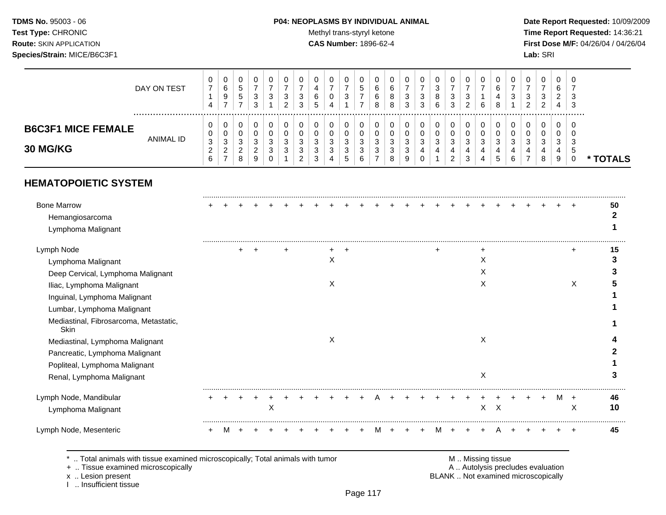# **TDMS No.** 95003 - 06 **P04: NEOPLASMS BY INDIVIDUAL ANIMAL** Date Report Requested: 10/09/2009

Test Type: CHRONIC **Test Type:** CHRONIC **Test Type:** CHRONIC **Time Report Requested:** 14:36:21 **Route:** SKIN APPLICATION **CAS Number:** 1896-62-4 **First Dose M/F:** 04/26/04 / 04/26/04

|                                       | DAY ON TEST | $\mathbf{0}$<br>4            | a<br>$\rightarrow$         | v<br><sub>5</sub><br>$5^{\circ}$  | 3<br>ີ               | υ<br>3      | υ<br>າ<br>ັ<br>◠<br>∼ | U<br>3<br>3      | υ<br>ь |        | υ<br>ັ                                | ∽<br>Ä. | ь<br>8 | 8<br>8           | ◡<br>N<br>-2<br>J | v<br>ت<br>3      | 8<br>6 | ۰C<br>ົ<br>ູບ | 6 | v<br>4<br>8 | J<br>◠ | U<br>ാ<br>ັບ<br>ົ | 0<br>3<br>ົ<br>$\epsilon$ | 0<br>6<br>◠<br><u>_</u><br>4 | - ს<br>-3       |      |
|---------------------------------------|-------------|------------------------------|----------------------------|-----------------------------------|----------------------|-------------|-----------------------|------------------|--------|--------|---------------------------------------|---------|--------|------------------|-------------------|------------------|--------|---------------|---|-------------|--------|-------------------|---------------------------|------------------------------|-----------------|------|
| <b>B6C3F1 MICE FEMALE</b><br>30 MG/KG | ANIMAL ID   | U<br>0<br>3<br><u>.</u><br>6 | u<br>ັ<br>$\sim$<br>J<br>_ | v<br>v<br>◠<br>◡<br><u>_</u><br>8 | $\epsilon$<br>N<br>g | U<br>J<br>J | 0<br>◠<br>ັ<br>ົ      | u<br>u<br>ັ<br>◠ | N      | ັ<br>J | O<br>U<br>◠<br>ັ<br>ັບ<br>$5^{\circ}$ | $\sim$  | u      | ◠<br>ບ<br>◡<br>8 | u<br>u<br>g       | υ<br>u<br>ີ<br>N | ◠<br>J | ◠<br>ັ<br>4   | 4 | ◠           | ◠      | υ<br>ν<br>ີ<br>J  | 0<br>0<br>ົ<br>ۍ<br>8     | 0<br>U<br>3<br>4<br>9        | - ს<br>−.<br>-5 | TALS |
|                                       |             |                              |                            |                                   |                      |             |                       | <u>_</u>         |        |        |                                       |         |        |                  |                   |                  |        | <u>.</u>      |   | ັ           |        |                   |                           |                              |                 |      |

# **HEMATOPOIETIC SYSTEM**

| <b>Bone Marrow</b>                                    |  |  |   |  |   |  |   |  |   |  |   |              |  |   |                | 50 |
|-------------------------------------------------------|--|--|---|--|---|--|---|--|---|--|---|--------------|--|---|----------------|----|
| Hemangiosarcoma                                       |  |  |   |  |   |  |   |  |   |  |   |              |  |   |                |    |
| Lymphoma Malignant                                    |  |  |   |  |   |  |   |  |   |  |   |              |  |   |                |    |
|                                                       |  |  |   |  |   |  |   |  |   |  |   |              |  |   |                |    |
| Lymph Node                                            |  |  |   |  |   |  |   |  |   |  |   |              |  |   |                | 15 |
| Lymphoma Malignant                                    |  |  |   |  | х |  |   |  |   |  | Х |              |  |   |                |    |
| Deep Cervical, Lymphoma Malignant                     |  |  |   |  |   |  |   |  |   |  | X |              |  |   |                |    |
| Iliac, Lymphoma Malignant                             |  |  |   |  | X |  |   |  |   |  | X |              |  |   | X              |    |
| Inguinal, Lymphoma Malignant                          |  |  |   |  |   |  |   |  |   |  |   |              |  |   |                |    |
| Lumbar, Lymphoma Malignant                            |  |  |   |  |   |  |   |  |   |  |   |              |  |   |                |    |
| Mediastinal, Fibrosarcoma, Metastatic,<br><b>Skin</b> |  |  |   |  |   |  |   |  |   |  |   |              |  |   |                |    |
| Mediastinal, Lymphoma Malignant                       |  |  |   |  | X |  |   |  |   |  | X |              |  |   |                |    |
| Pancreatic, Lymphoma Malignant                        |  |  |   |  |   |  |   |  |   |  |   |              |  |   |                |    |
| Popliteal, Lymphoma Malignant                         |  |  |   |  |   |  |   |  |   |  |   |              |  |   |                |    |
| Renal, Lymphoma Malignant                             |  |  |   |  |   |  |   |  |   |  | Х |              |  |   |                |    |
| Lymph Node, Mandibular                                |  |  |   |  |   |  |   |  |   |  |   |              |  | м | $\overline{+}$ | 46 |
| Lymphoma Malignant                                    |  |  | Χ |  |   |  |   |  |   |  |   | $X \times X$ |  |   | X              | 10 |
| Lymph Node, Mesenteric                                |  |  |   |  |   |  | M |  | м |  |   |              |  |   |                | 45 |

\* .. Total animals with tissue examined microscopically; Total animals with tumor M .. Missing tissue M .. Missing tissue<br>A .. Tissue examined microscopically by the matric of the matric of the M .. Missing tissue examined

+ .. Tissue examined microscopically

I .. Insufficient tissue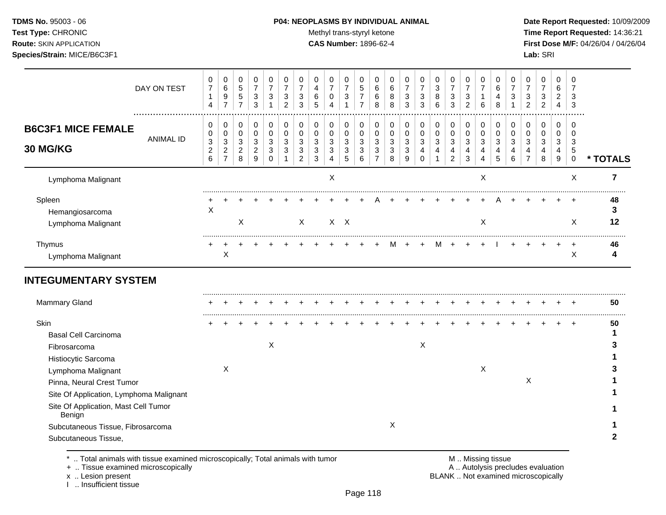#### **TDMS No.** 95003 - 06 **P04: NEOPLASMS BY INDIVIDUAL ANIMAL** Date Report Requested: 10/09/2009

Test Type: CHRONIC **Test Type:** CHRONIC **Test Type:** CHRONIC **Time Report Requested:** 14:36:21 **Route:** SKIN APPLICATION **CAS Number:** 1896-62-4 **First Dose M/F:** 04/26/04 / 04/26/04

| DAY ON TEST<br>                                                                                                                                                                                                                                                 | 0<br>$\overline{7}$<br>$\mathbf{1}$<br>4              | 0<br>$\,6\,$<br>$9\,$<br>$\overline{7}$                                 | 0<br>$\sqrt{5}$<br>$\sqrt{5}$<br>$\overline{7}$         | 0<br>$\overline{7}$<br>$\ensuremath{\mathsf{3}}$<br>$\sqrt{3}$     | 0<br>$\overline{7}$<br>3<br>1             | 0<br>$\overline{7}$<br>$\ensuremath{\mathsf{3}}$<br>$\overline{2}$ | 0<br>$\overline{7}$<br>$\ensuremath{\mathsf{3}}$<br>3   | 0<br>$\overline{\mathbf{4}}$<br>$\,6\,$<br>5                       | 0<br>$\overline{7}$<br>$\mathbf 0$<br>4      | 0<br>$\overline{7}$<br>$\ensuremath{\mathsf{3}}$<br>$\mathbf{1}$ | 0<br>$\sqrt{5}$<br>$\overline{7}$<br>$\overline{7}$ | 0<br>6<br>6<br>8                                        | 0<br>$\,6\,$<br>8<br>8                     | 0<br>$\overline{7}$<br>3<br>3    | 0<br>$\overline{7}$<br>3<br>3                     | 0<br>3<br>$\bf 8$<br>$6\phantom{1}6$ | 0<br>$\overline{7}$<br>$\ensuremath{\mathsf{3}}$<br>3                               | 0<br>$\overline{7}$<br>$\sqrt{3}$<br>$\overline{c}$ | 0<br>$\overline{7}$<br>$\mathbf{1}$<br>6                        | 0<br>$\,6$<br>4<br>8                     | 0<br>$\overline{7}$<br>3<br>1                  | 0<br>$\overline{7}$<br>3<br>$\overline{c}$   | 0<br>7<br>3<br>$\overline{c}$    | 0<br>6<br>$\overline{c}$<br>4 | 0<br>$\overline{7}$<br>3<br>3        |                |
|-----------------------------------------------------------------------------------------------------------------------------------------------------------------------------------------------------------------------------------------------------------------|-------------------------------------------------------|-------------------------------------------------------------------------|---------------------------------------------------------|--------------------------------------------------------------------|-------------------------------------------|--------------------------------------------------------------------|---------------------------------------------------------|--------------------------------------------------------------------|----------------------------------------------|------------------------------------------------------------------|-----------------------------------------------------|---------------------------------------------------------|--------------------------------------------|----------------------------------|---------------------------------------------------|--------------------------------------|-------------------------------------------------------------------------------------|-----------------------------------------------------|-----------------------------------------------------------------|------------------------------------------|------------------------------------------------|----------------------------------------------|----------------------------------|-------------------------------|--------------------------------------|----------------|
| <b>B6C3F1 MICE FEMALE</b><br><b>ANIMAL ID</b><br>30 MG/KG                                                                                                                                                                                                       | 0<br>0<br>$\mathbf{3}$<br>$\boldsymbol{2}$<br>$\,6\,$ | 0<br>0<br>$\ensuremath{\mathsf{3}}$<br>$\overline{c}$<br>$\overline{7}$ | 0<br>$\mathbf 0$<br>$\mathbf{3}$<br>$\overline{c}$<br>8 | 0<br>$\pmb{0}$<br>$\sqrt{3}$<br>$\overline{c}$<br>$\boldsymbol{9}$ | 0<br>$\mathbf 0$<br>3<br>3<br>$\mathbf 0$ | $\pmb{0}$<br>$\pmb{0}$<br>3<br>3                                   | 0<br>$\mathbf 0$<br>3<br>$\mathbf{3}$<br>$\overline{2}$ | $\,0\,$<br>$\pmb{0}$<br>$\mathbf{3}$<br>$\sqrt{3}$<br>$\mathbf{3}$ | 0<br>$\mathbf 0$<br>3<br>3<br>$\overline{4}$ | 0<br>$\pmb{0}$<br>$\sqrt{3}$<br>$\sqrt{3}$<br>$\sqrt{5}$         | 0<br>$\pmb{0}$<br>$\mathbf{3}$<br>3<br>6            | 0<br>$\mathbf 0$<br>$\mathbf{3}$<br>3<br>$\overline{7}$ | 0<br>$\mathbf 0$<br>$\mathbf{3}$<br>3<br>8 | 0<br>0<br>$\mathbf{3}$<br>3<br>9 | 0<br>$\pmb{0}$<br>$\mathfrak{Z}$<br>4<br>$\Omega$ | 0<br>$\mathbf 0$<br>3<br>4           | $\pmb{0}$<br>$\pmb{0}$<br>$\mathbf{3}$<br>$\overline{\mathbf{4}}$<br>$\overline{c}$ | 0<br>$\boldsymbol{0}$<br>3<br>4<br>$\sqrt{3}$       | $\pmb{0}$<br>$\pmb{0}$<br>$\mathfrak{S}$<br>4<br>$\overline{4}$ | 0<br>$\pmb{0}$<br>$\mathbf{3}$<br>4<br>5 | 0<br>$\pmb{0}$<br>$\mathbf{3}$<br>4<br>$\,6\,$ | 0<br>$\mathbf 0$<br>3<br>4<br>$\overline{7}$ | 0<br>0<br>$\mathbf{3}$<br>4<br>8 | 0<br>0<br>3<br>4<br>9         | 0<br>$\Omega$<br>3<br>5<br>$\pmb{0}$ | * TOTALS       |
| Lymphoma Malignant                                                                                                                                                                                                                                              |                                                       |                                                                         |                                                         |                                                                    |                                           |                                                                    |                                                         |                                                                    | X                                            |                                                                  |                                                     |                                                         |                                            |                                  |                                                   |                                      |                                                                                     |                                                     | X                                                               |                                          |                                                |                                              |                                  |                               | X                                    | $\overline{7}$ |
| Spleen<br>Hemangiosarcoma<br>Lymphoma Malignant                                                                                                                                                                                                                 | X                                                     |                                                                         | X                                                       |                                                                    |                                           |                                                                    | $\sf X$                                                 |                                                                    |                                              | $X$ $X$                                                          |                                                     |                                                         |                                            |                                  |                                                   |                                      |                                                                                     |                                                     | X                                                               |                                          |                                                |                                              |                                  |                               | X                                    | 48<br>3<br>12  |
| Thymus<br>Lymphoma Malignant                                                                                                                                                                                                                                    |                                                       | X                                                                       |                                                         |                                                                    |                                           |                                                                    |                                                         |                                                                    |                                              |                                                                  |                                                     |                                                         |                                            |                                  |                                                   | м                                    | $\ddot{}$                                                                           |                                                     | $\ddot{}$                                                       |                                          |                                                |                                              |                                  |                               | X                                    | 46<br>4        |
| <b>INTEGUMENTARY SYSTEM</b>                                                                                                                                                                                                                                     |                                                       |                                                                         |                                                         |                                                                    |                                           |                                                                    |                                                         |                                                                    |                                              |                                                                  |                                                     |                                                         |                                            |                                  |                                                   |                                      |                                                                                     |                                                     |                                                                 |                                          |                                                |                                              |                                  |                               |                                      |                |
| Mammary Gland                                                                                                                                                                                                                                                   |                                                       |                                                                         |                                                         |                                                                    |                                           |                                                                    |                                                         |                                                                    |                                              |                                                                  |                                                     |                                                         |                                            |                                  |                                                   |                                      |                                                                                     |                                                     |                                                                 |                                          |                                                |                                              |                                  |                               |                                      | 50             |
| Skin<br><b>Basal Cell Carcinoma</b><br>Fibrosarcoma<br>Histiocytic Sarcoma<br>Lymphoma Malignant<br>Pinna, Neural Crest Tumor<br>Site Of Application, Lymphoma Malignant<br>Site Of Application, Mast Cell Tumor<br>Benign<br>Subcutaneous Tissue, Fibrosarcoma |                                                       | Χ                                                                       |                                                         |                                                                    | $\boldsymbol{\mathsf{X}}$                 |                                                                    |                                                         |                                                                    |                                              |                                                                  |                                                     |                                                         | $\boldsymbol{\mathsf{X}}$                  |                                  | X                                                 |                                      |                                                                                     |                                                     | X                                                               |                                          |                                                | X                                            |                                  |                               |                                      | 50             |

\* .. Total animals with tissue examined microscopically; Total animals with tumor <br>
+ .. Tissue examined microscopically<br>
+ .. Tissue examined microscopically

+ .. Tissue examined microscopically

x .. Lesion present<br>I .. Insufficient tissue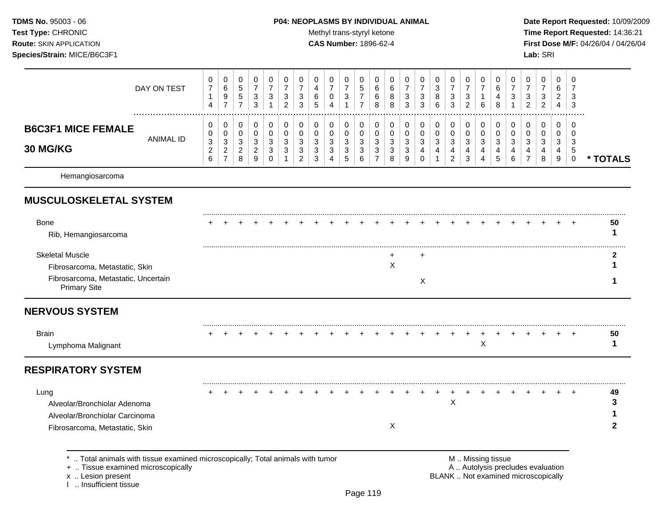#### **TDMS No.** 95003 - 06 **P04: NEOPLASMS BY INDIVIDUAL ANIMAL** Date Report Requested: 10/09/2009

Test Type: CHRONIC **Test Type:** CHRONIC **Test Type:** CHRONIC **Time Report Requested:** 14:36:21 **Route:** SKIN APPLICATION **CAS Number:** 1896-62-4 **First Dose M/F:** 04/26/04 / 04/26/04

|                                              | DAY ON TEST | U<br>7<br>4 | 0<br>6<br>9<br>-                      | 0<br>5<br>5                     | 0<br>3<br>3                         | U<br>3      | ົ<br>J.<br>ົ           | 0<br>3<br>3           | 6<br>$\mathbf{p}$     | 0<br>0<br>4           | 0<br>3                           | $\mathbf{0}$<br>đ  | 0<br>6<br>6<br>8 | v<br>8<br>8                 | 0<br>⇁<br>3<br>3 | 0<br>$\overline{\phantom{0}}$<br>3<br>3 | 0<br>3<br>8<br>6 | 0<br>⇁<br>3<br>3      | 3<br>2 | 0<br>6                | 0<br>6<br>4<br>8                  | າ<br>◡ | υ<br>$\sim$<br>د<br>ົ | 0<br>ົ<br>Ĵ<br>ົ | 0<br>6<br>ົ<br><u>_</u><br>4 | - 0<br>-3<br>-3 |          |
|----------------------------------------------|-------------|-------------|---------------------------------------|---------------------------------|-------------------------------------|-------------|------------------------|-----------------------|-----------------------|-----------------------|----------------------------------|--------------------|------------------|-----------------------------|------------------|-----------------------------------------|------------------|-----------------------|--------|-----------------------|-----------------------------------|--------|-----------------------|------------------|------------------------------|-----------------|----------|
| <b>B6C3F1 MICE FEMALE</b><br><b>30 MG/KG</b> | ANIMAL ID   | U<br>3<br>⌒ | $\mathbf{0}$<br>0<br>3<br>ົ<br>∠<br>- | 0<br>0<br>ົ<br>ت<br>ົ<br>L<br>8 | 0<br>0<br>3<br>ົ<br>$\epsilon$<br>9 | 0<br>3<br>3 | $\sim$<br>$\sim$<br>دت | 0<br>0<br>3<br>3<br>ົ | $\sim$<br>×<br>3<br>3 | 0<br>0<br>3<br>3<br>4 | 0<br>0<br>3<br>3<br>$\mathbf{p}$ | 0<br>3<br>- 3<br>6 | 0<br>3<br>3      | $\sim$<br><sup>o</sup><br>8 | 0<br>3<br>3<br>9 | 0<br>0<br>ົ<br>×.<br>$\Omega$<br>υ      | 0<br>0<br>3      | 0<br>0<br>3<br>4<br>2 | ◠<br>3 | 0<br>0<br>3<br>4<br>4 | 0<br>$\Omega$<br>$\sim$<br>4<br>5 | າ<br>6 | 2<br>۰                | ົ<br>دت<br>8     | 0<br>0<br>3<br>4<br>9        | ು               | * TOTALS |
| Hemangiosarcoma                              |             |             |                                       |                                 |                                     |             |                        |                       |                       |                       |                                  |                    |                  |                             |                  |                                         |                  |                       |        |                       |                                   |        |                       |                  |                              |                 |          |

# **MUSCULOSKELETAL SYSTEM**

| Bone<br>Rib, Hemangiosarcoma                                                                                           |  |  |  |  |  |  |  |  |  |  |  |  | 50 |
|------------------------------------------------------------------------------------------------------------------------|--|--|--|--|--|--|--|--|--|--|--|--|----|
| <b>Skeletal Muscle</b><br>Fibrosarcoma, Metastatic, Skin<br>Fibrosarcoma, Metastatic, Uncertain<br><b>Primary Site</b> |  |  |  |  |  |  |  |  |  |  |  |  |    |

# **NERVOUS SYSTEM**

| вrair            |  |  |  |  |  |  |  |  |  |  |  |  | 50 |
|------------------|--|--|--|--|--|--|--|--|--|--|--|--|----|
| womnoma Malianom |  |  |  |  |  |  |  |  |  |  |  |  |    |

# **RESPIRATORY SYSTEM**

| Lung                           |  |  |  |  |  |  |  |  |  |  |  |  | 49 |
|--------------------------------|--|--|--|--|--|--|--|--|--|--|--|--|----|
| Alveolar/Bronchiolar Adenoma   |  |  |  |  |  |  |  |  |  |  |  |  |    |
| Alveolar/Bronchiolar Carcinoma |  |  |  |  |  |  |  |  |  |  |  |  |    |
| Fibrosarcoma, Metastatic, Skin |  |  |  |  |  |  |  |  |  |  |  |  |    |
|                                |  |  |  |  |  |  |  |  |  |  |  |  |    |

\* .. Total animals with tissue examined microscopically; Total animals with tumor <br>
+ .. Tissue examined microscopically<br>
+ .. Tissue examined microscopically

+ .. Tissue examined microscopically

I .. Insufficient tissue

x .. Lesion present **EXAMELANIC EXAMPLE 2018** BLANK .. Not examined microscopically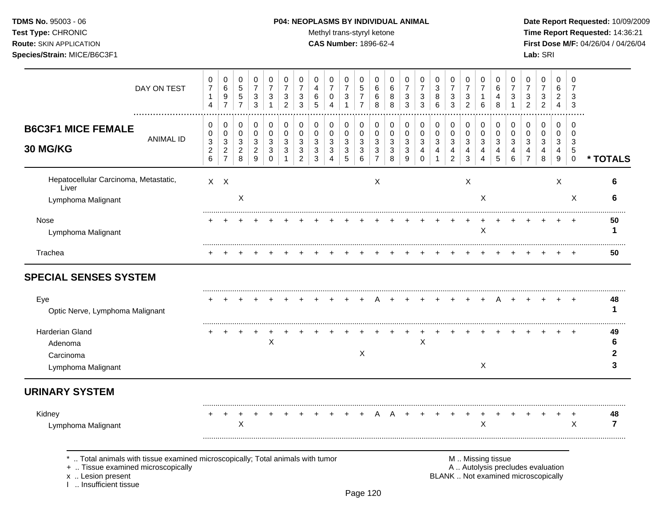I .. Insufficient tissue

# **TDMS No.** 95003 - 06 **P04: NEOPLASMS BY INDIVIDUAL ANIMAL** Date Report Requested: 10/09/2009

Test Type: CHRONIC **Test Type:** CHRONIC **Test Type:** CHRONIC **Time Report Requested:** 14:36:21 **Route:** SKIN APPLICATION **CAS Number:** 1896-62-4 **First Dose M/F:** 04/26/04 / 04/26/04

| DAY ON TEST                                                                                                                             | 0<br>$\boldsymbol{7}$<br>$\mathbf{1}$<br>$\overline{4}$    | 0<br>$\,6$<br>9<br>$\overline{7}$                                       | 0<br>$\,$ 5 $\,$<br>$\,$ 5 $\,$<br>$\overline{7}$ | 0<br>$\overline{7}$<br>3<br>$\mathbf{3}$       | 0<br>$\overline{7}$<br>$\sqrt{3}$<br>1           | 0<br>$\overline{7}$<br>3<br>$\overline{2}$ | 0<br>$\overline{7}$<br>3<br>3 | 0<br>4<br>6<br>5                | 0<br>7<br>0<br>4                      | 0<br>$\overline{7}$<br>3<br>$\mathbf{1}$                           | 0<br>5<br>7<br>$\overline{7}$ | 0<br>6<br>6<br>8                                  | 0<br>6<br>$\,8\,$<br>8        | 0<br>$\overline{7}$<br>3<br>3 | 0<br>$\overline{7}$<br>3<br>3 | 0<br>$\ensuremath{\mathsf{3}}$<br>8<br>6 | 0<br>$\overline{7}$<br>3<br>$\mathfrak{S}$ | 0<br>$\overline{7}$<br>3<br>$\overline{c}$   | 0<br>$\overline{7}$<br>1<br>6 | 0<br>6<br>4<br>8      | 0<br>$\overline{7}$<br>3 | 0<br>$\overline{7}$<br>3<br>$\overline{2}$                               | 0<br>$\overline{7}$<br>3<br>$\overline{c}$ | 0<br>6<br>$\overline{a}$<br>$\overline{4}$ | $\mathbf 0$<br>$\overline{7}$<br>3<br>3       |                      |
|-----------------------------------------------------------------------------------------------------------------------------------------|------------------------------------------------------------|-------------------------------------------------------------------------|---------------------------------------------------|------------------------------------------------|--------------------------------------------------|--------------------------------------------|-------------------------------|---------------------------------|---------------------------------------|--------------------------------------------------------------------|-------------------------------|---------------------------------------------------|-------------------------------|-------------------------------|-------------------------------|------------------------------------------|--------------------------------------------|----------------------------------------------|-------------------------------|-----------------------|--------------------------|--------------------------------------------------------------------------|--------------------------------------------|--------------------------------------------|-----------------------------------------------|----------------------|
| <b>B6C3F1 MICE FEMALE</b><br><b>ANIMAL ID</b><br>30 MG/KG                                                                               | 0<br>0<br>$\ensuremath{\mathsf{3}}$<br>$\overline{c}$<br>6 | 0<br>0<br>$\ensuremath{\mathsf{3}}$<br>$\overline{c}$<br>$\overline{7}$ | 0<br>$\mathbf 0$<br>3<br>$\overline{c}$<br>8      | 0<br>$\mathbf 0$<br>3<br>$\boldsymbol{2}$<br>9 | 0<br>$\pmb{0}$<br>3<br>$\sqrt{3}$<br>$\mathbf 0$ | 0<br>$\mathbf 0$<br>3<br>3<br>1            | 0<br>0<br>3<br>3<br>2         | 0<br>$\mathbf 0$<br>3<br>3<br>3 | 0<br>0<br>3<br>$\sqrt{3}$<br>$\Delta$ | 0<br>$\mathbf 0$<br>$\mathbf{3}$<br>$\ensuremath{\mathsf{3}}$<br>5 | 0<br>$\pmb{0}$<br>3<br>3<br>6 | 0<br>$\,0\,$<br>3<br>$\sqrt{3}$<br>$\overline{7}$ | 0<br>$\pmb{0}$<br>3<br>3<br>8 | 0<br>0<br>3<br>3<br>9         | 0<br>0<br>3<br>4<br>$\Omega$  | 0<br>$\pmb{0}$<br>3<br>4<br>1            | 0<br>$\pmb{0}$<br>3<br>4<br>$\overline{c}$ | 0<br>$\mathbf 0$<br>3<br>$\overline{4}$<br>3 | 0<br>$\pmb{0}$<br>3<br>4<br>4 | 0<br>0<br>3<br>4<br>5 | 0<br>0<br>3<br>4<br>6    | 0<br>0<br>3<br>4<br>$\overline{7}$                                       | 0<br>0<br>3<br>4<br>8                      | 0<br>0<br>3<br>4<br>9                      | $\Omega$<br>$\Omega$<br>3<br>5<br>$\mathbf 0$ | * TOTALS             |
| Hepatocellular Carcinoma, Metastatic,<br>Liver<br>Lymphoma Malignant                                                                    |                                                            | $X$ $X$                                                                 | X                                                 |                                                |                                                  |                                            |                               |                                 |                                       |                                                                    |                               | X                                                 |                               |                               |                               |                                          |                                            | $\boldsymbol{\mathsf{X}}$                    | X                             |                       |                          |                                                                          |                                            | X                                          | $\times$                                      | 6<br>6               |
| Nose<br>Lymphoma Malignant                                                                                                              |                                                            |                                                                         |                                                   |                                                |                                                  |                                            |                               |                                 |                                       |                                                                    |                               |                                                   |                               |                               |                               |                                          |                                            |                                              | $\mathsf X$                   |                       |                          |                                                                          |                                            |                                            |                                               | 50<br>-1             |
| Trachea                                                                                                                                 |                                                            |                                                                         |                                                   |                                                |                                                  |                                            |                               |                                 |                                       |                                                                    |                               |                                                   |                               |                               |                               |                                          |                                            |                                              |                               |                       |                          |                                                                          |                                            |                                            |                                               | 50                   |
| <b>SPECIAL SENSES SYSTEM</b>                                                                                                            |                                                            |                                                                         |                                                   |                                                |                                                  |                                            |                               |                                 |                                       |                                                                    |                               |                                                   |                               |                               |                               |                                          |                                            |                                              |                               |                       |                          |                                                                          |                                            |                                            |                                               |                      |
| Eye<br>Optic Nerve, Lymphoma Malignant                                                                                                  |                                                            |                                                                         |                                                   |                                                |                                                  |                                            |                               |                                 |                                       |                                                                    |                               |                                                   |                               |                               |                               |                                          |                                            |                                              |                               |                       |                          |                                                                          |                                            | $\pm$                                      |                                               | 48<br>1              |
| Harderian Gland<br>Adenoma<br>Carcinoma<br>Lymphoma Malignant                                                                           |                                                            |                                                                         |                                                   |                                                | $\mathsf X$                                      |                                            |                               |                                 |                                       |                                                                    | Χ                             |                                                   |                               |                               | X                             |                                          |                                            |                                              | $\boldsymbol{X}$              |                       |                          |                                                                          |                                            |                                            |                                               | 49<br>6<br>2<br>3    |
| <b>URINARY SYSTEM</b>                                                                                                                   |                                                            |                                                                         |                                                   |                                                |                                                  |                                            |                               |                                 |                                       |                                                                    |                               |                                                   |                               |                               |                               |                                          |                                            |                                              |                               |                       |                          |                                                                          |                                            |                                            |                                               |                      |
| Kidney<br>Lymphoma Malignant                                                                                                            |                                                            | $\ddot{}$                                                               | $\ddot{}$<br>X                                    |                                                |                                                  |                                            |                               |                                 |                                       |                                                                    |                               | A                                                 | A                             |                               |                               |                                          |                                            |                                              | $\mathsf X$                   |                       |                          |                                                                          |                                            | $\ddot{}$                                  | $\ddot{}$<br>X                                | 48<br>$\overline{7}$ |
| Total animals with tissue examined microscopically; Total animals with tumor<br>+  Tissue examined microscopically<br>x  Lesion present |                                                            |                                                                         |                                                   |                                                |                                                  |                                            |                               |                                 |                                       |                                                                    |                               |                                                   |                               |                               |                               |                                          |                                            |                                              | M  Missing tissue             |                       |                          | A  Autolysis precludes evaluation<br>BLANK  Not examined microscopically |                                            |                                            |                                               |                      |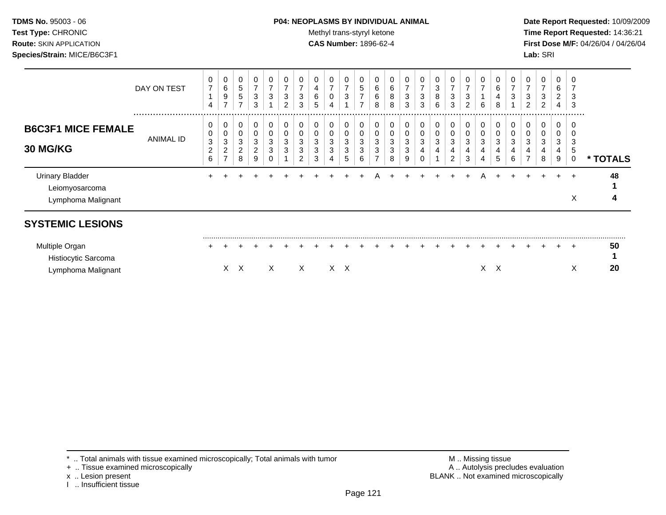# **TDMS No.** 95003 - 06 **P04: NEOPLASMS BY INDIVIDUAL ANIMAL** Date Report Requested: 10/09/2009

Test Type: CHRONIC **Test Type:** CHRONIC **Test Type:** CHRONIC **Time Report Requested:** 14:36:21 **Route:** SKIN APPLICATION **CAS Number:** 1896-62-4 **First Dose M/F:** 04/26/04 / 04/26/04

|                                                                | DAY ON TEST   | 0<br>$\overline{7}$<br>4                      | 0<br>6<br>$\boldsymbol{9}$<br>$\overline{ }$                           | 0<br>$\sqrt{5}$<br>$\sqrt{5}$<br>$\overline{ }$ | 0<br>7<br>3<br>3                           | 0<br>$\overline{7}$<br>3                 | 0<br>$\overline{ }$<br>3<br>2 | 0<br>$\overline{ }$<br>3<br>3      | 0<br>4<br>6<br>5      | 0<br>$\overline{ }$<br>0                              | 0<br>$\overline{7}$<br>3         | 0<br>5<br>7<br>$\overline{7}$ | 0<br>6<br>6<br>8 | 0<br>6<br>8<br>8      | 0<br>$\overline{7}$<br>3<br>3 | 0<br>7<br>3<br>3 | 0<br>$\ensuremath{\mathsf{3}}$<br>8<br>$\,6\,$ | 0<br>$\overline{7}$<br>3<br>3 | 0<br>$\overline{7}$<br>3<br>$\overline{2}$ | 0<br>6                | 0<br>6<br>4<br>8      | 3                | 0<br>$\overline{ }$<br>3<br>2 | 0<br>7<br>3<br>$\overline{2}$ | 0<br>6<br>$\overline{2}$<br>4 | 0<br>3<br>3           |          |
|----------------------------------------------------------------|---------------|-----------------------------------------------|------------------------------------------------------------------------|-------------------------------------------------|--------------------------------------------|------------------------------------------|-------------------------------|------------------------------------|-----------------------|-------------------------------------------------------|----------------------------------|-------------------------------|------------------|-----------------------|-------------------------------|------------------|------------------------------------------------|-------------------------------|--------------------------------------------|-----------------------|-----------------------|------------------|-------------------------------|-------------------------------|-------------------------------|-----------------------|----------|
| <b>B6C3F1 MICE FEMALE</b><br>30 MG/KG                          | <br>ANIMAL ID | 0<br>0<br>$\ensuremath{\mathsf{3}}$<br>2<br>6 | $\pmb{0}$<br>$\mathbf 0$<br>$\ensuremath{\mathsf{3}}$<br>$\frac{2}{7}$ | 0<br>0<br>3<br>$\overline{2}$<br>8              | 0<br>$\pmb{0}$<br>3<br>$\overline{a}$<br>9 | 0<br>$\pmb{0}$<br>$\mathbf{3}$<br>3<br>0 | 0<br>0<br>3<br>3              | 0<br>0<br>3<br>3<br>$\overline{2}$ | 0<br>0<br>3<br>3<br>3 | $\pmb{0}$<br>0<br>$\ensuremath{\mathsf{3}}$<br>3<br>4 | 0<br>0<br>$\mathbf{3}$<br>3<br>5 | 0<br>0<br>3<br>3<br>6         | 0<br>0<br>3<br>3 | 0<br>0<br>3<br>3<br>8 | 0<br>0<br>3<br>3<br>9         | 0<br>0<br>3<br>4 | $\pmb{0}$<br>0<br>3<br>4                       | 0<br>0<br>3<br>4<br>2         | 0<br>$\pmb{0}$<br>3<br>4<br>3              | 0<br>0<br>3<br>4<br>4 | 0<br>0<br>3<br>4<br>5 | 0<br>3<br>4<br>6 | 0<br>0<br>3<br>4              | 0<br>0<br>3<br>4<br>8         | 0<br>0<br>3<br>4<br>9         | .<br>0<br>3<br>5<br>0 | * TOTALS |
| <b>Urinary Bladder</b><br>Leiomyosarcoma<br>Lymphoma Malignant |               |                                               |                                                                        |                                                 |                                            |                                          |                               |                                    |                       |                                                       |                                  |                               |                  |                       |                               |                  |                                                |                               |                                            |                       |                       |                  |                               |                               |                               | $\div$<br>Χ           | 48<br>4  |
| <b>SYSTEMIC LESIONS</b>                                        |               |                                               |                                                                        |                                                 |                                            |                                          |                               |                                    |                       |                                                       |                                  |                               |                  |                       |                               |                  |                                                |                               |                                            |                       |                       |                  |                               |                               |                               |                       |          |
| Multiple Organ<br>Histiocytic Sarcoma<br>Lymphoma Malignant    |               |                                               | X.                                                                     | $\times$                                        |                                            | X                                        |                               | Χ                                  |                       |                                                       | $X \times$                       |                               |                  |                       |                               |                  |                                                |                               |                                            |                       | X X                   |                  |                               |                               |                               | $\pm$<br>X            | 50<br>20 |

+ .. Tissue examined microscopically

x .. Lesion present<br>I .. Insufficient tissue

\* .. Total animals with tissue examined microscopically; Total animals with tumor **M** metally more than M .. Missing tissue<br>  $\blacksquare$  Tissue examined microscopically BLANK .. Not examined microscopically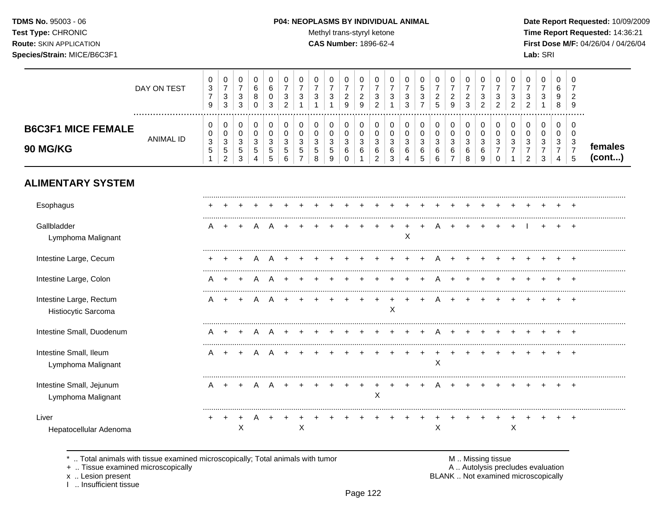# **TDMS No.** 95003 - 06 **P04: NEOPLASMS BY INDIVIDUAL ANIMAL** Date Report Requested: 10/09/2009

Test Type: CHRONIC **Test Type:** CHRONIC **Test Type:** CHRONIC **Time Report Requested:** 14:36:21 **Route:** SKIN APPLICATION **CAS Number:** 1896-62-4 **First Dose M/F:** 04/26/04 / 04/26/04

|                                                | DAY ON TEST<br>. | 0<br>$\ensuremath{\mathsf{3}}$<br>$\boldsymbol{7}$<br>9           | 0<br>$\overline{\mathbf{7}}$<br>$\ensuremath{\mathsf{3}}$<br>$\mathbf{3}$ | $\mathbf 0$<br>$\overline{7}$<br>$\mathbf{3}$<br>$\mathbf{3}$              | 0<br>6<br>8<br>$\mathbf 0$                             | 0<br>$\,6\,$<br>0<br>3                 | 0<br>$\overline{7}$<br>3<br>2   | 0<br>$\overline{7}$<br>$\sqrt{3}$<br>$\overline{1}$ | $\pmb{0}$<br>$\overline{7}$<br>3<br>$\overline{1}$ | 0<br>$\overline{7}$<br>$\ensuremath{\mathsf{3}}$<br>$\overline{1}$ | 0<br>$\overline{7}$<br>$\sqrt{2}$<br>9          | 0<br>$\boldsymbol{7}$<br>$\overline{c}$<br>9       | 0<br>$\overline{7}$<br>$\mathbf{3}$<br>$\overline{2}$                | 0<br>$\overline{7}$<br>3<br>$\mathbf 1$   | 0<br>$\overline{7}$<br>$\sqrt{3}$<br>3                                 | 0<br>$\sqrt{5}$<br>3<br>$\overline{7}$   | 0<br>$\overline{7}$<br>$\overline{c}$<br>5 | 0<br>$\overline{7}$<br>$\sqrt{2}$<br>9                          | 0<br>$\boldsymbol{7}$<br>$\overline{c}$<br>$\mathbf{3}$ | 0<br>$\boldsymbol{7}$<br>$\sqrt{3}$<br>$\overline{2}$ | 0<br>$\overline{7}$<br>3<br>2                        | 0<br>$\overline{7}$<br>$\sqrt{3}$<br>2 | 0<br>$\overline{7}$<br>3<br>$\overline{2}$                | $\pmb{0}$<br>$\overline{7}$<br>$\ensuremath{\mathsf{3}}$<br>$\mathbf{1}$ | 0<br>6<br>9<br>8                   | 0<br>$\overline{7}$<br>$\overline{2}$<br>9              |                   |
|------------------------------------------------|------------------|-------------------------------------------------------------------|---------------------------------------------------------------------------|----------------------------------------------------------------------------|--------------------------------------------------------|----------------------------------------|---------------------------------|-----------------------------------------------------|----------------------------------------------------|--------------------------------------------------------------------|-------------------------------------------------|----------------------------------------------------|----------------------------------------------------------------------|-------------------------------------------|------------------------------------------------------------------------|------------------------------------------|--------------------------------------------|-----------------------------------------------------------------|---------------------------------------------------------|-------------------------------------------------------|------------------------------------------------------|----------------------------------------|-----------------------------------------------------------|--------------------------------------------------------------------------|------------------------------------|---------------------------------------------------------|-------------------|
| <b>B6C3F1 MICE FEMALE</b><br>90 MG/KG          | <b>ANIMAL ID</b> | 0<br>0<br>$\ensuremath{\mathsf{3}}$<br>$\sqrt{5}$<br>$\mathbf{1}$ | 0<br>0<br>$\ensuremath{\mathsf{3}}$<br>$\sqrt{5}$<br>$\overline{c}$       | 0<br>$\mathbf 0$<br>$\ensuremath{\mathsf{3}}$<br>$\,$ 5 $\,$<br>$\sqrt{3}$ | 0<br>$\mathbf 0$<br>$\mathsf 3$<br>5<br>$\overline{4}$ | 0<br>$\pmb{0}$<br>$\sqrt{3}$<br>5<br>5 | 0<br>$\mathbf 0$<br>3<br>5<br>6 | 0<br>$\pmb{0}$<br>3<br>5<br>$\overline{7}$          | 0<br>$\mathbf 0$<br>$\mathbf{3}$<br>5<br>8         | 0<br>$\pmb{0}$<br>$\sqrt{3}$<br>$\sqrt{5}$<br>9                    | 0<br>$\pmb{0}$<br>$\mathbf{3}$<br>6<br>$\Omega$ | 0<br>$\pmb{0}$<br>$\mathsf 3$<br>6<br>$\mathbf{1}$ | 0<br>$\mathbf 0$<br>$\ensuremath{\mathsf{3}}$<br>6<br>$\overline{2}$ | 0<br>0<br>$\sqrt{3}$<br>6<br>$\mathbf{3}$ | 0<br>$\pmb{0}$<br>$\ensuremath{\mathsf{3}}$<br>$\,6$<br>$\overline{4}$ | 0<br>$\pmb{0}$<br>$\mathbf{3}$<br>6<br>5 | 0<br>$\pmb{0}$<br>$\sqrt{3}$<br>6<br>6     | 0<br>$\mathsf{O}\xspace$<br>$\mathbf{3}$<br>6<br>$\overline{7}$ | 0<br>$\pmb{0}$<br>$\mathbf{3}$<br>$\,6\,$<br>8          | 0<br>$\pmb{0}$<br>$\sqrt{3}$<br>6<br>9                | 0<br>0<br>$\mathbf{3}$<br>$\overline{7}$<br>$\Omega$ | 0<br>0<br>3<br>$\overline{7}$          | 0<br>$\mathbf 0$<br>3<br>$\overline{7}$<br>$\overline{2}$ | $\pmb{0}$<br>$\mathbf 0$<br>$\mathbf{3}$<br>$\overline{7}$<br>3          | 0<br>0<br>3<br>$\overline{7}$<br>4 | 0<br>$\mathbf 0$<br>$\mathbf{3}$<br>$\overline{7}$<br>5 | females<br>(cont) |
| <b>ALIMENTARY SYSTEM</b>                       |                  |                                                                   |                                                                           |                                                                            |                                                        |                                        |                                 |                                                     |                                                    |                                                                    |                                                 |                                                    |                                                                      |                                           |                                                                        |                                          |                                            |                                                                 |                                                         |                                                       |                                                      |                                        |                                                           |                                                                          |                                    |                                                         |                   |
| Esophagus                                      |                  |                                                                   |                                                                           |                                                                            |                                                        |                                        |                                 |                                                     |                                                    |                                                                    |                                                 |                                                    |                                                                      |                                           |                                                                        |                                          |                                            |                                                                 |                                                         |                                                       |                                                      |                                        |                                                           |                                                                          |                                    |                                                         |                   |
| Gallbladder<br>Lymphoma Malignant              |                  | A                                                                 | $\ddot{}$                                                                 | $\ddot{}$                                                                  | A                                                      |                                        |                                 |                                                     |                                                    |                                                                    |                                                 |                                                    |                                                                      |                                           | X                                                                      |                                          |                                            |                                                                 |                                                         |                                                       |                                                      |                                        |                                                           |                                                                          |                                    |                                                         |                   |
| Intestine Large, Cecum                         |                  |                                                                   |                                                                           | $\ddot{}$                                                                  | A                                                      | A                                      | $\ddot{}$                       |                                                     |                                                    |                                                                    |                                                 |                                                    |                                                                      |                                           |                                                                        |                                          | A                                          | $+$                                                             | $\ddot{}$                                               | $\ddot{}$                                             | +                                                    |                                        |                                                           |                                                                          |                                    |                                                         |                   |
| Intestine Large, Colon                         |                  | A                                                                 | $\ddot{}$                                                                 | $+$                                                                        | A                                                      | A                                      | ÷                               |                                                     |                                                    |                                                                    |                                                 |                                                    |                                                                      |                                           |                                                                        |                                          | Α                                          | $\ddot{}$                                                       | $\ddot{}$                                               | $\ddot{}$                                             | +                                                    |                                        |                                                           |                                                                          | +                                  | $\overline{ }$                                          |                   |
| Intestine Large, Rectum<br>Histiocytic Sarcoma |                  | A                                                                 |                                                                           |                                                                            |                                                        |                                        |                                 |                                                     |                                                    |                                                                    |                                                 |                                                    |                                                                      | X                                         |                                                                        |                                          |                                            |                                                                 |                                                         |                                                       |                                                      |                                        |                                                           |                                                                          |                                    |                                                         |                   |
| Intestine Small, Duodenum                      |                  |                                                                   |                                                                           |                                                                            | Α                                                      |                                        |                                 |                                                     |                                                    |                                                                    |                                                 |                                                    |                                                                      |                                           |                                                                        |                                          |                                            |                                                                 |                                                         |                                                       |                                                      |                                        |                                                           |                                                                          |                                    |                                                         |                   |
| Intestine Small, Ileum<br>Lymphoma Malignant   |                  | A                                                                 |                                                                           |                                                                            |                                                        |                                        |                                 |                                                     |                                                    |                                                                    |                                                 |                                                    |                                                                      |                                           |                                                                        |                                          | X                                          |                                                                 |                                                         |                                                       |                                                      |                                        |                                                           |                                                                          |                                    | $\ddot{}$                                               |                   |
| Intestine Small, Jejunum<br>Lymphoma Malignant |                  | A                                                                 | $\ddot{}$                                                                 | $\ddot{}$                                                                  | A                                                      |                                        |                                 |                                                     |                                                    |                                                                    |                                                 |                                                    | X                                                                    |                                           |                                                                        |                                          |                                            |                                                                 |                                                         |                                                       |                                                      |                                        |                                                           |                                                                          |                                    | $\overline{1}$                                          |                   |
| Liver<br>Hepatocellular Adenoma                |                  |                                                                   |                                                                           | $\ddot{}$<br>X                                                             | A                                                      |                                        |                                 | $\mathsf X$                                         |                                                    |                                                                    |                                                 |                                                    |                                                                      |                                           |                                                                        |                                          | $\mathsf{X}$                               |                                                                 |                                                         |                                                       | +                                                    | $\sf X$                                |                                                           |                                                                          |                                    | $\pm$                                                   |                   |

\* .. Total animals with tissue examined microscopically; Total animals with tumor **M** metal metal metal M .. Missing tissue<br>
+ .. Tissue examined microscopically but all animals with tumor **M** metal metal M .. Autolysis pr

+ .. Tissue examined microscopically

x .. Lesion present<br>I .. Insufficient tissue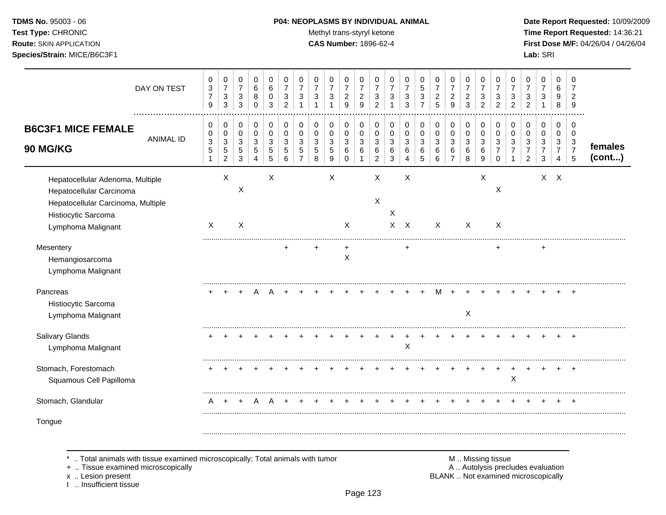# **TDMS No.** 95003 - 06 **P04: NEOPLASMS BY INDIVIDUAL ANIMAL** Date Report Requested: 10/09/2009

Test Type: CHRONIC **Test Type:** CHRONIC **Test Type:** CHRONIC **Time Report Requested:** 14:36:21 **Route:** SKIN APPLICATION **CAS Number:** 1896-62-4 **First Dose M/F:** 04/26/04 / 04/26/04

|                                                                                                                                                 | DAY ON TEST<br>. | 0<br>$\ensuremath{\mathsf{3}}$<br>$\overline{7}$<br>9 | 0<br>$\overline{7}$<br>$\sqrt{3}$<br>3                                | 0<br>$\boldsymbol{7}$<br>$\sqrt{3}$<br>3 | 0<br>$\,6\,$<br>8<br>$\mathbf 0$                 | 0<br>6<br>$\mathbf 0$<br>3      | 0<br>$\overline{7}$<br>3<br>$\overline{2}$ | 0<br>$\overline{7}$<br>3                     | 0<br>$\overline{7}$<br>$\mathbf{3}$                     | 0<br>$\overline{7}$<br>3<br>1                                       | 0<br>$\boldsymbol{7}$<br>$\overline{c}$<br>9 | 0<br>$\overline{7}$<br>$\overline{c}$<br>9 | 0<br>$\overline{7}$<br>3<br>$\overline{c}$             | 0<br>$\overline{7}$<br>3                 | 0<br>$\overline{7}$<br>3<br>3 | 0<br>5<br>$\,$ 3 $\,$<br>$\overline{7}$ | 0<br>$\overline{7}$<br>$\overline{c}$<br>$\overline{5}$    | 0<br>$\overline{7}$<br>$\overline{c}$<br>9            | 0<br>$\overline{7}$<br>$\overline{c}$<br>3 | 0<br>$\overline{7}$<br>3<br>$\overline{c}$ | 0<br>$\overline{7}$<br>3<br>$\overline{2}$   | 0<br>$\overline{7}$<br>3<br>$\overline{2}$ | 0<br>$\overline{7}$<br>3<br>$\overline{2}$                 | 0<br>$\overline{7}$<br>3<br>$\overline{1}$            | 0<br>6<br>9<br>8                             | 0<br>7<br>$\overline{2}$<br>9                              |                   |
|-------------------------------------------------------------------------------------------------------------------------------------------------|------------------|-------------------------------------------------------|-----------------------------------------------------------------------|------------------------------------------|--------------------------------------------------|---------------------------------|--------------------------------------------|----------------------------------------------|---------------------------------------------------------|---------------------------------------------------------------------|----------------------------------------------|--------------------------------------------|--------------------------------------------------------|------------------------------------------|-------------------------------|-----------------------------------------|------------------------------------------------------------|-------------------------------------------------------|--------------------------------------------|--------------------------------------------|----------------------------------------------|--------------------------------------------|------------------------------------------------------------|-------------------------------------------------------|----------------------------------------------|------------------------------------------------------------|-------------------|
| <b>B6C3F1 MICE FEMALE</b><br>90 MG/KG                                                                                                           | <b>ANIMAL ID</b> | 0<br>0<br>$\ensuremath{\mathsf{3}}$<br>$\,$ 5 $\,$    | 0<br>$\boldsymbol{0}$<br>$\mathbf{3}$<br>$\sqrt{5}$<br>$\overline{c}$ | 0<br>$\mathbf 0$<br>3<br>5<br>3          | $\pmb{0}$<br>$\pmb{0}$<br>$\mathbf{3}$<br>5<br>4 | 0<br>$\mathbf 0$<br>3<br>5<br>5 | 0<br>0<br>3<br>5<br>6                      | 0<br>$\mathbf 0$<br>3<br>5<br>$\overline{7}$ | $\,0\,$<br>$\pmb{0}$<br>$\mathbf{3}$<br>$\sqrt{5}$<br>8 | 0<br>$\mathbf 0$<br>$\mathbf{3}$<br>$\,$ 5 $\,$<br>$\boldsymbol{9}$ | 0<br>$\mathbf 0$<br>$\mathbf{3}$<br>6<br>0   | 0<br>0<br>3<br>6<br>1                      | 0<br>$\mathbf 0$<br>3<br>6<br>$\overline{2}$           | 0<br>$\pmb{0}$<br>3<br>6<br>$\mathbf{3}$ | 0<br>$\pmb{0}$<br>3<br>6<br>4 | 0<br>0<br>3<br>6<br>5                   | $\pmb{0}$<br>$\mathbf 0$<br>$\sqrt{3}$<br>$\,6$<br>$\,6\,$ | 0<br>$\pmb{0}$<br>$\mathbf{3}$<br>6<br>$\overline{7}$ | 0<br>$\pmb{0}$<br>$\sqrt{3}$<br>6<br>8     | 0<br>$\pmb{0}$<br>3<br>6<br>9              | 0<br>0<br>3<br>$\overline{7}$<br>$\mathbf 0$ | 0<br>$\mathbf 0$<br>3<br>7                 | 0<br>0<br>$\mathbf{3}$<br>$\overline{7}$<br>$\overline{2}$ | $\pmb{0}$<br>0<br>$\mathbf{3}$<br>$\overline{7}$<br>3 | 0<br>$\mathbf 0$<br>3<br>$\overline{7}$<br>4 | 0<br>0<br>$\mathbf{3}$<br>$\overline{7}$<br>$\overline{5}$ | females<br>(cont) |
| Hepatocellular Adenoma, Multiple<br>Hepatocellular Carcinoma<br>Hepatocellular Carcinoma, Multiple<br>Histiocytic Sarcoma<br>Lymphoma Malignant |                  | $\mathsf{X}$                                          | X                                                                     | X<br>X                                   |                                                  | $\times$                        |                                            |                                              |                                                         | X                                                                   | $\mathsf{X}$                                 |                                            | $\boldsymbol{\mathsf{X}}$<br>$\boldsymbol{\mathsf{X}}$ | $\mathsf X$<br>$\mathsf{X}$              | $\times$<br>$\mathsf{X}$      |                                         | X                                                          |                                                       | $\mathsf{X}$                               | $\boldsymbol{\mathsf{X}}$                  | X<br>X                                       |                                            |                                                            |                                                       | $X$ $X$                                      |                                                            |                   |
| Mesentery<br>Hemangiosarcoma<br>Lymphoma Malignant                                                                                              |                  |                                                       |                                                                       |                                          |                                                  |                                 |                                            |                                              |                                                         |                                                                     | +<br>X                                       |                                            |                                                        |                                          | ٠                             |                                         |                                                            |                                                       |                                            |                                            |                                              |                                            |                                                            |                                                       |                                              |                                                            |                   |
| Pancreas<br>Histiocytic Sarcoma<br>Lymphoma Malignant                                                                                           |                  |                                                       |                                                                       |                                          |                                                  |                                 |                                            |                                              |                                                         |                                                                     |                                              |                                            |                                                        |                                          |                               |                                         |                                                            |                                                       | $\times$                                   |                                            |                                              |                                            |                                                            |                                                       |                                              |                                                            |                   |
| Salivary Glands<br>Lymphoma Malignant                                                                                                           |                  |                                                       |                                                                       |                                          |                                                  |                                 |                                            |                                              |                                                         |                                                                     |                                              |                                            |                                                        |                                          | X                             |                                         |                                                            |                                                       |                                            |                                            |                                              |                                            |                                                            |                                                       |                                              | $\ddot{}$                                                  |                   |
| Stomach, Forestomach<br>Squamous Cell Papilloma                                                                                                 |                  |                                                       |                                                                       |                                          |                                                  |                                 |                                            |                                              |                                                         |                                                                     |                                              |                                            |                                                        |                                          |                               |                                         |                                                            |                                                       |                                            |                                            |                                              | X                                          |                                                            |                                                       |                                              |                                                            |                   |
| Stomach, Glandular                                                                                                                              |                  | A                                                     | $\overline{ }$                                                        | $\overline{+}$                           | A                                                |                                 |                                            |                                              |                                                         |                                                                     |                                              |                                            |                                                        |                                          |                               |                                         |                                                            |                                                       |                                            |                                            |                                              |                                            |                                                            |                                                       |                                              |                                                            |                   |
| Tongue                                                                                                                                          |                  |                                                       |                                                                       |                                          |                                                  |                                 |                                            |                                              |                                                         |                                                                     |                                              |                                            |                                                        |                                          |                               |                                         |                                                            |                                                       |                                            |                                            |                                              |                                            |                                                            |                                                       |                                              |                                                            |                   |

\* .. Total animals with tissue examined microscopically; Total animals with tumor M .. Missing tissue M .. Missing tissue<br>A .. Tissue examined microscopically by the matric of the matric of the M .. Missing tissue examined

+ .. Tissue examined microscopically

x .. Lesion present<br>I .. Insufficient tissue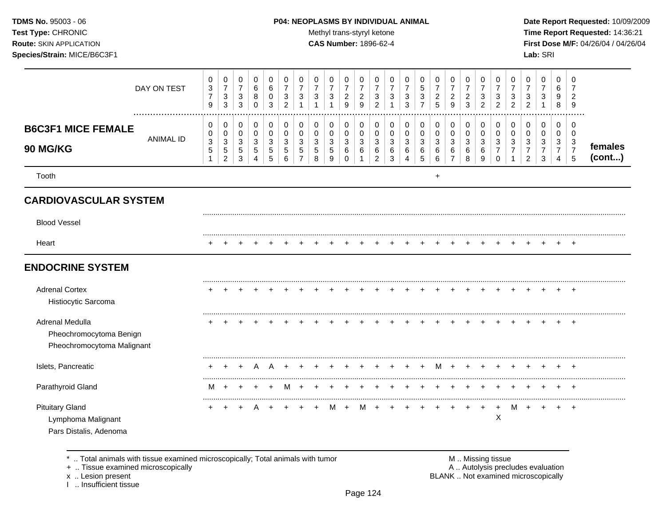#### **TDMS No.** 95003 - 06 **P04: NEOPLASMS BY INDIVIDUAL ANIMAL** Date Report Requested: 10/09/2009

Test Type: CHRONIC **Test Type:** CHRONIC **Test Type:** CHRONIC **Time Report Requested:** 14:36:21 **Route:** SKIN APPLICATION **CAS Number:** 1896-62-4 **First Dose M/F:** 04/26/04 / 04/26/04

|                                                                          | DAY ON TEST      | 0<br>$\ensuremath{\mathsf{3}}$<br>$\overline{7}$<br>9 | 0<br>$\overline{7}$<br>$\sqrt{3}$<br>$\mathbf{3}$  | 0<br>$\boldsymbol{7}$<br>$\mathbf{3}$<br>3 | 0<br>$\,6$<br>8<br>$\mathbf 0$            | 0<br>6<br>$\mathbf 0$<br>3      | 0<br>$\overline{7}$<br>3<br>$\overline{2}$ | 0<br>$\overline{7}$<br>3       | 0<br>$\overline{7}$<br>$\sqrt{3}$             | 0<br>$\overline{7}$<br>$\mathbf{3}$<br>1 | 0<br>$\boldsymbol{7}$<br>$\sqrt{2}$<br>9 | 0<br>$\overline{7}$<br>$\sqrt{2}$<br>9 | 0<br>7<br>3<br>$\overline{2}$      | 0<br>3                | 0<br>$\overline{7}$<br>3<br>3 | 0<br>$\sqrt{5}$<br>$\ensuremath{\mathsf{3}}$<br>$\overline{7}$ | 0<br>$\overline{7}$<br>$\overline{c}$<br>5 | 0<br>$\boldsymbol{7}$<br>$\overline{c}$<br>9          | 0<br>$\boldsymbol{7}$<br>$\boldsymbol{2}$<br>3 | 0<br>$\overline{7}$<br>3<br>$\overline{2}$       | 0<br>$\overline{7}$<br>$\mathbf{3}$<br>$\overline{2}$ | 0<br>$\overline{7}$<br>3<br>$\overline{2}$ | 0<br>3<br>$\overline{2}$                  | 0<br>$\overline{7}$<br>3           | 0<br>6<br>9<br>$\,8\,$             | 0<br>7<br>$\overline{c}$<br>9                            |                   |
|--------------------------------------------------------------------------|------------------|-------------------------------------------------------|----------------------------------------------------|--------------------------------------------|-------------------------------------------|---------------------------------|--------------------------------------------|--------------------------------|-----------------------------------------------|------------------------------------------|------------------------------------------|----------------------------------------|------------------------------------|-----------------------|-------------------------------|----------------------------------------------------------------|--------------------------------------------|-------------------------------------------------------|------------------------------------------------|--------------------------------------------------|-------------------------------------------------------|--------------------------------------------|-------------------------------------------|------------------------------------|------------------------------------|----------------------------------------------------------|-------------------|
| <b>B6C3F1 MICE FEMALE</b><br>90 MG/KG                                    | <b>ANIMAL ID</b> | 0<br>0<br>$\ensuremath{\mathsf{3}}$<br>$\,$ 5 $\,$    | 0<br>0<br>$\mathsf 3$<br>$\,$ 5 $\,$<br>$\sqrt{2}$ | 0<br>0<br>3<br>5<br>3                      | 0<br>0<br>$\mathbf{3}$<br>$\sqrt{5}$<br>4 | 0<br>$\mathbf 0$<br>3<br>5<br>5 | 0<br>0<br>3<br>5<br>6                      | 0<br>0<br>3<br>$\sqrt{5}$<br>7 | 0<br>0<br>$\mathbf{3}$<br>$\overline{5}$<br>8 | 0<br>$\mathbf 0$<br>3<br>$\sqrt{5}$<br>9 | 0<br>0<br>3<br>$\,6\,$<br>0              | 0<br>0<br>$\mathbf{3}$<br>6<br>-1      | 0<br>0<br>3<br>6<br>$\overline{c}$ | 0<br>0<br>3<br>6<br>3 | 0<br>$\Omega$<br>3<br>6<br>4  | 0<br>$\mathbf 0$<br>$\mathbf{3}$<br>$\,6$<br>5                 | 0<br>$\mathbf 0$<br>3<br>$\,6\,$<br>$\,6$  | 0<br>$\pmb{0}$<br>$\mathbf{3}$<br>6<br>$\overline{7}$ | 0<br>$\mathbf 0$<br>$\mathbf{3}$<br>6<br>8     | 0<br>$\mathbf 0$<br>$\mathbf{3}$<br>$\,6\,$<br>9 | 0<br>$\mathbf 0$<br>3<br>$\overline{7}$<br>0          | 0<br>$\Omega$<br>3<br>$\overline{7}$       | 0<br>$\Omega$<br>3<br>$\overline{7}$<br>2 | 0<br>0<br>3<br>$\overline{7}$<br>3 | 0<br>0<br>3<br>$\overline{7}$<br>4 | 0<br>$\overline{0}$<br>3<br>$\overline{7}$<br>$\sqrt{5}$ | females<br>(cont) |
| Tooth                                                                    |                  |                                                       |                                                    |                                            |                                           |                                 |                                            |                                |                                               |                                          |                                          |                                        |                                    |                       |                               |                                                                | $\ddot{}$                                  |                                                       |                                                |                                                  |                                                       |                                            |                                           |                                    |                                    |                                                          |                   |
| <b>CARDIOVASCULAR SYSTEM</b>                                             |                  |                                                       |                                                    |                                            |                                           |                                 |                                            |                                |                                               |                                          |                                          |                                        |                                    |                       |                               |                                                                |                                            |                                                       |                                                |                                                  |                                                       |                                            |                                           |                                    |                                    |                                                          |                   |
| <b>Blood Vessel</b>                                                      |                  |                                                       |                                                    |                                            |                                           |                                 |                                            |                                |                                               |                                          |                                          |                                        |                                    |                       |                               |                                                                |                                            |                                                       |                                                |                                                  |                                                       |                                            |                                           |                                    |                                    |                                                          |                   |
| Heart                                                                    |                  |                                                       |                                                    |                                            |                                           |                                 |                                            |                                |                                               |                                          |                                          |                                        |                                    |                       |                               |                                                                |                                            |                                                       |                                                |                                                  |                                                       |                                            |                                           |                                    |                                    |                                                          |                   |
| <b>ENDOCRINE SYSTEM</b>                                                  |                  |                                                       |                                                    |                                            |                                           |                                 |                                            |                                |                                               |                                          |                                          |                                        |                                    |                       |                               |                                                                |                                            |                                                       |                                                |                                                  |                                                       |                                            |                                           |                                    |                                    |                                                          |                   |
| <b>Adrenal Cortex</b><br>Histiocytic Sarcoma                             |                  |                                                       |                                                    |                                            |                                           |                                 |                                            |                                |                                               |                                          |                                          |                                        |                                    |                       |                               |                                                                |                                            |                                                       |                                                |                                                  |                                                       |                                            |                                           |                                    |                                    |                                                          |                   |
| Adrenal Medulla<br>Pheochromocytoma Benign<br>Pheochromocytoma Malignant |                  |                                                       |                                                    |                                            |                                           |                                 |                                            |                                |                                               |                                          |                                          |                                        |                                    |                       |                               |                                                                |                                            |                                                       |                                                |                                                  |                                                       |                                            |                                           |                                    |                                    | $\overline{ }$                                           |                   |
| Islets, Pancreatic                                                       |                  |                                                       |                                                    |                                            |                                           |                                 |                                            |                                |                                               |                                          |                                          |                                        |                                    |                       |                               |                                                                | м                                          |                                                       |                                                |                                                  |                                                       |                                            |                                           |                                    |                                    |                                                          |                   |
| Parathyroid Gland                                                        |                  | м                                                     |                                                    |                                            |                                           |                                 |                                            |                                |                                               |                                          |                                          |                                        |                                    |                       |                               |                                                                |                                            |                                                       |                                                |                                                  |                                                       |                                            |                                           |                                    |                                    |                                                          |                   |
| <b>Pituitary Gland</b><br>Lymphoma Malignant<br>Pars Distalis, Adenoma   |                  | $\pm$                                                 | ÷                                                  |                                            |                                           |                                 |                                            |                                |                                               | м                                        |                                          |                                        |                                    |                       |                               |                                                                |                                            |                                                       |                                                |                                                  | +<br>X                                                |                                            |                                           |                                    |                                    | $\overline{1}$                                           |                   |

\* .. Total animals with tissue examined microscopically; Total animals with tumor **M** metal metal M .. Missing tissue<br>  $\blacksquare$  . Tissue examined microscopically

+ .. Tissue examined microscopically

x .. Lesion present<br>I .. Insufficient tissue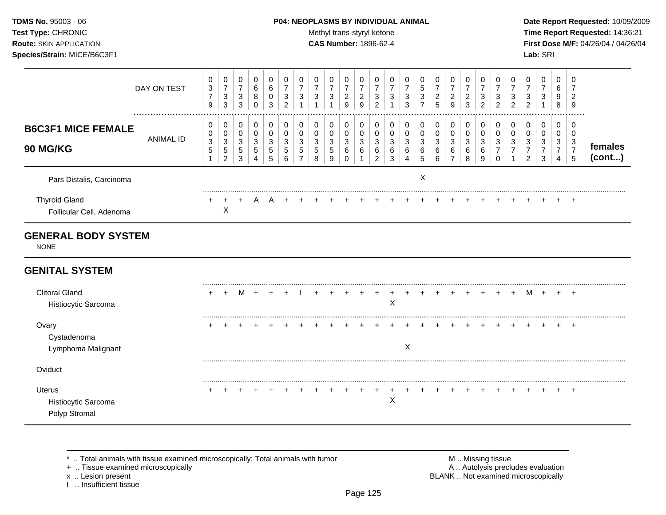#### **TDMS No.** 95003 - 06 **P04: NEOPLASMS BY INDIVIDUAL ANIMAL** Date Report Requested: 10/09/2009

Test Type: CHRONIC **Test Type:** CHRONIC **Test Type:** CHRONIC **Time Report Requested:** 14:36:21 **Route:** SKIN APPLICATION **CAS Number:** 1896-62-4 **First Dose M/F:** 04/26/04 / 04/26/04

|                                                       | DAY ON TEST      | 0<br>$\mathbf{3}$<br>$\overline{7}$<br>9 | 0<br>$\overline{7}$<br>$\sqrt{3}$<br>$\mathbf{3}$ | 0<br>$\boldsymbol{7}$<br>$\ensuremath{\mathsf{3}}$<br>$\mathbf{3}$ | 0<br>6<br>8<br>$\Omega$                    | 0<br>$\,6$<br>0<br>3          | 0<br>$\overline{7}$<br>3<br>$\overline{2}$ | 0<br>$\overline{7}$<br>3 | 0<br>$\overline{7}$<br>3 | 0<br>$\overline{7}$<br>3                       | 0<br>$\boldsymbol{7}$<br>$\sqrt{2}$<br>9  | $\mathbf 0$<br>$\overline{7}$<br>$\overline{c}$<br>9 | 0<br>$\overline{7}$<br>3<br>$\overline{2}$ | 0<br>$\overline{7}$<br>3         | 0<br>$\overline{7}$<br>3<br>3              | 0<br>5<br>3<br>$\overline{7}$            | 0<br>$\overline{7}$<br>$\overline{c}$<br>5 | 0<br>$\overline{7}$<br>$\overline{c}$<br>9            | 0<br>$\overline{7}$<br>$\overline{c}$<br>3 | 0<br>$\overline{7}$<br>3<br>$\overline{2}$ | 0<br>$\overline{7}$<br>3<br>$\overline{2}$ | 0<br>$\overline{7}$<br>3<br>$\overline{2}$ | 0<br>$\overline{7}$<br>3<br>$\overline{2}$ | 0<br>$\boldsymbol{7}$<br>3                              | $\mathbf 0$<br>6<br>9<br>8                   | 0<br>$\overline{7}$<br>$\overline{c}$<br>9              |                   |
|-------------------------------------------------------|------------------|------------------------------------------|---------------------------------------------------|--------------------------------------------------------------------|--------------------------------------------|-------------------------------|--------------------------------------------|--------------------------|--------------------------|------------------------------------------------|-------------------------------------------|------------------------------------------------------|--------------------------------------------|----------------------------------|--------------------------------------------|------------------------------------------|--------------------------------------------|-------------------------------------------------------|--------------------------------------------|--------------------------------------------|--------------------------------------------|--------------------------------------------|--------------------------------------------|---------------------------------------------------------|----------------------------------------------|---------------------------------------------------------|-------------------|
| <b>B6C3F1 MICE FEMALE</b><br><b>90 MG/KG</b>          | <b>ANIMAL ID</b> | 0<br>0<br>$\sqrt{3}$<br>$\sqrt{5}$<br>-1 | 0<br>0<br>$\sqrt{3}$<br>5<br>$\overline{2}$       | 0<br>$\mathbf 0$<br>$\mathbf{3}$<br>$\sqrt{5}$<br>3                | 0<br>$\mathbf 0$<br>$\mathbf{3}$<br>5<br>4 | 0<br>$\pmb{0}$<br>3<br>5<br>5 | 0<br>0<br>3<br>5<br>6                      | 0<br>0<br>3<br>5<br>7    | 0<br>0<br>3<br>5<br>8    | 0<br>0<br>$\mathbf{3}$<br>$5\phantom{.0}$<br>9 | 0<br>$\mathbf 0$<br>3<br>6<br>$\mathbf 0$ | 0<br>0<br>3<br>6                                     | 0<br>0<br>3<br>6<br>$\overline{2}$         | 0<br>0<br>$\mathbf{3}$<br>6<br>3 | 0<br>$\mathbf 0$<br>$\mathbf{3}$<br>6<br>4 | 0<br>$\pmb{0}$<br>$\mathbf{3}$<br>6<br>5 | 0<br>$\mathbf 0$<br>$\mathbf{3}$<br>6<br>6 | 0<br>$\mathbf 0$<br>$\sqrt{3}$<br>6<br>$\overline{7}$ | 0<br>$\pmb{0}$<br>$\mathbf{3}$<br>6<br>8   | 0<br>0<br>3<br>6<br>9                      | 0<br>0<br>3<br>$\Omega$                    | 0<br>$\mathbf 0$<br>3<br>7                 | 0<br>0<br>3<br>7<br>$\overline{c}$         | 0<br>$\mathbf 0$<br>$\mathbf{3}$<br>$\overline{7}$<br>3 | 0<br>$\mathbf 0$<br>3<br>$\overline{7}$<br>4 | 0<br>$\mathbf 0$<br>$\mathbf{3}$<br>$\overline{7}$<br>5 | females<br>(cont) |
| Pars Distalis, Carcinoma                              |                  |                                          |                                                   |                                                                    |                                            |                               |                                            |                          |                          |                                                |                                           |                                                      |                                            |                                  |                                            | X                                        |                                            |                                                       |                                            |                                            |                                            |                                            |                                            |                                                         |                                              |                                                         |                   |
| <b>Thyroid Gland</b><br>Follicular Cell, Adenoma      |                  | +                                        | $\div$<br>$\pmb{\times}$                          | $\div$                                                             | A                                          |                               |                                            |                          |                          |                                                |                                           |                                                      |                                            |                                  |                                            |                                          |                                            |                                                       |                                            |                                            |                                            |                                            |                                            |                                                         |                                              | $\pm$                                                   |                   |
| <b>GENERAL BODY SYSTEM</b><br><b>NONE</b>             |                  |                                          |                                                   |                                                                    |                                            |                               |                                            |                          |                          |                                                |                                           |                                                      |                                            |                                  |                                            |                                          |                                            |                                                       |                                            |                                            |                                            |                                            |                                            |                                                         |                                              |                                                         |                   |
| <b>GENITAL SYSTEM</b>                                 |                  |                                          |                                                   |                                                                    |                                            |                               |                                            |                          |                          |                                                |                                           |                                                      |                                            |                                  |                                            |                                          |                                            |                                                       |                                            |                                            |                                            |                                            |                                            |                                                         |                                              |                                                         |                   |
| <b>Clitoral Gland</b><br>Histiocytic Sarcoma          |                  |                                          |                                                   | м                                                                  |                                            |                               |                                            |                          |                          |                                                |                                           |                                                      |                                            | X                                |                                            |                                          |                                            |                                                       |                                            |                                            |                                            |                                            | M                                          | $\div$                                                  | $\ddot{}$                                    | $\overline{+}$                                          |                   |
| Ovary<br>Cystadenoma<br>Lymphoma Malignant            |                  |                                          |                                                   |                                                                    |                                            |                               |                                            |                          |                          |                                                |                                           |                                                      |                                            |                                  | X                                          |                                          |                                            |                                                       |                                            |                                            |                                            |                                            |                                            |                                                         |                                              |                                                         |                   |
| Oviduct                                               |                  |                                          |                                                   |                                                                    |                                            |                               |                                            |                          |                          |                                                |                                           |                                                      |                                            |                                  |                                            |                                          |                                            |                                                       |                                            |                                            |                                            |                                            |                                            |                                                         |                                              |                                                         |                   |
| <b>Uterus</b><br>Histiocytic Sarcoma<br>Polyp Stromal |                  |                                          |                                                   |                                                                    |                                            |                               |                                            |                          |                          |                                                |                                           |                                                      |                                            | X                                |                                            |                                          |                                            |                                                       |                                            |                                            |                                            |                                            |                                            |                                                         |                                              |                                                         |                   |

+ .. Tissue examined microscopically

I .. Insufficient tissue

\* .. Total animals with tissue examined microscopically; Total animals with tumor <br>
+ .. Tissue examined microscopically<br>
+ .. Tissue examined microscopically x .. Lesion present **BLANK** .. Not examined microscopically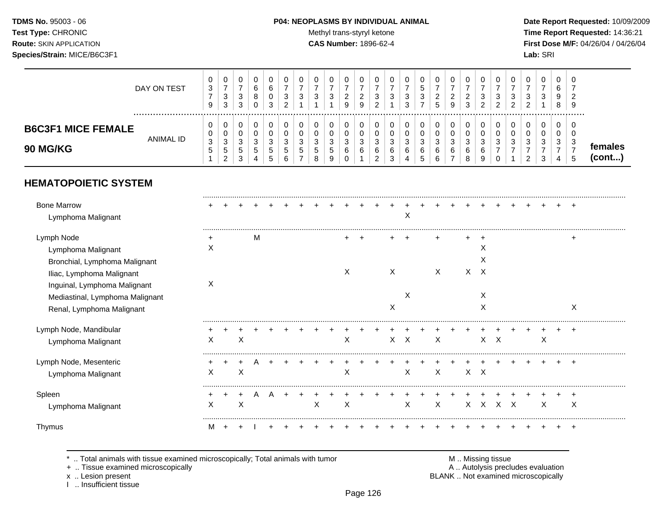# **TDMS No.** 95003 - 06 **P04: NEOPLASMS BY INDIVIDUAL ANIMAL** Date Report Requested: 10/09/2009

Test Type: CHRONIC **Test Type:** CHRONIC **Test Type:** CHRONIC **Time Report Requested:** 14:36:21 **Route:** SKIN APPLICATION **CAS Number:** 1896-62-4 **First Dose M/F:** 04/26/04 / 04/26/04

|                                              | DAY ON TEST | v<br>3              | $\mathbf 0$<br>З<br>3            | U<br>ົ<br>◡<br>2<br>◡  | b<br>8 | ີ  |   | ?<br>◡                  | J           | U<br>3           | v<br><u>_</u><br>9    | u<br><u>.</u><br>9 | υ<br>ت      | υ<br>د | ◡<br>3 | J | 0<br><u>_</u><br>$\mathbf{c}$ | ∼<br>9                 | U<br>∼<br>3 | v<br>J | 0<br>3<br>ົ<br><u>_</u> | U<br>ົ<br>◡<br>ົ<br><u>_</u> | J | U<br>3      | v<br><u>_</u><br>9 |        |  |
|----------------------------------------------|-------------|---------------------|----------------------------------|------------------------|--------|----|---|-------------------------|-------------|------------------|-----------------------|--------------------|-------------|--------|--------|---|-------------------------------|------------------------|-------------|--------|-------------------------|------------------------------|---|-------------|--------------------|--------|--|
| <b>B6C3F1 MICE FEMALE</b><br><b>90 MG/KG</b> | ANIMAL ID   | $\Omega$<br>J.<br>J | 0<br>0<br>3<br>-<br><sub>5</sub> | U<br>υ<br>ົ<br>◡<br>C. | J<br>G | .5 | Ð | ◠<br>ັບ<br><sub>5</sub> | ີ<br>∽<br>N | ລ<br>J<br>∽<br>N | v<br>$\sim$<br>ັ<br>6 | O<br>J<br>6        | υ<br>J<br>ь | C<br>ь | ت<br>6 | Ñ | O<br>3<br>6                   | <sup>o</sup><br>J<br>6 | ◠<br>J<br>6 | ⌒<br>J | 0<br>0<br>3             | U<br>v<br>◠<br>◡             | ັ | U<br>c<br>ა | v<br>◡<br>J.       | males  |  |
|                                              |             |                     | ົ                                | ົ<br>ັ                 |        |    |   |                         |             | 9                |                       |                    |             |        |        |   |                               |                        | 8           | a      |                         |                              |   |             |                    | (cont) |  |

# **HEMATOPOIETIC SYSTEM**

| <b>Bone Marrow</b><br>Lymphoma Malignant |   |   |   |  |   |   |  |   | Χ       |                  |          |              |     |  |   |       |
|------------------------------------------|---|---|---|--|---|---|--|---|---------|------------------|----------|--------------|-----|--|---|-------|
| Lymph Node                               | ٠ |   | м |  |   |   |  |   |         |                  |          |              |     |  |   |       |
| Lymphoma Malignant                       | X |   |   |  |   |   |  |   |         |                  |          | X            |     |  |   |       |
| Bronchial, Lymphoma Malignant            |   |   |   |  |   |   |  |   |         |                  |          | X            |     |  |   |       |
| Iliac, Lymphoma Malignant                |   |   |   |  |   | X |  | X |         | X                | X        | $\times$     |     |  |   |       |
| Inguinal, Lymphoma Malignant             | X |   |   |  |   |   |  |   |         |                  |          |              |     |  |   |       |
| Mediastinal, Lymphoma Malignant          |   |   |   |  |   |   |  |   | X       |                  |          | X            |     |  |   |       |
| Renal, Lymphoma Malignant                |   |   |   |  |   |   |  | X |         |                  |          | X            |     |  |   | X     |
| Lymph Node, Mandibular                   |   |   |   |  |   |   |  |   |         |                  |          |              |     |  |   | $\pm$ |
| Lymphoma Malignant                       | X | х |   |  |   | X |  |   | $X$ $X$ | $\boldsymbol{X}$ |          | $X$ $X$      |     |  | X |       |
| Lymph Node, Mesenteric                   |   |   |   |  |   |   |  |   |         |                  |          |              |     |  |   |       |
| Lymphoma Malignant                       | х | X |   |  |   | X |  |   | X       | $\times$         |          | $X$ $X$      |     |  |   |       |
| Spleen                                   |   |   | A |  |   |   |  |   |         |                  |          |              |     |  |   |       |
| Lymphoma Malignant                       | X | X |   |  | X | X |  |   | X       | X                | $\times$ | $\mathsf{X}$ | x x |  | X | X     |
| Thymus                                   | м |   |   |  |   |   |  |   |         |                  |          |              |     |  |   |       |

\* .. Total animals with tissue examined microscopically; Total animals with tumor M .. Missing tissue M .. Missing tissue<br>A .. Tissue examined microscopically by the matric of the matric of the M .. Missing tissue examined

+ .. Tissue examined microscopically

I .. Insufficient tissue

x .. Lesion present **EXALL EXALL EXACL** BLANK .. Not examined microscopically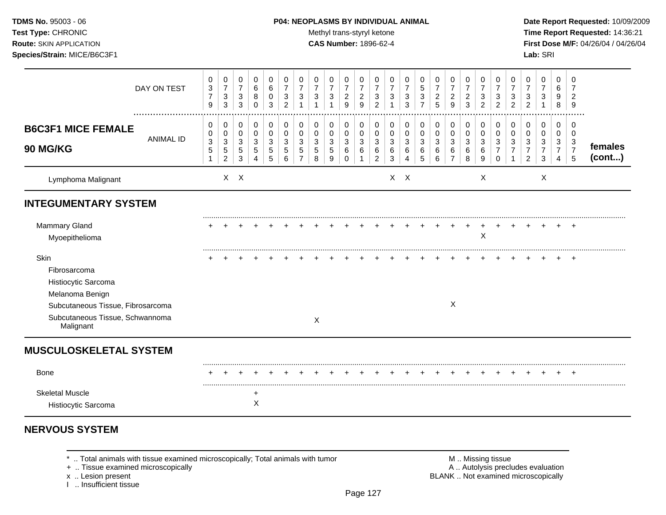#### **TDMS No.** 95003 - 06 **P04: NEOPLASMS BY INDIVIDUAL ANIMAL** Date Report Requested: 10/09/2009

Test Type: CHRONIC **Test Type:** CHRONIC **Test Type:** CHRONIC **Time Report Requested:** 14:36:21 **Route:** SKIN APPLICATION **CAS Number:** 1896-62-4 **First Dose M/F:** 04/26/04 / 04/26/04

|                                                                                         | DAY ON TEST      | $\pmb{0}$<br>3<br>$\overline{7}$<br>9 | 0<br>$\overline{7}$<br>$\mathsf 3$<br>$\mathbf{3}$             | 0<br>$\boldsymbol{7}$<br>3<br>3           | 0<br>6<br>8<br>$\Omega$         | 0<br>6<br>0<br>3                | 0<br>$\overline{7}$<br>3<br>$\overline{2}$ | 0<br>$\overline{7}$<br>3<br>-1 | 0<br>$\overline{7}$<br>3 | 0<br>$\overline{7}$<br>3 | 0<br>$\overline{7}$<br>$\boldsymbol{2}$<br>9 | 0<br>7<br>$\overline{2}$<br>9 | 0<br>$\overline{7}$<br>3<br>2      | 0<br>$\overline{7}$<br>3 | 0<br>7<br>$\sqrt{3}$<br>3       | 0<br>5<br>3           | 0<br>$\overline{7}$<br>$\overline{c}$<br>5             | 0<br>$\boldsymbol{7}$<br>$\overline{2}$<br>9   | 0<br>$\overline{7}$<br>$\overline{c}$<br>3 | 0<br>$\overline{7}$<br>3<br>$\overline{2}$ | 0<br>$\overline{7}$<br>3<br>$\overline{2}$ | 0<br>3<br>$\overline{2}$ | 0<br>$\overline{7}$<br>3<br>$\overline{2}$ | 0<br>$\overline{7}$<br>3             | 0<br>6<br>9<br>8                                     | 0<br>7<br>$\overline{2}$<br>9      |                   |
|-----------------------------------------------------------------------------------------|------------------|---------------------------------------|----------------------------------------------------------------|-------------------------------------------|---------------------------------|---------------------------------|--------------------------------------------|--------------------------------|--------------------------|--------------------------|----------------------------------------------|-------------------------------|------------------------------------|--------------------------|---------------------------------|-----------------------|--------------------------------------------------------|------------------------------------------------|--------------------------------------------|--------------------------------------------|--------------------------------------------|--------------------------|--------------------------------------------|--------------------------------------|------------------------------------------------------|------------------------------------|-------------------|
| <b>B6C3F1 MICE FEMALE</b><br><b>90 MG/KG</b>                                            | <b>ANIMAL ID</b> | 0<br>0<br>$\sqrt{3}$<br>$\sqrt{5}$    | 0<br>$\pmb{0}$<br>$\mathbf{3}$<br>$\sqrt{5}$<br>$\overline{2}$ | 0<br>$\mathbf 0$<br>3<br>$\mathbf 5$<br>3 | 0<br>$\mathbf 0$<br>3<br>5<br>4 | 0<br>$\mathbf 0$<br>3<br>5<br>5 | $\pmb{0}$<br>0<br>3<br>5<br>6              | $\pmb{0}$<br>0<br>3<br>5       | 0<br>0<br>3<br>5<br>8    | 0<br>0<br>3<br>5<br>9    | 0<br>0<br>3<br>6<br>0                        | 0<br>$\mathbf 0$<br>3<br>6    | 0<br>0<br>3<br>6<br>$\overline{2}$ | 0<br>0<br>3<br>6<br>3    | 0<br>$\mathbf 0$<br>3<br>6<br>4 | 0<br>0<br>3<br>6<br>5 | $\mathbf 0$<br>$\pmb{0}$<br>$\mathbf{3}$<br>$\,6$<br>6 | 0<br>$\pmb{0}$<br>3<br>$\,6$<br>$\overline{7}$ | $\pmb{0}$<br>$\pmb{0}$<br>3<br>6<br>8      | 0<br>$\mathbf 0$<br>3<br>6<br>9            | 0<br>0<br>3<br>7<br>0                      | 0<br>0<br>3              | 0<br>0<br>3<br>$\overline{7}$<br>2         | 0<br>0<br>3<br>$\boldsymbol{7}$<br>3 | $\pmb{0}$<br>$\mathbf 0$<br>3<br>$\overline{7}$<br>4 | 0<br>0<br>3<br>$\overline{7}$<br>5 | females<br>(cont) |
| Lymphoma Malignant                                                                      |                  |                                       |                                                                | $X$ $X$                                   |                                 |                                 |                                            |                                |                          |                          |                                              |                               |                                    |                          | $X$ $X$                         |                       |                                                        |                                                |                                            | $\boldsymbol{\mathsf{X}}$                  |                                            |                          |                                            | X                                    |                                                      |                                    |                   |
| <b>INTEGUMENTARY SYSTEM</b>                                                             |                  |                                       |                                                                |                                           |                                 |                                 |                                            |                                |                          |                          |                                              |                               |                                    |                          |                                 |                       |                                                        |                                                |                                            |                                            |                                            |                          |                                            |                                      |                                                      |                                    |                   |
| Mammary Gland<br>Myoepithelioma                                                         |                  |                                       |                                                                |                                           |                                 |                                 |                                            |                                |                          |                          |                                              |                               |                                    |                          |                                 |                       |                                                        |                                                |                                            | Χ                                          |                                            |                          |                                            |                                      |                                                      |                                    |                   |
| Skin<br>Fibrosarcoma<br>Histiocytic Sarcoma                                             |                  |                                       |                                                                |                                           |                                 |                                 |                                            |                                |                          |                          |                                              |                               |                                    |                          |                                 |                       |                                                        |                                                |                                            |                                            |                                            |                          |                                            |                                      |                                                      | $\pm$                              |                   |
| Melanoma Benign<br>Subcutaneous Tissue, Fibrosarcoma<br>Subcutaneous Tissue, Schwannoma |                  |                                       |                                                                |                                           |                                 |                                 |                                            |                                |                          |                          |                                              |                               |                                    |                          |                                 |                       |                                                        | X                                              |                                            |                                            |                                            |                          |                                            |                                      |                                                      |                                    |                   |
| Malignant                                                                               |                  |                                       |                                                                |                                           |                                 |                                 |                                            |                                | X                        |                          |                                              |                               |                                    |                          |                                 |                       |                                                        |                                                |                                            |                                            |                                            |                          |                                            |                                      |                                                      |                                    |                   |
| <b>MUSCULOSKELETAL SYSTEM</b>                                                           |                  |                                       |                                                                |                                           |                                 |                                 |                                            |                                |                          |                          |                                              |                               |                                    |                          |                                 |                       |                                                        |                                                |                                            |                                            |                                            |                          |                                            |                                      |                                                      |                                    |                   |
| <b>Bone</b>                                                                             |                  |                                       |                                                                |                                           |                                 |                                 |                                            |                                |                          |                          |                                              |                               |                                    |                          |                                 |                       |                                                        |                                                |                                            |                                            |                                            |                          |                                            |                                      |                                                      |                                    |                   |
| <b>Skeletal Muscle</b><br>Histiocytic Sarcoma                                           |                  |                                       |                                                                |                                           | $\div$<br>Χ                     |                                 |                                            |                                |                          |                          |                                              |                               |                                    |                          |                                 |                       |                                                        |                                                |                                            |                                            |                                            |                          |                                            |                                      |                                                      |                                    |                   |

# **NERVOUS SYSTEM**

+ .. Tissue examined microscopically

x .. Lesion present<br>I .. Insufficient tissue

\* .. Total animals with tissue examined microscopically; Total animals with tumor **M** metally more than M .. Missing tissue<br>  $\blacksquare$  Tissue examined microscopically BLANK .. Not examined microscopically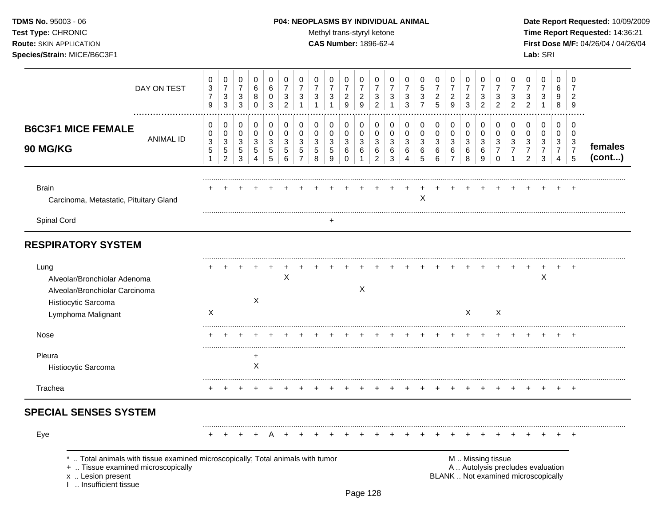# **TDMS No.** 95003 - 06 **P04: NEOPLASMS BY INDIVIDUAL ANIMAL** Date Report Requested: 10/09/2009

Test Type: CHRONIC **Test Type:** CHRONIC **Test Type:** CHRONIC **Time Report Requested:** 14:36:21 **Route:** SKIN APPLICATION **CAS Number:** 1896-62-4 **First Dose M/F:** 04/26/04 / 04/26/04

| DAY ON TEST                                                                                                                                                       | 0<br>$\ensuremath{\mathsf{3}}$<br>$\overline{7}$<br>9 | $\mathbf 0$<br>$\overline{7}$<br>$\mathbf{3}$<br>$\sqrt{3}$ | 0<br>7<br>3<br>3                              | 0<br>6<br>8<br>$\mathbf 0$     | 0<br>6<br>0<br>3      | 0<br>$\overline{7}$<br>3<br>$\overline{c}$ | 0<br>$\overline{7}$<br>$\sqrt{3}$            | 0<br>$\overline{7}$<br>3        | 0<br>7<br>3<br>$\mathbf{1}$ | 0<br>$\overline{7}$<br>$\overline{c}$<br>9        | 0<br>7<br>$\overline{2}$<br>9 | 0<br>7<br>3<br>$\overline{2}$                | 0<br>7<br>3<br>1                | 0<br>7<br>3<br>3 | 0<br>5<br>$\mathbf{3}$<br>$\overline{7}$ | 0<br>$\overline{7}$<br>$\overline{c}$<br>5 | 0<br>$\overline{7}$<br>$\overline{a}$<br>9 | 0<br>7<br>$\overline{a}$<br>3   | 0<br>7<br>3<br>2             | 0<br>$\overline{7}$<br>3<br>$\overline{c}$ | 0<br>7<br>3<br>$\overline{2}$           | 0<br>7<br>3<br>$\overline{c}$                             | 0<br>$\overline{7}$<br>3<br>1                                            | 0<br>6<br>9<br>8                             | 0<br>7<br>$\overline{2}$<br>9             |                   |
|-------------------------------------------------------------------------------------------------------------------------------------------------------------------|-------------------------------------------------------|-------------------------------------------------------------|-----------------------------------------------|--------------------------------|-----------------------|--------------------------------------------|----------------------------------------------|---------------------------------|-----------------------------|---------------------------------------------------|-------------------------------|----------------------------------------------|---------------------------------|------------------|------------------------------------------|--------------------------------------------|--------------------------------------------|---------------------------------|------------------------------|--------------------------------------------|-----------------------------------------|-----------------------------------------------------------|--------------------------------------------------------------------------|----------------------------------------------|-------------------------------------------|-------------------|
| <br><b>B6C3F1 MICE FEMALE</b><br><b>ANIMAL ID</b><br>90 MG/KG                                                                                                     | 0<br>0<br>$\sqrt{3}$<br>$\overline{5}$                | 0<br>0<br>$\mathbf{3}$<br>$\,$ 5 $\,$<br>$\overline{2}$     | 0<br>0<br>$\ensuremath{\mathsf{3}}$<br>5<br>3 | 0<br>0<br>$\sqrt{3}$<br>5<br>4 | 0<br>0<br>3<br>5<br>5 | 0<br>0<br>3<br>5<br>6                      | 0<br>$\mathbf 0$<br>3<br>5<br>$\overline{7}$ | 0<br>$\mathbf 0$<br>3<br>5<br>8 | 0<br>0<br>3<br>5<br>9       | 0<br>$\mathbf 0$<br>$\mathbf{3}$<br>6<br>$\Omega$ | 0<br>0<br>3<br>6<br>1         | 0<br>$\mathbf 0$<br>3<br>6<br>$\overline{2}$ | 0<br>$\mathbf 0$<br>3<br>6<br>3 | 0<br>0<br>3<br>6 | 0<br>0<br>$\sqrt{3}$<br>$\,6$<br>5       | 0<br>$\mathbf 0$<br>3<br>6<br>6            | 0<br>$\pmb{0}$<br>3<br>6<br>$\overline{7}$ | 0<br>$\mathbf 0$<br>3<br>6<br>8 | 0<br>$\Omega$<br>3<br>6<br>9 | 0<br>0<br>3<br>$\overline{7}$<br>$\Omega$  | 0<br>$\mathbf 0$<br>3<br>$\overline{7}$ | 0<br>$\mathbf 0$<br>3<br>$\overline{7}$<br>$\overline{c}$ | 0<br>0<br>3<br>7<br>3                                                    | 0<br>$\mathbf 0$<br>3<br>$\overline{7}$<br>4 | 0<br>$\Omega$<br>3<br>$\overline{7}$<br>5 | females<br>(cont) |
| <b>Brain</b><br>Carcinoma, Metastatic, Pituitary Gland                                                                                                            |                                                       |                                                             |                                               |                                |                       |                                            |                                              |                                 |                             |                                                   |                               |                                              |                                 |                  | X                                        |                                            |                                            |                                 |                              |                                            |                                         |                                                           |                                                                          |                                              |                                           |                   |
| Spinal Cord                                                                                                                                                       |                                                       |                                                             |                                               |                                |                       |                                            |                                              |                                 |                             |                                                   |                               |                                              |                                 |                  |                                          |                                            |                                            |                                 |                              |                                            |                                         |                                                           |                                                                          |                                              |                                           |                   |
| <b>RESPIRATORY SYSTEM</b>                                                                                                                                         |                                                       |                                                             |                                               |                                |                       |                                            |                                              |                                 |                             |                                                   |                               |                                              |                                 |                  |                                          |                                            |                                            |                                 |                              |                                            |                                         |                                                           |                                                                          |                                              |                                           |                   |
| Lung<br>Alveolar/Bronchiolar Adenoma<br>Alveolar/Bronchiolar Carcinoma<br>Histiocytic Sarcoma                                                                     |                                                       |                                                             |                                               | X                              |                       | X                                          |                                              |                                 |                             |                                                   | $\boldsymbol{\mathsf{X}}$     |                                              |                                 |                  |                                          |                                            |                                            |                                 |                              |                                            |                                         |                                                           | ٠<br>$\boldsymbol{\mathsf{X}}$                                           |                                              |                                           |                   |
| Lymphoma Malignant                                                                                                                                                | $\mathsf{X}$                                          |                                                             |                                               |                                |                       |                                            |                                              |                                 |                             |                                                   |                               |                                              |                                 |                  |                                          |                                            |                                            | X                               |                              | X                                          |                                         |                                                           |                                                                          |                                              |                                           |                   |
| Nose                                                                                                                                                              |                                                       |                                                             |                                               |                                |                       |                                            |                                              |                                 |                             |                                                   |                               |                                              |                                 |                  |                                          |                                            |                                            |                                 |                              |                                            |                                         |                                                           |                                                                          |                                              |                                           |                   |
| Pleura<br>Histiocytic Sarcoma                                                                                                                                     |                                                       |                                                             |                                               | $\ddot{}$<br>$\times$          |                       |                                            |                                              |                                 |                             |                                                   |                               |                                              |                                 |                  |                                          |                                            |                                            |                                 |                              |                                            |                                         |                                                           |                                                                          |                                              |                                           |                   |
| Trachea                                                                                                                                                           |                                                       |                                                             |                                               |                                |                       |                                            |                                              |                                 |                             |                                                   |                               |                                              |                                 |                  |                                          |                                            |                                            |                                 |                              |                                            |                                         |                                                           |                                                                          |                                              |                                           |                   |
| <b>SPECIAL SENSES SYSTEM</b>                                                                                                                                      |                                                       |                                                             |                                               |                                |                       |                                            |                                              |                                 |                             |                                                   |                               |                                              |                                 |                  |                                          |                                            |                                            |                                 |                              |                                            |                                         |                                                           |                                                                          |                                              |                                           |                   |
| Eye                                                                                                                                                               |                                                       |                                                             |                                               |                                |                       |                                            |                                              |                                 |                             |                                                   |                               |                                              |                                 |                  |                                          |                                            |                                            |                                 |                              |                                            |                                         |                                                           |                                                                          |                                              |                                           |                   |
| Total animals with tissue examined microscopically; Total animals with tumor<br>+  Tissue examined microscopically<br>x  Lesion present<br>I  Insufficient tissue |                                                       |                                                             |                                               |                                |                       |                                            |                                              |                                 |                             |                                                   |                               |                                              |                                 |                  |                                          |                                            |                                            |                                 |                              | M  Missing tissue                          |                                         |                                                           | A  Autolysis precludes evaluation<br>BLANK  Not examined microscopically |                                              |                                           |                   |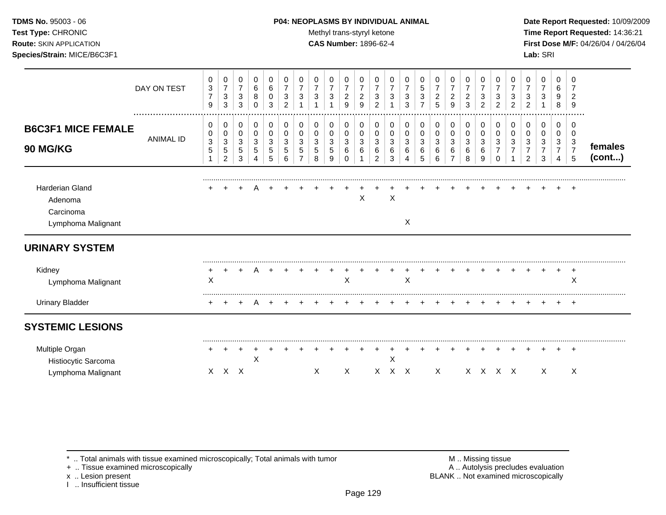#### **TDMS No.** 95003 - 06 **P04: NEOPLASMS BY INDIVIDUAL ANIMAL** Date Report Requested: 10/09/2009

**Test Type:** CHRONIC **Trans-styryl ketone** Methyl trans-styryl ketone **Time Report Requested:** 14:36:21 **Route:** SKIN APPLICATION **CAS Number:** 1896-62-4 **First Dose M/F:** 04/26/04 / 04/26/04

|                                                                      | DAY ON TEST      | 0<br>3<br>$\overline{7}$<br>9 | 0<br>$\overline{7}$<br>$\ensuremath{\mathsf{3}}$<br>$\mathbf{3}$ | 0<br>$\overline{7}$<br>$\mathbf{3}$<br>$\mathbf{3}$ | 0<br>$\,6\,$<br>8<br>$\mathbf 0$                  | 0<br>$\,6\,$<br>0<br>3          | 0<br>$\overline{7}$<br>3<br>2 | 0<br>$\overline{7}$<br>3 | 0<br>$\overline{7}$<br>3  | 0<br>$\overline{7}$<br>3 | 0<br>$\overline{7}$<br>$\overline{2}$<br>9 | 0<br>$\overline{7}$<br>$\boldsymbol{2}$<br>9 | 0<br>$\overline{7}$<br>3<br>2 | 0<br>$\overline{7}$<br>3 | 0<br>$\overline{7}$<br>3<br>3 | 0<br>$\sqrt{5}$<br>3<br>$\overline{ }$ | 0<br>$\overline{7}$<br>$\overline{c}$<br>5 | 0<br>$\overline{7}$<br>$\overline{c}$<br>9   | 0<br>$\overline{7}$<br>$\boldsymbol{2}$<br>3 | 0<br>$\overline{7}$<br>3<br>2 | 0<br>$\overline{7}$<br>3<br>2 | 0<br>$\overline{7}$<br>3<br>$\overline{2}$ | 0<br>3<br>$\overline{2}$ | 0<br>$\overline{7}$<br>3           | 0<br>6<br>9<br>8                   | 0<br>7<br>$\overline{2}$<br>9      |                   |
|----------------------------------------------------------------------|------------------|-------------------------------|------------------------------------------------------------------|-----------------------------------------------------|---------------------------------------------------|---------------------------------|-------------------------------|--------------------------|---------------------------|--------------------------|--------------------------------------------|----------------------------------------------|-------------------------------|--------------------------|-------------------------------|----------------------------------------|--------------------------------------------|----------------------------------------------|----------------------------------------------|-------------------------------|-------------------------------|--------------------------------------------|--------------------------|------------------------------------|------------------------------------|------------------------------------|-------------------|
| <b>B6C3F1 MICE FEMALE</b><br><b>90 MG/KG</b>                         | <b>ANIMAL ID</b> | 0<br>0<br>3<br>5<br>1         | $\,0\,$<br>$\,0\,$<br>3<br>$\,$ 5 $\,$<br>2                      | 0<br>0<br>3<br>$\,$ 5 $\,$<br>3                     | 0<br>$\pmb{0}$<br>$\mathbf{3}$<br>$\sqrt{5}$<br>4 | 0<br>0<br>3<br>$\mathbf 5$<br>5 | 0<br>0<br>3<br>5<br>6         | 0<br>0<br>3<br>5         | 0<br>0<br>3<br>5<br>8     | 0<br>0<br>3<br>5<br>9    | 0<br>0<br>3<br>6<br>$\Omega$               | 0<br>0<br>3<br>6                             | 0<br>0<br>3<br>6<br>2         | 0<br>0<br>3<br>6<br>3    | 0<br>0<br>3<br>6<br>4         | 0<br>$\pmb{0}$<br>3<br>6<br>5          | 0<br>0<br>3<br>6<br>6                      | 0<br>$\mathbf 0$<br>3<br>6<br>$\overline{7}$ | 0<br>0<br>3<br>6<br>8                        | 0<br>0<br>3<br>6<br>9         | 0<br>0<br>3<br>$\Omega$       | 0<br>0<br>3                                | 0<br>0<br>3<br>2         | 0<br>0<br>3<br>$\overline{7}$<br>3 | 0<br>0<br>3<br>$\overline{7}$<br>4 | 0<br>0<br>3<br>$\overline{7}$<br>5 | females<br>(cont) |
| <b>Harderian Gland</b><br>Adenoma<br>Carcinoma<br>Lymphoma Malignant |                  |                               |                                                                  |                                                     |                                                   |                                 |                               |                          |                           |                          |                                            | X                                            |                               | $\times$                 | X                             |                                        |                                            |                                              |                                              |                               |                               |                                            |                          |                                    |                                    | $+$                                |                   |
| <b>URINARY SYSTEM</b>                                                |                  |                               |                                                                  |                                                     |                                                   |                                 |                               |                          |                           |                          |                                            |                                              |                               |                          |                               |                                        |                                            |                                              |                                              |                               |                               |                                            |                          |                                    |                                    |                                    |                   |
| Kidney<br>Lymphoma Malignant                                         |                  | X                             |                                                                  |                                                     |                                                   |                                 |                               |                          |                           |                          | X                                          |                                              |                               |                          | X                             |                                        |                                            |                                              |                                              |                               |                               |                                            |                          |                                    |                                    | $\ddot{}$<br>X                     |                   |
| <b>Urinary Bladder</b>                                               |                  |                               |                                                                  | $\ddot{}$                                           | $\overline{A}$                                    |                                 |                               |                          |                           |                          |                                            |                                              |                               |                          |                               |                                        |                                            |                                              |                                              |                               |                               |                                            |                          |                                    | $+$                                | $+$                                |                   |
| <b>SYSTEMIC LESIONS</b>                                              |                  |                               |                                                                  |                                                     |                                                   |                                 |                               |                          |                           |                          |                                            |                                              |                               |                          |                               |                                        |                                            |                                              |                                              |                               |                               |                                            |                          |                                    |                                    |                                    |                   |
| Multiple Organ<br>Histiocytic Sarcoma<br>Lymphoma Malignant          |                  |                               | $X$ $X$ $X$                                                      |                                                     | X                                                 |                                 |                               |                          | $\boldsymbol{\mathsf{X}}$ |                          | $\mathsf{X}$                               |                                              | $\mathsf{X}$                  | Χ                        | $X$ $X$                       |                                        | $\mathsf{X}$                               |                                              |                                              | X X X X                       |                               |                                            |                          | X                                  |                                    | $\boldsymbol{\mathsf{X}}$          |                   |

\* .. Total animals with tissue examined microscopically; Total animals with tumor M .. Missing tissue M .. Missing tissue<br>
+ .. Tissue examined microscopically

+ .. Tissue examined microscopically

x .. Lesion present<br>I .. Insufficient tissue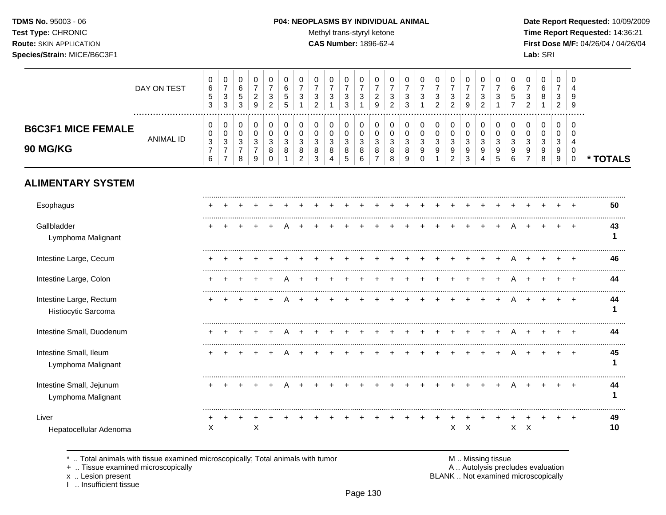# **TDMS No.** 95003 - 06 **P04: NEOPLASMS BY INDIVIDUAL ANIMAL** Date Report Requested: 10/09/2009

Test Type: CHRONIC **Test Type:** CHRONIC **Test Type:** CHRONIC **Time Report Requested:** 14:36:21 **Route:** SKIN APPLICATION **CAS Number:** 1896-62-4 **First Dose M/F:** 04/26/04 / 04/26/04

|                                                | DAY ON TEST      | 0<br>$\,6$<br>$\sqrt{5}$<br>$\mathbf{3}$                       | $\pmb{0}$<br>$\overline{7}$<br>$\sqrt{3}$<br>$\mathbf{3}$        | $\pmb{0}$<br>6<br>$\sqrt{5}$<br>$\mathbf{3}$ | $\pmb{0}$<br>$\overline{7}$<br>$\sqrt{2}$<br>9                                      | $\,0\,$<br>$\overline{7}$<br>3<br>$\overline{2}$   | $\pmb{0}$<br>$\,6\,$<br>$\mathbf 5$<br>$\overline{5}$ | 0<br>$\overline{7}$<br>3<br>1                           | 0<br>$\overline{7}$<br>3<br>$\overline{2}$           | 0<br>$\overline{7}$<br>3                   | 0<br>$\overline{7}$<br>$\mathsf 3$<br>3    | 0<br>$\overline{7}$<br>3         | 0<br>$\overline{7}$<br>$\overline{c}$<br>9              | 0<br>$\overline{7}$<br>$\ensuremath{\mathsf{3}}$<br>$\overline{c}$ | 0<br>$\overline{7}$<br>$\mathbf{3}$<br>3 | 0<br>$\overline{7}$<br>3            | 0<br>$\overline{7}$<br>3<br>$\overline{2}$ | 0<br>$\overline{7}$<br>3<br>$\overline{2}$ | 0<br>$\overline{7}$<br>$\overline{c}$<br>9 | 0<br>$\overline{7}$<br>$\mathbf{3}$<br>$\overline{2}$ | 0<br>$\overline{7}$<br>3                   | 0<br>6<br>5                     | 0<br>$\overline{7}$<br>3<br>2             | $\,0\,$<br>6<br>8                          | $\pmb{0}$<br>$\overline{7}$<br>3<br>$\overline{c}$ | 0<br>9<br>9                                                |          |
|------------------------------------------------|------------------|----------------------------------------------------------------|------------------------------------------------------------------|----------------------------------------------|-------------------------------------------------------------------------------------|----------------------------------------------------|-------------------------------------------------------|---------------------------------------------------------|------------------------------------------------------|--------------------------------------------|--------------------------------------------|----------------------------------|---------------------------------------------------------|--------------------------------------------------------------------|------------------------------------------|-------------------------------------|--------------------------------------------|--------------------------------------------|--------------------------------------------|-------------------------------------------------------|--------------------------------------------|---------------------------------|-------------------------------------------|--------------------------------------------|----------------------------------------------------|------------------------------------------------------------|----------|
| <b>B6C3F1 MICE FEMALE</b><br>90 MG/KG          | <b>ANIMAL ID</b> | 0<br>0<br>$\ensuremath{\mathsf{3}}$<br>$\overline{7}$<br>$\,6$ | 0<br>$\pmb{0}$<br>$\sqrt{3}$<br>$\overline{7}$<br>$\overline{7}$ | 0<br>$\pmb{0}$<br>3<br>$\overline{7}$<br>8   | 0<br>$\mathbf 0$<br>$\ensuremath{\mathsf{3}}$<br>$\overline{7}$<br>$\boldsymbol{9}$ | 0<br>$\pmb{0}$<br>$\mathbf{3}$<br>8<br>$\mathbf 0$ | 0<br>$\pmb{0}$<br>$\sqrt{3}$<br>8<br>1                | 0<br>$\mathbf 0$<br>$\mathbf{3}$<br>8<br>$\overline{c}$ | 0<br>$\Omega$<br>$\ensuremath{\mathsf{3}}$<br>8<br>3 | 0<br>$\mathbf 0$<br>$\mathbf{3}$<br>8<br>Δ | 0<br>$\mathbf 0$<br>$\mathbf{3}$<br>8<br>5 | 0<br>0<br>$\mathbf{3}$<br>8<br>6 | 0<br>$\mathbf 0$<br>$\mathbf{3}$<br>8<br>$\overline{7}$ | 0<br>$\pmb{0}$<br>$\sqrt{3}$<br>8<br>$\,8\,$                       | 0<br>$\mathbf 0$<br>3<br>8<br>9          | 0<br>$\Omega$<br>3<br>9<br>$\Omega$ | 0<br>$\mathbf 0$<br>$\sqrt{3}$<br>9        | 0<br>$\pmb{0}$<br>3<br>9<br>$\overline{2}$ | 0<br>$\pmb{0}$<br>$\mathbf{3}$<br>9<br>3   | 0<br>$\mathbf 0$<br>$\sqrt{3}$<br>9<br>4              | 0<br>$\mathbf 0$<br>$\mathbf{3}$<br>9<br>5 | 0<br>$\mathbf 0$<br>3<br>9<br>6 | 0<br>$\Omega$<br>3<br>9<br>$\overline{7}$ | 0<br>$\mathbf 0$<br>$\mathbf{3}$<br>9<br>8 | 0<br>$\mathbf 0$<br>$\mathbf{3}$<br>9<br>9         | $\Omega$<br>$\Omega$<br>$\overline{4}$<br>0<br>$\mathbf 0$ | * TOTALS |
| <b>ALIMENTARY SYSTEM</b>                       |                  |                                                                |                                                                  |                                              |                                                                                     |                                                    |                                                       |                                                         |                                                      |                                            |                                            |                                  |                                                         |                                                                    |                                          |                                     |                                            |                                            |                                            |                                                       |                                            |                                 |                                           |                                            |                                                    |                                                            |          |
| Esophagus                                      |                  |                                                                |                                                                  |                                              |                                                                                     |                                                    |                                                       |                                                         |                                                      |                                            |                                            |                                  |                                                         |                                                                    |                                          |                                     |                                            |                                            |                                            |                                                       |                                            |                                 |                                           |                                            |                                                    |                                                            | 50       |
| Gallbladder<br>Lymphoma Malignant              |                  |                                                                |                                                                  |                                              |                                                                                     |                                                    |                                                       |                                                         |                                                      |                                            |                                            |                                  |                                                         |                                                                    |                                          |                                     |                                            |                                            |                                            |                                                       |                                            |                                 |                                           |                                            |                                                    |                                                            | 43       |
| Intestine Large, Cecum                         |                  |                                                                |                                                                  |                                              |                                                                                     |                                                    |                                                       |                                                         |                                                      |                                            |                                            |                                  |                                                         |                                                                    |                                          |                                     |                                            |                                            |                                            |                                                       |                                            |                                 |                                           |                                            |                                                    |                                                            | 46       |
| Intestine Large, Colon                         |                  |                                                                |                                                                  |                                              |                                                                                     |                                                    |                                                       |                                                         |                                                      |                                            |                                            |                                  |                                                         |                                                                    |                                          |                                     |                                            |                                            |                                            |                                                       |                                            |                                 |                                           |                                            |                                                    |                                                            | 44       |
| Intestine Large, Rectum<br>Histiocytic Sarcoma |                  |                                                                |                                                                  |                                              |                                                                                     |                                                    |                                                       |                                                         |                                                      |                                            |                                            |                                  |                                                         |                                                                    |                                          |                                     |                                            |                                            |                                            |                                                       |                                            |                                 |                                           |                                            |                                                    |                                                            | 44       |
| Intestine Small, Duodenum                      |                  |                                                                |                                                                  |                                              |                                                                                     |                                                    |                                                       |                                                         |                                                      |                                            |                                            |                                  |                                                         |                                                                    |                                          |                                     |                                            |                                            |                                            |                                                       |                                            |                                 |                                           |                                            |                                                    |                                                            | 44       |
| Intestine Small, Ileum<br>Lymphoma Malignant   |                  |                                                                |                                                                  |                                              |                                                                                     |                                                    |                                                       |                                                         |                                                      |                                            |                                            |                                  |                                                         |                                                                    |                                          |                                     |                                            |                                            |                                            |                                                       |                                            |                                 |                                           |                                            |                                                    |                                                            | 45       |
| Intestine Small, Jejunum<br>Lymphoma Malignant |                  |                                                                |                                                                  |                                              |                                                                                     |                                                    |                                                       |                                                         |                                                      |                                            |                                            |                                  |                                                         |                                                                    |                                          |                                     |                                            |                                            |                                            |                                                       |                                            |                                 |                                           |                                            |                                                    | $\ddot{}$                                                  | 44       |
| Liver<br>Hepatocellular Adenoma                |                  | Χ                                                              |                                                                  |                                              | $\boldsymbol{\mathsf{X}}$                                                           |                                                    |                                                       |                                                         |                                                      |                                            |                                            |                                  |                                                         |                                                                    |                                          |                                     |                                            | X                                          | $\mathsf{X}$                               |                                                       |                                            | $\sf X$                         | $\mathsf{X}$                              |                                            |                                                    |                                                            | 49<br>10 |

\* .. Total animals with tissue examined microscopically; Total animals with tumor M .. Missing tissue M .. Missing tissue<br>A .. Autolysis precludes evaluation<br>A .. Autolysis precludes evaluation

+ .. Tissue examined microscopically

x .. Lesion present<br>I .. Insufficient tissue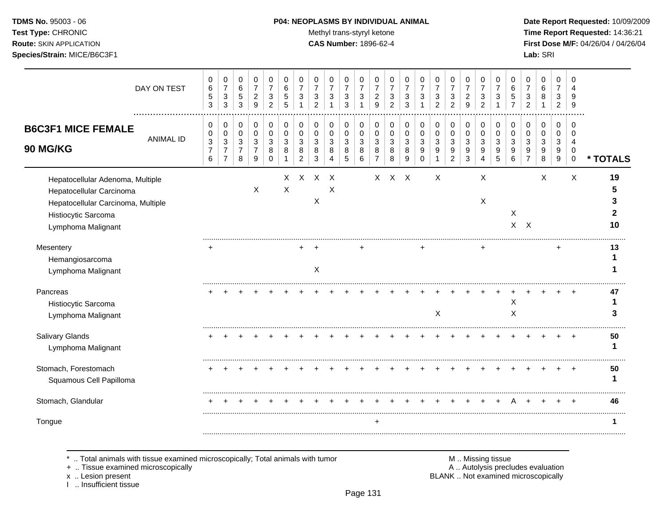# **TDMS No.** 95003 - 06 **P04: NEOPLASMS BY INDIVIDUAL ANIMAL** Date Report Requested: 10/09/2009

Test Type: CHRONIC **Test Type:** CHRONIC **Test Type:** CHRONIC **Time Report Requested:** 14:36:21 **Route:** SKIN APPLICATION **CAS Number:** 1896-62-4 **First Dose M/F:** 04/26/04 / 04/26/04

|                                                                                                                                                 | DAY ON TEST      | 0<br>$\,6$<br>$\sqrt{5}$<br>3                        | 0<br>$\boldsymbol{7}$<br>$\sqrt{3}$<br>3                                        | 0<br>$\,6\,$<br>$\,$ 5 $\,$<br>$\mathbf{3}$           | 0<br>$\overline{7}$<br>$\boldsymbol{2}$<br>9        | 0<br>$\overline{7}$<br>$\sqrt{3}$<br>$\overline{2}$ | 0<br>$\,6\,$<br>$\sqrt{5}$<br>5       | 0<br>$\overline{7}$<br>3       | 0<br>$\overline{7}$<br>3<br>2              | 0<br>7<br>3                                             | 0<br>$\boldsymbol{7}$<br>3<br>3                              | 0<br>$\overline{7}$<br>3<br>$\mathbf{1}$                      | 0<br>$\overline{7}$<br>$\overline{c}$<br>9                         | 0<br>$\overline{7}$<br>$\sqrt{3}$<br>2     | 0<br>$\overline{7}$<br>3<br>3 | 0<br>$\overline{7}$<br>3                                                         | 0<br>$\overline{7}$<br>3<br>$\overline{2}$ | 0<br>$\boldsymbol{7}$<br>$\sqrt{3}$<br>$\overline{2}$              | 0<br>$\overline{7}$<br>$\overline{c}$<br>9 | 0<br>$\overline{7}$<br>$\ensuremath{\mathsf{3}}$<br>$\overline{2}$   | 0<br>$\overline{7}$<br>3<br>$\mathbf 1$ | 0<br>6<br>5<br>$\overline{7}$ | 0<br>$\overline{7}$<br>3<br>2                | 0<br>6<br>8<br>1                               | 0<br>$\overline{7}$<br>3<br>$\overline{2}$ | 0<br>4<br>9<br>9                       |          |
|-------------------------------------------------------------------------------------------------------------------------------------------------|------------------|------------------------------------------------------|---------------------------------------------------------------------------------|-------------------------------------------------------|-----------------------------------------------------|-----------------------------------------------------|---------------------------------------|--------------------------------|--------------------------------------------|---------------------------------------------------------|--------------------------------------------------------------|---------------------------------------------------------------|--------------------------------------------------------------------|--------------------------------------------|-------------------------------|----------------------------------------------------------------------------------|--------------------------------------------|--------------------------------------------------------------------|--------------------------------------------|----------------------------------------------------------------------|-----------------------------------------|-------------------------------|----------------------------------------------|------------------------------------------------|--------------------------------------------|----------------------------------------|----------|
| <b>B6C3F1 MICE FEMALE</b><br>90 MG/KG                                                                                                           | <b>ANIMAL ID</b> | 0<br>0<br>$\sqrt{3}$<br>$\overline{\mathbf{7}}$<br>6 | 0<br>$\pmb{0}$<br>$\ensuremath{\mathsf{3}}$<br>$\overline{7}$<br>$\overline{7}$ | 0<br>$\pmb{0}$<br>$\mathbf{3}$<br>$\overline{7}$<br>8 | 0<br>$\pmb{0}$<br>$\sqrt{3}$<br>$\overline{7}$<br>9 | 0<br>$\pmb{0}$<br>$\sqrt{3}$<br>8<br>$\Omega$       | 0<br>$\mathbf 0$<br>3<br>8            | 0<br>0<br>$\sqrt{3}$<br>8<br>2 | 0<br>$\mathbf 0$<br>$\mathbf{3}$<br>8<br>3 | 0<br>$\mathbf 0$<br>$\mathbf{3}$<br>8<br>$\overline{4}$ | 0<br>0<br>$\ensuremath{\mathsf{3}}$<br>$\bf 8$<br>$\sqrt{5}$ | 0<br>$\mathbf 0$<br>$\ensuremath{\mathsf{3}}$<br>$\,8\,$<br>6 | 0<br>$\pmb{0}$<br>$\ensuremath{\mathsf{3}}$<br>8<br>$\overline{7}$ | 0<br>$\mathbf 0$<br>$\mathbf{3}$<br>8<br>8 | 0<br>0<br>3<br>8<br>9         | 0<br>$\mathbf 0$<br>$\ensuremath{\mathsf{3}}$<br>$\boldsymbol{9}$<br>$\mathbf 0$ | 0<br>$\pmb{0}$<br>$\sqrt{3}$<br>9<br>1     | 0<br>$\pmb{0}$<br>$\ensuremath{\mathsf{3}}$<br>9<br>$\overline{c}$ | 0<br>$\pmb{0}$<br>$\sqrt{3}$<br>9<br>3     | 0<br>$\pmb{0}$<br>$\ensuremath{\mathsf{3}}$<br>$\boldsymbol{9}$<br>4 | 0<br>$\mathbf 0$<br>3<br>9<br>5         | 0<br>0<br>3<br>9<br>6         | 0<br>$\mathbf 0$<br>3<br>9<br>$\overline{7}$ | 0<br>$\mathbf 0$<br>3<br>$\boldsymbol{9}$<br>8 | 0<br>0<br>$\sqrt{3}$<br>9<br>9             | 0<br>$\Omega$<br>4<br>0<br>$\mathbf 0$ | * TOTALS |
| Hepatocellular Adenoma, Multiple<br>Hepatocellular Carcinoma<br>Hepatocellular Carcinoma, Multiple<br>Histiocytic Sarcoma<br>Lymphoma Malignant |                  |                                                      |                                                                                 |                                                       | $\boldsymbol{\mathsf{X}}$                           |                                                     | $\times$<br>$\boldsymbol{\mathsf{X}}$ | $\mathsf{X}$                   | $X$ $X$<br>X                               | X                                                       |                                                              |                                                               | $\mathsf{X}$                                                       |                                            | $X$ $X$                       |                                                                                  | X                                          |                                                                    |                                            | X<br>X                                                               |                                         | Χ                             | $X$ $X$                                      | X                                              |                                            | X                                      | 19<br>10 |
| Mesentery<br>Hemangiosarcoma<br>Lymphoma Malignant                                                                                              |                  |                                                      |                                                                                 |                                                       |                                                     |                                                     |                                       |                                | X                                          |                                                         |                                                              |                                                               |                                                                    |                                            |                               | +                                                                                |                                            |                                                                    |                                            |                                                                      |                                         |                               |                                              |                                                | +                                          |                                        | 13       |
| Pancreas<br>Histiocytic Sarcoma<br>Lymphoma Malignant                                                                                           |                  |                                                      |                                                                                 |                                                       |                                                     |                                                     |                                       |                                |                                            |                                                         |                                                              |                                                               |                                                                    |                                            |                               |                                                                                  | X                                          |                                                                    |                                            |                                                                      |                                         | X<br>X                        |                                              |                                                |                                            |                                        | 47       |
| Salivary Glands<br>Lymphoma Malignant                                                                                                           |                  |                                                      |                                                                                 |                                                       |                                                     |                                                     |                                       |                                |                                            |                                                         |                                                              |                                                               |                                                                    |                                            |                               |                                                                                  |                                            |                                                                    |                                            |                                                                      |                                         |                               |                                              |                                                |                                            |                                        | 50       |
| Stomach, Forestomach<br>Squamous Cell Papilloma                                                                                                 |                  |                                                      |                                                                                 |                                                       |                                                     |                                                     |                                       |                                |                                            |                                                         |                                                              |                                                               |                                                                    |                                            |                               |                                                                                  |                                            |                                                                    |                                            |                                                                      |                                         |                               |                                              |                                                |                                            |                                        | 50       |
| Stomach, Glandular                                                                                                                              |                  |                                                      |                                                                                 |                                                       |                                                     |                                                     |                                       |                                |                                            |                                                         |                                                              |                                                               |                                                                    |                                            |                               |                                                                                  |                                            |                                                                    |                                            |                                                                      |                                         |                               |                                              |                                                |                                            |                                        | 46       |
| Tongue                                                                                                                                          |                  |                                                      |                                                                                 |                                                       |                                                     |                                                     |                                       |                                |                                            |                                                         |                                                              |                                                               | $\ddot{}$                                                          |                                            |                               |                                                                                  |                                            |                                                                    |                                            |                                                                      |                                         |                               |                                              |                                                |                                            |                                        |          |

\* .. Total animals with tissue examined microscopically; Total animals with tumor M .. Missing tissue M .. Missing tissue<br>A .. Tissue examined microscopically by the matric of the matric of the M .. Missing tissue examined

+ .. Tissue examined microscopically

x .. Lesion present<br>I .. Insufficient tissue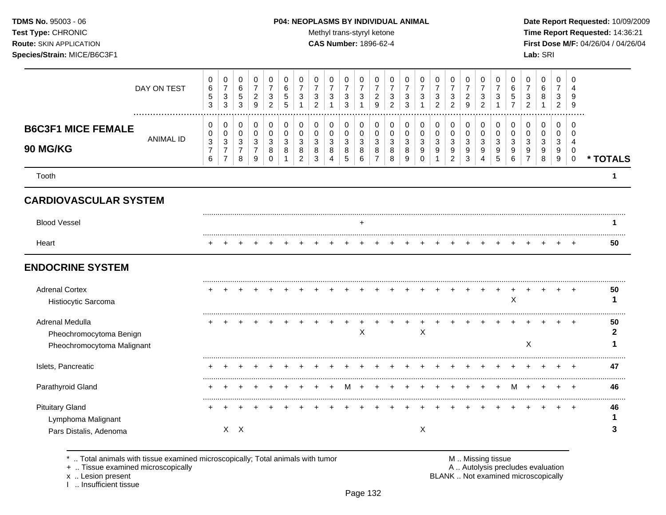#### **TDMS No.** 95003 - 06 **P04: NEOPLASMS BY INDIVIDUAL ANIMAL** Date Report Requested: 10/09/2009

Test Type: CHRONIC **Test Type:** CHRONIC **Test Type:** CHRONIC **Time Report Requested:** 14:36:21 **Route:** SKIN APPLICATION **CAS Number:** 1896-62-4 **First Dose M/F:** 04/26/04 / 04/26/04

| DAY ON TEST                                                              | 0<br>$\,6\,$<br>$\,$ 5 $\,$<br>$\mathbf{3}$                | 0<br>$\overline{7}$<br>$\mathbf{3}$<br>$\mathbf{3}$          | 0<br>$\,6\,$<br>$\sqrt{5}$<br>3    | 0<br>$\overline{7}$<br>$\sqrt{2}$<br>9                  | 0<br>$\overline{7}$<br>3<br>$\overline{2}$ | 0<br>6<br>5<br>5                  | 0<br>$\overline{7}$<br>3                  | 0<br>3<br>$\overline{2}$               | 0<br>$\overline{7}$<br>$\ensuremath{\mathsf{3}}$ | 0<br>$\overline{7}$<br>$\ensuremath{\mathsf{3}}$<br>3 | 0<br>$\overline{7}$<br>$\ensuremath{\mathsf{3}}$<br>$\mathbf{1}$ | 0<br>$\overline{7}$<br>$\overline{\mathbf{c}}$<br>9 | 0<br>$\overline{7}$<br>$\sqrt{3}$<br>$\overline{2}$ | 0<br>$\overline{7}$<br>3<br>3 | 0<br>$\overline{7}$<br>3                      | 0<br>$\overline{7}$<br>3<br>$\overline{2}$ | 0<br>$\overline{7}$<br>$\ensuremath{\mathsf{3}}$<br>$\overline{c}$ | 0<br>$\overline{7}$<br>$\sqrt{2}$<br>9 | 0<br>$\overline{7}$<br>$\ensuremath{\mathsf{3}}$<br>$\overline{c}$ | 0<br>7<br>3                     | 0<br>6<br>5           | 0<br>3                            | 0<br>6<br>8           | 0<br>$\overline{7}$<br>3<br>$\overline{2}$ | n<br>Δ<br>9<br>9                                        |                      |
|--------------------------------------------------------------------------|------------------------------------------------------------|--------------------------------------------------------------|------------------------------------|---------------------------------------------------------|--------------------------------------------|-----------------------------------|-------------------------------------------|----------------------------------------|--------------------------------------------------|-------------------------------------------------------|------------------------------------------------------------------|-----------------------------------------------------|-----------------------------------------------------|-------------------------------|-----------------------------------------------|--------------------------------------------|--------------------------------------------------------------------|----------------------------------------|--------------------------------------------------------------------|---------------------------------|-----------------------|-----------------------------------|-----------------------|--------------------------------------------|---------------------------------------------------------|----------------------|
| <b>B6C3F1 MICE FEMALE</b><br><b>ANIMAL ID</b><br><b>90 MG/KG</b>         | 0<br>0<br>$\ensuremath{\mathsf{3}}$<br>$\overline{7}$<br>6 | 0<br>0<br>$\mathbf{3}$<br>$\boldsymbol{7}$<br>$\overline{7}$ | 0<br>0<br>3<br>$\overline{7}$<br>8 | $\mathbf 0$<br>0<br>$\mathbf{3}$<br>$\overline{7}$<br>9 | 0<br>$\Omega$<br>3<br>8<br>$\Omega$        | $\mathbf 0$<br>$\Omega$<br>3<br>8 | 0<br>$\Omega$<br>3<br>8<br>$\overline{2}$ | $\mathbf 0$<br>$\Omega$<br>3<br>8<br>3 | 0<br>0<br>3<br>8<br>4                            | 0<br>0<br>3<br>8<br>5                                 | 0<br>0<br>3<br>8<br>6                                            | 0<br>0<br>$\mathbf{3}$<br>8<br>$\overline{7}$       | $\mathbf 0$<br>$\mathbf 0$<br>3<br>8<br>8           | 0<br>$\Omega$<br>3<br>8<br>9  | $\mathbf 0$<br>$\Omega$<br>3<br>9<br>$\Omega$ | 0<br>$\mathbf 0$<br>3<br>9                 | 0<br>0<br>$\sqrt{3}$<br>9<br>$\boldsymbol{2}$                      | 0<br>$\mathbf 0$<br>3<br>9<br>3        | $\mathbf 0$<br>$\mathbf 0$<br>3<br>9<br>$\overline{4}$             | 0<br>$\mathbf 0$<br>3<br>9<br>5 | 0<br>0<br>3<br>9<br>6 | $\mathbf 0$<br>$\Omega$<br>3<br>9 | 0<br>0<br>3<br>9<br>8 | $\mathbf 0$<br>0<br>3<br>9<br>9            | $\Omega$<br>$\Omega$<br>4<br>$\mathbf 0$<br>$\mathbf 0$ | * TOTALS             |
| Tooth                                                                    |                                                            |                                                              |                                    |                                                         |                                            |                                   |                                           |                                        |                                                  |                                                       |                                                                  |                                                     |                                                     |                               |                                               |                                            |                                                                    |                                        |                                                                    |                                 |                       |                                   |                       |                                            |                                                         | $\blacktriangleleft$ |
| <b>CARDIOVASCULAR SYSTEM</b>                                             |                                                            |                                                              |                                    |                                                         |                                            |                                   |                                           |                                        |                                                  |                                                       |                                                                  |                                                     |                                                     |                               |                                               |                                            |                                                                    |                                        |                                                                    |                                 |                       |                                   |                       |                                            |                                                         |                      |
| <b>Blood Vessel</b>                                                      |                                                            |                                                              |                                    |                                                         |                                            |                                   |                                           |                                        |                                                  |                                                       | +                                                                |                                                     |                                                     |                               |                                               |                                            |                                                                    |                                        |                                                                    |                                 |                       |                                   |                       |                                            |                                                         |                      |
| Heart                                                                    |                                                            |                                                              |                                    |                                                         |                                            |                                   |                                           |                                        |                                                  |                                                       |                                                                  |                                                     |                                                     |                               |                                               |                                            |                                                                    |                                        |                                                                    |                                 |                       |                                   |                       |                                            |                                                         | 50                   |
| <b>ENDOCRINE SYSTEM</b>                                                  |                                                            |                                                              |                                    |                                                         |                                            |                                   |                                           |                                        |                                                  |                                                       |                                                                  |                                                     |                                                     |                               |                                               |                                            |                                                                    |                                        |                                                                    |                                 |                       |                                   |                       |                                            |                                                         |                      |
| <b>Adrenal Cortex</b><br>Histiocytic Sarcoma                             |                                                            |                                                              |                                    |                                                         |                                            |                                   |                                           |                                        |                                                  |                                                       |                                                                  |                                                     |                                                     |                               |                                               |                                            |                                                                    |                                        |                                                                    |                                 | X                     |                                   |                       |                                            |                                                         | 50                   |
| Adrenal Medulla<br>Pheochromocytoma Benign<br>Pheochromocytoma Malignant |                                                            |                                                              |                                    |                                                         |                                            |                                   |                                           |                                        |                                                  |                                                       | $\boldsymbol{\mathsf{X}}$                                        |                                                     |                                                     |                               | X                                             |                                            |                                                                    |                                        |                                                                    |                                 |                       | $\boldsymbol{\mathsf{X}}$         |                       |                                            |                                                         | 50<br>$\mathbf{2}$   |
| Islets, Pancreatic                                                       |                                                            |                                                              |                                    |                                                         |                                            |                                   |                                           |                                        |                                                  |                                                       |                                                                  |                                                     |                                                     |                               |                                               |                                            |                                                                    |                                        |                                                                    |                                 |                       |                                   |                       |                                            |                                                         | 47                   |
| Parathyroid Gland                                                        |                                                            |                                                              |                                    |                                                         |                                            |                                   |                                           |                                        |                                                  | M                                                     |                                                                  |                                                     |                                                     |                               |                                               |                                            |                                                                    |                                        |                                                                    |                                 | м                     |                                   | $\ddot{}$             |                                            | $\ddot{}$                                               | 46                   |
| <b>Pituitary Gland</b><br>Lymphoma Malignant                             |                                                            |                                                              | $X$ $X$                            |                                                         |                                            |                                   |                                           |                                        |                                                  |                                                       |                                                                  |                                                     |                                                     |                               | X                                             |                                            |                                                                    |                                        |                                                                    |                                 |                       |                                   |                       |                                            |                                                         | 46                   |
| Pars Distalis, Adenoma                                                   |                                                            |                                                              |                                    |                                                         |                                            |                                   |                                           |                                        |                                                  |                                                       |                                                                  |                                                     |                                                     |                               |                                               |                                            |                                                                    |                                        |                                                                    |                                 |                       |                                   |                       |                                            |                                                         |                      |

\* .. Total animals with tissue examined microscopically; Total animals with tumor **M** metal metal M .. Missing tissue<br>  $\blacksquare$  . Tissue examined microscopically

+ .. Tissue examined microscopically

x .. Lesion present<br>I .. Insufficient tissue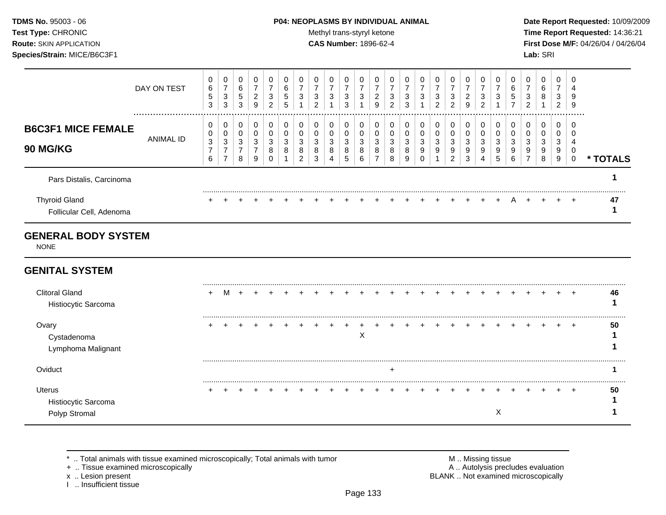#### **TDMS No.** 95003 - 06 **P04: NEOPLASMS BY INDIVIDUAL ANIMAL** Date Report Requested: 10/09/2009

Test Type: CHRONIC **Test Type:** CHRONIC **Test Type:** CHRONIC **Time Report Requested:** 14:36:21 **Route:** SKIN APPLICATION **CAS Number:** 1896-62-4 **First Dose M/F:** 04/26/04 / 04/26/04

|                                                  | DAY ON TEST   | 6<br>5<br>3 | 0<br>⇁<br>3<br>3 | 0<br>6<br>5<br>3 | 0<br>2<br>9      | 0<br>3<br>2           | 6<br>5 | 3                | 0<br>⇁<br>3<br>$\mathcal{P}$ | 0<br>3                           | 0<br>3<br>3                 | 0<br>3                       | 9      | 0<br>3<br>2           | 3<br>3      | 0<br>3                | 0<br>3<br>2      | 0<br>3<br>2      | 0<br>2<br>9      | 3<br>ົ<br>∠ | 3           | 6 | 0<br>3<br>2           | 6<br>8      | 0<br>⇁<br>3<br>2      | 4<br>9<br>-9 |               |
|--------------------------------------------------|---------------|-------------|------------------|------------------|------------------|-----------------------|--------|------------------|------------------------------|----------------------------------|-----------------------------|------------------------------|--------|-----------------------|-------------|-----------------------|------------------|------------------|------------------|-------------|-------------|---|-----------------------|-------------|-----------------------|--------------|---------------|
| <b>B6C3F1 MICE FEMALE</b><br><b>90 MG/KG</b>     | <br>ANIMAL ID | 3<br>6      | 0<br>0<br>3<br>⇁ | 3<br>8           | 0<br>0<br>3<br>9 | 0<br>0<br>3<br>8<br>0 | 8      | 3<br>8<br>$\sim$ | 0<br>3<br>8<br>3             | $\mathbf{0}$<br>0<br>3<br>8<br>4 | $\mathbf{0}$<br>3<br>8<br>5 | 0<br>$\Omega$<br>3<br>8<br>6 | 3<br>8 | 0<br>0<br>3<br>8<br>8 | 3<br>o<br>9 | 0<br>0<br>3<br>9<br>0 | 0<br>0<br>3<br>9 | 0<br>3<br>9<br>2 | 0<br>3<br>9<br>3 | 3<br>9<br>4 | 3<br>9<br>5 |   | 0<br>0<br>3<br>9<br>⇁ | 3<br>9<br>8 | 0<br>0<br>3<br>9<br>9 | - 0          | <b>TOTALS</b> |
| Pars Distalis, Carcinoma                         |               |             |                  |                  |                  |                       |        |                  |                              |                                  |                             |                              |        |                       |             |                       |                  |                  |                  |             |             |   |                       |             |                       |              |               |
| <b>Thyroid Gland</b><br>Follicular Cell, Adenoma |               |             |                  |                  |                  |                       |        |                  |                              |                                  |                             |                              |        | $+$ $+$               |             | $+$                   | $\ddot{}$        | $+$              |                  |             |             |   |                       |             |                       | $\div$       | 47            |

# **GENERAL BODY SYSTEM**

NONE

# **GENITAL SYSTEM**

| <b>Clitoral Gland</b><br>Histiocytic Sarcoma   | ÷ |  |  |  |  |   |  | $+$ $+$ $+$ $+$ $+$ |  | $+$ | $+$ | $+$ |  | $\div$    | 46 |
|------------------------------------------------|---|--|--|--|--|---|--|---------------------|--|-----|-----|-----|--|-----------|----|
| Ovary<br>Cystadenoma<br>Lymphoma Malignant     |   |  |  |  |  | ∧ |  |                     |  |     |     |     |  | $\ddot{}$ | 50 |
| Oviduct                                        |   |  |  |  |  |   |  |                     |  |     |     |     |  |           |    |
| Uterus<br>Histiocytic Sarcoma<br>Polyp Stromal |   |  |  |  |  |   |  |                     |  |     |     |     |  | ÷         | 50 |

\* .. Total animals with tissue examined microscopically; Total animals with tumor <br>
+ .. Tissue examined microscopically<br>
+ .. Tissue examined microscopically

+ .. Tissue examined microscopically

I .. Insufficient tissue

x .. Lesion present **BLANK** .. Not examined microscopically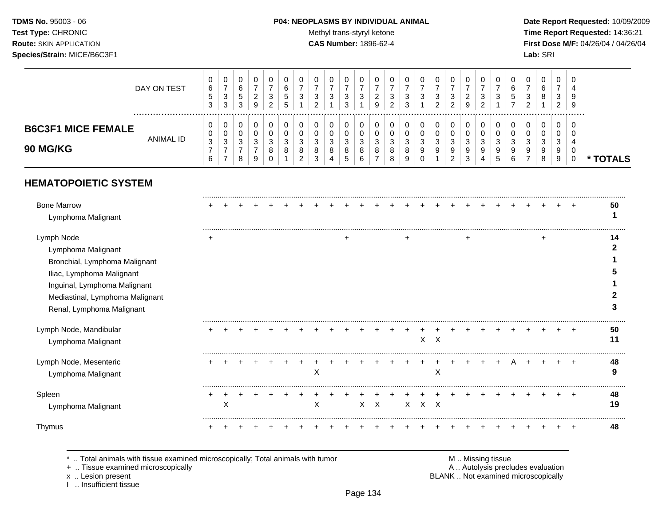# **TDMS No.** 95003 - 06 **P04: NEOPLASMS BY INDIVIDUAL ANIMAL** Date Report Requested: 10/09/2009

Test Type: CHRONIC **Test Type:** CHRONIC **Test Type:** CHRONIC **Time Report Requested:** 14:36:21 **Route:** SKIN APPLICATION **CAS Number:** 1896-62-4 **First Dose M/F:** 04/26/04 / 04/26/04

|                                              | DAY ON TEST      | 0<br>6<br><sub>5</sub><br>3 | 0<br>-<br>◠<br>ت<br>3      | u<br>6<br>5<br>3 | <u>_</u><br>9 | _ | U<br>6<br>$\mathbf{p}$<br><sub>5</sub> | J                         | U<br>3<br>∼           | 0<br>◠<br>J                | υ<br>3                      | 3        | υ<br>3<br>◠<br><u>.</u>     | З<br>≏                                  | U<br>3                | 0<br>◠<br>◡<br>ົ      | u<br>3<br>ົ<br>∼ | <u>_</u>     |   | v<br>3            | N<br>-                        | Ü<br>3<br>ີ      | 0<br>6<br>8                | υ<br>3<br><u>_</u> | 0<br>$\epsilon$<br>5.<br>-9 |        |
|----------------------------------------------|------------------|-----------------------------|----------------------------|------------------|---------------|---|----------------------------------------|---------------------------|-----------------------|----------------------------|-----------------------------|----------|-----------------------------|-----------------------------------------|-----------------------|-----------------------|------------------|--------------|---|-------------------|-------------------------------|------------------|----------------------------|--------------------|-----------------------------|--------|
| <b>B6C3F1 MICE FEMALE</b><br><b>90 MG/KG</b> | <b>ANIMAL ID</b> | 0<br>0<br>3<br>6            | 0<br>0<br>ົ<br>ັ<br>-<br>- | ັ<br>J<br>8      | ັບ<br>9       |   | U<br>າ<br>◡<br>8                       | ີ<br>J<br>8<br>$\sqrt{2}$ | 0<br>Ü<br>3<br>8<br>3 | 0<br>0<br>ີ<br>ັ<br>8<br>4 | U<br>J<br>8<br><sub>5</sub> | - ఎ<br>6 | v<br>v<br>າ<br>ັບ<br>8<br>8 | ີ<br>$\overline{\phantom{a}}$<br>8<br>g | 0<br>0<br>3<br>9<br>0 | 0<br>0<br>ົ<br>◡<br>9 | U<br>3<br>9<br>2 | J.<br>9<br>3 | 4 | າ<br>ັບ<br>9<br>đ | ີ<br>$\overline{\phantom{a}}$ | 0<br>0<br>3<br>9 | 0<br>0<br>ີ<br>ັ<br>9<br>8 | u<br>ۍ<br>9<br>У   | - 0                         | TOTALS |

# **HEMATOPOIETIC SYSTEM**

| <b>Bone Marrow</b><br>Lymphoma Malignant                                                                                                                                                       |   |   |  |  |   |  |         |  |       |         |  |  |  |  |   | 50           |
|------------------------------------------------------------------------------------------------------------------------------------------------------------------------------------------------|---|---|--|--|---|--|---------|--|-------|---------|--|--|--|--|---|--------------|
| Lymph Node<br>Lymphoma Malignant<br>Bronchial, Lymphoma Malignant<br>Iliac, Lymphoma Malignant<br>Inguinal, Lymphoma Malignant<br>Mediastinal, Lymphoma Malignant<br>Renal, Lymphoma Malignant | ٠ |   |  |  |   |  |         |  |       |         |  |  |  |  |   | 14<br>5<br>3 |
| Lymph Node, Mandibular<br>Lymphoma Malignant                                                                                                                                                   |   |   |  |  |   |  |         |  |       | $X$ $X$ |  |  |  |  | ÷ | 50           |
| Lymph Node, Mesenteric<br>Lymphoma Malignant                                                                                                                                                   |   |   |  |  | X |  |         |  |       | X       |  |  |  |  |   | 48<br>9      |
| Spleen<br>Lymphoma Malignant                                                                                                                                                                   |   | х |  |  | X |  | $X$ $X$ |  | X X X |         |  |  |  |  | ÷ | 48<br>19     |
| Thymus                                                                                                                                                                                         |   |   |  |  |   |  |         |  |       |         |  |  |  |  |   | 48           |

\* .. Total animals with tissue examined microscopically; Total animals with tumor M .. Missing tissue M .. Missing tissue<br>A .. Tissue examined microscopically by the matric of the matric of the M .. Missing tissue examined

+ .. Tissue examined microscopically

I .. Insufficient tissue

x .. Lesion present **BLANK** .. Not examined microscopically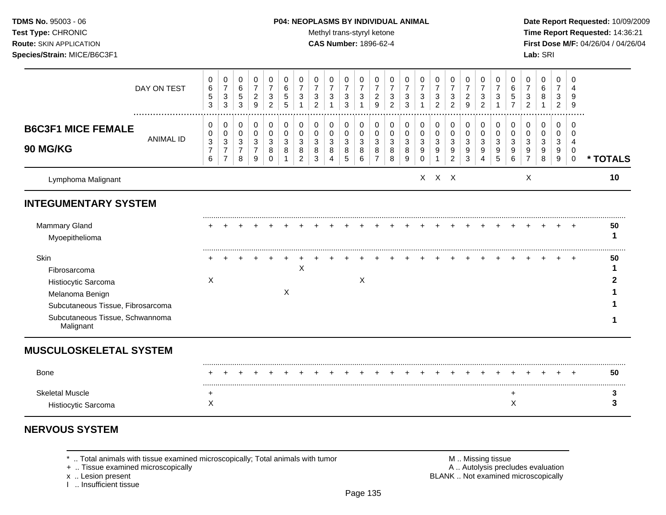#### **TDMS No.** 95003 - 06 **P04: NEOPLASMS BY INDIVIDUAL ANIMAL** Date Report Requested: 10/09/2009

Test Type: CHRONIC **Test Type:** CHRONIC **Test Type:** CHRONIC **Time Report Requested:** 14:36:21 **Route:** SKIN APPLICATION **CAS Number:** 1896-62-4 **First Dose M/F:** 04/26/04 / 04/26/04

|                                                                                                                                        | DAY ON TEST      | 0<br>6<br>$\sqrt{5}$<br>3                     | 0<br>$\overline{7}$<br>$\sqrt{3}$<br>3          | 0<br>$\,6\,$<br>$\sqrt{5}$<br>3                    | 0<br>$\boldsymbol{7}$<br>$\overline{c}$<br>9 | 0<br>$\overline{7}$<br>3<br>2           | 0<br>6<br>5<br>5           | 0<br>$\overline{7}$<br>3 | 0<br>$\overline{7}$<br>3<br>$\mathcal{P}$ | 0<br>$\overline{7}$<br>3   | 0<br>$\overline{7}$<br>$\mathbf{3}$<br>3 | 0<br>$\overline{7}$<br>3        | 0<br>$\overline{7}$<br>$\overline{c}$<br>9 | 0<br>$\overline{7}$<br>3<br>$\overline{2}$ | 0<br>$\overline{7}$<br>3<br>3 | 0<br>$\overline{7}$<br>3               | 0<br>$\overline{7}$<br>3<br>2 | 0<br>$\overline{7}$<br>$\sqrt{3}$<br>2 | 0<br>$\overline{7}$<br>$\overline{c}$<br>9 | 0<br>$\overline{7}$<br>3<br>2   | 0<br>$\overline{7}$<br>3        | 0<br>6<br>5           | 0<br>7<br>$\overline{2}$ | 0<br>6<br>8                  | 0<br>$\overline{7}$<br>3<br>2    | 0<br>g<br>9                                         |          |
|----------------------------------------------------------------------------------------------------------------------------------------|------------------|-----------------------------------------------|-------------------------------------------------|----------------------------------------------------|----------------------------------------------|-----------------------------------------|----------------------------|--------------------------|-------------------------------------------|----------------------------|------------------------------------------|---------------------------------|--------------------------------------------|--------------------------------------------|-------------------------------|----------------------------------------|-------------------------------|----------------------------------------|--------------------------------------------|---------------------------------|---------------------------------|-----------------------|--------------------------|------------------------------|----------------------------------|-----------------------------------------------------|----------|
| <b>B6C3F1 MICE FEMALE</b><br><b>90 MG/KG</b>                                                                                           | <b>ANIMAL ID</b> | 0<br>0<br>$\mathbf{3}$<br>$\overline{7}$<br>6 | 0<br>0<br>3<br>$\overline{7}$<br>$\overline{7}$ | 0<br>$\mathbf 0$<br>3<br>$\overline{7}$<br>$\bf 8$ | 0<br>$\pmb{0}$<br>3<br>7<br>9                | 0<br>$\pmb{0}$<br>3<br>8<br>$\mathbf 0$ | 0<br>$\mathbf 0$<br>3<br>8 | 0<br>0<br>3<br>8<br>2    | 0<br>$\Omega$<br>3<br>8<br>3              | 0<br>$\mathbf 0$<br>3<br>8 | 0<br>0<br>3<br>8<br>5                    | 0<br>$\mathbf 0$<br>3<br>8<br>6 | 0<br>$\pmb{0}$<br>3<br>8<br>$\overline{7}$ | 0<br>$\mathbf 0$<br>3<br>8<br>8            | 0<br>0<br>3<br>8<br>9         | 0<br>$\mathbf 0$<br>3<br>9<br>$\Omega$ | 0<br>$\mathbf 0$<br>3<br>9    | 0<br>0<br>3<br>9<br>$\overline{c}$     | 0<br>$\mathbf 0$<br>3<br>9<br>3            | 0<br>$\mathbf 0$<br>3<br>9<br>4 | 0<br>$\mathbf 0$<br>3<br>9<br>5 | 0<br>0<br>3<br>9<br>6 | 0<br>0<br>3<br>9         | 0<br>$\Omega$<br>3<br>9<br>8 | 0<br>$\Omega$<br>3<br>9<br>$9\,$ | $\Omega$<br>∩<br>$\overline{4}$<br>0<br>$\mathbf 0$ | * TOTALS |
| Lymphoma Malignant                                                                                                                     |                  |                                               |                                                 |                                                    |                                              |                                         |                            |                          |                                           |                            |                                          |                                 |                                            |                                            |                               |                                        | $X$ $X$ $X$                   |                                        |                                            |                                 |                                 |                       | X                        |                              |                                  |                                                     | 10       |
| <b>INTEGUMENTARY SYSTEM</b>                                                                                                            |                  |                                               |                                                 |                                                    |                                              |                                         |                            |                          |                                           |                            |                                          |                                 |                                            |                                            |                               |                                        |                               |                                        |                                            |                                 |                                 |                       |                          |                              |                                  |                                                     |          |
| <b>Mammary Gland</b><br>Myoepithelioma                                                                                                 |                  |                                               |                                                 |                                                    |                                              |                                         |                            |                          |                                           |                            |                                          |                                 |                                            |                                            |                               |                                        |                               |                                        |                                            |                                 |                                 |                       |                          |                              |                                  |                                                     | 50       |
| Skin<br>Fibrosarcoma<br>Histiocytic Sarcoma<br>Melanoma Benign<br>Subcutaneous Tissue, Fibrosarcoma<br>Subcutaneous Tissue, Schwannoma |                  | X                                             |                                                 |                                                    |                                              |                                         | X                          | X                        |                                           |                            |                                          | Χ                               |                                            |                                            |                               |                                        |                               |                                        |                                            |                                 |                                 |                       |                          |                              |                                  |                                                     | 50       |
| Malignant<br><b>MUSCULOSKELETAL SYSTEM</b>                                                                                             |                  |                                               |                                                 |                                                    |                                              |                                         |                            |                          |                                           |                            |                                          |                                 |                                            |                                            |                               |                                        |                               |                                        |                                            |                                 |                                 |                       |                          |                              |                                  |                                                     |          |
| <b>Bone</b>                                                                                                                            |                  |                                               |                                                 |                                                    |                                              |                                         |                            |                          |                                           |                            |                                          |                                 |                                            |                                            |                               |                                        |                               |                                        |                                            |                                 |                                 |                       |                          |                              |                                  | ÷.                                                  | 50       |
| <b>Skeletal Muscle</b><br>Histiocytic Sarcoma                                                                                          |                  | ÷<br>Χ                                        |                                                 |                                                    |                                              |                                         |                            |                          |                                           |                            |                                          |                                 |                                            |                                            |                               |                                        |                               |                                        |                                            |                                 |                                 | $\ddot{}$<br>X        |                          |                              |                                  |                                                     | 3        |

# **NERVOUS SYSTEM**

\* .. Total animals with tissue examined microscopically; Total animals with tumor **M** metally more than M .. Missing tissue<br>  $\blacksquare$  Tissue examined microscopically

+ .. Tissue examined microscopically

x .. Lesion present<br>I .. Insufficient tissue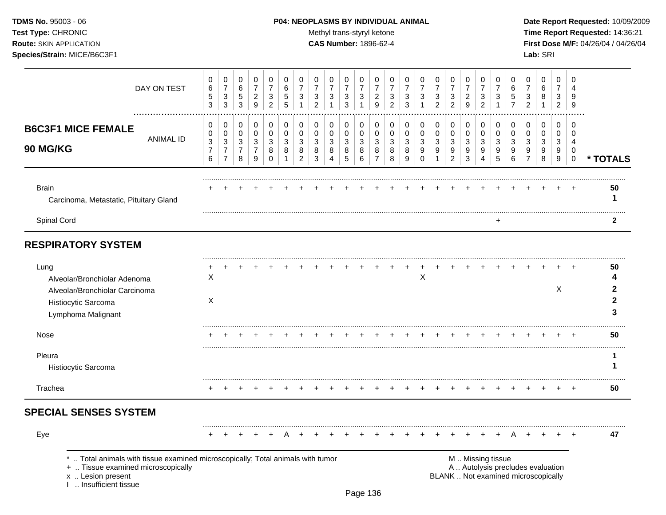# **TDMS No.** 95003 - 06 **P04: NEOPLASMS BY INDIVIDUAL ANIMAL** Date Report Requested: 10/09/2009

Test Type: CHRONIC **Test Type:** CHRONIC **Test Type:** CHRONIC **Time Report Requested:** 14:36:21 **Route:** SKIN APPLICATION **CAS Number:** 1896-62-4 **First Dose M/F:** 04/26/04 / 04/26/04

|                                                                                                                     | DAY ON TEST                                                                                                        | 0<br>6<br>$\,$ 5 $\,$<br>3                    | $\pmb{0}$<br>$\overline{7}$<br>$\sqrt{3}$<br>3           | 0<br>$\,6$<br>$\,$ 5 $\,$<br>3              | 0<br>$\overline{7}$<br>$\overline{c}$<br>9            | $\mathbf 0$<br>$\overline{7}$<br>$\ensuremath{\mathsf{3}}$<br>$\overline{2}$ | 0<br>6<br>5<br>5                | 0<br>$\overline{7}$<br>3        | 0<br>$\overline{7}$<br>3<br>$\overline{2}$ | 0<br>$\overline{7}$<br>3                     | 0<br>$\overline{7}$<br>$\sqrt{3}$<br>3         | 0<br>$\overline{7}$<br>$\sqrt{3}$<br>$\mathbf 1$ | 0<br>$\overline{7}$<br>$\overline{a}$<br>9   | 0<br>7<br>3<br>$\overline{2}$ | 0<br>$\overline{7}$<br>3<br>3 | 0<br>$\overline{7}$<br>3     | 0<br>$\overline{7}$<br>3<br>$\overline{2}$ | 0<br>$\overline{7}$<br>$\mathbf 3$<br>$\overline{2}$  | 0<br>$\overline{7}$<br>$\overline{2}$<br>9 | 0<br>$\overline{7}$<br>$\sqrt{3}$<br>$\overline{2}$ | 0<br>7<br>3                     | 0<br>6<br>5                                                              | 0<br>7<br>3<br>$\overline{2}$      | $\mathbf 0$<br>6<br>8<br>-1     | 0<br>7<br>3<br>$\overline{2}$ | $\Omega$<br>4<br>9<br>9                |                        |
|---------------------------------------------------------------------------------------------------------------------|--------------------------------------------------------------------------------------------------------------------|-----------------------------------------------|----------------------------------------------------------|---------------------------------------------|-------------------------------------------------------|------------------------------------------------------------------------------|---------------------------------|---------------------------------|--------------------------------------------|----------------------------------------------|------------------------------------------------|--------------------------------------------------|----------------------------------------------|-------------------------------|-------------------------------|------------------------------|--------------------------------------------|-------------------------------------------------------|--------------------------------------------|-----------------------------------------------------|---------------------------------|--------------------------------------------------------------------------|------------------------------------|---------------------------------|-------------------------------|----------------------------------------|------------------------|
| <b>B6C3F1 MICE FEMALE</b><br>90 MG/KG                                                                               | <b>ANIMAL ID</b>                                                                                                   | 0<br>0<br>$\sqrt{3}$<br>$\boldsymbol{7}$<br>6 | 0<br>0<br>$\sqrt{3}$<br>$\overline{7}$<br>$\overline{7}$ | 0<br>0<br>$\sqrt{3}$<br>$\overline{7}$<br>8 | 0<br>$\pmb{0}$<br>$\mathbf{3}$<br>$\overline{7}$<br>9 | 0<br>$\pmb{0}$<br>3<br>8<br>$\Omega$                                         | 0<br>$\mathbf 0$<br>3<br>8<br>1 | 0<br>$\mathbf 0$<br>3<br>8<br>2 | 0<br>$\mathbf 0$<br>3<br>8<br>3            | 0<br>$\mathbf 0$<br>3<br>8<br>$\overline{4}$ | 0<br>$\pmb{0}$<br>$\mathbf{3}$<br>$\,8\,$<br>5 | 0<br>0<br>3<br>8<br>6                            | 0<br>$\mathbf 0$<br>3<br>8<br>$\overline{7}$ | 0<br>0<br>3<br>8<br>8         | 0<br>0<br>3<br>8<br>9         | 0<br>0<br>3<br>9<br>$\Omega$ | 0<br>0<br>3<br>9<br>1                      | 0<br>$\pmb{0}$<br>$\mathbf{3}$<br>9<br>$\overline{2}$ | 0<br>$\pmb{0}$<br>3<br>9<br>3              | 0<br>$\pmb{0}$<br>3<br>9<br>4                       | 0<br>$\mathbf 0$<br>3<br>9<br>5 | 0<br>$\mathbf 0$<br>3<br>9<br>6                                          | 0<br>0<br>3<br>9<br>$\overline{7}$ | 0<br>$\mathbf 0$<br>3<br>9<br>8 | 0<br>0<br>3<br>9<br>9         | 0<br>$\Omega$<br>4<br>0<br>$\mathbf 0$ | * TOTALS               |
| <b>Brain</b><br>Carcinoma, Metastatic, Pituitary Gland                                                              |                                                                                                                    |                                               |                                                          |                                             |                                                       |                                                                              |                                 |                                 |                                            |                                              |                                                |                                                  |                                              |                               |                               |                              |                                            |                                                       |                                            |                                                     |                                 |                                                                          |                                    |                                 |                               |                                        | 50<br>1                |
| Spinal Cord                                                                                                         |                                                                                                                    |                                               |                                                          |                                             |                                                       |                                                                              |                                 |                                 |                                            |                                              |                                                |                                                  |                                              |                               |                               |                              |                                            |                                                       |                                            |                                                     | +                               |                                                                          |                                    |                                 |                               |                                        | $\mathbf{2}$           |
| <b>RESPIRATORY SYSTEM</b>                                                                                           |                                                                                                                    |                                               |                                                          |                                             |                                                       |                                                                              |                                 |                                 |                                            |                                              |                                                |                                                  |                                              |                               |                               |                              |                                            |                                                       |                                            |                                                     |                                 |                                                                          |                                    |                                 |                               |                                        |                        |
| Lung<br>Alveolar/Bronchiolar Adenoma<br>Alveolar/Bronchiolar Carcinoma<br>Histiocytic Sarcoma<br>Lymphoma Malignant |                                                                                                                    | X<br>X                                        |                                                          |                                             |                                                       |                                                                              |                                 |                                 |                                            |                                              |                                                |                                                  |                                              |                               |                               | X                            |                                            |                                                       |                                            |                                                     |                                 |                                                                          |                                    |                                 | X                             |                                        | 50<br>4<br>2<br>2<br>3 |
| Nose                                                                                                                |                                                                                                                    |                                               |                                                          |                                             |                                                       |                                                                              |                                 |                                 |                                            |                                              |                                                |                                                  |                                              |                               |                               |                              |                                            |                                                       |                                            |                                                     |                                 |                                                                          |                                    |                                 |                               |                                        | 50                     |
| Pleura<br>Histiocytic Sarcoma                                                                                       |                                                                                                                    |                                               |                                                          |                                             |                                                       |                                                                              |                                 |                                 |                                            |                                              |                                                |                                                  |                                              |                               |                               |                              |                                            |                                                       |                                            |                                                     |                                 |                                                                          |                                    |                                 |                               |                                        | 1<br>1                 |
| Trachea                                                                                                             |                                                                                                                    |                                               |                                                          |                                             |                                                       |                                                                              |                                 |                                 |                                            |                                              |                                                |                                                  |                                              |                               |                               |                              |                                            |                                                       |                                            |                                                     |                                 |                                                                          |                                    |                                 |                               |                                        | 50                     |
| <b>SPECIAL SENSES SYSTEM</b>                                                                                        |                                                                                                                    |                                               |                                                          |                                             |                                                       |                                                                              |                                 |                                 |                                            |                                              |                                                |                                                  |                                              |                               |                               |                              |                                            |                                                       |                                            |                                                     |                                 |                                                                          |                                    |                                 |                               |                                        |                        |
| Eye                                                                                                                 |                                                                                                                    |                                               |                                                          |                                             |                                                       |                                                                              |                                 |                                 |                                            |                                              |                                                |                                                  |                                              |                               |                               |                              |                                            |                                                       |                                            |                                                     |                                 |                                                                          |                                    |                                 |                               |                                        | 47                     |
| x  Lesion present<br>I  Insufficient tissue                                                                         | Total animals with tissue examined microscopically; Total animals with tumor<br>+  Tissue examined microscopically |                                               |                                                          |                                             |                                                       |                                                                              |                                 |                                 |                                            |                                              |                                                |                                                  |                                              |                               |                               |                              |                                            |                                                       |                                            | M  Missing tissue                                   |                                 | A  Autolysis precludes evaluation<br>BLANK  Not examined microscopically |                                    |                                 |                               |                                        |                        |